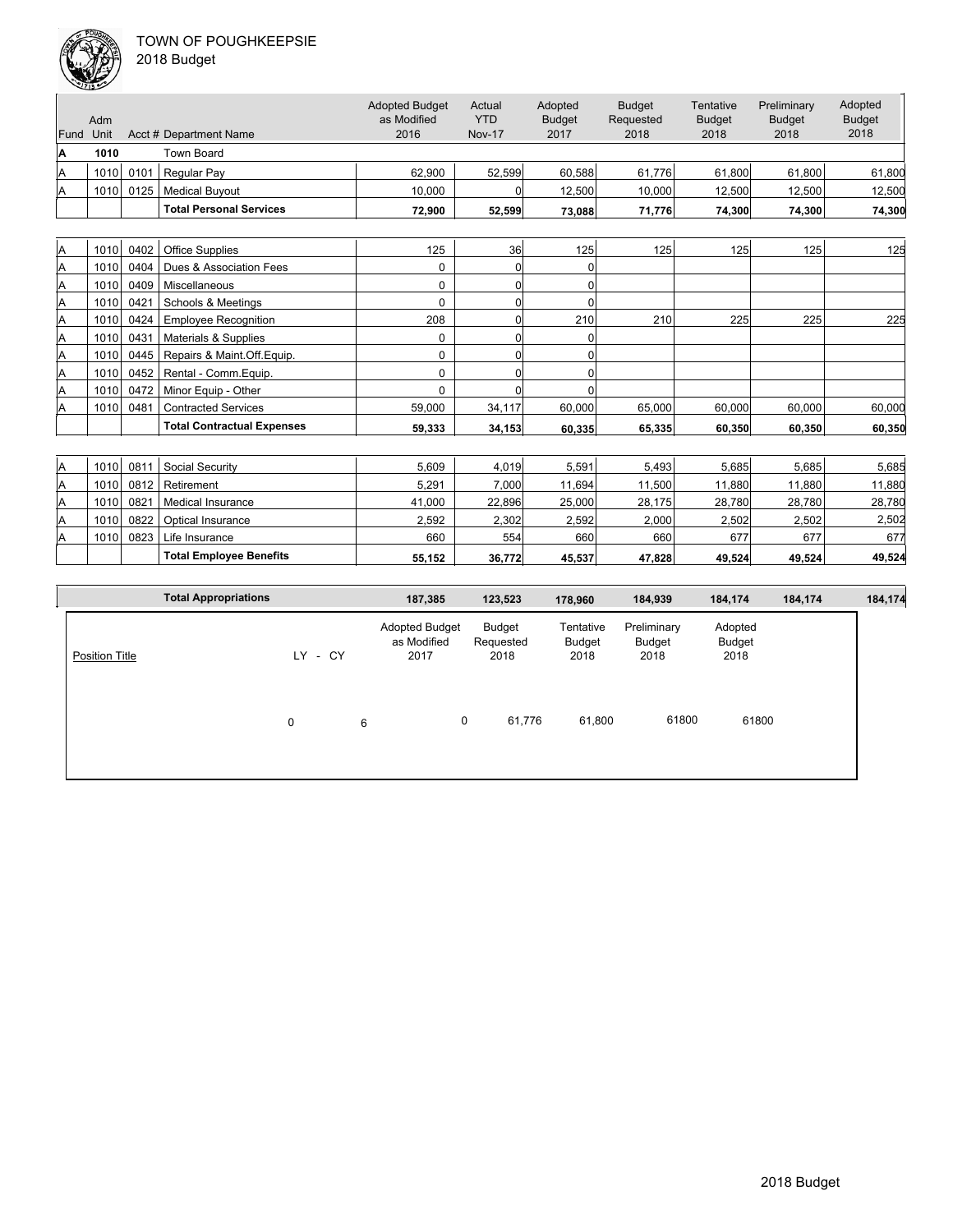

| 2018 Budget |  |
|-------------|--|
|-------------|--|

|      | مختلقات     |      |                                   |                                              |                                       |                                  |                                    |                                    |                                      |                                  |
|------|-------------|------|-----------------------------------|----------------------------------------------|---------------------------------------|----------------------------------|------------------------------------|------------------------------------|--------------------------------------|----------------------------------|
| Fund | Adm<br>Unit |      | Acct # Department Name            | <b>Adopted Budget</b><br>as Modified<br>2016 | Actual<br><b>YTD</b><br><b>Nov-17</b> | Adopted<br><b>Budget</b><br>2017 | <b>Budget</b><br>Requested<br>2018 | Tentative<br><b>Budget</b><br>2018 | Preliminary<br><b>Budget</b><br>2018 | Adopted<br><b>Budget</b><br>2018 |
| A    | 1010        |      | <b>Town Board</b>                 |                                              |                                       |                                  |                                    |                                    |                                      |                                  |
|      |             |      |                                   |                                              |                                       |                                  | 61.776                             |                                    |                                      |                                  |
| Α    | 1010        | 0101 | <b>Regular Pay</b>                | 62.900                                       | 52,599                                | 60,588                           |                                    | 61,800                             | 61,800                               | 61,800                           |
| Α    | 1010        | 0125 | <b>Medical Buyout</b>             | 10.000                                       | $\Omega$                              | 12,500                           | 10,000                             | 12,500                             | 12,500                               | 12,500                           |
|      |             |      | <b>Total Personal Services</b>    | 72,900                                       | 52,599                                | 73,088                           | 71,776                             | 74,300                             | 74,300                               | 74,300                           |
|      |             |      |                                   |                                              |                                       |                                  |                                    |                                    |                                      |                                  |
| A    | 1010        | 0402 | <b>Office Supplies</b>            | 125                                          | 36                                    | 125                              | 125                                | 125                                | 125                                  | 125                              |
| Α    | 1010        | 0404 | Dues & Association Fees           | $\mathbf 0$                                  | $\overline{0}$                        | 0                                |                                    |                                    |                                      |                                  |
| Α    | 1010        | 0409 | Miscellaneous                     | $\Omega$                                     | $\overline{0}$                        | $\Omega$                         |                                    |                                    |                                      |                                  |
| A    | 1010        | 0421 | Schools & Meetings                | $\Omega$                                     | $\overline{0}$                        | $\Omega$                         |                                    |                                    |                                      |                                  |
| Α    | 1010        | 0424 | <b>Employee Recognition</b>       | 208                                          | $\overline{0}$                        | 210                              | 210                                | 225                                | 225                                  | 225                              |
| A    | 1010        | 0431 | Materials & Supplies              | $\Omega$                                     | $\overline{0}$                        | $\Omega$                         |                                    |                                    |                                      |                                  |
| Α    | 1010        | 0445 | Repairs & Maint.Off.Equip.        | $\Omega$                                     | $\overline{0}$                        | $\mathbf 0$                      |                                    |                                    |                                      |                                  |
| Α    | 1010        | 0452 | Rental - Comm. Equip.             | 0                                            | $\Omega$                              | $\mathbf 0$                      |                                    |                                    |                                      |                                  |
| Α    | 1010        | 0472 | Minor Equip - Other               | $\Omega$                                     | $\Omega$                              | $\Omega$                         |                                    |                                    |                                      |                                  |
| Α    | 1010        | 0481 | <b>Contracted Services</b>        | 59.000                                       | 34,117                                | 60.000                           | 65.000                             | 60.000                             | 60.000                               | 60,000                           |
|      |             |      | <b>Total Contractual Expenses</b> | 59.333                                       | 34,153                                | 60,335                           | 65.335                             | 60.350                             | 60.350                               | 60,350                           |
|      |             |      |                                   |                                              |                                       |                                  |                                    |                                    |                                      |                                  |
| A    | 1010        | 0811 | Social Security                   | 5,609                                        | 4,019                                 | 5,591                            | 5,493                              | 5,685                              | 5,685                                | 5,685                            |
| A    | 1010        | 0812 | Retirement                        | 5.291                                        | 7,000                                 | 11,694                           | 11,500                             | 11,880                             | 11,880                               | 11,880                           |
| Α    | 1010        | 0821 | <b>Medical Insurance</b>          | 41,000                                       | 22,896                                | 25,000                           | 28,175                             | 28,780                             | 28,780                               | 28,780                           |
| Α    | 1010        | 0822 | Optical Insurance                 | 2,592                                        | 2,302                                 | 2,592                            | 2,000                              | 2,502                              | 2,502                                | 2,502                            |
| Α    | 1010        | 0823 | Life Insurance                    | 660                                          | 554                                   | 660                              | 660                                | 677                                | 677                                  | 677                              |
|      |             |      | <b>Total Employee Benefits</b>    | 55,152                                       | 36,772                                | 45,537                           | 47,828                             | 49,524                             | 49,524                               | 49,524                           |

|                       | <b>Total Appropriations</b> |   |         |   | 187,385                                      | 123,523                     | 178,960                     | 184,939                       | 184,174                   | 184,174 | 184,174 |
|-----------------------|-----------------------------|---|---------|---|----------------------------------------------|-----------------------------|-----------------------------|-------------------------------|---------------------------|---------|---------|
| <b>Position Title</b> |                             |   | LY - CY |   | <b>Adopted Budget</b><br>as Modified<br>2017 | Budget<br>Requested<br>2018 | Tentative<br>Budget<br>2018 | Preliminary<br>Budget<br>2018 | Adopted<br>Budget<br>2018 |         |         |
|                       |                             | 0 |         | 6 |                                              | 61,776<br>0                 | 61,800                      | 61800                         | 61800                     |         |         |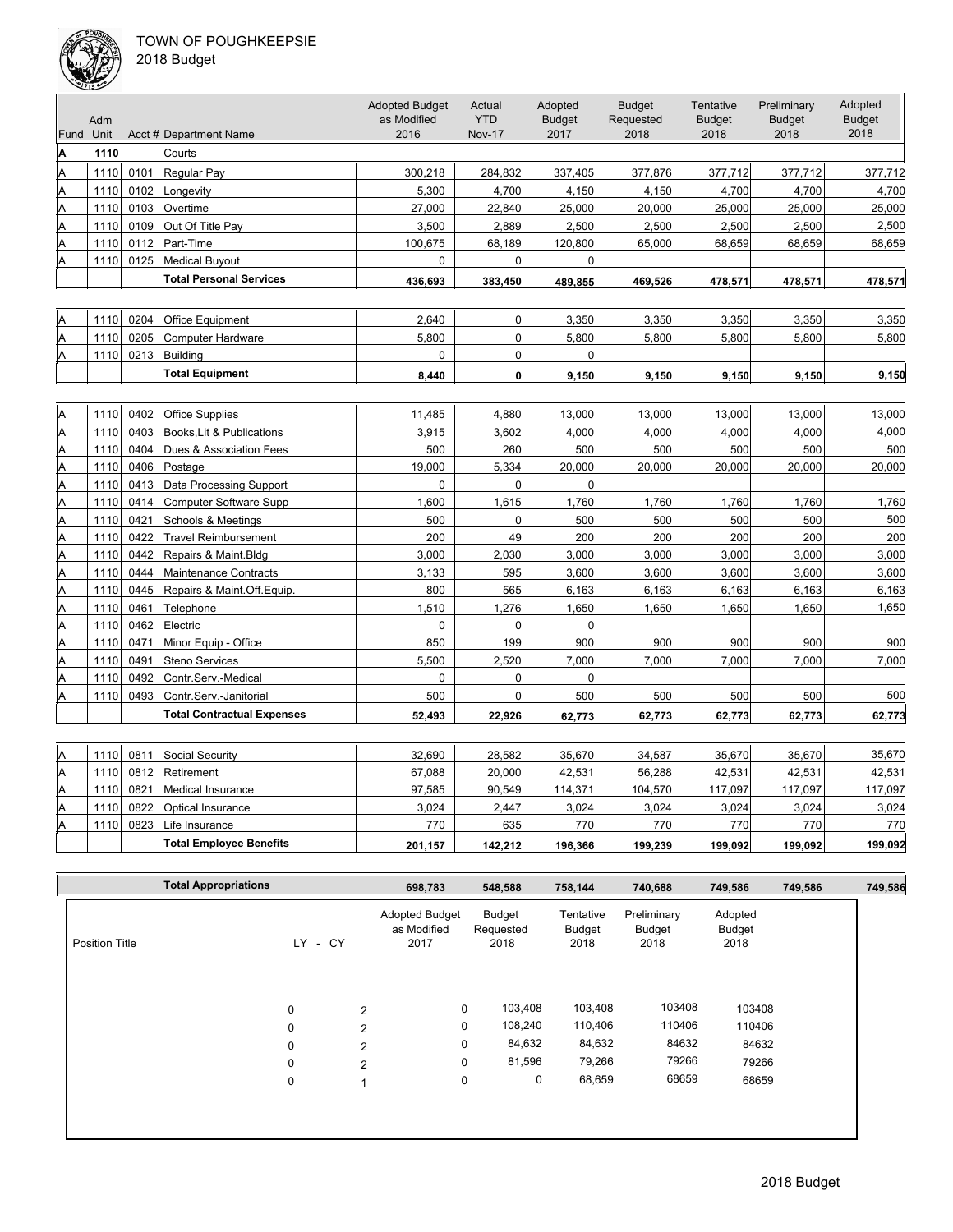### TOWN OF POUGHKEEPSIE  $2<sub>0</sub>$



|  | 018 Budget |
|--|------------|
|--|------------|

|      | متخلقات |      |                                   |                                      |                      |                          |                            |                            |                              |                          |
|------|---------|------|-----------------------------------|--------------------------------------|----------------------|--------------------------|----------------------------|----------------------------|------------------------------|--------------------------|
|      | Adm     |      |                                   | <b>Adopted Budget</b><br>as Modified | Actual<br><b>YTD</b> | Adopted<br><b>Budget</b> | <b>Budget</b><br>Requested | Tentative<br><b>Budget</b> | Preliminary<br><b>Budget</b> | Adopted<br><b>Budget</b> |
| Fund | Unit    |      | Acct # Department Name            | 2016                                 | <b>Nov-17</b>        | 2017                     | 2018                       | 2018                       | 2018                         | 2018                     |
| Α    | 1110    |      | Courts                            |                                      |                      |                          |                            |                            |                              |                          |
| A    | 1110    | 0101 | Regular Pay                       | 300,218                              | 284,832              | 337,405                  | 377,876                    | 377,712                    | 377,712                      | 377,712                  |
| А    | 1110    | 0102 | Longevity                         | 5,300                                | 4,700                | 4,150                    | 4,150                      | 4,700                      | 4,700                        | 4,700                    |
| Α    | 1110    | 0103 | Overtime                          | 27,000                               | 22,840               | 25,000                   | 20,000                     | 25,000                     | 25,000                       | 25,000                   |
| A    | 1110    | 0109 | Out Of Title Pay                  | 3,500                                | 2,889                | 2,500                    | 2,500                      | 2,500                      | 2,500                        | 2,500                    |
| A    | 1110    | 0112 | Part-Time                         | 100,675                              | 68,189               | 120,800                  | 65,000                     | 68,659                     | 68,659                       | 68,659                   |
| Α    | 1110    | 0125 | <b>Medical Buyout</b>             | 0                                    | $\overline{0}$       | $\Omega$                 |                            |                            |                              |                          |
|      |         |      | <b>Total Personal Services</b>    | 436,693                              | 383,450              | 489,855                  | 469,526                    | 478,571                    | 478,571                      | 478,571                  |
|      |         |      |                                   |                                      |                      |                          |                            |                            |                              |                          |
| Α    | 1110    | 0204 | Office Equipment                  | 2,640                                | $\overline{0}$       | 3,350                    | 3,350                      | 3,350                      | 3,350                        | 3,350                    |
| Α    | 1110    | 0205 | <b>Computer Hardware</b>          | 5,800                                | $\overline{0}$       | 5,800                    | 5,800                      | 5,800                      | 5,800                        | 5,800                    |
| Α    | 1110    | 0213 | <b>Building</b>                   | $\Omega$                             | 0                    | $\Omega$                 |                            |                            |                              |                          |
|      |         |      | <b>Total Equipment</b>            | 8,440                                | $\mathbf{0}$         | 9,150                    | 9,150                      | 9,150                      | 9,150                        | 9,150                    |
|      |         |      |                                   |                                      |                      |                          |                            |                            |                              |                          |
| Α    | 1110    | 0402 | <b>Office Supplies</b>            | 11,485                               | 4,880                | 13,000                   | 13,000                     | 13,000                     | 13,000                       | 13,000                   |
| Α    | 1110    | 0403 | Books, Lit & Publications         | 3,915                                | 3,602                | 4,000                    | 4,000                      | 4,000                      | 4,000                        | 4,000                    |
| A    | 1110    | 0404 | Dues & Association Fees           | 500                                  | 260                  | 500                      | 500                        | 500                        | 500                          | 500                      |
| Α    | 1110    | 0406 | Postage                           | 19,000                               | 5,334                | 20,000                   | 20,000                     | 20,000                     | 20,000                       | 20,000                   |
| A    | 1110    | 0413 | Data Processing Support           | $\mathbf 0$                          | $\overline{0}$       | $\Omega$                 |                            |                            |                              |                          |
| Α    | 1110    | 0414 | <b>Computer Software Supp</b>     | 1,600                                | 1,615                | 1,760                    | 1,760                      | 1,760                      | 1,760                        | 1,760                    |
| A    | 1110    | 0421 | Schools & Meetings                | 500                                  | $\Omega$             | 500                      | 500                        | 500                        | 500                          | 500                      |
| Α    | 1110    | 0422 | <b>Travel Reimbursement</b>       | 200                                  | 49                   | 200                      | 200                        | 200                        | 200                          | 200                      |
| Α    | 1110    | 0442 | Repairs & Maint.Bldg              | 3,000                                | 2,030                | 3,000                    | 3,000                      | 3,000                      | 3,000                        | 3,000                    |
| A    | 1110    | 0444 | <b>Maintenance Contracts</b>      | 3,133                                | 595                  | 3,600                    | 3,600                      | 3,600                      | 3,600                        | 3,600                    |
| A    | 1110    | 0445 | Repairs & Maint.Off.Equip.        | 800                                  | 565                  | 6,163                    | 6,163                      | 6,163                      | 6,163                        | 6,163                    |
| Α    | 1110    | 0461 | Telephone                         | 1,510                                | 1,276                | 1,650                    | 1,650                      | 1,650                      | 1,650                        | 1,650                    |
| Α    | 1110    | 0462 | Electric                          | 0                                    | $\overline{0}$       | $\mathbf 0$              |                            |                            |                              |                          |
| A    | 1110    | 0471 | Minor Equip - Office              | 850                                  | 199                  | 900                      | 900                        | 900                        | 900                          | 900                      |
| Α    | 1110    | 0491 | <b>Steno Services</b>             | 5,500                                | 2,520                | 7,000                    | 7,000                      | 7,000                      | 7,000                        | 7,000                    |
| Α    | 1110    | 0492 | Contr.Serv.-Medical               | $\mathbf 0$                          | $\overline{0}$       | $\mathbf 0$              |                            |                            |                              |                          |
| Α    | 1110    | 0493 | Contr.Serv.-Janitorial            | 500                                  | $\Omega$             | 500                      | 500                        | 500                        | 500                          | 500                      |
|      |         |      | <b>Total Contractual Expenses</b> | 52.493                               | 22,926               | 62,773                   | 62,773                     | 62,773                     | 62,773                       | 62,773                   |
|      |         |      |                                   |                                      |                      |                          |                            |                            |                              |                          |
| Α    | 1110    | 0811 | Social Security                   | 32,690                               | 28,582               | 35,670                   | 34,587                     | 35,670                     | 35,670                       | 35,670                   |
| A    | 1110    | 0812 | Retirement                        | 67,088                               | 20,000               | 42,531                   | 56,288                     | 42,531                     | 42,531                       | 42,531                   |
| Α    | 1110    | 0821 | Medical Insurance                 | 97,585                               | 90,549               | 114,371                  | 104,570                    | 117,097                    | 117,097                      | 117,097                  |
| A    | 1110    | 0822 | Optical Insurance                 | 3,024                                | 2.447                | 3,024                    | 3,024                      | 3,024                      | 3,024                        | 3,024                    |
| Α    | 1110    | 0823 | Life Insurance                    | 770                                  | 635                  | 770                      | 770                        | 770                        | 770                          | 770                      |
|      |         |      | <b>Total Employee Benefits</b>    | 201.157                              | 142.212              | 196,366                  | 199,239                    | 199.092                    | 199,092                      | 199.092                  |

|                       | <b>Total Appropriations</b> |             | 698,783                                      | 548,588                     | 758,144                     | 740,688                       | 749,586                   | 749,586 | 749,586 |
|-----------------------|-----------------------------|-------------|----------------------------------------------|-----------------------------|-----------------------------|-------------------------------|---------------------------|---------|---------|
| <b>Position Title</b> |                             | LY - CY     | <b>Adopted Budget</b><br>as Modified<br>2017 | Budget<br>Requested<br>2018 | Tentative<br>Budget<br>2018 | Preliminary<br>Budget<br>2018 | Adopted<br>Budget<br>2018 |         |         |
|                       |                             | $\mathbf 0$ | $\overline{2}$                               | 103,408<br>0                | 103,408                     | 103408                        | 103408                    |         |         |
|                       |                             |             |                                              | 108,240<br>0                | 110,406                     | 110406                        | 110406                    |         |         |
|                       |                             | $\mathbf 0$ | $\overline{2}$                               |                             |                             |                               |                           |         |         |
|                       |                             | $\mathbf 0$ | $\overline{2}$                               | 84,632<br>0                 | 84,632                      | 84632                         | 84632                     |         |         |
|                       |                             | $\mathbf 0$ | $\overline{2}$                               | 81,596<br>0                 | 79,266                      | 79266                         | 79266                     |         |         |
|                       |                             | 0           | $\mathbf{1}$                                 | 0<br>0                      | 68,659                      | 68659                         | 68659                     |         |         |
|                       |                             |             |                                              |                             |                             |                               |                           |         |         |
|                       |                             |             |                                              |                             |                             |                               |                           |         |         |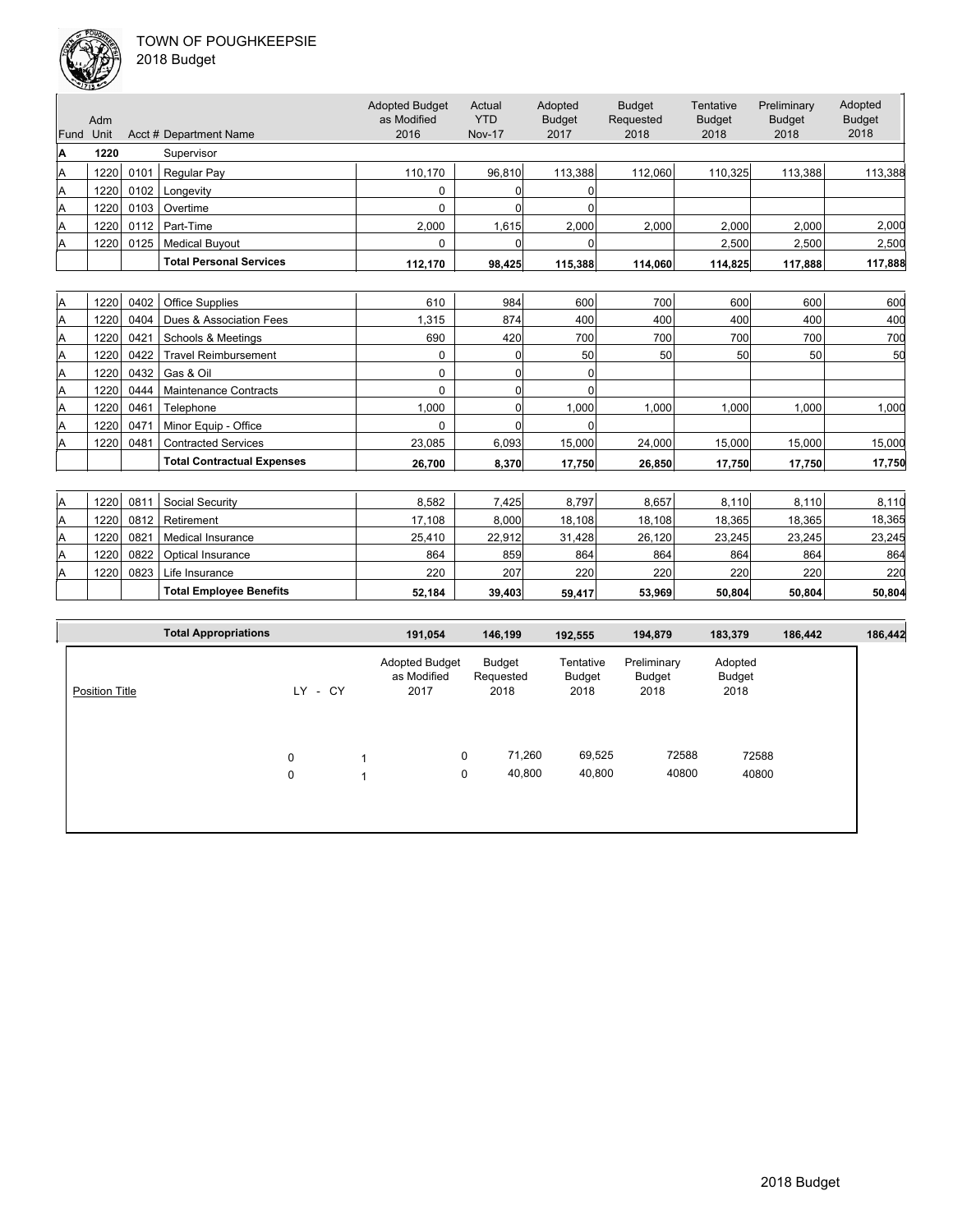

|      | Adm  |      |                                | <b>Adopted Budget</b><br>as Modified | Actual<br>YTD | Adopted<br><b>Budget</b> | <b>Budget</b><br>Requested | Tentative<br><b>Budget</b> | Preliminary<br><b>Budget</b> | Adopted<br><b>Budget</b> |
|------|------|------|--------------------------------|--------------------------------------|---------------|--------------------------|----------------------------|----------------------------|------------------------------|--------------------------|
| Fund | Unit |      | Acct # Department Name         | 2016                                 | <b>Nov-17</b> | 2017                     | 2018                       | 2018                       | 2018                         | 2018                     |
| ΙA   | 1220 |      | Supervisor                     |                                      |               |                          |                            |                            |                              |                          |
| A    | 1220 | 0101 | Regular Pay                    | 110.170                              | 96.810        | 113,388                  | 112.060                    | 110,325                    | 113,388                      | 113,388                  |
| A    | 1220 | 0102 | Longevity                      | $\Omega$                             |               |                          |                            |                            |                              |                          |
| Α    | 1220 | 0103 | Overtime                       |                                      |               |                          |                            |                            |                              |                          |
| A    | 1220 | 0112 | Part-Time                      | 2,000                                | .615          | 2,000                    | 2,000                      | 2,000                      | 2.000                        | 2,000                    |
| ΙA   | 1220 | 0125 | <b>Medical Buyout</b>          | $\Omega$                             |               |                          |                            | 2,500                      | 2,500                        | 2,500                    |
|      |      |      | <b>Total Personal Services</b> | 112,170                              | 98,425        | 115,388                  | 114,060                    | 114,825                    | 117,888                      | 117,888                  |

| ΙA | 1220 | 0402 | <b>Office Supplies</b>            | 610    | 984   | 600    | 700    | 600     | 600    | 600    |
|----|------|------|-----------------------------------|--------|-------|--------|--------|---------|--------|--------|
| A  | 1220 | 0404 | Dues & Association Fees           | 1.315  | 874   | 400    | 400    | 400     | 400    | 400    |
| Α  | 1220 | 0421 | Schools & Meetings                | 690    | 420   | 700    | 700    | 700     | 700    | 700    |
| ΙA | 1220 | 0422 | <b>Travel Reimbursement</b>       |        | 0     | 50     | 50     | 50      | 50     | 50     |
| ΙA | 1220 | 0432 | Gas & Oil                         |        |       |        |        |         |        |        |
| A  | 1220 | 0444 | <b>Maintenance Contracts</b>      |        |       |        |        |         |        |        |
| ΙA | 1220 | 0461 | Telephone                         | 1.000  |       | 1.000  | 000, ا | ا000. ا | 000.1  | 1,000  |
| A  | 1220 | 0471 | Minor Equip - Office              |        |       |        |        |         |        |        |
| ΙA | 1220 | 0481 | <b>Contracted Services</b>        | 23.085 | 6.093 | 15,000 | 24.000 | 15,000  | 15.000 | 15,000 |
|    |      |      | <b>Total Contractual Expenses</b> | 26.700 | 8,370 | 17.750 | 26,850 | 17.750  | 17.750 | 17,750 |
|    |      |      |                                   |        |       |        |        |         |        |        |

| ΙA | 1220 | 081           | Social Security                | 8,582  | .425   | 8.797  | 8.657  | 8.110  | 8.110  | 8,110  |
|----|------|---------------|--------------------------------|--------|--------|--------|--------|--------|--------|--------|
| ΙA | 1220 | 0812          | Retirement                     | 17.108 | 8.000  | 18.108 | 18,108 | 18.365 | 18.365 | 18,365 |
| ΙA | 1220 | $082^{\circ}$ | Medical Insurance              | 25.410 | 22.912 | 31.428 | 26,120 | 23.245 | 23.245 | 23.245 |
| ΙA | 1220 | 0822          | Optical Insurance              | 864    | 859    | 864    | 864    | 864    | 864    | 864    |
| ΙA | 1220 | 0823          | Life Insurance                 | 220    | 207    | 220    | 220    | 220    | 220    | 220    |
|    |      |               | <b>Total Employee Benefits</b> | 52.184 | 39.403 | 59.417 | 53.969 | 50.804 | 50.804 | 50.804 |

|                       | <b>Total Appropriations</b> |             | 191,054                                      | 146,199                     | 192,555                     | 194,879                              | 183,379                   | 186,442 | 186,442 |
|-----------------------|-----------------------------|-------------|----------------------------------------------|-----------------------------|-----------------------------|--------------------------------------|---------------------------|---------|---------|
| <b>Position Title</b> |                             | - CY<br>LY. | <b>Adopted Budget</b><br>as Modified<br>2017 | Budget<br>Requested<br>2018 | Tentative<br>Budget<br>2018 | Preliminary<br><b>Budget</b><br>2018 | Adopted<br>Budget<br>2018 |         |         |
|                       |                             | 0<br>0      | $\overline{A}$                               | 71,260<br>0<br>40,800<br>0  | 69,525<br>40,800            | 72588<br>40800                       | 72588<br>40800            |         |         |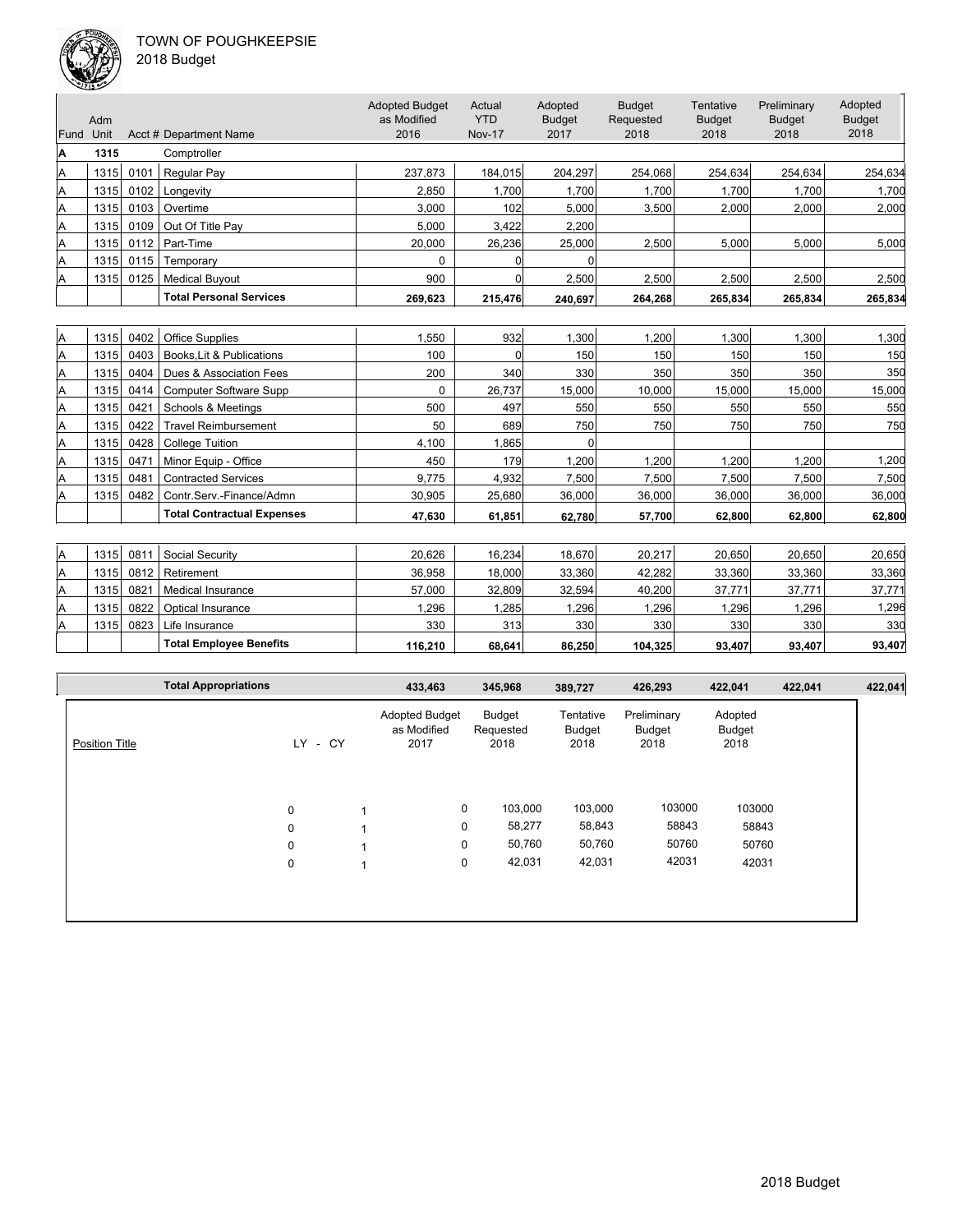

| 2018 Budget |  |
|-------------|--|
|-------------|--|

|      | Adm  |      |                                   | <b>Adopted Budget</b><br>as Modified | Actual<br><b>YTD</b> | Adopted<br><b>Budget</b> | <b>Budget</b><br>Requested | Tentative<br><b>Budget</b> | Preliminary<br><b>Budget</b> | Adopted<br><b>Budget</b> |
|------|------|------|-----------------------------------|--------------------------------------|----------------------|--------------------------|----------------------------|----------------------------|------------------------------|--------------------------|
| Fund | Unit |      | Acct # Department Name            | 2016                                 | <b>Nov-17</b>        | 2017                     | 2018                       | 2018                       | 2018                         | 2018                     |
| A    | 1315 |      | Comptroller                       |                                      |                      |                          |                            |                            |                              |                          |
| Α    | 1315 | 0101 | <b>Regular Pay</b>                | 237,873                              | 184,015              | 204.297                  | 254,068                    | 254,634                    | 254.634                      | 254,634                  |
| A    | 1315 | 0102 | Longevity                         | 2.850                                | 1.700                | 1.700                    | 1.700                      | 1,700                      | 1,700                        | 1.700                    |
| Α    | 1315 | 0103 | Overtime                          | 3,000                                | 102                  | 5,000                    | 3,500                      | 2,000                      | 2,000                        | 2,000                    |
| Α    | 1315 | 0109 | Out Of Title Pay                  | 5,000                                | 3,422                | 2,200                    |                            |                            |                              |                          |
| A    | 1315 | 0112 | Part-Time                         | 20,000                               | 26,236               | 25,000                   | 2,500                      | 5,000                      | 5,000                        | 5,000                    |
| A    | 1315 | 0115 | Temporary                         | $\Omega$                             | 0                    | U                        |                            |                            |                              |                          |
| Α    | 1315 | 0125 | <b>Medical Buyout</b>             | 900                                  | 0                    | 2,500                    | 2,500                      | 2,500                      | 2,500                        | 2,500                    |
|      |      |      | <b>Total Personal Services</b>    | 269,623                              | 215,476              | 240,697                  | 264,268                    | 265,834                    | 265,834                      | 265,834                  |
|      |      |      |                                   |                                      |                      |                          |                            |                            |                              |                          |
| A    | 1315 | 0402 | <b>Office Supplies</b>            | 1.550                                | 932                  | 1.300                    | 1.200                      | 1.300                      | 1.300                        | 1,300                    |
| Α    | 1315 | 0403 | Books, Lit & Publications         | 100                                  | $\Omega$             | 150                      | 150                        | 150                        | 150                          | 150                      |
| A    | 1315 | 0404 | Dues & Association Fees           | 200                                  | 340                  | 330                      | 350                        | 350                        | 350                          | 350                      |
| Α    | 1315 | 0414 | <b>Computer Software Supp</b>     | 0                                    | 26,737               | 15,000                   | 10,000                     | 15,000                     | 15,000                       | 15,000                   |
| Α    | 1315 | 0421 | Schools & Meetings                | 500                                  | 497                  | 550                      | 550                        | 550                        | 550                          | 550                      |
| Α    | 1315 | 0422 | <b>Travel Reimbursement</b>       | 50                                   | 689                  | 750                      | 750                        | 750                        | 750                          | 750                      |
| A    | 1315 | 0428 | <b>College Tuition</b>            | 4.100                                | 1.865                |                          |                            |                            |                              |                          |
| Α    | 1315 | 0471 | Minor Equip - Office              | 450                                  | 179                  | 1.200                    | 1.200                      | 1.200                      | 1.200                        | 1,200                    |
| Α    | 1315 | 0481 | <b>Contracted Services</b>        | 9,775                                | 4,932                | 7,500                    | 7,500                      | 7,500                      | 7,500                        | 7,500                    |
| A    | 1315 | 0482 | Contr.Serv.-Finance/Admn          | 30,905                               | 25,680               | 36,000                   | 36,000                     | 36,000                     | 36,000                       | 36,000                   |
|      |      |      | <b>Total Contractual Expenses</b> | 47,630                               | 61,851               | 62,780                   | 57,700                     | 62,800                     | 62,800                       | 62,800                   |
|      |      |      |                                   |                                      |                      |                          |                            |                            |                              |                          |
| Α    | 1315 | 0811 | Social Security                   | 20,626                               | 16,234               | 18,670                   | 20,217                     | 20,650                     | 20,650                       | 20,650                   |
| A    | 1315 | 0812 | Retirement                        | 36,958                               | 18,000               | 33,360                   | 42,282                     | 33,360                     | 33,360                       | 33,360                   |
| A    | 1315 | 0821 | <b>Medical Insurance</b>          | 57,000                               | 32,809               | 32,594                   | 40,200                     | 37,771                     | 37,771                       | 37,771                   |
| A    | 1315 | 0822 | Optical Insurance                 | 1,296                                | 1,285                | 1,296                    | 1,296                      | 1,296                      | 1,296                        | 1,296                    |
| A    | 1315 | 0823 | Life Insurance                    | 330                                  | 313                  | 330                      | 330                        | 330                        | 330                          | 330                      |
|      |      |      | <b>Total Employee Benefits</b>    | 116,210                              | 68.641               | 86,250                   | 104.325                    | 93.407                     | 93.407                       | 93.407                   |

|                       | <b>Total Appropriations</b> |                  |      | 433,463                                      | 345,968                     | 389,727                     | 426,293                       | 422,041                   | 422,041 | 422,041 |
|-----------------------|-----------------------------|------------------|------|----------------------------------------------|-----------------------------|-----------------------------|-------------------------------|---------------------------|---------|---------|
| <b>Position Title</b> |                             | LY.              | - CY | <b>Adopted Budget</b><br>as Modified<br>2017 | Budget<br>Requested<br>2018 | Tentative<br>Budget<br>2018 | Preliminary<br>Budget<br>2018 | Adopted<br>Budget<br>2018 |         |         |
|                       |                             | 0                |      | $\mathbf 0$                                  | 103,000                     | 103,000                     | 103000                        | 103000                    |         |         |
|                       |                             | 0                |      | 0<br>0                                       | 58,277<br>50,760            | 58,843<br>50,760            | 58843<br>50760                | 58843<br>50760            |         |         |
|                       |                             | $\mathbf 0$<br>0 |      | 0                                            | 42,031                      | 42,031                      | 42031                         | 42031                     |         |         |
|                       |                             |                  |      |                                              |                             |                             |                               |                           |         |         |
|                       |                             |                  |      |                                              |                             |                             |                               |                           |         |         |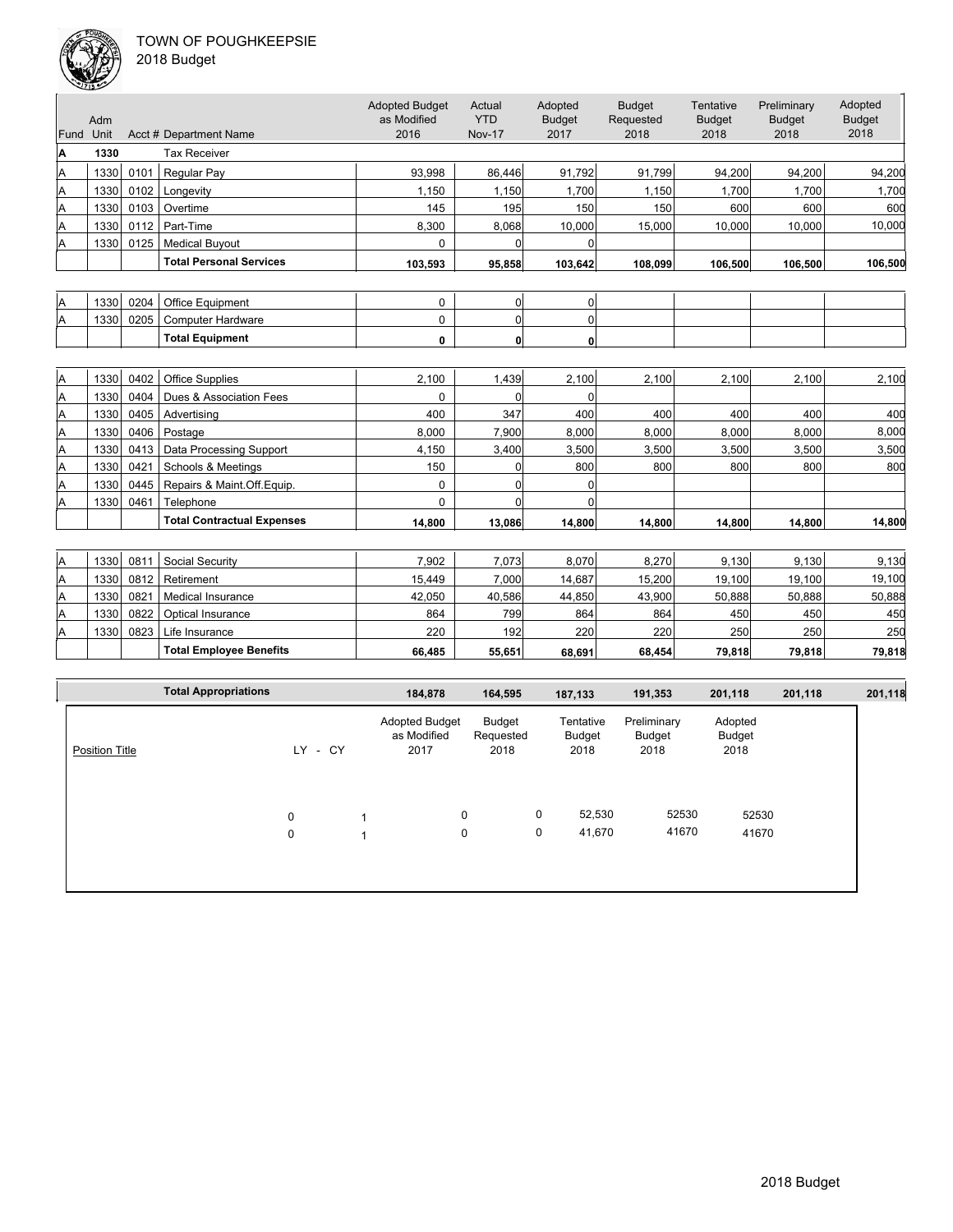

| Fund Unit | Adm  |      | Acct # Department Name            | <b>Adopted Budget</b><br>as Modified<br>2016 | Actual<br><b>YTD</b><br><b>Nov-17</b> | Adopted<br><b>Budget</b><br>2017 | <b>Budget</b><br>Requested<br>2018 | Tentative<br><b>Budget</b><br>2018 | Preliminary<br><b>Budget</b><br>2018 | Adopted<br><b>Budget</b><br>2018 |
|-----------|------|------|-----------------------------------|----------------------------------------------|---------------------------------------|----------------------------------|------------------------------------|------------------------------------|--------------------------------------|----------------------------------|
| Α         | 1330 |      | <b>Tax Receiver</b>               |                                              |                                       |                                  |                                    |                                    |                                      |                                  |
| Α         | 1330 | 0101 | Regular Pay                       | 93.998                                       | 86,446                                | 91,792                           | 91,799                             | 94,200                             | 94,200                               | 94,200                           |
| Α         | 1330 | 0102 | Longevity                         | 1,150                                        | 1,150                                 | 1,700                            | 1.150                              | 1,700                              | 1.700                                | 1,700                            |
| Α         | 1330 | 0103 | Overtime                          | 145                                          | 195                                   | 150                              | 150                                | 600                                | 600                                  | 600                              |
| Α         | 1330 | 0112 | Part-Time                         | 8,300                                        | 8,068                                 | 10,000                           | 15,000                             | 10,000                             | 10,000                               | 10,000                           |
| Α         | 1330 | 0125 | <b>Medical Buyout</b>             | 0                                            | $\overline{0}$                        | 0                                |                                    |                                    |                                      |                                  |
|           |      |      | <b>Total Personal Services</b>    | 103,593                                      | 95,858                                | 103,642                          | 108,099                            | 106,500                            | 106,500                              | 106,500                          |
|           |      |      |                                   |                                              |                                       |                                  |                                    |                                    |                                      |                                  |
| Α         | 1330 | 0204 | Office Equipment                  | 0                                            | 0                                     | $\Omega$                         |                                    |                                    |                                      |                                  |
| Α         | 1330 | 0205 | <b>Computer Hardware</b>          | 0                                            | $\overline{0}$                        | $\Omega$                         |                                    |                                    |                                      |                                  |
|           |      |      | <b>Total Equipment</b>            | 0                                            | $\mathbf{0}$                          | $\mathbf{0}$                     |                                    |                                    |                                      |                                  |
|           |      |      |                                   |                                              |                                       |                                  |                                    |                                    |                                      |                                  |
| Α         | 1330 | 0402 | <b>Office Supplies</b>            | 2,100                                        | 1,439                                 | 2,100                            | 2,100                              | 2,100                              | 2,100                                | 2,100                            |
| Α         | 1330 | 0404 | Dues & Association Fees           | 0                                            | $\Omega$                              | O                                |                                    |                                    |                                      |                                  |
| Α         | 1330 | 0405 | Advertising                       | 400                                          | 347                                   | 400                              | 400                                | 400                                | 400                                  | 400                              |
| Α         | 1330 | 0406 | Postage                           | 8,000                                        | 7,900                                 | 8,000                            | 8,000                              | 8,000                              | 8.000                                | 8,000                            |
| Α         | 1330 | 0413 | Data Processing Support           | 4,150                                        | 3,400                                 | 3,500                            | 3,500                              | 3,500                              | 3,500                                | 3,500                            |
| Α         | 1330 | 0421 | Schools & Meetings                | 150                                          | $\overline{0}$                        | 800                              | 800                                | 800                                | 800                                  | 800                              |
| Α         | 1330 | 0445 | Repairs & Maint.Off.Equip.        | 0                                            | $\overline{0}$                        | $\Omega$                         |                                    |                                    |                                      |                                  |
| Α         | 1330 | 0461 | Telephone                         | $\Omega$                                     | $\Omega$                              | 0                                |                                    |                                    |                                      |                                  |
|           |      |      | <b>Total Contractual Expenses</b> | 14,800                                       | 13,086                                | 14,800                           | 14.800                             | 14,800                             | 14,800                               | 14,800                           |
|           |      |      |                                   |                                              |                                       |                                  |                                    |                                    |                                      |                                  |
| Α         | 1330 | 0811 | Social Security                   | 7,902                                        | 7,073                                 | 8,070                            | 8,270                              | 9,130                              | 9,130                                | 9,130                            |
| Α         | 1330 | 0812 | Retirement                        | 15,449                                       | 7,000                                 | 14,687                           | 15,200                             | 19,100                             | 19,100                               | 19,100                           |
| Α         | 1330 | 0821 | <b>Medical Insurance</b>          | 42,050                                       | 40,586                                | 44,850                           | 43,900                             | 50,888                             | 50,888                               | 50,888                           |
| Α         | 1330 | 0822 | Optical Insurance                 | 864                                          | 799                                   | 864                              | 864                                | 450                                | 450                                  | 450                              |
| Α         | 1330 | 0823 | Life Insurance                    | 220                                          | 192                                   | 220                              | 220                                | 250                                | 250                                  | 250                              |
|           |      |      | <b>Total Employee Benefits</b>    | 66.485                                       | 55,651                                | 68.691                           | 68.454                             | 79,818                             | 79,818                               | 79,818                           |

|                       | <b>Total Appropriations</b> |                  |      | 184,878                                      |        | 164,595                     | 187,133                     | 191,353                       | 201,118                   | 201,118 | 201,118 |
|-----------------------|-----------------------------|------------------|------|----------------------------------------------|--------|-----------------------------|-----------------------------|-------------------------------|---------------------------|---------|---------|
| <b>Position Title</b> |                             | LY               | - CY | <b>Adopted Budget</b><br>as Modified<br>2017 |        | Budget<br>Requested<br>2018 | Tentative<br>Budget<br>2018 | Preliminary<br>Budget<br>2018 | Adopted<br>Budget<br>2018 |         |         |
|                       |                             | $\mathbf 0$<br>0 |      | $\mathbf 1$<br>$\mathbf 1$                   | 0<br>0 | 0<br>0                      | 52,530<br>41,670            | 52530<br>41670                | 52530<br>41670            |         |         |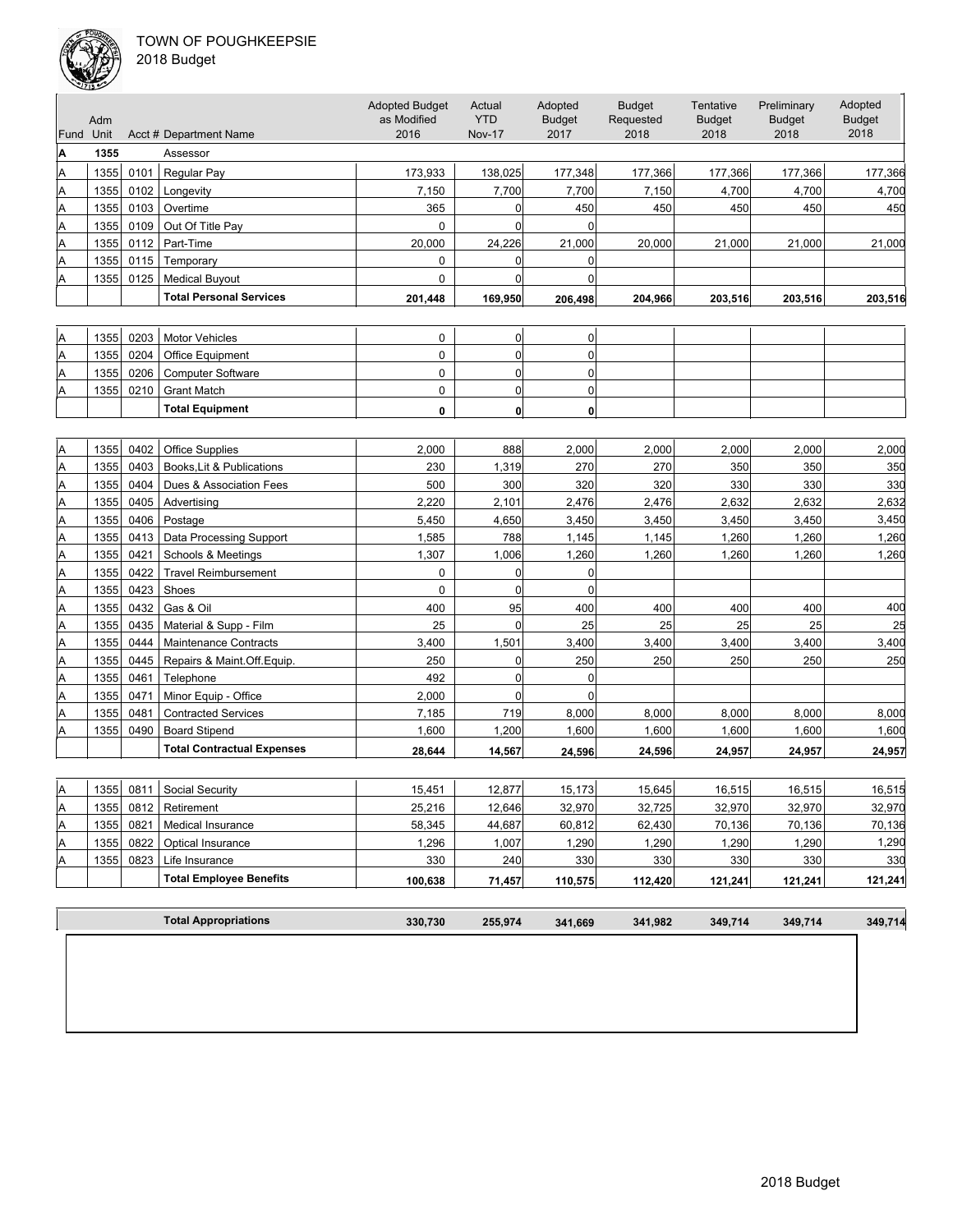

|  | 2018 Budget |  |
|--|-------------|--|
|--|-------------|--|

| Fund Unit      | Adm  |      | Acct # Department Name            | <b>Adopted Budget</b><br>as Modified<br>2016 | Actual<br><b>YTD</b><br><b>Nov-17</b> | Adopted<br><b>Budget</b><br>2017 | <b>Budget</b><br>Requested<br>2018 | Tentative<br><b>Budget</b><br>2018 | Preliminary<br><b>Budget</b><br>2018 | Adopted<br><b>Budget</b><br>2018 |
|----------------|------|------|-----------------------------------|----------------------------------------------|---------------------------------------|----------------------------------|------------------------------------|------------------------------------|--------------------------------------|----------------------------------|
| A              | 1355 |      | Assessor                          |                                              |                                       |                                  |                                    |                                    |                                      |                                  |
| Α              | 1355 | 0101 | Regular Pay                       | 173,933                                      | 138,025                               | 177,348                          | 177,366                            | 177,366                            | 177,366                              | 177,366                          |
| Α              | 1355 | 0102 | Longevity                         | 7,150                                        | 7,700                                 | 7,700                            | 7,150                              | 4,700                              | 4,700                                | 4,700                            |
| Α              | 1355 | 0103 | Overtime                          | 365                                          | $\overline{0}$                        | 450                              | 450                                | 450                                | 450                                  | 450                              |
| Α              | 1355 | 0109 | Out Of Title Pay                  | 0                                            | $\overline{0}$                        | 0                                |                                    |                                    |                                      |                                  |
| Α              | 1355 | 0112 | Part-Time                         | 20.000                                       | 24,226                                | 21,000                           | 20,000                             | 21,000                             | 21,000                               | 21,000                           |
| Α              | 1355 | 0115 | Temporary                         | $\mathbf 0$                                  | $\Omega$                              | 0                                |                                    |                                    |                                      |                                  |
| Α              | 1355 | 0125 | <b>Medical Buyout</b>             | 0                                            | 0                                     | $\mathbf 0$                      |                                    |                                    |                                      |                                  |
|                |      |      | <b>Total Personal Services</b>    | 201,448                                      | 169,950                               | 206,498                          | 204,966                            | 203,516                            | 203,516                              | 203,516                          |
|                |      |      |                                   |                                              |                                       |                                  |                                    |                                    |                                      |                                  |
| Α              | 1355 | 0203 | <b>Motor Vehicles</b>             | 0                                            | 0                                     | 0                                |                                    |                                    |                                      |                                  |
| A              | 1355 | 0204 | Office Equipment                  | $\mathbf 0$                                  | $\overline{0}$                        | 0                                |                                    |                                    |                                      |                                  |
| Α              | 1355 | 0206 | <b>Computer Software</b>          | $\pmb{0}$                                    | $\overline{0}$                        | 0                                |                                    |                                    |                                      |                                  |
| Α              | 1355 | 0210 | <b>Grant Match</b>                | $\mathbf 0$                                  | $\overline{0}$                        | $\mathbf 0$                      |                                    |                                    |                                      |                                  |
|                |      |      | <b>Total Equipment</b>            | 0                                            | 0                                     |                                  |                                    |                                    |                                      |                                  |
|                |      |      |                                   |                                              |                                       | 0                                |                                    |                                    |                                      |                                  |
| A              | 1355 | 0402 | <b>Office Supplies</b>            | 2,000                                        | 888                                   | 2,000                            | 2,000                              | 2,000                              | 2,000                                | 2,000                            |
| A              | 1355 | 0403 | Books.Lit & Publications          | 230                                          | 1,319                                 | 270                              | 270                                | 350                                | 350                                  | 350                              |
| Α              | 1355 | 0404 | Dues & Association Fees           | 500                                          | 300                                   | 320                              | 320                                | 330                                | 330                                  | 330                              |
| Α              | 1355 | 0405 | Advertising                       | 2,220                                        | 2,101                                 | 2,476                            | 2,476                              | 2,632                              | 2,632                                | 2,632                            |
| Α              | 1355 | 0406 | Postage                           | 5,450                                        | 4,650                                 | 3,450                            | 3,450                              | 3,450                              | 3,450                                | 3,450                            |
| Α              | 1355 | 0413 | Data Processing Support           | 1,585                                        | 788                                   | 1,145                            | 1,145                              | 1,260                              | 1,260                                | 1,260                            |
| Α              | 1355 | 0421 | Schools & Meetings                | 1,307                                        | 1,006                                 | 1,260                            | 1,260                              | 1,260                              | 1,260                                | 1,260                            |
| Α              | 1355 | 0422 | <b>Travel Reimbursement</b>       | $\mathbf 0$                                  | 0                                     | $\mathbf 0$                      |                                    |                                    |                                      |                                  |
| Α              | 1355 | 0423 | Shoes                             | 0                                            | $\overline{0}$                        | $\mathbf 0$                      |                                    |                                    |                                      |                                  |
| A              | 1355 | 0432 | Gas & Oil                         | 400                                          | 95                                    | 400                              | 400                                | 400                                | 400                                  | 400                              |
| Α              | 1355 | 0435 | Material & Supp - Film            | 25                                           | $\overline{0}$                        | 25                               | 25                                 | 25                                 | 25                                   | 25                               |
| Α              | 1355 | 0444 | Maintenance Contracts             | 3,400                                        | 1,501                                 | 3,400                            | 3,400                              | 3,400                              | 3,400                                | 3,400                            |
| Α              | 1355 | 0445 | Repairs & Maint.Off.Equip.        | 250                                          | $\overline{0}$                        | 250                              | 250                                | 250                                | 250                                  | 250                              |
| Α              | 1355 | 0461 | Telephone                         | 492                                          | 0                                     | 0                                |                                    |                                    |                                      |                                  |
| Α              | 1355 | 0471 | Minor Equip - Office              | 2,000                                        | $\Omega$                              | 0                                |                                    |                                    |                                      |                                  |
| Α              | 1355 | 0481 | <b>Contracted Services</b>        | 7,185                                        | 719                                   | 8,000                            | 8,000                              | 8,000                              | 8,000                                | 8,000                            |
| Α              | 1355 | 0490 | <b>Board Stipend</b>              | 1,600                                        | 1,200                                 | 1,600                            | 1,600                              | 1,600                              | 1,600                                | 1,600                            |
|                |      |      | <b>Total Contractual Expenses</b> | 28,644                                       | 14,567                                | 24,596                           | 24,596                             | 24,957                             | 24,957                               | 24,957                           |
|                |      |      |                                   |                                              |                                       |                                  |                                    |                                    |                                      |                                  |
| $\overline{A}$ |      |      | 1355 0811 Social Security         | 15,451                                       | 12,877                                | 15,173                           | 15,645                             | 16,515                             | 16,515                               | 16,515                           |
| A              | 1355 | 0812 | Retirement                        | 25,216                                       | 12,646                                | 32,970                           | 32,725                             | 32,970                             | 32,970                               | 32,970                           |
| A              | 1355 | 0821 | Medical Insurance                 | 58,345                                       | 44,687                                | 60,812                           | 62,430                             | 70,136                             | 70,136                               | 70,136                           |
| Α              | 1355 | 0822 | Optical Insurance                 | 1,296                                        | 1,007                                 | 1,290                            | 1,290                              | 1,290                              | 1,290                                | 1,290                            |
| Α              | 1355 | 0823 | Life Insurance                    | 330                                          | 240                                   | 330                              | 330                                | 330                                | 330                                  | 330                              |
|                |      |      | <b>Total Employee Benefits</b>    | 100,638                                      | 71,457                                | 110,575                          | 112,420                            | 121,241                            | 121,241                              | 121,241                          |
|                |      |      |                                   |                                              |                                       |                                  |                                    |                                    |                                      |                                  |
|                |      |      | <b>Total Appropriations</b>       | 330,730                                      | 255,974                               | 341,669                          | 341,982                            | 349,714                            | 349,714                              | 349,714                          |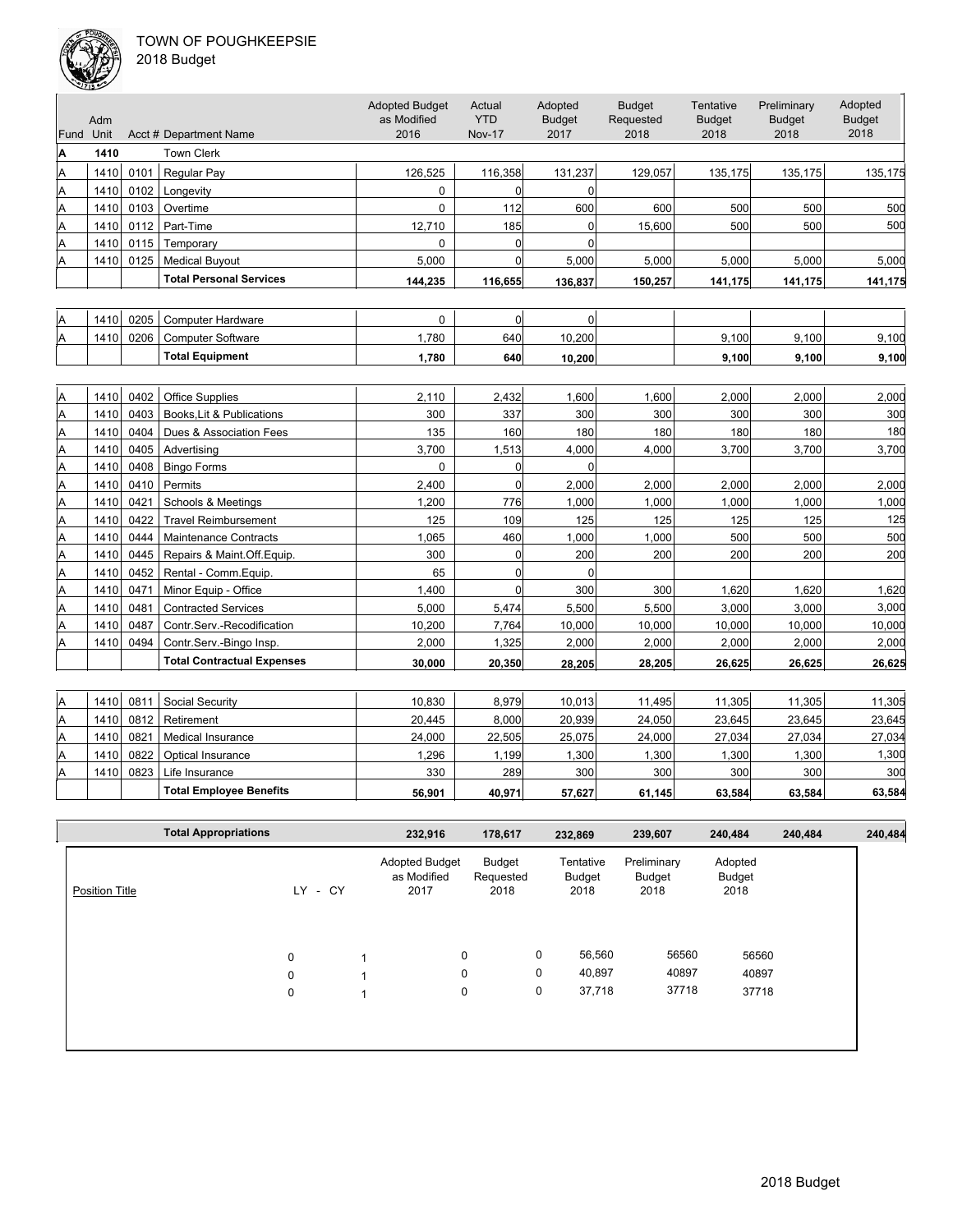

|  | 018 Budget |  |
|--|------------|--|
|--|------------|--|

|           | مستحققات |      |                                   |                                              |                                       |                                  |                                    |                                    |                                      |                                  |
|-----------|----------|------|-----------------------------------|----------------------------------------------|---------------------------------------|----------------------------------|------------------------------------|------------------------------------|--------------------------------------|----------------------------------|
| Fund Unit | Adm      |      | Acct # Department Name            | <b>Adopted Budget</b><br>as Modified<br>2016 | Actual<br><b>YTD</b><br><b>Nov-17</b> | Adopted<br><b>Budget</b><br>2017 | <b>Budget</b><br>Requested<br>2018 | Tentative<br><b>Budget</b><br>2018 | Preliminary<br><b>Budget</b><br>2018 | Adopted<br><b>Budget</b><br>2018 |
| A         | 1410     |      | <b>Town Clerk</b>                 |                                              |                                       |                                  |                                    |                                    |                                      |                                  |
| A         | 1410     | 0101 | Regular Pay                       | 126,525                                      | 116,358                               | 131,237                          | 129.057                            | 135,175                            | 135,175                              | 135,175                          |
| A         | 1410     | 0102 | Longevity                         | $\mathbf 0$                                  | $\Omega$                              | $\Omega$                         |                                    |                                    |                                      |                                  |
| A         | 1410     | 0103 | Overtime                          | $\Omega$                                     | 112                                   | 600                              | 600                                | 500                                | 500                                  | 500                              |
| A         | 1410     | 0112 | Part-Time                         | 12,710                                       | 185                                   | $\Omega$                         | 15,600                             | 500                                | 500                                  | 500                              |
| A         | 1410     | 0115 | Temporary                         | $\mathbf 0$                                  | $\overline{0}$                        | $\Omega$                         |                                    |                                    |                                      |                                  |
| A         | 1410     | 0125 | <b>Medical Buyout</b>             | 5.000                                        | $\Omega$                              | 5,000                            | 5,000                              | 5,000                              | 5.000                                | 5,000                            |
|           |          |      | <b>Total Personal Services</b>    | 144,235                                      | 116,655                               | 136,837                          | 150,257                            | 141,175                            | 141,175                              | 141,175                          |
|           |          |      |                                   |                                              |                                       |                                  |                                    |                                    |                                      |                                  |
| A         | 1410     | 0205 | <b>Computer Hardware</b>          | $\Omega$                                     | $\overline{0}$                        | $\Omega$                         |                                    |                                    |                                      |                                  |
| A         | 1410     | 0206 | <b>Computer Software</b>          | 1,780                                        | 640                                   | 10,200                           |                                    | 9,100                              | 9.100                                | 9,100                            |
|           |          |      | <b>Total Equipment</b>            | 1,780                                        | 640                                   | 10,200                           |                                    | 9,100                              | 9,100                                | 9,100                            |
|           |          |      |                                   |                                              |                                       |                                  |                                    |                                    |                                      |                                  |
| A         | 1410     | 0402 | <b>Office Supplies</b>            | 2,110                                        | 2,432                                 | 1,600                            | 1,600                              | 2,000                              | 2,000                                | 2,000                            |
| A         | 1410     | 0403 | Books, Lit & Publications         | 300                                          | 337                                   | 300                              | 300                                | 300                                | 300                                  | 300                              |
| A         | 1410     | 0404 | Dues & Association Fees           | 135                                          | 160                                   | 180                              | 180                                | 180                                | 180                                  | 180                              |
| A         | 1410     | 0405 | Advertising                       | 3,700                                        | 1,513                                 | 4,000                            | 4,000                              | 3,700                              | 3,700                                | 3,700                            |
| A         | 1410     | 0408 | <b>Bingo Forms</b>                | $\mathbf 0$                                  | $\overline{0}$                        | $\Omega$                         |                                    |                                    |                                      |                                  |
| A         | 1410     | 0410 | Permits                           | 2,400                                        | $\Omega$                              | 2,000                            | 2,000                              | 2,000                              | 2,000                                | 2,000                            |
| A         | 1410     | 0421 | Schools & Meetings                | 1,200                                        | 776                                   | 1,000                            | 1,000                              | 1,000                              | 1,000                                | 1,000                            |
| A         | 1410     | 0422 | <b>Travel Reimbursement</b>       | 125                                          | 109                                   | 125                              | 125                                | 125                                | 125                                  | 125                              |
| A         | 1410     | 0444 | <b>Maintenance Contracts</b>      | 1,065                                        | 460                                   | 1,000                            | 1,000                              | 500                                | 500                                  | 500                              |
| A         | 1410     | 0445 | Repairs & Maint.Off.Equip.        | 300                                          | 0                                     | 200                              | 200                                | 200                                | 200                                  | 200                              |
| A         | 1410     | 0452 | Rental - Comm.Equip.              | 65                                           | $\overline{0}$                        | $\Omega$                         |                                    |                                    |                                      |                                  |
| A         | 1410     | 0471 | Minor Equip - Office              | 1,400                                        | $\overline{0}$                        | 300                              | 300                                | 1,620                              | 1,620                                | 1,620                            |
| A         | 1410     | 0481 | <b>Contracted Services</b>        | 5,000                                        | 5,474                                 | 5,500                            | 5,500                              | 3,000                              | 3,000                                | 3,000                            |
| A         | 1410     | 0487 | Contr.Serv.-Recodification        | 10,200                                       | 7,764                                 | 10,000                           | 10,000                             | 10,000                             | 10,000                               | 10,000                           |
| A         | 1410     | 0494 | Contr.Serv.-Bingo Insp.           | 2,000                                        | 1,325                                 | 2,000                            | 2,000                              | 2,000                              | 2,000                                | 2,000                            |
|           |          |      | <b>Total Contractual Expenses</b> | 30,000                                       | 20,350                                | 28,205                           | 28,205                             | 26,625                             | 26,625                               | 26,625                           |
|           |          |      |                                   |                                              |                                       |                                  |                                    |                                    |                                      |                                  |
| Α         | 1410     | 0811 | Social Security                   | 10,830                                       | 8,979                                 | 10,013                           | 11,495                             | 11,305                             | 11,305                               | 11,305                           |
| A         | 1410     | 0812 | Retirement                        | 20,445                                       | 8,000                                 | 20,939                           | 24,050                             | 23,645                             | 23,645                               | 23,645                           |
| A         | 1410     | 0821 | <b>Medical Insurance</b>          | 24,000                                       | 22,505                                | 25,075                           | 24,000                             | 27,034                             | 27,034                               | 27,034                           |
| A         | 1410     | 0822 | Optical Insurance                 | 1,296                                        | 1,199                                 | 1,300                            | 1,300                              | 1,300                              | 1,300                                | 1,300                            |
| A         | 1410     | 0823 | Life Insurance                    | 330                                          | 289                                   | 300                              | 300                                | 300                                | 300                                  | 300                              |

|                | <b>Total Appropriations</b> |                  |      | 232,916                                      | 178,617                     |        | 232,869                     | 239,607                       | 240,484                          | 240,484 | 240,484 |
|----------------|-----------------------------|------------------|------|----------------------------------------------|-----------------------------|--------|-----------------------------|-------------------------------|----------------------------------|---------|---------|
| Position Title |                             | LY               | - CY | <b>Adopted Budget</b><br>as Modified<br>2017 | Budget<br>Requested<br>2018 |        | Tentative<br>Budget<br>2018 | Preliminary<br>Budget<br>2018 | Adopted<br><b>Budget</b><br>2018 |         |         |
|                |                             | $\mathbf 0$      |      | $\mathbf 0$                                  |                             | 0      | 56,560                      | 56560                         | 56560                            |         |         |
|                |                             | $\mathbf 0$<br>0 |      | 0<br>0                                       |                             | 0<br>0 | 40,897<br>37,718            | 40897<br>37718                | 40897<br>37718                   |         |         |
|                |                             |                  |      |                                              |                             |        |                             |                               |                                  |         |         |
|                |                             |                  |      |                                              |                             |        |                             |                               |                                  |         |         |

**Total Employee Benefits 56,901 40,971 57,627 61,145 63,584 63,584 63,584**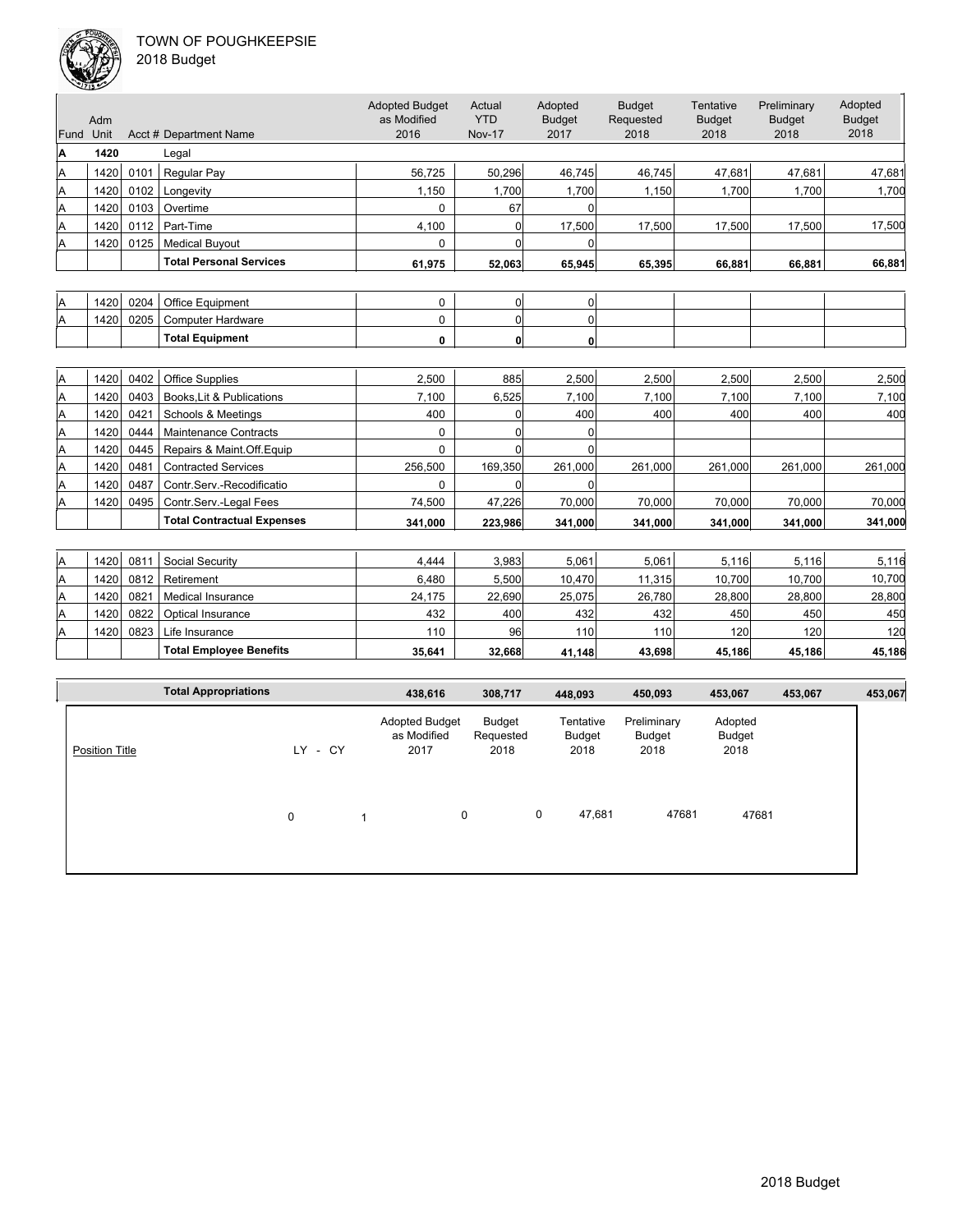

| Fund | Adm<br>Unit |      | Acct # Department Name            | <b>Adopted Budget</b><br>as Modified<br>2016 | Actual<br><b>YTD</b><br><b>Nov-17</b> | Adopted<br><b>Budget</b><br>2017 | <b>Budget</b><br>Requested<br>2018 | Tentative<br><b>Budget</b><br>2018 | Preliminary<br><b>Budget</b><br>2018 | Adopted<br><b>Budget</b><br>2018 |
|------|-------------|------|-----------------------------------|----------------------------------------------|---------------------------------------|----------------------------------|------------------------------------|------------------------------------|--------------------------------------|----------------------------------|
| A    | 1420        |      | Legal                             |                                              |                                       |                                  |                                    |                                    |                                      |                                  |
| Α    | 1420        | 0101 | Regular Pay                       | 56.725                                       | 50,296                                | 46,745                           | 46,745                             | 47,681                             | 47,681                               | 47,681                           |
| Α    | 1420        | 0102 | Longevity                         | 1,150                                        | 1,700                                 | 1,700                            | 1,150                              | 1,700                              | 1,700                                | 1,700                            |
| Α    | 1420        | 0103 | Overtime                          | $\Omega$                                     | 67                                    | 0                                |                                    |                                    |                                      |                                  |
| Α    | 1420        | 0112 | Part-Time                         | 4,100                                        | $\Omega$                              | 17,500                           | 17,500                             | 17,500                             | 17,500                               | 17,500                           |
| Α    | 1420        | 0125 | <b>Medical Buyout</b>             | $\Omega$                                     | $\Omega$                              | $\Omega$                         |                                    |                                    |                                      |                                  |
|      |             |      | <b>Total Personal Services</b>    | 61,975                                       | 52,063                                | 65,945                           | 65,395                             | 66,881                             | 66,881                               | 66,881                           |
|      |             |      |                                   |                                              |                                       |                                  |                                    |                                    |                                      |                                  |
| Α    | 1420        | 0204 | Office Equipment                  | 0                                            | 0                                     | $\overline{0}$                   |                                    |                                    |                                      |                                  |
| Α    | 1420        | 0205 | <b>Computer Hardware</b>          | $\Omega$                                     | $\overline{0}$                        | $\Omega$                         |                                    |                                    |                                      |                                  |
|      |             |      | <b>Total Equipment</b>            | 0                                            | 0                                     | $\mathbf{0}$                     |                                    |                                    |                                      |                                  |
|      |             |      |                                   |                                              |                                       |                                  |                                    |                                    |                                      |                                  |
| Α    | 1420        | 0402 | <b>Office Supplies</b>            | 2,500                                        | 885                                   | 2,500                            | 2,500                              | 2,500                              | 2,500                                | 2,500                            |
| Α    | 1420        | 0403 | Books.Lit & Publications          | 7,100                                        | 6,525                                 | 7,100                            | 7,100                              | 7,100                              | 7,100                                | 7,100                            |
| Α    | 1420        | 0421 | Schools & Meetings                | 400                                          | 0                                     | 400                              | 400                                | 400                                | 400                                  | 400                              |
| Α    | 1420        | 0444 | <b>Maintenance Contracts</b>      | $\Omega$                                     | $\Omega$                              | $\Omega$                         |                                    |                                    |                                      |                                  |
| Α    | 1420        | 0445 | Repairs & Maint.Off.Equip         | $\Omega$                                     | $\Omega$                              | $\Omega$                         |                                    |                                    |                                      |                                  |
| Α    | 1420        | 0481 | <b>Contracted Services</b>        | 256.500                                      | 169,350                               | 261,000                          | 261,000                            | 261,000                            | 261,000                              | 261,000                          |
| Α    | 1420        | 0487 | Contr.Serv.-Recodificatio         | $\Omega$                                     | $\Omega$                              | $\Omega$                         |                                    |                                    |                                      |                                  |
| Α    | 1420        | 0495 | Contr.Serv.-Legal Fees            | 74,500                                       | 47,226                                | 70,000                           | 70,000                             | 70,000                             | 70,000                               | 70,000                           |
|      |             |      | <b>Total Contractual Expenses</b> | 341.000                                      | 223,986                               | 341,000                          | 341.000                            | 341,000                            | 341,000                              | 341,000                          |
|      |             |      |                                   |                                              |                                       |                                  |                                    |                                    |                                      |                                  |
| А    | 1420        | 0811 | Social Security                   | 4.444                                        | 3,983                                 | 5,061                            | 5,061                              | 5,116                              | 5,116                                | 5,116                            |
| Α    | 1420        | 0812 | Retirement                        | 6,480                                        | 5,500                                 | 10,470                           | 11,315                             | 10,700                             | 10,700                               | 10,700                           |
| Α    | 1420        | 0821 | Medical Insurance                 | 24,175                                       | 22,690                                | 25,075                           | 26,780                             | 28,800                             | 28,800                               | 28,800                           |
| Α    | 1420        | 0822 | Optical Insurance                 | 432                                          | 400                                   | 432                              | 432                                | 450                                | 450                                  | 450                              |
| Α    | 1420        | 0823 | Life Insurance                    | 110                                          | 96                                    | 110                              | 110                                | 120                                | 120                                  | 120                              |
|      |             |      | <b>Total Employee Benefits</b>    | 35,641                                       | 32,668                                | 41,148                           | 43,698                             | 45,186                             | 45,186                               | 45,186                           |

|                       | <b>Total Appropriations</b> |   |         |                         | 438,616                                      | 308,717                     |   | 448,093                     | 450,093                       | 453,067                   | 453,067 | 453,067 |
|-----------------------|-----------------------------|---|---------|-------------------------|----------------------------------------------|-----------------------------|---|-----------------------------|-------------------------------|---------------------------|---------|---------|
| <b>Position Title</b> |                             |   | LY - CY |                         | <b>Adopted Budget</b><br>as Modified<br>2017 | Budget<br>Requested<br>2018 |   | Tentative<br>Budget<br>2018 | Preliminary<br>Budget<br>2018 | Adopted<br>Budget<br>2018 |         |         |
|                       |                             | 0 |         | $\overline{\mathbf{A}}$ |                                              | 0                           | 0 | 47,681                      | 47681                         | 47681                     |         |         |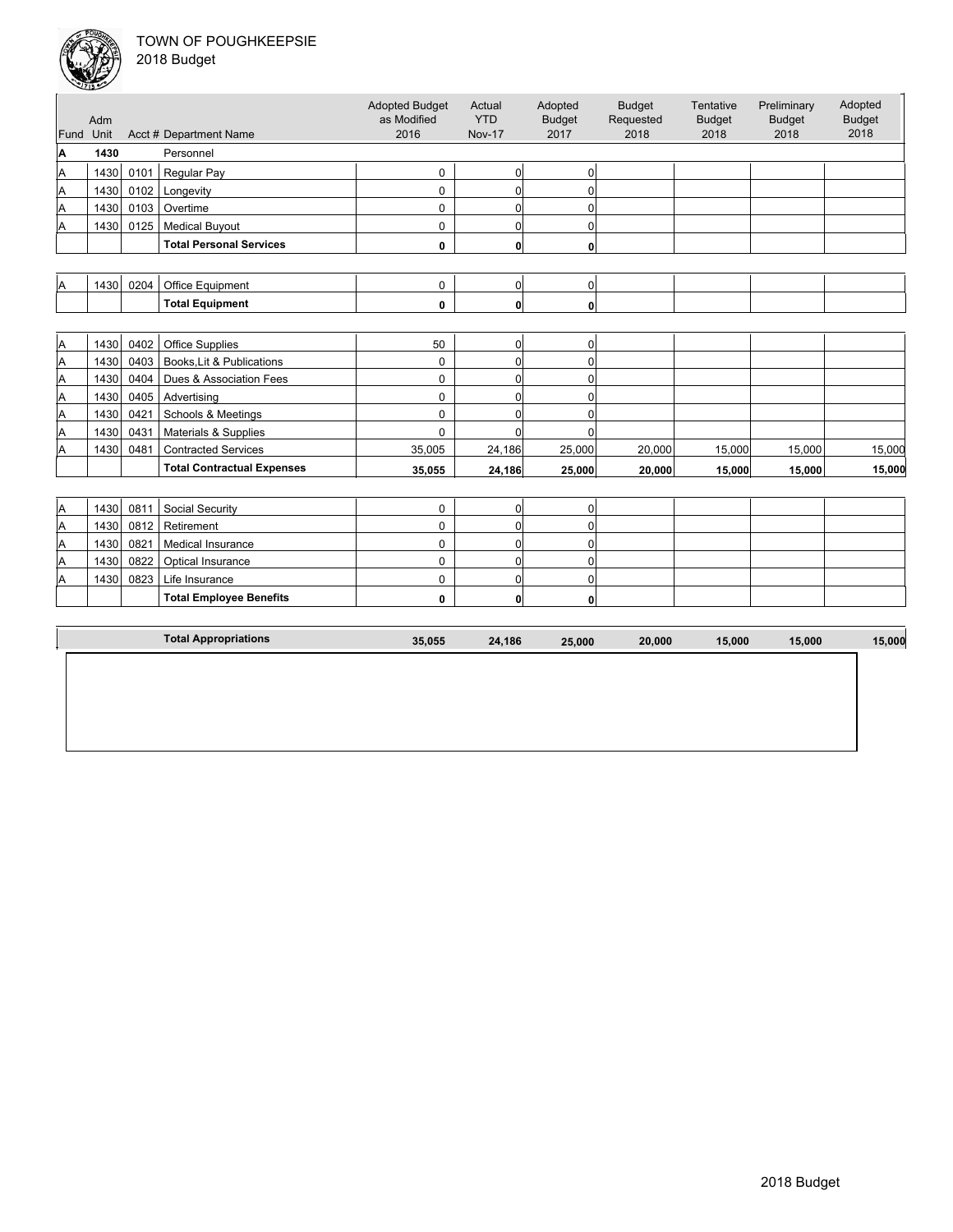| Fund Unit | Adm  |      | Acct # Department Name            | <b>Adopted Budget</b><br>as Modified<br>2016 | Actual<br><b>YTD</b><br><b>Nov-17</b> | Adopted<br><b>Budget</b><br>2017 | <b>Budget</b><br>Requested<br>2018 | Tentative<br><b>Budget</b><br>2018 | Preliminary<br><b>Budget</b><br>2018 | Adopted<br><b>Budget</b><br>2018 |
|-----------|------|------|-----------------------------------|----------------------------------------------|---------------------------------------|----------------------------------|------------------------------------|------------------------------------|--------------------------------------|----------------------------------|
| Α         | 1430 |      | Personnel                         |                                              |                                       |                                  |                                    |                                    |                                      |                                  |
|           |      |      |                                   |                                              |                                       |                                  |                                    |                                    |                                      |                                  |
| Α         | 1430 | 0101 | Regular Pay                       | 0                                            | $\overline{0}$                        | $\overline{0}$                   |                                    |                                    |                                      |                                  |
| Α         | 1430 | 0102 | Longevity                         | 0                                            | $\overline{0}$                        | $\overline{0}$                   |                                    |                                    |                                      |                                  |
| A         | 1430 | 0103 | Overtime                          | 0                                            | $\overline{0}$                        | $\overline{0}$                   |                                    |                                    |                                      |                                  |
| A         | 1430 | 0125 | <b>Medical Buyout</b>             | 0                                            | $\overline{0}$                        | $\overline{0}$                   |                                    |                                    |                                      |                                  |
|           |      |      | <b>Total Personal Services</b>    | 0                                            | $\mathbf{0}$                          | $\mathbf{0}$                     |                                    |                                    |                                      |                                  |
|           |      |      |                                   |                                              |                                       |                                  |                                    |                                    |                                      |                                  |
| Α         | 1430 | 0204 | Office Equipment                  | $\mathbf 0$                                  | $\overline{0}$                        | $\overline{0}$                   |                                    |                                    |                                      |                                  |
|           |      |      | <b>Total Equipment</b>            | 0                                            | $\mathbf{0}$                          | $\mathbf{0}$                     |                                    |                                    |                                      |                                  |
|           |      |      |                                   |                                              |                                       |                                  |                                    |                                    |                                      |                                  |
| A         | 1430 | 0402 | <b>Office Supplies</b>            | 50                                           | $\overline{0}$                        | $\overline{0}$                   |                                    |                                    |                                      |                                  |
| A         | 1430 | 0403 | Books, Lit & Publications         | 0                                            | $\overline{0}$                        | $\overline{0}$                   |                                    |                                    |                                      |                                  |
| A         | 1430 | 0404 | Dues & Association Fees           | 0                                            | $\overline{0}$                        | $\overline{0}$                   |                                    |                                    |                                      |                                  |
| A         | 1430 | 0405 | Advertising                       | $\mathbf 0$                                  | $\overline{0}$                        | $\Omega$                         |                                    |                                    |                                      |                                  |
| A         | 1430 | 0421 | Schools & Meetings                | $\Omega$                                     | $\Omega$                              | $\Omega$                         |                                    |                                    |                                      |                                  |
| A         | 1430 | 0431 | Materials & Supplies              | $\Omega$                                     | $\Omega$                              | $\Omega$                         |                                    |                                    |                                      |                                  |
| A         | 1430 | 0481 | <b>Contracted Services</b>        | 35,005                                       | 24,186                                | 25,000                           | 20,000                             | 15,000                             | 15,000                               | 15,000                           |
|           |      |      | <b>Total Contractual Expenses</b> | 35.055                                       | 24,186                                | 25.000                           | 20.000                             | 15,000                             | 15.000                               | 15,000                           |
|           |      |      |                                   |                                              |                                       |                                  |                                    |                                    |                                      |                                  |
| A         | 1430 | 0811 | Social Security                   | 0                                            | $\overline{0}$                        | 0                                |                                    |                                    |                                      |                                  |
| A         | 1430 | 0812 | Retirement                        | $\mathbf 0$                                  | $\overline{0}$                        | $\Omega$                         |                                    |                                    |                                      |                                  |
| A         | 1430 | 0821 | <b>Medical Insurance</b>          | 0                                            | $\overline{0}$                        | 0                                |                                    |                                    |                                      |                                  |
| A         | 1430 | 0822 | Optical Insurance                 | $\Omega$                                     | $\Omega$                              | $\Omega$                         |                                    |                                    |                                      |                                  |
| A         | 1430 | 0823 | Life Insurance                    | 0                                            | $\overline{0}$                        | $\Omega$                         |                                    |                                    |                                      |                                  |
|           |      |      | <b>Total Employee Benefits</b>    | 0                                            | $\mathbf{0}$                          | 0                                |                                    |                                    |                                      |                                  |
|           |      |      |                                   |                                              |                                       |                                  |                                    |                                    |                                      |                                  |
|           |      |      | <b>Total Appropriations</b>       | 35,055                                       | 24,186                                | 25,000                           | 20,000                             | 15,000                             | 15,000                               | 15,000                           |
|           |      |      |                                   |                                              |                                       |                                  |                                    |                                    |                                      |                                  |
|           |      |      |                                   |                                              |                                       |                                  |                                    |                                    |                                      |                                  |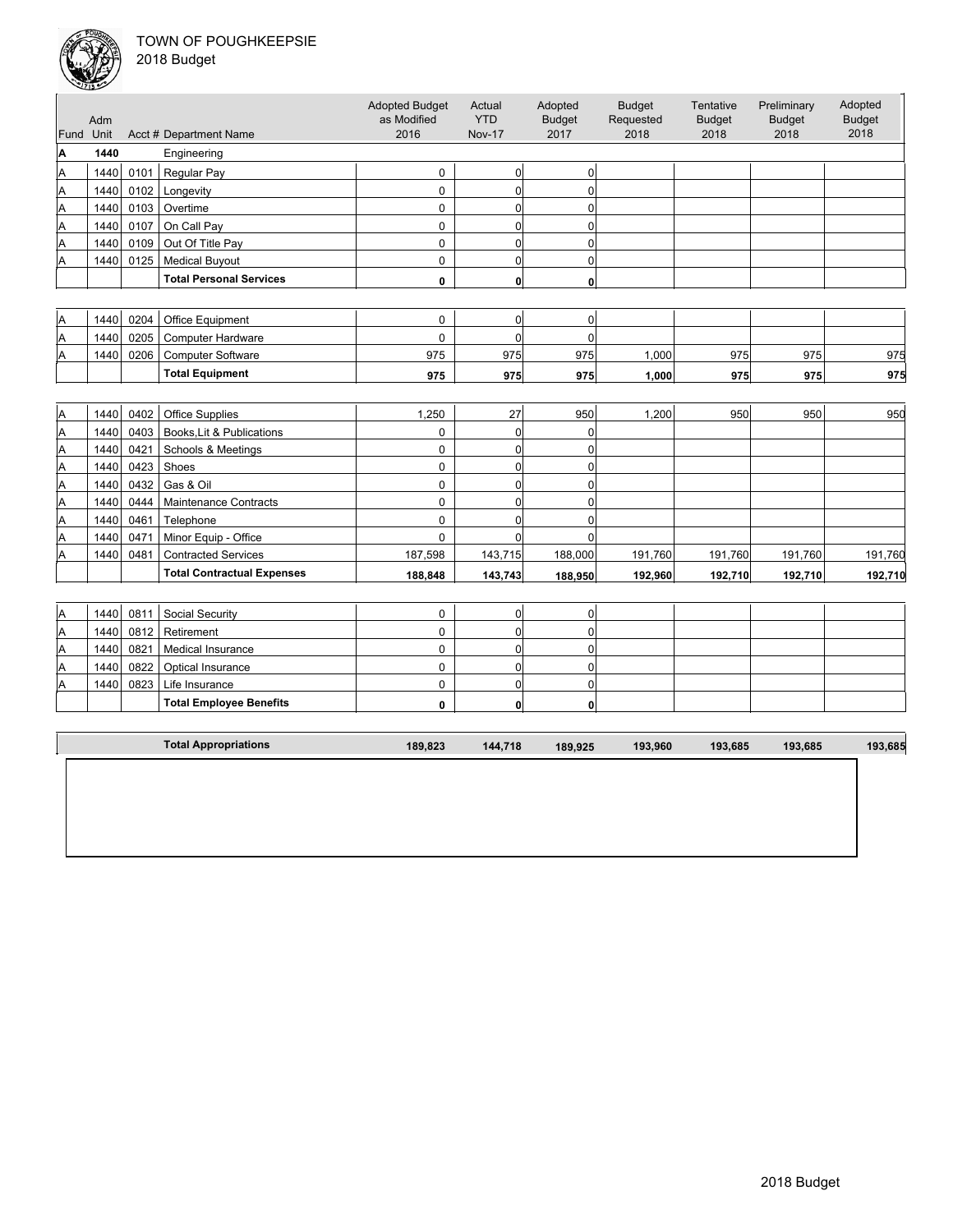#### TOWN OF POUGHKEEPSIE  $\overline{2}$



| Fund | Adm<br>Unit |      | Acct # Department Name            | <b>Adopted Budget</b><br>as Modified<br>2016 | Actual<br><b>YTD</b><br><b>Nov-17</b> | Adopted<br><b>Budget</b><br>2017 | <b>Budget</b><br>Requested<br>2018 | Tentative<br><b>Budget</b><br>2018 | Preliminary<br><b>Budget</b><br>2018 | Adopted<br><b>Budget</b><br>2018 |
|------|-------------|------|-----------------------------------|----------------------------------------------|---------------------------------------|----------------------------------|------------------------------------|------------------------------------|--------------------------------------|----------------------------------|
| Α    | 1440        |      |                                   |                                              |                                       |                                  |                                    |                                    |                                      |                                  |
|      |             |      | Engineering                       |                                              |                                       |                                  |                                    |                                    |                                      |                                  |
| Α    | 1440        | 0101 | Regular Pay                       | 0                                            | $\overline{0}$                        | $\overline{0}$                   |                                    |                                    |                                      |                                  |
| A    | 1440        | 0102 | Longevity                         | 0                                            | $\overline{0}$                        | $\overline{0}$                   |                                    |                                    |                                      |                                  |
| Α    | 1440        | 0103 | Overtime                          | 0                                            | $\overline{0}$                        | $\mathbf 0$                      |                                    |                                    |                                      |                                  |
| Α    | 1440        | 0107 | On Call Pay                       | $\mathbf 0$                                  | $\overline{0}$                        | $\mathbf 0$                      |                                    |                                    |                                      |                                  |
| A    | 1440        | 0109 | Out Of Title Pay                  | 0                                            | $\overline{0}$                        | 0                                |                                    |                                    |                                      |                                  |
| Α    | 1440        | 0125 | <b>Medical Buyout</b>             | 0                                            | $\overline{0}$                        | $\Omega$                         |                                    |                                    |                                      |                                  |
|      |             |      | <b>Total Personal Services</b>    | 0                                            | 0                                     | $\mathbf{0}$                     |                                    |                                    |                                      |                                  |
|      |             |      |                                   |                                              |                                       |                                  |                                    |                                    |                                      |                                  |
| Α    | 1440        | 0204 | Office Equipment                  | 0                                            | $\overline{0}$                        | $\overline{0}$                   |                                    |                                    |                                      |                                  |
| Α    | 1440        | 0205 | <b>Computer Hardware</b>          | 0                                            | $\overline{0}$                        | 0                                |                                    |                                    |                                      |                                  |
| Α    | 1440        | 0206 | <b>Computer Software</b>          | 975                                          | 975                                   | 975                              | 1,000                              | 975                                | 975                                  | 975                              |
|      |             |      | <b>Total Equipment</b>            | 975                                          | 975                                   | 975                              | 1,000                              | 975                                | 975                                  | 975                              |
|      |             |      |                                   |                                              |                                       |                                  |                                    |                                    |                                      |                                  |
| Α    | 1440        | 0402 | <b>Office Supplies</b>            | 1,250                                        | 27                                    | 950                              | 1,200                              | 950                                | 950                                  | 950                              |
| Α    | 1440        | 0403 | Books, Lit & Publications         | 0                                            | $\overline{0}$                        | $\mathbf 0$                      |                                    |                                    |                                      |                                  |
| Α    | 1440        | 0421 | Schools & Meetings                | 0                                            | $\overline{0}$                        | 0                                |                                    |                                    |                                      |                                  |
| Α    | 1440        | 0423 | Shoes                             | 0                                            | $\overline{0}$                        | $\mathbf 0$                      |                                    |                                    |                                      |                                  |
| A    | 1440        | 0432 | Gas & Oil                         | $\Omega$                                     | $\Omega$                              | $\overline{0}$                   |                                    |                                    |                                      |                                  |
| Α    | 1440        | 0444 | <b>Maintenance Contracts</b>      | 0                                            | $\overline{0}$                        | 0                                |                                    |                                    |                                      |                                  |
| Α    | 1440        | 0461 | Telephone                         | 0                                            | $\overline{0}$                        | $\Omega$                         |                                    |                                    |                                      |                                  |
| Α    | 1440        | 0471 | Minor Equip - Office              | $\mathbf 0$                                  | $\overline{0}$                        | $\mathbf 0$                      |                                    |                                    |                                      |                                  |
| Α    | 1440        | 0481 | <b>Contracted Services</b>        | 187,598                                      | 143,715                               | 188,000                          | 191,760                            | 191,760                            | 191,760                              | 191,760                          |
|      |             |      | <b>Total Contractual Expenses</b> | 188,848                                      | 143,743                               | 188,950                          | 192,960                            | 192,710                            | 192,710                              | 192,710                          |
|      |             |      |                                   |                                              |                                       |                                  |                                    |                                    |                                      |                                  |
| Α    | 1440        | 0811 | Social Security                   | 0                                            | 0                                     | $\overline{0}$                   |                                    |                                    |                                      |                                  |
| Α    | 1440        | 0812 | Retirement                        | 0                                            | $\overline{0}$                        | $\mathbf 0$                      |                                    |                                    |                                      |                                  |
| A    | 1440        | 0821 | Medical Insurance                 | $\mathbf 0$                                  | $\overline{0}$                        | $\mathbf 0$                      |                                    |                                    |                                      |                                  |
| Α    | 1440        | 0822 | Optical Insurance                 | $\mathbf 0$                                  | $\overline{0}$                        | $\mathbf 0$                      |                                    |                                    |                                      |                                  |
| A    | 1440        | 0823 | Life Insurance                    | 0                                            | $\overline{0}$                        | $\Omega$                         |                                    |                                    |                                      |                                  |
|      |             |      | <b>Total Employee Benefits</b>    | 0                                            | $\mathbf{0}$                          | 0                                |                                    |                                    |                                      |                                  |
|      |             |      |                                   |                                              |                                       |                                  |                                    |                                    |                                      |                                  |
|      |             |      | <b>Total Appropriations</b>       | 189,823                                      | 144,718                               | 189,925                          | 193,960                            | 193,685                            | 193,685                              | 193,685                          |
|      |             |      |                                   |                                              |                                       |                                  |                                    |                                    |                                      |                                  |
|      |             |      |                                   |                                              |                                       |                                  |                                    |                                    |                                      |                                  |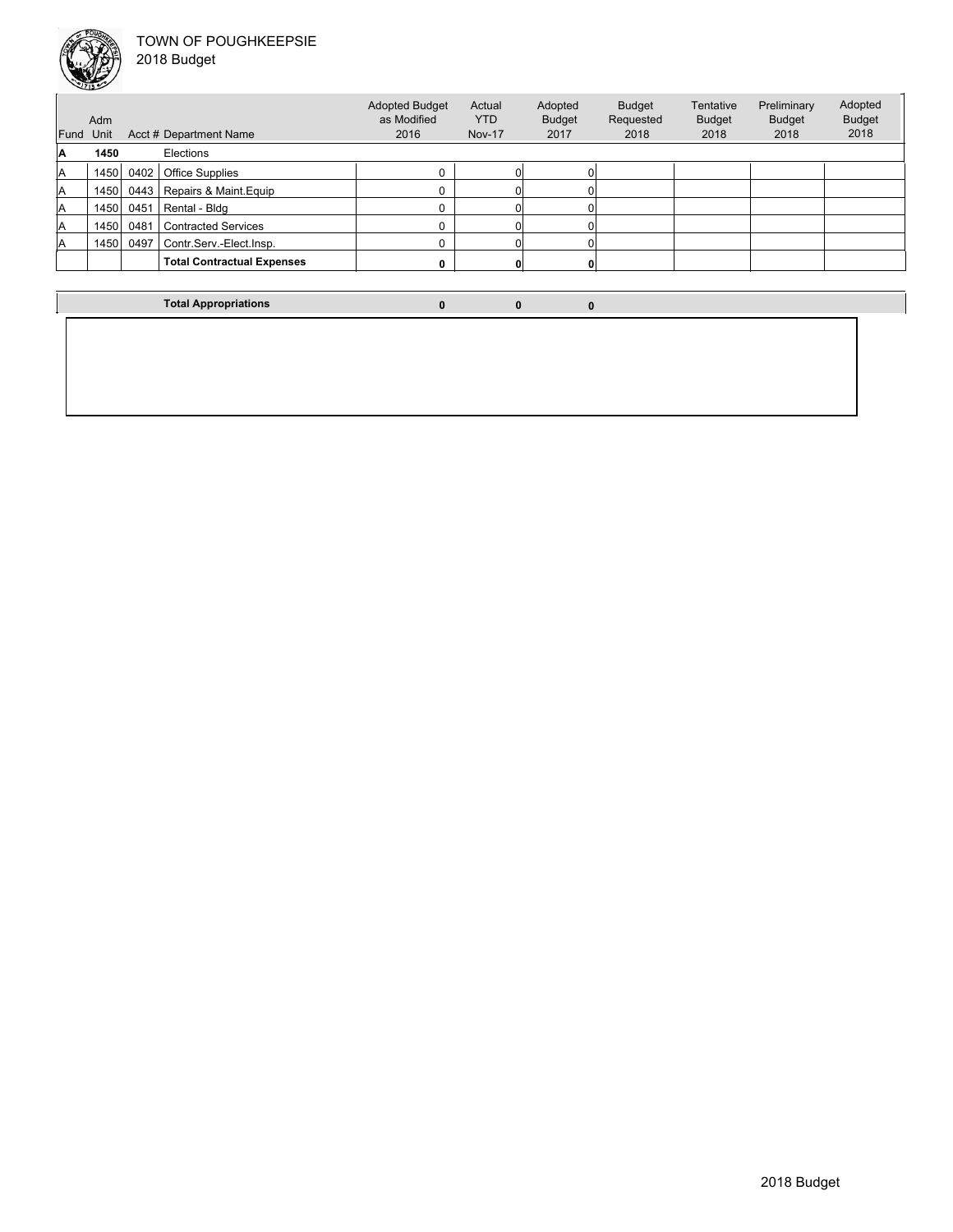

2018 Budget

|      | Adm  |      |                                   | <b>Adopted Budget</b><br>as Modified | Actual<br><b>YTD</b> | Adopted<br><b>Budget</b> | <b>Budget</b><br>Requested | Tentative<br><b>Budget</b> | Preliminary<br><b>Budget</b> | Adopted<br><b>Budget</b> |
|------|------|------|-----------------------------------|--------------------------------------|----------------------|--------------------------|----------------------------|----------------------------|------------------------------|--------------------------|
| Fund | Unit |      | Acct # Department Name            | 2016                                 | <b>Nov-17</b>        | 2017                     | 2018                       | 2018                       | 2018                         | 2018                     |
| A    | 1450 |      | Elections                         |                                      |                      |                          |                            |                            |                              |                          |
| lA   | 1450 | 0402 | <b>Office Supplies</b>            | $\Omega$                             |                      |                          |                            |                            |                              |                          |
| lA   | 1450 | 0443 | Repairs & Maint.Equip             | $\Omega$                             |                      |                          |                            |                            |                              |                          |
| lA   | 1450 | 0451 | Rental - Bldg                     | $\Omega$                             |                      |                          |                            |                            |                              |                          |
| A    | 1450 | 0481 | <b>Contracted Services</b>        | 0                                    |                      |                          |                            |                            |                              |                          |
| A    | 1450 | 0497 | Contr.Serv.-Elect.Insp.           | $\Omega$                             |                      |                          |                            |                            |                              |                          |
|      |      |      | <b>Total Contractual Expenses</b> | 0                                    |                      |                          |                            |                            |                              |                          |
|      |      |      |                                   |                                      |                      |                          |                            |                            |                              |                          |

**Total Appropriations 0 0 0**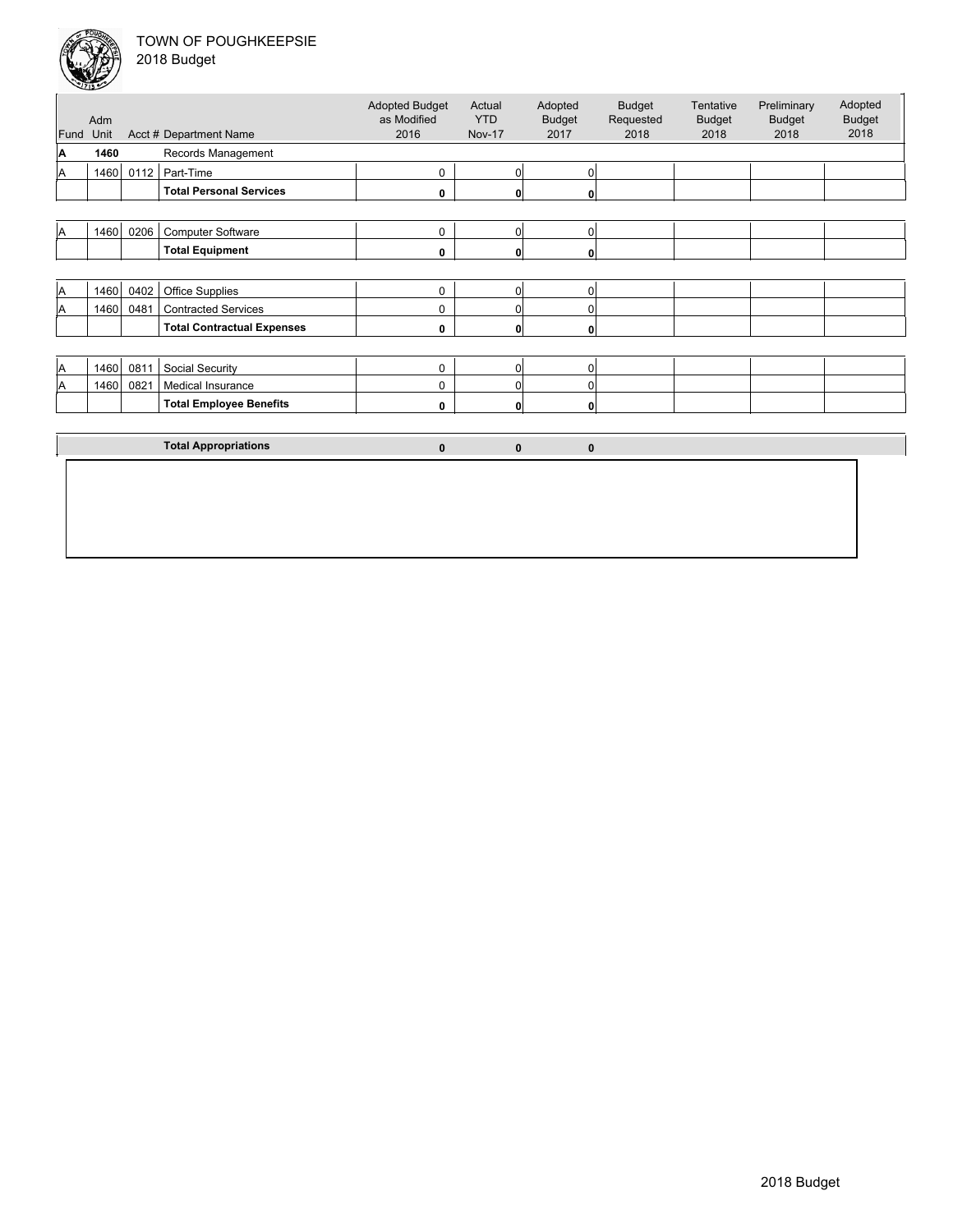

|  | 2018 Budget |  |
|--|-------------|--|
|--|-------------|--|

| Fund     | Adm<br>Unit |      | Acct # Department Name            | <b>Adopted Budget</b><br>as Modified<br>2016 | Actual<br><b>YTD</b><br><b>Nov-17</b> | Adopted<br><b>Budget</b><br>2017 | <b>Budget</b><br>Requested<br>2018 | Tentative<br><b>Budget</b><br>2018 | Preliminary<br><b>Budget</b><br>2018 | Adopted<br><b>Budget</b><br>2018 |
|----------|-------------|------|-----------------------------------|----------------------------------------------|---------------------------------------|----------------------------------|------------------------------------|------------------------------------|--------------------------------------|----------------------------------|
| A        | 1460        |      | Records Management                |                                              |                                       |                                  |                                    |                                    |                                      |                                  |
| A        | 1460        | 0112 | Part-Time                         | 0                                            | $\overline{0}$                        | 0                                |                                    |                                    |                                      |                                  |
|          |             |      | <b>Total Personal Services</b>    | 0                                            | $\mathbf{0}$                          | 0                                |                                    |                                    |                                      |                                  |
|          |             |      |                                   |                                              |                                       |                                  |                                    |                                    |                                      |                                  |
| A        | 1460        | 0206 | <b>Computer Software</b>          | 0                                            | $\overline{0}$                        | 0                                |                                    |                                    |                                      |                                  |
|          |             |      | <b>Total Equipment</b>            | 0                                            | $\mathbf{0}$                          | 0                                |                                    |                                    |                                      |                                  |
|          |             |      |                                   |                                              |                                       |                                  |                                    |                                    |                                      |                                  |
| A        | 1460        | 0402 | <b>Office Supplies</b>            | 0                                            | $\overline{0}$                        | 0                                |                                    |                                    |                                      |                                  |
| A        | 1460        | 0481 | <b>Contracted Services</b>        | 0                                            | $\overline{0}$                        | $\Omega$                         |                                    |                                    |                                      |                                  |
|          |             |      | <b>Total Contractual Expenses</b> | 0                                            | $\mathbf{0}$                          | $\Omega$                         |                                    |                                    |                                      |                                  |
|          |             |      |                                   |                                              |                                       |                                  |                                    |                                    |                                      |                                  |
| <b>A</b> | 1460        | 0811 | Social Security                   | 0                                            | $\overline{0}$                        | $\Omega$                         |                                    |                                    |                                      |                                  |
| <b>A</b> | 1460        | 0821 | Medical Insurance                 | 0                                            | $\overline{0}$                        | 0                                |                                    |                                    |                                      |                                  |
|          |             |      | <b>Total Employee Benefits</b>    | 0                                            | $\mathbf{0}$                          | 0                                |                                    |                                    |                                      |                                  |
|          |             |      |                                   |                                              |                                       |                                  |                                    |                                    |                                      |                                  |
|          |             |      | <b>Total Appropriations</b>       | $\mathbf{0}$                                 | $\bf{0}$                              | $\mathbf{0}$                     |                                    |                                    |                                      |                                  |
|          |             |      |                                   |                                              |                                       |                                  |                                    |                                    |                                      |                                  |
|          |             |      |                                   |                                              |                                       |                                  |                                    |                                    |                                      |                                  |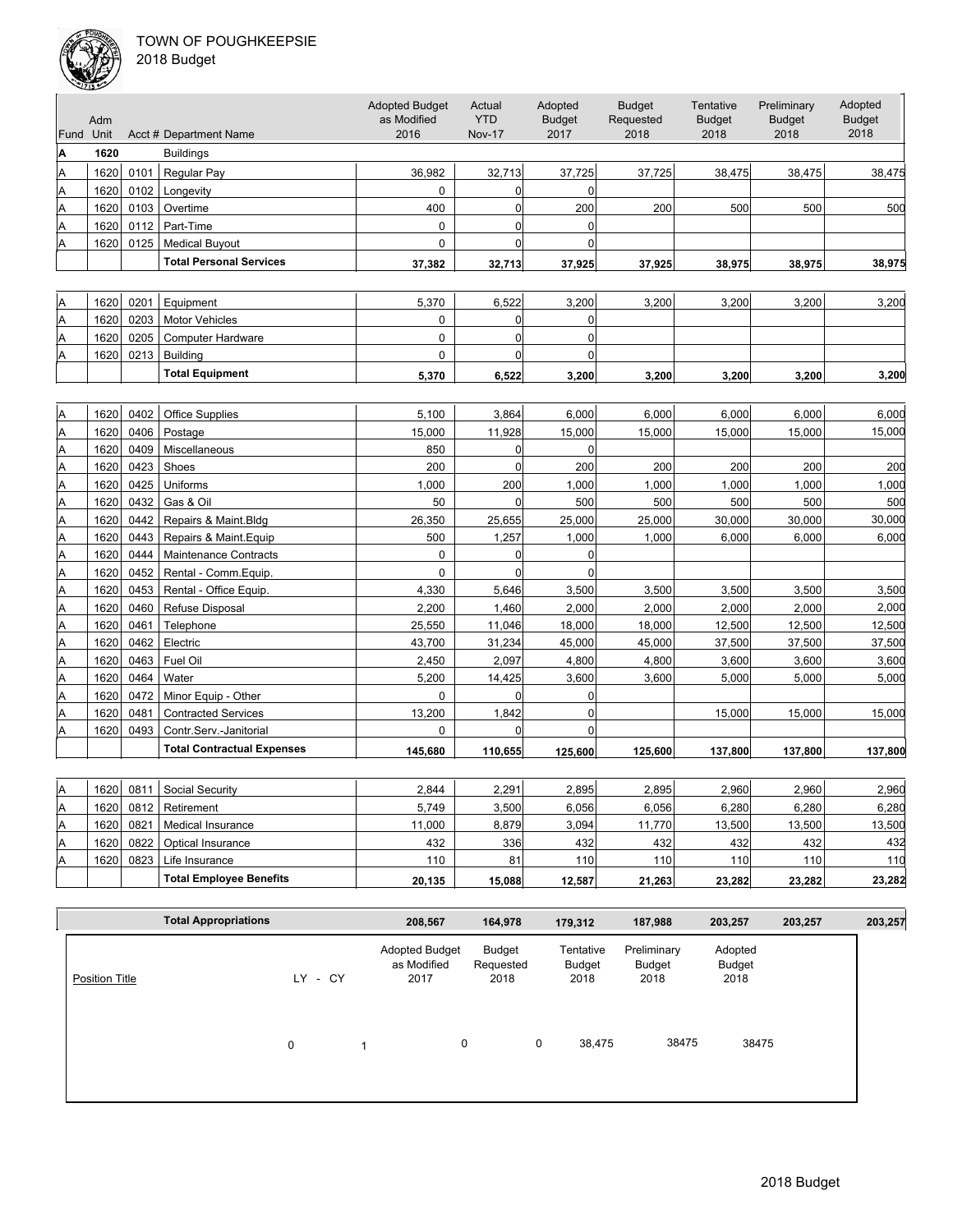#### TOWN OF POUGHKEEPSIE  $2<sub>0</sub>$



|  | :018 Budget |  |
|--|-------------|--|
|--|-------------|--|

| Fund Unit | Adm  |      | Acct # Department Name            | <b>Adopted Budget</b><br>as Modified<br>2016 | Actual<br><b>YTD</b><br><b>Nov-17</b> | Adopted<br><b>Budget</b><br>2017 | <b>Budget</b><br>Requested<br>2018 | Tentative<br><b>Budget</b><br>2018 | Preliminary<br><b>Budget</b><br>2018 | Adopted<br><b>Budget</b><br>2018 |
|-----------|------|------|-----------------------------------|----------------------------------------------|---------------------------------------|----------------------------------|------------------------------------|------------------------------------|--------------------------------------|----------------------------------|
| Α         | 1620 |      | <b>Buildings</b>                  |                                              |                                       |                                  |                                    |                                    |                                      |                                  |
| A         | 1620 | 0101 | Regular Pay                       | 36,982                                       | 32,713                                | 37,725                           | 37,725                             | 38,475                             | 38,475                               | 38,475                           |
| A         | 1620 | 0102 | Longevity                         | 0                                            | 0                                     | $\overline{0}$                   |                                    |                                    |                                      |                                  |
| A         | 1620 | 0103 | Overtime                          | 400                                          | $\overline{0}$                        | 200                              | 200                                | 500                                | 500                                  | 500                              |
| A         | 1620 | 0112 | Part-Time                         | 0                                            | $\overline{0}$                        | 0                                |                                    |                                    |                                      |                                  |
| A         | 1620 | 0125 | <b>Medical Buyout</b>             | 0                                            | 0                                     | $\overline{0}$                   |                                    |                                    |                                      |                                  |
|           |      |      | <b>Total Personal Services</b>    | 37,382                                       | 32,713                                | 37,925                           | 37,925                             | 38,975                             | 38,975                               | 38,975                           |
|           |      |      |                                   |                                              |                                       |                                  |                                    |                                    |                                      |                                  |
| A         | 1620 | 0201 | Equipment                         | 5,370                                        | 6,522                                 | 3,200                            | 3,200                              | 3,200                              | 3,200                                | 3,200                            |
| A         | 1620 | 0203 | Motor Vehicles                    | 0                                            | $\overline{0}$                        | 0                                |                                    |                                    |                                      |                                  |
| A         | 1620 | 0205 | <b>Computer Hardware</b>          | 0                                            | $\mathbf 0$                           | 0                                |                                    |                                    |                                      |                                  |
| A         | 1620 | 0213 | <b>Building</b>                   | 0                                            | $\mathbf 0$                           | 0                                |                                    |                                    |                                      |                                  |
|           |      |      | <b>Total Equipment</b>            | 5,370                                        | 6,522                                 | 3,200                            | 3,200                              | 3,200                              | 3,200                                | 3,200                            |
|           |      |      |                                   |                                              |                                       |                                  |                                    |                                    |                                      |                                  |
| A         | 1620 | 0402 | <b>Office Supplies</b>            | 5,100                                        | 3,864                                 | 6,000                            | 6,000                              | 6,000                              | 6,000                                | 6,000                            |
| Α         | 1620 | 0406 | Postage                           | 15,000                                       | 11,928                                | 15,000                           | 15,000                             | 15,000                             | 15,000                               | 15,000                           |
| A         | 1620 | 0409 | Miscellaneous                     | 850                                          | $\mathbf 0$                           | 0                                |                                    |                                    |                                      |                                  |
| A         | 1620 | 0423 | Shoes                             | 200                                          | $\mathbf 0$                           | 200                              | 200                                | 200                                | 200                                  | 200                              |
| A         | 1620 | 0425 | Uniforms                          | 1,000                                        | 200                                   | 1,000                            | 1,000                              | 1,000                              | 1,000                                | 1,000                            |
| A         | 1620 | 0432 | Gas & Oil                         | 50                                           | $\mathbf 0$                           | 500                              | 500                                | 500                                | 500                                  | 500                              |
| A         | 1620 | 0442 | Repairs & Maint.Bldg              | 26,350                                       | 25,655                                | 25,000                           | 25,000                             | 30,000                             | 30,000                               | 30,000                           |
| A         | 1620 | 0443 | Repairs & Maint. Equip            | 500                                          | 1,257                                 | 1,000                            | 1,000                              | 6,000                              | 6,000                                | 6,000                            |
| A         | 1620 | 0444 | Maintenance Contracts             | 0                                            | 0                                     | 0                                |                                    |                                    |                                      |                                  |
| A         | 1620 | 0452 | Rental - Comm.Equip.              | 0                                            | $\mathbf 0$                           | 0                                |                                    |                                    |                                      |                                  |
| A         | 1620 | 0453 | Rental - Office Equip.            | 4,330                                        | 5,646                                 | 3,500                            | 3,500                              | 3,500                              | 3,500                                | 3,500                            |
| A         | 1620 | 0460 | Refuse Disposal                   | 2,200                                        | 1,460                                 | 2,000                            | 2,000                              | 2,000                              | 2,000                                | 2,000                            |
| A         | 1620 | 0461 | Telephone                         | 25,550                                       | 11,046                                | 18,000                           | 18,000                             | 12,500                             | 12,500                               | 12,500                           |
| A         | 1620 | 0462 | Electric                          | 43,700                                       | 31,234                                | 45,000                           | 45,000                             | 37,500                             | 37,500                               | 37,500                           |
| A         | 1620 | 0463 | Fuel Oil                          | 2,450                                        | 2,097                                 | 4,800                            | 4,800                              | 3,600                              | 3,600                                | 3,600                            |
| A         | 1620 | 0464 | Water                             | 5,200                                        | 14,425                                | 3,600                            | 3,600                              | 5,000                              | 5,000                                | 5,000                            |
| A         | 1620 | 0472 | Minor Equip - Other               | 0                                            | 0                                     | 0                                |                                    |                                    |                                      |                                  |
| A         | 1620 | 0481 | <b>Contracted Services</b>        | 13,200                                       | 1,842                                 | $\overline{0}$                   |                                    | 15,000                             | 15,000                               | 15,000                           |
| A         | 1620 | 0493 | Contr.Serv.-Janitorial            | 0                                            | $\Omega$                              | 0                                |                                    |                                    |                                      |                                  |
|           |      |      | <b>Total Contractual Expenses</b> | 145,680                                      | 110,655                               | 125,600                          | 125,600                            | 137,800                            | 137,800                              | 137,800                          |
|           |      |      |                                   |                                              |                                       |                                  |                                    |                                    |                                      |                                  |
| ΙA        | 1620 | 0811 | Social Security                   | 2,844                                        | 2,291                                 | 2,895                            | 2,895                              | 2,960                              | 2,960                                | 2,960                            |
| A         | 1620 | 0812 | Retirement                        | 5,749                                        | 3,500                                 | 6,056                            | 6,056                              | 6,280                              | 6,280                                | 6,280                            |
| A         | 1620 | 0821 | Medical Insurance                 | 11,000                                       | 8,879                                 | 3,094                            | 11,770                             | 13,500                             | 13,500                               | 13,500                           |
| A         | 1620 | 0822 | Optical Insurance                 | 432                                          | 336                                   | 432                              | 432                                | 432                                | 432                                  | 432                              |
| A         | 1620 | 0823 | Life Insurance                    | 110                                          | 81                                    | 110                              | 110                                | 110                                | 110                                  | 110                              |
|           |      |      | <b>Total Employee Benefits</b>    | 20,135                                       | 15,088                                | 12,587                           | 21,263                             | 23,282                             | 23,282                               | 23,282                           |

|                       | <b>Total Appropriations</b> |   |         | 208,567                                      | 164,978                     |   | 179,312                     | 187,988                       | 203,257                   | 203,257 | 203,257 |
|-----------------------|-----------------------------|---|---------|----------------------------------------------|-----------------------------|---|-----------------------------|-------------------------------|---------------------------|---------|---------|
| <b>Position Title</b> |                             |   | LY - CY | <b>Adopted Budget</b><br>as Modified<br>2017 | Budget<br>Requested<br>2018 |   | Tentative<br>Budget<br>2018 | Preliminary<br>Budget<br>2018 | Adopted<br>Budget<br>2018 |         |         |
|                       |                             | 0 |         | 0                                            |                             | 0 | 38,475                      | 38475                         | 38475                     |         |         |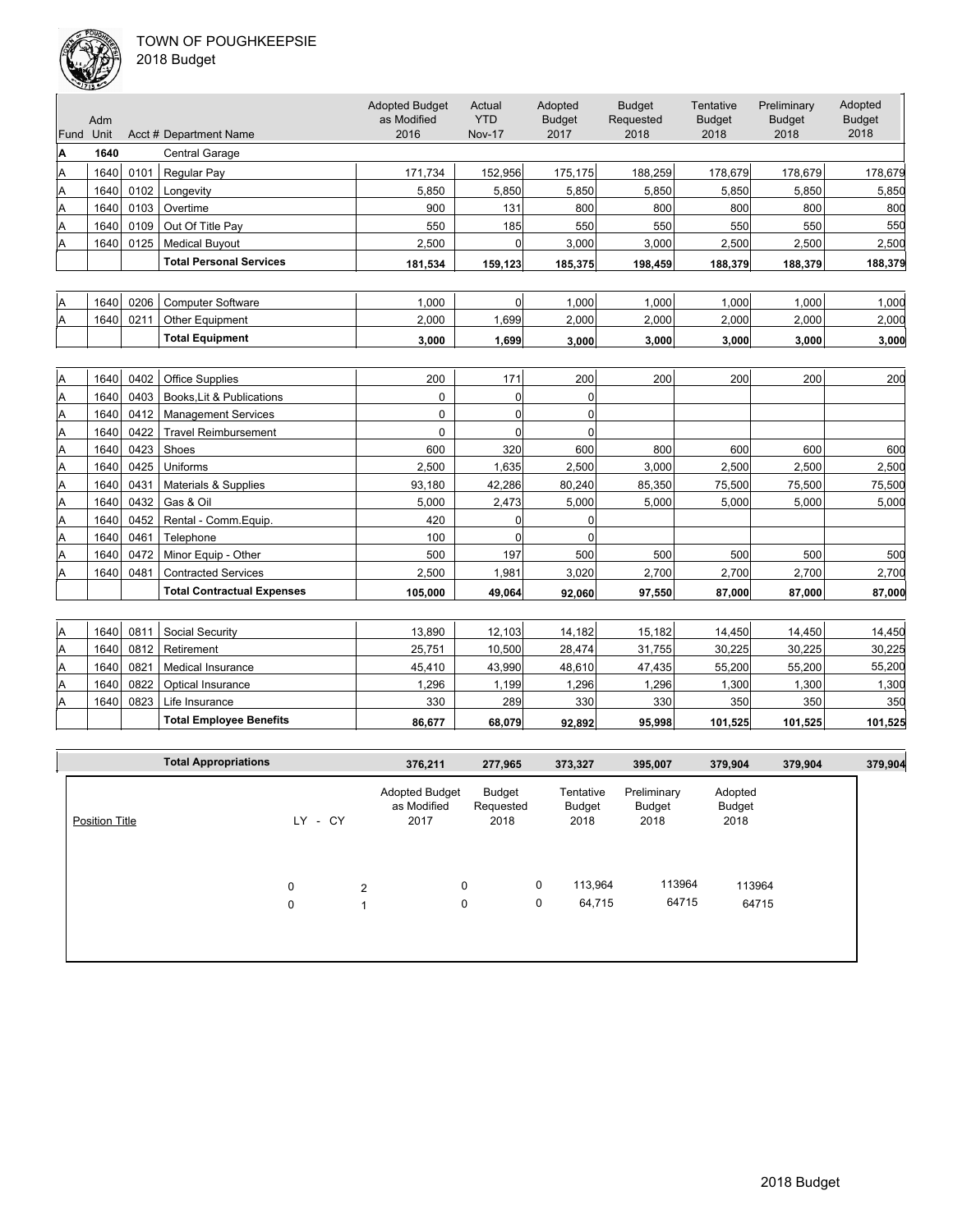

|  |  | 018 Budget |  |  |
|--|--|------------|--|--|
|--|--|------------|--|--|

| Fund | Adm<br>Unit |      | Acct # Department Name            | <b>Adopted Budget</b><br>as Modified<br>2016 | Actual<br><b>YTD</b><br><b>Nov-17</b> | Adopted<br><b>Budget</b><br>2017 | <b>Budget</b><br>Requested<br>2018 | Tentative<br><b>Budget</b><br>2018 | Preliminary<br><b>Budget</b><br>2018 | Adopted<br><b>Budget</b><br>2018 |
|------|-------------|------|-----------------------------------|----------------------------------------------|---------------------------------------|----------------------------------|------------------------------------|------------------------------------|--------------------------------------|----------------------------------|
| A    | 1640        |      | <b>Central Garage</b>             |                                              |                                       |                                  |                                    |                                    |                                      |                                  |
| Α    | 1640        | 0101 | Regular Pay                       | 171.734                                      | 152,956                               | 175,175                          | 188,259                            | 178,679                            | 178.679                              | 178.679                          |
| A    | 1640        | 0102 | Longevity                         | 5,850                                        | 5,850                                 | 5,850                            | 5,850                              | 5,850                              | 5,850                                | 5,850                            |
| Α    | 1640        | 0103 | Overtime                          | 900                                          | 131                                   | 800                              | 800                                | 800                                | 800                                  | 800                              |
| Α    | 1640        | 0109 | Out Of Title Pay                  | 550                                          | 185                                   | 550                              | 550                                | 550                                | 550                                  | 550                              |
| Α    | 1640        | 0125 | <b>Medical Buyout</b>             | 2,500                                        | $\Omega$                              | 3,000                            | 3,000                              | 2,500                              | 2,500                                | 2,500                            |
|      |             |      | <b>Total Personal Services</b>    | 181,534                                      | 159,123                               | 185,375                          | 198,459                            | 188,379                            | 188,379                              | 188,379                          |
|      |             |      |                                   |                                              |                                       |                                  |                                    |                                    |                                      |                                  |
| Α    | 1640        | 0206 | <b>Computer Software</b>          | 1.000                                        | $\overline{0}$                        | 1.000                            | 1,000                              | 1,000                              | 1.000                                | 1,000                            |
| Α    | 1640        | 0211 | Other Equipment                   | 2,000                                        | 1,699                                 | 2,000                            | 2,000                              | 2,000                              | 2,000                                | 2,000                            |
|      |             |      | <b>Total Equipment</b>            | 3,000                                        | 1,699                                 | 3,000                            | 3,000                              | 3,000                              | 3,000                                | 3,000                            |
|      |             |      |                                   |                                              |                                       |                                  |                                    |                                    |                                      |                                  |
| A    | 1640        | 0402 | <b>Office Supplies</b>            | 200                                          | 171                                   | 200                              | 200                                | 200                                | 200                                  | 200                              |
| A    | 1640        | 0403 | Books.Lit & Publications          | $\Omega$                                     | $\Omega$                              | $\Omega$                         |                                    |                                    |                                      |                                  |
| Α    | 1640        | 0412 | <b>Management Services</b>        | $\Omega$                                     | $\Omega$                              | $\Omega$                         |                                    |                                    |                                      |                                  |
| Α    | 1640        | 0422 | <b>Travel Reimbursement</b>       | $\Omega$                                     | $\Omega$                              | $\Omega$                         |                                    |                                    |                                      |                                  |
| A    | 1640        | 0423 | Shoes                             | 600                                          | 320                                   | 600                              | 800                                | 600                                | 600                                  | 600                              |
| Α    | 1640        | 0425 | Uniforms                          | 2,500                                        | 1,635                                 | 2,500                            | 3,000                              | 2,500                              | 2,500                                | 2,500                            |
| Α    | 1640        | 0431 | Materials & Supplies              | 93,180                                       | 42,286                                | 80,240                           | 85,350                             | 75,500                             | 75,500                               | 75,500                           |
| Α    | 1640        | 0432 | Gas & Oil                         | 5,000                                        | 2,473                                 | 5,000                            | 5,000                              | 5,000                              | 5,000                                | 5,000                            |
| Α    | 1640        | 0452 | Rental - Comm.Equip.              | 420                                          | $\Omega$                              | $\Omega$                         |                                    |                                    |                                      |                                  |
| A    | 1640        | 0461 | Telephone                         | 100                                          | $\Omega$                              | $\Omega$                         |                                    |                                    |                                      |                                  |
| A    | 1640        | 0472 | Minor Equip - Other               | 500                                          | 197                                   | 500                              | 500                                | 500                                | 500                                  | 500                              |
| A    | 1640        | 0481 | <b>Contracted Services</b>        | 2.500                                        | 1,981                                 | 3.020                            | 2,700                              | 2,700                              | 2,700                                | 2,700                            |
|      |             |      | <b>Total Contractual Expenses</b> | 105,000                                      | 49,064                                | 92,060                           | 97,550                             | 87,000                             | 87,000                               | 87,000                           |
|      |             |      |                                   |                                              |                                       |                                  |                                    |                                    |                                      |                                  |
| A    | 1640        | 0811 | Social Security                   | 13,890                                       | 12,103                                | 14,182                           | 15,182                             | 14,450                             | 14,450                               | 14,450                           |
| A    | 1640        | 0812 | Retirement                        | 25,751                                       | 10,500                                | 28,474                           | 31,755                             | 30,225                             | 30,225                               | 30,225                           |
| A    | 1640        | 0821 | Medical Insurance                 | 45,410                                       | 43,990                                | 48.610                           | 47,435                             | 55,200                             | 55,200                               | 55,200                           |

|    |       |      | <b>Total Employee Benefits</b> | 86.677 | 68.079 | 92,892 | 95,998 | 101,525 | 101,525 | 101,525 |
|----|-------|------|--------------------------------|--------|--------|--------|--------|---------|---------|---------|
| ΙA | 1640  | 0823 | Life Insurance                 | 330    | 289    | 330    | 330    | 350     | 350     | 350     |
| ΙA | 1640  | 0822 | Optical Insurance              | ,296   | .199   | .296   | .296   | ,300    | ,300    | ,300    |
| ΙA | 1640  | 0821 | Medical Insurance              | 45.410 | 43.990 | 48,610 | 47.435 | 55.200  | 55.200  | 55,200  |
| ΙA | 1640. | 0812 | Retirement                     | 25.751 | 10.500 | 28.474 | 31.755 | 30.225  | 30.225  | 30,225  |

|                       | <b>Total Appropriations</b> |     |      |   | 376,211                                      | 277,965                     |   | 373,327                     | 395,007                              | 379,904                   | 379,904 | 379,904 |
|-----------------------|-----------------------------|-----|------|---|----------------------------------------------|-----------------------------|---|-----------------------------|--------------------------------------|---------------------------|---------|---------|
| <b>Position Title</b> |                             | LY. | - CY |   | <b>Adopted Budget</b><br>as Modified<br>2017 | Budget<br>Requested<br>2018 |   | Tentative<br>Budget<br>2018 | Preliminary<br><b>Budget</b><br>2018 | Adopted<br>Budget<br>2018 |         |         |
|                       |                             | 0   |      | 2 | $\mathbf 0$                                  |                             | 0 | 113,964                     | 113964                               | 113964                    |         |         |
|                       |                             | 0   |      |   | 0                                            |                             | 0 | 64,715                      | 64715                                | 64715                     |         |         |
|                       |                             |     |      |   |                                              |                             |   |                             |                                      |                           |         |         |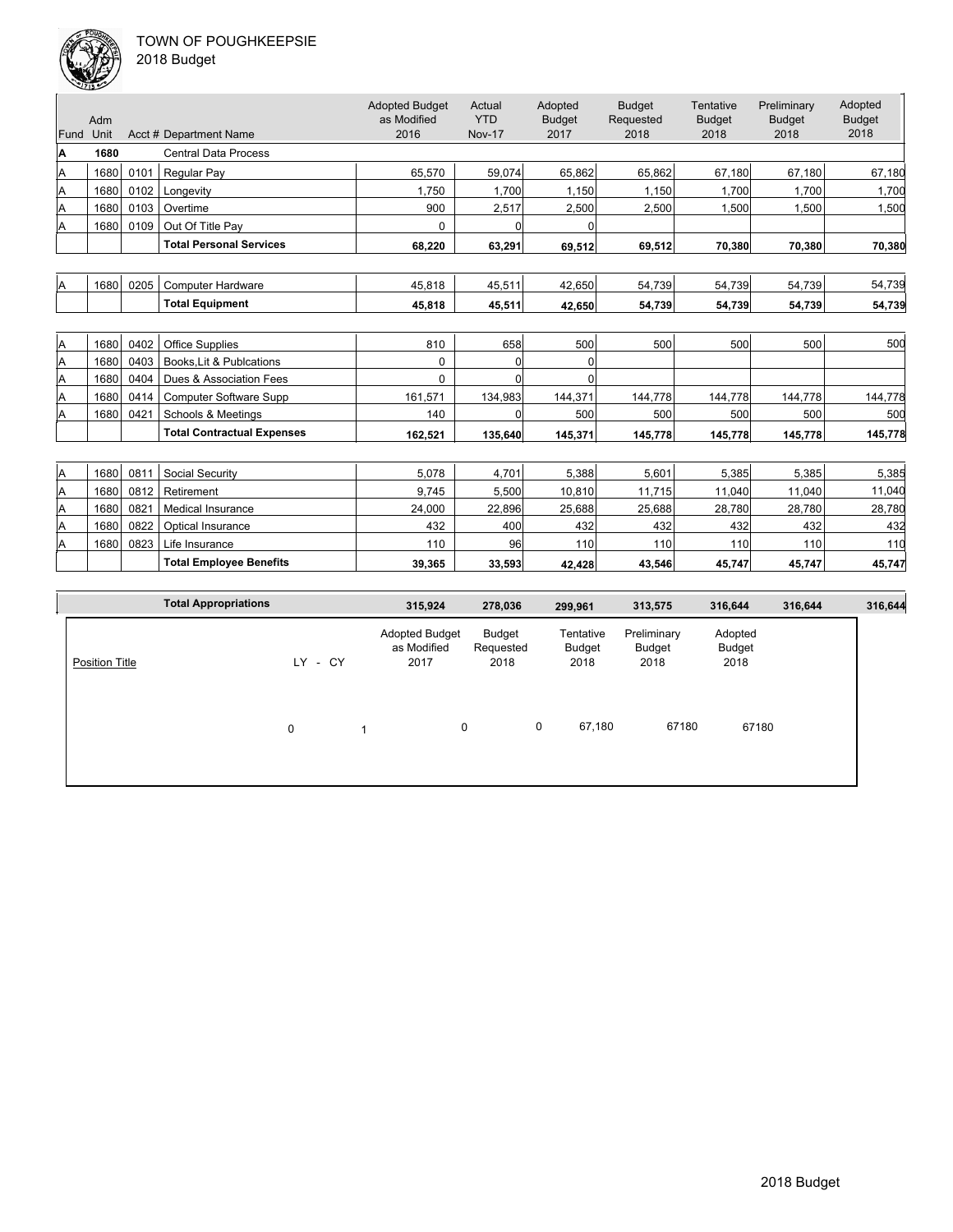| Fund | Adm<br>Unit |      | Acct # Department Name            | <b>Adopted Budget</b><br>as Modified<br>2016 | Actual<br><b>YTD</b><br><b>Nov-17</b> | Adopted<br><b>Budget</b><br>2017 | <b>Budget</b><br>Requested<br>2018 | Tentative<br><b>Budget</b><br>2018 | Preliminary<br><b>Budget</b><br>2018 | Adopted<br><b>Budget</b><br>2018 |
|------|-------------|------|-----------------------------------|----------------------------------------------|---------------------------------------|----------------------------------|------------------------------------|------------------------------------|--------------------------------------|----------------------------------|
| A    | 1680        |      | <b>Central Data Process</b>       |                                              |                                       |                                  |                                    |                                    |                                      |                                  |
| Α    | 1680        | 0101 | <b>Regular Pay</b>                | 65.570                                       | 59,074                                | 65.862                           | 65,862                             | 67,180                             | 67,180                               | 67,180                           |
| Α    | 1680        | 0102 | Longevity                         | 1.750                                        | 1.700                                 | 1.150                            | 1.150                              | 1.700                              | 1,700                                | 1.700                            |
| A    | 1680        | 0103 | Overtime                          | 900                                          | 2,517                                 | 2,500                            | 2,500                              | 1,500                              | 1,500                                | 1,500                            |
| A    | 1680        | 0109 | Out Of Title Pay                  | 0                                            | $\Omega$                              | $\Omega$                         |                                    |                                    |                                      |                                  |
|      |             |      | <b>Total Personal Services</b>    | 68,220                                       | 63,291                                | 69,512                           | 69,512                             | 70,380                             | 70,380                               | 70,380                           |
|      |             |      |                                   |                                              |                                       |                                  |                                    |                                    |                                      |                                  |
| Α    | 1680        | 0205 | <b>Computer Hardware</b>          | 45,818                                       | 45,511                                | 42,650                           | 54,739                             | 54,739                             | 54,739                               | 54,739                           |
|      |             |      | <b>Total Equipment</b>            | 45,818                                       | 45,511                                | 42,650                           | 54,739                             | 54,739                             | 54,739                               | 54,739                           |
|      |             |      |                                   |                                              |                                       |                                  |                                    |                                    |                                      |                                  |
| Α    | 1680        | 0402 | Office Supplies                   | 810                                          | 658                                   | 500                              | 500                                | 500                                | 500                                  | 500                              |
| Α    | 1680        | 0403 | Books, Lit & Publcations          | 0                                            | $\overline{0}$                        | 0                                |                                    |                                    |                                      |                                  |
| Α    | 1680        | 0404 | Dues & Association Fees           | $\Omega$                                     | $\Omega$                              | $\Omega$                         |                                    |                                    |                                      |                                  |
| Α    | 1680        | 0414 | <b>Computer Software Supp</b>     | 161,571                                      | 134,983                               | 144,371                          | 144,778                            | 144,778                            | 144,778                              | 144,778                          |
| A    | 1680        | 0421 | <b>Schools &amp; Meetings</b>     | 140                                          | $\Omega$                              | 500                              | 500                                | 500                                | 500                                  | 500                              |
|      |             |      | <b>Total Contractual Expenses</b> | 162,521                                      | 135,640                               | 145,371                          | 145,778                            | 145,778                            | 145,778                              | 145,778                          |
|      |             |      |                                   |                                              |                                       |                                  |                                    |                                    |                                      |                                  |
| Α    | 1680        | 0811 | Social Security                   | 5.078                                        | 4.701                                 | 5,388                            | 5.601                              | 5,385                              | 5.385                                | 5,385                            |
| Α    | 1680        | 0812 | Retirement                        | 9,745                                        | 5,500                                 | 10,810                           | 11,715                             | 11,040                             | 11,040                               | 11,040                           |
| Α    | 1680        | 0821 | <b>Medical Insurance</b>          | 24,000                                       | 22,896                                | 25,688                           | 25,688                             | 28,780                             | 28,780                               | 28,780                           |
| Α    | 1680        | 0822 | Optical Insurance                 | 432                                          | 400                                   | 432                              | 432                                | 432                                | 432                                  | 432                              |
| A    | 1680        | 0823 | Life Insurance                    | 110                                          | 96                                    | 110                              | 110                                | 110                                | 110                                  | 110                              |
|      |             |      | <b>Total Employee Benefits</b>    | 39,365                                       | 33,593                                | 42,428                           | 43,546                             | 45,747                             | 45,747                               | 45,747                           |

| <b>Total Appropriations</b> |              | 315,924                                           | 278,036                     |             | 299,961                               | 313,575                                | 316,644                            | 316,644 | 316,644 |
|-----------------------------|--------------|---------------------------------------------------|-----------------------------|-------------|---------------------------------------|----------------------------------------|------------------------------------|---------|---------|
| <b>Position Title</b>       | LY - CY<br>0 | <b>Adopted Budget</b><br>as Modified<br>2017<br>0 | Budget<br>Requested<br>2018 | $\mathbf 0$ | Tentative<br>Budget<br>2018<br>67,180 | Preliminary<br>Budget<br>2018<br>67180 | Adopted<br>Budget<br>2018<br>67180 |         |         |
|                             |              |                                                   |                             |             |                                       |                                        |                                    |         |         |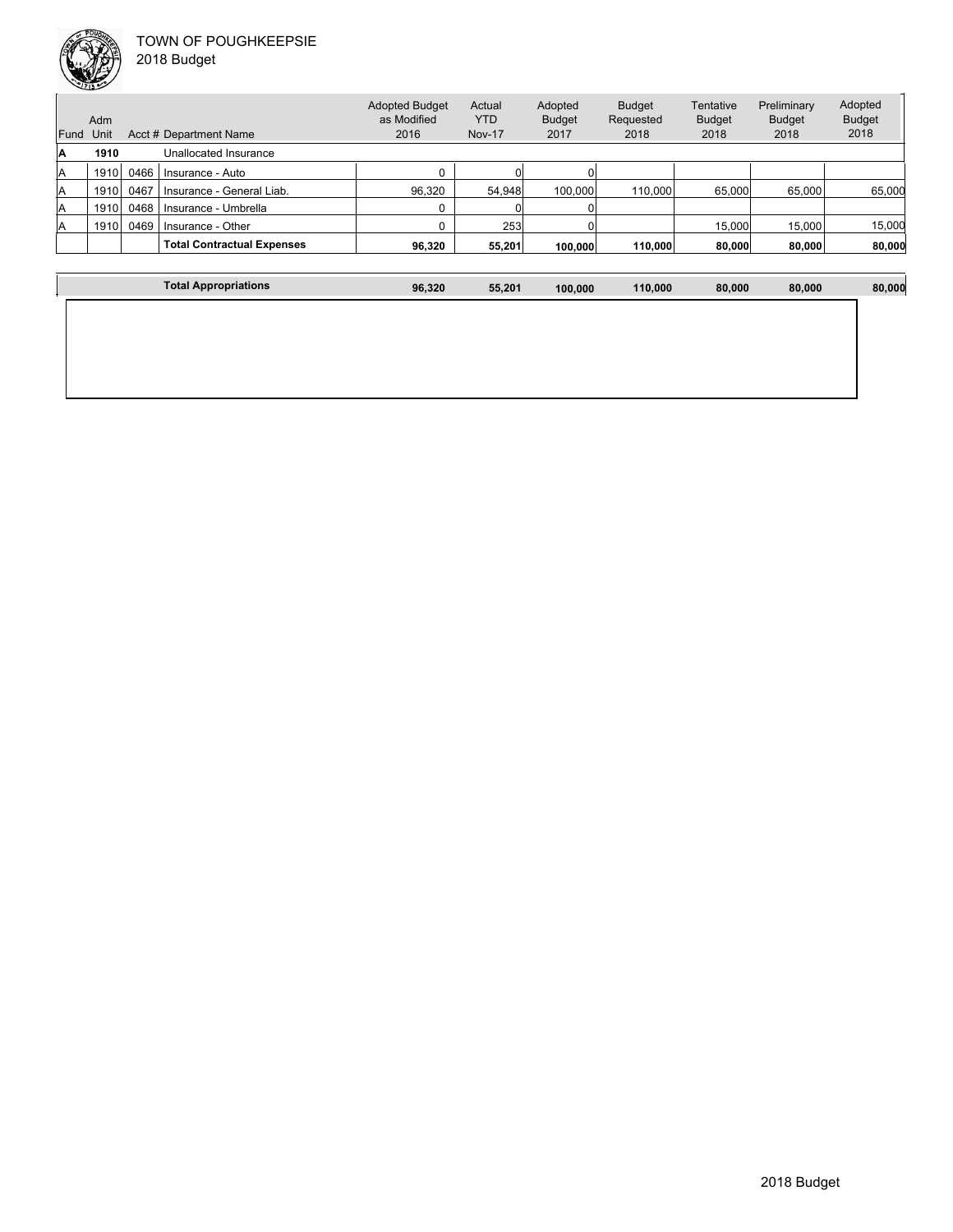

|      |      |                        | <b>Adopted Budget</b> | Actual        | Adopted       | <b>Budget</b> |
|------|------|------------------------|-----------------------|---------------|---------------|---------------|
|      | Adm  |                        | as Modified           | YTD           | <b>Budget</b> | Requested     |
| Fund | Unit | Acct # Department Name | 2016                  | <b>Nov-17</b> | 2017          | 2018          |
| ΙA   | 1910 | Unallocated Insurance  |                       |               |               |               |

| . . | 1 J I V |      | Unallucated misurance             |        |        |         |         |        |        |        |
|-----|---------|------|-----------------------------------|--------|--------|---------|---------|--------|--------|--------|
|     | 1910    | 0466 | Insurance - Auto                  |        |        |         |         |        |        |        |
|     | 1910    | 0467 | Insurance - General Liab.         | 96.320 | 54.948 | 100.000 | 110,000 | 65,000 | 65.000 | 65.000 |
|     | 1910    | 0468 | Insurance - Umbrella              |        |        |         |         |        |        |        |
|     | 1910    | 0469 | Insurance - Other                 |        | 253    |         |         | 15.000 | 15.000 | 15.000 |
|     |         |      | <b>Total Contractual Expenses</b> | 96.320 | 55.201 | 100.000 | 110.000 | 80,000 | 80.000 | 80,000 |

Tentative Budget 2018

Preliminary Budget 2018

Adopted Budget 2018

I

| ⊺ot:<br>™iations | 96.320 | 55.201 | 100.000 | 110.000 | 80.000 | 80,000 | .000 |
|------------------|--------|--------|---------|---------|--------|--------|------|
|                  |        |        |         |         |        |        |      |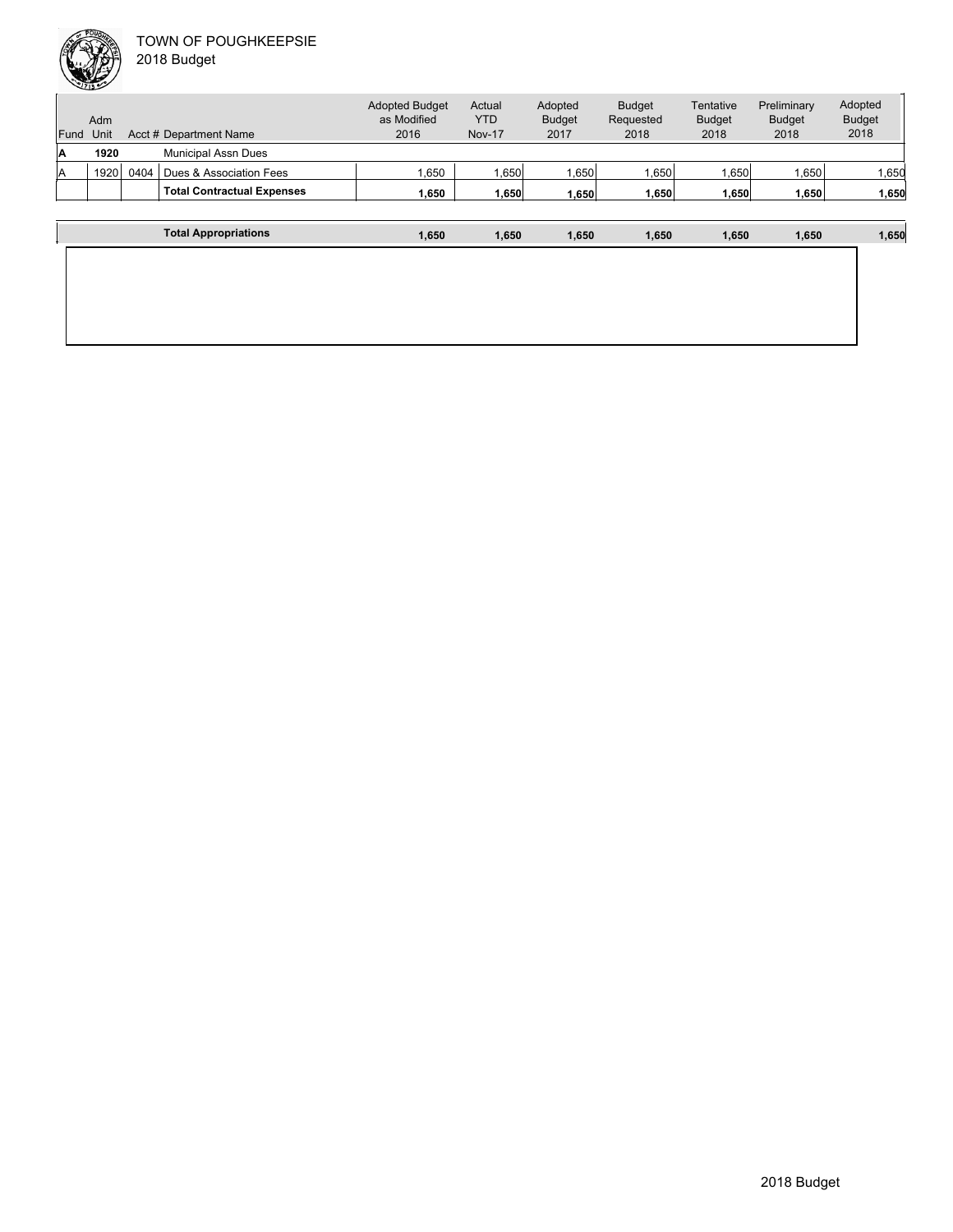| Fund | Adm<br>Unit |      | Acct # Department Name            | <b>Adopted Budget</b><br>as Modified<br>2016 | Actual<br><b>YTD</b><br><b>Nov-17</b> | Adopted<br><b>Budget</b><br>2017 | <b>Budget</b><br>Requested<br>2018 | Tentative<br><b>Budget</b><br>2018 | Preliminary<br><b>Budget</b><br>2018 | Adopted<br><b>Budget</b><br>2018 |
|------|-------------|------|-----------------------------------|----------------------------------------------|---------------------------------------|----------------------------------|------------------------------------|------------------------------------|--------------------------------------|----------------------------------|
| A    | 1920        |      | <b>Municipal Assn Dues</b>        |                                              |                                       |                                  |                                    |                                    |                                      |                                  |
| lA   | 1920        | 0404 | Dues & Association Fees           | 1,650                                        | .650 <sub>1</sub>                     | ∣650.،                           | .650                               | .650                               | 1,650                                | ,650                             |
|      |             |      | <b>Total Contractual Expenses</b> | 1.650                                        | 1.650                                 | 1.650                            | 1,650                              | 1,650                              | 1.650                                | 1,650                            |
|      |             |      |                                   |                                              |                                       |                                  |                                    |                                    |                                      |                                  |
|      |             |      | <b>Total Appropriations</b>       | 1.650                                        | 1.650                                 | 1.650                            | 1,650                              | 1.650                              | 1.650                                | 1,650                            |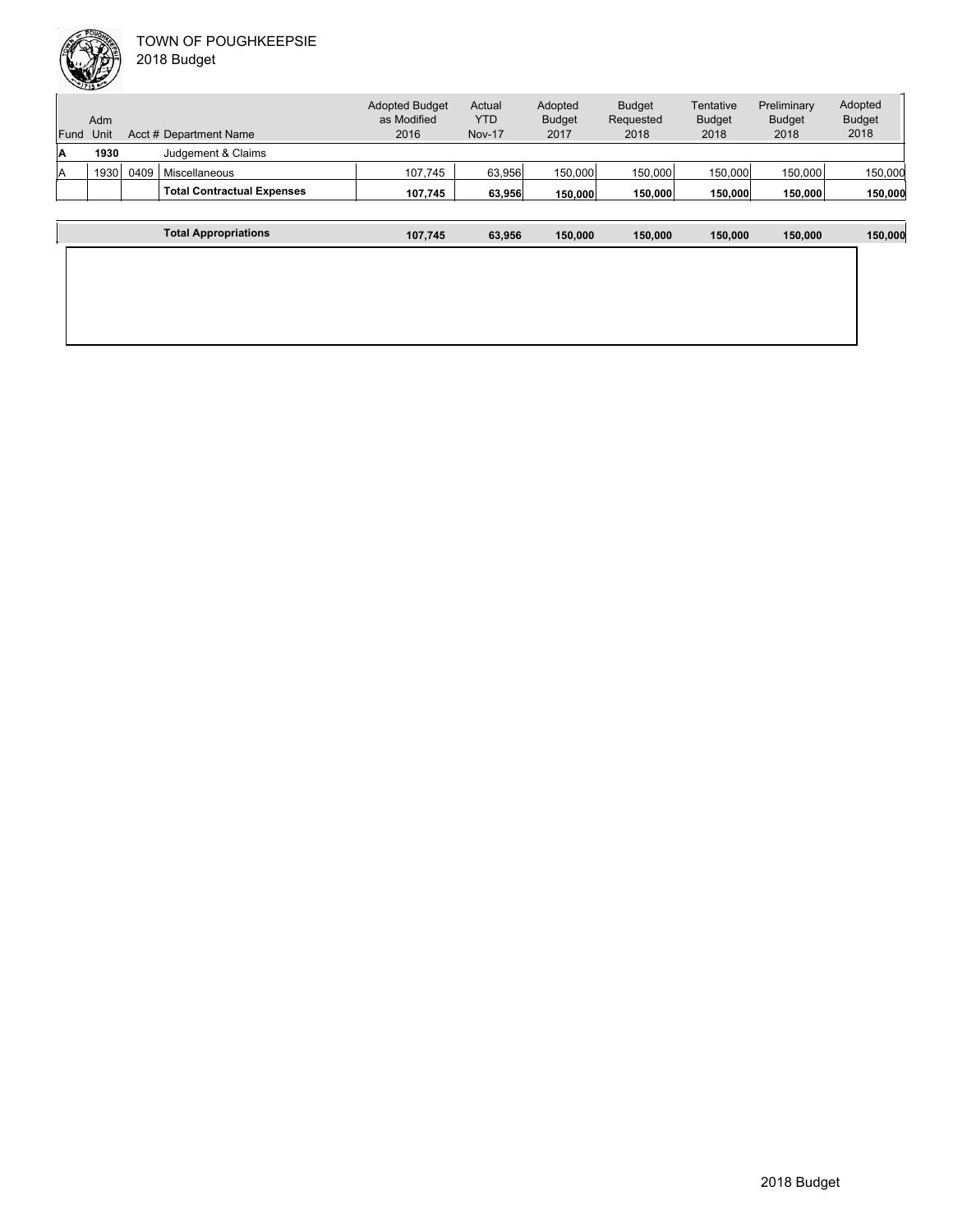|      | Adm  |      |                                   | <b>Adopted Budget</b><br>as Modified | Actual<br><b>YTD</b> | Adopted<br><b>Budget</b> | <b>Budget</b><br>Requested | Tentative<br><b>Budget</b> | Preliminary<br><b>Budget</b> | Adopted<br><b>Budget</b> |
|------|------|------|-----------------------------------|--------------------------------------|----------------------|--------------------------|----------------------------|----------------------------|------------------------------|--------------------------|
| Fund | Unit |      | Acct # Department Name            | 2016                                 | <b>Nov-17</b>        | 2017                     | 2018                       | 2018                       | 2018                         | 2018                     |
| ۱A   | 1930 |      | Judgement & Claims                |                                      |                      |                          |                            |                            |                              |                          |
| lA   | 1930 | 0409 | Miscellaneous                     | 107.745                              | 63,956               | 150,000                  | 150,000                    | 150.000                    | 150,000                      | 150,000                  |
|      |      |      | <b>Total Contractual Expenses</b> | 107.745                              | 63.956               | 150,000                  | 150,000                    | 150,000                    | 150,000                      | 150,000                  |
|      |      |      |                                   |                                      |                      |                          |                            |                            |                              |                          |
|      |      |      | <b>Total Appropriations</b>       | 107,745                              | 63,956               | 150.000                  | 150.000                    | 150,000                    | 150,000                      | 150,000                  |

| <b>Total Appropriations</b> | 107,745 | 63,956 | 150,000 | 150,000 | 150,000 | 150,000 | 150,000 |
|-----------------------------|---------|--------|---------|---------|---------|---------|---------|
|                             |         |        |         |         |         |         |         |
|                             |         |        |         |         |         |         |         |
|                             |         |        |         |         |         |         |         |
|                             |         |        |         |         |         |         |         |
|                             |         |        |         |         |         |         |         |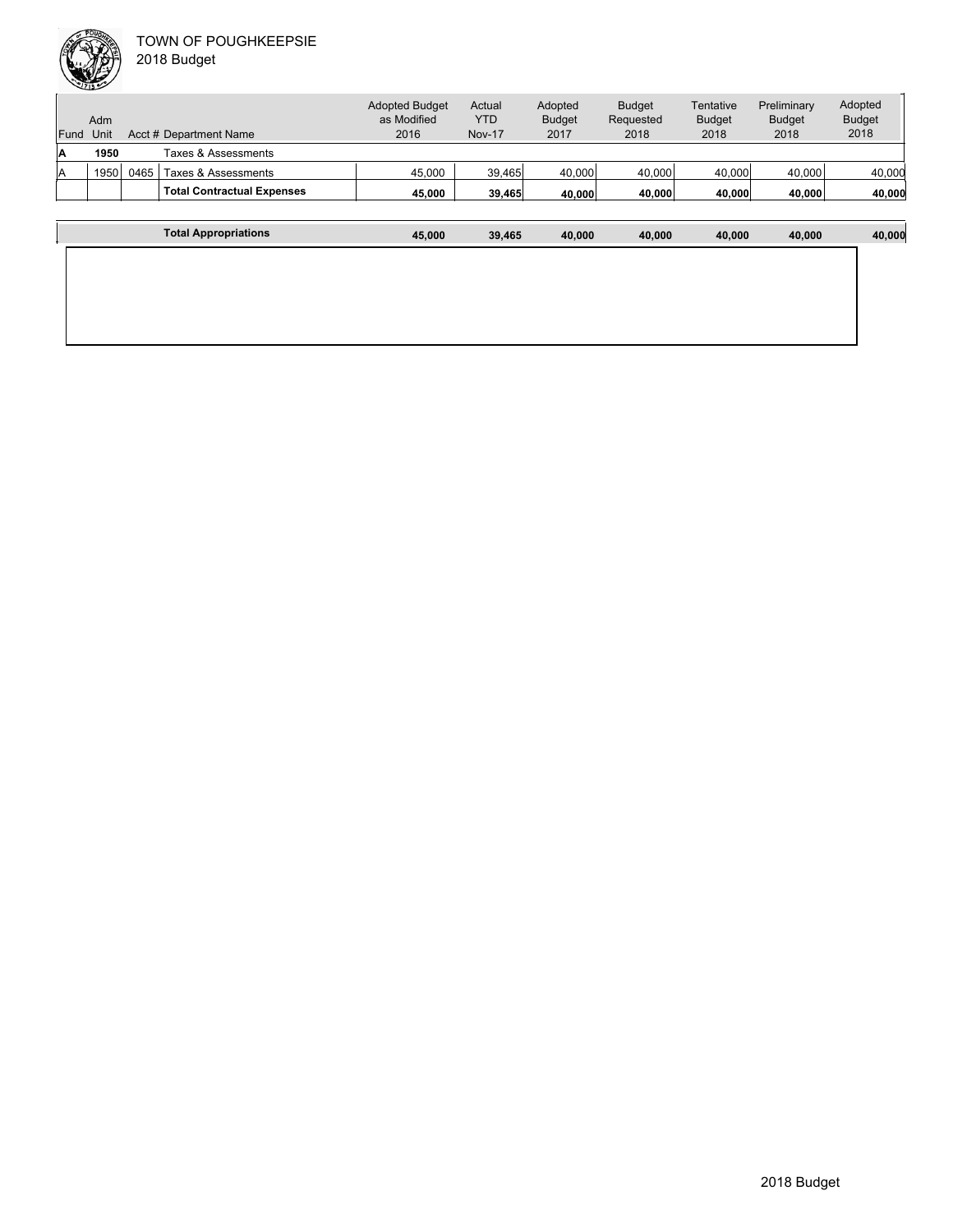|      | Adm  |      |                                   | <b>Adopted Budget</b><br>as Modified | Actual<br><b>YTD</b> | Adopted<br><b>Budget</b> | <b>Budget</b><br>Requested | Tentative<br><b>Budget</b> | Preliminary<br><b>Budget</b> | Adopted<br><b>Budget</b> |
|------|------|------|-----------------------------------|--------------------------------------|----------------------|--------------------------|----------------------------|----------------------------|------------------------------|--------------------------|
| Fund | Unit |      | Acct # Department Name            | 2016                                 | <b>Nov-17</b>        | 2017                     | 2018                       | 2018                       | 2018                         | 2018                     |
| ΙA   | 1950 |      | Taxes & Assessments               |                                      |                      |                          |                            |                            |                              |                          |
| ΙA   | 1950 | 0465 | Taxes & Assessments               | 45.000                               | 39,465               | 40,000                   | 40,000                     | 40,000                     | 40,000                       | 40,000                   |
|      |      |      | <b>Total Contractual Expenses</b> | 45.000                               | 39.465               | 40.000                   | 40.000                     | 40,000                     | 40,000                       | 40,000                   |
|      |      |      |                                   |                                      |                      |                          |                            |                            |                              |                          |

| <b>Total Appropriations</b> | 45,000 | 39,465 | 40,000 | 40,000 | 40,000 | 40,000 | 40,000 |
|-----------------------------|--------|--------|--------|--------|--------|--------|--------|
|                             |        |        |        |        |        |        |        |
|                             |        |        |        |        |        |        |        |
|                             |        |        |        |        |        |        |        |
|                             |        |        |        |        |        |        |        |
|                             |        |        |        |        |        |        |        |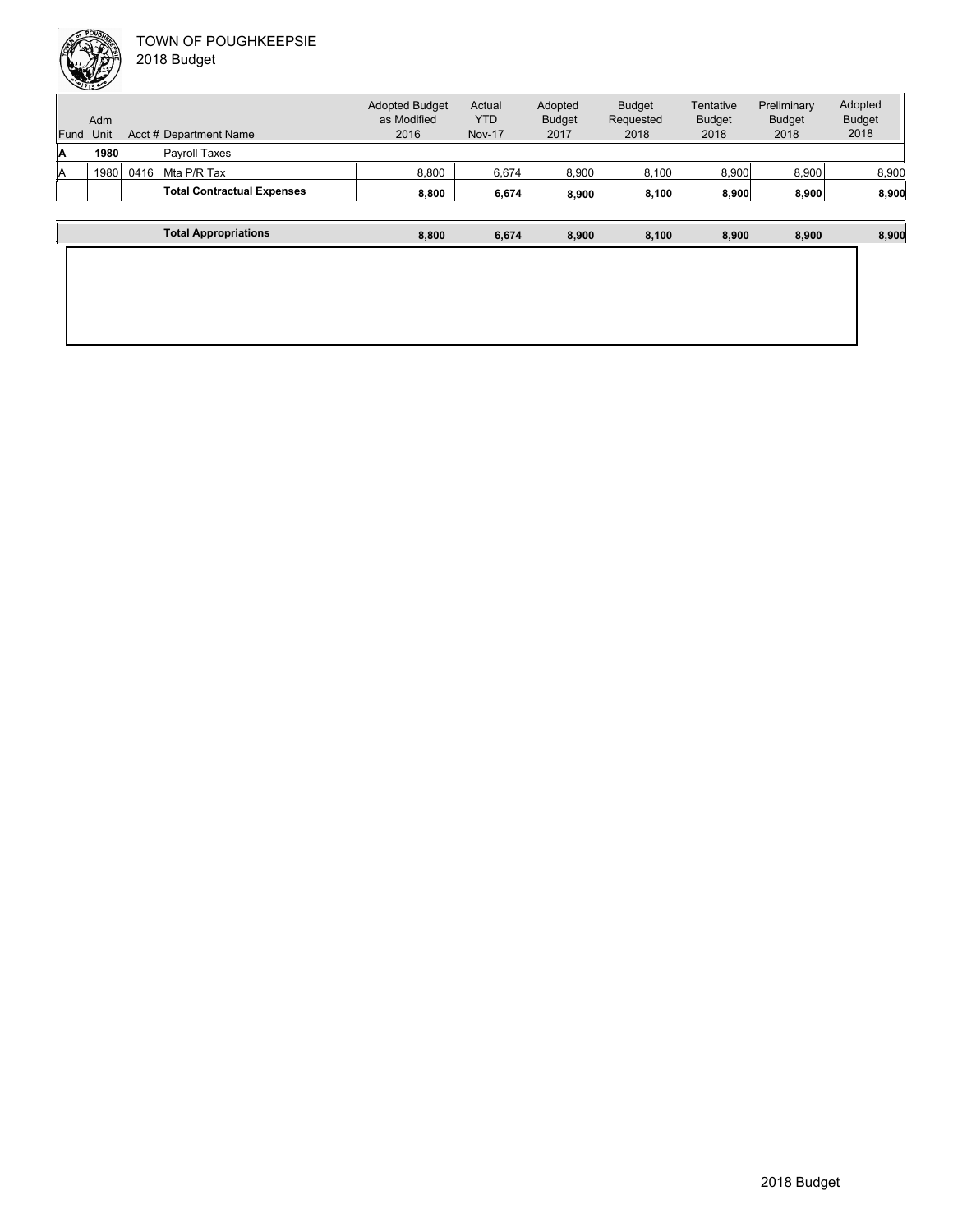|      |      |      |                                   | <b>Adopted Budget</b> | Actual        | Adopted       | <b>Budget</b> | Tentative     | Preliminary   | Adopted       |
|------|------|------|-----------------------------------|-----------------------|---------------|---------------|---------------|---------------|---------------|---------------|
|      | Adm  |      |                                   | as Modified           | <b>YTD</b>    | <b>Budget</b> | Requested     | <b>Budget</b> | <b>Budget</b> | <b>Budget</b> |
| Fund | Unit |      | Acct # Department Name            | 2016                  | <b>Nov-17</b> | 2017          | 2018          | 2018          | 2018          | 2018          |
| IA   | 1980 |      | Pavroll Taxes                     |                       |               |               |               |               |               |               |
| ΙA   | 1980 | 0416 | Mta P/R Tax                       | 8.800                 | 6,674         | 8.900         | 8,100         | 8.900         | 8.900         | 8,900         |
|      |      |      | <b>Total Contractual Expenses</b> | 8,800                 | 6,674         | 8.900         | 8,100         | 8,900         | 8.900         | 8,900         |
|      |      |      |                                   |                       |               |               |               |               |               |               |
|      |      |      | <b>Total Appropriations</b>       | 8,800                 | 6,674         | 8.900         | 8.100         | 8.900         | 8.900         | 8,900         |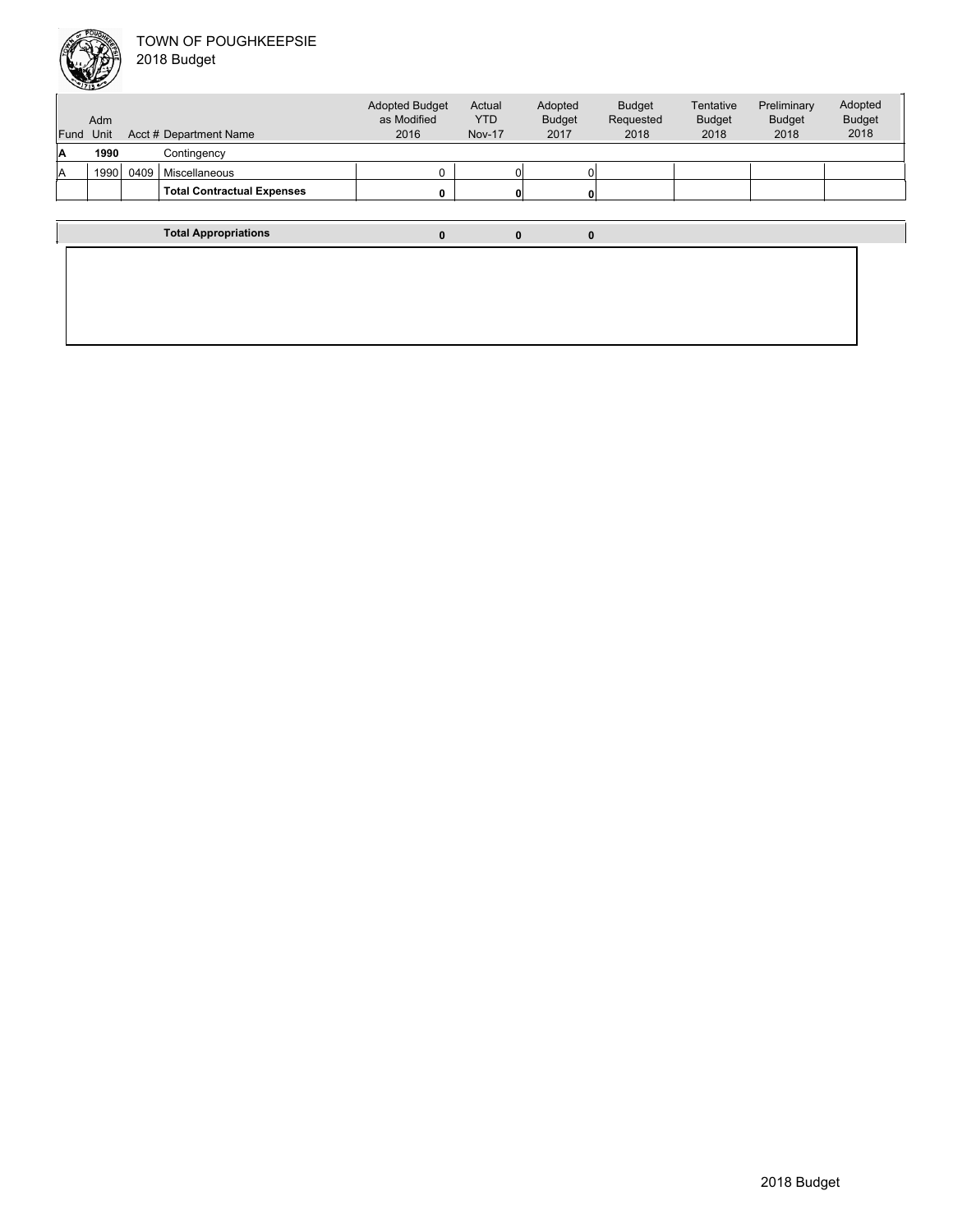

| Fund | Adm<br>Unit |      | Acct # Department Name            | <b>Adopted Budget</b><br>as Modified<br>2016 | Actual<br><b>YTD</b><br><b>Nov-17</b> | Adopted<br><b>Budget</b><br>2017 | <b>Budget</b><br>Requested<br>2018 | Tentative<br><b>Budget</b><br>2018 | Preliminary<br><b>Budget</b><br>2018 | Adopted<br><b>Budget</b><br>2018 |
|------|-------------|------|-----------------------------------|----------------------------------------------|---------------------------------------|----------------------------------|------------------------------------|------------------------------------|--------------------------------------|----------------------------------|
| ΙA   | 1990        |      | Contingency                       |                                              |                                       |                                  |                                    |                                    |                                      |                                  |
| A    | 1990        | 0409 | Miscellaneous                     | n.                                           |                                       |                                  |                                    |                                    |                                      |                                  |
|      |             |      | <b>Total Contractual Expenses</b> | 0                                            |                                       |                                  |                                    |                                    |                                      |                                  |
|      |             |      |                                   |                                              |                                       |                                  |                                    |                                    |                                      |                                  |
|      |             |      | <b>Total Appropriations</b>       |                                              |                                       | 0                                | 0                                  |                                    |                                      |                                  |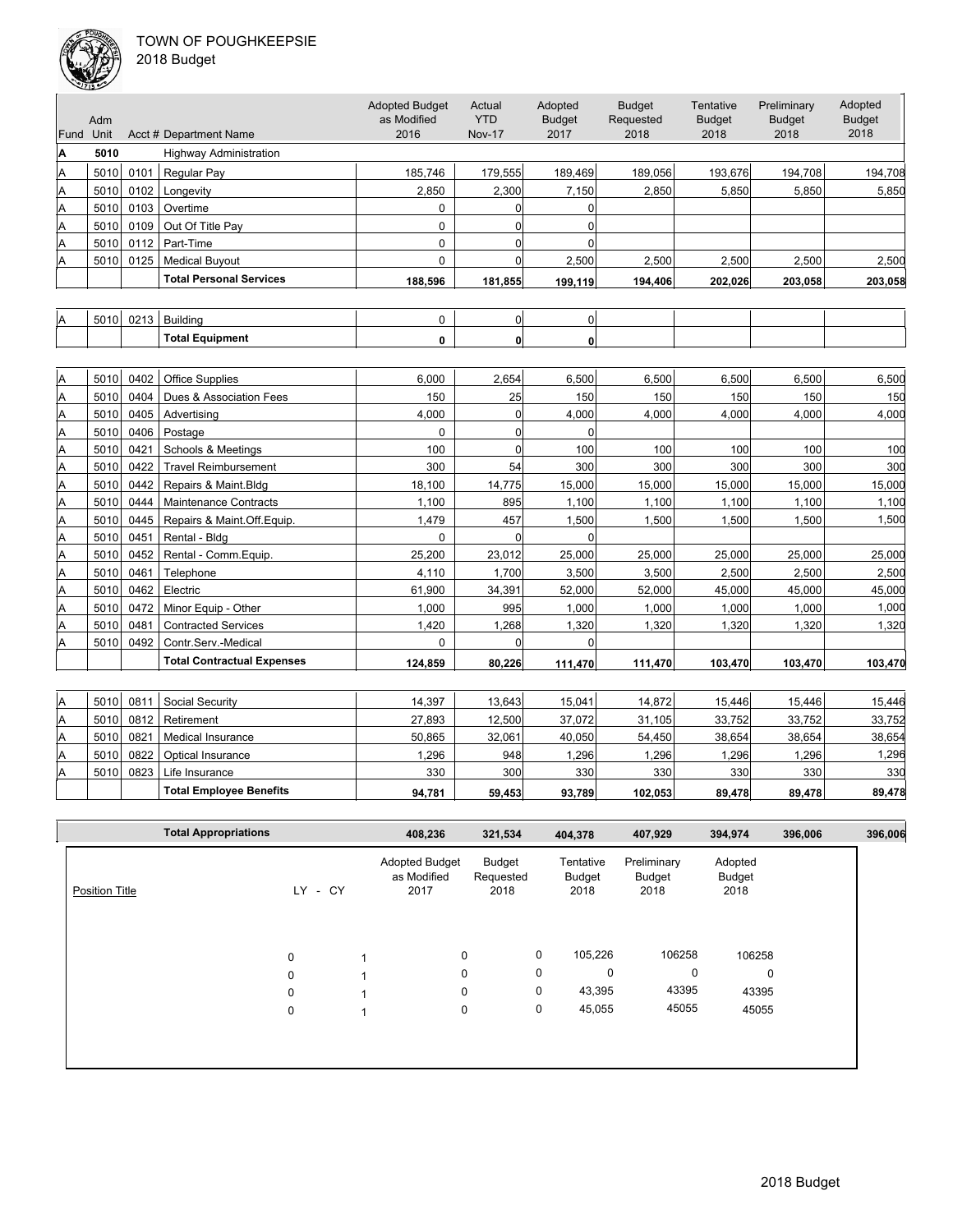

| Fund | Adm<br>Unit |      | Acct # Department Name            | <b>Adopted Budget</b><br>as Modified<br>2016 | Actual<br><b>YTD</b><br><b>Nov-17</b> | Adopted<br><b>Budget</b><br>2017 | <b>Budget</b><br>Requested<br>2018 | Tentative<br><b>Budget</b><br>2018 | Preliminary<br><b>Budget</b><br>2018 | Adopted<br><b>Budget</b><br>2018 |
|------|-------------|------|-----------------------------------|----------------------------------------------|---------------------------------------|----------------------------------|------------------------------------|------------------------------------|--------------------------------------|----------------------------------|
| Α    | 5010        |      | <b>Highway Administration</b>     |                                              |                                       |                                  |                                    |                                    |                                      |                                  |
| A    | 5010        | 0101 | Regular Pay                       | 185,746                                      | 179,555                               | 189,469                          | 189,056                            | 193,676                            | 194,708                              | 194,708                          |
| A    | 5010        | 0102 | Longevity                         | 2,850                                        | 2,300                                 | 7,150                            | 2,850                              | 5,850                              | 5,850                                | 5,850                            |
| A    | 5010        | 0103 | Overtime                          | 0                                            | $\Omega$                              | 0                                |                                    |                                    |                                      |                                  |
| A    | 5010        | 0109 | Out Of Title Pay                  | 0                                            | $\overline{0}$                        | $\Omega$                         |                                    |                                    |                                      |                                  |
| A    | 5010        | 0112 | Part-Time                         | 0                                            | 0                                     | $\Omega$                         |                                    |                                    |                                      |                                  |
| A    | 5010        | 0125 | <b>Medical Buyout</b>             | $\Omega$                                     | $\Omega$                              | 2,500                            | 2,500                              | 2,500                              | 2.500                                | 2,500                            |
|      |             |      | <b>Total Personal Services</b>    | 188,596                                      | 181,855                               | 199,119                          | 194,406                            | 202,026                            | 203,058                              | 203,058                          |
|      |             |      |                                   |                                              |                                       |                                  |                                    |                                    |                                      |                                  |
| Α    | 5010        | 0213 | <b>Building</b>                   | 0                                            | 0                                     | $\overline{0}$                   |                                    |                                    |                                      |                                  |
|      |             |      | <b>Total Equipment</b>            | 0                                            | 0                                     | $\mathbf{0}$                     |                                    |                                    |                                      |                                  |
|      |             |      |                                   |                                              |                                       |                                  |                                    |                                    |                                      |                                  |
| A    | 5010        | 0402 | <b>Office Supplies</b>            | 6,000                                        | 2,654                                 | 6,500                            | 6,500                              | 6,500                              | 6,500                                | 6,500                            |
| A    | 5010        | 0404 | Dues & Association Fees           | 150                                          | 25                                    | 150                              | 150                                | 150                                | 150                                  | 150                              |
| A    | 5010        | 0405 | Advertising                       | 4,000                                        | 0                                     | 4,000                            | 4,000                              | 4,000                              | 4,000                                | 4,000                            |
| A    | 5010        | 0406 | Postage                           | 0                                            | 0                                     | $\Omega$                         |                                    |                                    |                                      |                                  |
| A    | 5010        | 0421 | <b>Schools &amp; Meetings</b>     | 100                                          | $\Omega$                              | 100                              | 100                                | 100                                | 100                                  | 100                              |
| A    | 5010        | 0422 | <b>Travel Reimbursement</b>       | 300                                          | 54                                    | 300                              | 300                                | 300                                | 300                                  | 300                              |
| A    | 5010        | 0442 | Repairs & Maint.Bldg              | 18,100                                       | 14,775                                | 15,000                           | 15,000                             | 15,000                             | 15,000                               | 15,000                           |
| A    | 5010        | 0444 | <b>Maintenance Contracts</b>      | 1,100                                        | 895                                   | 1,100                            | 1,100                              | 1,100                              | 1,100                                | 1,100                            |
| A    | 5010        | 0445 | Repairs & Maint.Off.Equip.        | 1,479                                        | 457                                   | 1,500                            | 1,500                              | 1,500                              | 1,500                                | 1,500                            |
| A    | 5010        | 0451 | Rental - Bldg                     | 0                                            | 0                                     | $\Omega$                         |                                    |                                    |                                      |                                  |
| A    | 5010        | 0452 | Rental - Comm.Equip.              | 25,200                                       | 23,012                                | 25,000                           | 25,000                             | 25,000                             | 25,000                               | 25,000                           |
| A    | 5010        | 0461 | Telephone                         | 4,110                                        | 1,700                                 | 3,500                            | 3,500                              | 2,500                              | 2,500                                | 2,500                            |
| A    | 5010        | 0462 | Electric                          | 61,900                                       | 34,391                                | 52,000                           | 52,000                             | 45,000                             | 45,000                               | 45,000                           |
| A    | 5010        | 0472 | Minor Equip - Other               | 1,000                                        | 995                                   | 1,000                            | 1,000                              | 1,000                              | 1,000                                | 1,000                            |
| A    | 5010        | 0481 | <b>Contracted Services</b>        | 1,420                                        | 1,268                                 | 1,320                            | 1,320                              | 1,320                              | 1,320                                | 1,320                            |
| A    | 5010        | 0492 | Contr.Serv.-Medical               | $\Omega$                                     | $\overline{0}$                        | $\Omega$                         |                                    |                                    |                                      |                                  |
|      |             |      | <b>Total Contractual Expenses</b> | 124.859                                      | 80,226                                | 111,470                          | 111,470                            | 103,470                            | 103,470                              | 103,470                          |
|      |             |      |                                   |                                              |                                       |                                  |                                    |                                    |                                      |                                  |
| A    | 5010        | 0811 | Social Security                   | 14,397                                       | 13,643                                | 15,041                           | 14,872                             | 15,446                             | 15,446                               | 15,446                           |
| A    | 5010        | 0812 | Retirement                        | 27,893                                       | 12,500                                | 37,072                           | 31,105                             | 33,752                             | 33,752                               | 33,752                           |
| A    | 5010        | 0821 | <b>Medical Insurance</b>          | 50,865                                       | 32,061                                | 40,050                           | 54,450                             | 38,654                             | 38,654                               | 38,654                           |
| A    | 5010        | 0822 | Optical Insurance                 | 1,296                                        | 948                                   | 1,296                            | 1,296                              | 1,296                              | 1,296                                | 1,296                            |

|                       | <b>Total Appropriations</b> |                            |      | 408,236                                      | 321,534                     |                  | 404,378                     | 407,929                       | 394,974                          | 396,006 | 396,006 |
|-----------------------|-----------------------------|----------------------------|------|----------------------------------------------|-----------------------------|------------------|-----------------------------|-------------------------------|----------------------------------|---------|---------|
| <b>Position Title</b> |                             | LY.                        | - CY | <b>Adopted Budget</b><br>as Modified<br>2017 | Budget<br>Requested<br>2018 |                  | Tentative<br>Budget<br>2018 | Preliminary<br>Budget<br>2018 | Adopted<br><b>Budget</b><br>2018 |         |         |
|                       |                             | $\mathbf 0$<br>$\mathbf 0$ |      |                                              | $\mathbf 0$<br>$\mathbf 0$  | $\mathbf 0$<br>0 | 105,226<br>$\mathbf 0$      | 106258<br>0                   | 106258<br>$\mathbf 0$            |         |         |
|                       |                             | $\mathbf 0$<br>0           |      |                                              | $\mathbf 0$<br>0            | 0<br>0           | 43,395<br>45,055            | 43395<br>45055                | 43395<br>45055                   |         |         |
|                       |                             |                            |      |                                              |                             |                  |                             |                               |                                  |         |         |

A 5010 0823 Life Insurance 330 300 330 330 330 330 330

**Total Employee Benefits 94,781 59,453 93,789 102,053 89,478 89,478 89,478**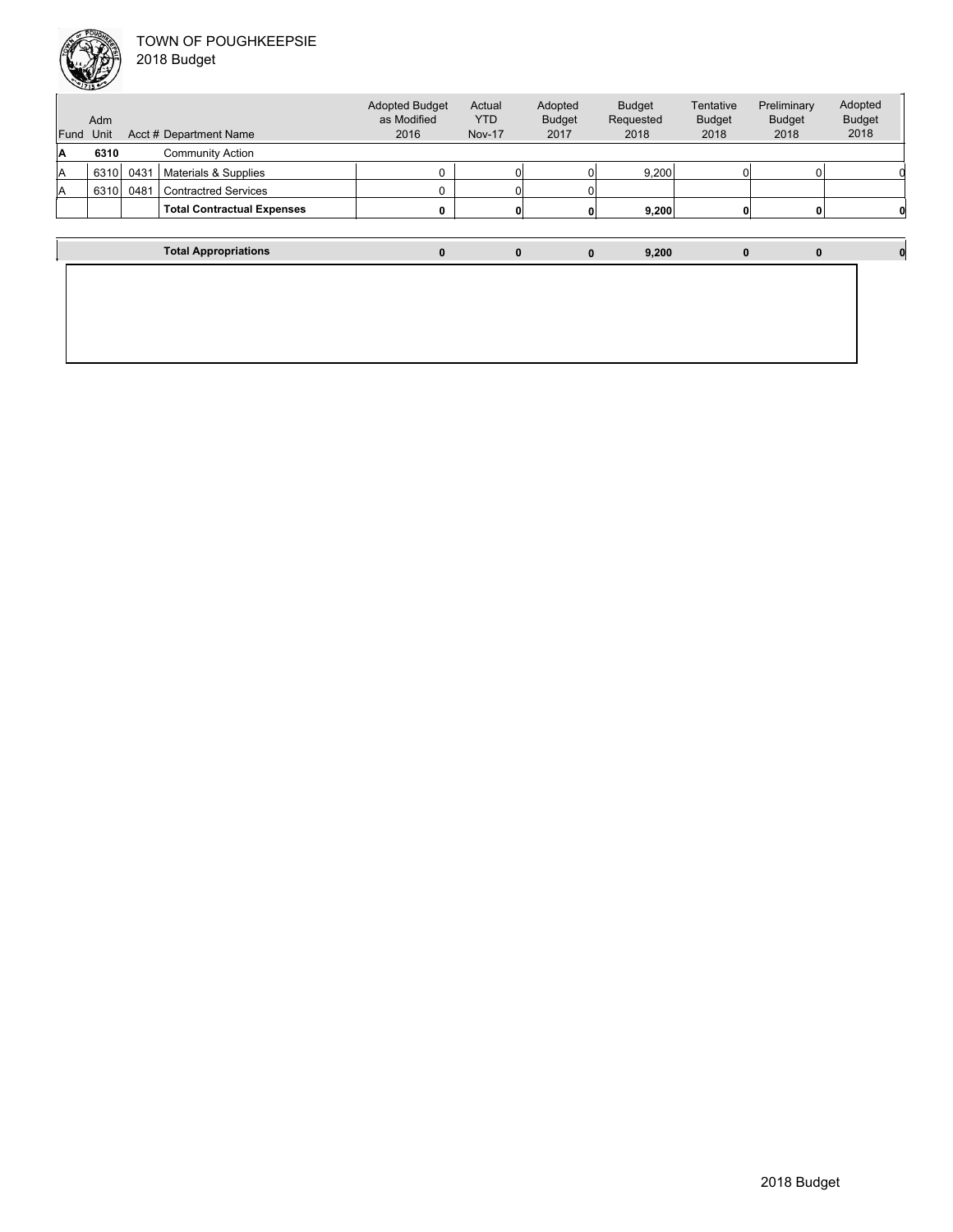

|    | ∸                |      |                                   |                                              |                                       |                                  |                                    |                                    |                                      |                                  |
|----|------------------|------|-----------------------------------|----------------------------------------------|---------------------------------------|----------------------------------|------------------------------------|------------------------------------|--------------------------------------|----------------------------------|
|    | Adm<br>Fund Unit |      | Acct # Department Name            | <b>Adopted Budget</b><br>as Modified<br>2016 | Actual<br><b>YTD</b><br><b>Nov-17</b> | Adopted<br><b>Budget</b><br>2017 | <b>Budget</b><br>Requested<br>2018 | Tentative<br><b>Budget</b><br>2018 | Preliminary<br><b>Budget</b><br>2018 | Adopted<br><b>Budget</b><br>2018 |
| ΙA | 6310             |      | <b>Community Action</b>           |                                              |                                       |                                  |                                    |                                    |                                      |                                  |
| ΙA | 6310             | 0431 | Materials & Supplies              | 0                                            |                                       |                                  | 9,200                              |                                    |                                      |                                  |
| ΙA | 6310             | 0481 | <b>Contractred Services</b>       | 0                                            |                                       |                                  |                                    |                                    |                                      |                                  |
|    |                  |      | <b>Total Contractual Expenses</b> | 0                                            |                                       |                                  | 9,200                              |                                    |                                      |                                  |
|    |                  |      |                                   |                                              |                                       |                                  |                                    |                                    |                                      |                                  |
|    |                  |      | <b>Total Appropriations</b>       | $\bf{0}$                                     | $\bf{0}$                              | $\mathbf 0$                      | 9,200                              | $\mathbf{0}$                       | $\bf{0}$                             |                                  |
|    |                  |      |                                   |                                              |                                       |                                  |                                    |                                    |                                      |                                  |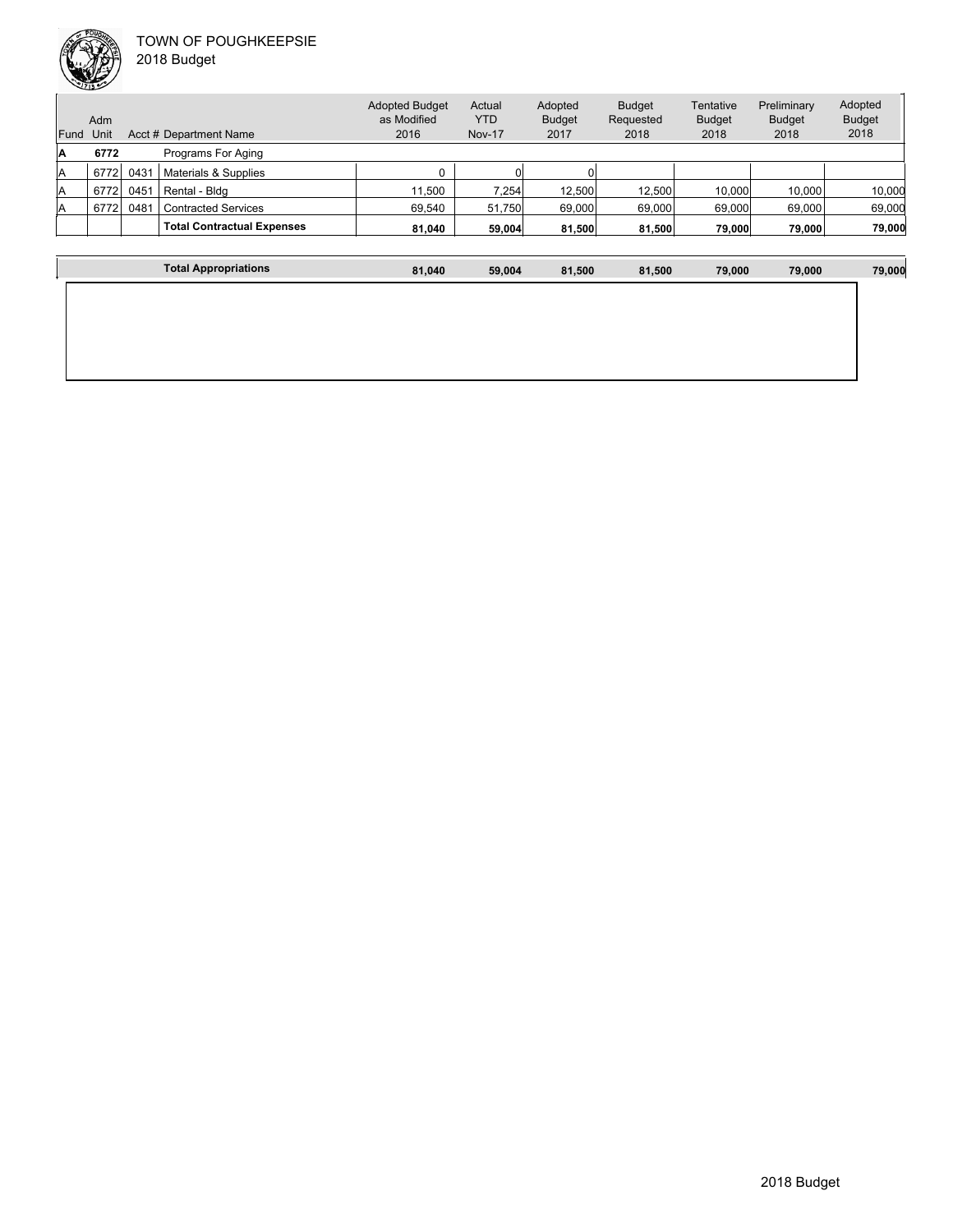

 $\overline{1}$ 

| 2018 Budget |  |
|-------------|--|
|             |  |

| Fund | Adm<br>Unit |      | Acct # Department Name            | <b>Adopted Budget</b><br>as Modified<br>2016 | Actual<br><b>YTD</b><br><b>Nov-17</b> | Adopted<br><b>Budget</b><br>2017 | <b>Budget</b><br>Requested<br>2018 | Tentative<br><b>Budget</b><br>2018 | Preliminary<br><b>Budget</b><br>2018 | Adopted<br><b>Budget</b><br>2018 |
|------|-------------|------|-----------------------------------|----------------------------------------------|---------------------------------------|----------------------------------|------------------------------------|------------------------------------|--------------------------------------|----------------------------------|
| А    | 6772        |      | Programs For Aging                |                                              |                                       |                                  |                                    |                                    |                                      |                                  |
|      |             |      |                                   |                                              |                                       |                                  |                                    |                                    |                                      |                                  |
| Α    | 6772        | 0431 | Materials & Supplies              |                                              | O١                                    |                                  |                                    |                                    |                                      |                                  |
| A    | 6772        | 0451 | Rental - Bldg                     | 11.500                                       | 7.254                                 | 12,500                           | 12.500                             | 10,000                             | 10.000                               | 10,000                           |
| Α    | 6772        | 0481 | <b>Contracted Services</b>        | 69,540                                       | 51,750                                | 69,000                           | 69,000                             | 69,000                             | 69,000                               | 69,000                           |
|      |             |      | <b>Total Contractual Expenses</b> | 81,040                                       | 59,004                                | 81,500                           | 81,500                             | 79,000                             | 79,000                               | 79,000                           |
|      |             |      |                                   |                                              |                                       |                                  |                                    |                                    |                                      |                                  |

| <b>Total Appropriations</b> | 81,040 | 59,004 | 81,500 | 81,500 | 79,000 | 79,000 | 79,000 |
|-----------------------------|--------|--------|--------|--------|--------|--------|--------|
|                             |        |        |        |        |        |        |        |
|                             |        |        |        |        |        |        |        |
|                             |        |        |        |        |        |        |        |
|                             |        |        |        |        |        |        |        |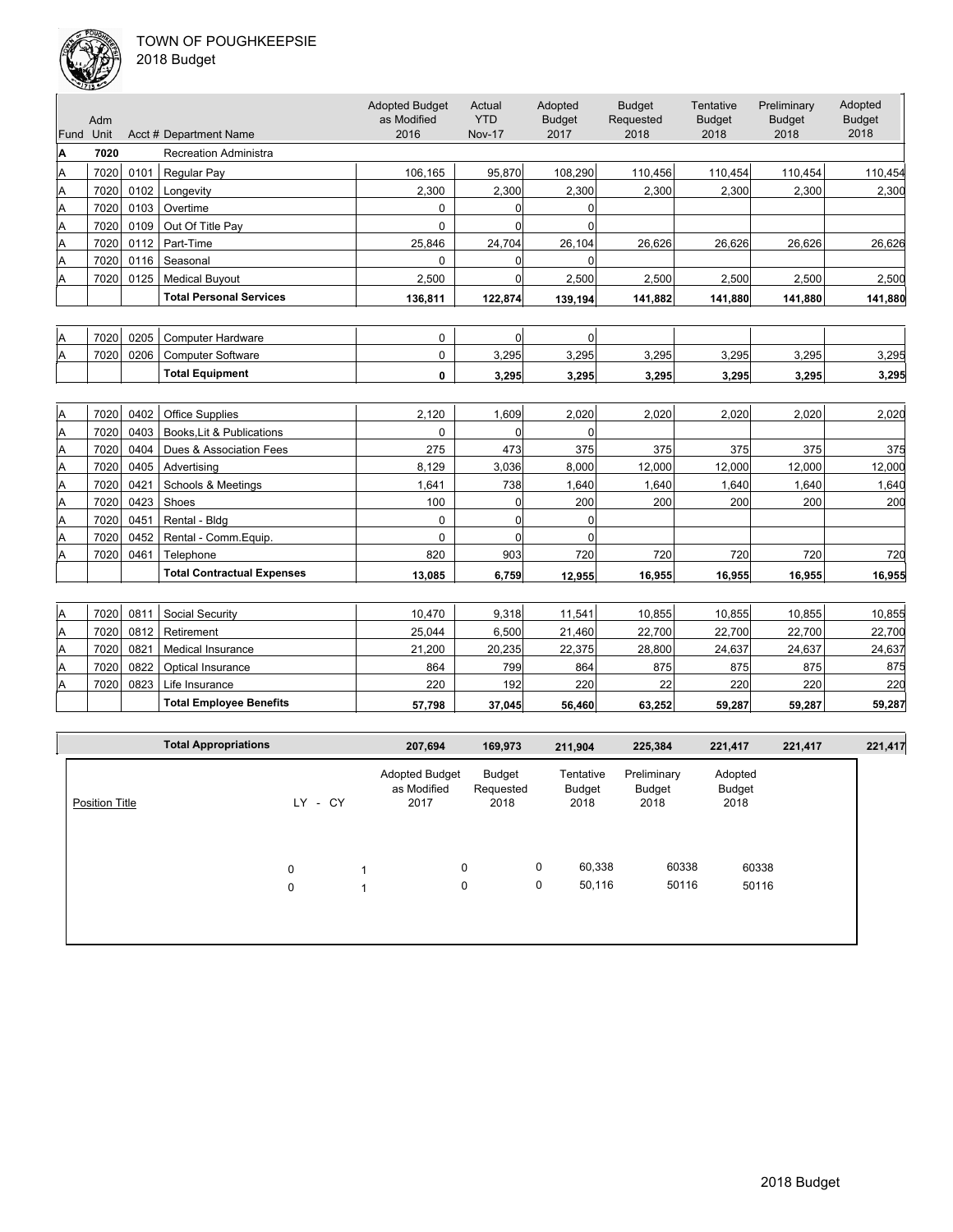

| 018 Budget |  |
|------------|--|
|------------|--|

| Fund Unit | Adm  |      | Acct # Department Name            | <b>Adopted Budget</b><br>as Modified<br>2016 | Actual<br><b>YTD</b><br><b>Nov-17</b> | Adopted<br><b>Budget</b><br>2017 | <b>Budget</b><br>Requested<br>2018 | Tentative<br><b>Budget</b><br>2018 | Preliminary<br><b>Budget</b><br>2018 | Adopted<br><b>Budget</b><br>2018 |
|-----------|------|------|-----------------------------------|----------------------------------------------|---------------------------------------|----------------------------------|------------------------------------|------------------------------------|--------------------------------------|----------------------------------|
| A         | 7020 |      | <b>Recreation Administra</b>      |                                              |                                       |                                  |                                    |                                    |                                      |                                  |
| A         | 7020 | 0101 | Regular Pay                       | 106,165                                      | 95,870                                | 108,290                          | 110,456                            | 110,454                            | 110,454                              | 110,454                          |
| A         | 7020 | 0102 | Longevity                         | 2,300                                        | 2,300                                 | 2,300                            | 2,300                              | 2,300                              | 2,300                                | 2,300                            |
| A         | 7020 | 0103 | Overtime                          | 0                                            | 0                                     | $\overline{0}$                   |                                    |                                    |                                      |                                  |
| A         | 7020 | 0109 | Out Of Title Pay                  | $\Omega$                                     | 0                                     | $\Omega$                         |                                    |                                    |                                      |                                  |
| Α         | 7020 | 0112 | Part-Time                         | 25,846                                       | 24,704                                | 26,104                           | 26,626                             | 26,626                             | 26,626                               | 26,626                           |
| Α         | 7020 | 0116 | Seasonal                          | $\Omega$                                     | 0                                     | $\Omega$                         |                                    |                                    |                                      |                                  |
| Α         | 7020 | 0125 | <b>Medical Buyout</b>             | 2,500                                        | 0                                     | 2,500                            | 2,500                              | 2,500                              | 2,500                                | 2,500                            |
|           |      |      | <b>Total Personal Services</b>    | 136.811                                      | 122.874                               | 139,194                          | 141.882                            | 141.880                            | 141.880                              | 141,880                          |
|           |      |      |                                   |                                              |                                       |                                  |                                    |                                    |                                      |                                  |
| A         | 7020 | 0205 | <b>Computer Hardware</b>          | 0                                            | $\overline{0}$                        | 0                                |                                    |                                    |                                      |                                  |
| A         | 7020 | 0206 | <b>Computer Software</b>          | 0                                            | 3,295                                 | 3,295                            | 3,295                              | 3,295                              | 3,295                                | 3,295                            |
|           |      |      | <b>Total Equipment</b>            | 0                                            | 3,295                                 | 3,295                            | 3,295                              | 3,295                              | 3,295                                | 3,295                            |
|           |      |      |                                   |                                              |                                       |                                  |                                    |                                    |                                      |                                  |
| Α         | 7020 | 0402 | <b>Office Supplies</b>            | 2.120                                        | 1,609                                 | 2,020                            | 2,020                              | 2.020                              | 2.020                                | 2,020                            |
| A         | 7020 | 0403 | Books, Lit & Publications         | $\Omega$                                     | 0                                     | $\Omega$                         |                                    |                                    |                                      |                                  |
| A         | 7020 | 0404 | Dues & Association Fees           | 275                                          | 473                                   | 375                              | 375                                | 375                                | 375                                  | 375                              |
| A         | 7020 | 0405 | Advertising                       | 8,129                                        | 3,036                                 | 8,000                            | 12,000                             | 12,000                             | 12,000                               | 12,000                           |
| A         | 7020 | 0421 | Schools & Meetings                | 1,641                                        | 738                                   | 1,640                            | 1,640                              | 1,640                              | 1,640                                | 1,640                            |
| A         | 7020 | 0423 | Shoes                             | 100                                          | $\overline{0}$                        | 200                              | 200                                | 200                                | 200                                  | 200                              |
| A         | 7020 | 0451 | Rental - Bldg                     | 0                                            | $\overline{0}$                        | $\Omega$                         |                                    |                                    |                                      |                                  |
| A         | 7020 | 0452 | Rental - Comm.Equip.              | 0                                            | $\Omega$                              | $\Omega$                         |                                    |                                    |                                      |                                  |
| A         | 7020 | 0461 | Telephone                         | 820                                          | 903                                   | 720                              | 720                                | 720                                | 720                                  | 720                              |
|           |      |      | <b>Total Contractual Expenses</b> | 13,085                                       | 6,759                                 | 12,955                           | 16,955                             | 16,955                             | 16,955                               | 16,955                           |
|           |      |      |                                   |                                              |                                       |                                  |                                    |                                    |                                      |                                  |
| Α         | 7020 | 0811 | Social Security                   | 10,470                                       | 9,318                                 | 11,541                           | 10,855                             | 10,855                             | 10,855                               | 10,855                           |
| A         | 7020 | 0812 | Retirement                        | 25,044                                       | 6,500                                 | 21,460                           | 22,700                             | 22,700                             | 22,700                               | 22,700                           |
| A         | 7020 | 0821 | Medical Insurance                 | 21,200                                       | 20,235                                | 22,375                           | 28,800                             | 24,637                             | 24,637                               | 24,637                           |
| A         | 7020 | 0822 | Optical Insurance                 | 864                                          | 799                                   | 864                              | 875                                | 875                                | 875                                  | 875                              |
| ΙA        | 7020 | 0823 | Life Insurance                    | 220                                          | 192                                   | 220                              | 22                                 | 220                                | 220                                  | 220                              |
|           |      |      | <b>Total Employee Benefits</b>    | 57,798                                       | 37,045                                | 56,460                           | 63,252                             | 59,287                             | 59,287                               | 59,287                           |
|           |      |      |                                   |                                              |                                       |                                  |                                    |                                    |                                      |                                  |
|           |      |      |                                   |                                              |                                       |                                  |                                    |                                    |                                      |                                  |

|                       | <b>Total Appropriations</b> |                  | 207,694                                      | 169,973                     |        | 211,904                     | 225,384                       | 221,417                   | 221,417 | 221,417 |
|-----------------------|-----------------------------|------------------|----------------------------------------------|-----------------------------|--------|-----------------------------|-------------------------------|---------------------------|---------|---------|
| <b>Position Title</b> |                             | LY.<br>- CY      | <b>Adopted Budget</b><br>as Modified<br>2017 | Budget<br>Requested<br>2018 |        | Tentative<br>Budget<br>2018 | Preliminary<br>Budget<br>2018 | Adopted<br>Budget<br>2018 |         |         |
|                       |                             | $\mathbf 0$<br>0 |                                              | 0<br>0                      | 0<br>0 | 60,338<br>50,116            | 60338<br>50116                | 60338<br>50116            |         |         |
|                       |                             |                  |                                              |                             |        |                             |                               |                           |         |         |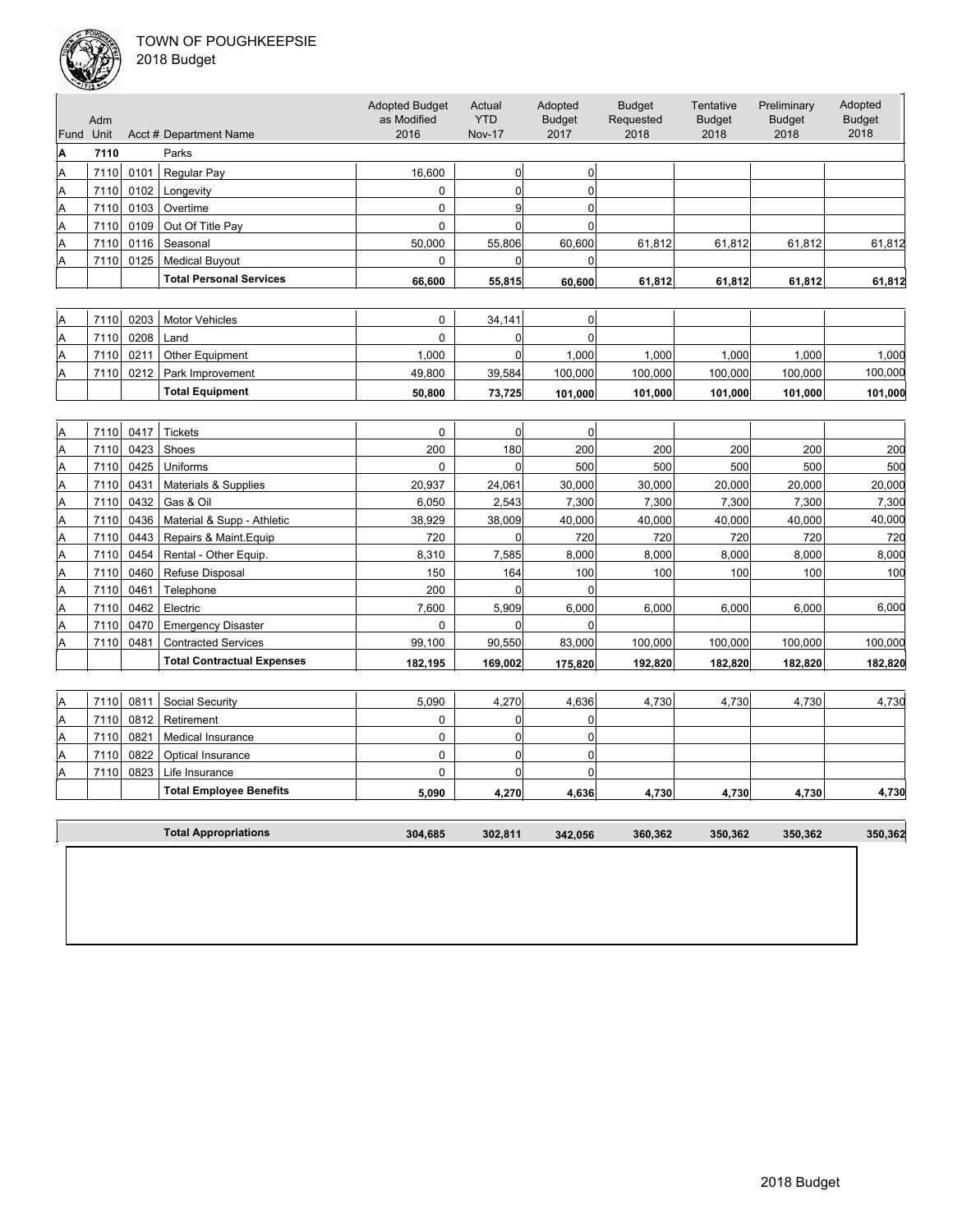

| Fund | Adm<br>Unit |      | Acct # Department Name         | <b>Adopted Budget</b><br>as Modified<br>2016 | Actual<br><b>YTD</b><br><b>Nov-17</b> | Adopted<br><b>Budget</b><br>2017 | <b>Budget</b><br>Requested<br>2018 | Tentative<br><b>Budget</b><br>2018 | Preliminary<br><b>Budget</b><br>2018 | Adopted<br><b>Budget</b><br>2018 |
|------|-------------|------|--------------------------------|----------------------------------------------|---------------------------------------|----------------------------------|------------------------------------|------------------------------------|--------------------------------------|----------------------------------|
| А    | 7110        |      | Parks                          |                                              |                                       |                                  |                                    |                                    |                                      |                                  |
| A    | 7110        | 0101 | Regular Pay                    | 16.600                                       |                                       |                                  |                                    |                                    |                                      |                                  |
| A    | 7110        | 0102 | Longevity                      | 0                                            |                                       |                                  |                                    |                                    |                                      |                                  |
| Α    | 7110        | 0103 | Overtime                       | 0                                            |                                       |                                  |                                    |                                    |                                      |                                  |
| A    | 7110        | 0109 | Out Of Title Pav               |                                              |                                       |                                  |                                    |                                    |                                      |                                  |
| A    | 7110        | 0116 | Seasonal                       | 50,000                                       | 55.806                                | 60.600                           | 61.812                             | 61.812                             | 61.812                               | 61,812                           |
| A    | 7110        | 0125 | <b>Medical Buvout</b>          | 0                                            |                                       |                                  |                                    |                                    |                                      |                                  |
|      |             |      | <b>Total Personal Services</b> | 66,600                                       | 55,815                                | 60.600                           | 61,812                             | 61,812                             | 61,812                               | 61,812                           |

| ΙA | 7110     | 0203 | Motor Vehicles         |        | 34.141 |         |         |         |         |         |
|----|----------|------|------------------------|--------|--------|---------|---------|---------|---------|---------|
| ΙA | 7110     | 0208 | Land                   |        |        |         |         |         |         |         |
| ΙA | 7110     | 0211 | <b>Other Equipment</b> | 000.1  |        | .000    | .000    | .0001   | 000.    | .000    |
| ΙA | $7110$ . | 0212 | Park Improvement       | 49.800 | 39.584 | 100.000 | 100.000 | 100.000 | 100.000 | 100,000 |
|    |          |      | <b>Total Equipment</b> | 50.800 | 73.725 | 101.000 | 101.000 | 101.000 | 101.000 | 101,000 |

| ΙA | 7110 | 0417 | <b>Tickets</b>                    | 0       |         | $\Omega$     |         |         |         |         |
|----|------|------|-----------------------------------|---------|---------|--------------|---------|---------|---------|---------|
| ΙA | 7110 | 0423 | Shoes                             | 200     | 180     | 200          | 200     | 200     | 200     | 200     |
| ΙA | 7110 | 0425 | <b>Uniforms</b>                   | 0       |         | 500          | 500     | 500     | 500     | 500     |
| ΙA | 7110 | 0431 | Materials & Supplies              | 20,937  | 24,061  | 30,000       | 30,000  | 20,000  | 20,000  | 20,000  |
| ΙA | 7110 | 0432 | Gas & Oil                         | 6,050   | 2,543   | 7,300        | 7,300   | 7,300   | 7,300   | 7,300   |
| ΙA | 7110 | 0436 | Material & Supp - Athletic        | 38,929  | 38,009  | 40,000       | 40,000  | 40,000  | 40,000  | 40,000  |
| ΙA | 7110 | 0443 | Repairs & Maint. Equip            | 720     |         | 720          | 720     | 720     | 720     | 720     |
| ΙA | 7110 | 0454 | Rental - Other Equip.             | 8.310   | 7.585   | 8.000        | 8.000   | 8.000   | 8.000   | 8,000   |
| ΙA | 7110 | 0460 | Refuse Disposal                   | 150     | 164     | 100          | 100     | 100     | 100     | 100     |
| ΙA | 7110 | 0461 | Telephone                         | 200     |         | <sup>0</sup> |         |         |         |         |
| ΙA | 7110 | 0462 | Electric                          | 7,600   | 5,909   | 6,000        | 6,000   | 6,000   | 6,000   | 6,000   |
| ΙA | 7110 | 0470 | <b>Emergency Disaster</b>         | 0       |         |              |         |         |         |         |
| ΙA | 7110 | 0481 | <b>Contracted Services</b>        | 99,100  | 90,550  | 83,000       | 100,000 | 100,000 | 100,000 | 100,000 |
|    |      |      | <b>Total Contractual Expenses</b> | 182.195 | 169,002 | 175.820      | 192,820 | 182,820 | 182,820 | 182,820 |

| ΙA | 7110 | 0811 | Social Security                | 5.090 | 4.270 | 4.636 | 4.730 | 4.730 | 4.730 | 4,730 |
|----|------|------|--------------------------------|-------|-------|-------|-------|-------|-------|-------|
| ΙA | 7110 | 0812 | Retirement                     |       |       |       |       |       |       |       |
| ΙA | 7110 | 0821 | Medical Insurance              |       |       |       |       |       |       |       |
| ΙA | 7110 | 0822 | <b>Optical Insurance</b>       |       |       |       |       |       |       |       |
| ΙA | 7110 | 0823 | Life Insurance                 |       |       |       |       |       |       |       |
|    |      |      | <b>Total Employee Benefits</b> | 5,090 | 4,270 | 4,636 | 4,730 | 4,730 | 4,730 | 4,730 |

| <b>Total Appropriations</b> | 304,685 | 302,811 | 342,056 | 360,362 | 350,362 | 350,362 | 350,362 |
|-----------------------------|---------|---------|---------|---------|---------|---------|---------|
|                             |         |         |         |         |         |         |         |
|                             |         |         |         |         |         |         |         |
|                             |         |         |         |         |         |         |         |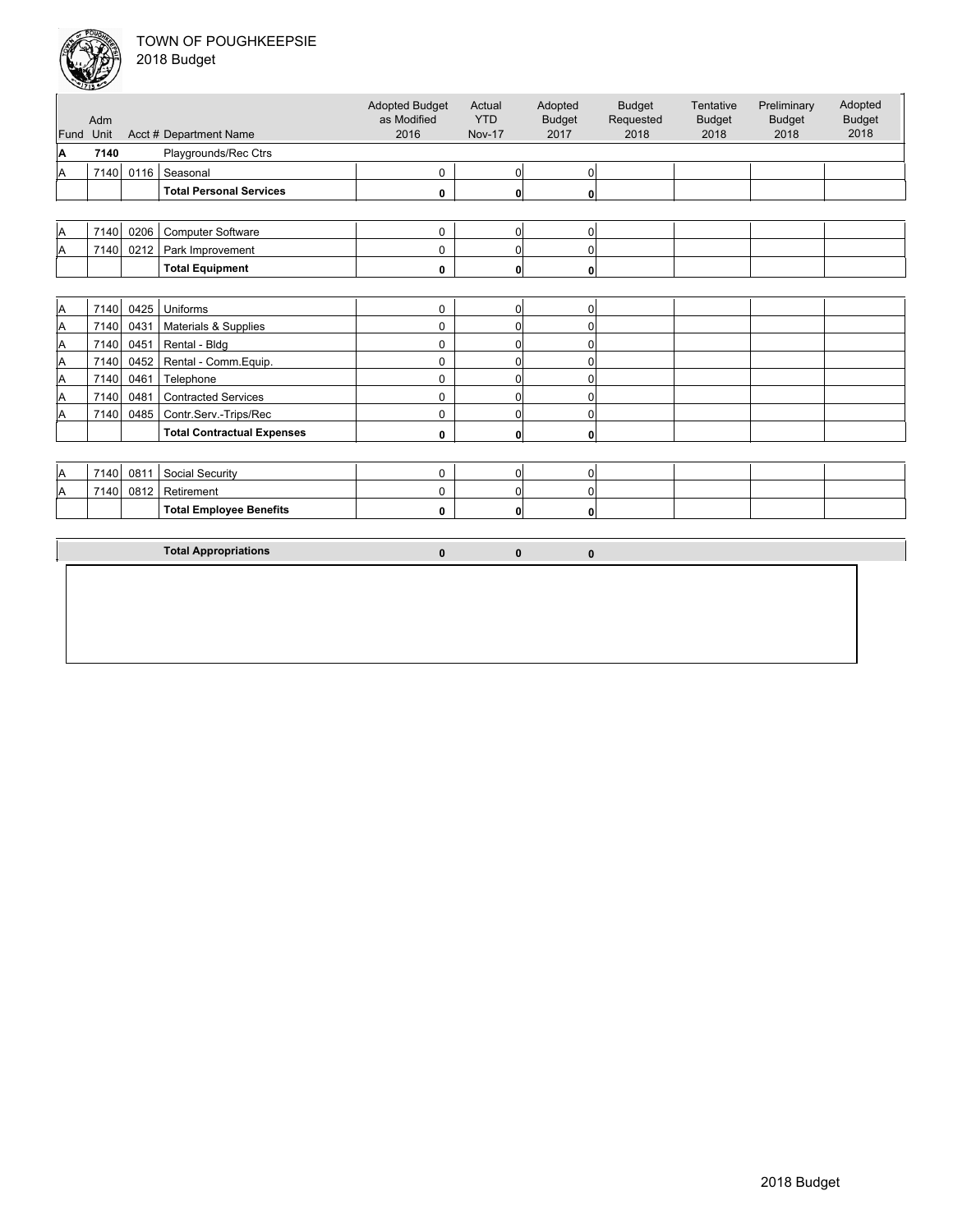Unit Acct # Department Name Adm Actual YTD Nov-17 Budget Requested 2018 Tentative Budget 2018 Preliminary Budget 2018 Adopted Budget 2018 Adopted Budget as Modified 2016 Fund Unit Adopted Budget 2017 **A 7140** Playgrounds/Rec Ctrs A 7140 0116 Seasonal 0 0 0 **Total Personal Services 0 0 0** A 7140 0206 Computer Software 0 0 0 A 7140 0212 Park Improvement 0 0 0 **Total Equipment 0** 0 0 0 0 A | 7140 | 0425 | Uniforms 0 | 0 | 0  $\begin{array}{|c|c|c|c|}\nA & 7140 & 0431 & \text{Materials & \text{Supplies} & & \text{\normalsize 0} & \text{\normalsize 0} & \text{\normalsize 0} & \text{\normalsize 0} & \text{\normalsize 0} & \text{\normalsize 0} & \text{\normalsize 0} & \text{\normalsize 0} & \text{\normalsize 0} & \text{\normalsize 0} & \text{\normalsize 0} & \text{\normalsize 0} & \text{\normalsize 0} & \text{\normalsize 0} & \text{\normalsize 0} & \text{\normalsize 0} & \text{\normalsize 0} & \text{\normals$ A 7140 0451 Rental - Bldg 0 0 0 A 7140 0452 Rental - Comm.Equip. 0 0 0 A 7140 0461 Telephone 0 0 0 0 0 A 7140 0481 Contracted Services 0 0 0 A 7140 0485 Contr.Serv.-Trips/Rec 0 0 0 0 0 0 **Total Contractual Expenses 0** 0 0 0 0 0  $\begin{vmatrix} 1 & 0 & 0 & 0 \\ 0 & 0 & 0 & 0 \\ 0 & 0 & 0 & 0 \end{vmatrix}$   $\begin{vmatrix} 0 & 0 & 0 \\ 0 & 0 & 0 \\ 0 & 0 & 0 \end{vmatrix}$ A 7140 0812 Retirement 0 0 0 Total Employee Benefits **1.1 Contract 1.1 Contract 2.1 Contract 2.1** Contract 2.1 O **Total Appropriations 0 0 0**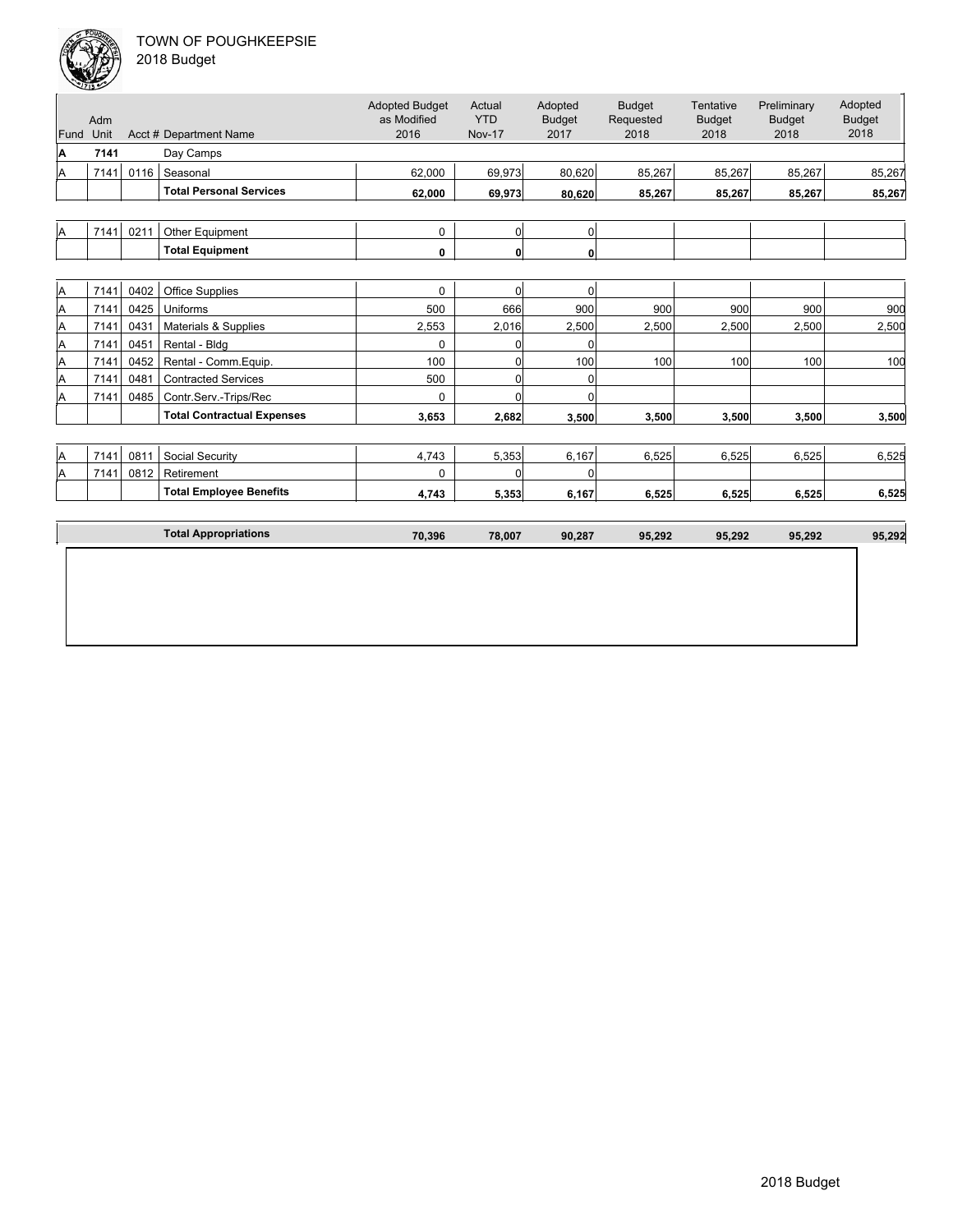| Adm  |                      |                                   | <b>Adopted Budget</b><br>as Modified                    | Actual<br><b>YTD</b> | Adopted<br><b>Budget</b> | <b>Budget</b><br>Requested | Tentative<br><b>Budget</b> | Preliminary<br><b>Budget</b> | Adopted<br><b>Budget</b><br>2018 |
|------|----------------------|-----------------------------------|---------------------------------------------------------|----------------------|--------------------------|----------------------------|----------------------------|------------------------------|----------------------------------|
|      |                      |                                   |                                                         |                      |                          |                            |                            |                              |                                  |
|      |                      |                                   |                                                         |                      |                          |                            |                            |                              |                                  |
|      |                      |                                   |                                                         |                      |                          |                            |                            |                              | 85,267                           |
|      |                      | <b>Total Personal Services</b>    | 62,000                                                  | 69.973               | 80,620                   | 85,267                     | 85,267                     | 85,267                       | 85,267                           |
|      |                      |                                   |                                                         |                      |                          |                            |                            |                              |                                  |
| 7141 | 0211                 | Other Equipment                   | $\mathbf 0$                                             | $\Omega$             | $\overline{0}$           |                            |                            |                              |                                  |
|      |                      | <b>Total Equipment</b>            | 0                                                       | $\mathbf{0}$         | 0                        |                            |                            |                              |                                  |
|      |                      |                                   |                                                         |                      |                          |                            |                            |                              |                                  |
| 7141 | 0402                 | <b>Office Supplies</b>            | 0                                                       | $\Omega$             | $\mathbf 0$              |                            |                            |                              |                                  |
| 7141 | 0425                 | Uniforms                          | 500                                                     | 666                  | 900                      | 900                        | 900                        | 900                          | 900                              |
| 7141 | 0431                 | Materials & Supplies              | 2,553                                                   | 2,016                | 2,500                    | 2,500                      | 2,500                      | 2,500                        | 2,500                            |
| 7141 | 0451                 | Rental - Bldg                     | $\Omega$                                                | 0                    | $\Omega$                 |                            |                            |                              |                                  |
| 7141 | 0452                 | Rental - Comm. Equip.             | 100                                                     | 0                    | 100                      | 100                        | 100                        | 100                          | 100                              |
| 7141 | 0481                 | <b>Contracted Services</b>        | 500                                                     | 0                    | 0                        |                            |                            |                              |                                  |
| 7141 | 0485                 | Contr.Serv.-Trips/Rec             | $\Omega$                                                | $\Omega$             | $\Omega$                 |                            |                            |                              |                                  |
|      |                      | <b>Total Contractual Expenses</b> | 3,653                                                   | 2,682                | 3.500                    | 3,500                      | 3,500                      | 3.500                        | 3,500                            |
|      |                      |                                   |                                                         |                      |                          |                            |                            |                              |                                  |
| 7141 | 0811                 | Social Security                   | 4,743                                                   | 5,353                | 6,167                    | 6,525                      | 6.525                      | 6.525                        | 6,525                            |
| 7141 | 0812                 | Retirement                        | $\Omega$                                                | <sup>0</sup>         | $\Omega$                 |                            |                            |                              |                                  |
|      |                      | <b>Total Employee Benefits</b>    | 4,743                                                   | 5,353                | 6,167                    | 6,525                      | 6,525                      | 6,525                        | 6,525                            |
|      |                      |                                   |                                                         |                      |                          |                            |                            |                              |                                  |
|      |                      | <b>Total Appropriations</b>       | 70,396                                                  | 78,007               | 90,287                   | 95,292                     | 95,292                     | 95,292                       | 95,292                           |
|      | Unit<br>7141<br>7141 |                                   | Acct # Department Name<br>Day Camps<br>0116<br>Seasonal | 2016<br>62,000       | <b>Nov-17</b><br>69,973  | 2017<br>80,620             | 2018<br>85,267             | 2018<br>85,267               | 2018<br>85,267                   |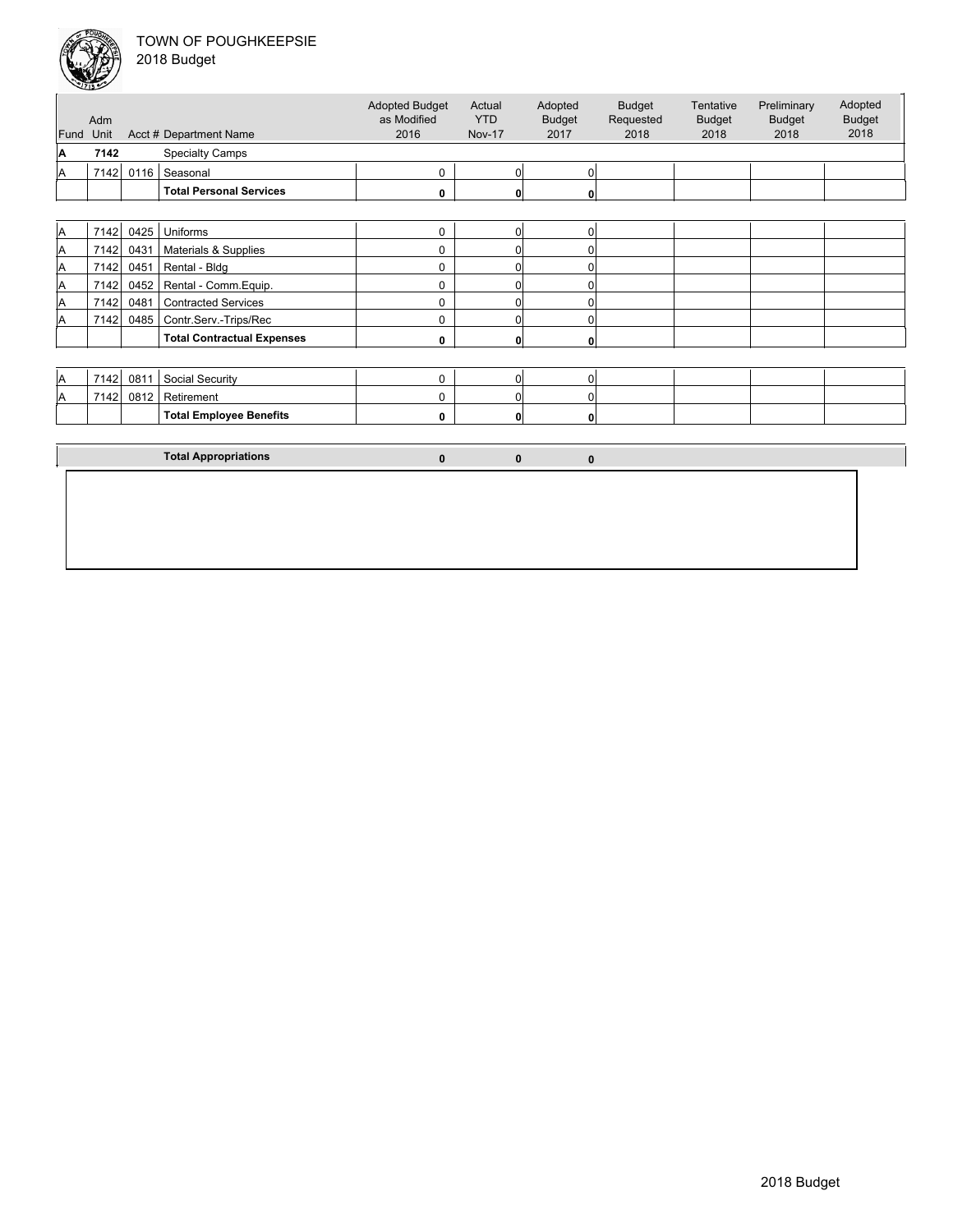

|      | Adm  |      |                                   | <b>Adopted Budget</b><br>as Modified | Actual<br><b>YTD</b> | Adopted<br><b>Budget</b> | <b>Budget</b><br>Requested | Tentative<br><b>Budget</b> | Preliminary<br><b>Budget</b> | Adopted<br><b>Budget</b> |
|------|------|------|-----------------------------------|--------------------------------------|----------------------|--------------------------|----------------------------|----------------------------|------------------------------|--------------------------|
| Fund | Unit |      | Acct # Department Name            | 2016                                 | <b>Nov-17</b>        | 2017                     | 2018                       | 2018                       | 2018                         | 2018                     |
| ΙA   | 7142 |      | <b>Specialty Camps</b>            |                                      |                      |                          |                            |                            |                              |                          |
| ΙA   | 7142 | 0116 | Seasonal                          | 0                                    | $\overline{0}$       | $\Omega$                 |                            |                            |                              |                          |
|      |      |      | <b>Total Personal Services</b>    | 0                                    | 0                    | 0                        |                            |                            |                              |                          |
|      |      |      |                                   |                                      |                      |                          |                            |                            |                              |                          |
| IA.  | 7142 | 0425 | Uniforms                          | $\mathbf 0$                          | $\overline{0}$       | $\overline{0}$           |                            |                            |                              |                          |
| A    | 7142 | 0431 | Materials & Supplies              | 0                                    | 0                    | $\Omega$                 |                            |                            |                              |                          |
| IA.  | 7142 | 0451 | Rental - Bldg                     | 0                                    | 0                    | $\Omega$                 |                            |                            |                              |                          |
| A    | 7142 | 0452 | Rental - Comm. Equip.             | 0                                    | 0                    | $\Omega$                 |                            |                            |                              |                          |
| ΙA   | 7142 | 0481 | <b>Contracted Services</b>        | 0                                    | 0                    | 0                        |                            |                            |                              |                          |
| A    | 7142 | 0485 | Contr.Serv.-Trips/Rec             | 0                                    | 0                    | 0                        |                            |                            |                              |                          |
|      |      |      | <b>Total Contractual Expenses</b> | 0                                    | 0                    | 0                        |                            |                            |                              |                          |
|      |      |      |                                   |                                      |                      |                          |                            |                            |                              |                          |
| ΙA   | 7142 | 0811 | Social Security                   | $\mathbf 0$                          | $\overline{0}$       | $\overline{0}$           |                            |                            |                              |                          |
| ΙA   | 7142 | 0812 | Retirement                        | 0                                    | 0                    | $\Omega$                 |                            |                            |                              |                          |
|      |      |      | <b>Total Employee Benefits</b>    | 0                                    | 0                    | $\Omega$                 |                            |                            |                              |                          |
|      |      |      |                                   |                                      |                      |                          |                            |                            |                              |                          |
|      |      |      | <b>Total Appropriations</b>       | $\mathbf{0}$                         | $\mathbf 0$          | $\bf{0}$                 |                            |                            |                              |                          |
|      |      |      |                                   |                                      |                      |                          |                            |                            |                              |                          |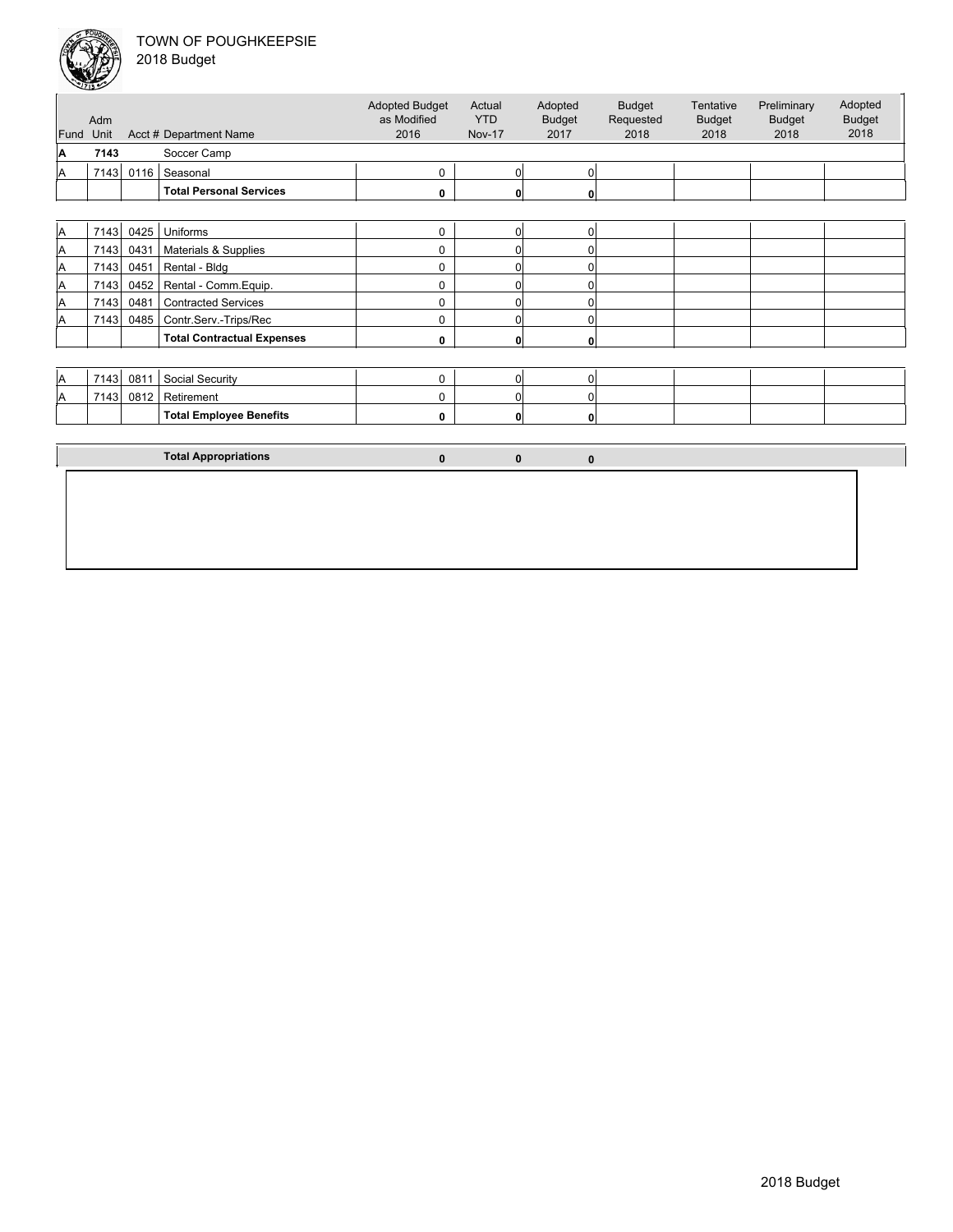

|  | 2018 Budget |  |
|--|-------------|--|
|--|-------------|--|

| Fund<br>A<br>A<br>A<br>A<br>A<br>A | Unit<br>7143<br>7143<br>7143 | 0116 | Acct # Department Name<br>Soccer Camp<br>Seasonal<br><b>Total Personal Services</b> | 2016<br>0    | <b>Nov-17</b><br>$\overline{0}$ | 2017         | 2018 | 2018 | 2018 | 2018 |
|------------------------------------|------------------------------|------|-------------------------------------------------------------------------------------|--------------|---------------------------------|--------------|------|------|------|------|
|                                    |                              |      |                                                                                     |              |                                 |              |      |      |      |      |
|                                    |                              |      |                                                                                     |              |                                 | 0            |      |      |      |      |
|                                    |                              |      |                                                                                     | 0            | 0                               | 0            |      |      |      |      |
|                                    |                              |      |                                                                                     |              |                                 |              |      |      |      |      |
|                                    |                              | 0425 | Uniforms                                                                            | $\mathbf 0$  | $\overline{0}$                  | 0            |      |      |      |      |
|                                    | 7143                         | 0431 | Materials & Supplies                                                                | 0            | 0                               | $\Omega$     |      |      |      |      |
|                                    | 7143                         | 0451 | Rental - Bldg                                                                       | 0            | 0                               | $\Omega$     |      |      |      |      |
|                                    | 7143                         | 0452 | Rental - Comm.Equip.                                                                | 0            | 0                               | $\Omega$     |      |      |      |      |
| A                                  | 7143                         | 0481 | <b>Contracted Services</b>                                                          | 0            | 0                               | $\Omega$     |      |      |      |      |
| A                                  | 7143                         | 0485 | Contr.Serv.-Trips/Rec                                                               | 0            | 0                               | $\Omega$     |      |      |      |      |
|                                    |                              |      | <b>Total Contractual Expenses</b>                                                   | 0            | $\mathbf{0}$                    | 0            |      |      |      |      |
|                                    |                              |      |                                                                                     |              |                                 |              |      |      |      |      |
| A                                  | 7143                         | 0811 | Social Security                                                                     | 0            | $\overline{0}$                  | 0            |      |      |      |      |
| A                                  | 7143                         | 0812 | Retirement                                                                          | 0            | 0                               | $\Omega$     |      |      |      |      |
|                                    |                              |      | <b>Total Employee Benefits</b>                                                      | 0            | 0                               | 0            |      |      |      |      |
|                                    |                              |      |                                                                                     |              |                                 |              |      |      |      |      |
|                                    |                              |      | <b>Total Appropriations</b>                                                         | $\mathbf{0}$ | $\mathbf{0}$                    | $\mathbf{0}$ |      |      |      |      |
|                                    |                              |      |                                                                                     |              |                                 |              |      |      |      |      |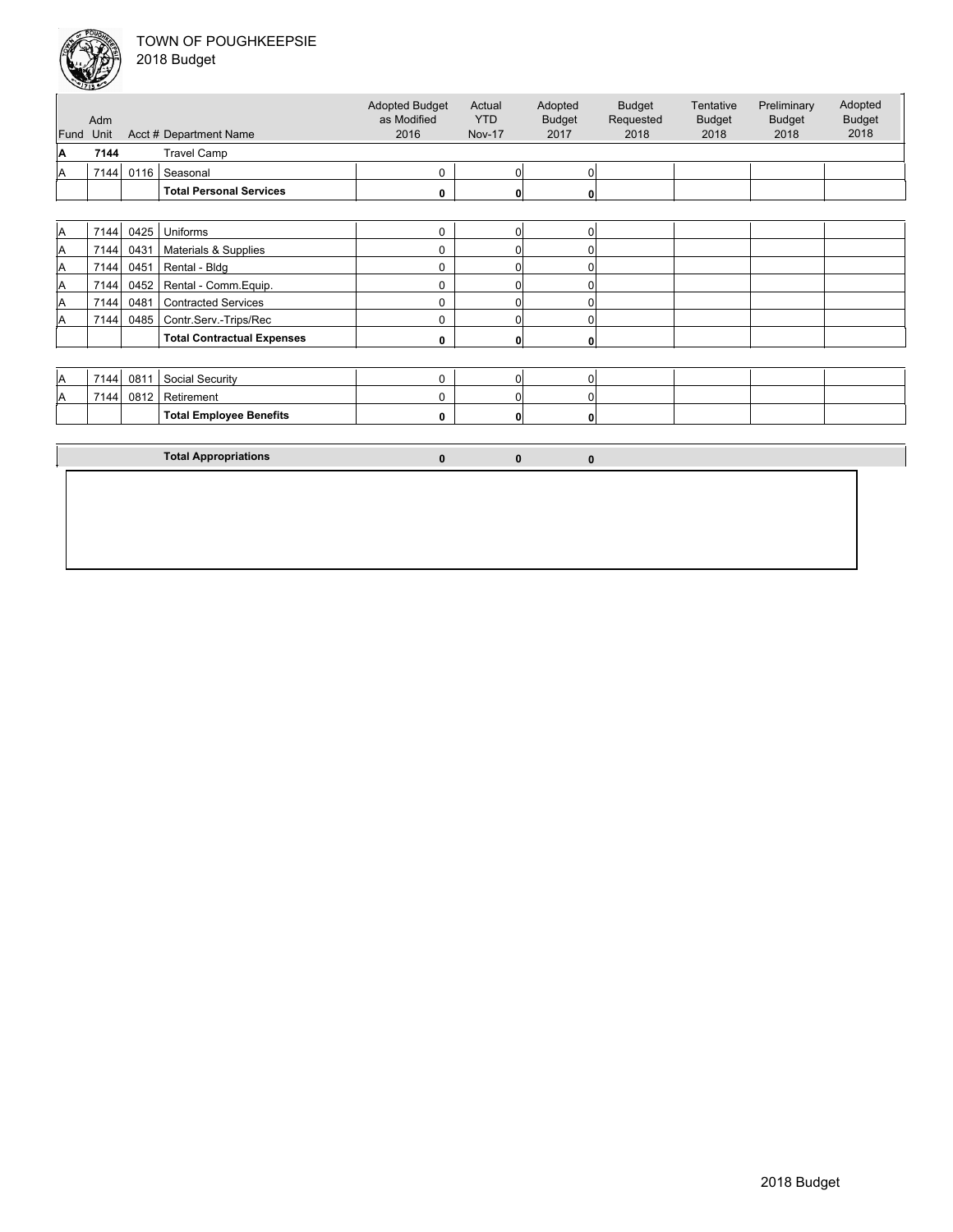

| 018 Budget |  |
|------------|--|
|------------|--|

|      | Adm  |      |                                   | <b>Adopted Budget</b><br>as Modified | Actual<br><b>YTD</b> | Adopted<br><b>Budget</b> | <b>Budget</b><br>Requested | Tentative<br><b>Budget</b> | Preliminary<br><b>Budget</b> | Adopted<br><b>Budget</b> |
|------|------|------|-----------------------------------|--------------------------------------|----------------------|--------------------------|----------------------------|----------------------------|------------------------------|--------------------------|
| Fund | Unit |      | Acct # Department Name            | 2016                                 | <b>Nov-17</b>        | 2017                     | 2018                       | 2018                       | 2018                         | 2018                     |
| A    | 7144 |      | <b>Travel Camp</b>                |                                      |                      |                          |                            |                            |                              |                          |
| A    | 7144 | 0116 | Seasonal                          | 0                                    | $\overline{0}$       | 0                        |                            |                            |                              |                          |
|      |      |      | <b>Total Personal Services</b>    | 0                                    | 0                    | 0                        |                            |                            |                              |                          |
|      |      |      |                                   |                                      |                      |                          |                            |                            |                              |                          |
| A    | 7144 | 0425 | Uniforms                          | $\mathbf 0$                          | $\overline{0}$       | 0                        |                            |                            |                              |                          |
| A    | 7144 | 0431 | Materials & Supplies              | 0                                    | 0                    | $\Omega$                 |                            |                            |                              |                          |
| A    | 7144 | 0451 | Rental - Bldg                     | 0                                    | 0                    | $\Omega$                 |                            |                            |                              |                          |
| A    | 7144 | 0452 | Rental - Comm. Equip.             | 0                                    | 0                    | $\Omega$                 |                            |                            |                              |                          |
| A    | 7144 | 0481 | <b>Contracted Services</b>        | 0                                    | 0                    | $\Omega$                 |                            |                            |                              |                          |
| Α    | 7144 | 0485 | Contr.Serv.-Trips/Rec             | 0                                    | 0                    | $\Omega$                 |                            |                            |                              |                          |
|      |      |      | <b>Total Contractual Expenses</b> | 0                                    | 0                    | 0                        |                            |                            |                              |                          |
|      |      |      |                                   |                                      |                      |                          |                            |                            |                              |                          |
| A    | 7144 | 0811 | Social Security                   | $\mathbf 0$                          | $\overline{0}$       | $\Omega$                 |                            |                            |                              |                          |
| ΙA   | 7144 | 0812 | Retirement                        | 0                                    | 0                    | $\Omega$                 |                            |                            |                              |                          |
|      |      |      | <b>Total Employee Benefits</b>    | 0                                    | 0                    | $\mathbf{0}$             |                            |                            |                              |                          |
|      |      |      |                                   |                                      |                      |                          |                            |                            |                              |                          |
|      |      |      | <b>Total Appropriations</b>       | $\mathbf{0}$                         | $\mathbf 0$          | $\mathbf{0}$             |                            |                            |                              |                          |
|      |      |      |                                   |                                      |                      |                          |                            |                            |                              |                          |
|      |      |      |                                   |                                      |                      |                          |                            |                            |                              |                          |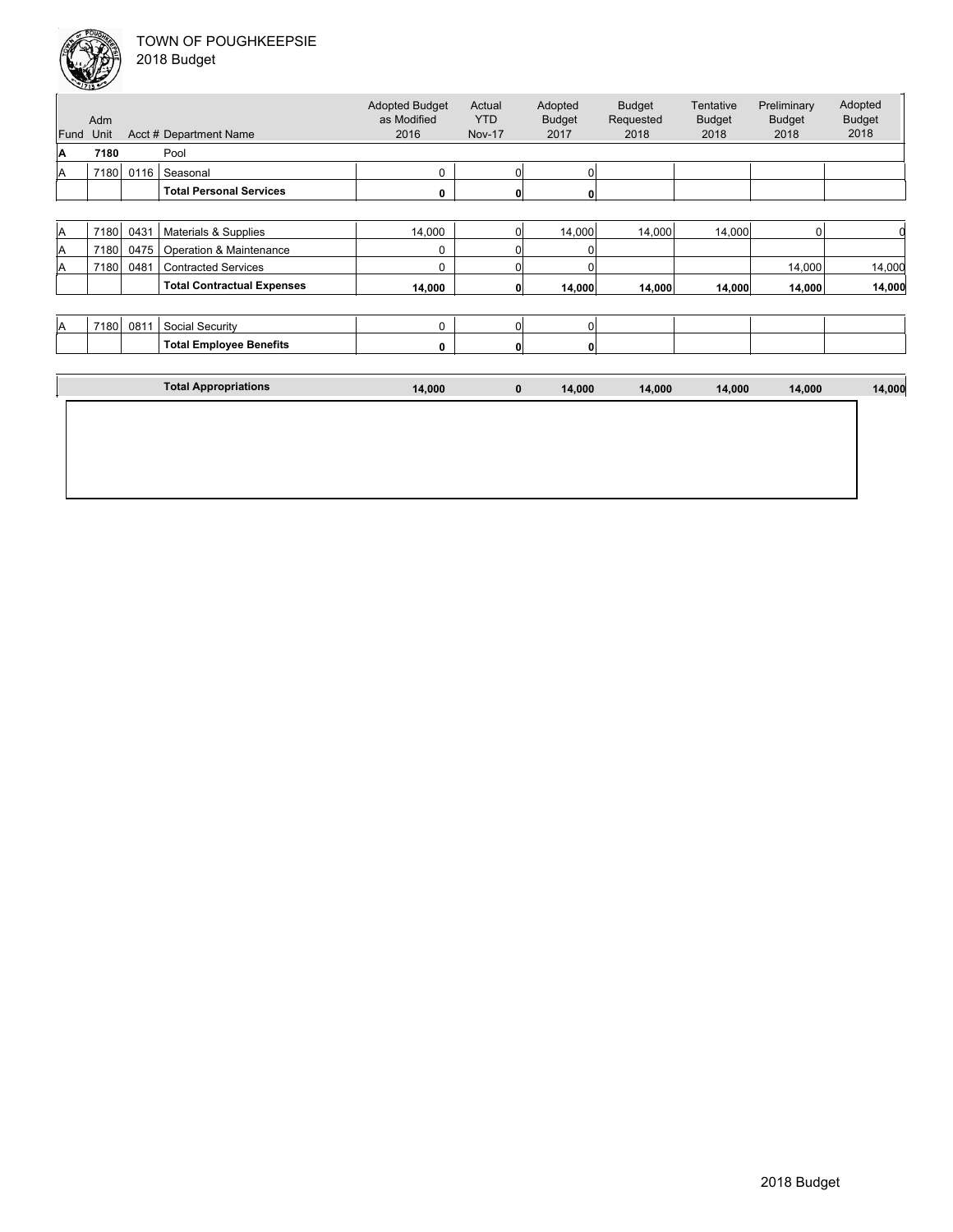

|      | سيب<br>Adm |      |                                   | <b>Adopted Budget</b><br>as Modified | Actual<br><b>YTD</b> | Adopted<br><b>Budget</b> | <b>Budget</b><br>Requested | Tentative<br><b>Budget</b> | Preliminary<br><b>Budget</b> | Adopted<br><b>Budget</b> |
|------|------------|------|-----------------------------------|--------------------------------------|----------------------|--------------------------|----------------------------|----------------------------|------------------------------|--------------------------|
| Fund | Unit       |      | Acct # Department Name            | 2016                                 | <b>Nov-17</b>        | 2017                     | 2018                       | 2018                       | 2018                         | 2018                     |
| A    | 7180       |      | Pool                              |                                      |                      |                          |                            |                            |                              |                          |
| ΙA   | 7180       | 0116 | Seasonal                          | 0                                    | 0                    | $\Omega$                 |                            |                            |                              |                          |
|      |            |      | <b>Total Personal Services</b>    | 0                                    | 0                    | 0                        |                            |                            |                              |                          |
|      |            |      |                                   |                                      |                      |                          |                            |                            |                              |                          |
| ΙA   | 7180       | 0431 | Materials & Supplies              | 14,000                               | 0                    | 14,000                   | 14,000                     | 14,000                     | $\Omega$                     | O                        |
| A    | 7180       | 0475 | Operation & Maintenance           | 0                                    | 0                    | 0                        |                            |                            |                              |                          |
| A    | 7180       | 0481 | <b>Contracted Services</b>        | 0                                    | 0                    | O                        |                            |                            | 14,000                       | 14,000                   |
|      |            |      | <b>Total Contractual Expenses</b> | 14,000                               | 0                    | 14,000                   | 14,000                     | 14,000                     | 14,000                       | 14,000                   |
|      |            |      |                                   |                                      |                      |                          |                            |                            |                              |                          |
| ΙA   | 7180       | 0811 | Social Security                   | 0                                    | 0                    | $\Omega$                 |                            |                            |                              |                          |
|      |            |      | <b>Total Employee Benefits</b>    | 0                                    | $\mathbf{0}$         | 0                        |                            |                            |                              |                          |
|      |            |      |                                   |                                      |                      |                          |                            |                            |                              |                          |
|      |            |      | <b>Total Appropriations</b>       | 14,000                               | $\bf{0}$             | 14,000                   | 14,000                     | 14,000                     | 14,000                       | 14,000                   |
|      |            |      |                                   |                                      |                      |                          |                            |                            |                              |                          |
|      |            |      |                                   |                                      |                      |                          |                            |                            |                              |                          |
|      |            |      |                                   |                                      |                      |                          |                            |                            |                              |                          |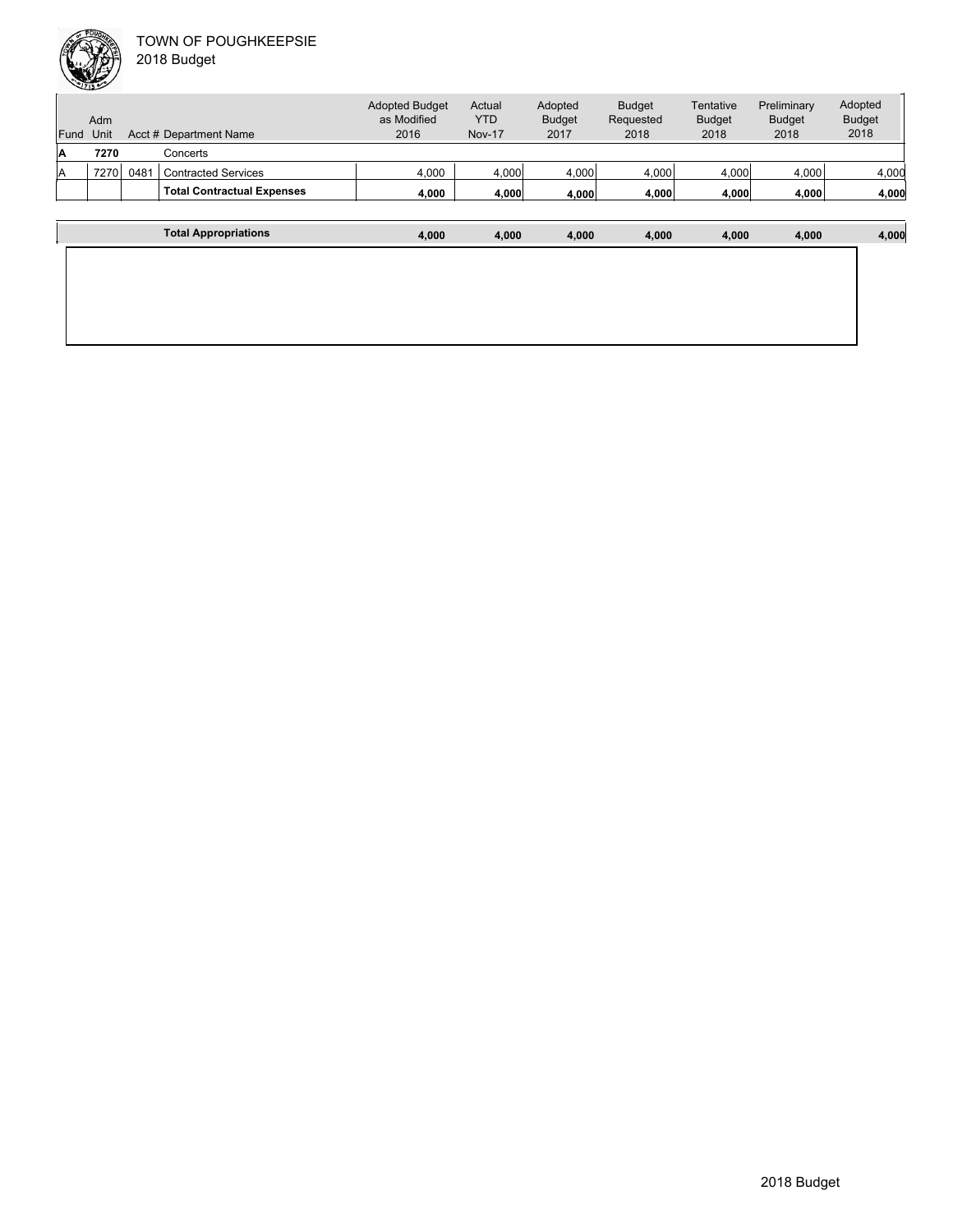

|      | Adm  |      |                                   | <b>Adopted Budget</b><br>as Modified | Actual<br><b>YTD</b> | Adopted<br><b>Budget</b> | <b>Budget</b><br>Requested | Tentative<br><b>Budget</b> | Preliminary<br><b>Budget</b> | Adopted<br><b>Budget</b> |
|------|------|------|-----------------------------------|--------------------------------------|----------------------|--------------------------|----------------------------|----------------------------|------------------------------|--------------------------|
| Fund | Unit |      | Acct # Department Name            | 2016                                 | <b>Nov-17</b>        | 2017                     | 2018                       | 2018                       | 2018                         | 2018                     |
| ΙA   | 7270 |      | Concerts                          |                                      |                      |                          |                            |                            |                              |                          |
| ΙA   | 7270 | 0481 | <b>Contracted Services</b>        | 4,000                                | 4,000                | 4,000                    | 4,000                      | 4,000                      | 4,000                        | 4,000                    |
|      |      |      | <b>Total Contractual Expenses</b> | 4,000                                | 4,000                | 4,000                    | 4,000                      | 4,000                      | 4,000                        | 4,000                    |
|      |      |      |                                   |                                      |                      |                          |                            |                            |                              |                          |

| <b>Total Appropriations</b> | 4,000 | 4,000 | 4,000 | 4,000 | 4,000 | 4,000 | 4,000 |
|-----------------------------|-------|-------|-------|-------|-------|-------|-------|
|                             |       |       |       |       |       |       |       |
|                             |       |       |       |       |       |       |       |
|                             |       |       |       |       |       |       |       |
|                             |       |       |       |       |       |       |       |
|                             |       |       |       |       |       |       |       |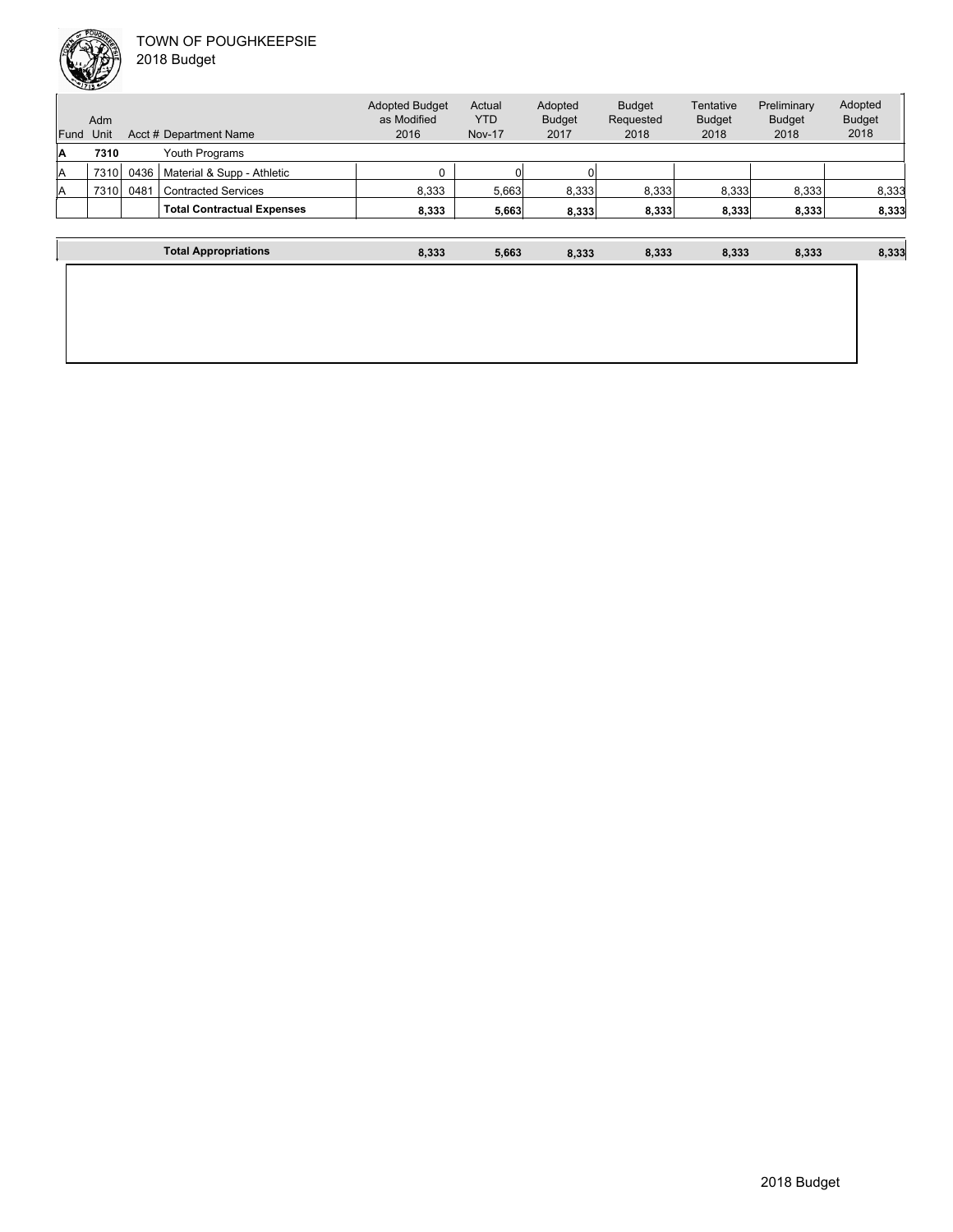

| Fund | Adm<br>Unit |      | Acct # Department Name            | <b>Adopted Budget</b><br>as Modified<br>2016 | Actual<br><b>YTD</b><br><b>Nov-17</b> | Adopted<br><b>Budget</b><br>2017 | <b>Budget</b><br>Requested<br>2018 | Tentative<br><b>Budget</b><br>2018 | Preliminary<br><b>Budget</b><br>2018 | Adopted<br><b>Budget</b><br>2018 |
|------|-------------|------|-----------------------------------|----------------------------------------------|---------------------------------------|----------------------------------|------------------------------------|------------------------------------|--------------------------------------|----------------------------------|
| ΙA   | 7310        |      | Youth Programs                    |                                              |                                       |                                  |                                    |                                    |                                      |                                  |
| ΙA   | 7310        | 0436 | Material & Supp - Athletic        | $\Omega$                                     |                                       |                                  |                                    |                                    |                                      |                                  |
| ΙA   | 7310        | 0481 | <b>Contracted Services</b>        | 8,333                                        | 5,663                                 | 8,333                            | 8,333                              | 8,333                              | 8.333                                | 8,333                            |
|      |             |      | <b>Total Contractual Expenses</b> | 8,333                                        | 5,663                                 | 8,333                            | 8,333                              | 8,333                              | 8,333                                | 8,333                            |
|      |             |      | <b>Total Appropriations</b>       | 8,333                                        | 5,663                                 | 8,333                            | 8,333                              | 8,333                              | 8,333                                | 8,333                            |
|      |             |      |                                   |                                              |                                       |                                  |                                    |                                    |                                      |                                  |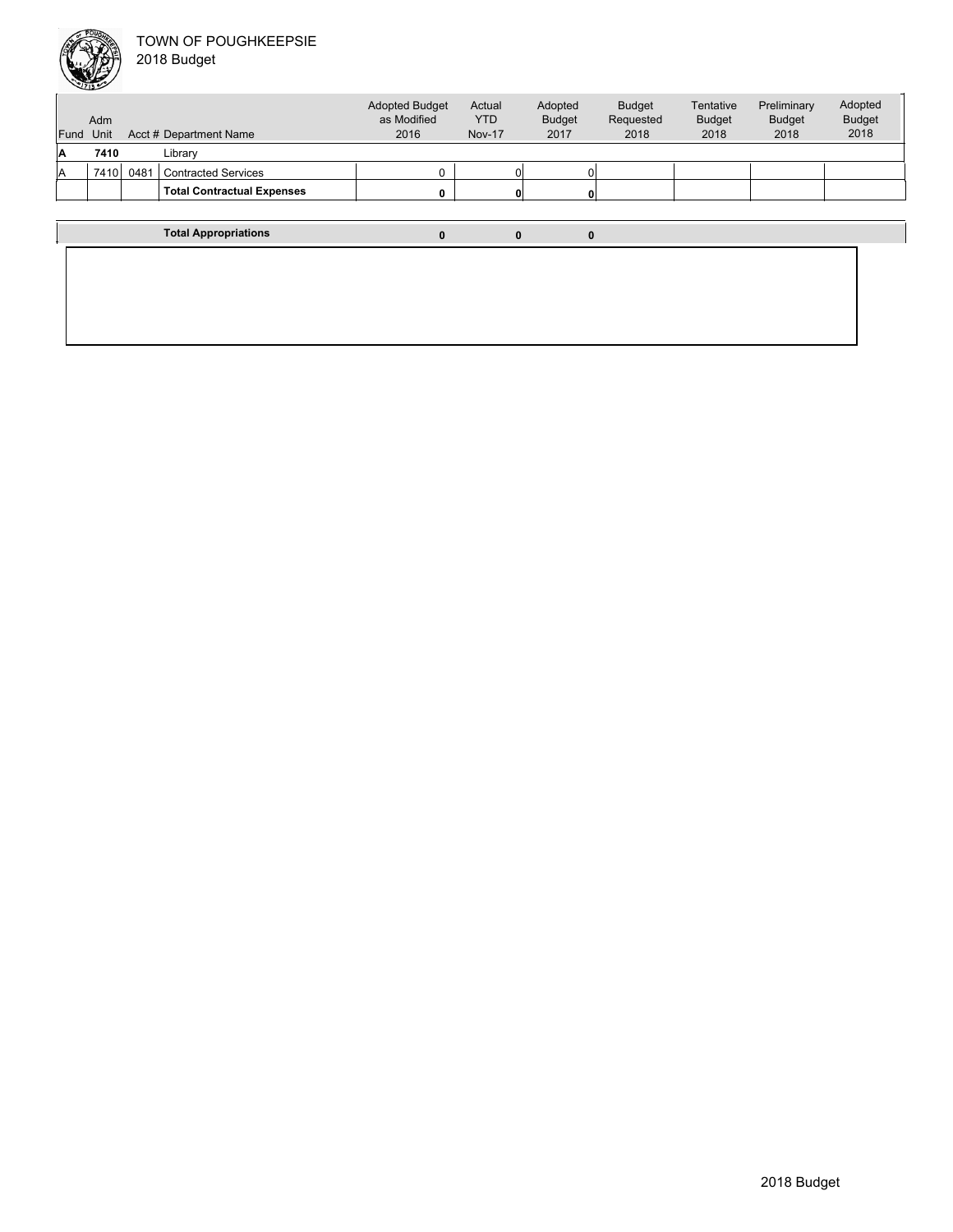

| Fund | Adm<br>Unit |      | Acct # Department Name            | <b>Adopted Budget</b><br>as Modified<br>2016 | Actual<br><b>YTD</b><br><b>Nov-17</b> | Adopted<br><b>Budget</b><br>2017 | <b>Budget</b><br>Requested<br>2018 | Tentative<br><b>Budget</b><br>2018 | Preliminary<br><b>Budget</b><br>2018 | Adopted<br><b>Budget</b><br>2018 |
|------|-------------|------|-----------------------------------|----------------------------------------------|---------------------------------------|----------------------------------|------------------------------------|------------------------------------|--------------------------------------|----------------------------------|
| A    | 7410        |      | Library                           |                                              |                                       |                                  |                                    |                                    |                                      |                                  |
| ΙA   | 7410        | 0481 | <b>Contracted Services</b>        |                                              | Οl                                    |                                  |                                    |                                    |                                      |                                  |
|      |             |      | <b>Total Contractual Expenses</b> |                                              | $\mathbf{0}$                          |                                  |                                    |                                    |                                      |                                  |
|      |             |      |                                   |                                              |                                       |                                  |                                    |                                    |                                      |                                  |
|      |             |      | <b>Total Appropriations</b>       | 0                                            | 0                                     | 0                                |                                    |                                    |                                      |                                  |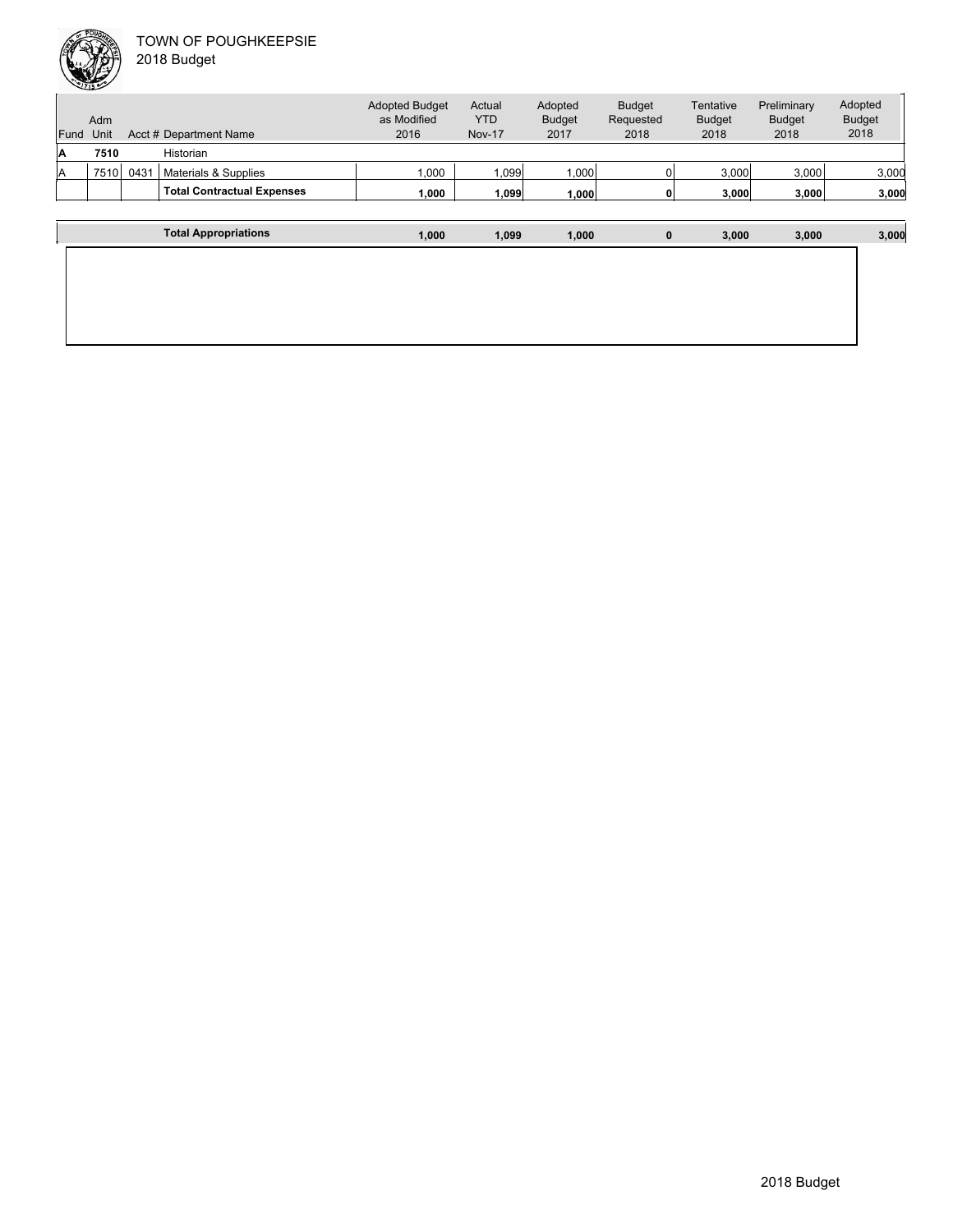

|      | Adm  |      |                                   | <b>Adopted Budget</b><br>as Modified | Actual<br><b>YTD</b> | Adopted<br><b>Budget</b> | <b>Budget</b><br>Requested | Tentative<br><b>Budget</b> | Preliminary<br><b>Budget</b> | Adopted<br><b>Budget</b> |
|------|------|------|-----------------------------------|--------------------------------------|----------------------|--------------------------|----------------------------|----------------------------|------------------------------|--------------------------|
| Fund | Unit |      | Acct # Department Name            | 2016                                 | <b>Nov-17</b>        | 2017                     | 2018                       | 2018                       | 2018                         | 2018                     |
| ۱A   | 7510 |      | Historian                         |                                      |                      |                          |                            |                            |                              |                          |
| lA   | 7510 | 0431 | Materials & Supplies              | 000.                                 | 1.099                | 1,000                    |                            | 3,000                      | 3,000                        | 3,000                    |
|      |      |      | <b>Total Contractual Expenses</b> | 1,000                                | 1,099                | 1,000                    |                            | 3,000                      | 3,000                        | 3,000                    |
|      |      |      |                                   |                                      |                      |                          |                            |                            |                              |                          |
|      |      |      |                                   |                                      |                      |                          |                            |                            |                              |                          |

| <b>Total Appropriations</b> | 1,000 | 1,099 | 1,000 | 0 | 3,000 | 3,000 | 3,000 |
|-----------------------------|-------|-------|-------|---|-------|-------|-------|
|                             |       |       |       |   |       |       |       |
|                             |       |       |       |   |       |       |       |
|                             |       |       |       |   |       |       |       |
|                             |       |       |       |   |       |       |       |
|                             |       |       |       |   |       |       |       |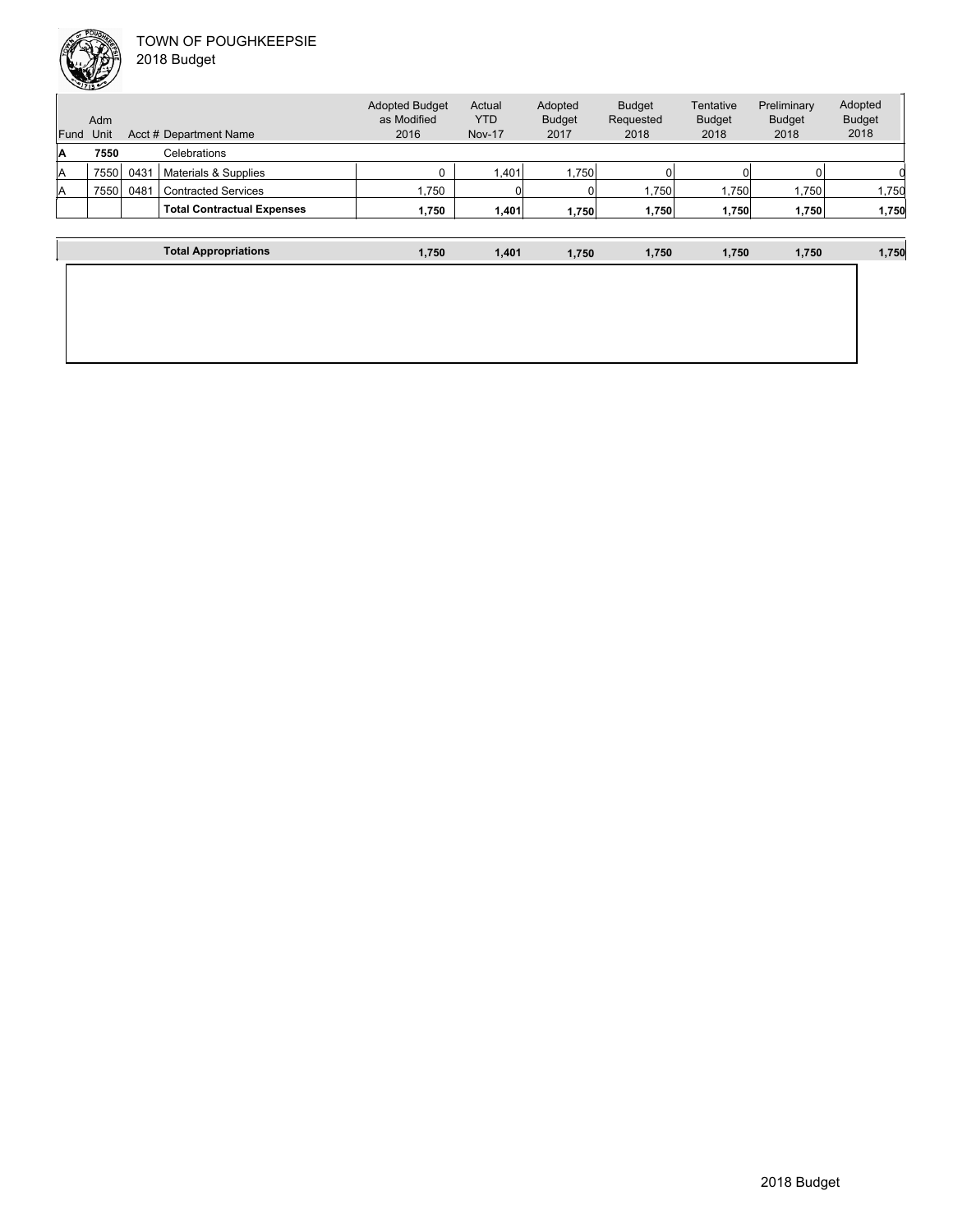

| <b>Fund</b><br>ΙA | Adm<br>Unit<br>7550 |      | Acct # Department Name<br>Celebrations | <b>Adopted Budget</b><br>as Modified<br>2016 | Actual<br><b>YTD</b><br><b>Nov-17</b> | Adopted<br><b>Budget</b><br>2017 | <b>Budget</b><br>Requested<br>2018 | Tentative<br><b>Budget</b><br>2018 | Preliminary<br><b>Budget</b><br>2018 | Adopted<br><b>Budget</b><br>2018 |
|-------------------|---------------------|------|----------------------------------------|----------------------------------------------|---------------------------------------|----------------------------------|------------------------------------|------------------------------------|--------------------------------------|----------------------------------|
| A                 | 7550                | 0431 | Materials & Supplies                   |                                              | 1.401                                 | 1,750                            |                                    |                                    |                                      |                                  |
| A                 | 7550                | 0481 | <b>Contracted Services</b>             | 1,750                                        | 0                                     |                                  | 1,750                              | .750                               | 1,750                                | 1,750                            |
|                   |                     |      | <b>Total Contractual Expenses</b>      | 1.750                                        | 1,401                                 | 1,750                            | 1,750                              | 1,750                              | 1,750                                | 1,750                            |
|                   |                     |      | <b>Total Appropriations</b>            | 1,750                                        | 1,401                                 | 1,750                            | 1,750                              | 1,750                              | 1,750                                | 1,750                            |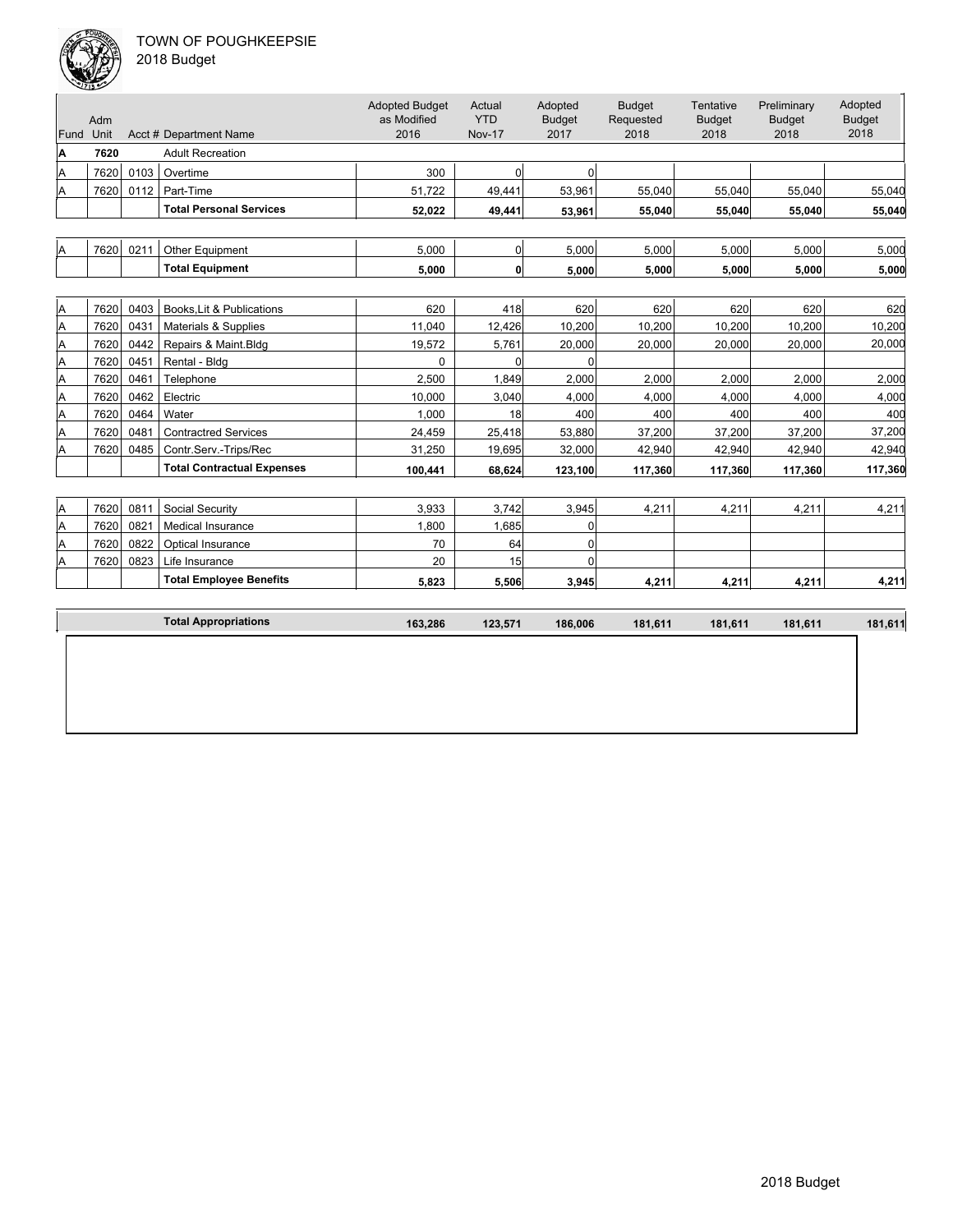

| 018 Budget |  |
|------------|--|
|------------|--|

| Fund Unit | Adm  |      | Acct # Department Name            | <b>Adopted Budget</b><br>as Modified<br>2016 | Actual<br><b>YTD</b><br><b>Nov-17</b> | Adopted<br><b>Budget</b><br>2017 | <b>Budget</b><br>Requested<br>2018 | Tentative<br><b>Budget</b><br>2018 | Preliminary<br><b>Budget</b><br>2018 | Adopted<br><b>Budget</b><br>2018 |
|-----------|------|------|-----------------------------------|----------------------------------------------|---------------------------------------|----------------------------------|------------------------------------|------------------------------------|--------------------------------------|----------------------------------|
| A         | 7620 |      | <b>Adult Recreation</b>           |                                              |                                       |                                  |                                    |                                    |                                      |                                  |
| Α         | 7620 | 0103 | Overtime                          | 300                                          | 0                                     | $\overline{0}$                   |                                    |                                    |                                      |                                  |
| Α         | 7620 | 0112 | Part-Time                         | 51,722                                       | 49,441                                | 53,961                           | 55,040                             | 55,040                             | 55,040                               | 55,040                           |
|           |      |      | <b>Total Personal Services</b>    | 52.022                                       | 49.441                                | 53.961                           | 55.040                             | 55.040                             | 55.040                               | 55,040                           |
|           |      |      |                                   |                                              |                                       |                                  |                                    |                                    |                                      |                                  |
| A         | 7620 | 0211 | Other Equipment                   | 5.000                                        | 0                                     | 5.000                            | 5.000                              | 5.000                              | 5.000                                | 5,000                            |
|           |      |      | <b>Total Equipment</b>            | 5.000                                        | 0                                     | 5,000                            | 5,000                              | 5,000                              | 5.000                                | 5,000                            |
|           |      |      |                                   |                                              |                                       |                                  |                                    |                                    |                                      |                                  |
| A         | 7620 | 0403 | Books, Lit & Publications         | 620                                          | 418                                   | 620                              | 620                                | 620                                | 620                                  | 620                              |
| Α         | 7620 | 0431 | Materials & Supplies              | 11,040                                       | 12,426                                | 10,200                           | 10,200                             | 10,200                             | 10,200                               | 10,200                           |
| Α         | 7620 | 0442 | Repairs & Maint.Bldg              | 19,572                                       | 5,761                                 | 20,000                           | 20,000                             | 20,000                             | 20,000                               | 20,000                           |
| Α         | 7620 | 0451 | Rental - Bldg                     | 0                                            | $\Omega$                              | $\Omega$                         |                                    |                                    |                                      |                                  |
| A         | 7620 | 0461 | Telephone                         | 2,500                                        | 1,849                                 | 2,000                            | 2,000                              | 2,000                              | 2,000                                | 2,000                            |
| Α         | 7620 | 0462 | Electric                          | 10,000                                       | 3,040                                 | 4,000                            | 4,000                              | 4,000                              | 4,000                                | 4,000                            |
| Α         | 7620 | 0464 | Water                             | 1,000                                        | 18                                    | 400                              | 400                                | 400                                | 400                                  | 400                              |
| A         | 7620 | 0481 | <b>Contractred Services</b>       | 24,459                                       | 25,418                                | 53,880                           | 37,200                             | 37,200                             | 37,200                               | 37,200                           |
| Α         | 7620 | 0485 | Contr.Serv.-Trips/Rec             | 31,250                                       | 19,695                                | 32,000                           | 42,940                             | 42,940                             | 42,940                               | 42,940                           |
|           |      |      | <b>Total Contractual Expenses</b> | 100,441                                      | 68,624                                | 123,100                          | 117,360                            | 117,360                            | 117,360                              | 117,360                          |
|           |      |      |                                   |                                              |                                       |                                  |                                    |                                    |                                      |                                  |
| A         | 7620 | 0811 | Social Security                   | 3,933                                        | 3,742                                 | 3,945                            | 4,211                              | 4,211                              | 4,211                                | 4,211                            |
| Α         | 7620 | 0821 | Medical Insurance                 | 1,800                                        | 1,685                                 | $\Omega$                         |                                    |                                    |                                      |                                  |
| Α         | 7620 | 0822 | Optical Insurance                 | 70                                           | 64                                    | 0                                |                                    |                                    |                                      |                                  |
| Α         | 7620 | 0823 | Life Insurance                    | 20                                           | 15                                    | $\Omega$                         |                                    |                                    |                                      |                                  |
|           |      |      | <b>Total Employee Benefits</b>    | 5,823                                        | 5,506                                 | 3,945                            | 4,211                              | 4,211                              | 4,211                                | 4,211                            |
|           |      |      |                                   |                                              |                                       |                                  |                                    |                                    |                                      |                                  |
|           |      |      | <b>Total Appropriations</b>       | 163,286                                      | 123,571                               | 186.006                          | 181,611                            | 181,611                            | 181,611                              | 181,611                          |
|           |      |      |                                   |                                              |                                       |                                  |                                    |                                    |                                      |                                  |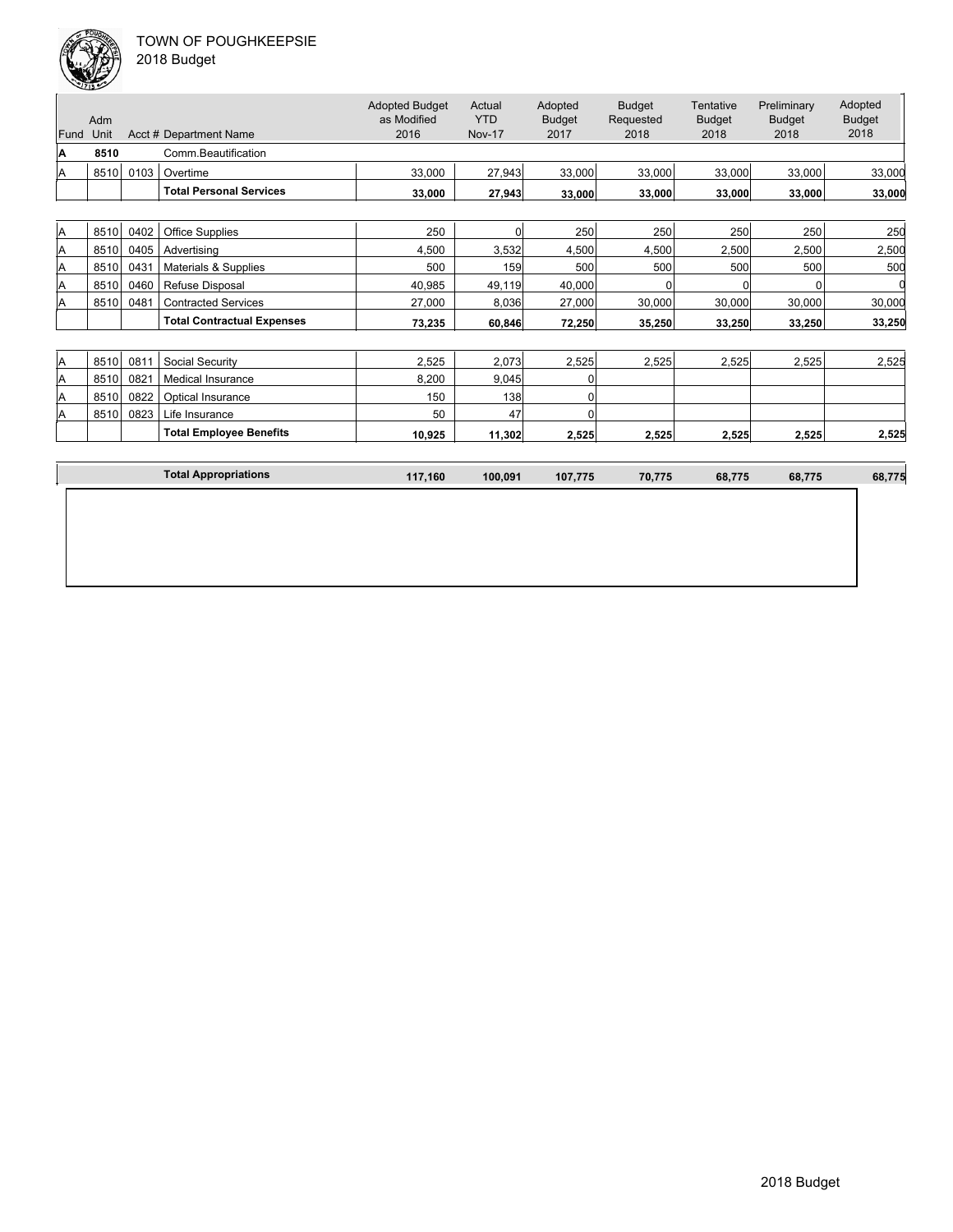

| 2018 Budget |  |
|-------------|--|
|-------------|--|

| Fund     | Adm<br>Unit |      | Acct # Department Name            | <b>Adopted Budget</b><br>as Modified<br>2016 | Actual<br><b>YTD</b><br><b>Nov-17</b> | Adopted<br><b>Budget</b><br>2017 | <b>Budget</b><br>Requested<br>2018 | Tentative<br><b>Budget</b><br>2018 | Preliminary<br><b>Budget</b><br>2018 | Adopted<br><b>Budget</b><br>2018 |
|----------|-------------|------|-----------------------------------|----------------------------------------------|---------------------------------------|----------------------------------|------------------------------------|------------------------------------|--------------------------------------|----------------------------------|
| A        | 8510        |      | Comm.Beautification               |                                              |                                       |                                  |                                    |                                    |                                      |                                  |
| A        | 8510        | 0103 | Overtime                          | 33,000                                       | 27,943                                | 33,000                           | 33,000                             | 33,000                             | 33,000                               | 33,000                           |
|          |             |      | <b>Total Personal Services</b>    | 33,000                                       | 27,943                                | 33,000                           | 33,000                             | 33,000                             | 33,000                               | 33,000                           |
|          |             |      |                                   |                                              |                                       |                                  |                                    |                                    |                                      |                                  |
| <b>A</b> | 8510        | 0402 | <b>Office Supplies</b>            | 250                                          | $\overline{0}$                        | 250                              | 250                                | 250                                | 250                                  | 250                              |
| <b>A</b> | 8510        | 0405 | Advertising                       | 4,500                                        | 3,532                                 | 4,500                            | 4,500                              | 2,500                              | 2,500                                | 2,500                            |
| A        | 8510        | 0431 | Materials & Supplies              | 500                                          | 159                                   | 500                              | 500                                | 500                                | 500                                  | 500                              |
| A        | 8510        | 0460 | Refuse Disposal                   | 40,985                                       | 49,119                                | 40,000                           | U                                  |                                    | $\Omega$                             |                                  |
| Α        | 8510        | 0481 | <b>Contracted Services</b>        | 27,000                                       | 8,036                                 | 27,000                           | 30,000                             | 30,000                             | 30,000                               | 30,000                           |
|          |             |      | <b>Total Contractual Expenses</b> | 73,235                                       | 60,846                                | 72,250                           | 35,250                             | 33,250                             | 33,250                               | 33,250                           |
|          |             |      |                                   |                                              |                                       |                                  |                                    |                                    |                                      |                                  |
| <b>A</b> | 8510        | 0811 | Social Security                   | 2,525                                        | 2,073                                 | 2,525                            | 2,525                              | 2,525                              | 2,525                                | 2,525                            |
| A        | 8510        | 0821 | Medical Insurance                 | 8,200                                        | 9,045                                 | 0                                |                                    |                                    |                                      |                                  |
| A        | 8510        | 0822 | Optical Insurance                 | 150                                          | 138                                   | O                                |                                    |                                    |                                      |                                  |
| A        | 8510        | 0823 | Life Insurance                    | 50                                           | 47                                    | $\Omega$                         |                                    |                                    |                                      |                                  |
|          |             |      | <b>Total Employee Benefits</b>    | 10,925                                       | 11,302                                | 2,525                            | 2,525                              | 2,525                              | 2,525                                | 2,525                            |
|          |             |      | <b>Total Appropriations</b>       | 117,160                                      | 100,091                               | 107,775                          | 70,775                             | 68,775                             | 68,775                               | 68,775                           |
|          |             |      |                                   |                                              |                                       |                                  |                                    |                                    |                                      |                                  |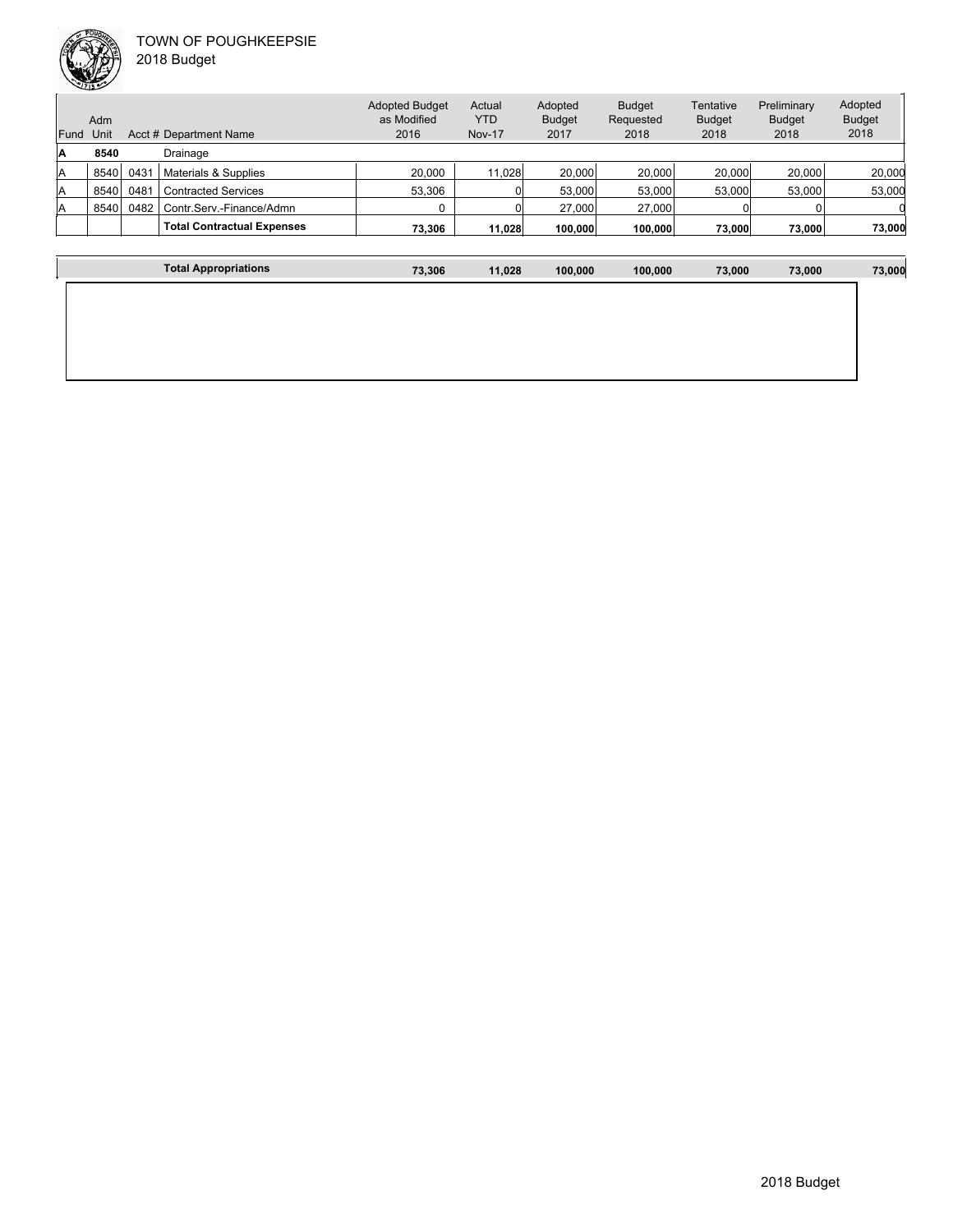

**The Community of Community** 

| Fund | <b>Adm</b><br>Unit |      | Acct # Department Name            | <b>Adopted Budget</b><br>as Modified<br>2016 | Actual<br><b>YTD</b><br><b>Nov-17</b> | Adopted<br><b>Budget</b><br>2017 | <b>Budget</b><br>Requested<br>2018 | Tentative<br><b>Budget</b><br>2018 | Preliminary<br><b>Budget</b><br>2018 | Adopted<br><b>Budget</b><br>2018 |
|------|--------------------|------|-----------------------------------|----------------------------------------------|---------------------------------------|----------------------------------|------------------------------------|------------------------------------|--------------------------------------|----------------------------------|
| Α    | 8540               |      | Drainage                          |                                              |                                       |                                  |                                    |                                    |                                      |                                  |
|      |                    |      |                                   |                                              |                                       |                                  |                                    |                                    |                                      |                                  |
| A    | 8540               | 043' | Materials & Supplies              | 20,000                                       | 11.028                                | 20,000                           | 20,000                             | 20,000                             | 20,000                               | 20,000                           |
| A    | 8540               | 0481 | Contracted Services               | 53,306                                       |                                       | 53,000                           | 53,000                             | 53,000                             | 53,000                               | 53,000                           |
| A    | 8540               | 0482 | Contr.Serv.-Finance/Admn          |                                              |                                       | 27,000                           | 27,000                             |                                    |                                      |                                  |
|      |                    |      | <b>Total Contractual Expenses</b> | 73,306                                       | 11.028                                | 100.000                          | 100,000                            | 73,000                             | 73,000                               | 73,000                           |
|      |                    |      |                                   |                                              |                                       |                                  |                                    |                                    |                                      |                                  |

| <b>Total Appropriations</b> | 73,306 | 11,028 | 100,000 | 100,000 | 73,000 | 73,000 | 73,000 |
|-----------------------------|--------|--------|---------|---------|--------|--------|--------|
|                             |        |        |         |         |        |        |        |
|                             |        |        |         |         |        |        |        |
|                             |        |        |         |         |        |        |        |
|                             |        |        |         |         |        |        |        |
|                             |        |        |         |         |        |        |        |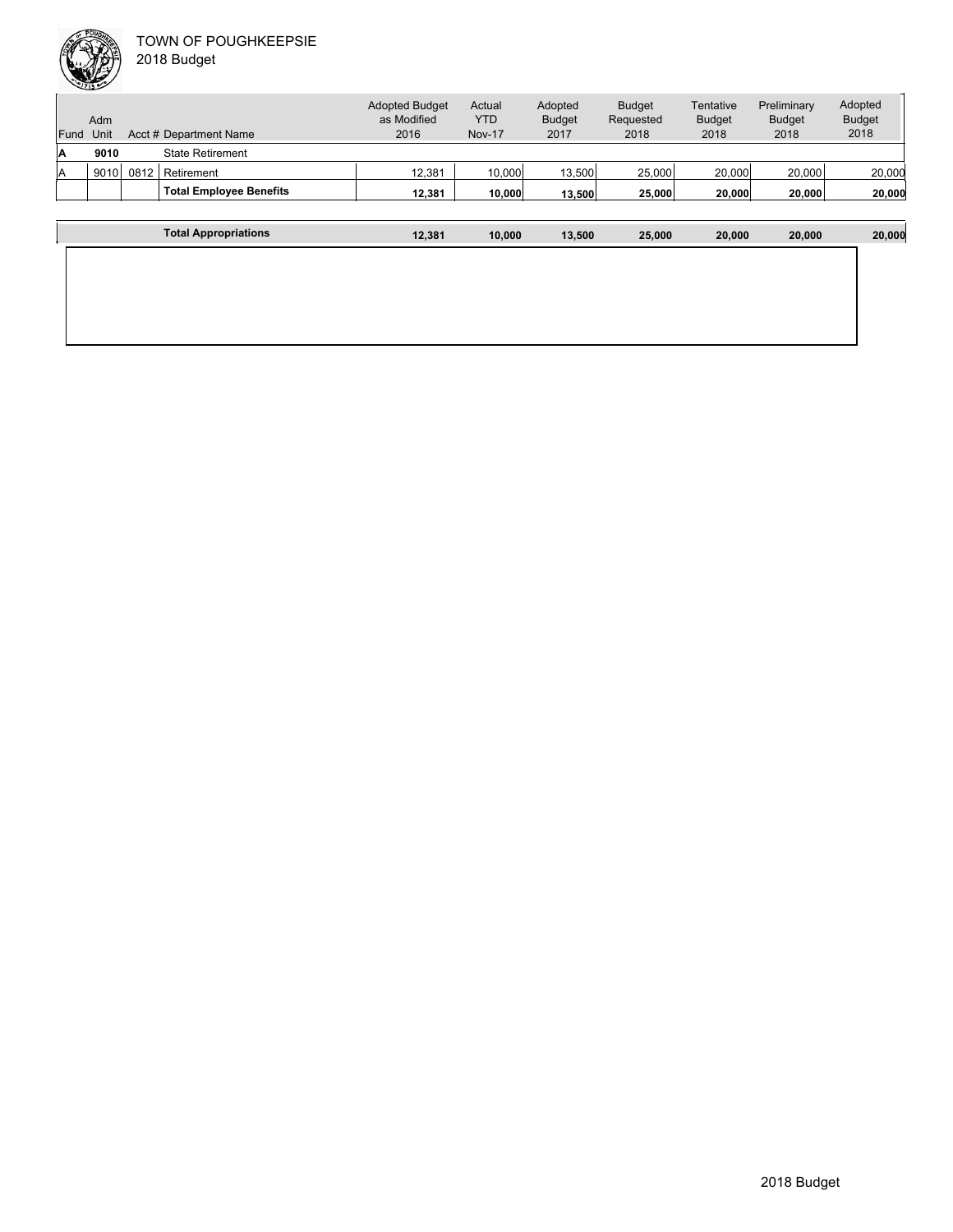| Fund | Adm<br>Unit |      | Acct # Department Name         | <b>Adopted Budget</b><br>as Modified<br>2016 | Actual<br><b>YTD</b><br><b>Nov-17</b> | Adopted<br><b>Budget</b><br>2017 | <b>Budget</b><br>Requested<br>2018 | Tentative<br><b>Budget</b><br>2018 | Preliminary<br><b>Budget</b><br>2018 | Adopted<br><b>Budget</b><br>2018 |
|------|-------------|------|--------------------------------|----------------------------------------------|---------------------------------------|----------------------------------|------------------------------------|------------------------------------|--------------------------------------|----------------------------------|
| IA   | 9010        |      | <b>State Retirement</b>        |                                              |                                       |                                  |                                    |                                    |                                      |                                  |
| lA   | 9010        | 0812 | Retirement                     | 12,381                                       | 10,000                                | 13.500                           | 25,000                             | 20,000                             | 20,000                               | 20,000                           |
|      |             |      | <b>Total Employee Benefits</b> | 12.381                                       | 10.000                                | 13.500                           | 25,000                             | 20,000                             | 20,000                               | 20,000                           |
|      |             |      |                                |                                              |                                       |                                  |                                    |                                    |                                      |                                  |
|      |             |      | <b>Total Appropriations</b>    | 12.381                                       | 10.000                                | 13.500                           | 25.000                             | 20.000                             | 20,000                               | 20,000                           |

| <b>Total Appropriations</b> | 12,381 | 10,000 | 13,500 | 25,000 | 20,000 | 20,000 | 20,000 |
|-----------------------------|--------|--------|--------|--------|--------|--------|--------|
|                             |        |        |        |        |        |        |        |
|                             |        |        |        |        |        |        |        |
|                             |        |        |        |        |        |        |        |
|                             |        |        |        |        |        |        |        |
|                             |        |        |        |        |        |        |        |
|                             |        |        |        |        |        |        |        |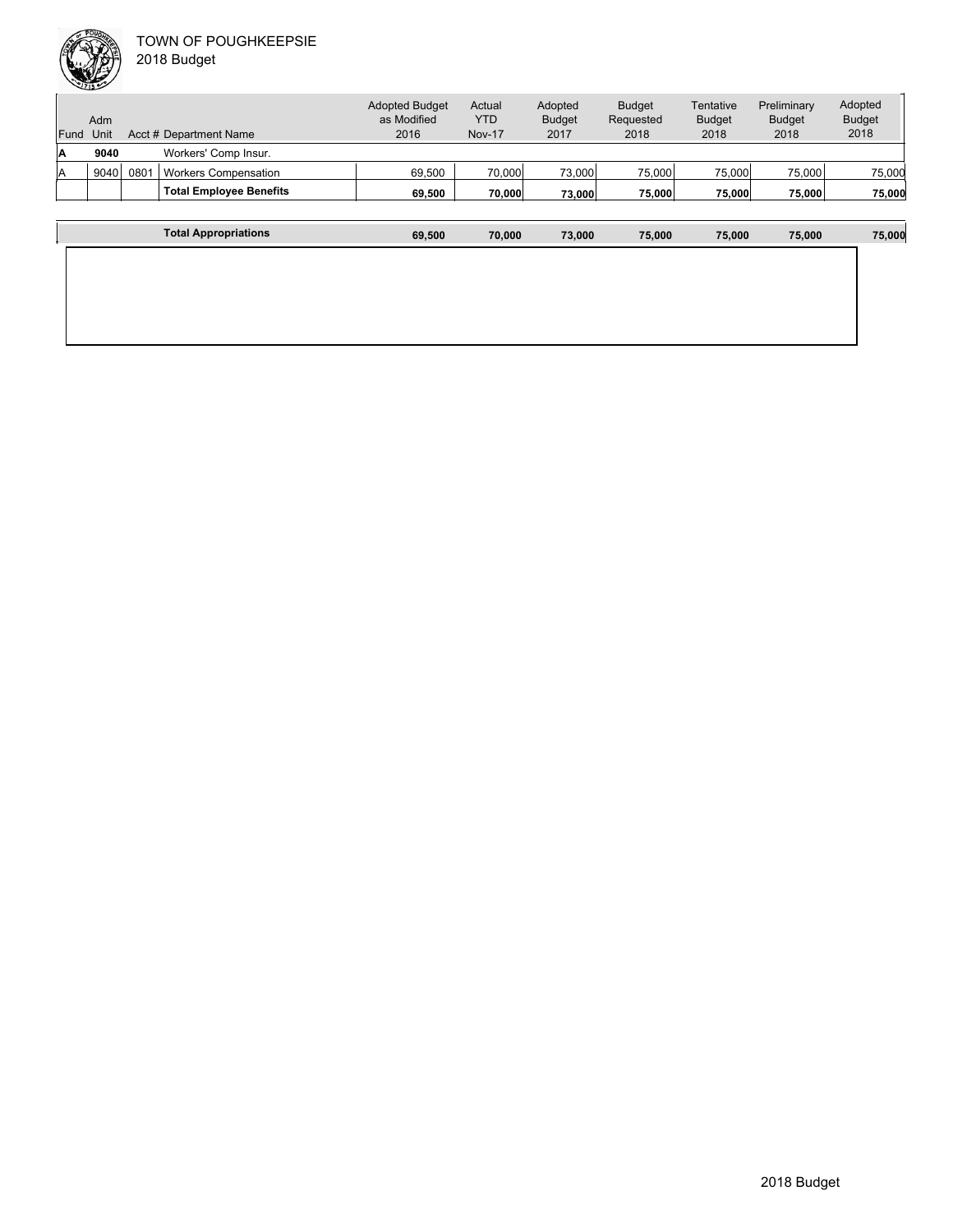| Fund | Adm<br>Unit |                  | Acct # Department Name         | <b>Adopted Budget</b><br>as Modified<br>2016 | Actual<br><b>YTD</b><br><b>Nov-17</b> | Adopted<br><b>Budget</b><br>2017 | <b>Budget</b><br>Requested<br>2018 | Tentative<br><b>Budget</b><br>2018 | Preliminary<br><b>Budget</b><br>2018 | Adopted<br><b>Budget</b><br>2018 |
|------|-------------|------------------|--------------------------------|----------------------------------------------|---------------------------------------|----------------------------------|------------------------------------|------------------------------------|--------------------------------------|----------------------------------|
| ۱A   | 9040        |                  | Workers' Comp Insur.           |                                              |                                       |                                  |                                    |                                    |                                      |                                  |
| ΙA   | 9040        | 080 <sup>7</sup> | <b>Workers Compensation</b>    | 69,500                                       | 70,000                                | 73,000                           | 75,000                             | 75,000                             | 75,000                               | 75,000                           |
|      |             |                  | <b>Total Employee Benefits</b> | 69.500                                       | 70.000                                | 73.000                           | 75,000                             | 75,000                             | 75,000                               | 75,000                           |
|      |             |                  |                                |                                              |                                       |                                  |                                    |                                    |                                      |                                  |

| <b>Total Appropriations</b> | 69,500 | 70,000 | 73,000 | 75,000 | 75,000 | 75,000 | 75,000 |
|-----------------------------|--------|--------|--------|--------|--------|--------|--------|
|                             |        |        |        |        |        |        |        |
|                             |        |        |        |        |        |        |        |
|                             |        |        |        |        |        |        |        |
|                             |        |        |        |        |        |        |        |
|                             |        |        |        |        |        |        |        |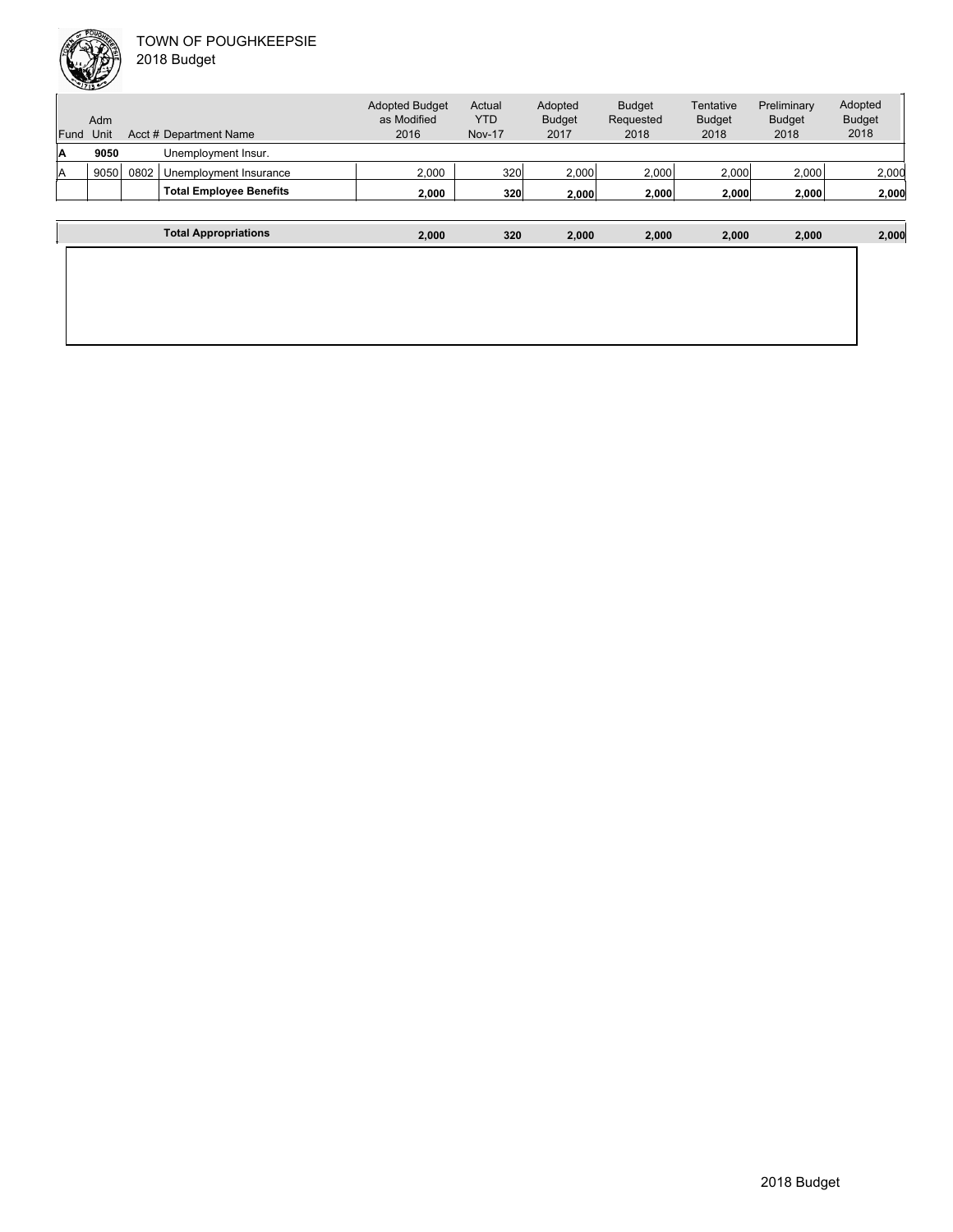

| Fund | Adm<br>Unit |      | Acct # Department Name         | <b>Adopted Budget</b><br>as Modified<br>2016 | Actual<br><b>YTD</b><br><b>Nov-17</b> | Adopted<br><b>Budget</b><br>2017 | <b>Budget</b><br>Requested<br>2018 | Tentative<br><b>Budget</b><br>2018 | Preliminary<br><b>Budget</b><br>2018 | Adopted<br><b>Budget</b><br>2018 |
|------|-------------|------|--------------------------------|----------------------------------------------|---------------------------------------|----------------------------------|------------------------------------|------------------------------------|--------------------------------------|----------------------------------|
| Α    | 9050        |      | Unemployment Insur.            |                                              |                                       |                                  |                                    |                                    |                                      |                                  |
| ΙA   | 9050        | 0802 | Unemployment Insurance         | 2,000                                        | 320                                   | 2,000                            | 2,000                              | 2,000                              | 2,000                                | 2,000                            |
|      |             |      | <b>Total Employee Benefits</b> | 2.000                                        | 320                                   | 2.000                            | 2.000                              | 2.000                              | 2,000                                | 2,000                            |
|      |             |      |                                |                                              |                                       |                                  |                                    |                                    |                                      |                                  |
|      |             |      | <b>Total Appropriations</b>    | 2,000                                        | 320                                   | 2.000                            | 2,000                              | 2,000                              | 2,000                                | 2,000                            |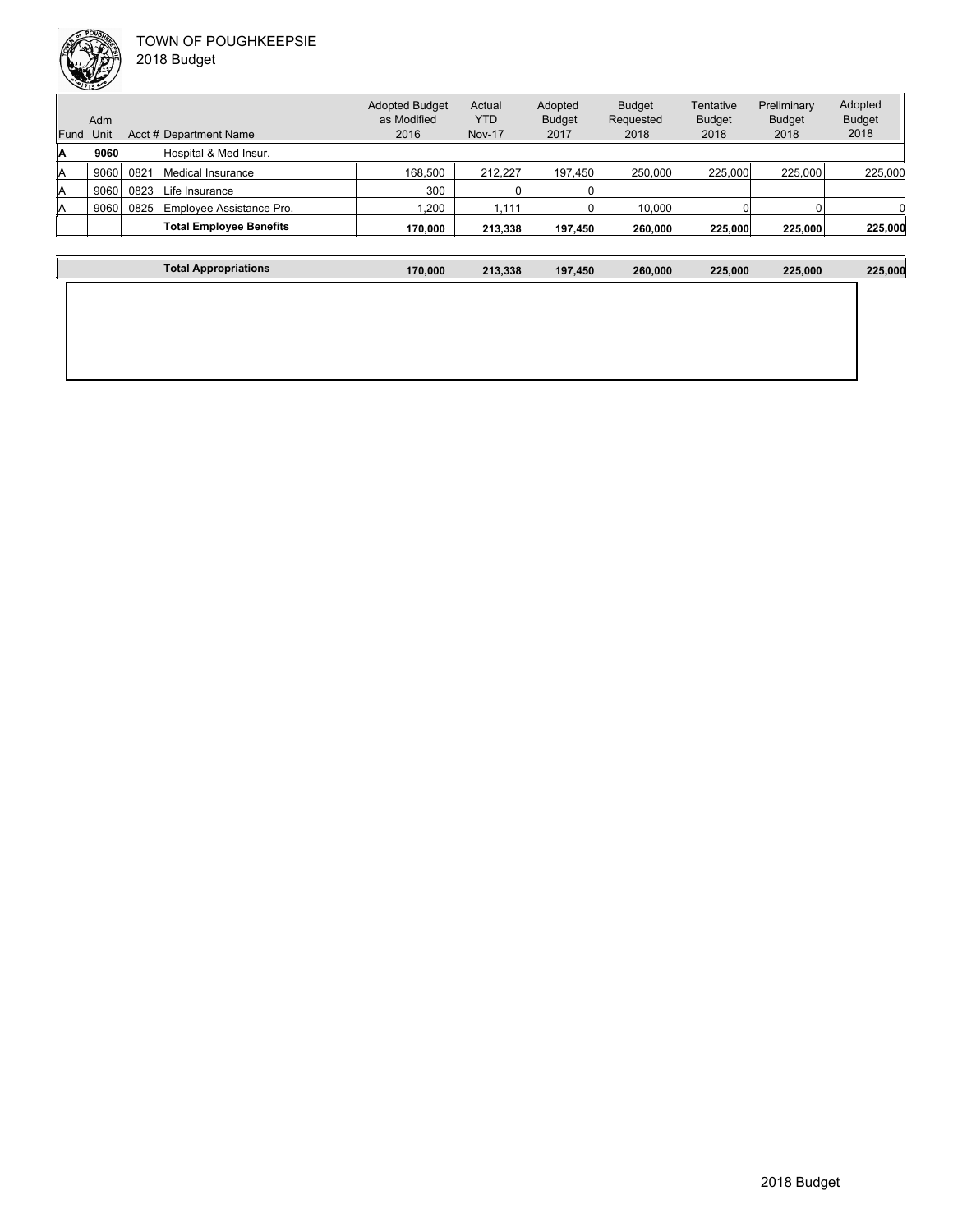

 $\overline{1}$ 

| Fund | Adm<br>Unit |      | Acct # Department Name         | <b>Adopted Budget</b><br>as Modified<br>2016 | Actual<br>YTD<br><b>Nov-17</b> | Adopted<br><b>Budget</b><br>2017 | <b>Budget</b><br>Requested<br>2018 | Tentative<br><b>Budget</b><br>2018 | Preliminary<br><b>Budget</b><br>2018 | Adopted<br><b>Budget</b><br>2018 |
|------|-------------|------|--------------------------------|----------------------------------------------|--------------------------------|----------------------------------|------------------------------------|------------------------------------|--------------------------------------|----------------------------------|
|      |             |      |                                |                                              |                                |                                  |                                    |                                    |                                      |                                  |
| A    | 9060        |      | Hospital & Med Insur.          |                                              |                                |                                  |                                    |                                    |                                      |                                  |
| ΙA   | 9060        | 0821 | Medical Insurance              | 168.500                                      | 212.227                        | 197.450                          | 250,000                            | 225,000                            | 225.000                              | 225,000                          |
| lA   | 9060        | 0823 | Life Insurance                 | 300                                          |                                |                                  |                                    |                                    |                                      |                                  |
| ΙA   | 9060        | 0825 | Emplovee Assistance Pro.       | 1.200                                        | .111                           |                                  | 10.000                             |                                    |                                      |                                  |
|      |             |      | <b>Total Employee Benefits</b> | 170.000                                      | 213,338                        | 197.450                          | 260,000                            | 225,000                            | 225,000                              | 225,000                          |
|      |             |      |                                |                                              |                                |                                  |                                    |                                    |                                      |                                  |

| <b>Total Appropriations</b> | 170,000 | 213,338 | 197,450 | 260,000 | 225,000 | 225,000 | 225,000 |
|-----------------------------|---------|---------|---------|---------|---------|---------|---------|
|                             |         |         |         |         |         |         |         |
|                             |         |         |         |         |         |         |         |
|                             |         |         |         |         |         |         |         |
|                             |         |         |         |         |         |         |         |
|                             |         |         |         |         |         |         |         |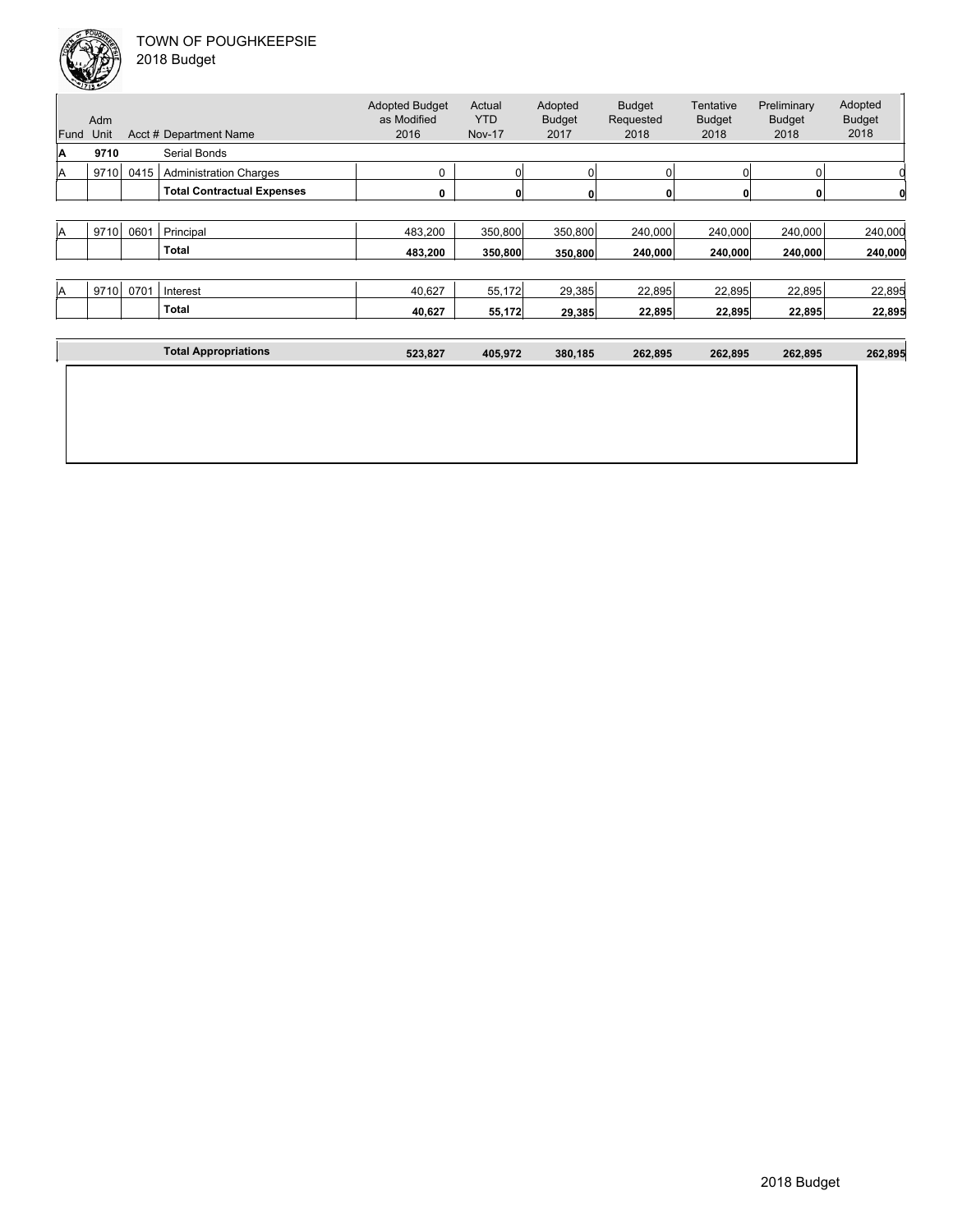| Fund | Adm<br>Unit |      | Acct # Department Name            | <b>Adopted Budget</b><br>as Modified<br>2016 | Actual<br><b>YTD</b><br><b>Nov-17</b> | Adopted<br><b>Budget</b><br>2017 | <b>Budget</b><br>Requested<br>2018 | Tentative<br><b>Budget</b><br>2018 | Preliminary<br><b>Budget</b><br>2018 | Adopted<br><b>Budget</b><br>2018 |
|------|-------------|------|-----------------------------------|----------------------------------------------|---------------------------------------|----------------------------------|------------------------------------|------------------------------------|--------------------------------------|----------------------------------|
| A    | 9710        |      | Serial Bonds                      |                                              |                                       |                                  |                                    |                                    |                                      |                                  |
| ΙA   | 9710        | 0415 | <b>Administration Charges</b>     | 0                                            | $\overline{0}$                        |                                  | $\Omega$                           |                                    | $\Omega$                             |                                  |
|      |             |      | <b>Total Contractual Expenses</b> | 0                                            | $\mathbf{0}$                          |                                  | $\mathbf{0}$                       |                                    | 0                                    |                                  |
|      |             |      |                                   |                                              |                                       |                                  |                                    |                                    |                                      |                                  |
| ΙA   | 9710        | 0601 | Principal                         | 483,200                                      | 350,800                               | 350,800                          | 240,000                            | 240,000                            | 240,000                              | 240,000                          |
|      |             |      | Total                             | 483,200                                      | 350,800                               | 350,800                          | 240,000                            | 240,000                            | 240,000                              | 240,000                          |
|      |             |      |                                   |                                              |                                       |                                  |                                    |                                    |                                      |                                  |
| ΙA   | 9710        | 0701 | Interest                          | 40,627                                       | 55,172                                | 29,385                           | 22,895                             | 22,895                             | 22,895                               | 22,895                           |
|      |             |      | Total                             | 40,627                                       | 55,172                                | 29,385                           | 22,895                             | 22,895                             | 22,895                               | 22,895                           |
|      |             |      |                                   |                                              |                                       |                                  |                                    |                                    |                                      |                                  |
|      |             |      | <b>Total Appropriations</b>       | 523,827                                      | 405,972                               | 380,185                          | 262,895                            | 262,895                            | 262,895                              | 262,895                          |
|      |             |      |                                   |                                              |                                       |                                  |                                    |                                    |                                      |                                  |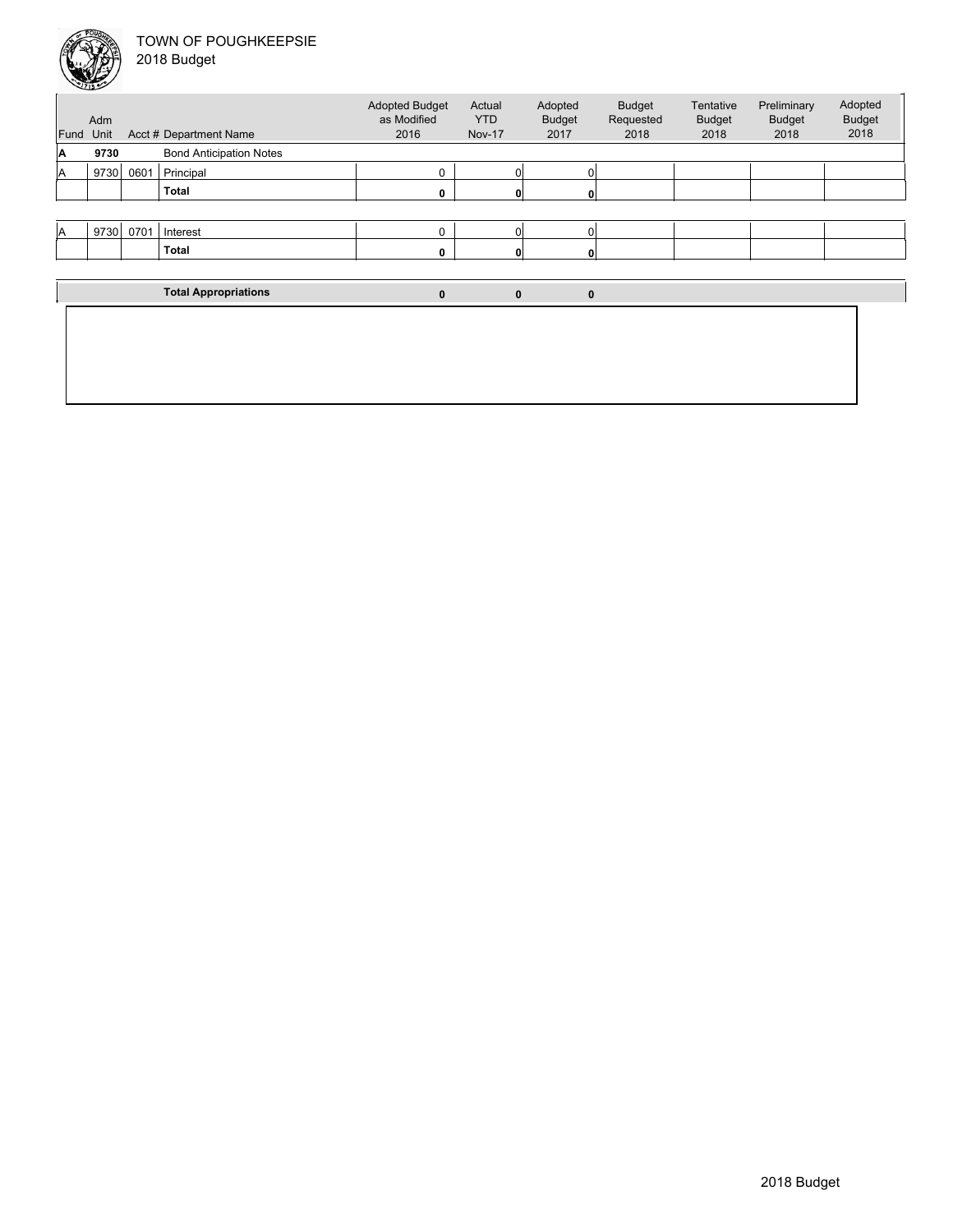

| Fund | Adm<br>Unit |      | Acct # Department Name         | <b>Adopted Budget</b><br>as Modified<br>2016 | Actual<br><b>YTD</b><br><b>Nov-17</b> | Adopted<br><b>Budget</b><br>2017 | <b>Budget</b><br>Requested<br>2018 | <b>Tentative</b><br><b>Budget</b><br>2018 | Preliminary<br><b>Budget</b><br>2018 | Adopted<br><b>Budget</b><br>2018 |
|------|-------------|------|--------------------------------|----------------------------------------------|---------------------------------------|----------------------------------|------------------------------------|-------------------------------------------|--------------------------------------|----------------------------------|
| ۱A   | 9730        |      | <b>Bond Anticipation Notes</b> |                                              |                                       |                                  |                                    |                                           |                                      |                                  |
| ΙA   | 9730        | 0601 | Principal                      | 0                                            | C                                     | 0                                |                                    |                                           |                                      |                                  |
|      |             |      | <b>Total</b>                   | 0                                            |                                       |                                  |                                    |                                           |                                      |                                  |
|      |             |      |                                |                                              |                                       |                                  |                                    |                                           |                                      |                                  |
| A    | 9730        | 0701 | Interest                       | 0                                            | $\Omega$                              | 0                                |                                    |                                           |                                      |                                  |
|      |             |      | <b>Total</b>                   | 0                                            | 0                                     | 0                                |                                    |                                           |                                      |                                  |
|      |             |      |                                |                                              |                                       |                                  |                                    |                                           |                                      |                                  |
|      |             |      | <b>Total Appropriations</b>    | 0                                            | $\bf{0}$                              | $\mathbf{0}$                     |                                    |                                           |                                      |                                  |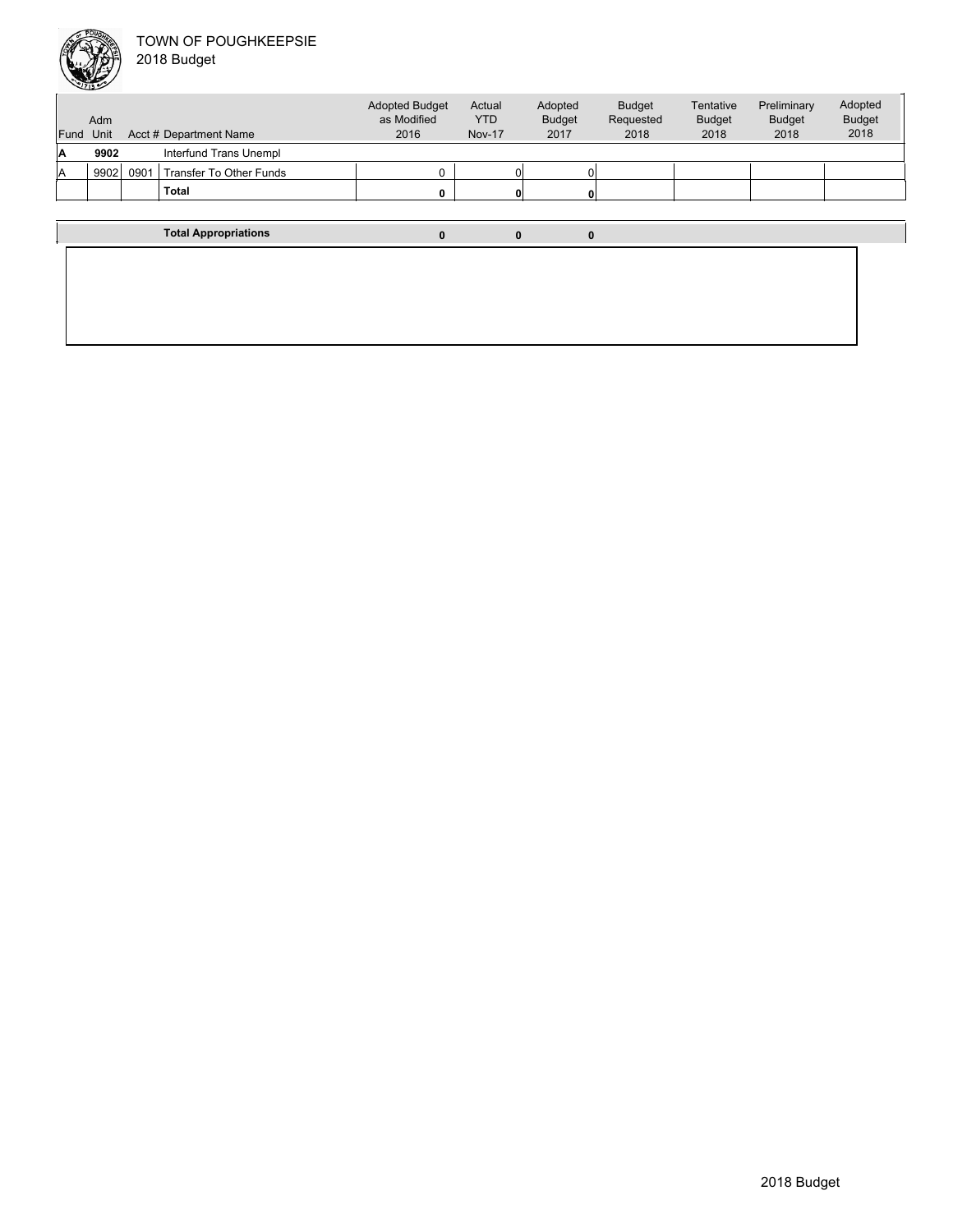

| Fund | Adm<br>Unit |      | Acct # Department Name      | <b>Adopted Budget</b><br>as Modified<br>2016 | Actual<br><b>YTD</b><br><b>Nov-17</b> | Adopted<br><b>Budget</b><br>2017 | <b>Budget</b><br>Requested<br>2018 | Tentative<br><b>Budget</b><br>2018 | Preliminary<br>Budget<br>2018 | Adopted<br><b>Budget</b><br>2018 |
|------|-------------|------|-----------------------------|----------------------------------------------|---------------------------------------|----------------------------------|------------------------------------|------------------------------------|-------------------------------|----------------------------------|
| ۱A   | 9902        |      | Interfund Trans Unempl      |                                              |                                       |                                  |                                    |                                    |                               |                                  |
| ΙA   | 9902        | 0901 | Transfer To Other Funds     | 0                                            |                                       |                                  |                                    |                                    |                               |                                  |
|      |             |      | <b>Total</b>                | 0                                            | $\mathbf{0}$                          |                                  |                                    |                                    |                               |                                  |
|      |             |      |                             |                                              |                                       |                                  |                                    |                                    |                               |                                  |
|      |             |      | <b>Total Appropriations</b> | 0                                            | 0                                     |                                  |                                    |                                    |                               |                                  |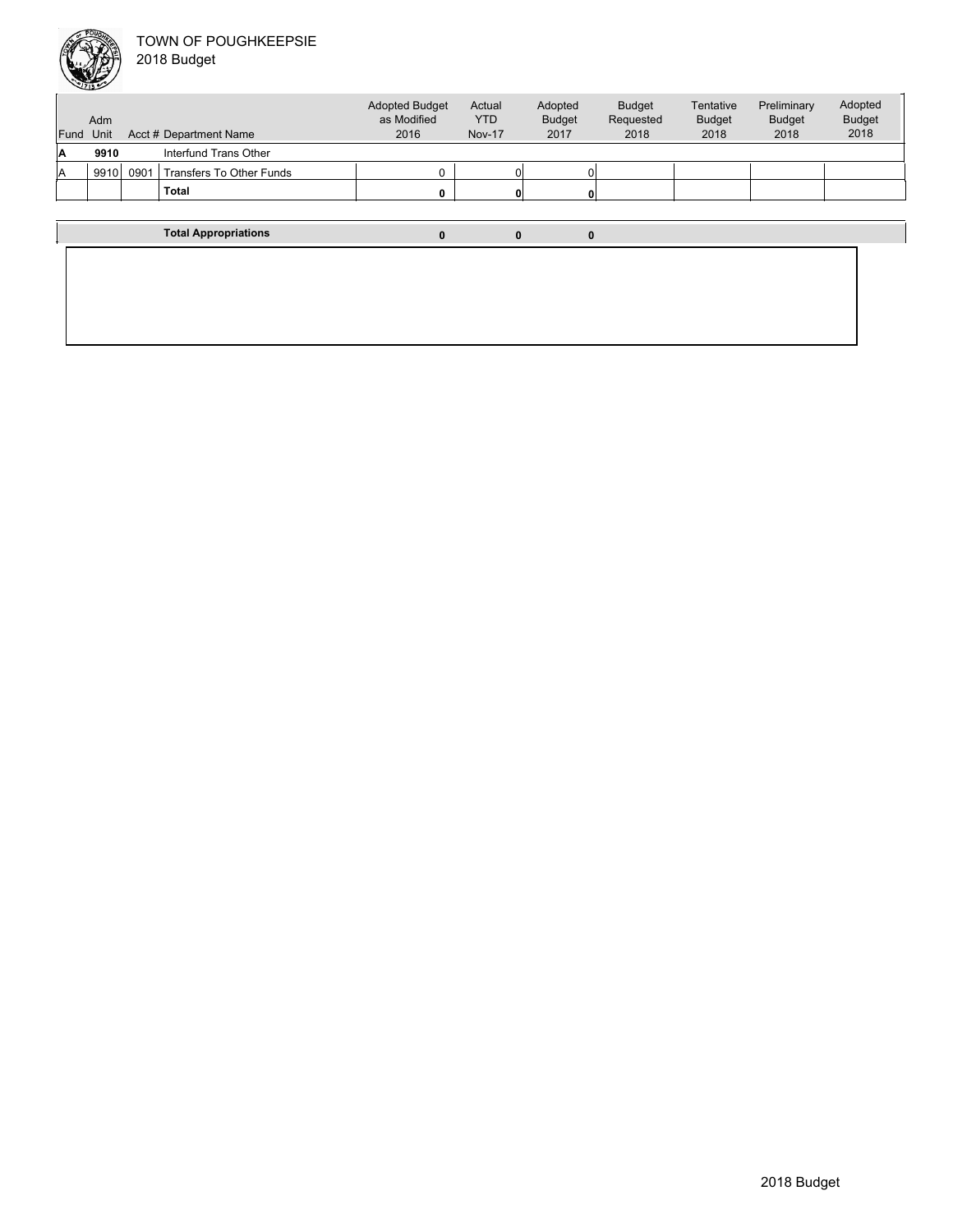

| Fund Unit | Adm  |      | Acct # Department Name      | <b>Adopted Budget</b><br>as Modified<br>2016 | Actual<br><b>YTD</b><br><b>Nov-17</b> | Adopted<br><b>Budget</b><br>2017 | <b>Budget</b><br>Requested<br>2018 | Tentative<br><b>Budget</b><br>2018 | Preliminary<br><b>Budget</b><br>2018 | Adopted<br><b>Budget</b><br>2018 |
|-----------|------|------|-----------------------------|----------------------------------------------|---------------------------------------|----------------------------------|------------------------------------|------------------------------------|--------------------------------------|----------------------------------|
|           |      |      |                             |                                              |                                       |                                  |                                    |                                    |                                      |                                  |
| Α         | 9910 |      | Interfund Trans Other       |                                              |                                       |                                  |                                    |                                    |                                      |                                  |
| A         | 9910 | 0901 | Transfers To Other Funds    |                                              |                                       |                                  |                                    |                                    |                                      |                                  |
|           |      |      | Total                       |                                              |                                       |                                  |                                    |                                    |                                      |                                  |
|           |      |      |                             |                                              |                                       |                                  |                                    |                                    |                                      |                                  |
|           |      |      | <b>Total Appropriations</b> | 0                                            | 0                                     | 0                                |                                    |                                    |                                      |                                  |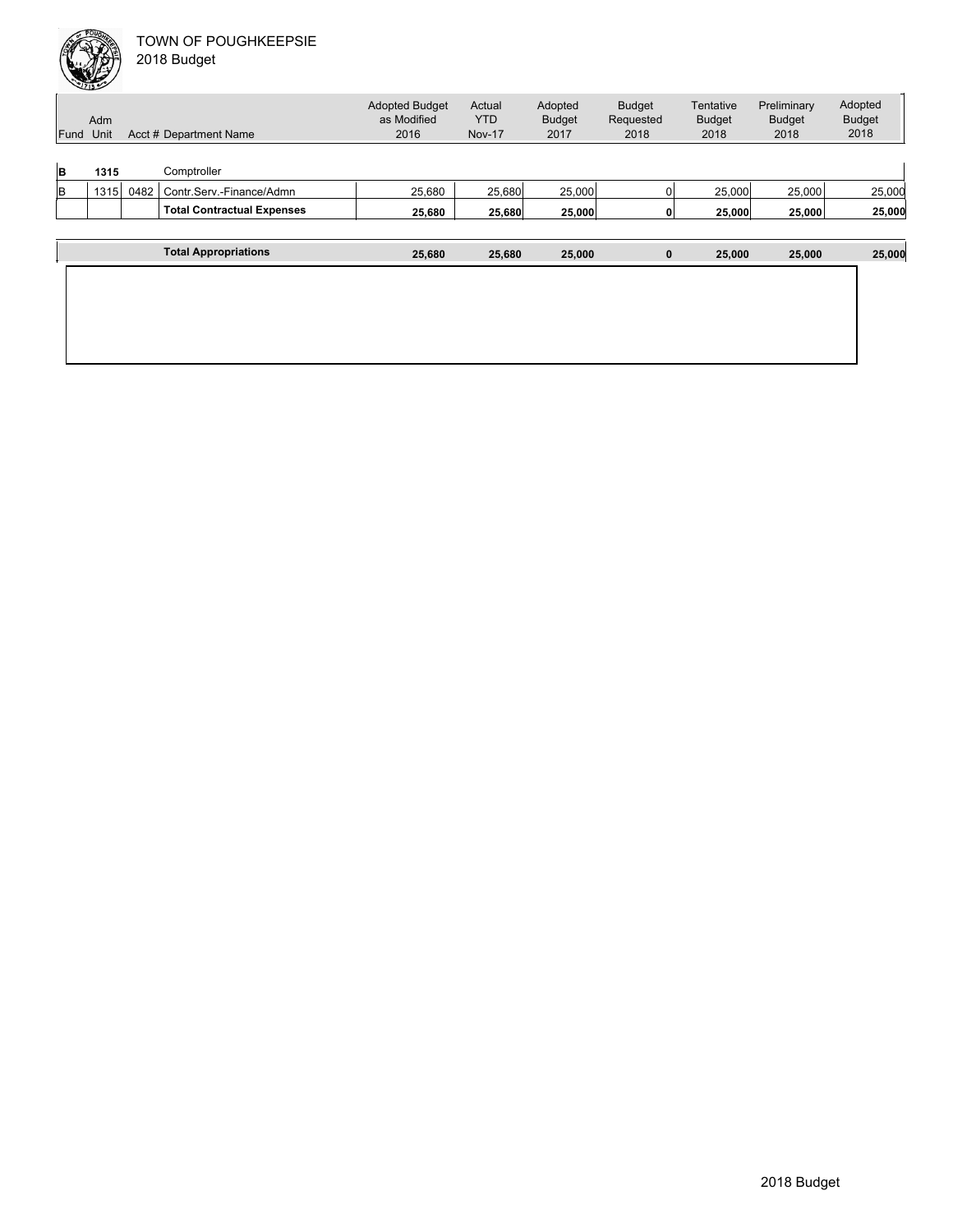|     | Adm<br>Fund Unit |      | Acct # Department Name            | <b>Adopted Budget</b><br>as Modified<br>2016 | Actual<br><b>YTD</b><br><b>Nov-17</b> | Adopted<br><b>Budget</b><br>2017 | <b>Budget</b><br>Requested<br>2018 | Tentative<br><b>Budget</b><br>2018 | Preliminary<br><b>Budget</b><br>2018 | Adopted<br><b>Budget</b><br>2018 |
|-----|------------------|------|-----------------------------------|----------------------------------------------|---------------------------------------|----------------------------------|------------------------------------|------------------------------------|--------------------------------------|----------------------------------|
| B   | 1315             |      | Comptroller                       |                                              |                                       |                                  |                                    |                                    |                                      |                                  |
| lB. | 1315             | 0482 | Contr.Serv.-Finance/Admn          | 25,680                                       | 25,680                                | 25,000                           | n۱                                 | 25,000                             | 25,000                               | 25,000                           |
|     |                  |      | <b>Total Contractual Expenses</b> | 25,680                                       | 25,680                                | 25,000                           | 01                                 | 25,000                             | 25,000                               | 25,000                           |
|     |                  |      |                                   |                                              |                                       |                                  |                                    |                                    |                                      |                                  |
|     |                  |      | <b>Total Appropriations</b>       | 25,680                                       | 25,680                                | 25,000                           | $\mathbf 0$                        | 25,000                             | 25,000                               | 25,000                           |
|     |                  |      |                                   |                                              |                                       |                                  |                                    |                                    |                                      |                                  |
|     |                  |      |                                   |                                              |                                       |                                  |                                    |                                    |                                      |                                  |
|     |                  |      |                                   |                                              |                                       |                                  |                                    |                                    |                                      |                                  |
|     |                  |      |                                   |                                              |                                       |                                  |                                    |                                    |                                      |                                  |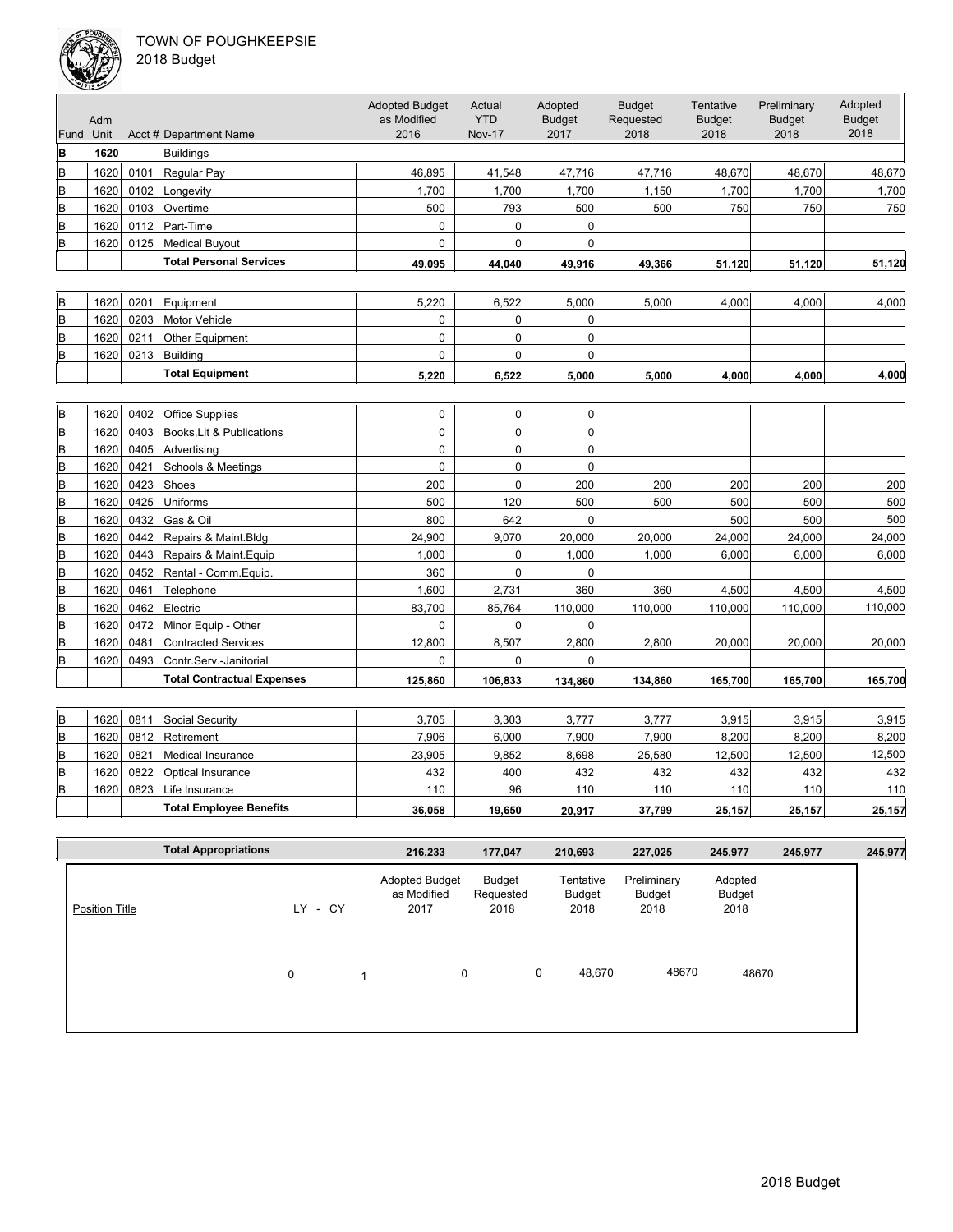

|                | ستخلفا       |              |                                   |                                      |                      |                           |                            |                            |                              |                          |
|----------------|--------------|--------------|-----------------------------------|--------------------------------------|----------------------|---------------------------|----------------------------|----------------------------|------------------------------|--------------------------|
|                | Adm          |              |                                   | <b>Adopted Budget</b><br>as Modified | Actual<br><b>YTD</b> | Adopted<br><b>Budget</b>  | <b>Budget</b><br>Requested | Tentative<br><b>Budget</b> | Preliminary<br><b>Budget</b> | Adopted<br><b>Budget</b> |
| Fund Unit      |              |              | Acct # Department Name            | 2016                                 | <b>Nov-17</b>        | 2017                      | 2018                       | 2018                       | 2018                         | 2018                     |
| B              | 1620         |              | <b>Buildings</b>                  |                                      |                      |                           |                            |                            |                              |                          |
| B              | 1620         | 0101         | <b>Regular Pay</b>                | 46.895                               | 41,548               | 47,716                    | 47,716                     | 48,670                     | 48,670                       | 48,670                   |
| B              | 1620         | 0102         | Longevity                         | 1,700                                | 1,700                | 1,700                     | 1,150                      | 1,700                      | 1,700                        | 1,700                    |
| B              | 1620         | 0103         | Overtime                          | 500                                  | 793                  | 500                       | 500                        | 750                        | 750                          | 750                      |
| B              | 1620         | 0112         | Part-Time                         | $\mathbf 0$                          | $\overline{0}$       | $\overline{0}$            |                            |                            |                              |                          |
| B              | 1620         | 0125         | <b>Medical Buyout</b>             | $\mathbf 0$                          | $\overline{0}$       | $\Omega$                  |                            |                            |                              |                          |
|                |              |              | <b>Total Personal Services</b>    | 49,095                               | 44,040               | 49,916                    | 49,366                     | 51,120                     | 51,120                       | 51,120                   |
|                |              |              |                                   |                                      |                      |                           |                            |                            |                              |                          |
| B              | 1620         | 0201         |                                   | 5,220                                | 6,522                | 5,000                     | 5,000                      | 4,000                      | 4.000                        | 4,000                    |
|                | 1620         | 0203         | Equipment<br><b>Motor Vehicle</b> | $\mathbf 0$                          | 0                    | $\overline{0}$            |                            |                            |                              |                          |
| B<br>B         | 1620         | 0211         | Other Equipment                   | $\mathbf 0$                          | $\mathbf 0$          | $\overline{0}$            |                            |                            |                              |                          |
| B              | 1620         | 0213         | <b>Building</b>                   | $\Omega$                             | 0                    | $\Omega$                  |                            |                            |                              |                          |
|                |              |              | <b>Total Equipment</b>            |                                      |                      |                           |                            |                            |                              |                          |
|                |              |              |                                   | 5,220                                | 6,522                | 5,000                     | 5,000                      | 4.000                      | 4.000                        | 4,000                    |
|                |              |              |                                   |                                      |                      |                           |                            |                            |                              |                          |
| B              | 1620         | 0402         | <b>Office Supplies</b>            | $\mathbf 0$                          | 0                    | 0                         |                            |                            |                              |                          |
| $\mathsf B$    | 1620         | 0403         | Books, Lit & Publications         | $\mathbf 0$                          | 0                    | $\overline{0}$            |                            |                            |                              |                          |
| B              | 1620         | 0405         | Advertising                       | $\mathbf 0$                          | 0                    | $\overline{0}$            |                            |                            |                              |                          |
| B              | 1620         | 0421         | Schools & Meetings                | $\mathbf 0$                          | $\mathbf 0$          | $\overline{0}$            |                            |                            |                              |                          |
| $\sf{B}$       | 1620         | 0423         | Shoes                             | 200                                  | $\mathbf 0$          | 200                       | 200                        | 200                        | 200                          | 200                      |
| $\sf{B}$       | 1620         | 0425         | Uniforms                          | 500                                  | 120                  | 500<br>$\overline{0}$     | 500                        | 500                        | 500                          | 500                      |
| B              | 1620         | 0432         | Gas & Oil                         | 800                                  | 642                  |                           |                            | 500                        | 500                          | 500                      |
| B              | 1620         | 0442         | Repairs & Maint.Bldg              | 24,900                               | 9,070                | 20,000                    | 20,000                     | 24,000                     | 24,000                       | 24,000                   |
| $\overline{B}$ | 1620         | 0443         | Repairs & Maint.Equip             | 1,000                                | 0                    | 1,000                     | 1,000                      | 6,000                      | 6,000                        | 6,000                    |
| B              | 1620         | 0452         | Rental - Comm. Equip.             | 360                                  | $\mathbf{0}$         | $\Omega$                  |                            |                            |                              |                          |
| $\sf{B}$       | 1620         | 0461         | Telephone                         | 1,600                                | 2,731                | 360                       | 360                        | 4,500                      | 4,500                        | 4,500                    |
| $\sf{B}$<br>B  | 1620<br>1620 | 0462<br>0472 | Electric<br>Minor Equip - Other   | 83,700<br>$\mathbf 0$                | 85,764<br>0          | 110,000<br>$\overline{0}$ | 110,000                    | 110,000                    | 110,000                      | 110,000                  |
| B              | 1620         | 0481         | <b>Contracted Services</b>        | 12,800                               | 8,507                | 2,800                     | 2,800                      | 20,000                     | 20,000                       | 20,000                   |
| B              | 1620         | 0493         | Contr.Serv.-Janitorial            | 0                                    | 0                    | $\overline{0}$            |                            |                            |                              |                          |
|                |              |              | <b>Total Contractual Expenses</b> | 125.860                              |                      |                           |                            |                            |                              |                          |
|                |              |              |                                   |                                      | 106,833              | 134,860                   | 134,860                    | 165,700                    | 165,700                      | 165,700                  |
| B              | 1620         | 0811         | Social Security                   | 3,705                                | 3,303                | 3,777                     | 3,777                      | 3,915                      | 3,915                        | 3,915                    |
| $\sf{B}$       | 1620         | 0812         | Retirement                        | 7,906                                | 6,000                | 7,900                     | 7,900                      | 8,200                      | 8,200                        | 8,200                    |
| $\, {\bf B}$   | 1620         | 0821         | Medical Insurance                 | 23,905                               | 9,852                | 8,698                     | 25,580                     | 12,500                     | 12,500                       | 12,500                   |
| $\sf{B}$       | 1620         | 0822         | Optical Insurance                 | 432                                  | 400                  | 432                       | 432                        | 432                        | 432                          | 432                      |
| B              | 1620         | 0823         | Life Insurance                    | 110                                  | 96                   | 110                       | 110                        | 110                        | 110                          | 110                      |
|                |              |              | <b>Total Employee Benefits</b>    |                                      |                      |                           |                            |                            |                              | 25,157                   |
|                |              |              |                                   | 36,058                               | 19.650               | 20,917                    | 37,799                     | 25,157                     | 25,157                       |                          |

|                       | <b>Total Appropriations</b> |   |         |                         | 216,233                                      | 177,047                     |   | 210,693                     | 227,025                       | 245,977                   | 245,977 | 245,977 |
|-----------------------|-----------------------------|---|---------|-------------------------|----------------------------------------------|-----------------------------|---|-----------------------------|-------------------------------|---------------------------|---------|---------|
| <b>Position Title</b> |                             |   | LY - CY |                         | <b>Adopted Budget</b><br>as Modified<br>2017 | Budget<br>Requested<br>2018 |   | Tentative<br>Budget<br>2018 | Preliminary<br>Budget<br>2018 | Adopted<br>Budget<br>2018 |         |         |
|                       |                             | 0 |         | $\overline{\mathbf{A}}$ | 0                                            |                             | 0 | 48,670                      | 48670                         | 48670                     |         |         |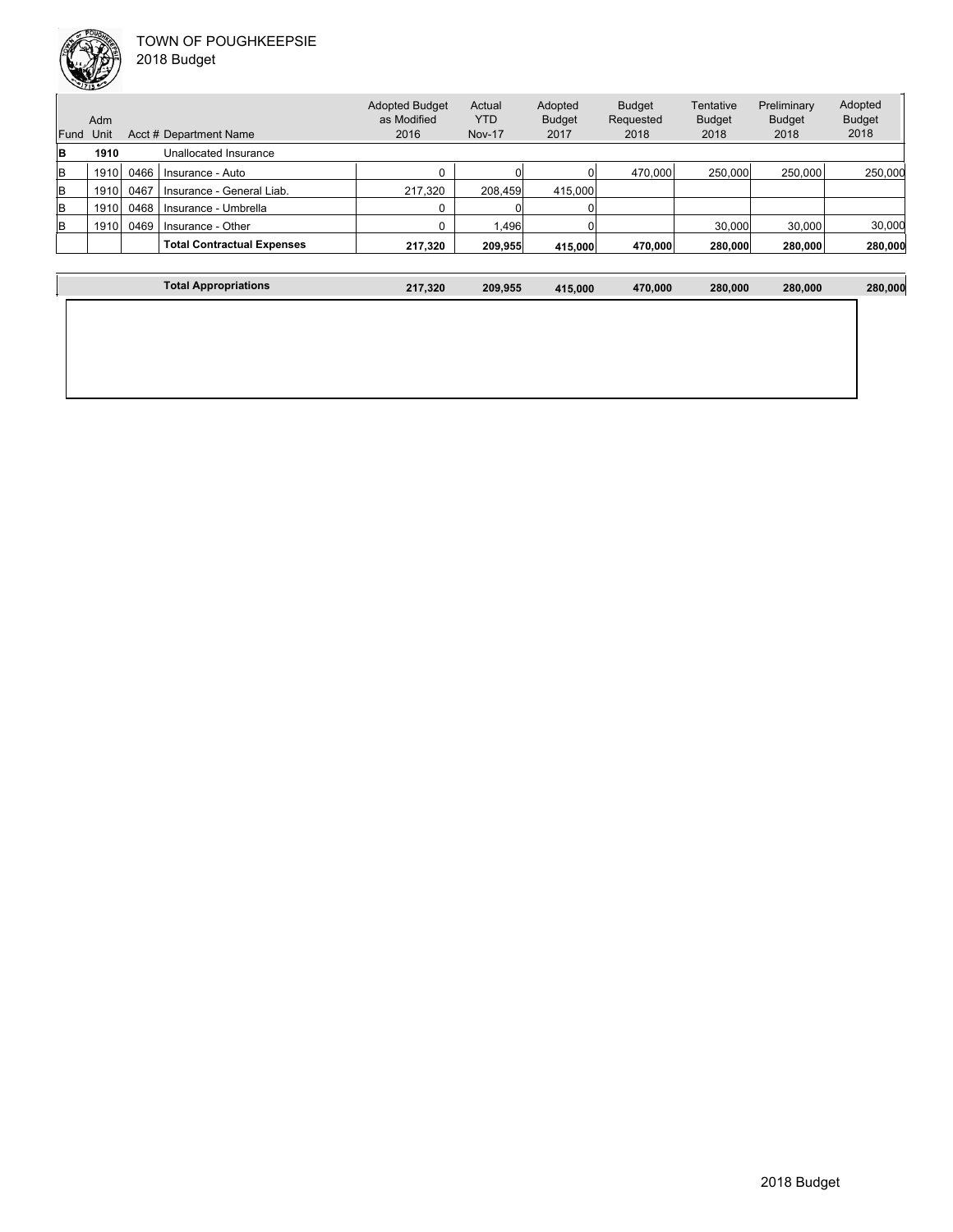

Unit Acct # Department Name Adm Actual YTD Nov-17 Budget Requested 2018 **Tentative** Budget 2018 Preliminary Budget 2018 Adopted Budget 2018 Adopted Budget as Modified 2016 Fund Unit Adopted Budget 2017 **B 1910** Unallocated Insurance B 1910 0466 Insurance - Auto 250,000 260,000 0 0 470,000 250,000 250,000 250,000 250,000 250,000 250,000 250,000 250,000 250,000 250,000 250,000 250,000 250,000 250,000 250,000 250,000 250,000 250,000 250,000 250,000 250,0 B 1910 0467 Insurance - General Liab. 217,320 208,459 415,000  $\begin{array}{|c|c|c|c|c|}\n\hline\n B & 1910 & 0468 & \text{Insurance - Umbrella} \\
\hline\n\end{array}$  1910  $\begin{array}{|c|c|c|c|}\n\hline\n0 & 0 & 0 \\
\hline\n\end{array}$ B 1910 0469 Insurance - Other 0 1,496 0 30,000 30,000 30,000 **Total Contractual Expenses 217,320 209,955 415,000 470,000 280,000 280,000 280,000**

| ™ota.<br>' Appropriations | 217.320 | 209.955 | 115.000 | 470.000 | 280.000 | 280.000 | 280,000 |
|---------------------------|---------|---------|---------|---------|---------|---------|---------|
|                           |         |         |         |         |         |         |         |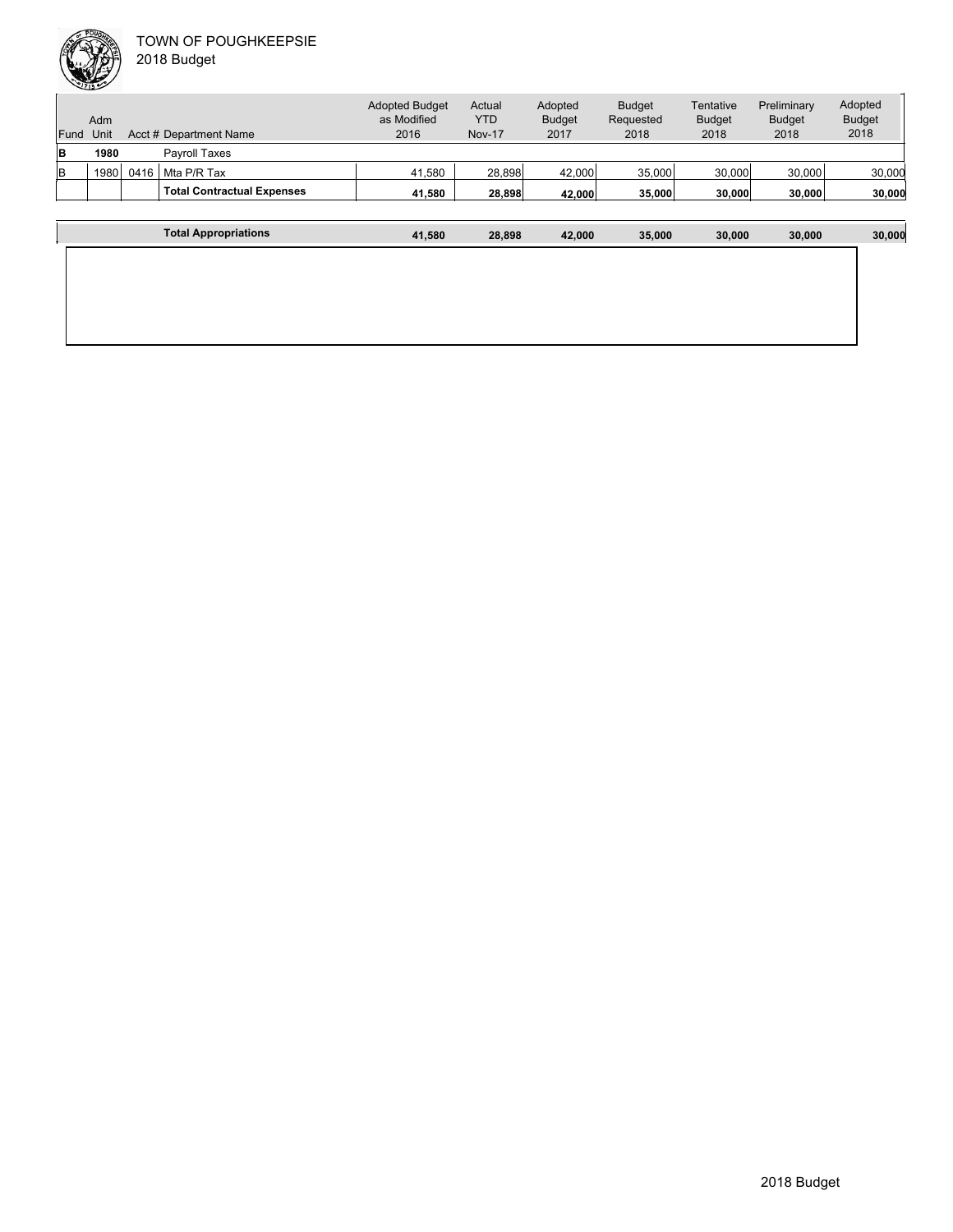| Fund | Adm<br>Unit |      | Acct # Department Name            | <b>Adopted Budget</b><br>as Modified<br>2016 | Actual<br><b>YTD</b><br><b>Nov-17</b> | Adopted<br><b>Budget</b><br>2017 | <b>Budget</b><br>Requested<br>2018 | Tentative<br><b>Budget</b><br>2018 | Preliminary<br><b>Budget</b><br>2018 | Adopted<br><b>Budget</b><br>2018 |
|------|-------------|------|-----------------------------------|----------------------------------------------|---------------------------------------|----------------------------------|------------------------------------|------------------------------------|--------------------------------------|----------------------------------|
| lB   | 1980        |      | <b>Pavroll Taxes</b>              |                                              |                                       |                                  |                                    |                                    |                                      |                                  |
| lв   | 1980        | 0416 | Mta P/R Tax                       | 41.580                                       | 28,898                                | 42,000                           | 35,000                             | 30,000                             | 30,000                               | 30,000                           |
|      |             |      | <b>Total Contractual Expenses</b> | 41,580                                       | 28.898                                | 42,000                           | 35,000                             | 30,000                             | 30,000                               | 30,000                           |
|      |             |      |                                   |                                              |                                       |                                  |                                    |                                    |                                      |                                  |
|      |             |      | <b>Total Appropriations</b>       | 41.580                                       | 28.898                                | 42.000                           | 35.000                             | 30,000                             | 30,000                               | 30,000                           |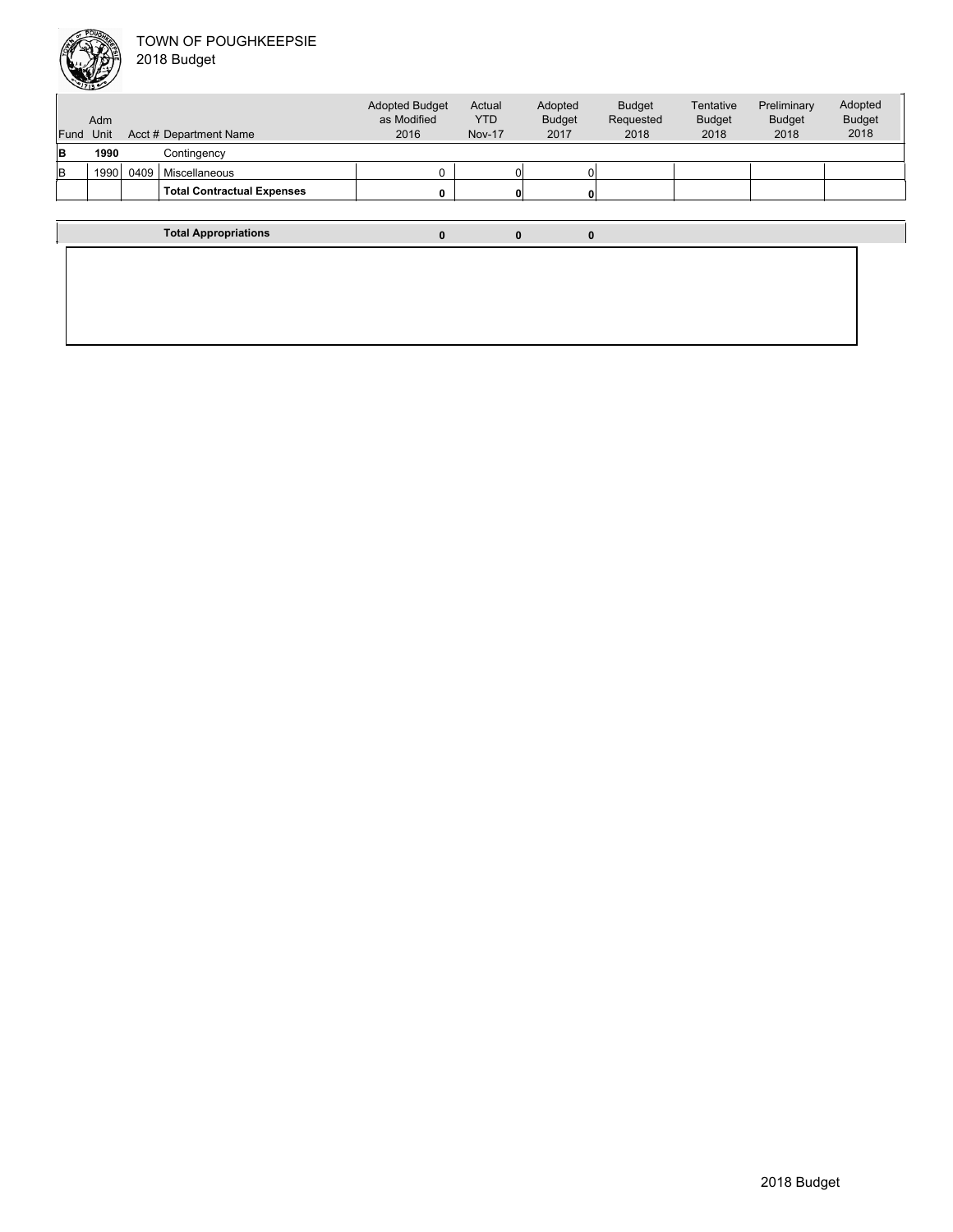

| Fund | Adm<br>Unit |      | Acct # Department Name            | <b>Adopted Budget</b><br>as Modified<br>2016 | Actual<br><b>YTD</b><br><b>Nov-17</b> | Adopted<br><b>Budget</b><br>2017 | <b>Budget</b><br>Requested<br>2018 | Tentative<br><b>Budget</b><br>2018 | Preliminary<br><b>Budget</b><br>2018 | Adopted<br><b>Budget</b><br>2018 |
|------|-------------|------|-----------------------------------|----------------------------------------------|---------------------------------------|----------------------------------|------------------------------------|------------------------------------|--------------------------------------|----------------------------------|
| B    | 1990        |      | Contingency                       |                                              |                                       |                                  |                                    |                                    |                                      |                                  |
| lв   | 1990        | 0409 | Miscellaneous                     |                                              |                                       | Οl                               |                                    |                                    |                                      |                                  |
|      |             |      | <b>Total Contractual Expenses</b> |                                              |                                       | $\mathbf{0}$                     |                                    |                                    |                                      |                                  |
|      |             |      |                                   |                                              |                                       |                                  |                                    |                                    |                                      |                                  |
|      |             |      | <b>Total Appropriations</b>       |                                              |                                       | 0                                | 0                                  |                                    |                                      |                                  |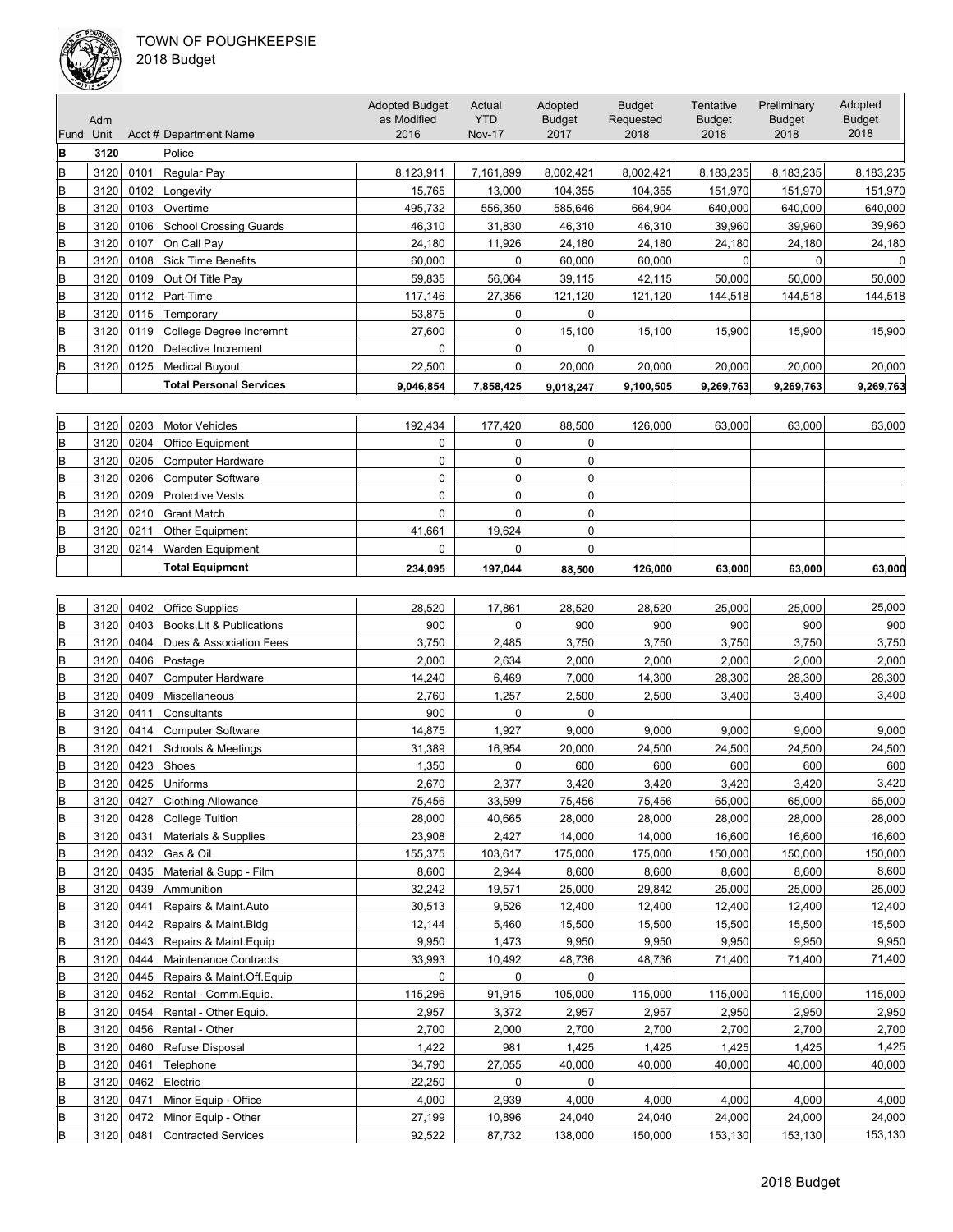

|      | Adm  |      |                                | <b>Adopted Budget</b><br>as Modified | Actual<br><b>YTD</b> | Adopted<br><b>Budget</b> | <b>Budget</b><br>Requested | Tentative<br><b>Budget</b> | Preliminary<br><b>Budget</b> | Adopted<br><b>Budget</b> |
|------|------|------|--------------------------------|--------------------------------------|----------------------|--------------------------|----------------------------|----------------------------|------------------------------|--------------------------|
| Fund | Unit |      | Acct # Department Name         | 2016                                 | <b>Nov-17</b>        | 2017                     | 2018                       | 2018                       | 2018                         | 2018                     |
| B    | 3120 |      | Police                         |                                      |                      |                          |                            |                            |                              |                          |
| lΒ   | 3120 | 0101 | Regular Pay                    | 8,123,911                            | 7,161,899            | 8,002,421                | 8,002,421                  | 8,183,235                  | 8,183,235                    | 8,183,235                |
| lΒ   | 3120 | 0102 | Longevity                      | 15,765                               | 13,000               | 104,355                  | 104,355                    | 151,970                    | 151,970                      | 151,970                  |
| B    | 3120 | 0103 | Overtime                       | 495,732                              | 556,350              | 585,646                  | 664,904                    | 640,000                    | 640,000                      | 640,000                  |
| lB.  | 3120 | 0106 | <b>School Crossing Guards</b>  | 46,310                               | 31,830               | 46,310                   | 46,310                     | 39,960                     | 39,960                       | 39,960                   |
| lΒ   | 3120 | 0107 | On Call Pay                    | 24,180                               | 11,926               | 24,180                   | 24,180                     | 24,180                     | 24,180                       | 24,180                   |
| lΒ   | 3120 | 0108 | <b>Sick Time Benefits</b>      | 60,000                               | 0                    | 60,000                   | 60,000                     |                            |                              |                          |
| lΒ   | 3120 | 0109 | Out Of Title Pay               | 59,835                               | 56,064               | 39,115                   | 42,115                     | 50,000                     | 50,000                       | 50,000                   |
| lB.  | 3120 | 0112 | Part-Time                      | 117,146                              | 27,356               | 121,120                  | 121,120                    | 144,518                    | 144,518                      | 144,518                  |
| B    | 3120 | 0115 | Temporary                      | 53,875                               |                      |                          |                            |                            |                              |                          |
| lΒ   | 3120 | 0119 | College Degree Incremnt        | 27,600                               |                      | 15,100                   | 15,100                     | 15,900                     | 15,900                       | 15,900                   |
| lB.  | 3120 | 0120 | Detective Increment            | $\Omega$                             |                      |                          |                            |                            |                              |                          |
| lΒ   | 3120 | 0125 | <b>Medical Buyout</b>          | 22,500                               |                      | 20,000                   | 20,000                     | 20,000                     | 20,000                       | 20,000                   |
|      |      |      | <b>Total Personal Services</b> | 9,046,854                            | 7,858,425            | 9,018,247                | 9,100,505                  | 9,269,763                  | 9,269,763                    | 9,269,763                |

| lΒ | 3120 | 0203 | <b>Motor Vehicles</b>    | 192.434 | 177.420 | 88.500 | 126,000 | 63,000 | 63.000 | 63,000 |
|----|------|------|--------------------------|---------|---------|--------|---------|--------|--------|--------|
| lв | 3120 | 0204 | <b>Office Equipment</b>  |         |         |        |         |        |        |        |
| lΒ | 3120 | 0205 | Computer Hardware        |         |         |        |         |        |        |        |
| lΒ | 3120 | 0206 | <b>Computer Software</b> |         |         |        |         |        |        |        |
| lΒ | 3120 | 0209 | <b>Protective Vests</b>  |         |         |        |         |        |        |        |
| lΒ | 3120 | 0210 | <b>Grant Match</b>       |         |         |        |         |        |        |        |
| lΒ | 3120 | 0211 | <b>Other Equipment</b>   | 41.661  | 19.624  |        |         |        |        |        |
| lΒ | 3120 | 0214 | Warden Equipment         |         |         |        |         |        |        |        |
|    |      |      | <b>Total Equipment</b>   | 234.095 | 197.044 | 88.500 | 126.000 | 63,000 | 63.000 | 63,000 |

| lΒ | 3120 | 0402 | <b>Office Supplies</b>       | 28,520   | 17,861       | 28,520         | 28,520  | 25,000  | 25,000  | 25,000  |
|----|------|------|------------------------------|----------|--------------|----------------|---------|---------|---------|---------|
| B  | 3120 | 0403 | Books, Lit & Publications    | 900      | O            | 900            | 900     | 900     | 900     | 900     |
| B  | 3120 | 0404 | Dues & Association Fees      | 3,750    | 2,485        | 3,750          | 3,750   | 3,750   | 3,750   | 3,750   |
| B  | 3120 | 0406 | Postage                      | 2,000    | 2,634        | 2,000          | 2,000   | 2,000   | 2,000   | 2,000   |
| B  | 3120 | 0407 | <b>Computer Hardware</b>     | 14,240   | 6,469        | 7,000          | 14,300  | 28,300  | 28,300  | 28,300  |
| В  | 3120 | 0409 | Miscellaneous                | 2,760    | 1,257        | 2,500          | 2,500   | 3,400   | 3,400   | 3,400   |
| B  | 3120 | 0411 | Consultants                  | 900      | $\Omega$     | $\Omega$       |         |         |         |         |
| B  | 3120 | 0414 | <b>Computer Software</b>     | 14,875   | 1,927        | 9,000          | 9,000   | 9,000   | 9,000   | 9,000   |
| B  | 3120 | 0421 | Schools & Meetings           | 31,389   | 16,954       | 20,000         | 24,500  | 24,500  | 24,500  | 24,500  |
| B  | 3120 | 0423 | Shoes                        | 1,350    | <sup>0</sup> | 600            | 600     | 600     | 600     | 600     |
| B  | 3120 | 0425 | Uniforms                     | 2,670    | 2,377        | 3,420          | 3,420   | 3,420   | 3,420   | 3,420   |
| B  | 3120 | 0427 | <b>Clothing Allowance</b>    | 75,456   | 33,599       | 75,456         | 75,456  | 65,000  | 65,000  | 65,000  |
| B  | 3120 | 0428 | <b>College Tuition</b>       | 28,000   | 40,665       | 28,000         | 28,000  | 28,000  | 28,000  | 28,000  |
| B  | 3120 | 0431 | Materials & Supplies         | 23,908   | 2,427        | 14,000         | 14,000  | 16,600  | 16,600  | 16,600  |
| B  | 3120 | 0432 | Gas & Oil                    | 155,375  | 103,617      | 175,000        | 175,000 | 150,000 | 150,000 | 150,000 |
| B  | 3120 | 0435 | Material & Supp - Film       | 8,600    | 2,944        | 8,600          | 8,600   | 8,600   | 8,600   | 8,600   |
| B  | 3120 | 0439 | Ammunition                   | 32,242   | 19,571       | 25,000         | 29,842  | 25,000  | 25,000  | 25,000  |
| B  | 3120 | 0441 | Repairs & Maint.Auto         | 30,513   | 9,526        | 12,400         | 12,400  | 12,400  | 12,400  | 12,400  |
| B  | 3120 | 0442 | Repairs & Maint.Bldg         | 12,144   | 5,460        | 15,500         | 15,500  | 15,500  | 15,500  | 15,500  |
| B  | 3120 | 0443 | Repairs & Maint. Equip       | 9,950    | 1,473        | 9,950          | 9,950   | 9,950   | 9,950   | 9,950   |
| В  | 3120 | 0444 | <b>Maintenance Contracts</b> | 33,993   | 10,492       | 48,736         | 48,736  | 71,400  | 71,400  | 71,400  |
| B  | 3120 | 0445 | Repairs & Maint.Off.Equip    | $\Omega$ | $\Omega$     | $\overline{0}$ |         |         |         |         |
| B  | 3120 | 0452 | Rental - Comm. Equip.        | 115,296  | 91,915       | 105,000        | 115,000 | 115,000 | 115,000 | 115,000 |
| B  | 3120 | 0454 | Rental - Other Equip.        | 2.957    | 3,372        | 2,957          | 2.957   | 2,950   | 2,950   | 2,950   |
| B  | 3120 | 0456 | Rental - Other               | 2,700    | 2,000        | 2,700          | 2,700   | 2,700   | 2,700   | 2,700   |
| B  | 3120 | 0460 | Refuse Disposal              | 1,422    | 981          | 1,425          | 1,425   | 1,425   | 1,425   | 1,425   |
| B  | 3120 | 0461 | Telephone                    | 34,790   | 27,055       | 40,000         | 40,000  | 40,000  | 40,000  | 40,000  |
| B  | 3120 | 0462 | Electric                     | 22,250   | $\Omega$     | $\Omega$       |         |         |         |         |
| B  | 3120 | 0471 | Minor Equip - Office         | 4,000    | 2,939        | 4,000          | 4,000   | 4,000   | 4,000   | 4,000   |
| B  | 3120 | 0472 | Minor Equip - Other          | 27,199   | 10,896       | 24,040         | 24,040  | 24,000  | 24,000  | 24,000  |
| B  | 3120 | 0481 | <b>Contracted Services</b>   | 92,522   | 87,732       | 138,000        | 150,000 | 153,130 | 153,130 | 153,130 |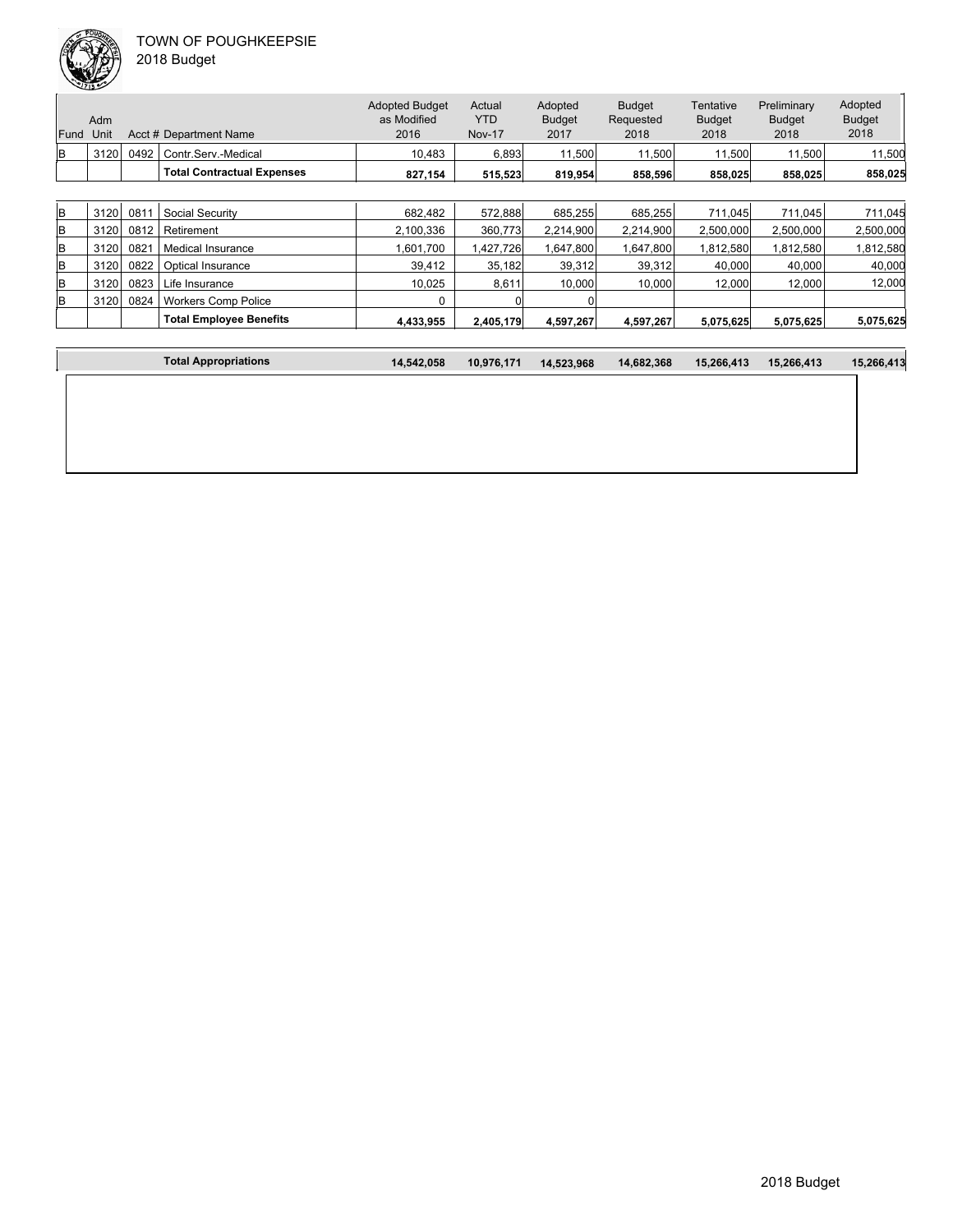|      | Adm  |      |                                   | <b>Adopted Budget</b><br>as Modified | Actual<br>YTD | Adopted<br><b>Budget</b> | <b>Budget</b><br>Requested | Tentative<br><b>Budget</b> | Preliminary<br><b>Budget</b> | Adopted<br><b>Budget</b> |
|------|------|------|-----------------------------------|--------------------------------------|---------------|--------------------------|----------------------------|----------------------------|------------------------------|--------------------------|
| Fund | Unit |      | Acct # Department Name            | 2016                                 | <b>Nov-17</b> | 2017                     | 2018                       | 2018                       | 2018                         | 2018                     |
| lB.  | 3120 | 0492 | Contr.Serv.-Medical               | 10.483                               | 6,893         | 11.500                   | 11.500                     | 11,500                     | 11.500                       | 11,500                   |
|      |      |      | <b>Total Contractual Expenses</b> | 827,154                              | 515,523       | 819.954                  | 858,596                    | 858,025                    | 858,025                      | 858,025                  |
|      |      |      |                                   |                                      |               |                          |                            |                            |                              |                          |
| lв   | 3120 | 081' | <b>Social Security</b>            | 682.482                              | 572,888       | 685,255                  | 685,255                    | 711.045                    | 711.045                      | 711,045                  |
| lB.  | 3120 | 0812 | Retirement                        | 2,100,336                            | 360.773       | 2,214,900                | 2,214,900                  | 2,500,000                  | 2,500,000                    | 2,500,000                |
| B    | 3120 | 0821 | Medical Insurance                 | 1.601.700                            | 1,427,726     | 1,647,800                | 1,647,800                  | .812.580                   | 1.812.580                    | 1,812,580                |
| lв   | 3120 | 0822 | <b>Optical Insurance</b>          | 39,412                               | 35.182        | 39,312                   | 39,312                     | 40,000                     | 40,000                       | 40,000                   |

| 3120 | 0823 | Life Insurance                 | 10.025    | 8.611     | 10.000    | 10.000    | 12.000    | 12.000    | 12.000    |
|------|------|--------------------------------|-----------|-----------|-----------|-----------|-----------|-----------|-----------|
| 3120 | 0824 | Workers Comp Police            |           |           |           |           |           |           |           |
|      |      | <b>Total Emplovee Benefits</b> | 4.433.955 | 2.405.179 | 4.597.267 | 4,597,267 | 5.075.625 | 5.075.625 | 5,075,625 |
|      |      |                                |           |           |           |           |           |           |           |

| <b>Fotal Appropriations</b> | 14.542.058 | 10.976.171 | 14,523,968 | 14.682.368 | 15.266.413 | 15.266.413 | 15.266.413 |
|-----------------------------|------------|------------|------------|------------|------------|------------|------------|
|                             |            |            |            |            |            |            |            |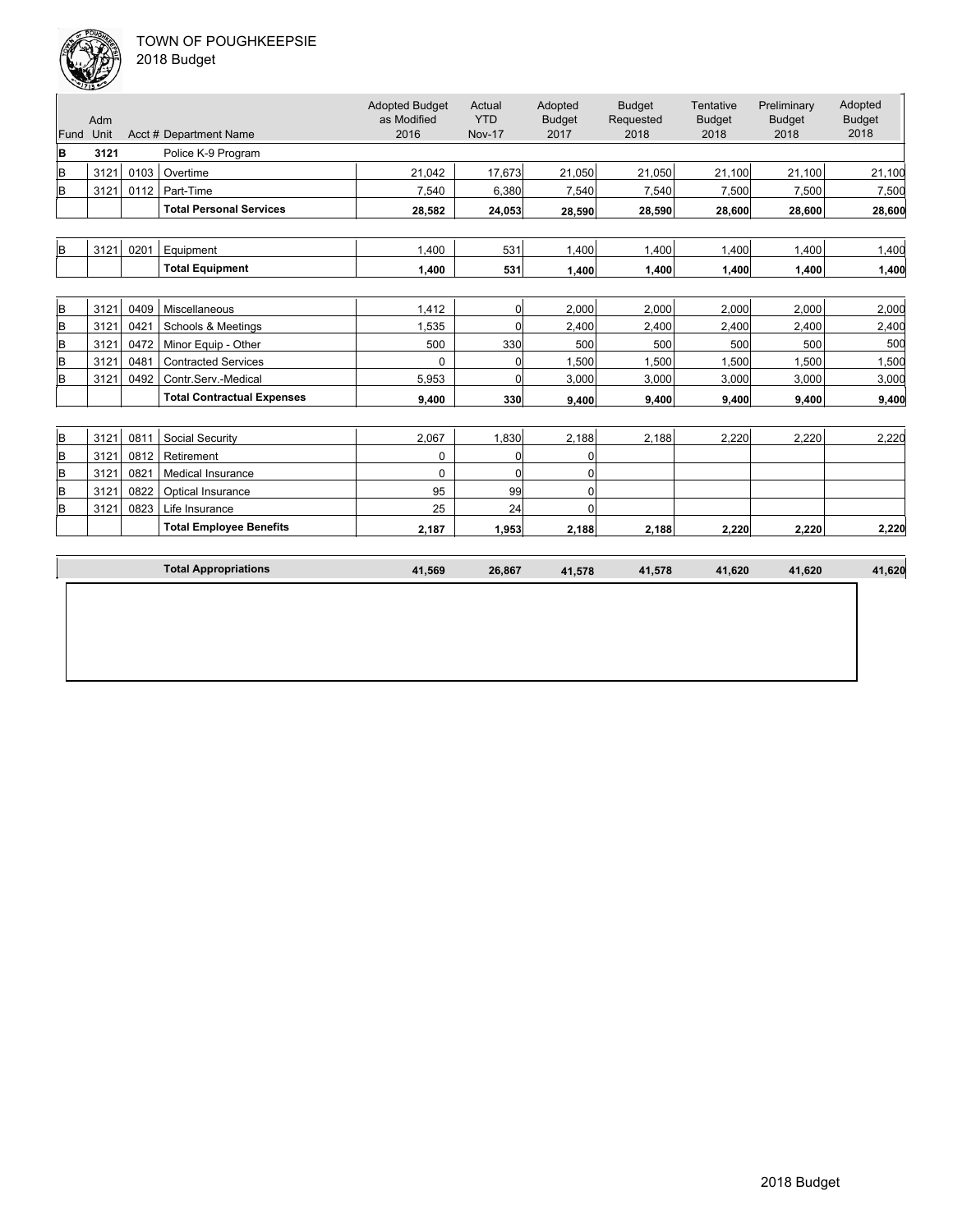

| 2018 Budget |
|-------------|
|-------------|

| Fund | Adm<br>Unit |      | Acct # Department Name            | <b>Adopted Budget</b><br>as Modified<br>2016 | Actual<br><b>YTD</b><br><b>Nov-17</b> | Adopted<br><b>Budget</b><br>2017 | <b>Budget</b><br>Requested<br>2018 | Tentative<br><b>Budget</b><br>2018 | Preliminary<br><b>Budget</b><br>2018 | Adopted<br><b>Budget</b><br>2018 |
|------|-------------|------|-----------------------------------|----------------------------------------------|---------------------------------------|----------------------------------|------------------------------------|------------------------------------|--------------------------------------|----------------------------------|
| B    | 3121        |      | Police K-9 Program                |                                              |                                       |                                  |                                    |                                    |                                      |                                  |
| B    | 3121        | 0103 | Overtime                          | 21,042                                       | 17,673                                | 21,050                           | 21,050                             | 21,100                             | 21,100                               | 21,100                           |
| B    | 3121        | 0112 | Part-Time                         | 7,540                                        | 6,380                                 | 7,540                            | 7,540                              | 7,500                              | 7,500                                | 7,500                            |
|      |             |      | <b>Total Personal Services</b>    | 28,582                                       | 24,053                                | 28,590                           | 28,590                             | 28,600                             | 28,600                               | 28,600                           |
|      |             |      |                                   |                                              |                                       |                                  |                                    |                                    |                                      |                                  |
| B    | 3121        | 0201 | Equipment                         | 1.400                                        | 531                                   | 1.400                            | 1.400                              | 1,400                              | 1,400                                | 1,400                            |
|      |             |      | <b>Total Equipment</b>            | 1,400                                        | 531                                   | 1.400                            | 1,400                              | 1,400                              | 1,400                                | 1,400                            |
|      |             |      |                                   |                                              |                                       |                                  |                                    |                                    |                                      |                                  |
| B    | 3121        | 0409 | Miscellaneous                     | 1,412                                        | $\overline{0}$                        | 2,000                            | 2,000                              | 2,000                              | 2,000                                | 2,000                            |
| B    | 3121        | 0421 | Schools & Meetings                | 1,535                                        | $\Omega$                              | 2,400                            | 2,400                              | 2,400                              | 2,400                                | 2,400                            |
| B    | 3121        | 0472 | Minor Equip - Other               | 500                                          | 330                                   | 500                              | 500                                | 500                                | 500                                  | 500                              |
| B    | 3121        | 0481 | <b>Contracted Services</b>        | 0                                            | $\Omega$                              | 1,500                            | 1,500                              | 1,500                              | 1,500                                | 1,500                            |
| B    | 3121        | 0492 | Contr.Serv.-Medical               | 5,953                                        | $\overline{0}$                        | 3,000                            | 3,000                              | 3,000                              | 3,000                                | 3,000                            |
|      |             |      | <b>Total Contractual Expenses</b> | 9,400                                        | 330                                   | 9.400                            | 9,400                              | 9,400                              | 9,400                                | 9,400                            |
|      |             |      |                                   |                                              |                                       |                                  |                                    |                                    |                                      |                                  |
| lв   | 3121        | 0811 | Social Security                   | 2,067                                        | 1,830                                 | 2,188                            | 2,188                              | 2,220                              | 2,220                                | 2,220                            |
| B    | 3121        | 0812 | Retirement                        | 0                                            | 0                                     | 0                                |                                    |                                    |                                      |                                  |
| B    | 3121        | 0821 | <b>Medical Insurance</b>          | 0                                            | $\Omega$                              | 0                                |                                    |                                    |                                      |                                  |
| B    | 3121        | 0822 | Optical Insurance                 | 95                                           | 99                                    | 0                                |                                    |                                    |                                      |                                  |
| B    | 3121        | 0823 | Life Insurance                    | 25                                           | 24                                    | $\Omega$                         |                                    |                                    |                                      |                                  |
|      |             |      | <b>Total Employee Benefits</b>    | 2,187                                        | 1,953                                 | 2,188                            | 2,188                              | 2,220                              | 2,220                                | 2,220                            |
|      |             |      |                                   |                                              |                                       |                                  |                                    |                                    |                                      |                                  |
|      |             |      | <b>Total Appropriations</b>       | 41,569                                       | 26,867                                | 41,578                           | 41,578                             | 41,620                             | 41,620                               | 41,620                           |
|      |             |      |                                   |                                              |                                       |                                  |                                    |                                    |                                      |                                  |
|      |             |      |                                   |                                              |                                       |                                  |                                    |                                    |                                      |                                  |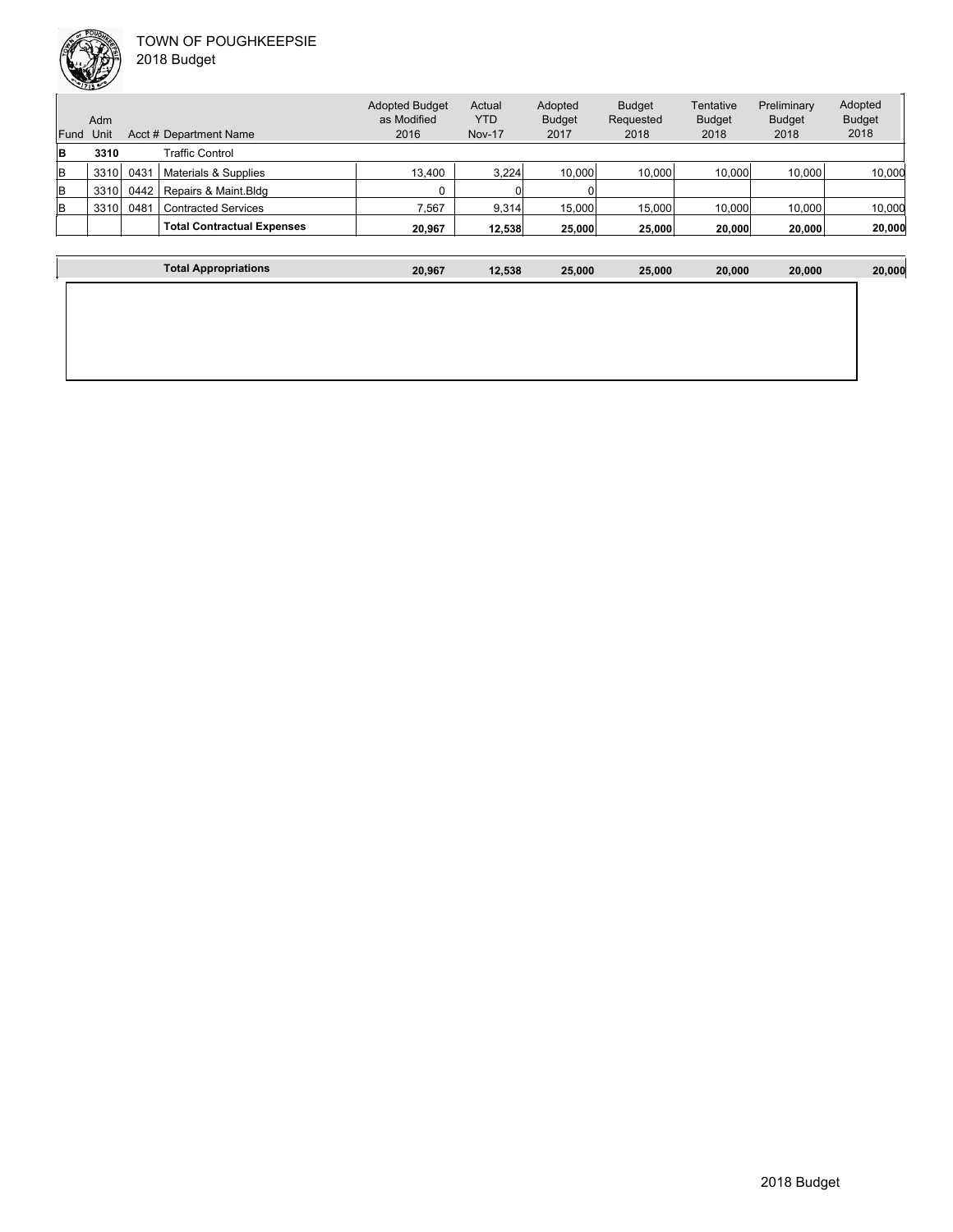

**The Community of Community** 

|      | Adm  |      |                                   | <b>Adopted Budget</b><br>as Modified | Actual<br><b>YTD</b> | Adopted<br><b>Budget</b> | <b>Budget</b><br>Requested | Tentative<br><b>Budget</b> | Preliminary<br><b>Budget</b> | Adopted<br><b>Budget</b> |
|------|------|------|-----------------------------------|--------------------------------------|----------------------|--------------------------|----------------------------|----------------------------|------------------------------|--------------------------|
| Fund | Unit |      | Acct # Department Name            | 2016                                 | <b>Nov-17</b>        | 2017                     | 2018                       | 2018                       | 2018                         | 2018                     |
| B    | 3310 |      | Traffic Control                   |                                      |                      |                          |                            |                            |                              |                          |
| B    | 3310 | 0431 | Materials & Supplies              | 13,400                               | 3.224                | 10.000                   | 10.000                     | 10.000                     | 10.000                       | 10,000                   |
| lв   | 3310 | 0442 | Repairs & Maint.Bldg              |                                      |                      |                          |                            |                            |                              |                          |
| lв   | 3310 | 0481 | <b>Contracted Services</b>        | 7,567                                | 9,314                | 15,000                   | 15,000                     | 10,000                     | 10,000                       | 10,000                   |
|      |      |      | <b>Total Contractual Expenses</b> | 20.967                               | 12.538               | 25,000                   | 25,000                     | 20,000                     | 20,000                       | 20,000                   |
|      |      |      |                                   |                                      |                      |                          |                            |                            |                              |                          |

| <b>Total Appropriations</b> | 20,967 | 12,538 | 25,000 | 25,000 | 20,000 | 20,000 | 20,000 |
|-----------------------------|--------|--------|--------|--------|--------|--------|--------|
|                             |        |        |        |        |        |        |        |
|                             |        |        |        |        |        |        |        |
|                             |        |        |        |        |        |        |        |
|                             |        |        |        |        |        |        |        |
|                             |        |        |        |        |        |        |        |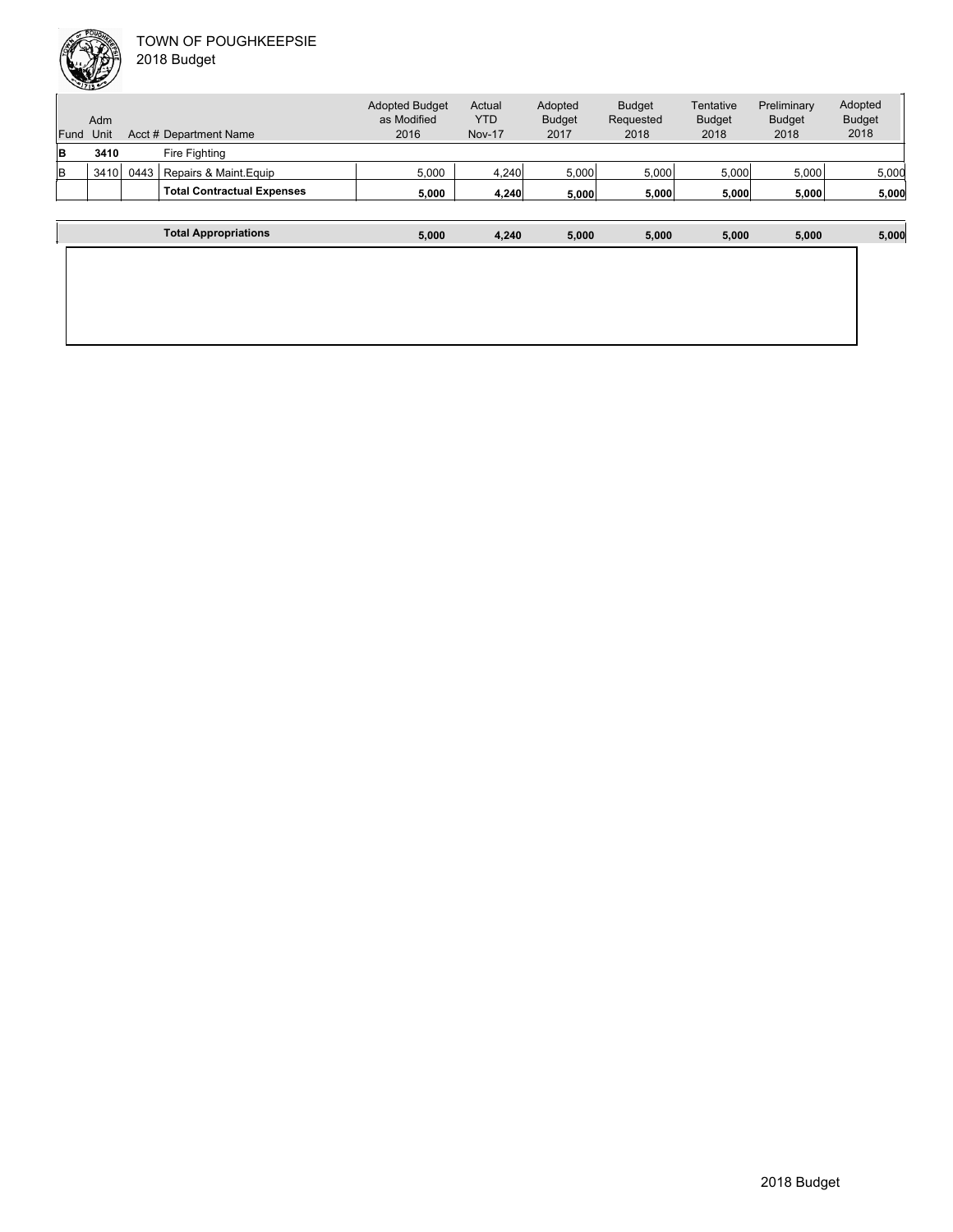

Unit Acct # Department Name Adm Actual YTD Nov-17 Budget Requested 2018 Tentative Budget 2018 Preliminary Budget 2018 Adopted Budget 2018 Adopted Budget as Modified 2016 Fund Unit Adopted Budget 2017 **B 3410** Fire Fighting B 3410 0443 Repairs & Maint.Equip 5,000 4,240 5,000 5,000 5,000 5,000 5,000 **Total Contractual Expenses 5,000 4,240 5,000 5,000 5,000 5,000 5,000**

| <b>Total Appropriations</b> | 5,000 | 4,240 | 5,000 | 5,000 | 5,000 | 5,000 | 5,000 |
|-----------------------------|-------|-------|-------|-------|-------|-------|-------|
|                             |       |       |       |       |       |       |       |
|                             |       |       |       |       |       |       |       |
|                             |       |       |       |       |       |       |       |
|                             |       |       |       |       |       |       |       |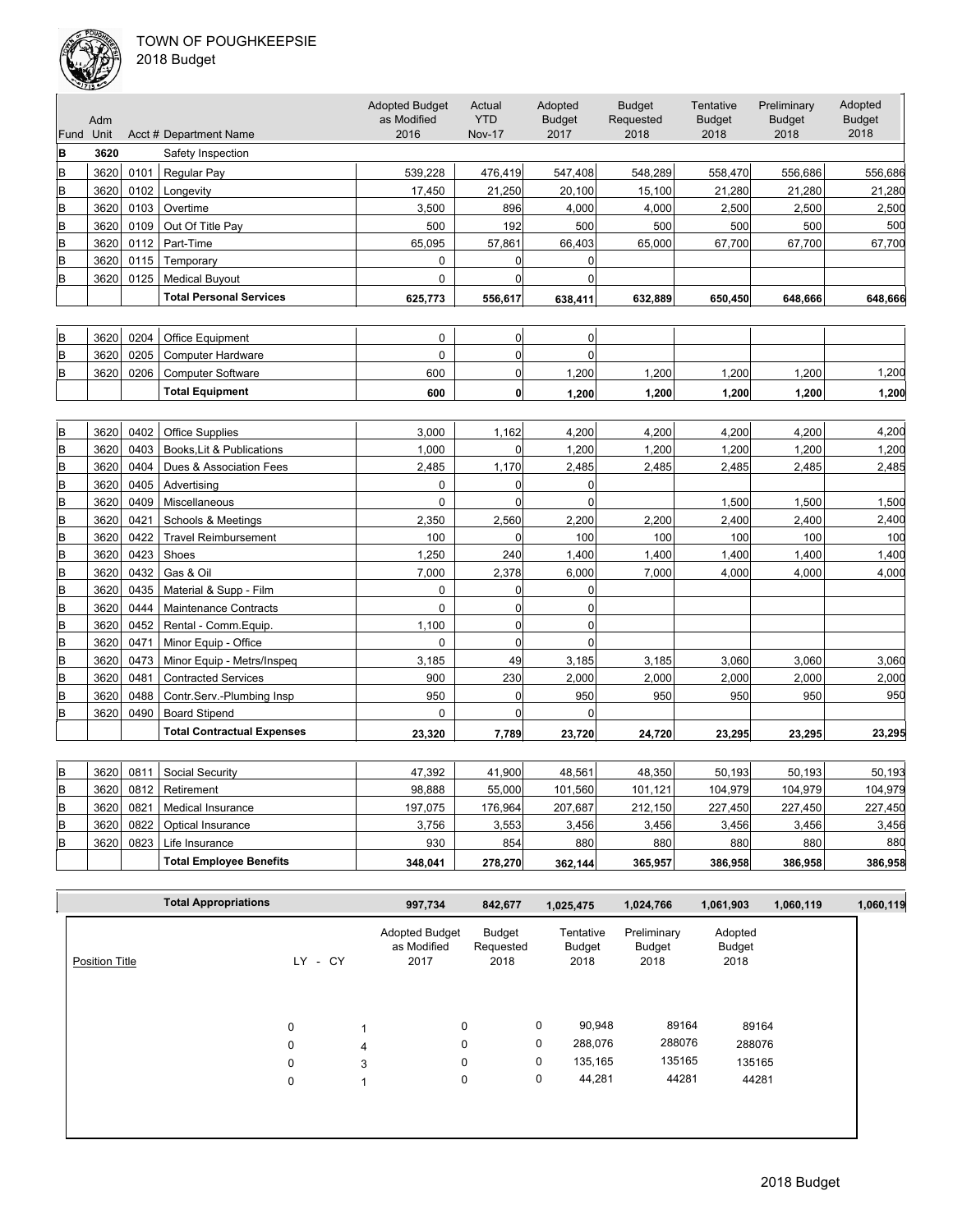

| 018 Budget |  |
|------------|--|
|------------|--|

|      | حديب |      |                                   | <b>Adopted Budget</b> | Actual         | Adopted        | <b>Budget</b> | Tentative     | Preliminary   | Adopted       |
|------|------|------|-----------------------------------|-----------------------|----------------|----------------|---------------|---------------|---------------|---------------|
|      | Adm  |      |                                   | as Modified           | <b>YTD</b>     | <b>Budget</b>  | Requested     | <b>Budget</b> | <b>Budget</b> | <b>Budget</b> |
| Fund | Unit |      | Acct # Department Name            | 2016                  | <b>Nov-17</b>  | 2017           | 2018          | 2018          | 2018          | 2018          |
| B    | 3620 |      | Safety Inspection                 |                       |                |                |               |               |               |               |
| B    | 3620 | 0101 | Regular Pay                       | 539,228               | 476,419        | 547,408        | 548,289       | 558,470       | 556,686       | 556,686       |
| B    | 3620 | 0102 | Longevity                         | 17,450                | 21,250         | 20,100         | 15,100        | 21,280        | 21,280        | 21,280        |
| B    | 3620 | 0103 | Overtime                          | 3,500                 | 896            | 4,000          | 4,000         | 2,500         | 2,500         | 2,500         |
| B    | 3620 | 0109 | Out Of Title Pay                  | 500                   | 192            | 500            | 500           | 500           | 500           | 500           |
| B    | 3620 | 0112 | Part-Time                         | 65,095                | 57,861         | 66,403         | 65,000        | 67,700        | 67,700        | 67,700        |
| B    | 3620 | 0115 | Temporary                         | 0                     | $\overline{0}$ | 0              |               |               |               |               |
| B    | 3620 | 0125 | <b>Medical Buyout</b>             | 0                     | $\overline{0}$ | $\mathbf{0}$   |               |               |               |               |
|      |      |      | <b>Total Personal Services</b>    | 625,773               | 556,617        | 638,411        | 632,889       | 650,450       | 648,666       | 648,666       |
|      |      |      |                                   |                       |                |                |               |               |               |               |
| B    | 3620 | 0204 | Office Equipment                  | $\Omega$              | 0              | $\Omega$       |               |               |               |               |
| B    | 3620 | 0205 | <b>Computer Hardware</b>          | $\mathbf 0$           | $\overline{0}$ | $\overline{0}$ |               |               |               |               |
| B    | 3620 | 0206 | <b>Computer Software</b>          | 600                   | $\overline{0}$ | 1,200          | 1,200         | 1,200         | 1,200         | 1,200         |
|      |      |      | <b>Total Equipment</b>            | 600                   | $\mathbf{0}$   | 1,200          | 1,200         | 1,200         | 1,200         | 1,200         |
|      |      |      |                                   |                       |                |                |               |               |               |               |
| B    | 3620 | 0402 | <b>Office Supplies</b>            | 3,000                 | 1,162          | 4,200          | 4,200         | 4,200         | 4,200         | 4.200         |
| B    | 3620 | 0403 | Books, Lit & Publications         | 1,000                 | $\overline{0}$ | 1,200          | 1,200         | 1,200         | 1,200         | 1,200         |
| B    | 3620 | 0404 | Dues & Association Fees           | 2,485                 | 1,170          | 2,485          | 2,485         | 2,485         | 2,485         | 2,485         |
| B    | 3620 | 0405 | Advertising                       | 0                     | $\overline{0}$ | 0              |               |               |               |               |
| B    | 3620 | 0409 | Miscellaneous                     | $\mathbf 0$           | $\overline{0}$ | $\mathbf 0$    |               | 1,500         | 1,500         | 1,500         |
| B    | 3620 | 0421 | Schools & Meetings                | 2,350                 | 2,560          | 2,200          | 2,200         | 2,400         | 2,400         | 2,400         |
| B    | 3620 | 0422 | <b>Travel Reimbursement</b>       | 100                   | $\overline{0}$ | 100            | 100           | 100           | 100           | 100           |
| B    | 3620 | 0423 | Shoes                             | 1,250                 | 240            | 1,400          | 1,400         | 1,400         | 1,400         | 1,400         |
| B    | 3620 | 0432 | Gas & Oil                         | 7,000                 | 2,378          | 6,000          | 7,000         | 4,000         | 4,000         | 4,000         |
| B    | 3620 | 0435 | Material & Supp - Film            | 0                     | $\overline{0}$ | 0              |               |               |               |               |
| B    | 3620 | 0444 | <b>Maintenance Contracts</b>      | $\mathbf 0$           | $\overline{0}$ | $\mathbf 0$    |               |               |               |               |
| B    | 3620 | 0452 | Rental - Comm.Equip.              | 1,100                 | $\overline{0}$ | $\mathbf 0$    |               |               |               |               |
| B    | 3620 | 0471 | Minor Equip - Office              | 0                     | $\overline{0}$ | $\Omega$       |               |               |               |               |
| B    | 3620 | 0473 | Minor Equip - Metrs/Inspeq        | 3,185                 | 49             | 3,185          | 3,185         | 3,060         | 3,060         | 3,060         |
| B    | 3620 | 0481 | <b>Contracted Services</b>        | 900                   | 230            | 2,000          | 2,000         | 2,000         | 2,000         | 2,000         |
| B    | 3620 | 0488 | Contr.Serv.-Plumbing Insp         | 950                   | $\overline{0}$ | 950            | 950           | 950           | 950           | 950           |
| B    | 3620 | 0490 | <b>Board Stipend</b>              | 0                     | $\Omega$       | $\Omega$       |               |               |               |               |
|      |      |      | <b>Total Contractual Expenses</b> | 23,320                | 7,789          | 23,720         | 24,720        | 23,295        | 23,295        | 23,295        |
|      |      |      |                                   |                       |                |                |               |               |               |               |
| B    | 3620 | 0811 | Social Security                   | 47,392                | 41,900         | 48,561         | 48,350        | 50,193        | 50,193        | 50,193        |
| B    | 3620 | 0812 | Retirement                        | 98,888                | 55,000         | 101,560        | 101,121       | 104,979       | 104,979       | 104,979       |
| B    | 3620 | 0821 | Medical Insurance                 | 197,075               | 176,964        | 207,687        | 212,150       | 227,450       | 227,450       | 227,450       |
| B    | 3620 | 0822 | Optical Insurance                 | 3,756                 | 3,553          | 3,456          | 3,456         | 3,456         | 3,456         | 3,456         |
| B    | 3620 | 0823 | Life Insurance                    | 930                   | 854            | 880            | 880           | 880           | 880           | 880           |
|      |      |      | <b>Total Employee Benefits</b>    | 348,041               | 278,270        | 362,144        | 365,957       | 386,958       | 386,958       | 386,958       |

|                       | <b>Total Appropriations</b> |             |      |   | 997,734                                      | 842,677                     |   | 1,025,475                   | 1,024,766                     | 1,061,903                 | 1,060,119 | 1,060,119 |
|-----------------------|-----------------------------|-------------|------|---|----------------------------------------------|-----------------------------|---|-----------------------------|-------------------------------|---------------------------|-----------|-----------|
| <b>Position Title</b> |                             | LY.         | - CY |   | <b>Adopted Budget</b><br>as Modified<br>2017 | Budget<br>Requested<br>2018 |   | Tentative<br>Budget<br>2018 | Preliminary<br>Budget<br>2018 | Adopted<br>Budget<br>2018 |           |           |
|                       |                             | $\mathbf 0$ |      |   | 0                                            |                             | 0 | 90,948                      | 89164                         | 89164                     |           |           |
|                       |                             | $\mathbf 0$ |      | 4 | 0                                            |                             | 0 | 288,076                     | 288076                        | 288076                    |           |           |
|                       |                             | $\mathbf 0$ |      | 3 | 0                                            |                             | 0 | 135,165                     | 135165                        | 135165                    |           |           |
|                       |                             | 0           |      | 1 | 0                                            |                             | 0 | 44,281                      | 44281                         | 44281                     |           |           |
|                       |                             |             |      |   |                                              |                             |   |                             |                               |                           |           |           |
|                       |                             |             |      |   |                                              |                             |   |                             |                               |                           |           |           |
|                       |                             |             |      |   |                                              |                             |   |                             |                               |                           |           |           |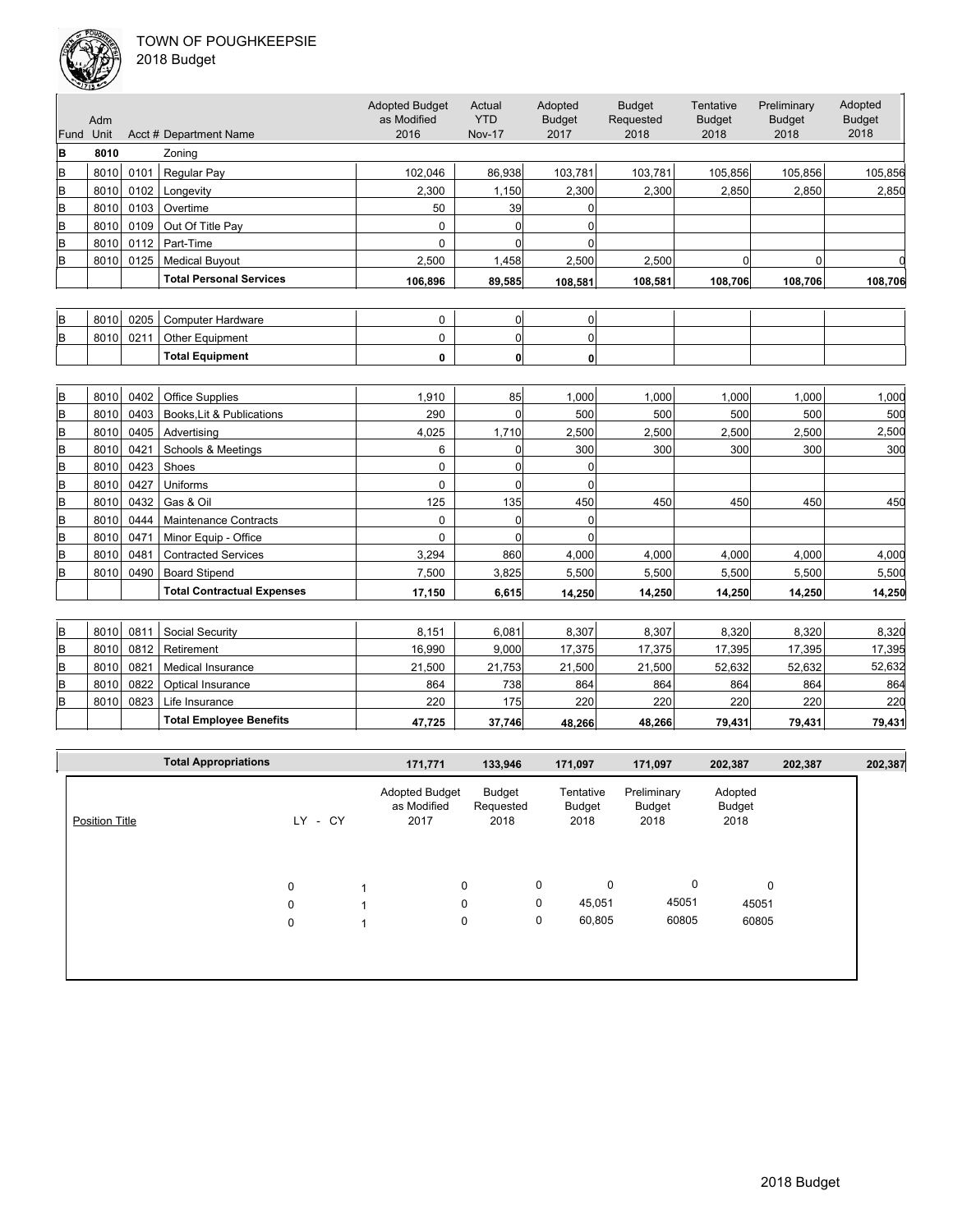

2018 Budget

|           | حديب |      |                                   |                                              |                                       |                                  |                                    |                                    |                                      |                                  |
|-----------|------|------|-----------------------------------|----------------------------------------------|---------------------------------------|----------------------------------|------------------------------------|------------------------------------|--------------------------------------|----------------------------------|
| Fund Unit | Adm  |      | Acct # Department Name            | <b>Adopted Budget</b><br>as Modified<br>2016 | Actual<br><b>YTD</b><br><b>Nov-17</b> | Adopted<br><b>Budget</b><br>2017 | <b>Budget</b><br>Requested<br>2018 | Tentative<br><b>Budget</b><br>2018 | Preliminary<br><b>Budget</b><br>2018 | Adopted<br><b>Budget</b><br>2018 |
| B         | 8010 |      | Zoning                            |                                              |                                       |                                  |                                    |                                    |                                      |                                  |
| B         | 8010 | 0101 | Regular Pay                       | 102,046                                      | 86,938                                | 103,781                          | 103,781                            | 105,856                            | 105,856                              | 105,856                          |
| B         | 8010 | 0102 | Longevity                         | 2,300                                        | 1,150                                 | 2,300                            | 2,300                              | 2,850                              | 2,850                                | 2,850                            |
| B         | 8010 | 0103 | Overtime                          | 50                                           | 39                                    | $\Omega$                         |                                    |                                    |                                      |                                  |
| B         | 8010 | 0109 | Out Of Title Pay                  | $\mathbf 0$                                  | $\overline{0}$                        | $\mathbf 0$                      |                                    |                                    |                                      |                                  |
| B         | 8010 | 0112 | Part-Time                         | 0                                            | $\Omega$                              | $\Omega$                         |                                    |                                    |                                      |                                  |
| B         | 8010 | 0125 | <b>Medical Buyout</b>             | 2,500                                        | 1,458                                 | 2,500                            | 2,500                              | $\Omega$                           | $\Omega$                             |                                  |
|           |      |      | <b>Total Personal Services</b>    | 106,896                                      | 89,585                                | 108,581                          | 108,581                            | 108,706                            | 108,706                              | 108,706                          |
|           |      |      |                                   |                                              |                                       |                                  |                                    |                                    |                                      |                                  |
| B         | 8010 | 0205 | <b>Computer Hardware</b>          | $\mathbf 0$                                  | $\overline{0}$                        | $\overline{0}$                   |                                    |                                    |                                      |                                  |
| B         | 8010 | 0211 | Other Equipment                   | $\mathbf 0$                                  | $\Omega$                              | $\mathbf 0$                      |                                    |                                    |                                      |                                  |
|           |      |      | <b>Total Equipment</b>            | 0                                            | 0                                     | 0                                |                                    |                                    |                                      |                                  |
|           |      |      |                                   |                                              |                                       |                                  |                                    |                                    |                                      |                                  |
| B         | 8010 | 0402 | <b>Office Supplies</b>            | 1,910                                        | 85                                    | 1,000                            | 1,000                              | 1,000                              | 1,000                                | 1,000                            |
| B         | 8010 | 0403 | Books, Lit & Publications         | 290                                          | $\Omega$                              | 500                              | 500                                | 500                                | 500                                  | 500                              |
| B         | 8010 | 0405 | Advertising                       | 4,025                                        | 1,710                                 | 2,500                            | 2,500                              | 2,500                              | 2,500                                | 2,500                            |
| lв        | 8010 | 0421 | Schools & Meetings                | 6                                            | $\overline{0}$                        | 300                              | 300                                | 300                                | 300                                  | 300                              |
| B         | 8010 | 0423 | Shoes                             | 0                                            | $\overline{0}$                        | $\mathbf 0$                      |                                    |                                    |                                      |                                  |
| B         | 8010 | 0427 | Uniforms                          | 0                                            | $\Omega$                              | $\mathbf 0$                      |                                    |                                    |                                      |                                  |
| B         | 8010 | 0432 | Gas & Oil                         | 125                                          | 135                                   | 450                              | 450                                | 450                                | 450                                  | 450                              |
| B         | 8010 | 0444 | <b>Maintenance Contracts</b>      | $\mathbf 0$                                  | $\Omega$                              | $\mathbf 0$                      |                                    |                                    |                                      |                                  |
| B         | 8010 | 0471 | Minor Equip - Office              | 0                                            | $\Omega$                              | $\Omega$                         |                                    |                                    |                                      |                                  |
| lB.       | 8010 | 0481 | <b>Contracted Services</b>        | 3.294                                        | 860                                   | 4.000                            | 4.000                              | 4,000                              | 4.000                                | 4,000                            |
| B         | 8010 | 0490 | <b>Board Stipend</b>              | 7,500                                        | 3,825                                 | 5,500                            | 5,500                              | 5,500                              | 5,500                                | 5,500                            |
|           |      |      | <b>Total Contractual Expenses</b> | 17,150                                       | 6,615                                 | 14,250                           | 14,250                             | 14,250                             | 14,250                               | 14,250                           |
|           |      |      |                                   |                                              |                                       |                                  |                                    |                                    |                                      |                                  |
| İΒ        | 8010 | 0811 | Social Security                   | 8,151                                        | 6,081                                 | 8,307                            | 8,307                              | 8,320                              | 8,320                                | 8,320                            |
| B         | 8010 | 0812 | Retirement                        | 16,990                                       | 9,000                                 | 17,375                           | 17,375                             | 17,395                             | 17,395                               | 17,395                           |
| ΙB        | 8010 | 0821 | <b>Medical Insurance</b>          | 21,500                                       | 21,753                                | 21,500                           | 21,500                             | 52,632                             | 52,632                               | 52,632                           |
| B         | 8010 | 0822 | Optical Insurance                 | 864                                          | 738                                   | 864                              | 864                                | 864                                | 864                                  | 864                              |
| ΙB        | 8010 | 0823 | Life Insurance                    | 220                                          | 175                                   | 220                              | 220                                | 220                                | 220                                  | 220                              |

|                       | <b>Total Appropriations</b> |           | 171,771                                      | 133,946                     |   | 171,097                     | 171,097                       | 202,387                   | 202,387 | 202,387 |
|-----------------------|-----------------------------|-----------|----------------------------------------------|-----------------------------|---|-----------------------------|-------------------------------|---------------------------|---------|---------|
| <b>Position Title</b> |                             | LY - CY   | <b>Adopted Budget</b><br>as Modified<br>2017 | Budget<br>Requested<br>2018 |   | Tentative<br>Budget<br>2018 | Preliminary<br>Budget<br>2018 | Adopted<br>Budget<br>2018 |         |         |
|                       |                             | $\pmb{0}$ | 0                                            |                             | 0 | 0                           | 0                             | $\mathbf 0$               |         |         |
|                       |                             | 0         | 0                                            |                             | 0 | 45,051<br>60,805            | 45051                         | 45051                     |         |         |
|                       |                             | 0         | 0                                            |                             | 0 |                             | 60805                         | 60805                     |         |         |
|                       |                             |           |                                              |                             |   |                             |                               |                           |         |         |

**Total Employee Benefits 47,725 37,746 48,266 48,266 79,431 79,431 79,431**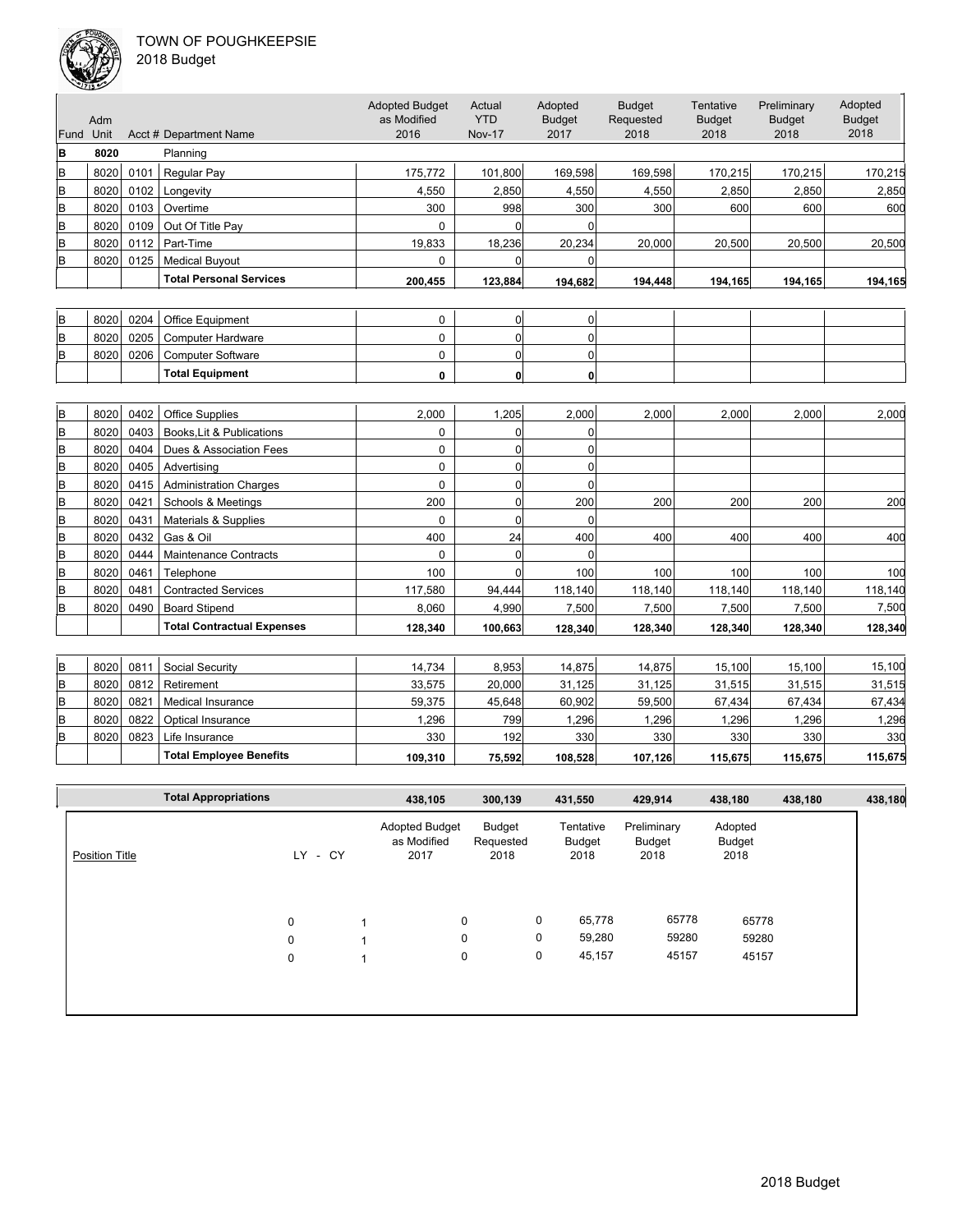### TOWN OF POUGHKEEPSIE  $2<sub>0</sub>$



| 018 Budget! |  |
|-------------|--|
|-------------|--|

|                | $\sqrt{213}$ |      |                                   |                                              |                                       |                                  |                                    |                                    |                                      |                                  |
|----------------|--------------|------|-----------------------------------|----------------------------------------------|---------------------------------------|----------------------------------|------------------------------------|------------------------------------|--------------------------------------|----------------------------------|
| Fund           | Adm<br>Unit  |      | Acct # Department Name            | <b>Adopted Budget</b><br>as Modified<br>2016 | Actual<br><b>YTD</b><br><b>Nov-17</b> | Adopted<br><b>Budget</b><br>2017 | <b>Budget</b><br>Requested<br>2018 | Tentative<br><b>Budget</b><br>2018 | Preliminary<br><b>Budget</b><br>2018 | Adopted<br><b>Budget</b><br>2018 |
| B              | 8020         |      | Planning                          |                                              |                                       |                                  |                                    |                                    |                                      |                                  |
| B              | 8020         | 0101 | Regular Pay                       | 175.772                                      | 101,800                               | 169,598                          | 169,598                            | 170,215                            | 170,215                              | 170,215                          |
| B              | 8020         | 0102 | Longevity                         | 4,550                                        | 2,850                                 | 4,550                            | 4,550                              | 2,850                              | 2,850                                | 2,850                            |
| B              | 8020         | 0103 | Overtime                          | 300                                          | 998                                   | 300                              | 300                                | 600                                | 600                                  | 600                              |
| B              | 8020         | 0109 | Out Of Title Pay                  | 0                                            | $\Omega$                              | $\mathbf 0$                      |                                    |                                    |                                      |                                  |
| B              | 8020         | 0112 | Part-Time                         | 19,833                                       | 18,236                                | 20,234                           | 20,000                             | 20,500                             | 20,500                               | 20,500                           |
| B              | 8020         | 0125 | <b>Medical Buyout</b>             | $\Omega$                                     | $\Omega$                              | $\Omega$                         |                                    |                                    |                                      |                                  |
|                |              |      | <b>Total Personal Services</b>    | 200,455                                      | 123,884                               | 194,682                          | 194,448                            | 194,165                            | 194,165                              | 194,165                          |
|                |              |      |                                   |                                              |                                       |                                  |                                    |                                    |                                      |                                  |
| B              | 8020         | 0204 | Office Equipment                  | 0                                            | 0                                     | 0                                |                                    |                                    |                                      |                                  |
| B              | 8020         | 0205 | <b>Computer Hardware</b>          | 0                                            | $\overline{0}$                        | $\Omega$                         |                                    |                                    |                                      |                                  |
| B              | 8020         | 0206 | <b>Computer Software</b>          | 0                                            | $\overline{0}$                        | 0                                |                                    |                                    |                                      |                                  |
|                |              |      | <b>Total Equipment</b>            | 0                                            | 0                                     | 0                                |                                    |                                    |                                      |                                  |
|                |              |      |                                   |                                              |                                       |                                  |                                    |                                    |                                      |                                  |
| B              | 8020         | 0402 | <b>Office Supplies</b>            | 2,000                                        | 1,205                                 | 2,000                            | 2,000                              | 2,000                              | 2.000                                | 2,000                            |
| B              | 8020         | 0403 | Books, Lit & Publications         | 0                                            | 0                                     | 0                                |                                    |                                    |                                      |                                  |
| B              | 8020         | 0404 | Dues & Association Fees           | 0                                            | $\overline{0}$                        | 0                                |                                    |                                    |                                      |                                  |
| B              | 8020         | 0405 | Advertising                       | 0                                            | $\overline{0}$                        | $\mathbf 0$                      |                                    |                                    |                                      |                                  |
| B              | 8020         | 0415 | <b>Administration Charges</b>     | 0                                            | 0                                     | $\Omega$                         |                                    |                                    |                                      |                                  |
| B              | 8020         | 0421 | <b>Schools &amp; Meetings</b>     | 200                                          | 0                                     | 200                              | 200                                | 200                                | 200                                  | 200                              |
| B              | 8020         | 0431 | Materials & Supplies              | $\mathbf 0$                                  | $\overline{0}$                        | $\Omega$                         |                                    |                                    |                                      |                                  |
| B              | 8020         | 0432 | Gas & Oil                         | 400                                          | 24                                    | 400                              | 400                                | 400                                | 400                                  | 400                              |
| B              | 8020         | 0444 | <b>Maintenance Contracts</b>      | $\Omega$                                     | $\Omega$                              | $\Omega$                         |                                    |                                    |                                      |                                  |
| B              | 8020         | 0461 | Telephone                         | 100                                          | $\overline{0}$                        | 100                              | 100                                | 100                                | 100                                  | 100                              |
| B              | 8020         | 0481 | <b>Contracted Services</b>        | 117.580                                      | 94,444                                | 118,140                          | 118,140                            | 118,140                            | 118,140                              | 118,140                          |
| B              | 8020         | 0490 | <b>Board Stipend</b>              | 8,060                                        | 4,990                                 | 7,500                            | 7,500                              | 7,500                              | 7,500                                | 7,500                            |
|                |              |      | <b>Total Contractual Expenses</b> | 128,340                                      | 100,663                               | 128,340                          | 128,340                            | 128,340                            | 128,340                              | 128,340                          |
|                |              |      |                                   |                                              |                                       |                                  |                                    |                                    |                                      |                                  |
| B              | 8020         | 0811 | Social Security                   | 14,734                                       | 8,953                                 | 14,875                           | 14,875                             | 15,100                             | 15,100                               | 15,100                           |
| B              | 8020         | 0812 | Retirement                        | 33,575                                       | 20,000                                | 31,125                           | 31,125                             | 31,515                             | 31,515                               | 31,515                           |
| $\overline{B}$ | 8020         | 0821 | <b>Medical Insurance</b>          | 59,375                                       | 45,648                                | 60,902                           | 59,500                             | 67,434                             | 67,434                               | 67,434                           |
| B              | 8020         | 0822 | Optical Insurance                 | 1,296                                        | 799                                   | 1,296                            | 1,296                              | 1,296                              | 1,296                                | 1,296                            |
| B              | 8020         | 0823 | Life Insurance                    | 330                                          | 192                                   | 330                              | 330                                | 330                                | 330                                  | 330                              |

|                       | <b>Total Appropriations</b> |             | 438,105                                      | 300,139                     |   | 431,550                     | 429,914                       | 438,180                   | 438,180 | 438,180 |
|-----------------------|-----------------------------|-------------|----------------------------------------------|-----------------------------|---|-----------------------------|-------------------------------|---------------------------|---------|---------|
| <b>Position Title</b> |                             | - CY<br>LY. | <b>Adopted Budget</b><br>as Modified<br>2017 | Budget<br>Requested<br>2018 |   | Tentative<br>Budget<br>2018 | Preliminary<br>Budget<br>2018 | Adopted<br>Budget<br>2018 |         |         |
|                       |                             | $\mathbf 0$ | 0                                            |                             | 0 | 65,778                      | 65778                         | 65778                     |         |         |
|                       |                             | $\mathbf 0$ | 0                                            |                             | 0 | 59,280                      | 59280                         | 59280                     |         |         |
|                       |                             | 0           | 0                                            |                             | 0 | 45,157                      | 45157                         | 45157                     |         |         |
|                       |                             |             |                                              |                             |   |                             |                               |                           |         |         |
|                       |                             |             |                                              |                             |   |                             |                               |                           |         |         |

**Total Employee Benefits 109,310 75,592 108,528 107,126 115,675 115,675 115,675**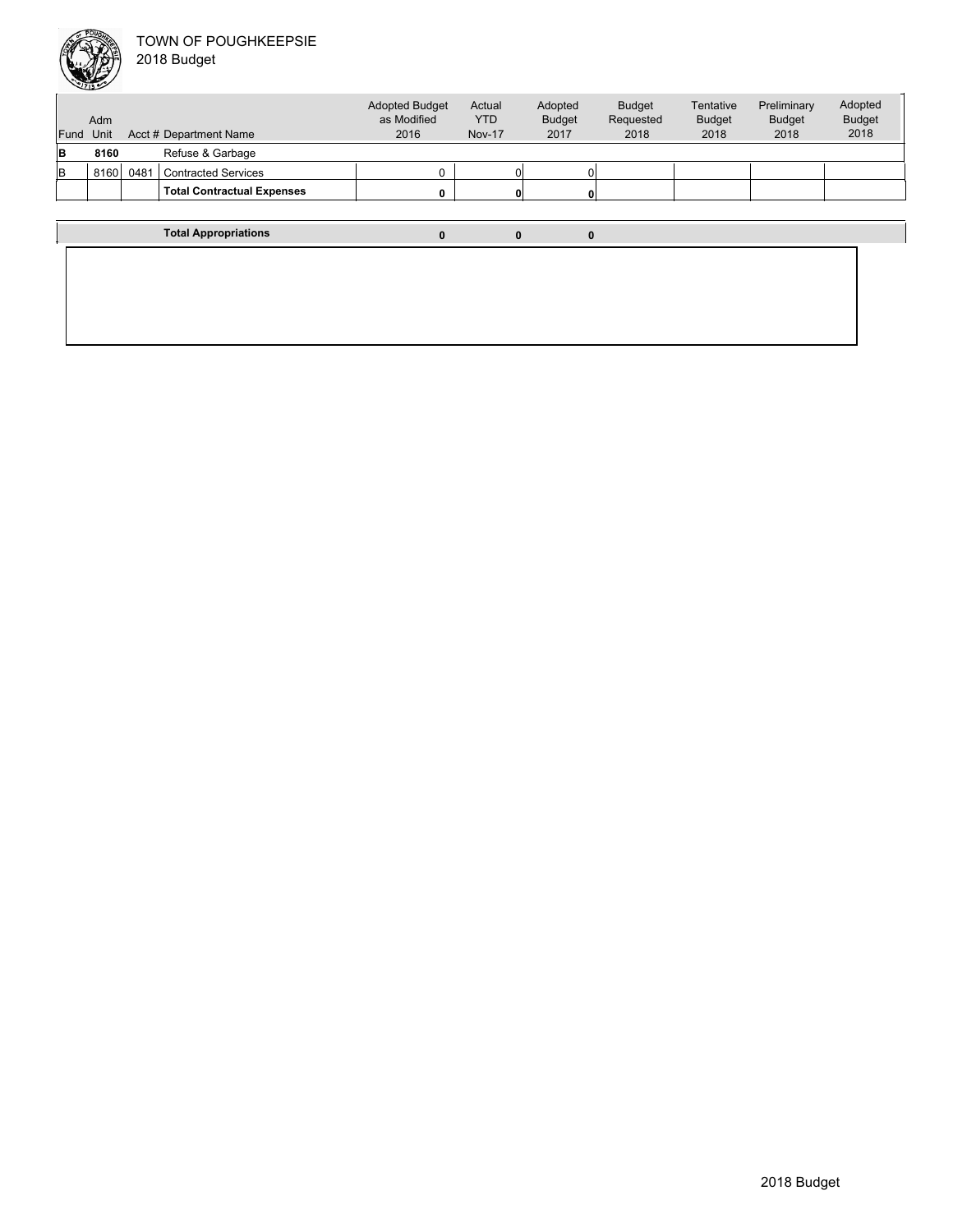

| Fund | Adm<br>Unit |      | Acct # Department Name            | <b>Adopted Budget</b><br>as Modified<br>2016 | Actual<br><b>YTD</b><br><b>Nov-17</b> | Adopted<br><b>Budget</b><br>2017 | <b>Budget</b><br>Requested<br>2018 | Tentative<br><b>Budget</b><br>2018 | Preliminary<br><b>Budget</b><br>2018 | Adopted<br><b>Budget</b><br>2018 |  |
|------|-------------|------|-----------------------------------|----------------------------------------------|---------------------------------------|----------------------------------|------------------------------------|------------------------------------|--------------------------------------|----------------------------------|--|
| в    | 8160        |      | Refuse & Garbage                  |                                              |                                       |                                  |                                    |                                    |                                      |                                  |  |
| В    | 8160        | 0481 | <b>Contracted Services</b>        |                                              |                                       |                                  |                                    |                                    |                                      |                                  |  |
|      |             |      | <b>Total Contractual Expenses</b> | 0                                            | 0                                     |                                  |                                    |                                    |                                      |                                  |  |
|      |             |      |                                   |                                              |                                       |                                  |                                    |                                    |                                      |                                  |  |
|      |             |      | <b>Total Appropriations</b>       | $\mathbf{0}$                                 | 0                                     | 0                                |                                    |                                    |                                      |                                  |  |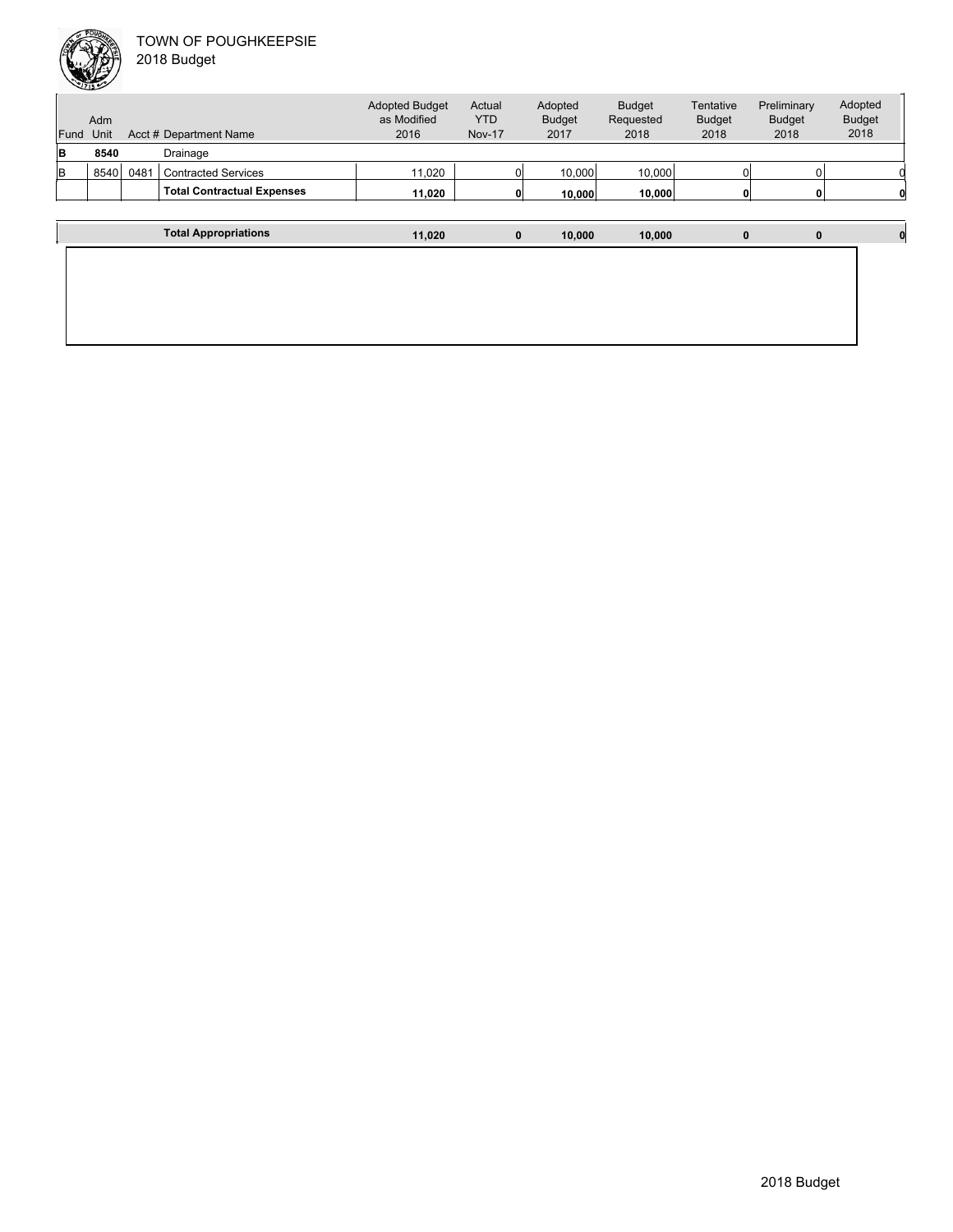

|          | Adm  |      |                                   | <b>Adopted Budget</b><br>as Modified | Actual<br><b>YTD</b> | Adopted<br><b>Budget</b> | <b>Budget</b><br>Requested | Tentative<br><b>Budget</b> | Preliminary<br><b>Budget</b> | Adopted<br><b>Budget</b> |
|----------|------|------|-----------------------------------|--------------------------------------|----------------------|--------------------------|----------------------------|----------------------------|------------------------------|--------------------------|
| Fund     | Unit |      | Acct # Department Name            | 2016                                 | <b>Nov-17</b>        | 2017                     | 2018                       | 2018                       | 2018                         | 2018                     |
| <b>B</b> | 8540 |      | Drainage                          |                                      |                      |                          |                            |                            |                              |                          |
| lв       | 8540 | 0481 | <b>Contracted Services</b>        | 11,020                               |                      | 10.000                   | 10,000                     |                            |                              |                          |
|          |      |      | <b>Total Contractual Expenses</b> | 11,020                               | $\mathbf{0}$         | 10.000                   | 10,000                     |                            |                              |                          |
|          |      |      |                                   |                                      |                      |                          |                            |                            |                              |                          |
|          |      |      | <b>Total Appropriations</b>       | 11.020                               | 0                    | 10.000                   | 10,000                     | 0                          | $\mathbf{0}$                 |                          |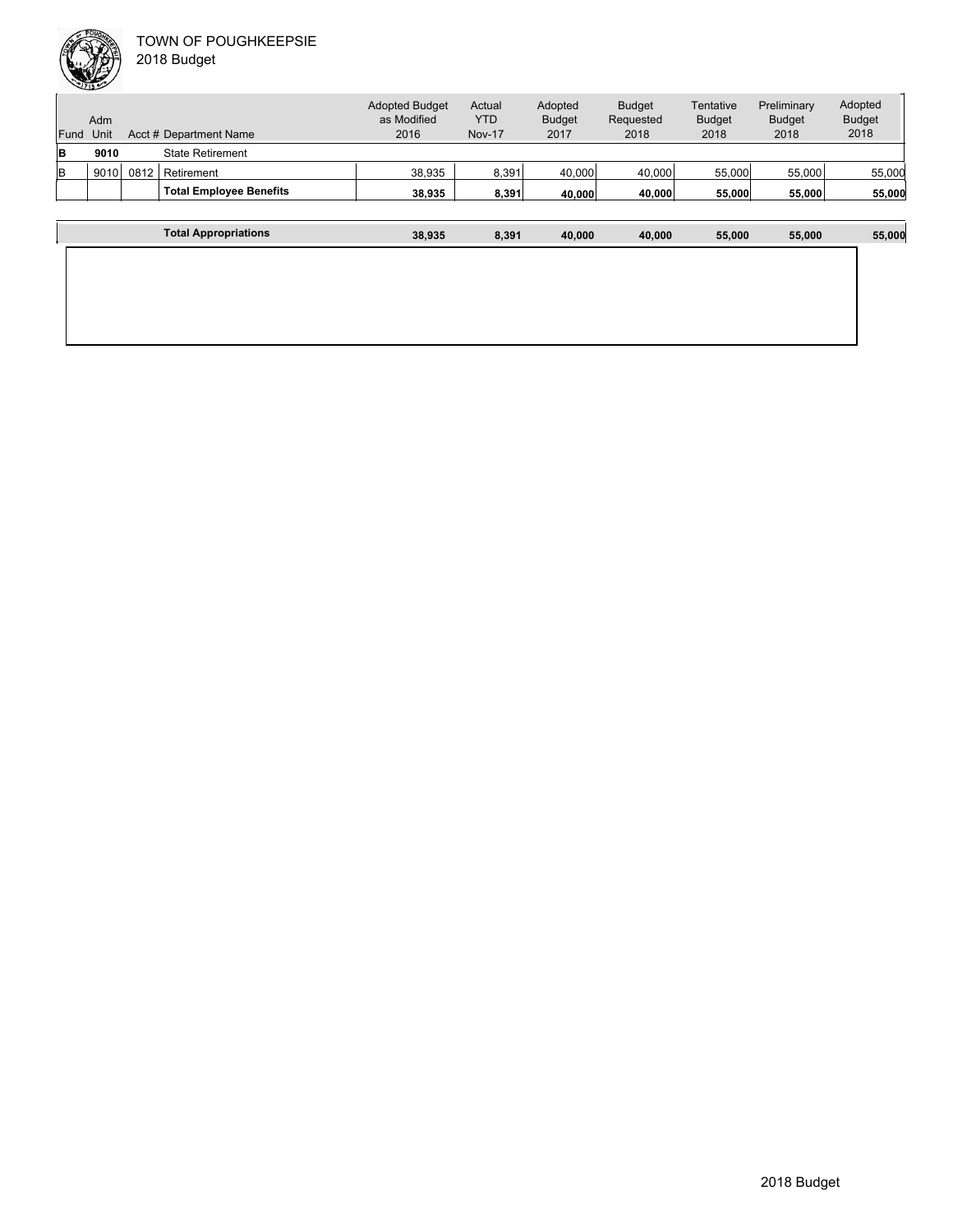|          | Adm  |      |                                | <b>Adopted Budget</b><br>as Modified | Actual<br><b>YTD</b> | Adopted<br><b>Budget</b> | <b>Budget</b><br>Requested | Tentative<br><b>Budget</b> | Preliminary<br><b>Budget</b> | Adopted<br><b>Budget</b> |
|----------|------|------|--------------------------------|--------------------------------------|----------------------|--------------------------|----------------------------|----------------------------|------------------------------|--------------------------|
|          |      |      |                                |                                      |                      |                          |                            |                            |                              |                          |
| Fund     | Unit |      | Acct # Department Name         | 2016                                 | <b>Nov-17</b>        | 2017                     | 2018                       | 2018                       | 2018                         | 2018                     |
| <b>B</b> | 9010 |      | <b>State Retirement</b>        |                                      |                      |                          |                            |                            |                              |                          |
| lB.      | 9010 | 0812 | Retirement                     | 38.935                               | 8,391                | 40.000                   | 40.000                     | 55,000                     | 55.000                       | 55,000                   |
|          |      |      | <b>Total Employee Benefits</b> | 38.935                               | 8,391                | 40,000                   | 40.000                     | 55,000                     | 55,000                       | 55,000                   |
|          |      |      |                                |                                      |                      |                          |                            |                            |                              |                          |
|          |      |      | <b>Total Appropriations</b>    | 38,935                               | 8,391                | 40.000                   | 40.000                     | 55,000                     | 55.000                       | 55,000                   |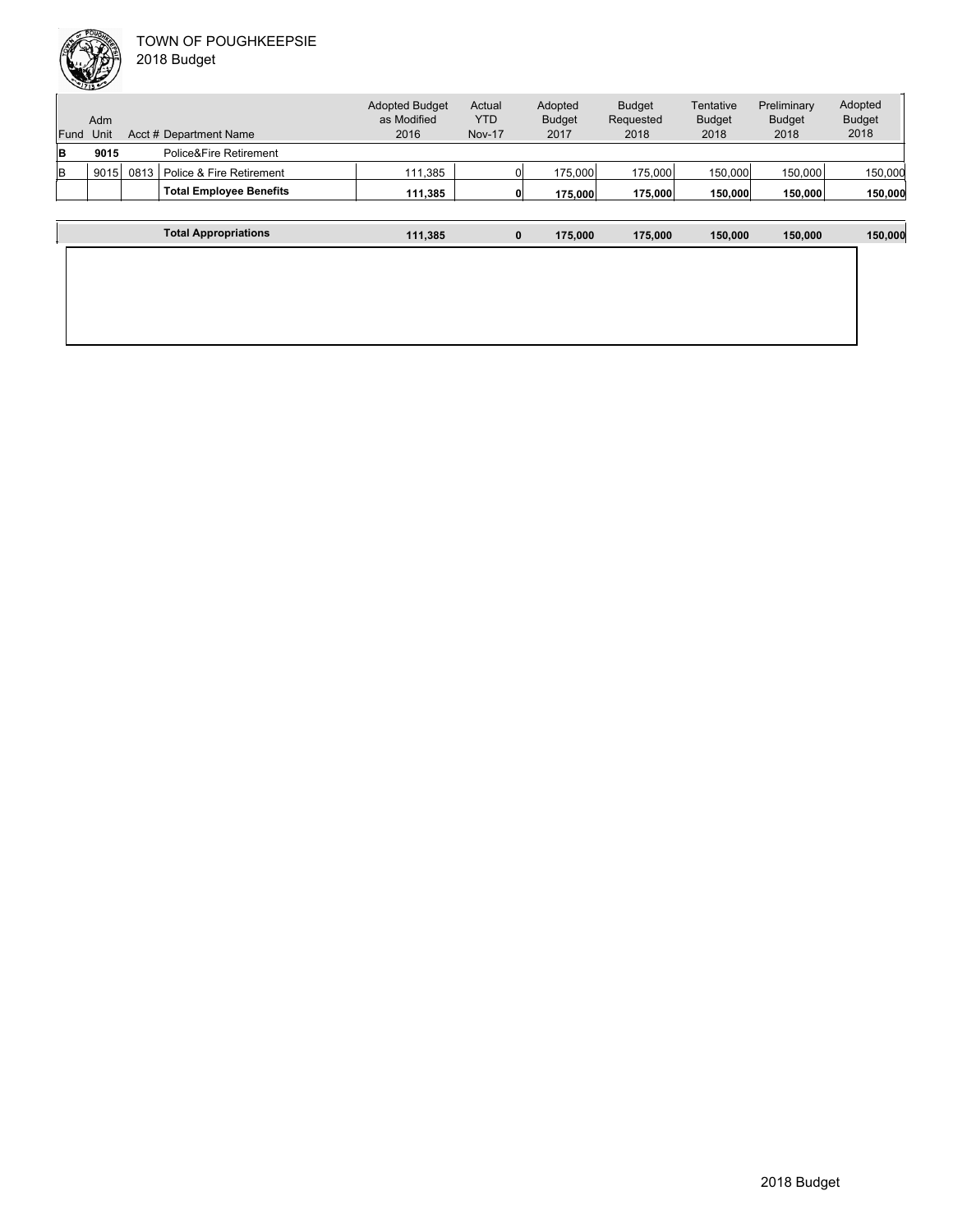|      | حنفلك |      |                                | <b>Adopted Budget</b> | Actual        | Adopted       | <b>Budget</b> | Tentative     | Preliminary   | Adopted       |
|------|-------|------|--------------------------------|-----------------------|---------------|---------------|---------------|---------------|---------------|---------------|
|      | Adm   |      |                                | as Modified           | YTD           | <b>Budget</b> | Requested     | <b>Budget</b> | <b>Budget</b> | <b>Budget</b> |
| Fund | Unit  |      | Acct # Department Name         | 2016                  | <b>Nov-17</b> | 2017          | 2018          | 2018          | 2018          | 2018          |
| lΒ   | 9015  |      | Police&Fire Retirement         |                       |               |               |               |               |               |               |
| lΒ   | 9015  | 0813 | Police & Fire Retirement       | 111.385               |               | 175,000       | 175,000       | 150,000       | 150,000       | 150,000       |
|      |       |      | <b>Total Employee Benefits</b> | 111.385               |               | 175,000       | 175,000       | 150,000       | 150,000       | 150,000       |
|      |       |      |                                |                       |               |               |               |               |               |               |
|      |       |      | <b>Total Appropriations</b>    | 111,385               |               | 0<br>175.000  | 175,000       | 150,000       | 150,000       | 150,000       |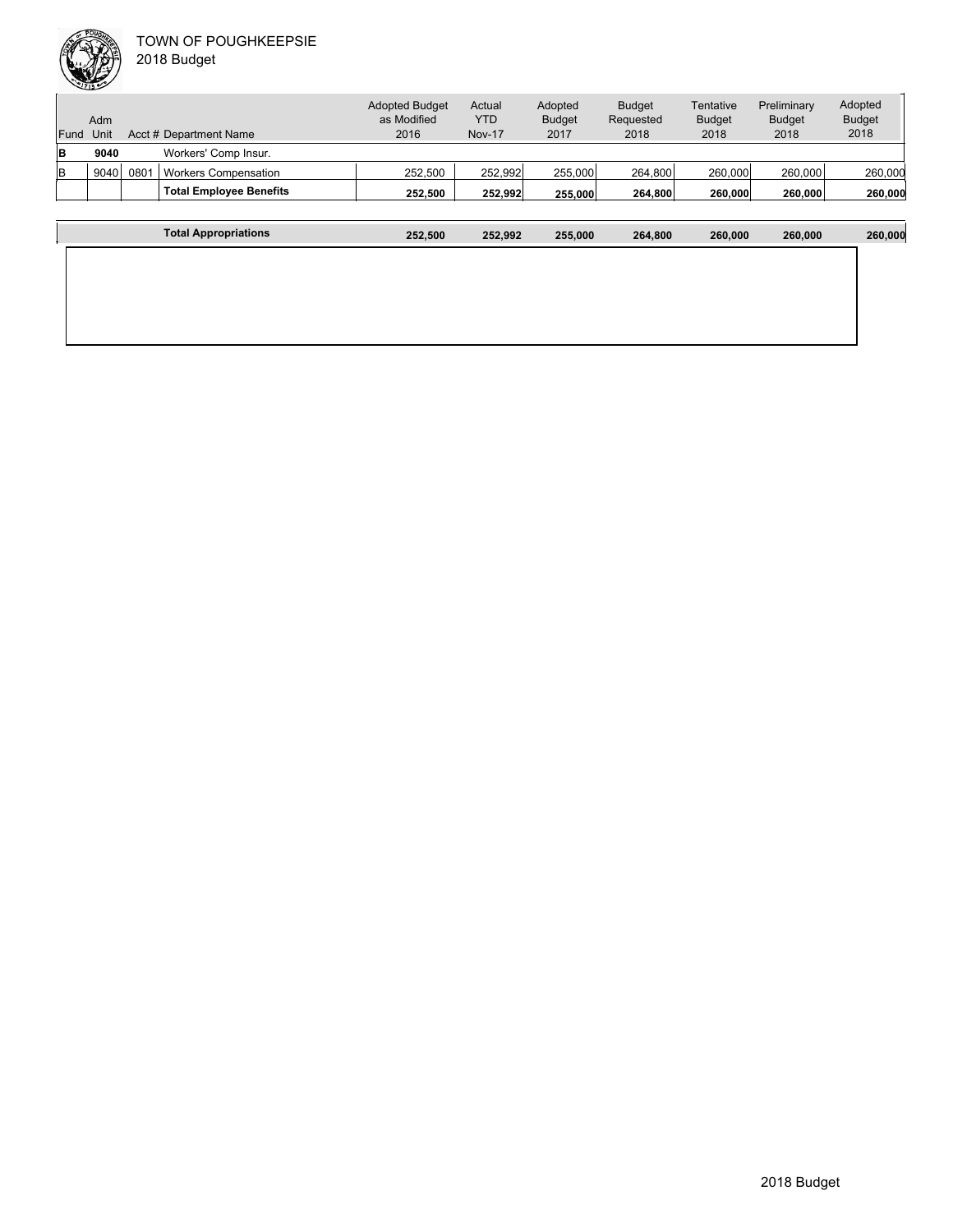| Fund | Adm<br>Unit |      | Acct # Department Name         | <b>Adopted Budget</b><br>as Modified<br>2016 | Actual<br><b>YTD</b><br><b>Nov-17</b> | Adopted<br><b>Budget</b><br>2017 | <b>Budget</b><br>Requested<br>2018 | Tentative<br><b>Budget</b><br>2018 | Preliminary<br><b>Budget</b><br>2018 | Adopted<br><b>Budget</b><br>2018 |
|------|-------------|------|--------------------------------|----------------------------------------------|---------------------------------------|----------------------------------|------------------------------------|------------------------------------|--------------------------------------|----------------------------------|
| lB.  | 9040        |      | Workers' Comp Insur.           |                                              |                                       |                                  |                                    |                                    |                                      |                                  |
| lв   | 9040        | 0801 | <b>Workers Compensation</b>    | 252.500                                      | 252,992                               | 255,000                          | 264.800                            | 260,000                            | 260,000                              | 260,000                          |
|      |             |      | <b>Total Employee Benefits</b> | 252.500                                      | 252,992                               | 255.000                          | 264,800                            | 260,000                            | 260,000                              | 260,000                          |
|      |             |      |                                |                                              |                                       |                                  |                                    |                                    |                                      |                                  |
|      |             |      | Total Appropriations           | 252.500                                      | 252,992                               | 255,000                          | 264.800                            | 260,000                            | 260,000                              | 260,000                          |

| 2018 Budget |
|-------------|
|             |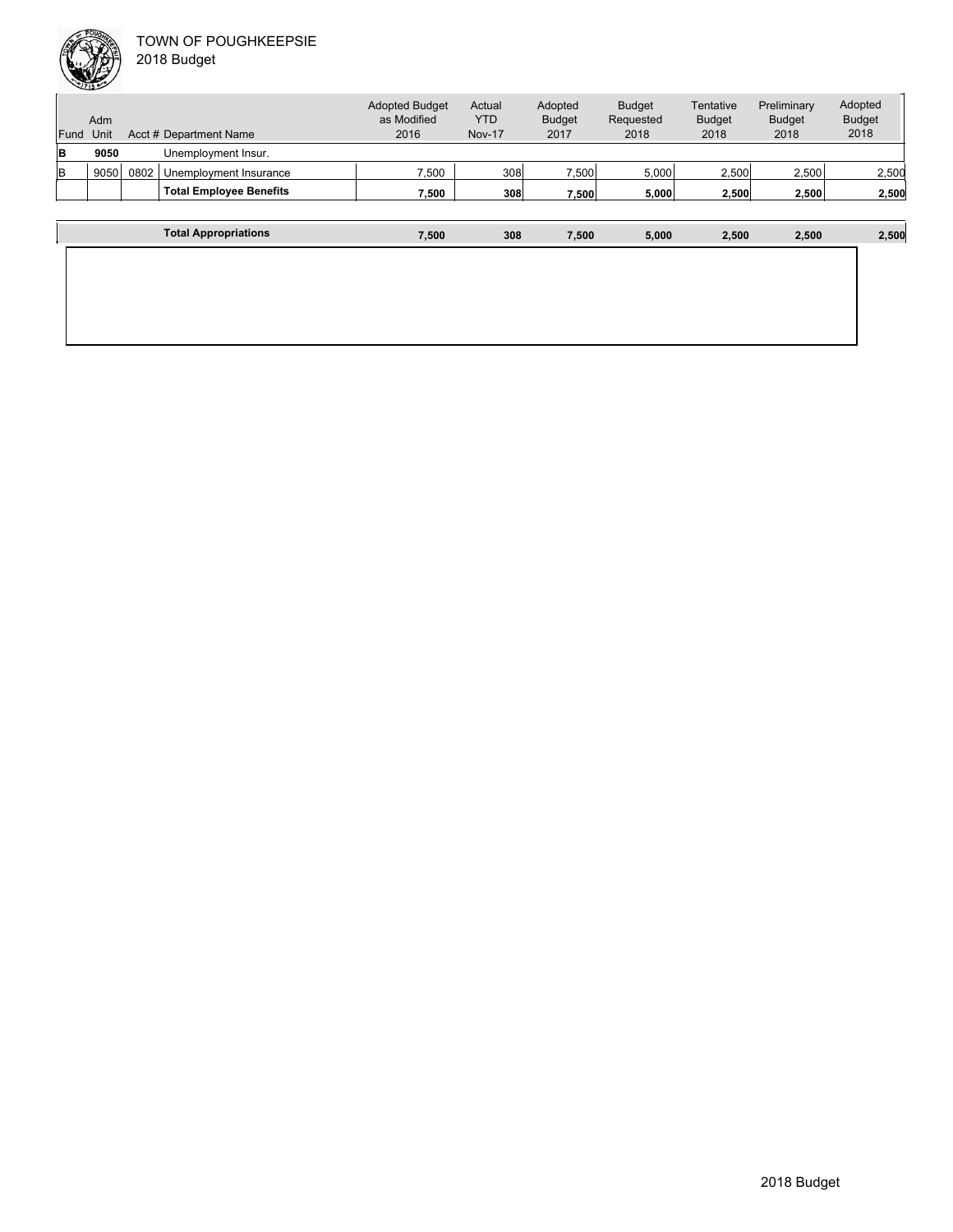

| Fund | Adm<br>Unit |      | Acct # Department Name         | <b>Adopted Budget</b><br>as Modified<br>2016 | Actual<br><b>YTD</b><br><b>Nov-17</b> | Adopted<br><b>Budget</b><br>2017 | <b>Budget</b><br>Requested<br>2018 | Tentative<br><b>Budget</b><br>2018 | Preliminary<br><b>Budget</b><br>2018 | Adopted<br><b>Budget</b><br>2018 |
|------|-------------|------|--------------------------------|----------------------------------------------|---------------------------------------|----------------------------------|------------------------------------|------------------------------------|--------------------------------------|----------------------------------|
| B    | 9050        |      | Unemployment Insur.            |                                              |                                       |                                  |                                    |                                    |                                      |                                  |
| lв   | 9050        | 0802 | Unemployment Insurance         | 7,500                                        | 308                                   | 7,500                            | 5.000                              | 2,500                              | 2,500                                | 2,500                            |
|      |             |      | <b>Total Employee Benefits</b> | 7.500                                        | 308                                   | 7.500                            | 5,000                              | 2.500                              | 2,500                                | 2,500                            |
|      |             |      |                                |                                              |                                       |                                  |                                    |                                    |                                      |                                  |
|      |             |      | <b>Total Appropriations</b>    | 7,500                                        | 308                                   | 7.500                            | 5,000                              | 2,500                              | 2,500                                | 2,500                            |
|      |             |      |                                |                                              |                                       |                                  |                                    |                                    |                                      |                                  |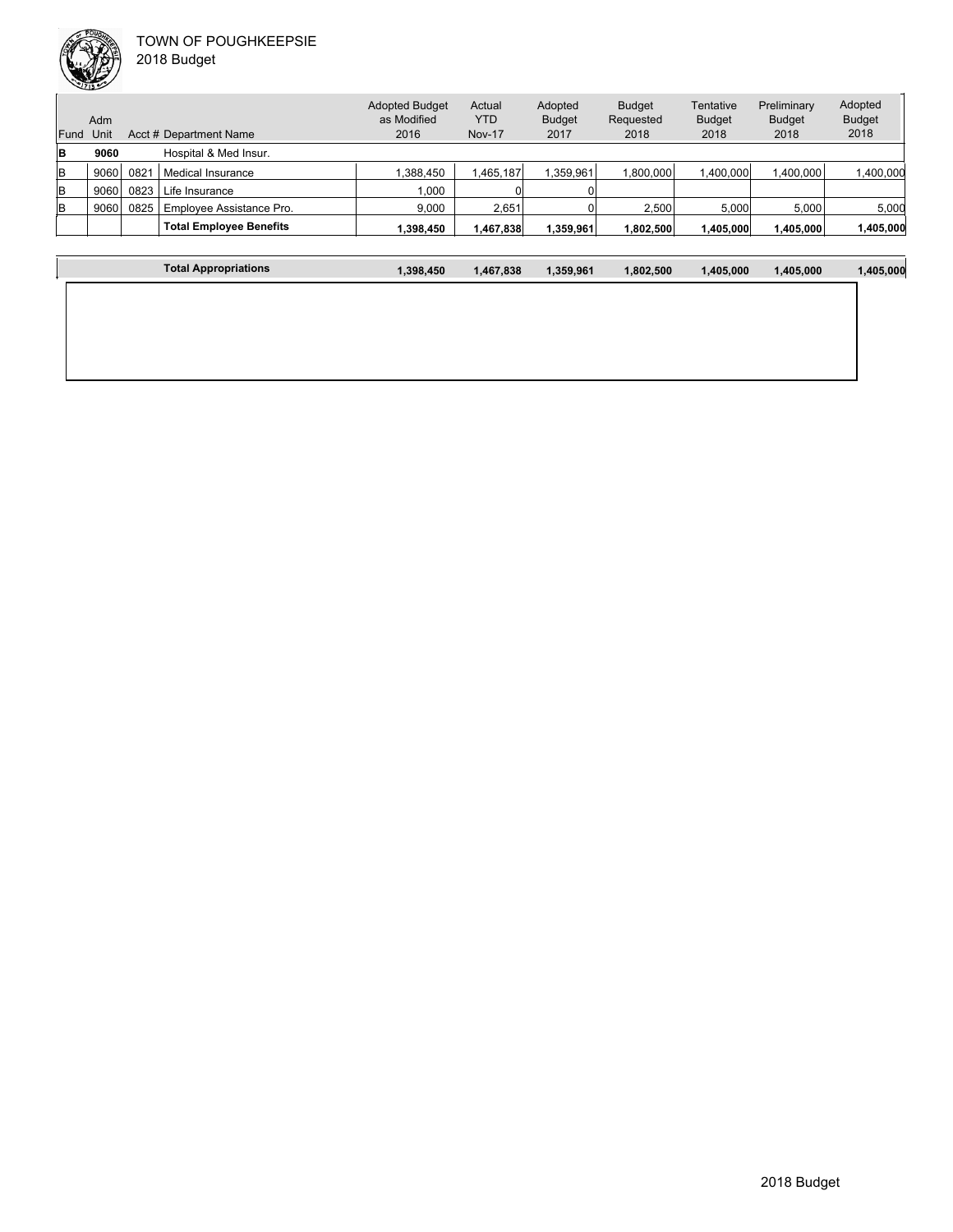

Unit Acct # Department Name Adm Actual YTD Nov-17 Budget Requested 2018 **Tentative** Budget 2018 Preliminary Budget 2018 Adopted Budget 2018 Adopted Budget as Modified 2016 Fund Unit Adopted Budget 2017 **B 9060** Hospital & Med Insur. B 9060 0821 Medical Insurance 1,388,450 1,465,187 1,359,961 1,800,000 1,400,000 1,400,000 1,400,000 1,400,000 B 9060 0823 Life Insurance 1,000 0 0 B 9060 0825 Employee Assistance Pro. 9,000 2,651 0 2,500 5,000 5,000 5,000 **Total Employee Benefits 1,398,450 1,467,838 1,359,961 1,802,500 1,405,000 1,405,000 1,405,000**

| <b>Total Appropriations</b> | 1,398,450 | 1,467,838 | 1,359,961 | 1,802,500 | 1,405,000 | 1,405,000 | 1,405,000 |
|-----------------------------|-----------|-----------|-----------|-----------|-----------|-----------|-----------|
|                             |           |           |           |           |           |           |           |
|                             |           |           |           |           |           |           |           |
|                             |           |           |           |           |           |           |           |
|                             |           |           |           |           |           |           |           |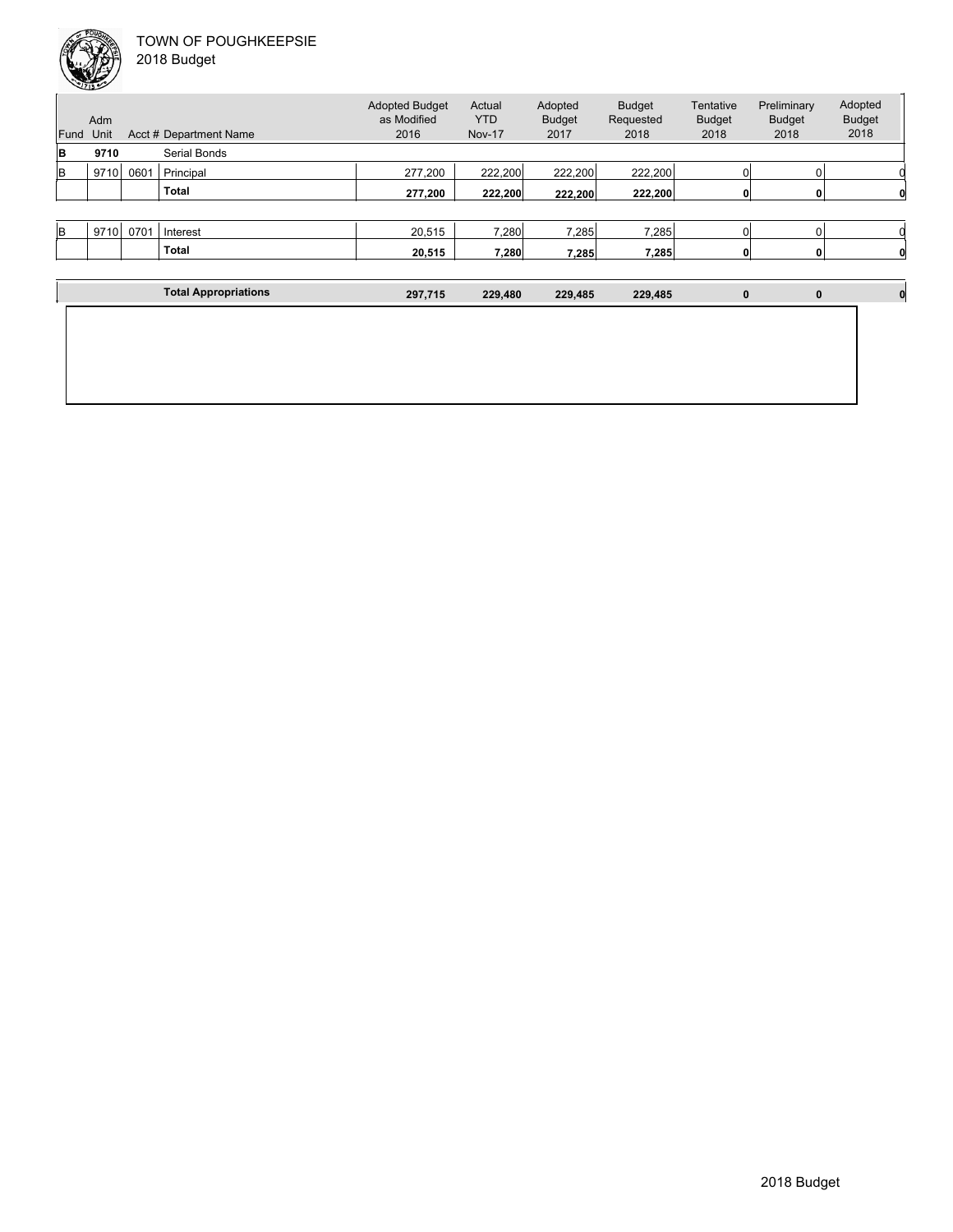| Fund | Adm<br>Unit |      | Acct # Department Name | <b>Adopted Budget</b><br>as Modified<br>2016 | Actual<br><b>YTD</b><br><b>Nov-17</b> | Adopted<br><b>Budget</b><br>2017 | <b>Budget</b><br>Requested<br>2018 | Tentative<br><b>Budget</b><br>2018 | Preliminary<br><b>Budget</b><br>2018 | Adopted<br><b>Budget</b><br>2018 |
|------|-------------|------|------------------------|----------------------------------------------|---------------------------------------|----------------------------------|------------------------------------|------------------------------------|--------------------------------------|----------------------------------|
| lΒ   | 9710        |      | Serial Bonds           |                                              |                                       |                                  |                                    |                                    |                                      |                                  |
| lв   | 9710        | 0601 | Principal              | 277,200                                      | 222.200                               | 222,200                          | 222.200                            |                                    |                                      |                                  |
|      |             |      | <b>Total</b>           | 277,200                                      | 222,200                               | 222,200                          | 222,200                            |                                    |                                      |                                  |
|      |             |      |                        |                                              |                                       |                                  |                                    |                                    |                                      |                                  |
| lв   | 9710        | 0701 | Interest               | 20,515                                       | 7,280                                 | 7,285                            | 7,285                              | 0                                  |                                      |                                  |
|      |             |      | <b>Total</b>           | 20,515                                       | 7,280                                 | 7,285                            | 7,285                              | 0                                  | $\mathbf{0}$                         |                                  |

| <b>Total Appropriations</b> | 297,715 | 229,480 | 229,485 | 229,485 | 0 | $\bf{0}$ |  |
|-----------------------------|---------|---------|---------|---------|---|----------|--|
|                             |         |         |         |         |   |          |  |
|                             |         |         |         |         |   |          |  |
|                             |         |         |         |         |   |          |  |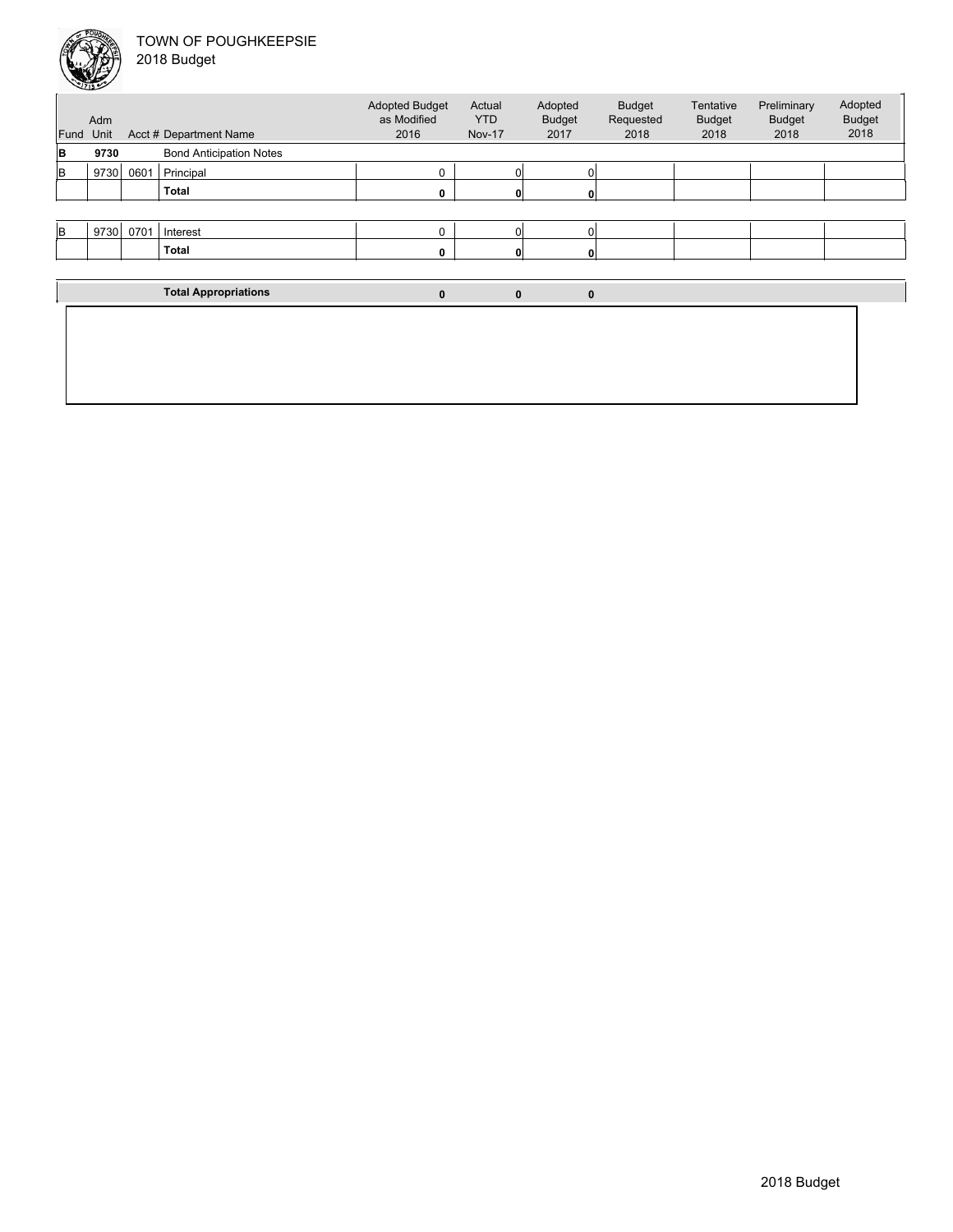

| Fund     | Adm<br>Unit                                                                                                   |      |                             | <b>Adopted Budget</b><br>as Modified<br>2016 | Actual<br><b>YTD</b><br><b>Nov-17</b> | Adopted<br><b>Budget</b><br>2017 | <b>Budget</b><br>Requested<br>2018 | Tentative<br><b>Budget</b><br>2018 | Preliminary<br><b>Budget</b><br>2018 | Adopted<br><b>Budget</b><br>2018 |
|----------|---------------------------------------------------------------------------------------------------------------|------|-----------------------------|----------------------------------------------|---------------------------------------|----------------------------------|------------------------------------|------------------------------------|--------------------------------------|----------------------------------|
| B        | Acct # Department Name<br><b>Bond Anticipation Notes</b><br>9730<br>9730<br>0601<br>Principal<br><b>Total</b> |      |                             |                                              |                                       |                                  |                                    |                                    |                                      |                                  |
| lB       |                                                                                                               |      |                             | $\Omega$                                     | 0                                     |                                  |                                    |                                    |                                      |                                  |
|          |                                                                                                               |      |                             | 0                                            |                                       |                                  |                                    |                                    |                                      |                                  |
|          |                                                                                                               |      |                             |                                              |                                       |                                  |                                    |                                    |                                      |                                  |
| <b>B</b> | 9730                                                                                                          | 0701 | Interest                    | $\mathbf 0$                                  | $\Omega$                              |                                  |                                    |                                    |                                      |                                  |
|          |                                                                                                               |      | <b>Total</b>                | 0                                            |                                       |                                  |                                    |                                    |                                      |                                  |
|          |                                                                                                               |      |                             |                                              |                                       |                                  |                                    |                                    |                                      |                                  |
|          |                                                                                                               |      | <b>Total Appropriations</b> | $\bf{0}$                                     | $\bf{0}$                              | $\mathbf 0$                      |                                    |                                    |                                      |                                  |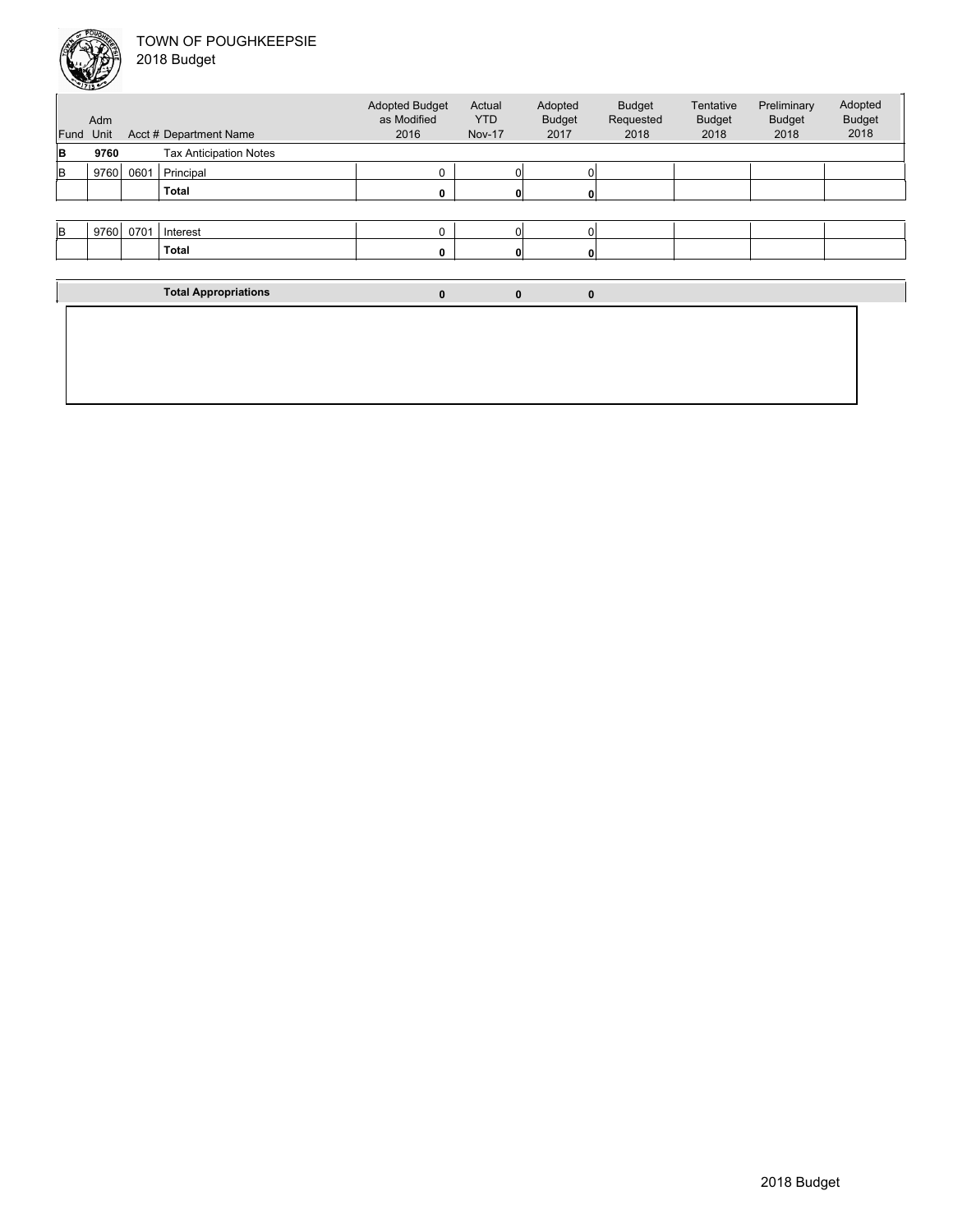

| Fund     | Adm<br>Unit |      | Acct # Department Name        | <b>Adopted Budget</b><br>as Modified<br>2016 | Actual<br><b>YTD</b><br><b>Nov-17</b> | Adopted<br><b>Budget</b><br>2017 | <b>Budget</b><br>Requested<br>2018 | Tentative<br><b>Budget</b><br>2018 | Preliminary<br><b>Budget</b><br>2018 | Adopted<br><b>Budget</b><br>2018 |
|----------|-------------|------|-------------------------------|----------------------------------------------|---------------------------------------|----------------------------------|------------------------------------|------------------------------------|--------------------------------------|----------------------------------|
| B        | 9760        |      | <b>Tax Anticipation Notes</b> |                                              |                                       |                                  |                                    |                                    |                                      |                                  |
| <b>B</b> | 9760        | 0601 | Principal                     |                                              | 0                                     |                                  |                                    |                                    |                                      |                                  |
|          |             |      | <b>Total</b>                  |                                              |                                       |                                  |                                    |                                    |                                      |                                  |
|          |             |      |                               |                                              |                                       |                                  |                                    |                                    |                                      |                                  |
| <b>B</b> | 9760        | 0701 | Interest                      | $\Omega$                                     | 01                                    |                                  |                                    |                                    |                                      |                                  |
|          |             |      | <b>Total</b>                  |                                              |                                       |                                  |                                    |                                    |                                      |                                  |
|          |             |      |                               |                                              |                                       |                                  |                                    |                                    |                                      |                                  |
|          |             |      | <b>Total Appropriations</b>   | $\mathbf{0}$                                 | $\mathbf 0$                           | $\mathbf{0}$                     |                                    |                                    |                                      |                                  |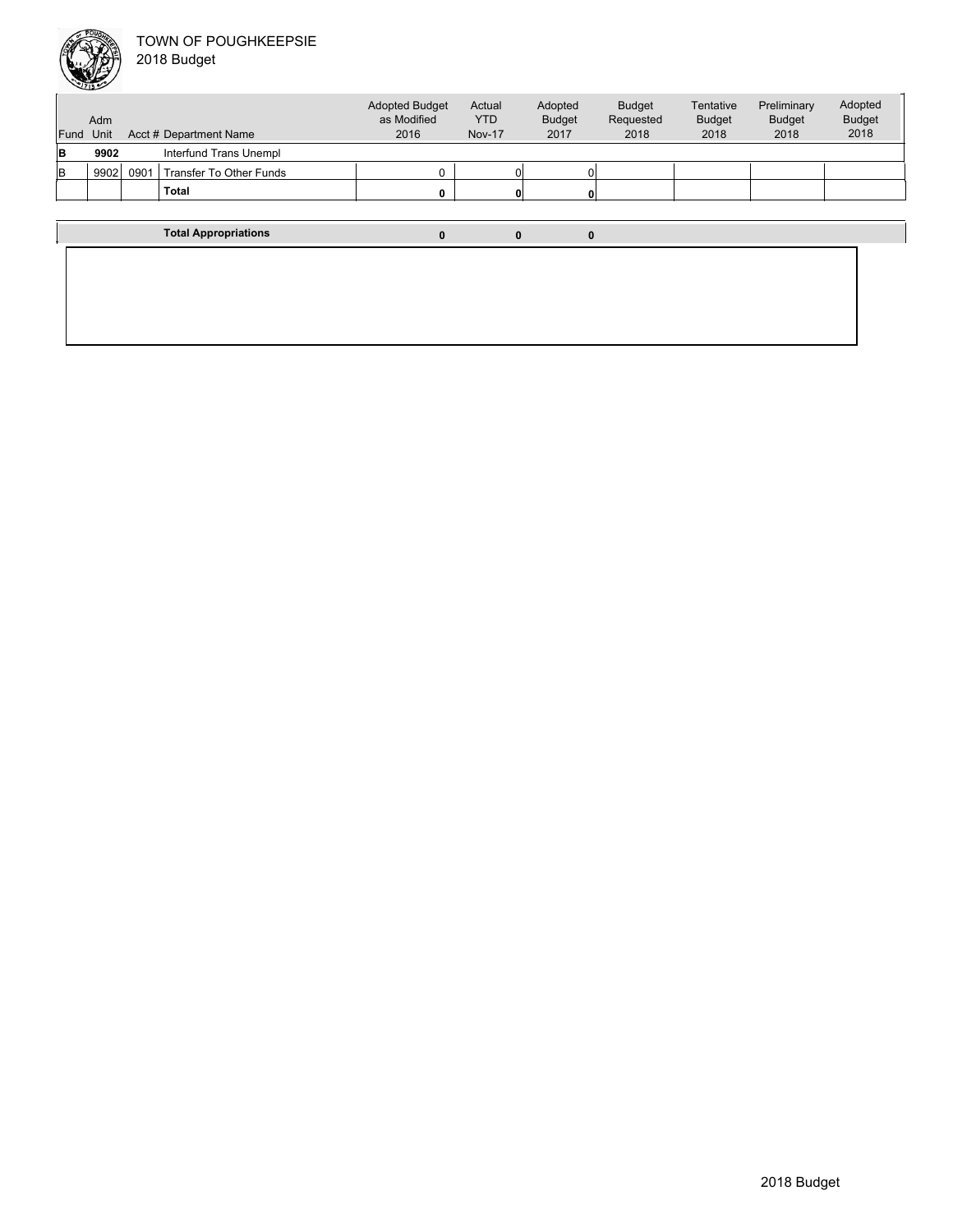

Unit Acct # Department Name Adm Actual YTD Nov-17 Budget Requested 2018 Tentative Budget 2018 Preliminary Budget 2018 Adopted Budget 2018 Adopted Budget as Modified 2016 Fund Unit Adopted Budget 2017 **B 9902** Interfund Trans Unempl B 9902 0901 Transfer To Other Funds 0 0 0 **Total 0 0 0 Total Appropriations 0 0 0**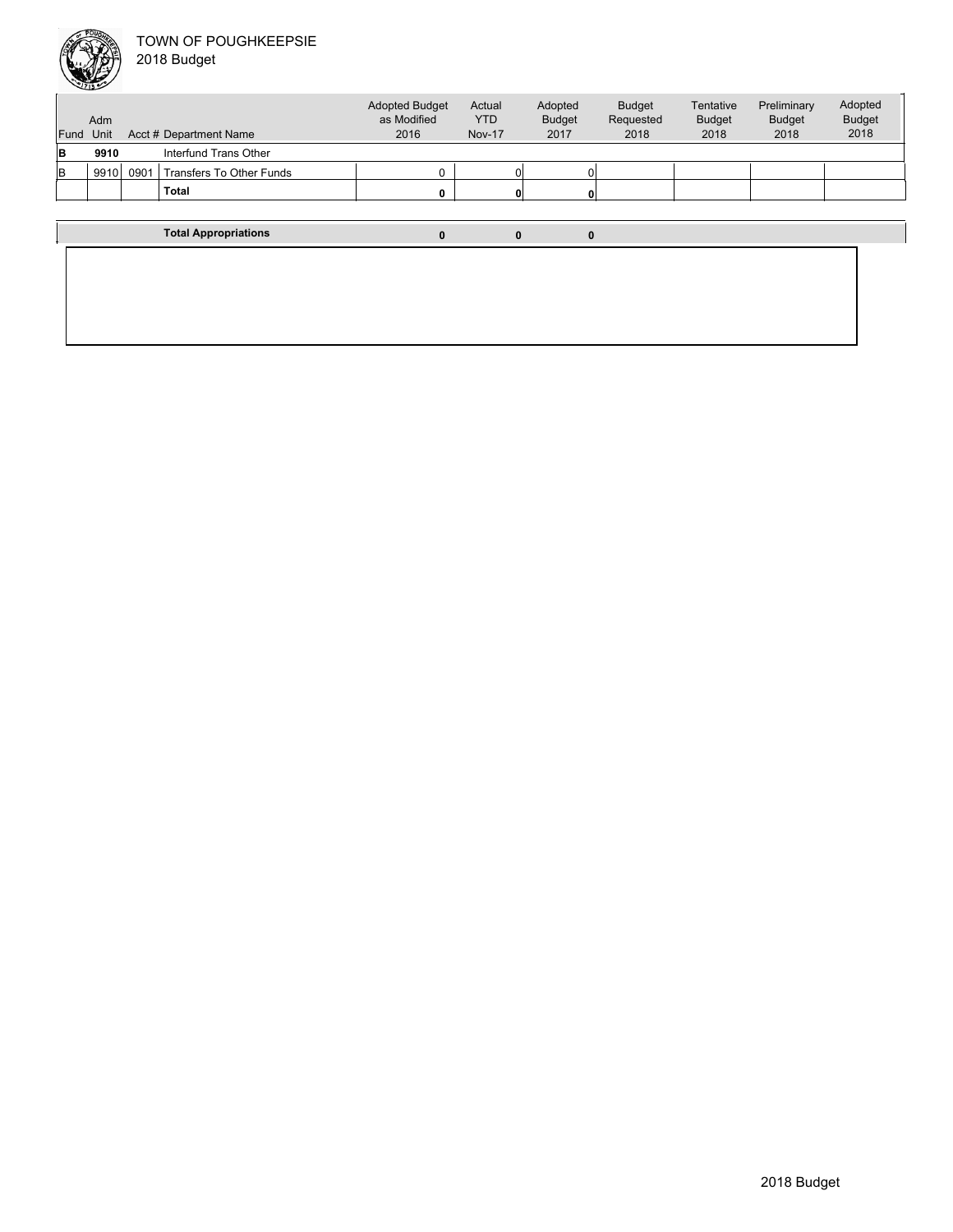

| Fund | Adm<br>Unit |      | Acct # Department Name      | <b>Adopted Budget</b><br>as Modified<br>2016 | Actual<br><b>YTD</b><br><b>Nov-17</b> | Adopted<br><b>Budget</b><br>2017 | <b>Budget</b><br>Requested<br>2018 | Tentative<br><b>Budget</b><br>2018 | Preliminary<br><b>Budget</b><br>2018 | Adopted<br><b>Budget</b><br>2018 |
|------|-------------|------|-----------------------------|----------------------------------------------|---------------------------------------|----------------------------------|------------------------------------|------------------------------------|--------------------------------------|----------------------------------|
|      |             |      |                             |                                              |                                       |                                  |                                    |                                    |                                      |                                  |
| B    | 9910        |      | Interfund Trans Other       |                                              |                                       |                                  |                                    |                                    |                                      |                                  |
| lв   | 9910        | 0901 | Transfers To Other Funds    |                                              |                                       |                                  |                                    |                                    |                                      |                                  |
|      |             |      | Total                       |                                              |                                       | $\mathbf{0}$                     |                                    |                                    |                                      |                                  |
|      |             |      |                             |                                              |                                       |                                  |                                    |                                    |                                      |                                  |
|      |             |      | <b>Total Appropriations</b> | 0                                            |                                       | 0<br>0                           |                                    |                                    |                                      |                                  |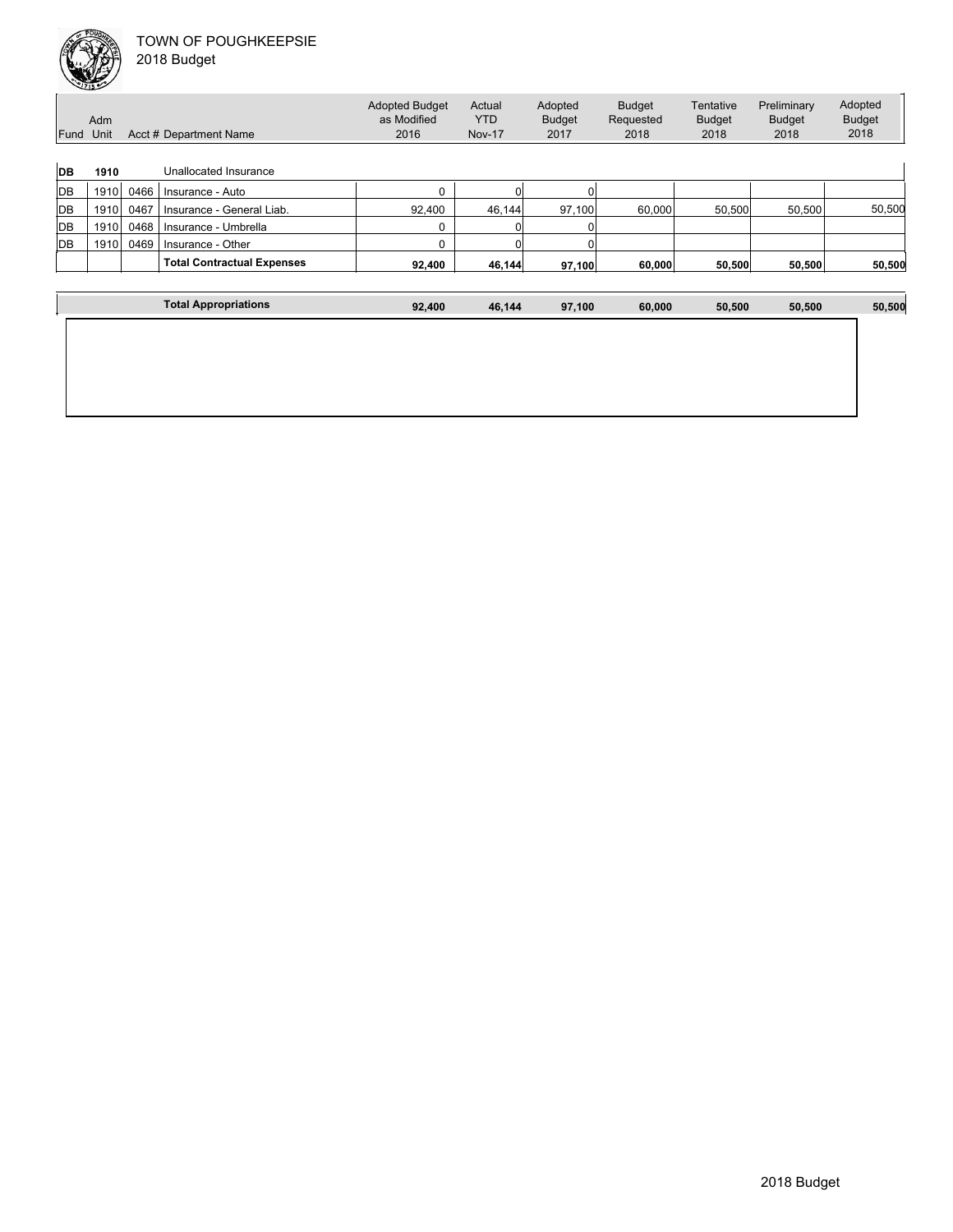| Fund      | Adm<br>Unit |      | Acct # Department Name            | <b>Adopted Budget</b><br>as Modified<br>2016 | Actual<br><b>YTD</b><br><b>Nov-17</b> | Adopted<br><b>Budget</b><br>2017 | <b>Budget</b><br>Requested<br>2018 | Tentative<br><b>Budget</b><br>2018 | Preliminary<br><b>Budget</b><br>2018 | Adopted<br><b>Budget</b><br>2018 |
|-----------|-------------|------|-----------------------------------|----------------------------------------------|---------------------------------------|----------------------------------|------------------------------------|------------------------------------|--------------------------------------|----------------------------------|
| <b>DB</b> | 1910        |      | Unallocated Insurance             |                                              |                                       |                                  |                                    |                                    |                                      |                                  |
| <b>DB</b> | 1910        | 0466 | Insurance - Auto                  | 0                                            |                                       |                                  |                                    |                                    |                                      |                                  |
| DB        | 1910        | 0467 | Insurance - General Liab.         | 92,400                                       | 46,144                                | 97,100                           | 60,000                             | 50,500                             | 50,500                               | 50,500                           |
| <b>DB</b> | 1910        | 0468 | Insurance - Umbrella              |                                              |                                       |                                  |                                    |                                    |                                      |                                  |
| <b>DB</b> | 1910        | 0469 | Insurance - Other                 |                                              |                                       |                                  |                                    |                                    |                                      |                                  |
|           |             |      | <b>Total Contractual Expenses</b> | 92.400                                       | 46.144                                | 97.100                           | 60,000                             | 50.500                             | 50,500                               | 50,500                           |
|           |             |      |                                   |                                              |                                       |                                  |                                    |                                    |                                      |                                  |
|           |             |      | <b>Total Appropriations</b>       | 92,400                                       | 46,144                                | 97,100                           | 60,000                             | 50,500                             | 50,500                               | 50,500                           |
|           |             |      |                                   |                                              |                                       |                                  |                                    |                                    |                                      |                                  |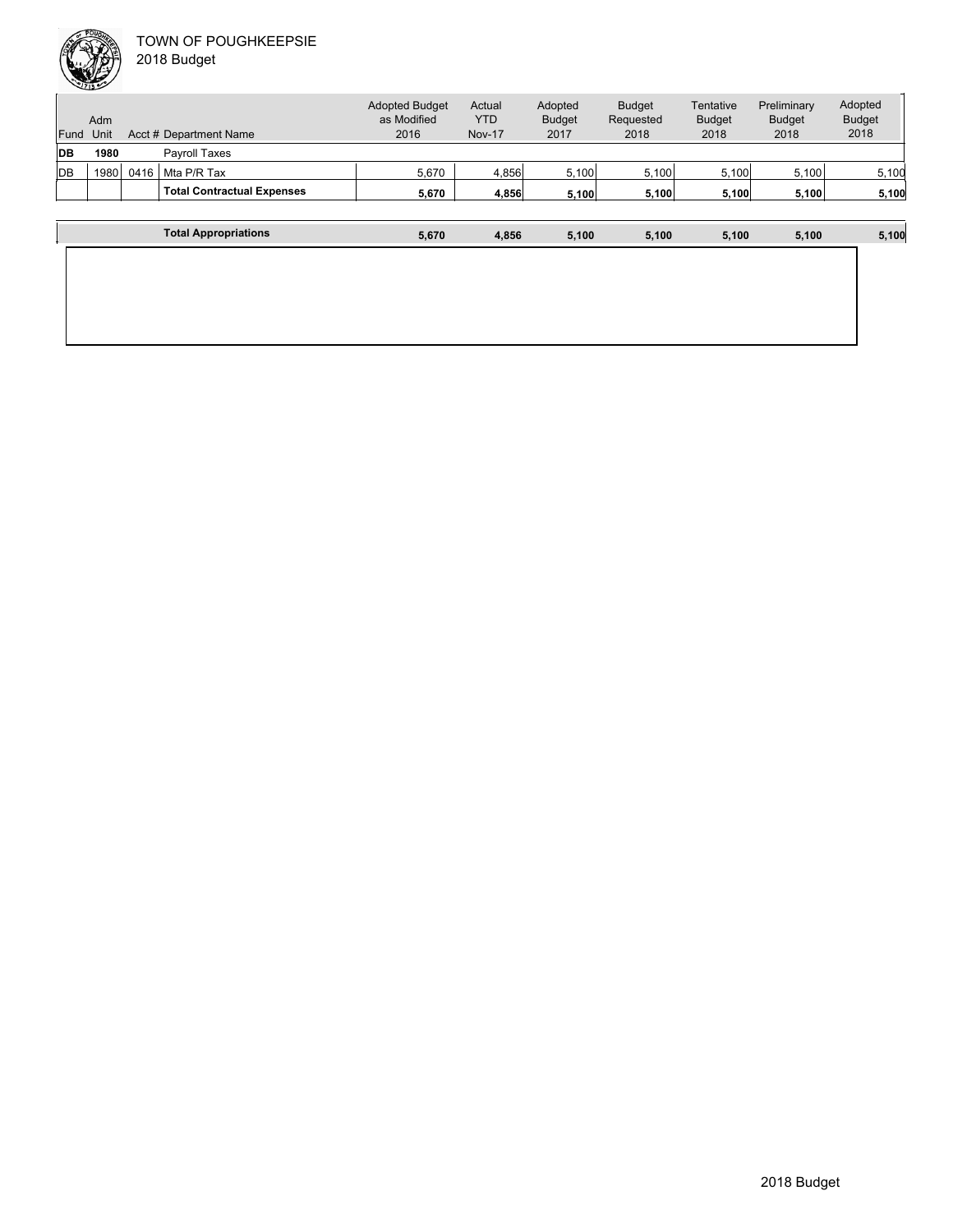

| Fund       | Adm<br>Unit |      | Acct # Department Name            | <b>Adopted Budget</b><br>as Modified<br>2016 | Actual<br><b>YTD</b><br><b>Nov-17</b> | Adopted<br><b>Budget</b><br>2017 | <b>Budget</b><br>Requested<br>2018 | Tentative<br><b>Budget</b><br>2018 | Preliminary<br><b>Budget</b><br>2018 | Adopted<br><b>Budget</b><br>2018 |
|------------|-------------|------|-----------------------------------|----------------------------------------------|---------------------------------------|----------------------------------|------------------------------------|------------------------------------|--------------------------------------|----------------------------------|
| <b>DB</b>  | 1980        |      | <b>Payroll Taxes</b>              |                                              |                                       |                                  |                                    |                                    |                                      |                                  |
| <b>IDB</b> | 1980        | 0416 | Mta P/R Tax                       | 5,670                                        | 4.856                                 | 5,100                            | 5,100                              | 5,100                              | 5,100                                | 5,100                            |
|            |             |      | <b>Total Contractual Expenses</b> | 5,670                                        | 4,856                                 | 5.100                            | 5,100                              | 5,100                              | 5,100                                | 5,100                            |
|            |             |      |                                   |                                              |                                       |                                  |                                    |                                    |                                      |                                  |
|            |             |      | <b>Total Appropriations</b>       | 5,670                                        | 4,856                                 | 5.100                            | 5,100                              | 5.100                              | 5.100                                | 5,100                            |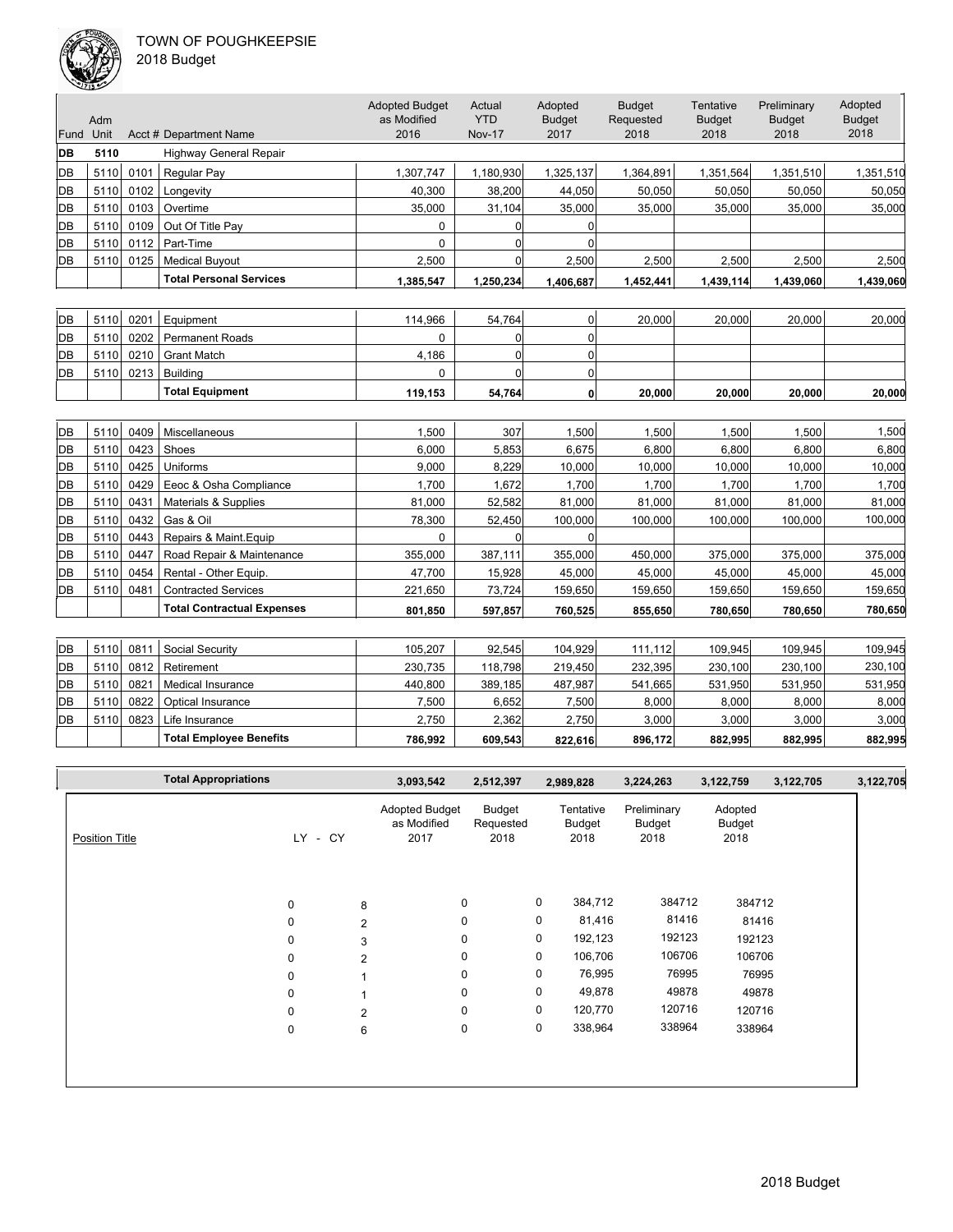

|      | ستخلصك      |      |                                   |                                              |                                       |                                  |                                    |                                           |                                      |                                  |
|------|-------------|------|-----------------------------------|----------------------------------------------|---------------------------------------|----------------------------------|------------------------------------|-------------------------------------------|--------------------------------------|----------------------------------|
| Fund | Adm<br>Unit |      | Acct # Department Name            | <b>Adopted Budget</b><br>as Modified<br>2016 | Actual<br><b>YTD</b><br><b>Nov-17</b> | Adopted<br><b>Budget</b><br>2017 | <b>Budget</b><br>Requested<br>2018 | <b>Tentative</b><br><b>Budget</b><br>2018 | Preliminary<br><b>Budget</b><br>2018 | Adopted<br><b>Budget</b><br>2018 |
| IDВ  | 5110        |      | <b>Highway General Repair</b>     |                                              |                                       |                                  |                                    |                                           |                                      |                                  |
| IDВ  | 5110        | 0101 | Regular Pay                       | 1,307,747                                    | 1,180,930                             | 1,325,137                        | 1,364,891                          | 1,351,564                                 | 1,351,510                            | 1,351,510                        |
| IDВ  | 5110        | 0102 | Longevity                         | 40.300                                       | 38,200                                | 44,050                           | 50,050                             | 50,050                                    | 50,050                               | 50,050                           |
| DB   | 5110        | 0103 | Overtime                          | 35,000                                       | 31,104                                | 35,000                           | 35,000                             | 35,000                                    | 35,000                               | 35,000                           |
| DB   | 5110        | 0109 | Out Of Title Pay                  | $\Omega$                                     | 0                                     | $\Omega$                         |                                    |                                           |                                      |                                  |
| DB   | 5110        | 0112 | Part-Time                         | 0                                            | 0                                     | $\Omega$                         |                                    |                                           |                                      |                                  |
| IDВ  | 5110        | 0125 | <b>Medical Buyout</b>             | 2,500                                        | $\Omega$                              | 2,500                            | 2,500                              | 2,500                                     | 2,500                                | 2,500                            |
|      |             |      | <b>Total Personal Services</b>    | 1,385,547                                    | 1,250,234                             | 1,406,687                        | 1,452,441                          | 1,439,114                                 | 1,439,060                            | 1,439,060                        |
|      |             |      |                                   |                                              |                                       |                                  |                                    |                                           |                                      |                                  |
| DB   | 5110        | 0201 | Equipment                         | 114,966                                      | 54,764                                | 0                                | 20,000                             | 20,000                                    | 20,000                               | 20,000                           |
| IDВ  | 5110        | 0202 | <b>Permanent Roads</b>            | 0                                            | 0                                     | $\overline{0}$                   |                                    |                                           |                                      |                                  |
| IDВ  | 5110        | 0210 | <b>Grant Match</b>                | 4,186                                        | 0                                     | 0                                |                                    |                                           |                                      |                                  |
|      |             | 0213 | <b>Building</b>                   | $\Omega$                                     | $\Omega$                              | 0                                |                                    |                                           |                                      |                                  |
| DB   | 5110        |      |                                   |                                              |                                       |                                  |                                    |                                           |                                      |                                  |
|      |             |      | <b>Total Equipment</b>            | 119,153                                      | 54,764                                | $\mathbf{0}$                     | 20.000                             | 20.000                                    | 20.000                               | 20,000                           |
|      |             |      |                                   |                                              |                                       |                                  |                                    |                                           |                                      |                                  |
| IDВ  | 5110        | 0409 | Miscellaneous                     | 1,500                                        | 307                                   | 1,500                            | 1,500                              | 1,500                                     | 1,500                                | 1,500                            |
| IDВ  | 5110        | 0423 | Shoes                             | 6,000                                        | 5,853                                 | 6,675                            | 6,800                              | 6,800                                     | 6,800                                | 6,800                            |
| IDВ  | 5110        | 0425 | Uniforms                          | 9.000                                        | 8,229                                 | 10,000                           | 10,000                             | 10,000                                    | 10,000                               | 10,000                           |
| ldв  | 5110        | 0429 | Eeoc & Osha Compliance            | 1,700                                        | 1,672                                 | 1,700                            | 1,700                              | 1,700                                     | 1,700                                | 1,700                            |
| DB   | 5110        | 0431 | Materials & Supplies              | 81,000                                       | 52,582                                | 81.000                           | 81.000                             | 81,000                                    | 81.000                               | 81,000                           |
| ldв  | 5110        | 0432 | Gas & Oil                         | 78,300                                       | 52,450                                | 100,000                          | 100,000                            | 100,000                                   | 100,000                              | 100,000                          |
| IDВ  | 5110        | 0443 | Repairs & Maint. Equip            | 0                                            | 0                                     | $\Omega$                         |                                    |                                           |                                      |                                  |
| ldв  | 5110        | 0447 | Road Repair & Maintenance         | 355,000                                      | 387,111                               | 355,000                          | 450,000                            | 375,000                                   | 375,000                              | 375,000                          |
| ldв  | 5110        | 0454 | Rental - Other Equip.             | 47,700                                       | 15,928                                | 45,000                           | 45,000                             | 45,000                                    | 45,000                               | 45,000                           |
| IDВ  | 5110        | 0481 | <b>Contracted Services</b>        | 221,650                                      | 73,724                                | 159,650                          | 159,650                            | 159,650                                   | 159,650                              | 159,650                          |
|      |             |      | <b>Total Contractual Expenses</b> | 801,850                                      | 597,857                               | 760,525                          | 855,650                            | 780,650                                   | 780,650                              | 780,650                          |
|      |             |      |                                   |                                              |                                       |                                  |                                    |                                           |                                      |                                  |
| DB   | 5110        | 0811 | Social Security                   | 105,207                                      | 92,545                                | 104,929                          | 111,112                            | 109,945                                   | 109,945                              | 109,945                          |

|    |      |                  | <b>Total Employee Benefits</b> | 786.992 | 609.543 | 822.616  | 896.172  | 882.995  | 882.995  | 882,995 |
|----|------|------------------|--------------------------------|---------|---------|----------|----------|----------|----------|---------|
| DB | 5110 | 0823             | Life Insurance                 | 2,750   | 2,362   | 2,750    | 3,000    | 3,000    | 3,000    | 3,000   |
| DB | 5110 | 0822             | Optical Insurance              | 7.500   | 6.652   | 7,500    | 8,000    | 8.000    | 8.000    | 8,000   |
| DB | 5110 | 082 <sup>-</sup> | Medical Insurance              | 440.800 | 389.185 | 487,987  | 541.665  | 531.950  | 531.950  | 531,950 |
| DB | 5110 | 0812             | Retirement                     | 230.735 | 118.798 | 219.450  | 232,395  | 230.100  | 230,100  | 230,100 |
| DВ | 5110 | U81              | Social Security                | 105.207 | 92.5451 | 104.9291 | 111.1121 | 109.9451 | 109.9451 | 109.945 |

| <b>Total Appropriations</b> |             |                | 3,093,542                             | 2,512,397                   |             | 2,989,828                   | 3,224,263                     | 3,122,759                 | 3,122,705 | 3,122,705 |
|-----------------------------|-------------|----------------|---------------------------------------|-----------------------------|-------------|-----------------------------|-------------------------------|---------------------------|-----------|-----------|
| <b>Position Title</b>       | LY.<br>- CY |                | Adopted Budget<br>as Modified<br>2017 | Budget<br>Requested<br>2018 |             | Tentative<br>Budget<br>2018 | Preliminary<br>Budget<br>2018 | Adopted<br>Budget<br>2018 |           |           |
|                             |             |                |                                       |                             |             |                             |                               |                           |           |           |
|                             | 0           | 8              | 0                                     |                             | $\mathbf 0$ | 384,712                     | 384712                        | 384712                    |           |           |
|                             | $\mathbf 0$ | 2              | 0                                     |                             | 0           | 81,416                      | 81416                         | 81416                     |           |           |
|                             | 0           | 3              | 0                                     |                             | 0           | 192,123                     | 192123                        | 192123                    |           |           |
|                             | $\mathbf 0$ | 2              | 0                                     |                             | 0           | 106,706                     | 106706                        | 106706                    |           |           |
|                             | 0           |                | 0                                     |                             | 0           | 76,995                      | 76995                         | 76995                     |           |           |
|                             | $\mathbf 0$ |                | 0                                     |                             | 0           | 49,878                      | 49878                         | 49878                     |           |           |
|                             | 0           | $\overline{2}$ | $\mathbf 0$                           |                             | 0           | 120,770                     | 120716                        | 120716                    |           |           |
|                             | $\pmb{0}$   | 6              | 0                                     |                             | 0           | 338,964                     | 338964                        | 338964                    |           |           |
|                             |             |                |                                       |                             |             |                             |                               |                           |           |           |
|                             |             |                |                                       |                             |             |                             |                               |                           |           |           |
|                             |             |                |                                       |                             |             |                             |                               |                           |           |           |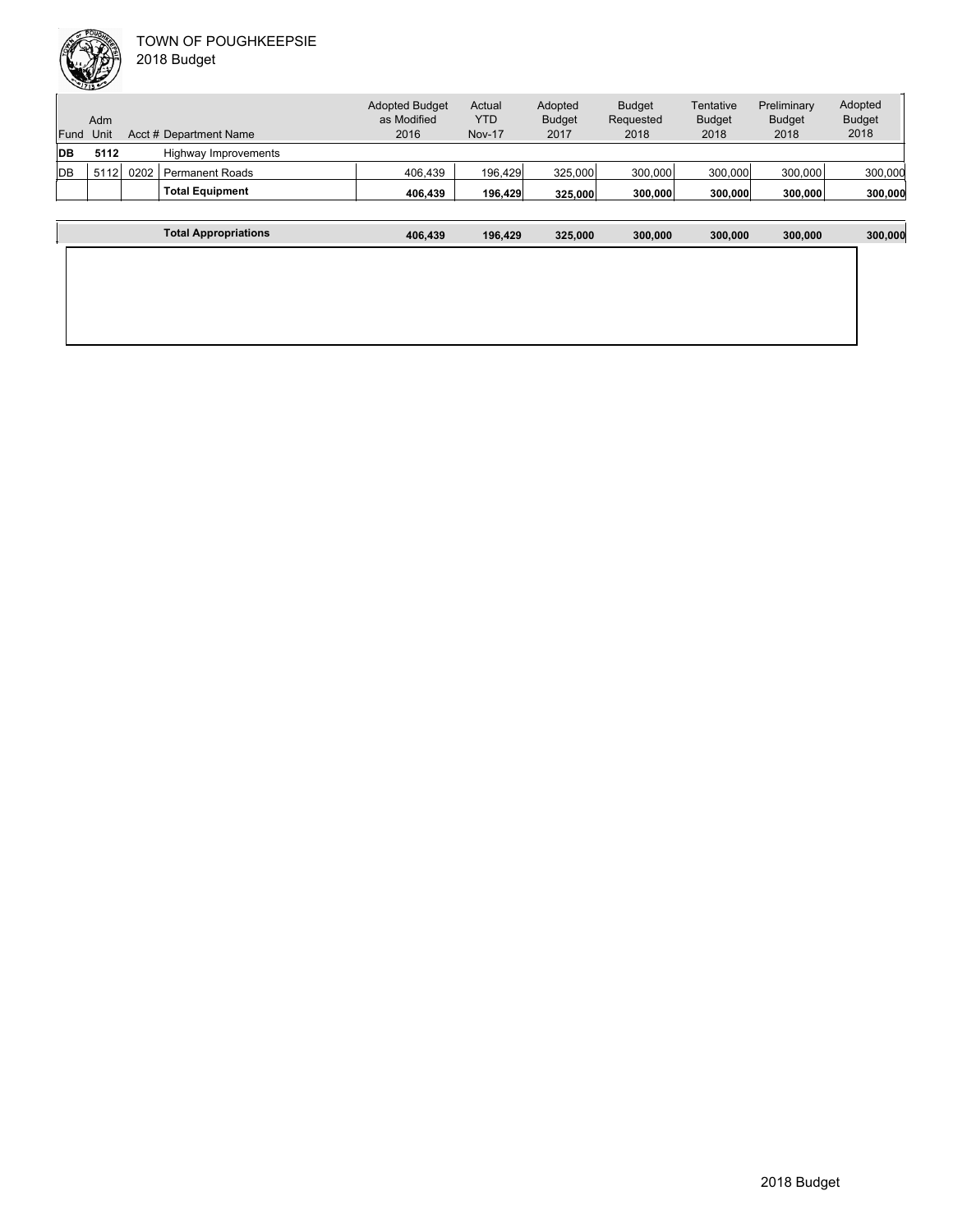

| Fund      | Adm<br>Unit |      | Acct # Department Name | <b>Adopted Budget</b><br>as Modified<br>2016 | Actual<br>YTD<br><b>Nov-17</b> | Adopted<br><b>Budget</b><br>2017 | <b>Budget</b><br>Requested<br>2018 | Tentative<br><b>Budget</b><br>2018 | Preliminary<br><b>Budget</b><br>2018 | Adopted<br><b>Budget</b><br>2018 |
|-----------|-------------|------|------------------------|----------------------------------------------|--------------------------------|----------------------------------|------------------------------------|------------------------------------|--------------------------------------|----------------------------------|
| <b>DB</b> | 5112        |      | Highway Improvements   |                                              |                                |                                  |                                    |                                    |                                      |                                  |
| DB        | 5112        | 0202 | <b>Permanent Roads</b> | 406.439                                      | 196,429                        | 325,000                          | 300,000                            | 300,000                            | 300,000                              | 300,000                          |
|           |             |      | <b>Total Equipment</b> | 406.439                                      | 196,429                        | 325,000                          | 300,000                            | 300,000                            | 300,000                              | 300,000                          |
|           |             |      |                        |                                              |                                |                                  |                                    |                                    |                                      |                                  |
|           |             |      | Total Appropriations   | 406.439                                      | 196.429                        | 325.000                          | 300,000                            | 300,000                            | 300,000                              | 300,000                          |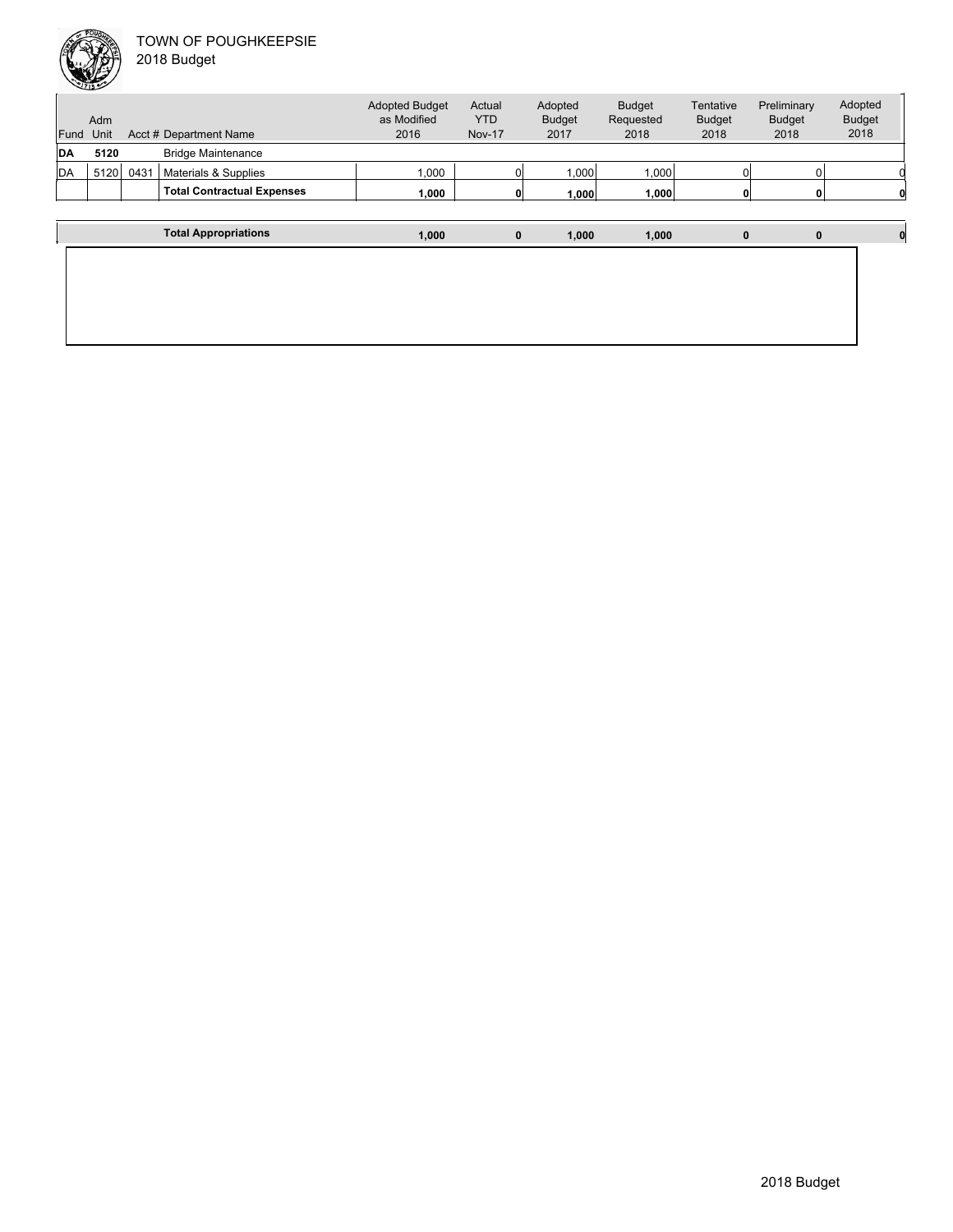

| 2018 Budget |  |
|-------------|--|
|-------------|--|

| Fund | Adm<br>Unit |      | Acct # Department Name            | <b>Adopted Budget</b><br>as Modified<br>2016 | Actual<br><b>YTD</b><br><b>Nov-17</b> | Adopted<br><b>Budget</b><br>2017 | <b>Budget</b><br>Requested<br>2018 | Tentative<br><b>Budget</b><br>2018 | Preliminary<br><b>Budget</b><br>2018 | Adopted<br><b>Budget</b><br>2018 |
|------|-------------|------|-----------------------------------|----------------------------------------------|---------------------------------------|----------------------------------|------------------------------------|------------------------------------|--------------------------------------|----------------------------------|
| DA   | 5120        |      | <b>Bridge Maintenance</b>         |                                              |                                       |                                  |                                    |                                    |                                      |                                  |
| DA   | 5120        | 0431 | Materials & Supplies              | 1,000                                        |                                       | 1,000                            | 1,000                              |                                    |                                      |                                  |
|      |             |      | <b>Total Contractual Expenses</b> | 1,000                                        |                                       | 1.000                            | 1,000                              |                                    |                                      |                                  |
|      |             |      |                                   |                                              |                                       |                                  |                                    |                                    |                                      |                                  |
|      |             |      | <b>Total Appropriations</b>       | 1.000                                        | 0                                     | 1.000                            | 1,000                              | $\bf{0}$                           | $\bf{0}$                             |                                  |
|      |             |      |                                   |                                              |                                       |                                  |                                    |                                    |                                      |                                  |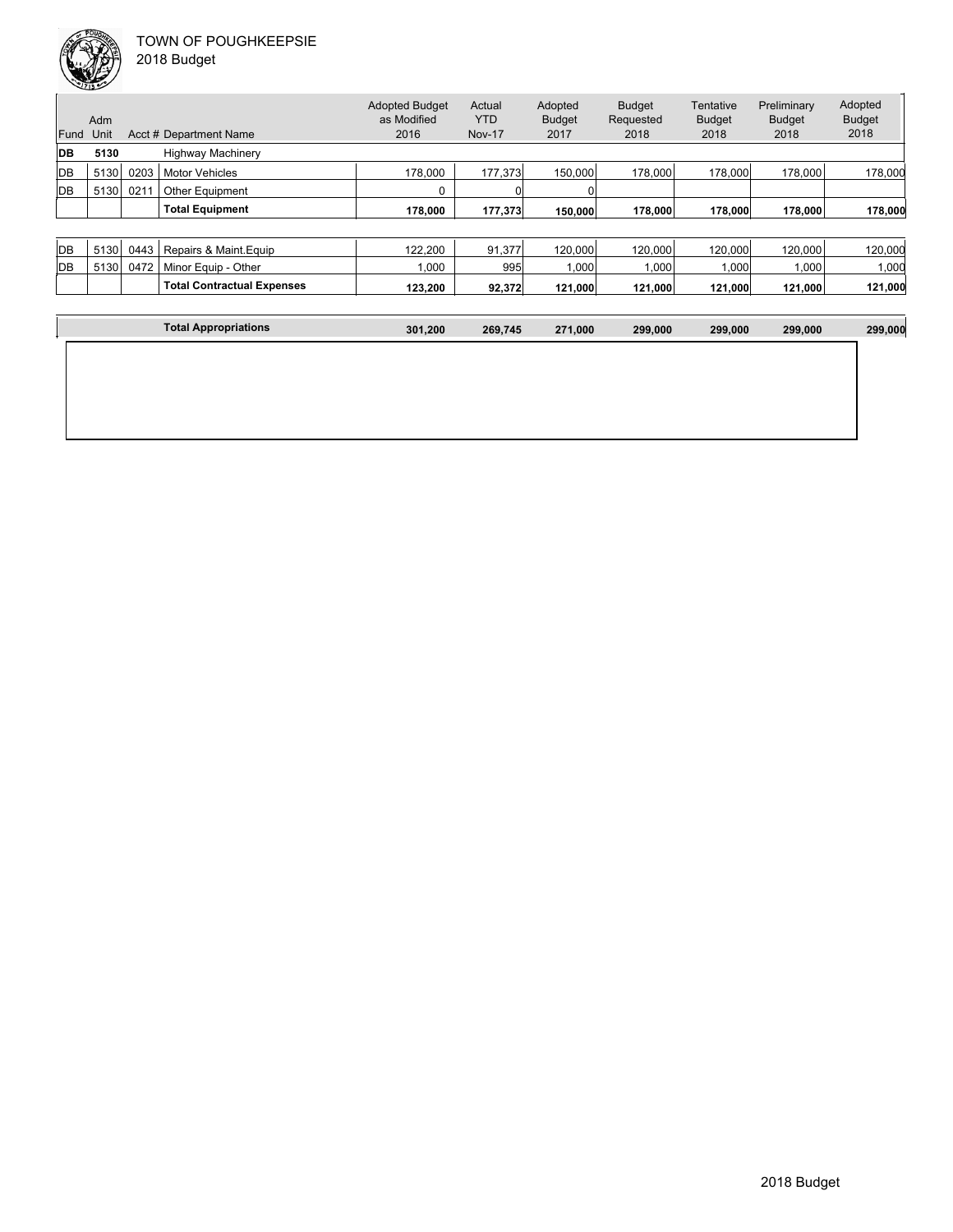

| 2018 Budget |  |
|-------------|--|
|             |  |

| Fund | Adm<br>Unit |      | Acct # Department Name            | <b>Adopted Budget</b><br>as Modified<br>2016 | Actual<br><b>YTD</b><br><b>Nov-17</b> | Adopted<br><b>Budget</b><br>2017 | <b>Budget</b><br>Requested<br>2018 | Tentative<br><b>Budget</b><br>2018 | Preliminary<br><b>Budget</b><br>2018 | Adopted<br><b>Budget</b><br>2018 |
|------|-------------|------|-----------------------------------|----------------------------------------------|---------------------------------------|----------------------------------|------------------------------------|------------------------------------|--------------------------------------|----------------------------------|
| DB   | 5130        |      | <b>Highway Machinery</b>          |                                              |                                       |                                  |                                    |                                    |                                      |                                  |
| DB   | 5130        | 0203 | <b>Motor Vehicles</b>             | 178,000                                      | 177,373                               | 150,000                          | 178,000                            | 178,000                            | 178,000                              | 178,000                          |
| DB   | 5130        | 021' | <b>Other Equipment</b>            | 0                                            |                                       |                                  |                                    |                                    |                                      |                                  |
|      |             |      | <b>Total Equipment</b>            | 178.000                                      | 177,373                               | 150,000                          | 178,000                            | 178,000                            | 178,000                              | 178,000                          |
|      |             |      |                                   |                                              |                                       |                                  |                                    |                                    |                                      |                                  |
| DB   | 5130        | 0443 | Repairs & Maint. Equip            | 122,200                                      | 91,377                                | 120,000                          | 120,000                            | 120,000                            | 120,000                              | 120,000                          |
| DB   | 5130        | 0472 | Minor Equip - Other               | 1.000                                        | 995                                   | 1.000                            | 1.000                              | 1,000                              | 1.000                                | 1,000                            |
|      |             |      | <b>Total Contractual Expenses</b> | 123,200                                      | 92,372                                | 121,000                          | 121,000                            | 121,000                            | 121,000                              | 121,000                          |
|      |             |      |                                   |                                              |                                       |                                  |                                    |                                    |                                      |                                  |
|      |             |      | <b>Total Appropriations</b>       | 301,200                                      | 269,745                               | 271,000                          | 299,000                            | 299,000                            | 299,000                              | 299,000                          |
|      |             |      |                                   |                                              |                                       |                                  |                                    |                                    |                                      |                                  |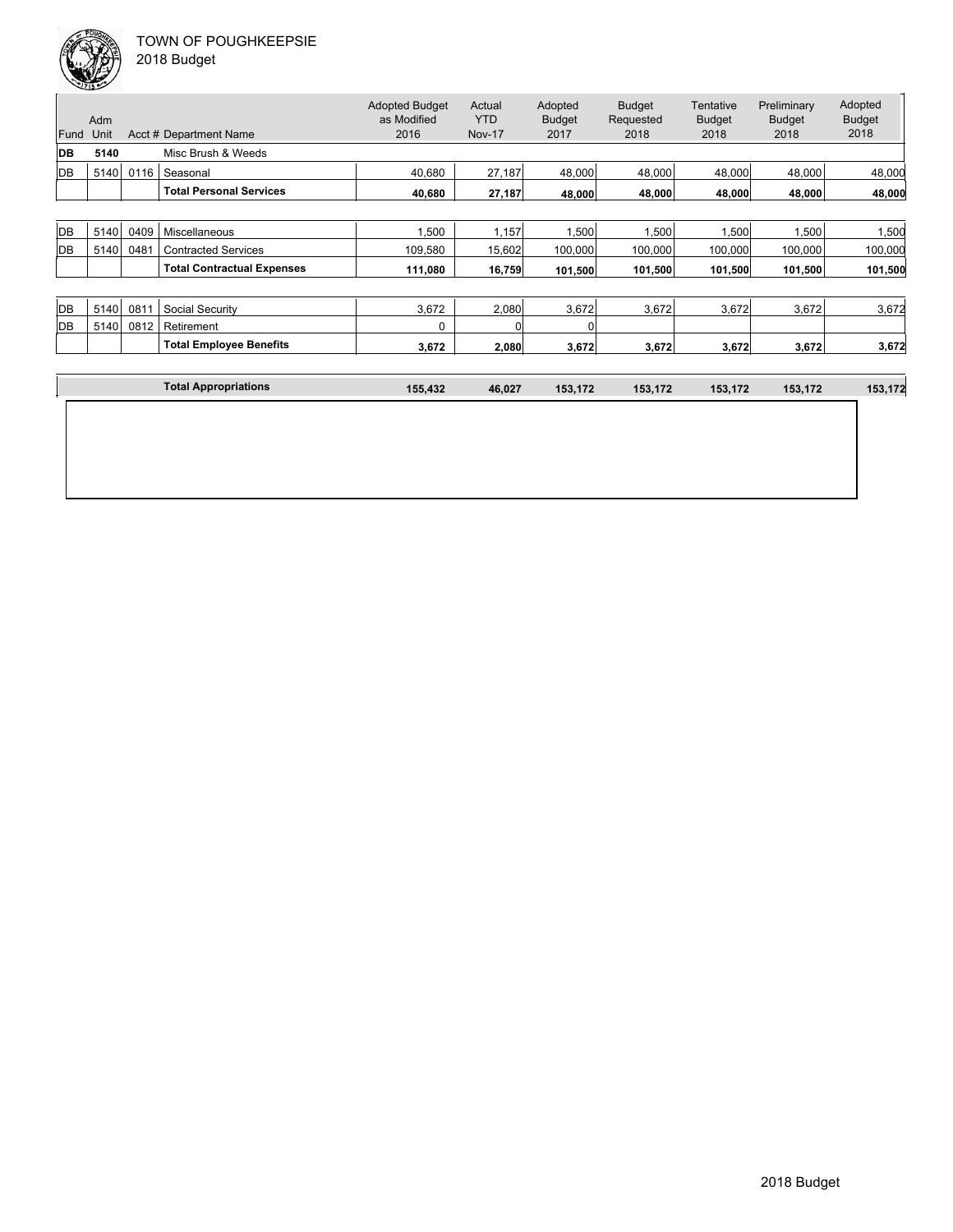| Fund | Adm<br>Unit |      | Acct # Department Name            | <b>Adopted Budget</b><br>as Modified<br>2016 | Actual<br><b>YTD</b><br><b>Nov-17</b> | Adopted<br><b>Budget</b><br>2017 | <b>Budget</b><br>Requested<br>2018 | Tentative<br><b>Budget</b><br>2018 | Preliminary<br><b>Budget</b><br>2018 | Adopted<br><b>Budget</b><br>2018 |
|------|-------------|------|-----------------------------------|----------------------------------------------|---------------------------------------|----------------------------------|------------------------------------|------------------------------------|--------------------------------------|----------------------------------|
| DB   | 5140        |      | Misc Brush & Weeds                |                                              |                                       |                                  |                                    |                                    |                                      |                                  |
| DB   | 5140        | 0116 | Seasonal                          | 40,680                                       | 27,187                                | 48,000                           | 48,000                             | 48,000                             | 48,000                               | 48,000                           |
|      |             |      | <b>Total Personal Services</b>    | 40,680                                       | 27,187                                | 48,000                           | 48,000                             | 48,000                             | 48,000                               | 48,000                           |
|      |             |      |                                   |                                              |                                       |                                  |                                    |                                    |                                      |                                  |
| DB   | 5140        | 0409 | Miscellaneous                     | 1,500                                        | 1,157                                 | 1,500                            | 1,500                              | 1,500                              | 1,500                                | 1,500                            |
| DB   | 5140        | 0481 | <b>Contracted Services</b>        | 109,580                                      | 15,602                                | 100,000                          | 100,000                            | 100,000                            | 100,000                              | 100,000                          |
|      |             |      | <b>Total Contractual Expenses</b> | 111,080                                      | 16,759                                | 101,500                          | 101,500                            | 101,500                            | 101,500                              | 101,500                          |
|      |             |      |                                   |                                              |                                       |                                  |                                    |                                    |                                      |                                  |
| DB   | 5140        | 0811 | Social Security                   | 3,672                                        | 2,080                                 | 3,672                            | 3,672                              | 3,672                              | 3,672                                | 3,672                            |
| DB   | 5140        | 0812 | Retirement                        | 0                                            | O                                     |                                  |                                    |                                    |                                      |                                  |
|      |             |      | <b>Total Employee Benefits</b>    | 3,672                                        | 2,080                                 | 3,672                            | 3,672                              | 3,672                              | 3,672                                | 3,672                            |
|      |             |      |                                   |                                              |                                       |                                  |                                    |                                    |                                      |                                  |
|      |             |      | <b>Total Appropriations</b>       | 155,432                                      | 46,027                                | 153,172                          | 153,172                            | 153,172                            | 153,172                              | 153,172                          |
|      |             |      |                                   |                                              |                                       |                                  |                                    |                                    |                                      |                                  |
|      |             |      |                                   |                                              |                                       |                                  |                                    |                                    |                                      |                                  |
|      |             |      |                                   |                                              |                                       |                                  |                                    |                                    |                                      |                                  |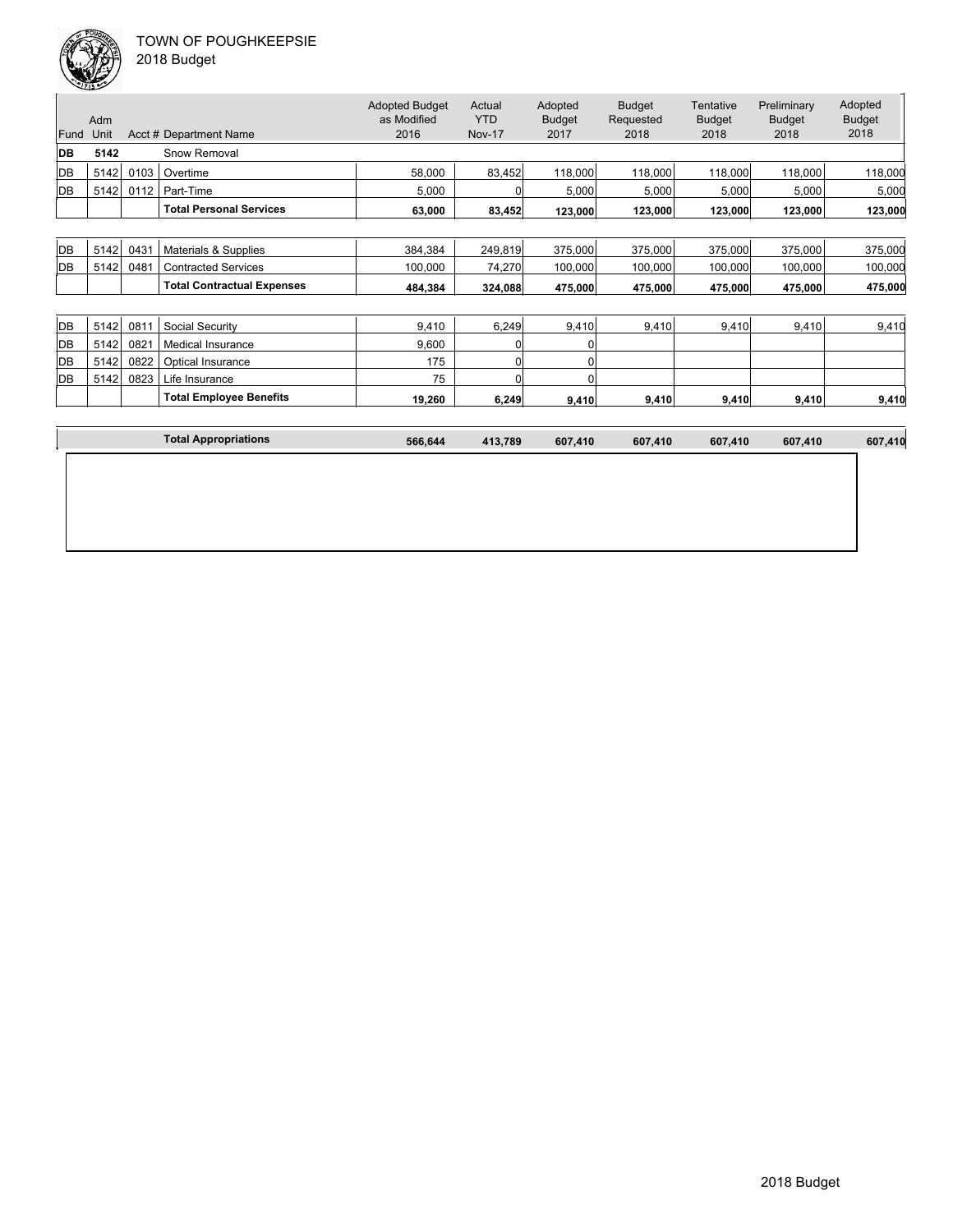

| 2018 Budget |  |
|-------------|--|
|-------------|--|

| Fund | Adm<br>Unit |      | Acct # Department Name            | <b>Adopted Budget</b><br>as Modified<br>2016 | Actual<br><b>YTD</b><br><b>Nov-17</b> | Adopted<br><b>Budget</b><br>2017 | <b>Budget</b><br>Requested<br>2018 | <b>Tentative</b><br><b>Budget</b><br>2018 | Preliminary<br><b>Budget</b><br>2018 | Adopted<br><b>Budget</b><br>2018 |
|------|-------------|------|-----------------------------------|----------------------------------------------|---------------------------------------|----------------------------------|------------------------------------|-------------------------------------------|--------------------------------------|----------------------------------|
| DB   | 5142        |      | Snow Removal                      |                                              |                                       |                                  |                                    |                                           |                                      |                                  |
| DB   | 5142        | 0103 | Overtime                          | 58,000                                       | 83,452                                | 118,000                          | 118,000                            | 118,000                                   | 118,000                              | 118,000                          |
| DB   | 5142        | 0112 | Part-Time                         | 5,000                                        | 0                                     | 5,000                            | 5,000                              | 5,000                                     | 5,000                                | 5,000                            |
|      |             |      | <b>Total Personal Services</b>    | 63,000                                       | 83,452                                | 123,000                          | 123,000                            | 123,000                                   | 123,000                              | 123,000                          |
|      |             |      |                                   |                                              |                                       |                                  |                                    |                                           |                                      |                                  |
| DB   | 5142        | 0431 | Materials & Supplies              | 384,384                                      | 249,819                               | 375,000                          | 375,000                            | 375,000                                   | 375,000                              | 375,000                          |
| DB   | 5142        | 0481 | <b>Contracted Services</b>        | 100,000                                      | 74,270                                | 100,000                          | 100,000                            | 100,000                                   | 100,000                              | 100,000                          |
|      |             |      | <b>Total Contractual Expenses</b> | 484.384                                      | 324,088                               | 475,000                          | 475,000                            | 475,000                                   | 475,000                              | 475,000                          |
|      |             |      |                                   |                                              |                                       |                                  |                                    |                                           |                                      |                                  |
| DB   | 5142        | 0811 | Social Security                   | 9,410                                        | 6,249                                 | 9,410                            | 9,410                              | 9,410                                     | 9,410                                | 9,410                            |
| DB   | 5142        | 0821 | <b>Medical Insurance</b>          | 9,600                                        | 01                                    | 0                                |                                    |                                           |                                      |                                  |
| DB   | 5142        | 0822 | <b>Optical Insurance</b>          | 175                                          | 01                                    | O                                |                                    |                                           |                                      |                                  |
| DB   | 5142        | 0823 | Life Insurance                    | 75                                           | 0                                     | U                                |                                    |                                           |                                      |                                  |
|      |             |      | <b>Total Employee Benefits</b>    | 19,260                                       | 6,249                                 | 9,410                            | 9,410                              | 9,410                                     | 9,410                                | 9,410                            |
|      |             |      |                                   |                                              |                                       |                                  |                                    |                                           |                                      |                                  |
|      |             |      | <b>Total Appropriations</b>       | 566,644                                      | 413,789                               | 607,410                          | 607,410                            | 607,410                                   | 607,410                              | 607,410                          |
|      |             |      |                                   |                                              |                                       |                                  |                                    |                                           |                                      |                                  |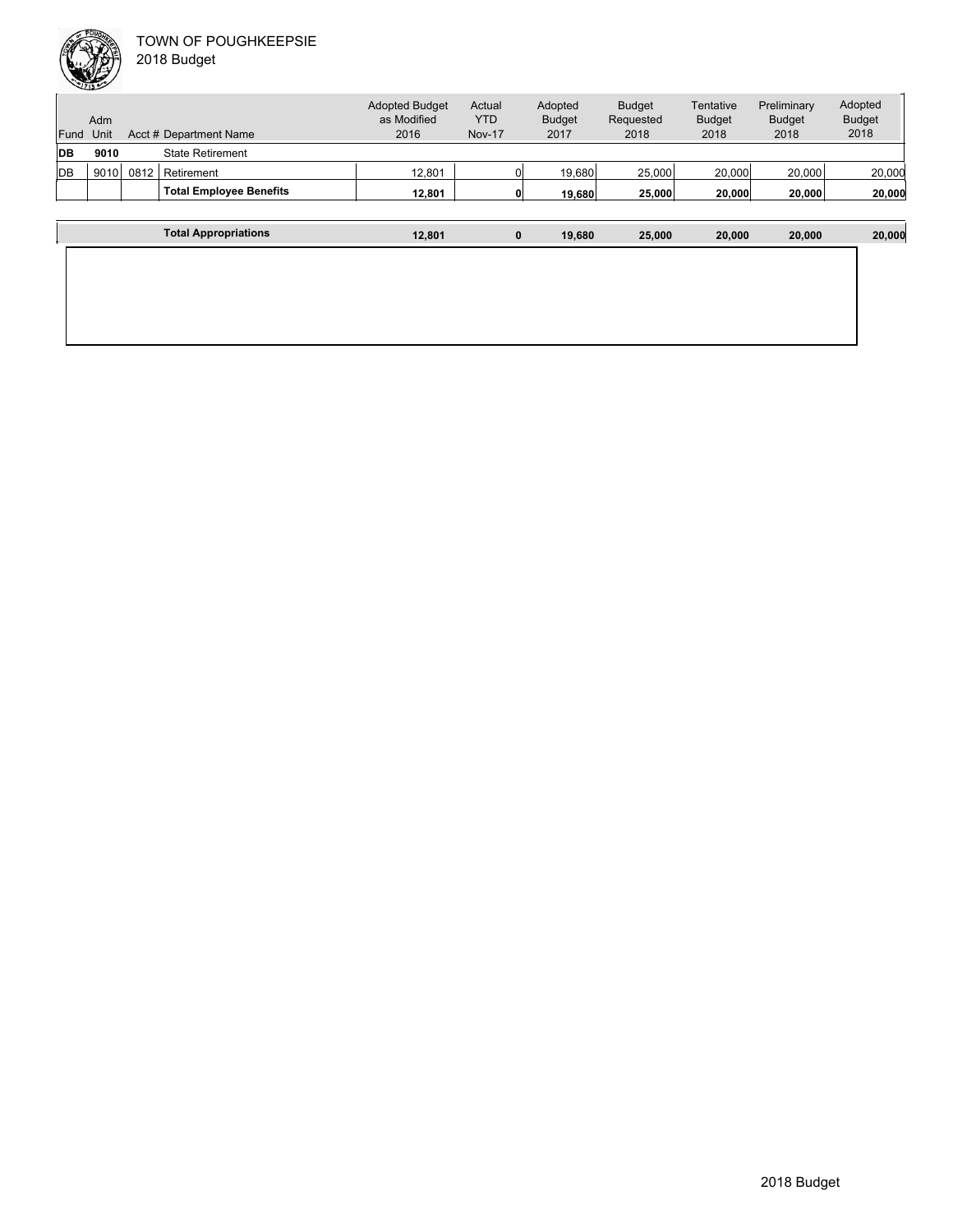

| Fund       | Adm<br>Unit |      | Acct # Department Name         | <b>Adopted Budget</b><br>as Modified<br>2016 | Actual<br><b>YTD</b><br><b>Nov-17</b> | Adopted<br><b>Budget</b><br>2017 | <b>Budget</b><br>Requested<br>2018 | Tentative<br><b>Budget</b><br>2018 | Preliminary<br><b>Budget</b><br>2018 | Adopted<br><b>Budget</b><br>2018 |
|------------|-------------|------|--------------------------------|----------------------------------------------|---------------------------------------|----------------------------------|------------------------------------|------------------------------------|--------------------------------------|----------------------------------|
| <b>IDB</b> | 9010        |      | <b>State Retirement</b>        |                                              |                                       |                                  |                                    |                                    |                                      |                                  |
| <b>IDB</b> | 9010        | 0812 | Retirement                     | 12,801                                       |                                       | 19.680                           | 25,000                             | 20,000                             | 20,000                               | 20,000                           |
|            |             |      | <b>Total Employee Benefits</b> | 12.801                                       |                                       | 19,680                           | 25,000                             | 20,000                             | 20.000                               | 20,000                           |
|            |             |      |                                |                                              |                                       |                                  |                                    |                                    |                                      |                                  |
|            |             |      | <b>Total Appropriations</b>    | 12,801                                       | 0                                     | 19.680                           | 25,000                             | 20,000                             | 20,000                               | 20,000                           |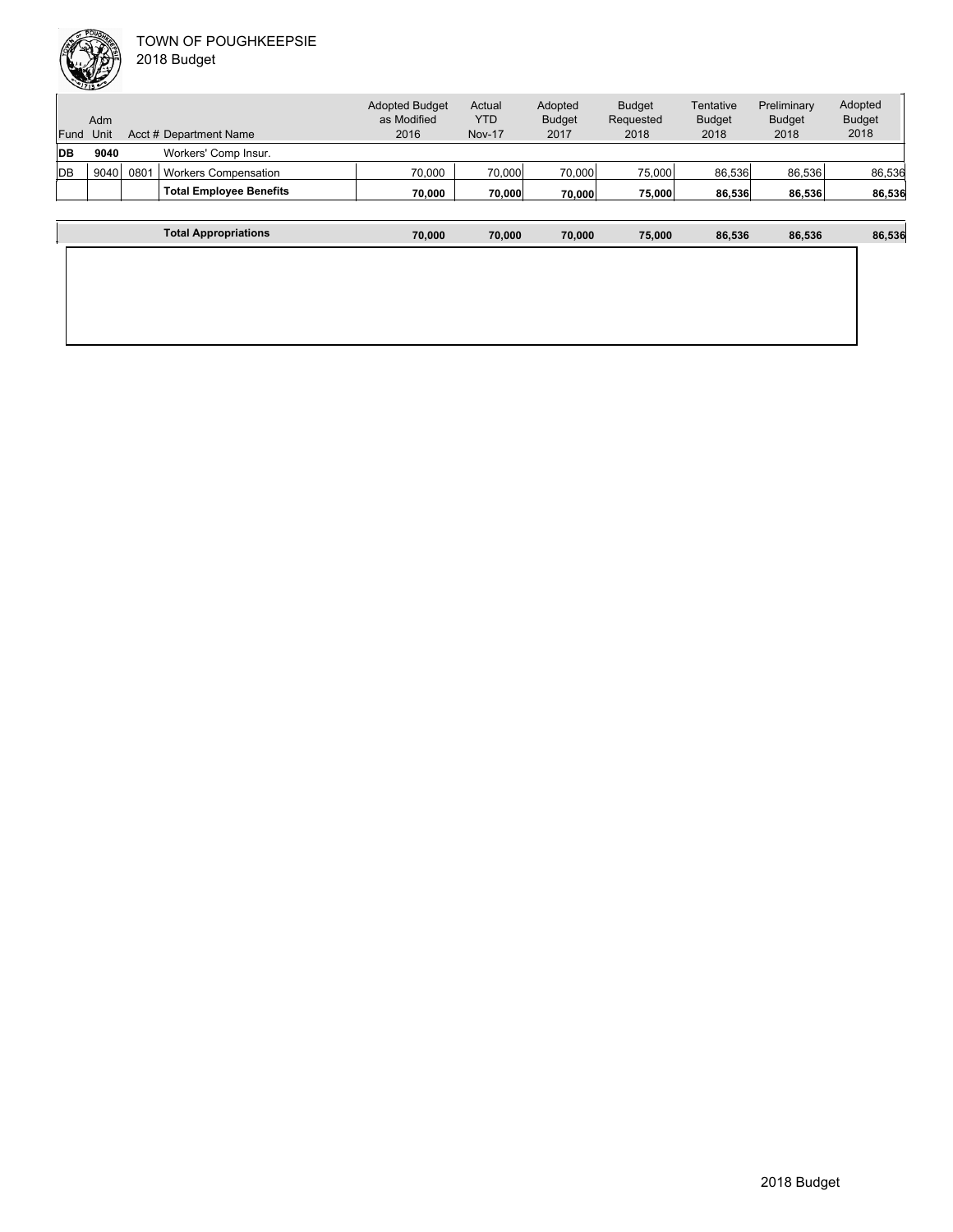|      | Adm  |      |                                | <b>Adopted Budget</b><br>as Modified | Actual<br><b>YTD</b> | Adopted<br><b>Budget</b> | <b>Budget</b><br>Requested | Tentative<br><b>Budget</b> | Preliminary<br><b>Budget</b> | Adopted<br><b>Budget</b> |
|------|------|------|--------------------------------|--------------------------------------|----------------------|--------------------------|----------------------------|----------------------------|------------------------------|--------------------------|
| Fund | Unit |      | Acct # Department Name         | 2016                                 | <b>Nov-17</b>        | 2017                     | 2018                       | 2018                       | 2018                         | 2018                     |
| IDВ  | 9040 |      | Workers' Comp Insur.           |                                      |                      |                          |                            |                            |                              |                          |
| ldв  | 9040 | 0801 | <b>Workers Compensation</b>    | 70,000                               | 70,000               | 70,000                   | 75,000                     | 86,536                     | 86,536                       | 86,536                   |
|      |      |      | <b>Total Employee Benefits</b> | 70.000                               | 70.000               | 70.000                   | 75,000                     | 86,536                     | 86,536                       | 86,536                   |
|      |      |      |                                |                                      |                      |                          |                            |                            |                              |                          |

| <b>Total Appropriations</b> | 70,000 | 70,000 | 70,000 | 75,000 | 86,536 | 86,536 | 86,536 |
|-----------------------------|--------|--------|--------|--------|--------|--------|--------|
|                             |        |        |        |        |        |        |        |
|                             |        |        |        |        |        |        |        |
|                             |        |        |        |        |        |        |        |
|                             |        |        |        |        |        |        |        |
|                             |        |        |        |        |        |        |        |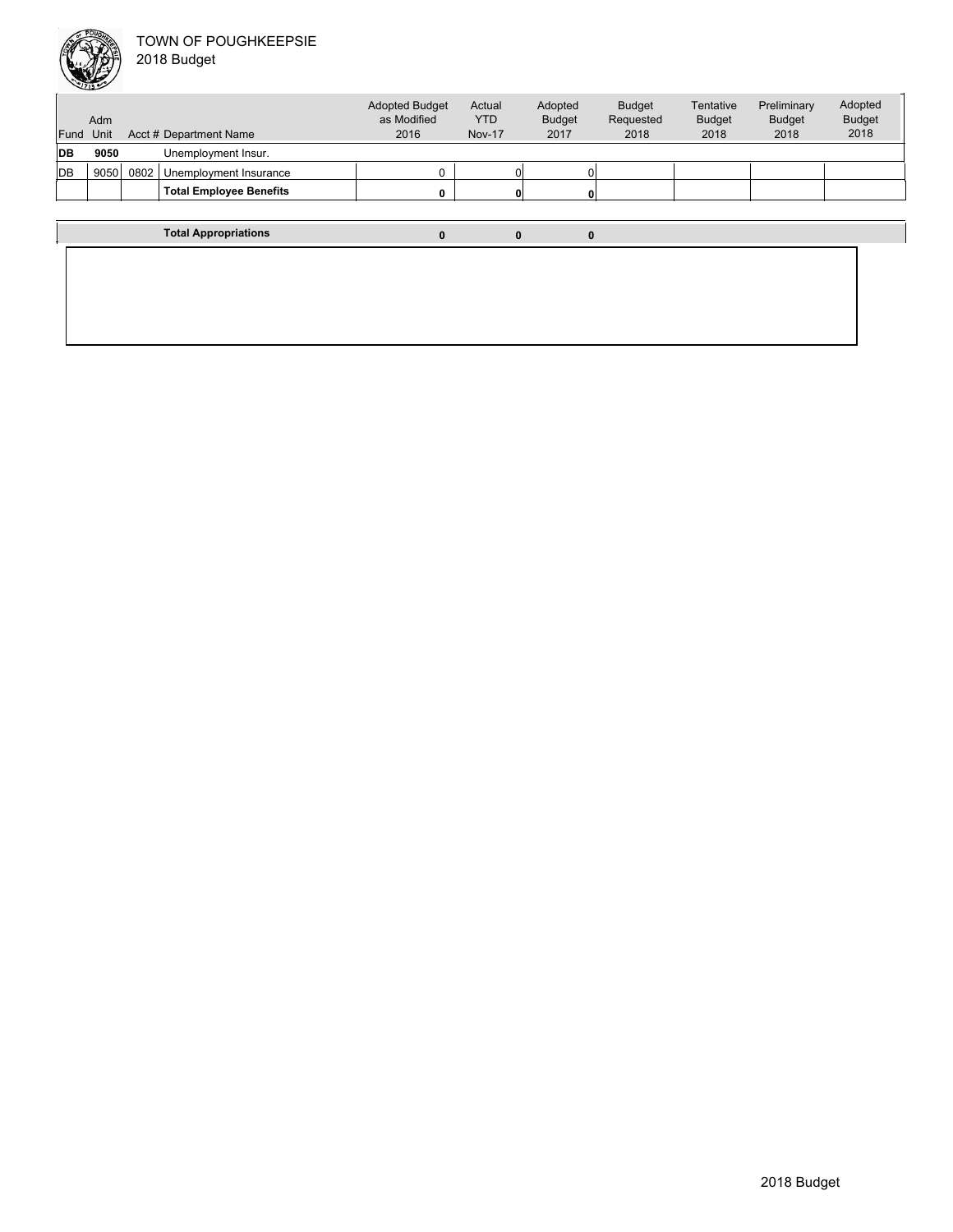

| Fund       | Adm<br>Unit |      | Acct # Department Name         | <b>Adopted Budget</b><br>as Modified<br>2016 | Actual<br><b>YTD</b><br><b>Nov-17</b> | Adopted<br><b>Budget</b><br>2017 | <b>Budget</b><br>Requested<br>2018 | Tentative<br><b>Budget</b><br>2018 | Preliminary<br><b>Budget</b><br>2018 | Adopted<br><b>Budget</b><br>2018 |
|------------|-------------|------|--------------------------------|----------------------------------------------|---------------------------------------|----------------------------------|------------------------------------|------------------------------------|--------------------------------------|----------------------------------|
| <b>IDB</b> | 9050        |      | Unemployment Insur.            |                                              |                                       |                                  |                                    |                                    |                                      |                                  |
| <b>DB</b>  | 9050        | 0802 | Unemployment Insurance         |                                              |                                       |                                  |                                    |                                    |                                      |                                  |
|            |             |      | <b>Total Employee Benefits</b> | 0                                            |                                       |                                  |                                    |                                    |                                      |                                  |
|            |             |      |                                |                                              |                                       |                                  |                                    |                                    |                                      |                                  |
|            |             |      | <b>Total Appropriations</b>    | $\mathbf{0}$                                 | 0                                     | $\Omega$                         |                                    |                                    |                                      |                                  |
|            |             |      |                                |                                              |                                       |                                  |                                    |                                    |                                      |                                  |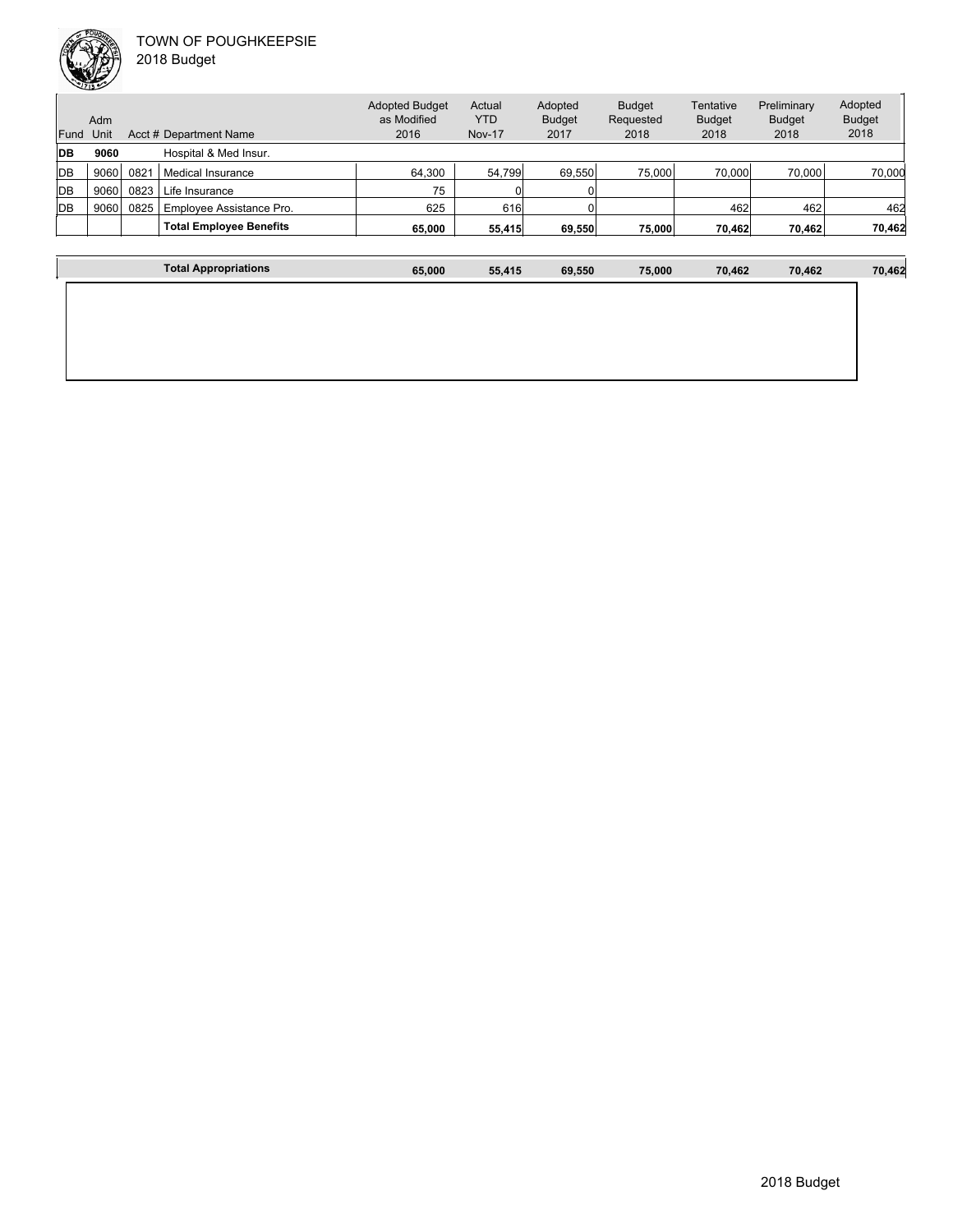

Unit Acct # Department Name Adm Actual YTD Nov-17 Budget Requested 2018 Tentative Adopted Budget as Modified 2016 Fund Unit Adopted Budget 2017 **DB 9060** Hospital & Med Insur.

| -- | JUUU |      | i iospital o ivicu ilisul.     |        |        |        |        |        |        |        |
|----|------|------|--------------------------------|--------|--------|--------|--------|--------|--------|--------|
| DB | 9060 | 082' | Medical Insurance              | 64.300 | 54.799 | 69.550 | 75.000 | 70,000 | 70.000 | 70.000 |
| DB | 9060 | 0823 | Life Insurance                 | 75     |        |        |        |        |        |        |
| DB | 9060 | 0825 | Employee Assistance Pro.       | 625    | 616    |        |        | 462    | 462    | 462    |
|    |      |      | <b>Total Employee Benefits</b> | 65.000 | 55.415 | 69.550 | 75.000 | 70.462 | 70.462 | 70,462 |
|    |      |      |                                |        |        |        |        |        |        |        |

Budget 2018

Preliminary Budget 2018

Adopted Budget 2018

| <b>Total Appropriations</b> | 65,000 | 55,415 | 69,550 | 75,000 | 70,462 | 70,462 | 70,462 |
|-----------------------------|--------|--------|--------|--------|--------|--------|--------|
|                             |        |        |        |        |        |        |        |
|                             |        |        |        |        |        |        |        |
|                             |        |        |        |        |        |        |        |
|                             |        |        |        |        |        |        |        |
|                             |        |        |        |        |        |        |        |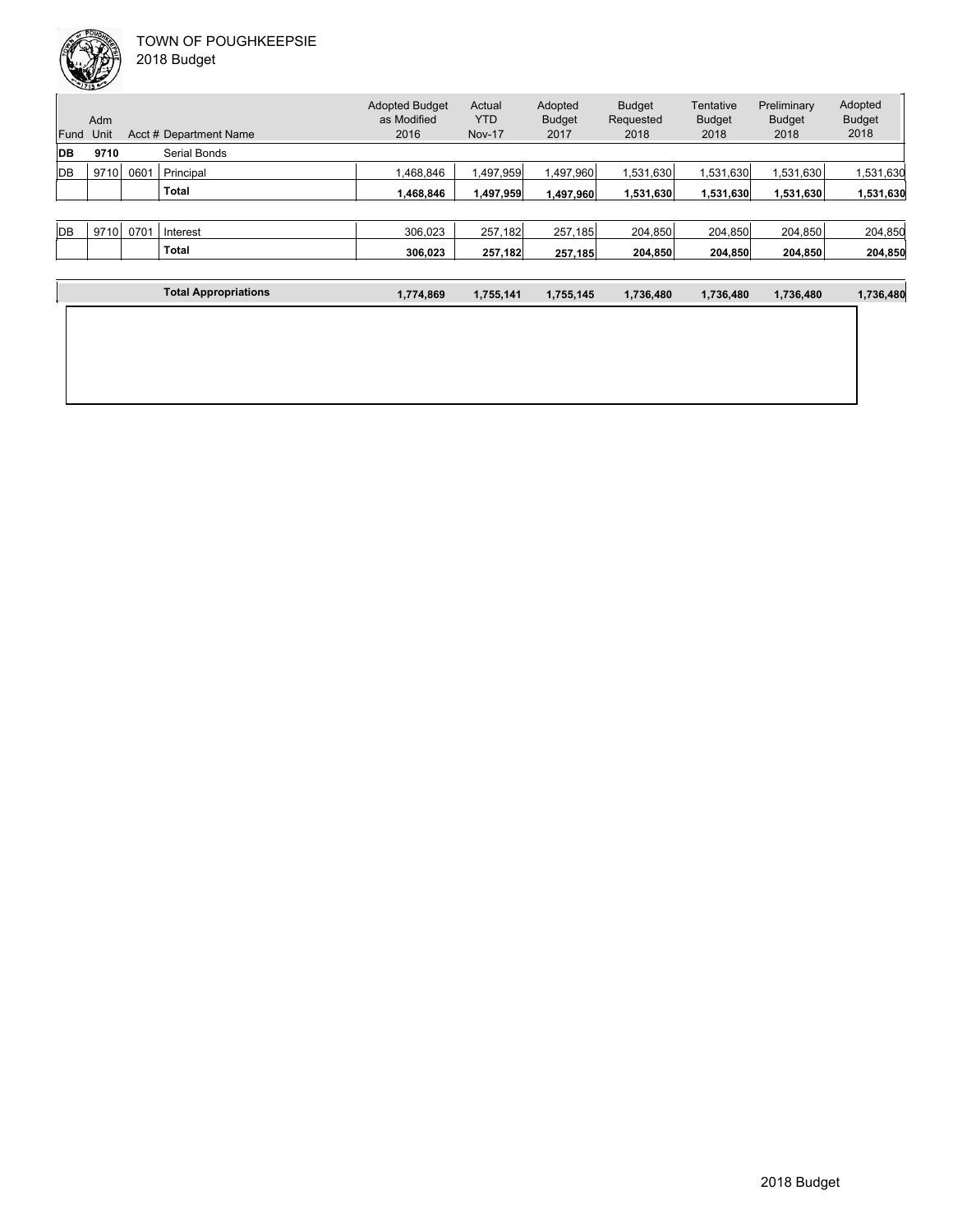| Fund       | Adm<br>Unit |      | Acct # Department Name | <b>Adopted Budget</b><br>as Modified<br>2016 | Actual<br>YTD<br><b>Nov-17</b> | Adopted<br><b>Budget</b><br>2017 | <b>Budget</b><br>Requested<br>2018 | Tentative<br><b>Budget</b><br>2018 | Preliminary<br><b>Budget</b><br>2018 | Adopted<br><b>Budget</b><br>2018 |
|------------|-------------|------|------------------------|----------------------------------------------|--------------------------------|----------------------------------|------------------------------------|------------------------------------|--------------------------------------|----------------------------------|
| <b>IDB</b> | 9710        |      | Serial Bonds           |                                              |                                |                                  |                                    |                                    |                                      |                                  |
| <b>IDB</b> | 9710        | 0601 | Principal              | .468.846                                     | 1,497,959                      | 1,497,960                        | 1,531,630                          | 1,531,630                          | 1,531,630                            | 1,531,630                        |
|            |             |      | <b>Total</b>           | 1,468,846                                    | 1,497,959                      | 1,497,960                        | 1,531,630                          | 1,531,630                          | 1,531,630                            | 1,531,630                        |
|            |             |      |                        |                                              |                                |                                  |                                    |                                    |                                      |                                  |
| <b>IDB</b> | 9710        | 0701 | Interest               | 306.023                                      | 257,182                        | 257,185                          | 204.850                            | 204,850                            | 204,850                              | 204,850                          |
|            |             |      | <b>Total</b>           | 306,023                                      | 257,182                        | 257,185                          | 204,850                            | 204,850                            | 204,850                              | 204,850                          |

| 1,774,869 | 1,755,141 | 1,755,145 | 1,736,480 | 1,736,480 | 1,736,480 | 1,736,480 |
|-----------|-----------|-----------|-----------|-----------|-----------|-----------|
|           |           |           |           |           |           |           |
|           |           |           |           |           |           |           |
|           |           |           |           |           |           |           |
|           |           |           |           |           |           |           |
|           |           |           |           |           |           |           |
|           |           |           |           |           |           |           |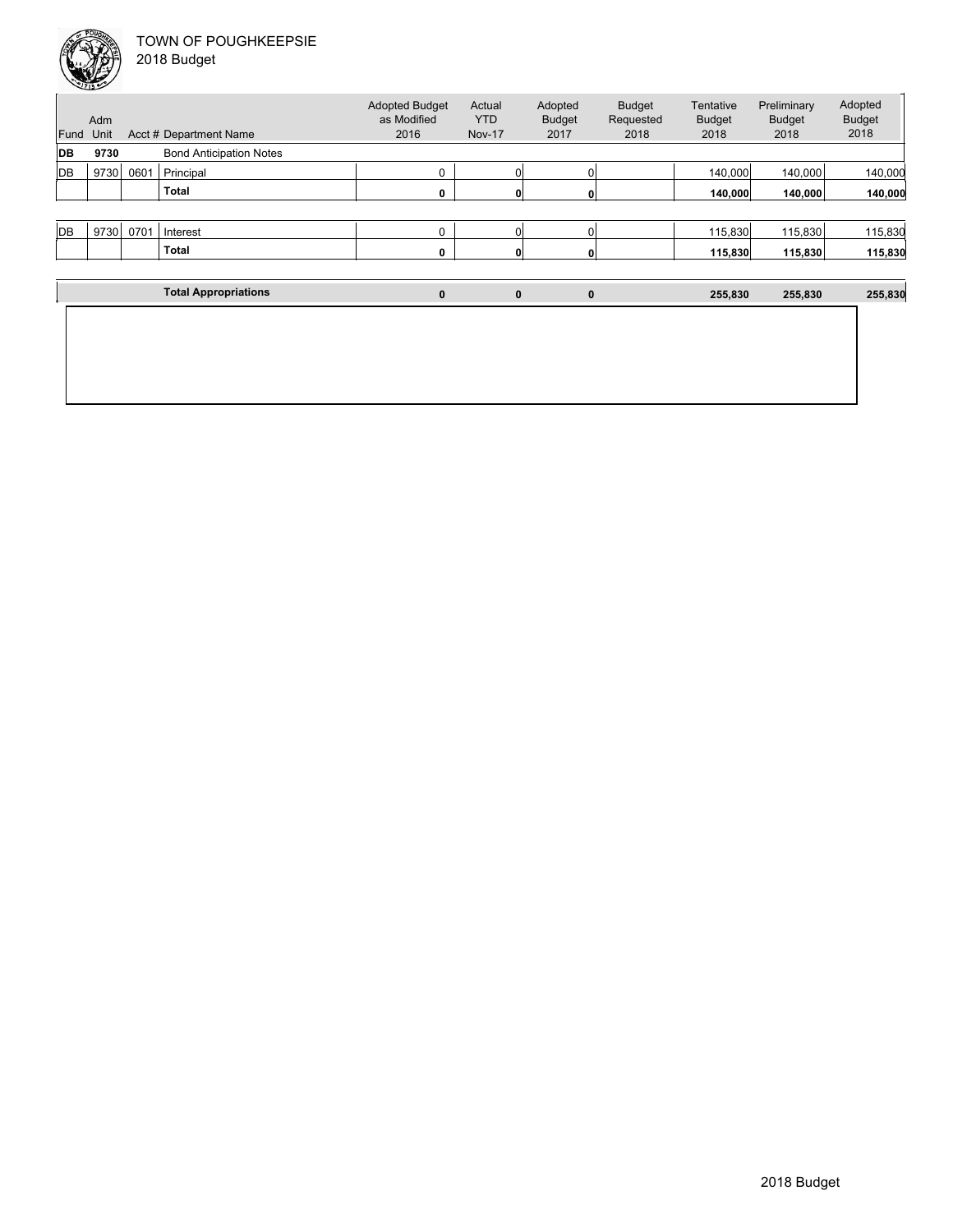

|  | 2018 Budget |  |
|--|-------------|--|
|--|-------------|--|

| Fund<br>DB | Adm<br>Unit<br>9730 |      | Acct # Department Name<br><b>Bond Anticipation Notes</b> | <b>Adopted Budget</b><br>as Modified<br>2016 | Actual<br><b>YTD</b><br><b>Nov-17</b> | Adopted<br><b>Budget</b><br>2017 | <b>Budget</b><br>Requested<br>2018 | Tentative<br><b>Budget</b><br>2018 | Preliminary<br><b>Budget</b><br>2018 | Adopted<br><b>Budget</b><br>2018 |
|------------|---------------------|------|----------------------------------------------------------|----------------------------------------------|---------------------------------------|----------------------------------|------------------------------------|------------------------------------|--------------------------------------|----------------------------------|
| DB         | 9730                | 0601 | Principal                                                | $\mathbf 0$                                  | $\Omega$                              | $\Omega$                         |                                    | 140,000                            | 140,000                              | 140,000                          |
|            |                     |      | Total                                                    | 0                                            | $\mathbf{0}$                          | 0                                |                                    | 140,000                            | 140,000                              | 140,000                          |
|            |                     |      |                                                          |                                              |                                       |                                  |                                    |                                    |                                      |                                  |
| DB         | 9730                | 0701 | Interest                                                 | $\mathbf 0$                                  | 0                                     | $\Omega$                         |                                    | 115,830                            | 115,830                              | 115,830                          |
|            |                     |      | <b>Total</b>                                             | 0                                            |                                       | 0                                |                                    | 115,830                            | 115,830                              | 115,830                          |
|            |                     |      |                                                          |                                              |                                       |                                  |                                    |                                    |                                      |                                  |
|            |                     |      | <b>Total Appropriations</b>                              | $\bf{0}$                                     | $\mathbf 0$                           | $\mathbf 0$                      |                                    | 255,830                            | 255,830                              | 255,830                          |
|            |                     |      |                                                          |                                              |                                       |                                  |                                    |                                    |                                      |                                  |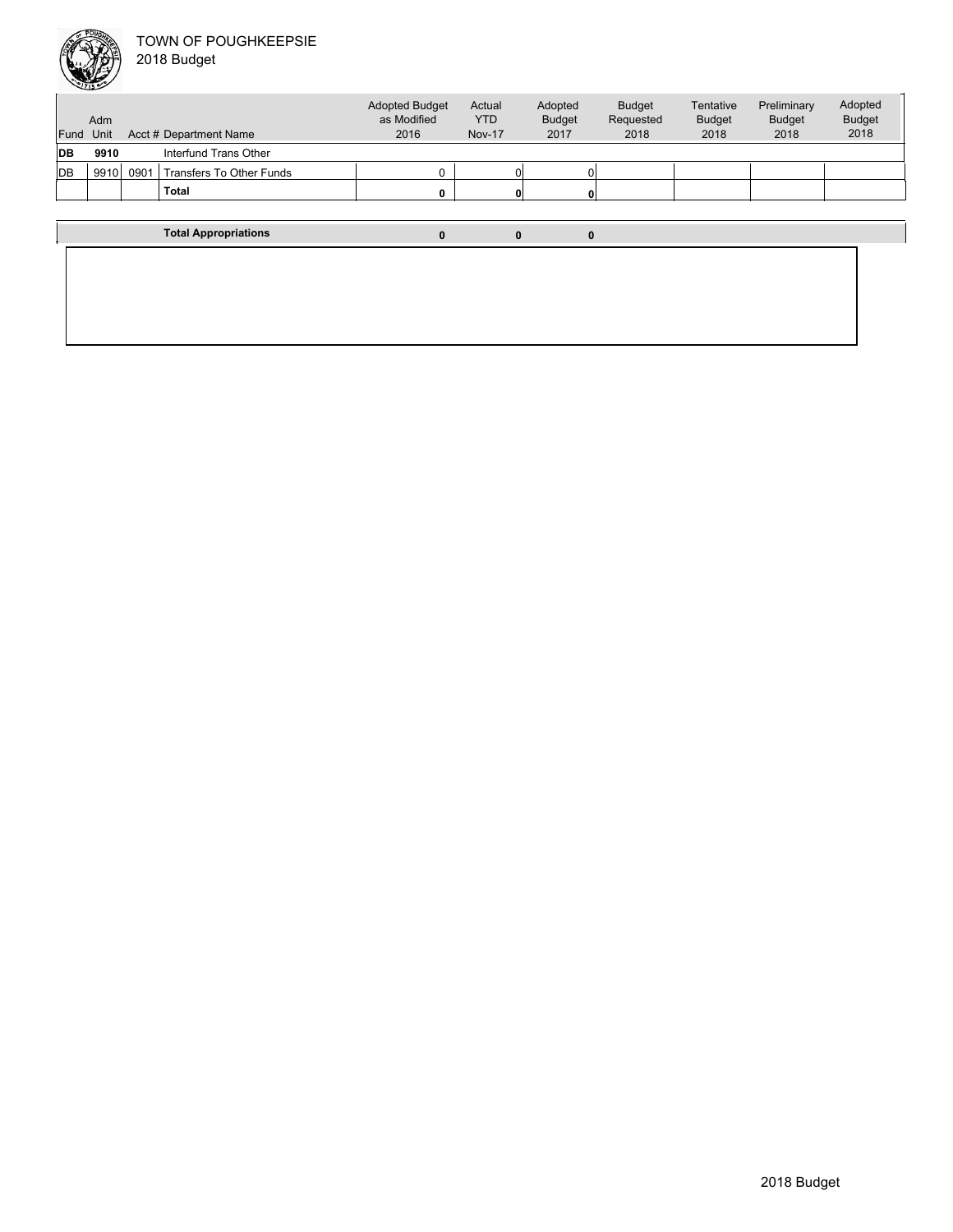

| Fund       | Adm<br>Unit |      | Acct # Department Name          | <b>Adopted Budget</b><br>as Modified<br>2016 | Actual<br><b>YTD</b><br><b>Nov-17</b> | Adopted<br><b>Budget</b><br>2017 | Budget<br>Requested<br>2018 | Tentative<br><b>Budget</b><br>2018 | Preliminary<br>Budget<br>2018 | Adopted<br><b>Budget</b><br>2018 |
|------------|-------------|------|---------------------------------|----------------------------------------------|---------------------------------------|----------------------------------|-----------------------------|------------------------------------|-------------------------------|----------------------------------|
| <b>IDB</b> | 9910        |      | Interfund Trans Other           |                                              |                                       |                                  |                             |                                    |                               |                                  |
| <b>IDB</b> | 9910        | 0901 | <b>Transfers To Other Funds</b> | 0                                            |                                       |                                  |                             |                                    |                               |                                  |
|            |             |      | <b>Total</b>                    | 0                                            | $\mathbf{0}$                          |                                  |                             |                                    |                               |                                  |
|            |             |      |                                 |                                              |                                       |                                  |                             |                                    |                               |                                  |
|            |             |      | <b>Total Appropriations</b>     | 0                                            | 0                                     | 0                                |                             |                                    |                               |                                  |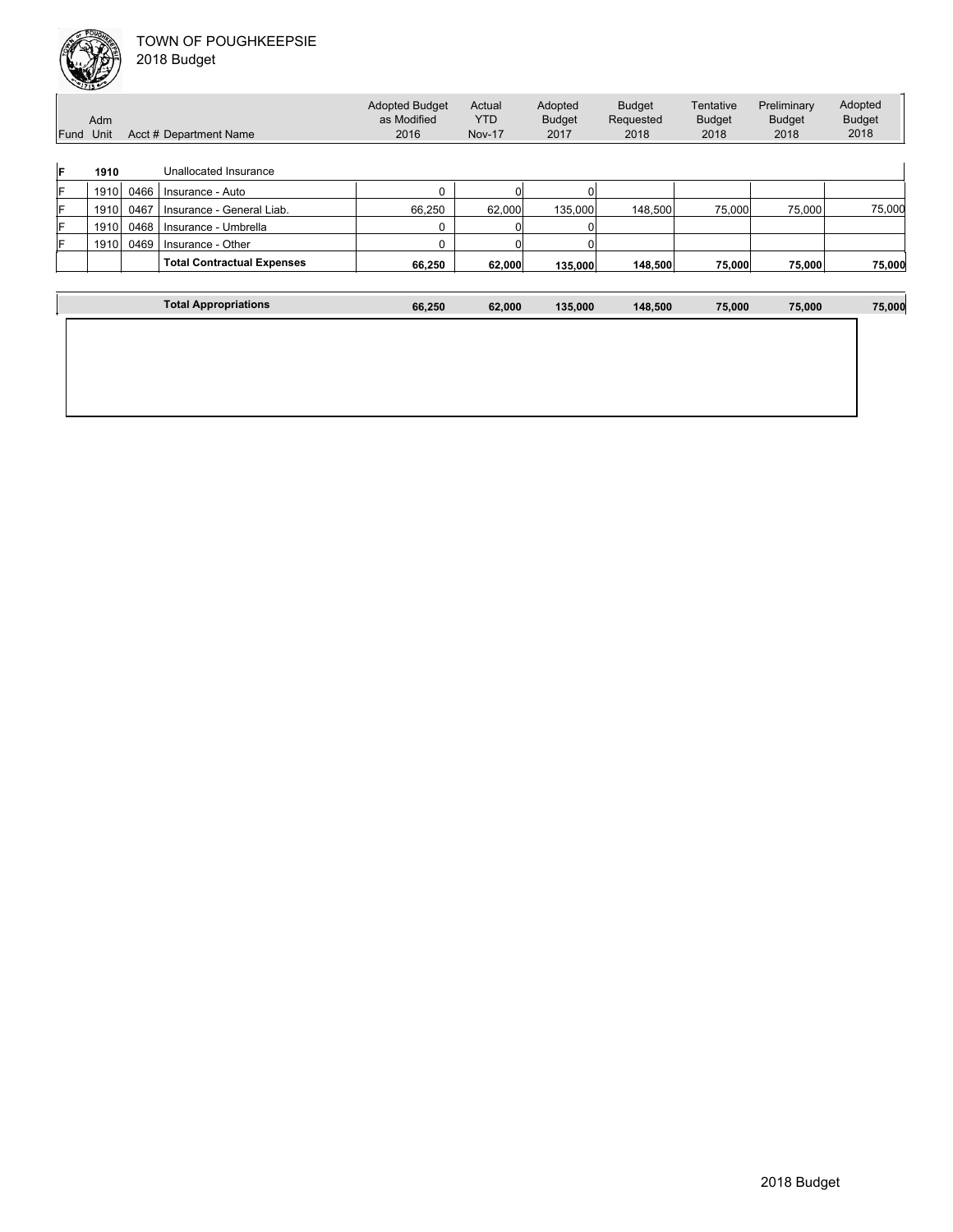| Fund | Adm<br>Unit |      | Acct # Department Name            | <b>Adopted Budget</b><br>as Modified<br>2016 | Actual<br><b>YTD</b><br><b>Nov-17</b> | Adopted<br><b>Budget</b><br>2017 | <b>Budget</b><br>Requested<br>2018 | Tentative<br><b>Budget</b><br>2018 | Preliminary<br>Budget<br>2018 | Adopted<br><b>Budget</b><br>2018 |
|------|-------------|------|-----------------------------------|----------------------------------------------|---------------------------------------|----------------------------------|------------------------------------|------------------------------------|-------------------------------|----------------------------------|
| IF   | 1910        |      | Unallocated Insurance             |                                              |                                       |                                  |                                    |                                    |                               |                                  |
| lF   | 1910        | 0466 | Insurance - Auto                  |                                              |                                       |                                  |                                    |                                    |                               |                                  |
| IF   | 1910        | 0467 | Insurance - General Liab.         | 66,250                                       | 62,000                                | 135,000                          | 148,500                            | 75,000                             | 75,000                        | 75,000                           |
| lF   | 1910        | 0468 | Insurance - Umbrella              | 0                                            |                                       |                                  |                                    |                                    |                               |                                  |
| IF   | 1910        | 0469 | Insurance - Other                 | 0                                            |                                       |                                  |                                    |                                    |                               |                                  |
|      |             |      | <b>Total Contractual Expenses</b> | 66.250                                       | 62,000                                | 135,000                          | 148,500                            | 75,000                             | 75,000                        | 75,000                           |
|      |             |      |                                   |                                              |                                       |                                  |                                    |                                    |                               |                                  |
|      |             |      | <b>Total Appropriations</b>       | 66,250                                       | 62,000                                | 135,000                          | 148,500                            | 75,000                             | 75,000                        | 75,000                           |
|      |             |      |                                   |                                              |                                       |                                  |                                    |                                    |                               |                                  |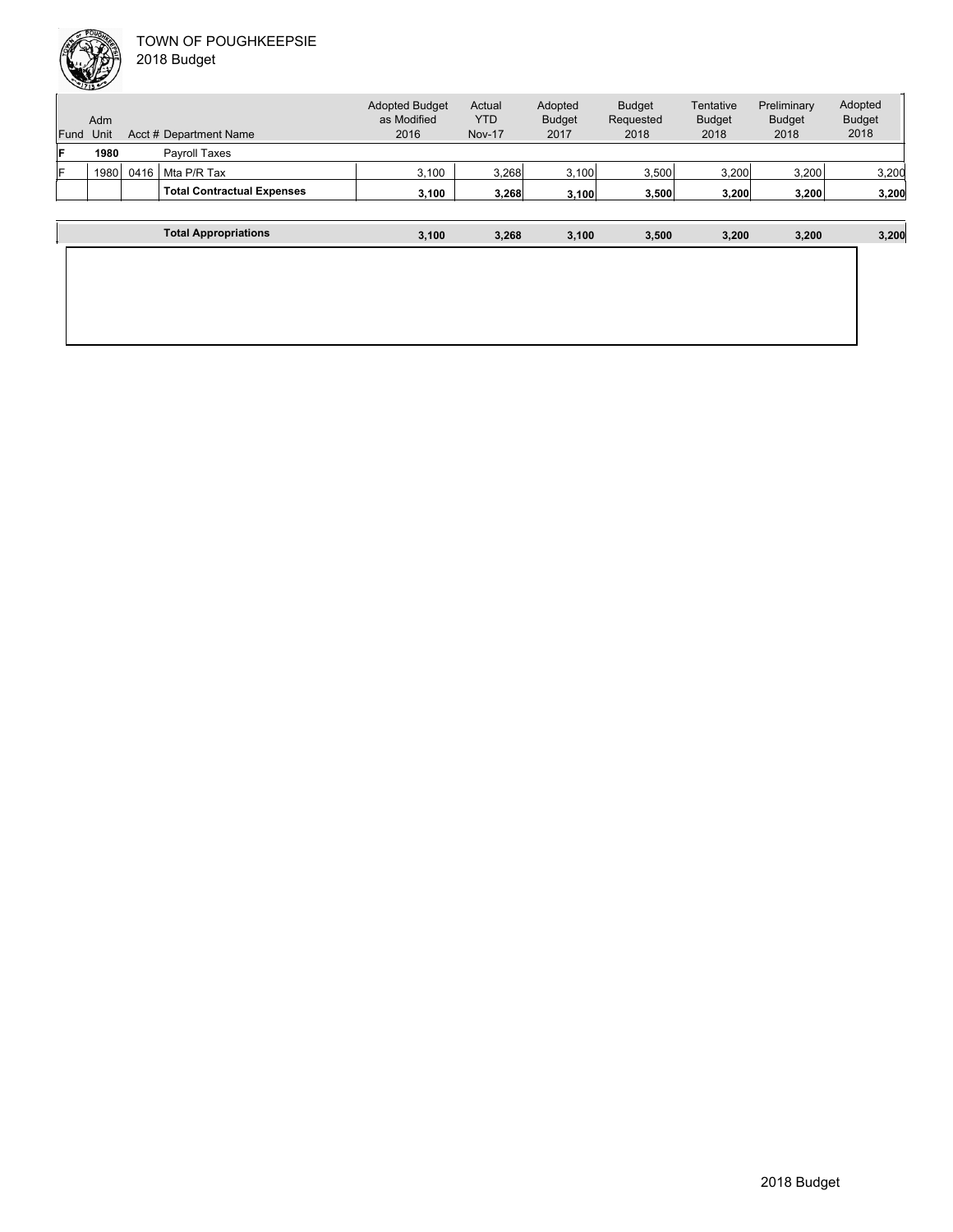| Fund | Adm<br>Unit |      | Acct # Department Name            | <b>Adopted Budget</b><br>as Modified<br>2016 | Actual<br><b>YTD</b><br><b>Nov-17</b> | Adopted<br><b>Budget</b><br>2017 | <b>Budget</b><br>Requested<br>2018 | Tentative<br><b>Budget</b><br>2018 | Preliminary<br><b>Budget</b><br>2018 | Adopted<br><b>Budget</b><br>2018 |
|------|-------------|------|-----------------------------------|----------------------------------------------|---------------------------------------|----------------------------------|------------------------------------|------------------------------------|--------------------------------------|----------------------------------|
| lF   | 1980        |      | Pavroll Taxes                     |                                              |                                       |                                  |                                    |                                    |                                      |                                  |
| IF   | 1980        | 0416 | Mta P/R Tax                       | 3,100                                        | 3.268                                 | 3,100                            | 3,500                              | 3,200                              | 3,200                                | 3,200                            |
|      |             |      | <b>Total Contractual Expenses</b> | 3,100                                        | 3.268                                 | 3.100                            | 3,500                              | 3.200                              | 3.200                                | 3,200                            |
|      |             |      |                                   |                                              |                                       |                                  |                                    |                                    |                                      |                                  |
|      |             |      | <b>Total Appropriations</b>       | 3.100                                        | 3.268                                 | 3.100                            | 3.500                              | 3.200                              | 3.200                                | 3,200                            |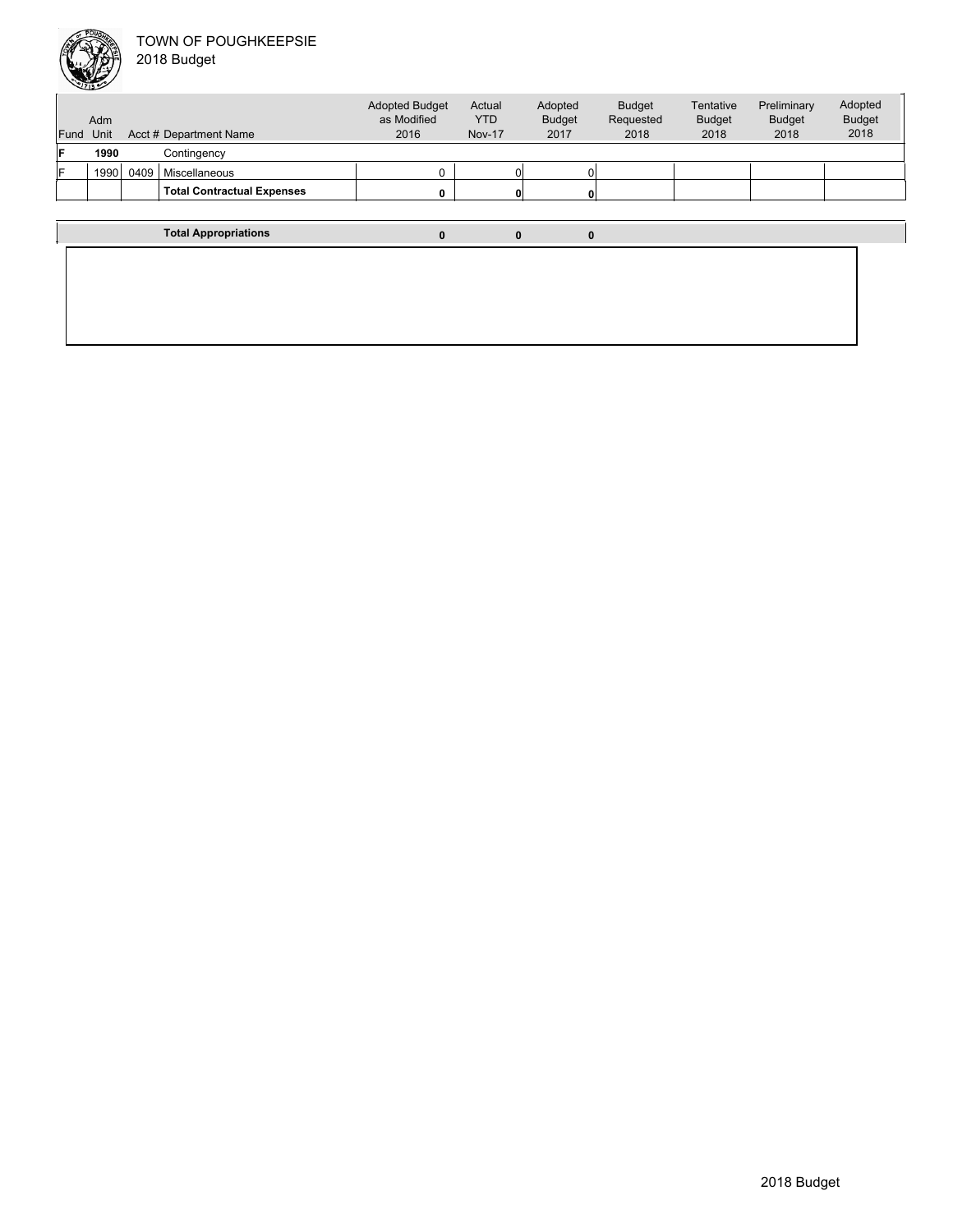

| <b>Fund</b>                 | Adm<br>Unit |      | Acct # Department Name            | <b>Adopted Budget</b><br>as Modified<br>2016 | Actual<br><b>YTD</b><br><b>Nov-17</b> | Adopted<br><b>Budget</b><br>2017 | <b>Budget</b><br>Requested<br>2018 | Tentative<br><b>Budget</b><br>2018 | Preliminary<br><b>Budget</b><br>2018 | Adopted<br><b>Budget</b><br>2018 |
|-----------------------------|-------------|------|-----------------------------------|----------------------------------------------|---------------------------------------|----------------------------------|------------------------------------|------------------------------------|--------------------------------------|----------------------------------|
| F                           | 1990        |      | Contingency                       |                                              |                                       |                                  |                                    |                                    |                                      |                                  |
| F                           | 1990        | 0409 | Miscellaneous                     |                                              |                                       | 01                               |                                    |                                    |                                      |                                  |
|                             |             |      | <b>Total Contractual Expenses</b> |                                              |                                       | $\mathbf{0}$                     |                                    |                                    |                                      |                                  |
|                             |             |      |                                   |                                              |                                       |                                  |                                    |                                    |                                      |                                  |
| <b>Total Appropriations</b> |             |      |                                   |                                              |                                       | 0                                | 0                                  |                                    |                                      |                                  |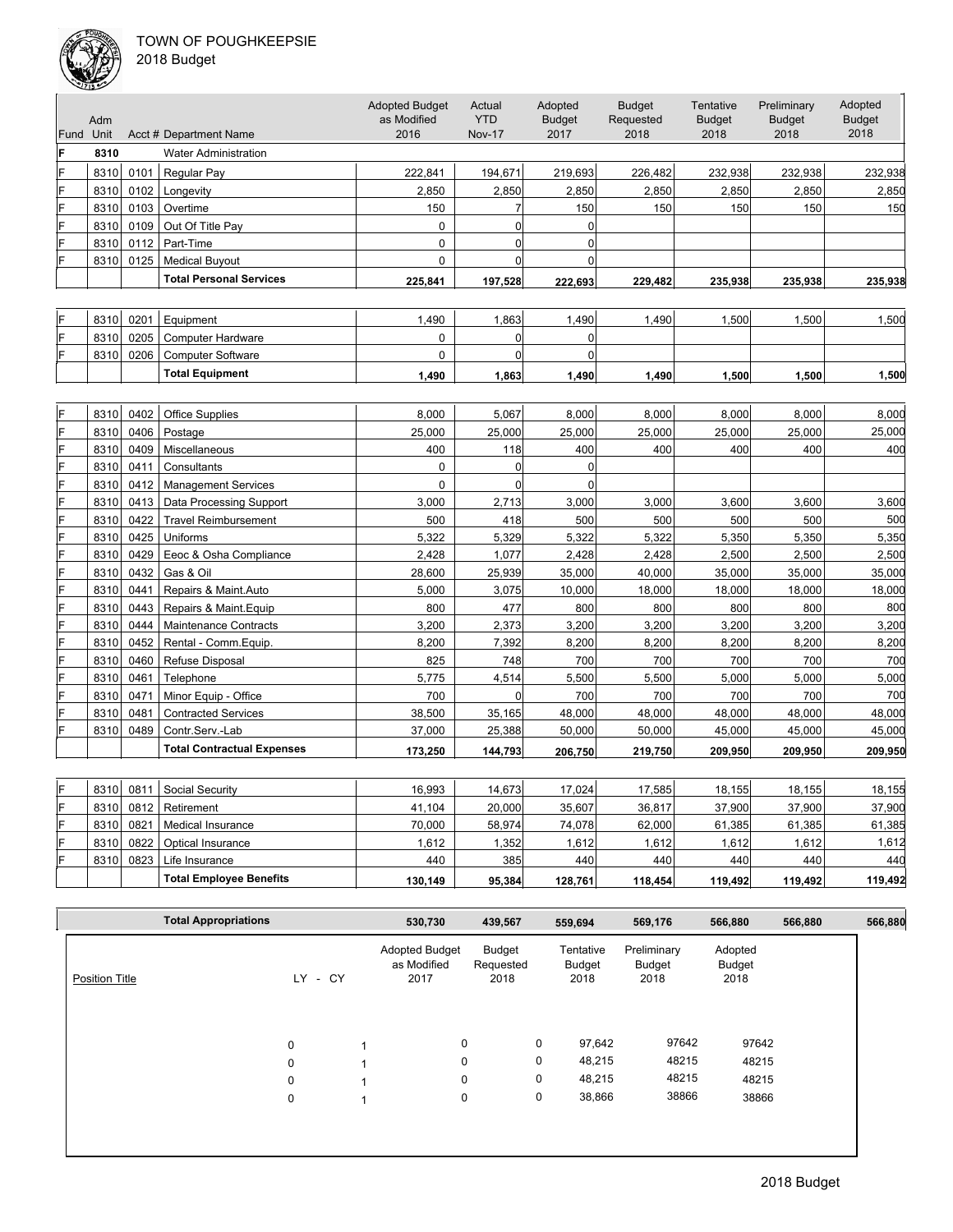

| Fund | Adm<br>Unit  |              | Acct # Department Name            | <b>Adopted Budget</b><br>as Modified<br>2016 | Actual<br><b>YTD</b><br><b>Nov-17</b> | Adopted<br><b>Budget</b><br>2017 | <b>Budget</b><br>Requested<br>2018 | Tentative<br><b>Budget</b><br>2018 | Preliminary<br><b>Budget</b><br>2018 | Adopted<br><b>Budget</b><br>2018 |
|------|--------------|--------------|-----------------------------------|----------------------------------------------|---------------------------------------|----------------------------------|------------------------------------|------------------------------------|--------------------------------------|----------------------------------|
| F    | 8310         |              | <b>Water Administration</b>       |                                              |                                       |                                  |                                    |                                    |                                      |                                  |
| F    | 8310         | 0101         | Regular Pay                       | 222,841                                      | 194,671                               | 219,693                          | 226,482                            | 232,938                            | 232,938                              | 232,938                          |
| F    | 8310         | 0102         | Longevity                         | 2,850                                        | 2,850                                 | 2,850                            | 2,850                              | 2,850                              | 2,850                                | 2,850                            |
| F    | 8310         | 0103         | Overtime                          | 150                                          | $\overline{7}$                        | 150                              | 150                                | 150                                | 150                                  | 150                              |
| F    | 8310         | 0109         | Out Of Title Pay                  | $\mathbf 0$                                  | $\overline{0}$                        | $\mathbf 0$                      |                                    |                                    |                                      |                                  |
| F    | 8310         | 0112         | Part-Time                         | $\mathbf 0$                                  | $\Omega$                              | $\mathbf 0$                      |                                    |                                    |                                      |                                  |
| F    | 8310         | 0125         | <b>Medical Buyout</b>             | $\mathbf 0$                                  | $\overline{0}$                        | $\mathbf 0$                      |                                    |                                    |                                      |                                  |
|      |              |              | <b>Total Personal Services</b>    | 225,841                                      | 197,528                               | 222,693                          | 229,482                            | 235,938                            | 235,938                              | 235,938                          |
|      |              |              |                                   |                                              |                                       |                                  |                                    |                                    |                                      |                                  |
|      | 8310         | 0201         | Equipment                         | 1,490                                        | 1,863                                 | 1,490                            | 1,490                              | 1,500                              | 1,500                                | 1,500                            |
| F    | 8310         | 0205         | Computer Hardware                 | 0                                            | $\Omega$                              | $\mathbf 0$                      |                                    |                                    |                                      |                                  |
| F    | 8310         | 0206         | <b>Computer Software</b>          | $\pmb{0}$                                    | $\overline{0}$                        | $\mathbf 0$                      |                                    |                                    |                                      |                                  |
|      |              |              | <b>Total Equipment</b>            | 1,490                                        | 1,863                                 | 1,490                            | 1,490                              | 1,500                              | 1,500                                | 1,500                            |
|      |              |              |                                   |                                              |                                       |                                  |                                    |                                    |                                      |                                  |
| F    |              |              |                                   |                                              |                                       |                                  |                                    |                                    |                                      | 8,000                            |
| F    | 8310         | 0402<br>0406 | <b>Office Supplies</b>            | 8,000                                        | 5,067                                 | 8,000                            | 8,000                              | 8,000                              | 8,000                                | 25,000                           |
| F    | 8310<br>8310 | 0409         | Postage<br>Miscellaneous          | 25,000<br>400                                | 25,000<br>118                         | 25,000<br>400                    | 25,000<br>400                      | 25,000<br>400                      | 25,000<br>400                        | 400                              |
| F    | 8310         | 0411         | Consultants                       | 0                                            | 0                                     | $\mathbf 0$                      |                                    |                                    |                                      |                                  |
| Ë    | 8310         | 0412         | <b>Management Services</b>        | $\mathbf 0$                                  | $\mathbf 0$                           | $\mathbf 0$                      |                                    |                                    |                                      |                                  |
| F    | 8310         | 0413         | Data Processing Support           | 3,000                                        | 2,713                                 | 3,000                            | 3,000                              | 3,600                              | 3,600                                | 3,600                            |
| F    | 8310         | 0422         | <b>Travel Reimbursement</b>       | 500                                          | 418                                   | 500                              | 500                                | 500                                | 500                                  | 500                              |
|      | 8310         | 0425         | Uniforms                          | 5,322                                        | 5,329                                 | 5,322                            | 5,322                              | 5,350                              | 5,350                                | 5,350                            |
| F    | 8310         | 0429         | Eeoc & Osha Compliance            | 2,428                                        | 1,077                                 | 2,428                            | 2,428                              | 2,500                              | 2,500                                | 2,500                            |
| F    | 8310         | 0432         | Gas & Oil                         | 28,600                                       | 25,939                                | 35,000                           | 40,000                             | 35,000                             | 35,000                               | 35,000                           |
| F    | 8310         | 0441         | Repairs & Maint.Auto              | 5,000                                        | 3,075                                 | 10,000                           | 18,000                             | 18,000                             | 18,000                               | 18,000                           |
| F    | 8310         | 0443         | Repairs & Maint.Equip             | 800                                          | 477                                   | 800                              | 800                                | 800                                | 800                                  | 800                              |
| Ë    | 8310         | 0444         | <b>Maintenance Contracts</b>      | 3,200                                        | 2,373                                 | 3,200                            | 3,200                              | 3,200                              | 3,200                                | 3,200                            |
| F    | 8310         | 0452         | Rental - Comm. Equip.             | 8,200                                        | 7,392                                 | 8,200                            | 8,200                              | 8,200                              | 8,200                                | 8,200                            |
| F    | 8310         | 0460         | Refuse Disposal                   | 825                                          | 748                                   | 700                              | 700                                | 700                                | 700                                  | 700                              |
| Ë    | 8310         | 0461         | Telephone                         | 5,775                                        | 4,514                                 | 5,500                            | 5,500                              | 5,000                              | 5,000                                | 5,000                            |
| F    | 8310         | 0471         | Minor Equip - Office              | 700                                          | $\mathbf 0$                           | 700                              | 700                                | 700                                | 700                                  | 700                              |
| F    | 8310         | 0481         | <b>Contracted Services</b>        | 38,500                                       | 35,165                                | 48,000                           | 48,000                             | 48,000                             | 48,000                               | 48,000                           |
| F    | 8310         | 0489         | Contr.Serv.-Lab                   | 37,000                                       | 25,388                                | 50,000                           | 50,000                             | 45,000                             | 45,000                               | 45,000                           |
|      |              |              | <b>Total Contractual Expenses</b> | 173,250                                      | 144,793                               | 206,750                          | 219,750                            | 209,950                            | 209,950                              | 209,950                          |
|      |              |              |                                   |                                              |                                       |                                  |                                    |                                    |                                      |                                  |
| F    | 8310         | 0811         | Social Security                   | 16,993                                       | 14,673                                | 17,024                           | 17,585                             | 18,155                             | 18,155                               | 18,155                           |
| F    | 8310         | 0812         | Retirement                        | 41,104                                       | 20,000                                | 35,607                           | 36,817                             | 37,900                             | 37,900                               | 37,900                           |
| F    | 8310         | 0821         | Medical Insurance                 | 70,000                                       | 58,974                                | 74,078                           | 62,000                             | 61,385                             | 61,385                               | 61,385                           |
| F    | 8310         | 0822         | Optical Insurance                 | 1,612                                        | 1,352                                 | 1,612                            | 1,612                              | 1,612                              | 1,612                                | 1,612                            |
| F    | 8310         | 0823         | Life Insurance                    | 440                                          | 385                                   | 440                              | 440                                | 440                                | 440                                  | 440                              |
|      |              |              | <b>Total Employee Benefits</b>    | 130.149                                      | 95,384                                | 128,761                          | 118.454                            | 119,492                            | 119,492                              | 119,492                          |

| <b>Total Appropriations</b> |             | 530,730                                      | 439,567                     | 559,694                     | 569,176                       | 566,880                   | 566,880 | 566,880 |
|-----------------------------|-------------|----------------------------------------------|-----------------------------|-----------------------------|-------------------------------|---------------------------|---------|---------|
| <b>Position Title</b>       | LY.<br>- CY | <b>Adopted Budget</b><br>as Modified<br>2017 | Budget<br>Requested<br>2018 | Tentative<br>Budget<br>2018 | Preliminary<br>Budget<br>2018 | Adopted<br>Budget<br>2018 |         |         |
|                             |             |                                              |                             |                             |                               |                           |         |         |
|                             | 0           | $\mathbf 0$                                  | 0                           | 97,642                      | 97642                         | 97642                     |         |         |
|                             | 0           | 0                                            | 0                           | 48,215                      | 48215                         | 48215                     |         |         |
|                             | 0           | $\mathbf 0$                                  | 0                           | 48,215                      | 48215                         | 48215                     |         |         |
|                             | 0           | 0                                            | 0                           | 38,866                      | 38866                         | 38866                     |         |         |
|                             |             |                                              |                             |                             |                               |                           |         |         |
|                             |             |                                              |                             |                             |                               |                           |         |         |
|                             |             |                                              |                             |                             |                               |                           |         |         |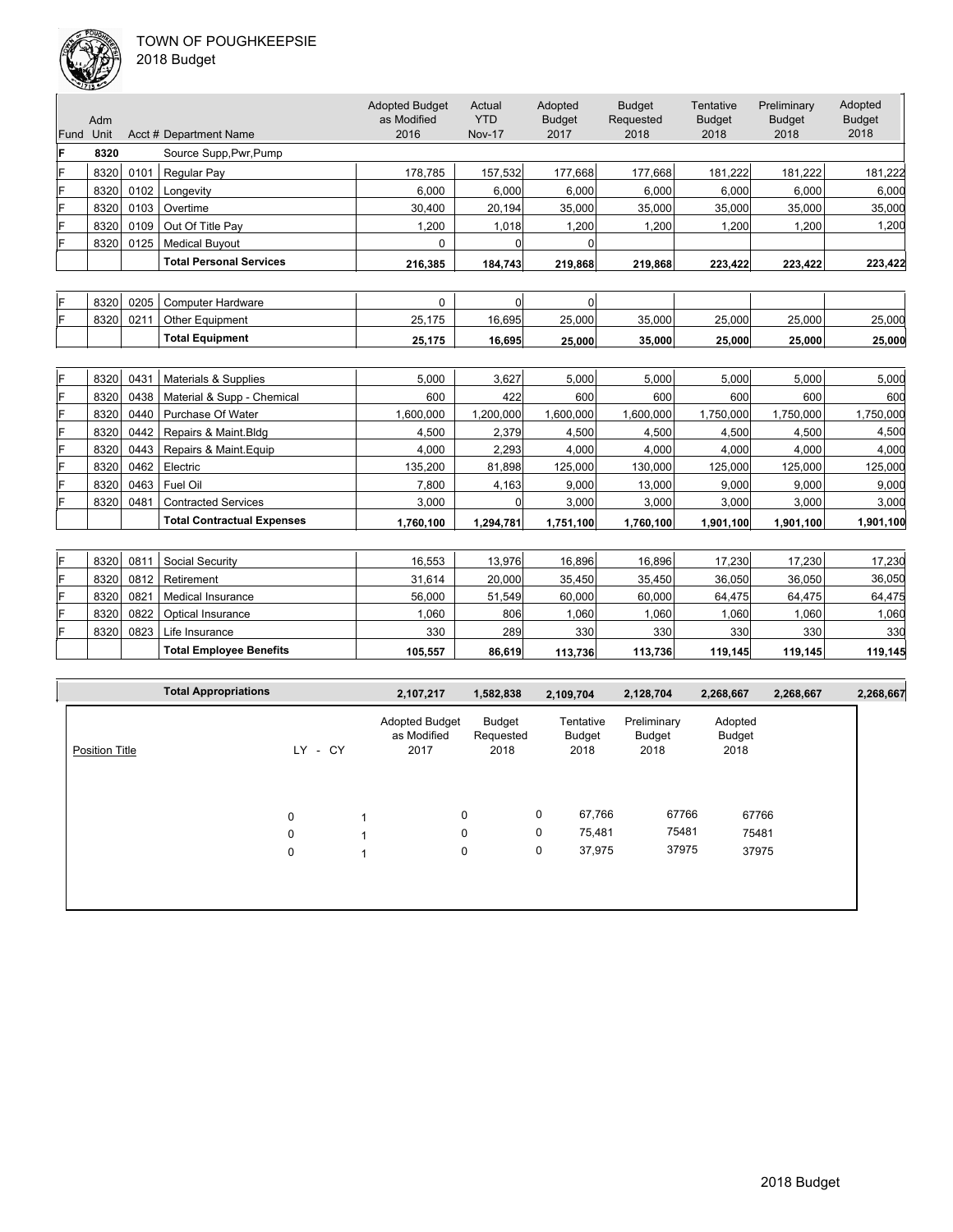

| 018 Budget |  |
|------------|--|
|------------|--|

|      | فسيحقق والإيك |      |                                   |                                              |                                       |                                  |                                    |                                    |                                      |                                  |
|------|---------------|------|-----------------------------------|----------------------------------------------|---------------------------------------|----------------------------------|------------------------------------|------------------------------------|--------------------------------------|----------------------------------|
| Fund | Adm<br>Unit   |      | Acct # Department Name            | <b>Adopted Budget</b><br>as Modified<br>2016 | Actual<br><b>YTD</b><br><b>Nov-17</b> | Adopted<br><b>Budget</b><br>2017 | <b>Budget</b><br>Requested<br>2018 | Tentative<br><b>Budget</b><br>2018 | Preliminary<br><b>Budget</b><br>2018 | Adopted<br><b>Budget</b><br>2018 |
| ΙF   | 8320          |      | Source Supp, Pwr, Pump            |                                              |                                       |                                  |                                    |                                    |                                      |                                  |
| F    | 8320          | 0101 | Regular Pay                       | 178,785                                      | 157,532                               | 177,668                          | 177,668                            | 181,222                            | 181,222                              | 181,222                          |
| F    | 8320          | 0102 | Longevity                         | 6.000                                        | 6,000                                 | 6.000                            | 6,000                              | 6.000                              | 6.000                                | 6,000                            |
| F    | 8320          | 0103 | Overtime                          | 30,400                                       | 20,194                                | 35,000                           | 35,000                             | 35,000                             | 35,000                               | 35,000                           |
| F    | 8320          | 0109 | Out Of Title Pay                  | 1.200                                        | 1,018                                 | 1.200                            | 1,200                              | 1.200                              | 1,200                                | 1,200                            |
| F    | 8320          | 0125 | <b>Medical Buyout</b>             | $\Omega$                                     | $\Omega$                              | n                                |                                    |                                    |                                      |                                  |
|      |               |      | <b>Total Personal Services</b>    | 216,385                                      | 184,743                               | 219,868                          | 219,868                            | 223,422                            | 223,422                              | 223,422                          |
|      |               |      |                                   |                                              |                                       |                                  |                                    |                                    |                                      |                                  |
| ΙF   | 8320          | 0205 | <b>Computer Hardware</b>          | 0                                            | $\Omega$                              | $\Omega$                         |                                    |                                    |                                      |                                  |
| F    | 8320          | 0211 | Other Equipment                   | 25.175                                       | 16,695                                | 25,000                           | 35,000                             | 25,000                             | 25,000                               | 25,000                           |
|      |               |      | <b>Total Equipment</b>            | 25,175                                       | 16.695                                | 25,000                           | 35.000                             | 25,000                             | 25,000                               | 25,000                           |
|      |               |      |                                   |                                              |                                       |                                  |                                    |                                    |                                      |                                  |
| F    | 8320          | 0431 | Materials & Supplies              | 5,000                                        | 3,627                                 | 5.000                            | 5,000                              | 5,000                              | 5.000                                | 5,000                            |
| F    | 8320          | 0438 | Material & Supp - Chemical        | 600                                          | 422                                   | 600                              | 600                                | 600                                | 600                                  | 600                              |
| F    | 8320          | 0440 | Purchase Of Water                 | 1,600,000                                    | 1,200,000                             | 1,600,000                        | 1,600,000                          | 1,750,000                          | 1,750,000                            | 1,750,000                        |
| F    | 8320          | 0442 | Repairs & Maint.Bldg              | 4,500                                        | 2,379                                 | 4,500                            | 4,500                              | 4,500                              | 4,500                                | 4,500                            |
| F    | 8320          | 0443 | Repairs & Maint.Equip             | 4,000                                        | 2,293                                 | 4,000                            | 4,000                              | 4,000                              | 4,000                                | 4,000                            |
| F    | 8320          | 0462 | Electric                          | 135,200                                      | 81,898                                | 125,000                          | 130.000                            | 125,000                            | 125,000                              | 125,000                          |
| F    | 8320          | 0463 | Fuel Oil                          | 7,800                                        | 4,163                                 | 9,000                            | 13,000                             | 9,000                              | 9,000                                | 9,000                            |
| F    | 8320          | 0481 | <b>Contracted Services</b>        | 3,000                                        | $\Omega$                              | 3,000                            | 3,000                              | 3,000                              | 3,000                                | 3,000                            |
|      |               |      | <b>Total Contractual Expenses</b> | 1,760,100                                    | 1,294,781                             | 1,751,100                        | 1,760,100                          | 1,901,100                          | 1,901,100                            | 1,901,100                        |
|      |               |      |                                   |                                              |                                       |                                  |                                    |                                    |                                      |                                  |
| F    | 8320          | 0811 | Social Security                   | 16.553                                       | 13,976                                | 16.896                           | 16.896                             | 17,230                             | 17,230                               | 17,230                           |
| F    | 8320          | 0812 | Retirement                        | 31,614                                       | 20,000                                | 35,450                           | 35,450                             | 36,050                             | 36,050                               | 36,050                           |
| F    | 8320          | 0821 | <b>Medical Insurance</b>          | 56,000                                       | 51,549                                | 60,000                           | 60,000                             | 64,475                             | 64,475                               | 64,475                           |
| F    | 8320          | 0822 | Optical Insurance                 | 1,060                                        | 806                                   | 1,060                            | 1,060                              | 1,060                              | 1,060                                | 1,060                            |

|                       | <b>Total Appropriations</b> |      | 2,107,217                                    | 1,582,838                   |   | 2,109,704                   | 2,128,704                     | 2,268,667                 | 2,268,667 | 2,268,667 |
|-----------------------|-----------------------------|------|----------------------------------------------|-----------------------------|---|-----------------------------|-------------------------------|---------------------------|-----------|-----------|
| <b>Position Title</b> | LY.                         | - CY | <b>Adopted Budget</b><br>as Modified<br>2017 | Budget<br>Requested<br>2018 |   | Tentative<br>Budget<br>2018 | Preliminary<br>Budget<br>2018 | Adopted<br>Budget<br>2018 |           |           |
|                       | 0                           |      | 0                                            |                             | 0 | 67,766                      | 67766                         | 67766                     |           |           |
|                       | 0                           |      | 0                                            |                             | 0 | 75,481                      | 75481                         | 75481                     |           |           |
|                       | 0                           |      | 0                                            |                             | 0 | 37,975                      | 37975                         | 37975                     |           |           |

F 8320 0823 Life Insurance 330 289 289 330 330 330 330 330 330 330 330

Total Employee Benefits **105,557** 86,619 113,736 113,736 119,145 119,145 119,145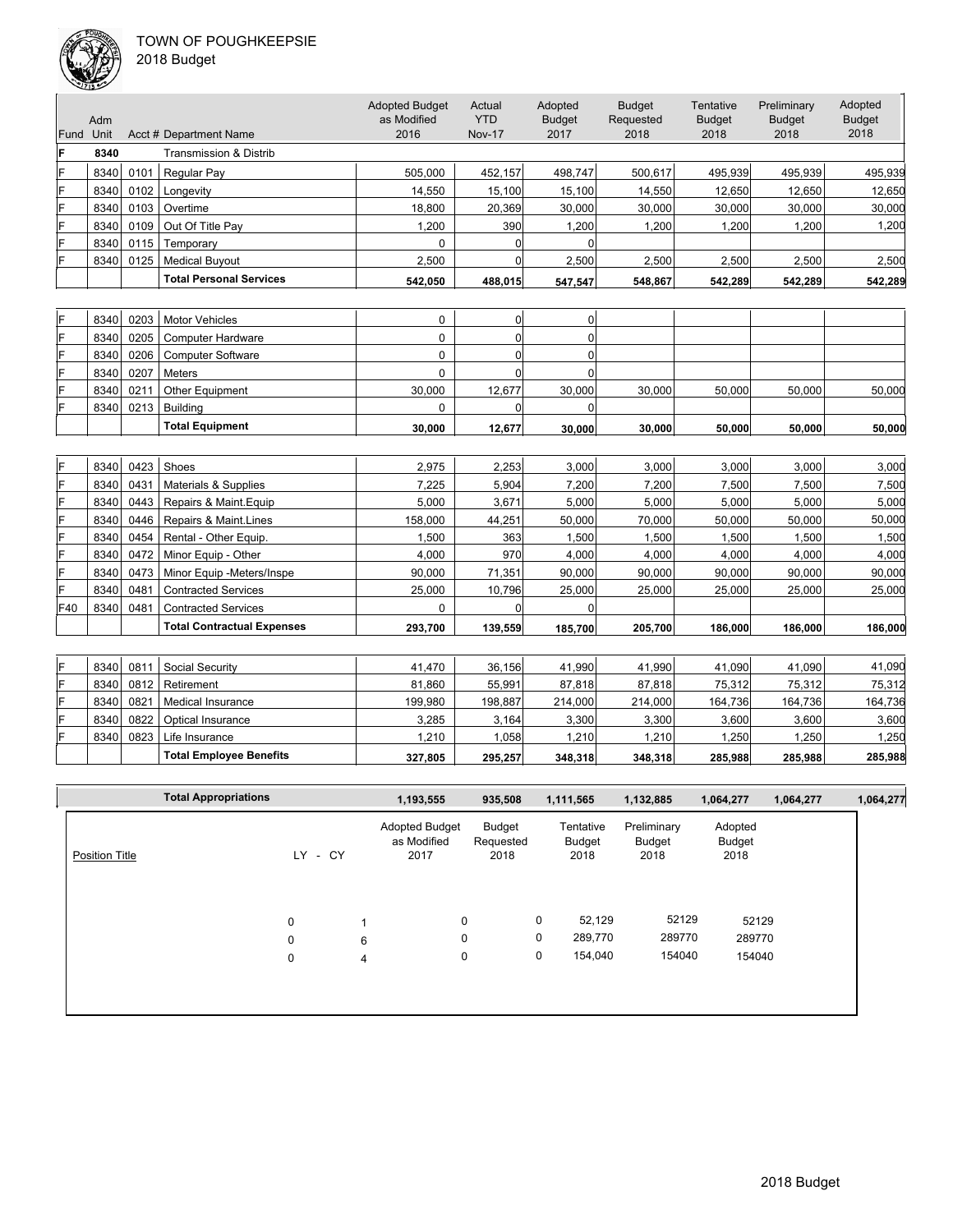

| 2018 Budget |  |
|-------------|--|
|-------------|--|

|      |      |      |                                | <b>Adopted Budget</b> | Actual        | Adopted       | <b>Budget</b> | Tentative         | Preliminary   | Adopted       |
|------|------|------|--------------------------------|-----------------------|---------------|---------------|---------------|-------------------|---------------|---------------|
|      | Adm  |      |                                | as Modified           | <b>YTD</b>    | <b>Budget</b> | Requested     | <b>Budget</b>     | <b>Budget</b> | <b>Budget</b> |
| Fund | Unit |      | Acct # Department Name         | 2016                  | <b>Nov-17</b> | 2017          | 2018          | 2018              | 2018          | 2018          |
|      | 8340 |      | Transmission & Distrib         |                       |               |               |               |                   |               |               |
|      | 8340 | 0101 | Regular Pay                    | 505.000               | 452.157       | 498.747       | 500.617       | 495.939           | 495,939       | 495,939       |
|      | 8340 | 0102 | Longevity                      | 14,550                | 15,100        | 15,100        | 14.550        | 12,650            | 12,650        | 12,650        |
|      | 8340 | 0103 | Overtime                       | 18,800                | 20,369        | 30,000        | 30,000        | 30,000            | 30,000        | 30,000        |
|      | 8340 | 0109 | Out Of Title Pav               | 1,200                 | 390           | 1,200         | 1.200         | .200 <sub>1</sub> | 1,200         | 1,200         |
|      | 8340 | 0115 | Temporarv                      | 0                     |               |               |               |                   |               |               |
|      | 8340 | 0125 | <b>Medical Buvout</b>          | 2.500                 |               | 2.500         | 2.500         | 2.500             | 2.500         | 2,500         |
|      |      |      | <b>Total Personal Services</b> | 542,050               | 488,015       | 547,547       | 548,867       | 542,289           | 542,289       | 542,289       |
|      |      |      |                                |                       |               |               |               |                   |               |               |

| 8340 |      | 0203   Motor Vehicles    |        |        |        |        |        |        |        |
|------|------|--------------------------|--------|--------|--------|--------|--------|--------|--------|
| 8340 |      | 0205   Computer Hardware |        |        |        |        |        |        |        |
| 8340 |      | 0206   Computer Software |        |        |        |        |        |        |        |
| 8340 | 0207 | Meters                   |        |        |        |        |        |        |        |
| 8340 | 0211 | <b>Other Equipment</b>   | 30,000 | 12.677 | 30,000 | 30,000 | 50,000 | 50.000 | 50,000 |
| 8340 | 0213 | <b>Building</b>          |        |        |        |        |        |        |        |
|      |      | <b>Total Equipment</b>   | 30.000 | 12.677 | 30.000 | 30,000 | 50,000 | 50,000 | 50,000 |

| ΙF  | 8340 | 0423 | Shoes                             | 2.975   | 2,253   | 3.000   | 3.000   | 3.000   | 3.000   | 3,000   |
|-----|------|------|-----------------------------------|---------|---------|---------|---------|---------|---------|---------|
| ΙF  | 8340 | 0431 | Materials & Supplies              | 7.225   | 5.904   | 7,200   | 7.200   | 7.500   | 7.500   | 7,500   |
| ΙF  | 8340 | 0443 | Repairs & Maint. Equip            | 5,000   | 3,671   | 5,000   | 5,000   | 5,000   | 5,000   | 5,000   |
| ΙF  | 8340 | 0446 | Repairs & Maint.Lines             | 158,000 | 44,251  | 50.000  | 70,000  | 50,000  | 50.000  | 50,000  |
| ΙF  | 8340 | 0454 | Rental - Other Equip.             | 1.500   | 363     | 1.500   | 1.500   | .500    | .500    | 1,500   |
| ΙF  | 8340 | 0472 | Minor Equip - Other               | 4.000   | 970     | 4.000   | 4.000   | 4.000   | 4.000   | 4,000   |
| ΙF  | 8340 | 0473 | Minor Equip -Meters/Inspe         | 90.000  | 71.351  | 90,000  | 90,000  | 90,000  | 90.000  | 90,000  |
| ΙF  | 8340 | 0481 | <b>Contracted Services</b>        | 25,000  | 10,796  | 25,000  | 25,000  | 25,000  | 25,000  | 25,000  |
| F40 | 8340 | 0481 | <b>Contracted Services</b>        |         |         |         |         |         |         |         |
|     |      |      | <b>Total Contractual Expenses</b> | 293.700 | 139,559 | 185.700 | 205,700 | 186,000 | 186.000 | 186,000 |

| F | 8340 | 081           | Social Security                | 41.470  | 36.156  | 41.990  | 41.990  | 41.090  | 41.090  | 41,090  |
|---|------|---------------|--------------------------------|---------|---------|---------|---------|---------|---------|---------|
| F | 8340 | 0812          | Retirement                     | 81.860  | 55.991  | 87.818  | 87.818  | 75.312  | 75.312  | 75,312  |
| F | 8340 | $082^{\circ}$ | Medical Insurance              | 199.980 | 198.887 | 214,000 | 214,000 | 164.736 | 164.736 | 164,736 |
| F | 8340 | 0822          | Optical Insurance              | 3.285   | 3.164   | 3,300   | 3,300   | 3,600   | 3,600   | 3,600   |
|   | 8340 | 0823          | Life Insurance                 | 1.210   | .058    | 1,210   | .210    | .250    | 1,250   | 1,250   |
|   |      |               | <b>Total Employee Benefits</b> | 327.805 | 295.257 | 348,318 | 348.318 | 285.988 | 285.988 | 285,988 |

|                       | <b>Total Appropriations</b> |                            |                     | 1,193,555                                    | 935,508                     |        | 1,111,565                   | 1,132,885                     | 1,064,277                 | 1,064,277 | 1,064,277 |
|-----------------------|-----------------------------|----------------------------|---------------------|----------------------------------------------|-----------------------------|--------|-----------------------------|-------------------------------|---------------------------|-----------|-----------|
| <b>Position Title</b> |                             | LY.<br>- CY                |                     | <b>Adopted Budget</b><br>as Modified<br>2017 | Budget<br>Requested<br>2018 |        | Tentative<br>Budget<br>2018 | Preliminary<br>Budget<br>2018 | Adopted<br>Budget<br>2018 |           |           |
|                       |                             | $\mathbf 0$                |                     | $\mathbf 0$                                  |                             | 0      | 52,129                      | 52129                         | 52129                     |           |           |
|                       |                             | $\mathbf 0$<br>$\mathbf 0$ | 6<br>$\overline{4}$ | 0<br>0                                       |                             | 0<br>0 | 289,770<br>154,040          | 289770<br>154040              | 289770<br>154040          |           |           |
|                       |                             |                            |                     |                                              |                             |        |                             |                               |                           |           |           |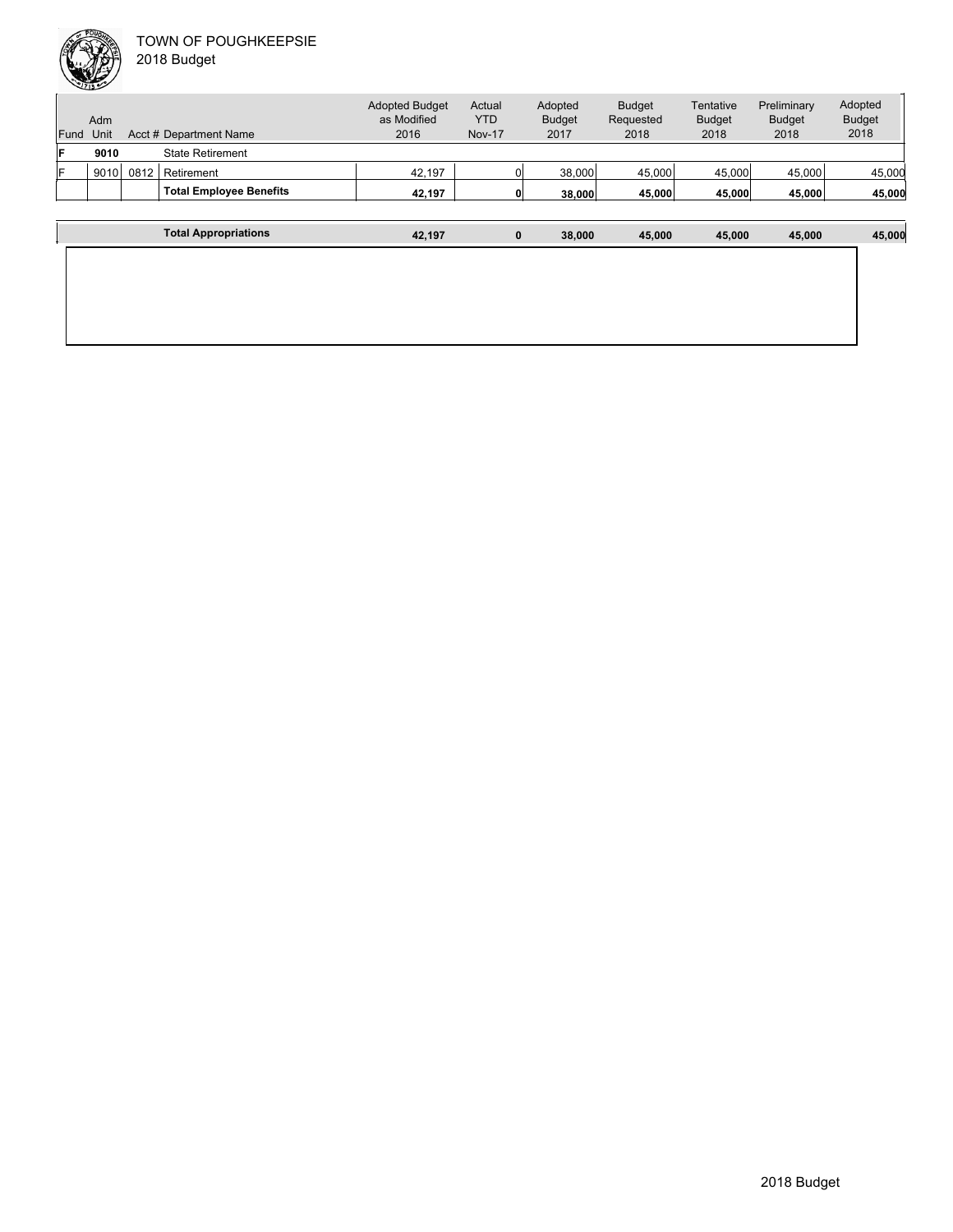

| 018 Budget |  |
|------------|--|
|------------|--|

| Fund | Adm<br>Unit |      | Acct # Department Name         | <b>Adopted Budget</b><br>as Modified<br>2016 | Actual<br><b>YTD</b><br><b>Nov-17</b> | Adopted<br><b>Budget</b><br>2017 | <b>Budget</b><br>Requested<br>2018 | Tentative<br><b>Budget</b><br>2018 | Preliminary<br><b>Budget</b><br>2018 | Adopted<br><b>Budget</b><br>2018 |
|------|-------------|------|--------------------------------|----------------------------------------------|---------------------------------------|----------------------------------|------------------------------------|------------------------------------|--------------------------------------|----------------------------------|
| F    | 9010        |      | <b>State Retirement</b>        |                                              |                                       |                                  |                                    |                                    |                                      |                                  |
|      | 9010        | 0812 | Retirement                     | 42.197                                       |                                       | 38,000                           | 45.000                             | 45,000                             | 45,000                               | 45,000                           |
|      |             |      | <b>Total Employee Benefits</b> | 42.197                                       |                                       | $\mathbf{0}$<br>38,000           | 45,000                             | 45,000                             | 45,000                               | 45,000                           |
|      |             |      |                                |                                              |                                       |                                  |                                    |                                    |                                      |                                  |
|      |             |      | <b>Total Appropriations</b>    | 42.197                                       |                                       | $\mathbf 0$<br>38,000            | 45.000                             | 45,000                             | 45,000                               | 45,000                           |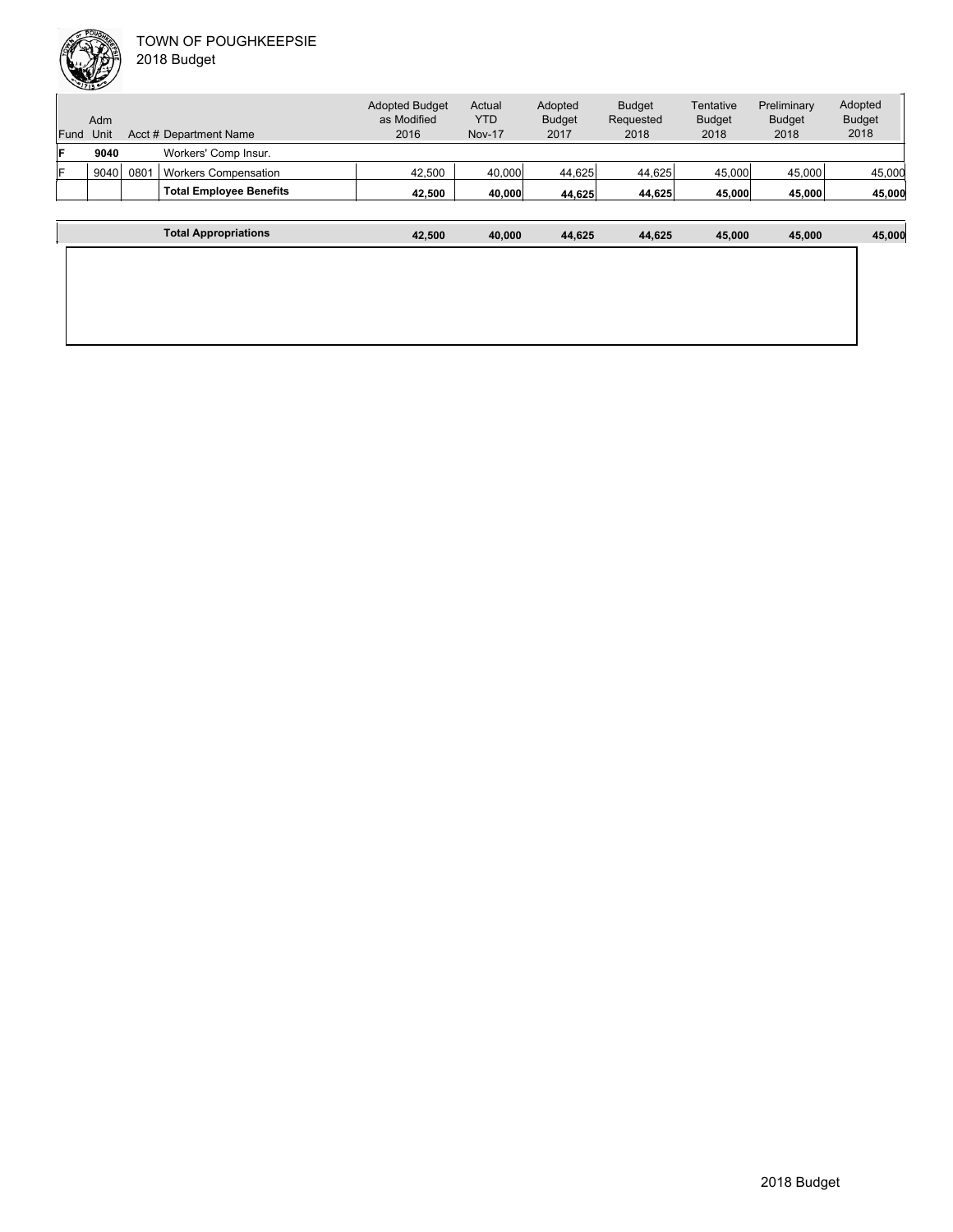

Unit Acct # Department Name Adm Actual YTD Nov-17 Budget Requested 2018 **Tentative** Budget 2018 Preliminary Budget 2018 Adopted Budget 2018 Adopted Budget as Modified 2016 Fund Unit Adopted Budget 2017 **F 9040** Workers' Comp Insur. F 9040 0801 Workers Compensation 42,500 40,000 44,625 44,625 45,000 45,000 45,000 45,000 **Total Employee Benefits 42,500 40,000 44,625 44,625 45,000 45,000 45,000 Total Appropriations 42,500 40,000 44,625 44,625 45,000 45,000 45,000**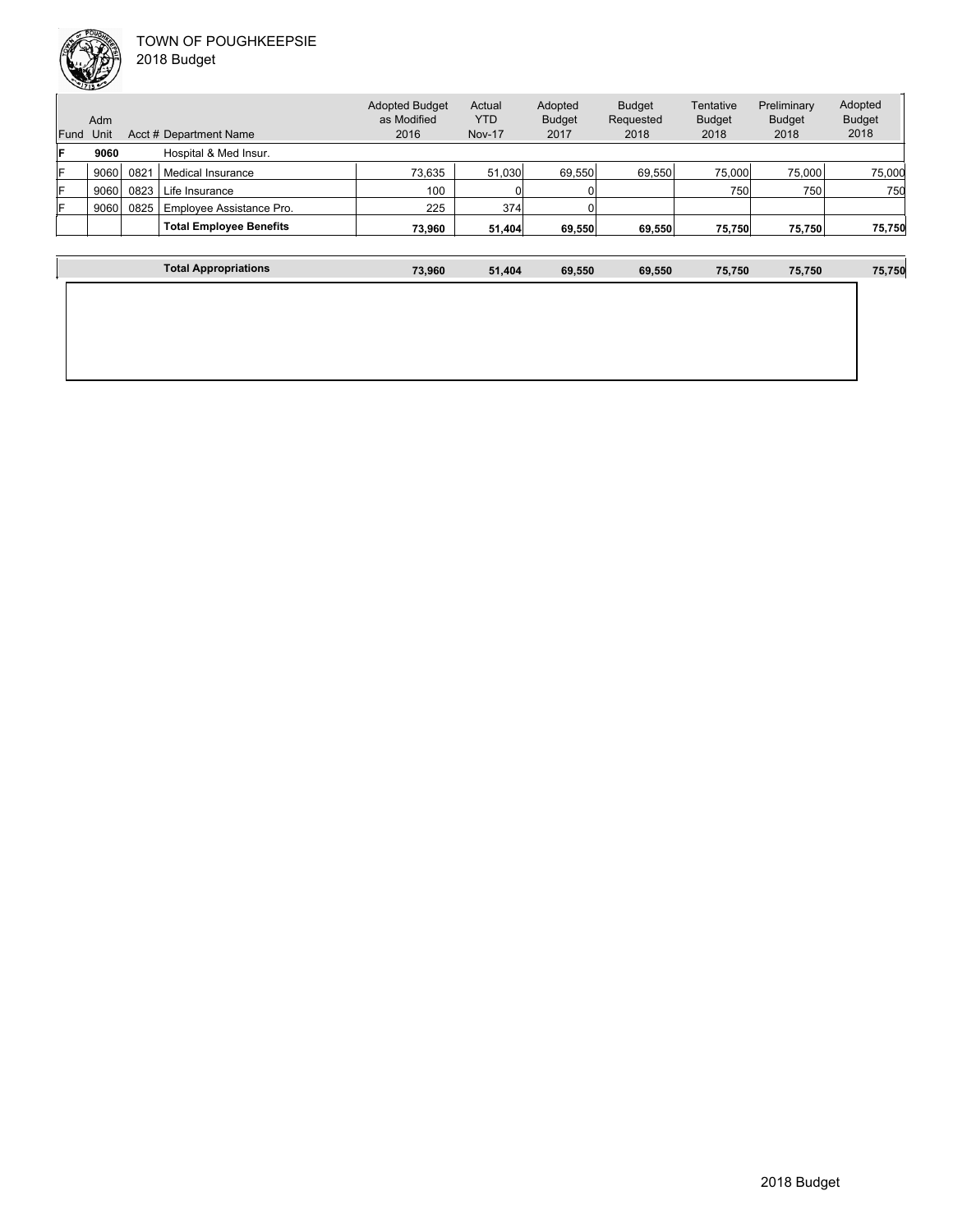

| Fund | Adm<br>Unit |      | Acct # Department Name         | <b>Adopted Budget</b><br>as Modified<br>2016 | Actual<br>YTD.<br><b>Nov-17</b> | Adopted<br><b>Budget</b><br>2017 | <b>Budget</b><br>Requested<br>2018 | Tentative<br><b>Budget</b><br>2018 | Preliminary<br><b>Budget</b><br>2018 | Adopted<br><b>Budget</b><br>2018 |
|------|-------------|------|--------------------------------|----------------------------------------------|---------------------------------|----------------------------------|------------------------------------|------------------------------------|--------------------------------------|----------------------------------|
| IF   | 9060        |      | Hospital & Med Insur.          |                                              |                                 |                                  |                                    |                                    |                                      |                                  |
| IF   | 9060        | 0821 | Medical Insurance              | 73,635                                       | 51,030                          | 69,550                           | 69.550                             | 75,000                             | 75,000                               | 75,000                           |
| IF.  | 9060        | 0823 | Life Insurance                 | 100                                          |                                 |                                  |                                    | 750                                | 750                                  | 750                              |
| ΙF   | 9060        | 0825 | Employee Assistance Pro.       | 225                                          | 374                             |                                  |                                    |                                    |                                      |                                  |
|      |             |      | <b>Total Employee Benefits</b> | 73.960                                       | 51,404                          | 69.550                           | 69,550                             | 75,750                             | 75,750                               | 75,750                           |
|      |             |      |                                |                                              |                                 |                                  |                                    |                                    |                                      |                                  |

| <b>Total Appropriations</b> | 73,960 | 51,404 | 69,550 | 69,550 | 75,750 | 75,750 | 75,750 |
|-----------------------------|--------|--------|--------|--------|--------|--------|--------|
|                             |        |        |        |        |        |        |        |
|                             |        |        |        |        |        |        |        |
|                             |        |        |        |        |        |        |        |
|                             |        |        |        |        |        |        |        |
|                             |        |        |        |        |        |        |        |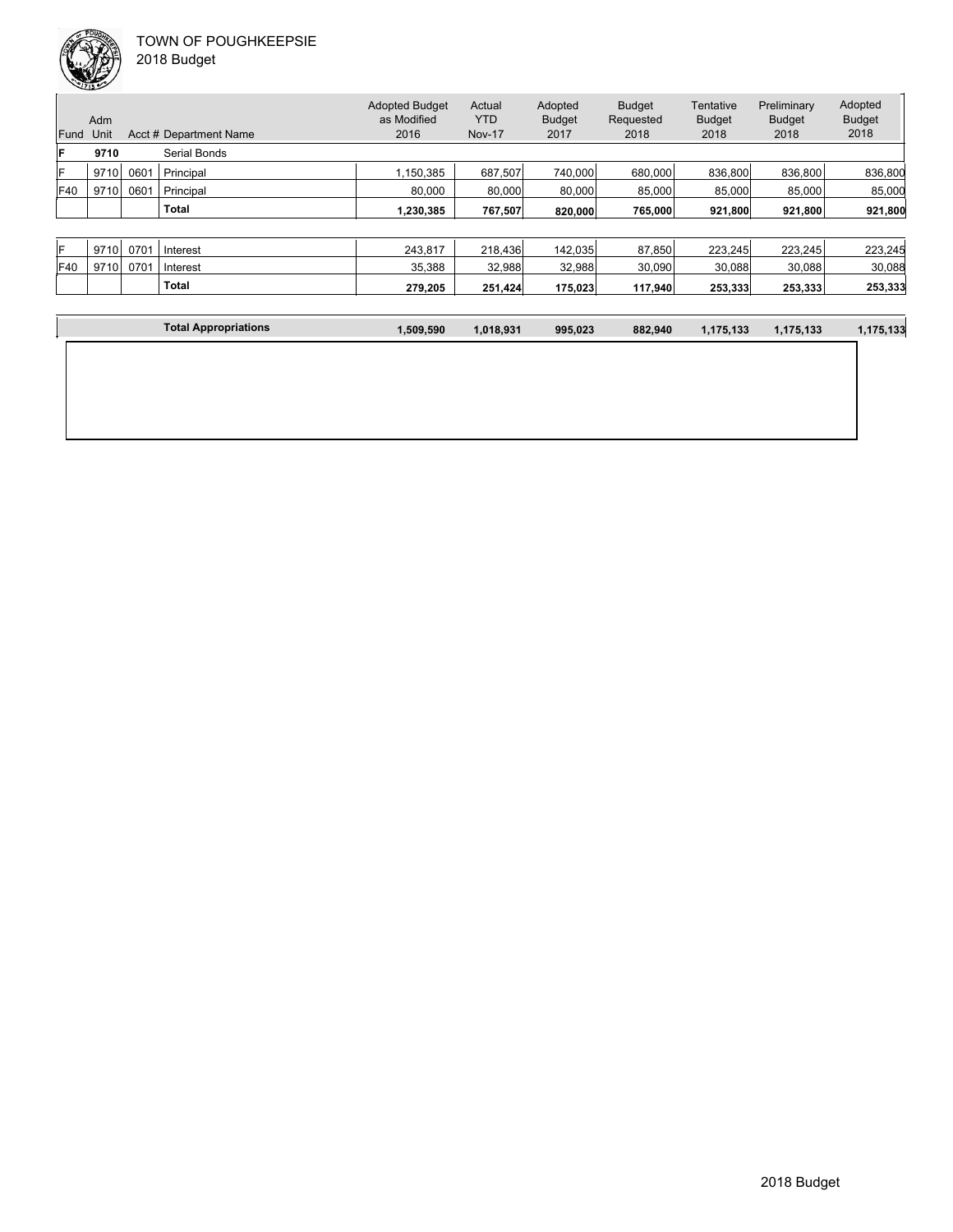

 $\mathbf{I}$ 

|            | <b>CONTRACTOR</b> |      |                        |                                      |               |                          |                            |                            |                              |                          |
|------------|-------------------|------|------------------------|--------------------------------------|---------------|--------------------------|----------------------------|----------------------------|------------------------------|--------------------------|
|            | Adm               |      |                        | <b>Adopted Budget</b><br>as Modified | Actual<br>YTD | Adopted<br><b>Budget</b> | <b>Budget</b><br>Requested | Tentative<br><b>Budget</b> | Preliminary<br><b>Budget</b> | Adopted<br><b>Budget</b> |
| Fund       | Unit              |      | Acct # Department Name | 2016                                 | <b>Nov-17</b> | 2017                     | 2018                       | 2018                       | 2018                         | 2018                     |
| lF         | 9710              |      | <b>Serial Bonds</b>    |                                      |               |                          |                            |                            |                              |                          |
| lF         | 9710              | 0601 | Principal              | 1.150.385                            | 687,507       | 740,000                  | 680,000                    | 836,800                    | 836,800                      | 836,800                  |
| <b>F40</b> | 9710              | 0601 | Principal              | 80.000                               | 80,000        | 80,000                   | 85.000                     | 85,000                     | 85,000                       | 85.000                   |
|            |                   |      |                        |                                      |               |                          |                            |                            |                              |                          |

| ΙF  | 9710 | 0701 | Interest     | 243.817 | 218,436 | 142.035 | 87.850  | 223.245 | 223.245 | 223.245 |
|-----|------|------|--------------|---------|---------|---------|---------|---------|---------|---------|
| F40 | 9710 | 0701 | Interest     | 35.388  | 32,988  | 32,988  | 30,090  | 30,088  | 30,088  | 30,088  |
|     |      |      | <b>Total</b> | 279.205 | 251.424 | 175,023 | 117.940 | 253.333 | 253.333 | 253,333 |

**Total 1,230,385 767,507 820,000 765,000 921,800 921,800 921,800**

| <b>Total Appropriations</b> | 1,509,590 | 1.018,931 | 995,023 | 882,940 | 1,175,133 | 1,175,133 | 1,175,133 |
|-----------------------------|-----------|-----------|---------|---------|-----------|-----------|-----------|

| 2018 Budget |
|-------------|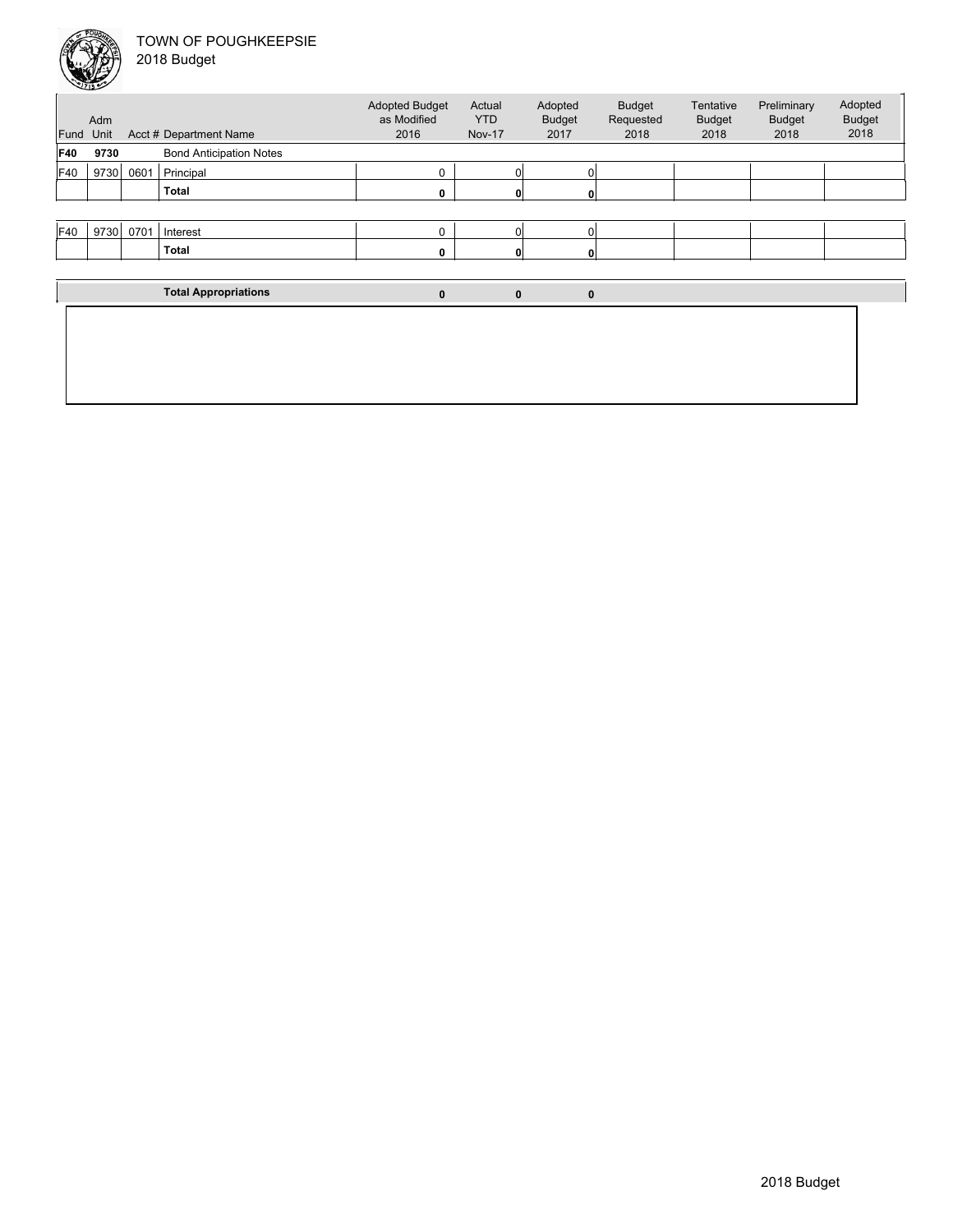

|            | $\sqrt{2713}$ |      |                                |                                      |                      |                          |                            |                            |                              |
|------------|---------------|------|--------------------------------|--------------------------------------|----------------------|--------------------------|----------------------------|----------------------------|------------------------------|
|            | Adm           |      |                                | <b>Adopted Budget</b><br>as Modified | Actual<br><b>YTD</b> | Adopted<br><b>Budget</b> | <b>Budget</b><br>Requested | Tentative<br><b>Budget</b> | Preliminary<br><b>Budget</b> |
| Fund       | Unit          |      | Acct # Department Name         | 2016                                 | <b>Nov-17</b>        | 2017                     | 2018                       | 2018                       | 2018                         |
| <b>F40</b> | 9730          |      | <b>Bond Anticipation Notes</b> |                                      |                      |                          |                            |                            |                              |
| F40        | 9730          | 0601 | Principal                      | 0                                    |                      |                          |                            |                            |                              |
|            |               |      | <b>Total</b>                   | 0                                    |                      |                          |                            |                            |                              |
|            |               |      |                                |                                      |                      |                          |                            |                            |                              |
|            |               |      | $EAO$ $0720$ $0701$ $l$ $l$    | $\Omega$                             |                      | ΩI                       |                            |                            |                              |

| F40 | 9730 | 0701 | Interest |  |  |  |  |
|-----|------|------|----------|--|--|--|--|
|     |      |      | Total    |  |  |  |  |
|     |      |      |          |  |  |  |  |

| <b>Total Appropriations</b> | $\bf{0}$ | 0 |  |
|-----------------------------|----------|---|--|
|                             |          |   |  |
|                             |          |   |  |
|                             |          |   |  |

Adopted Budget 2018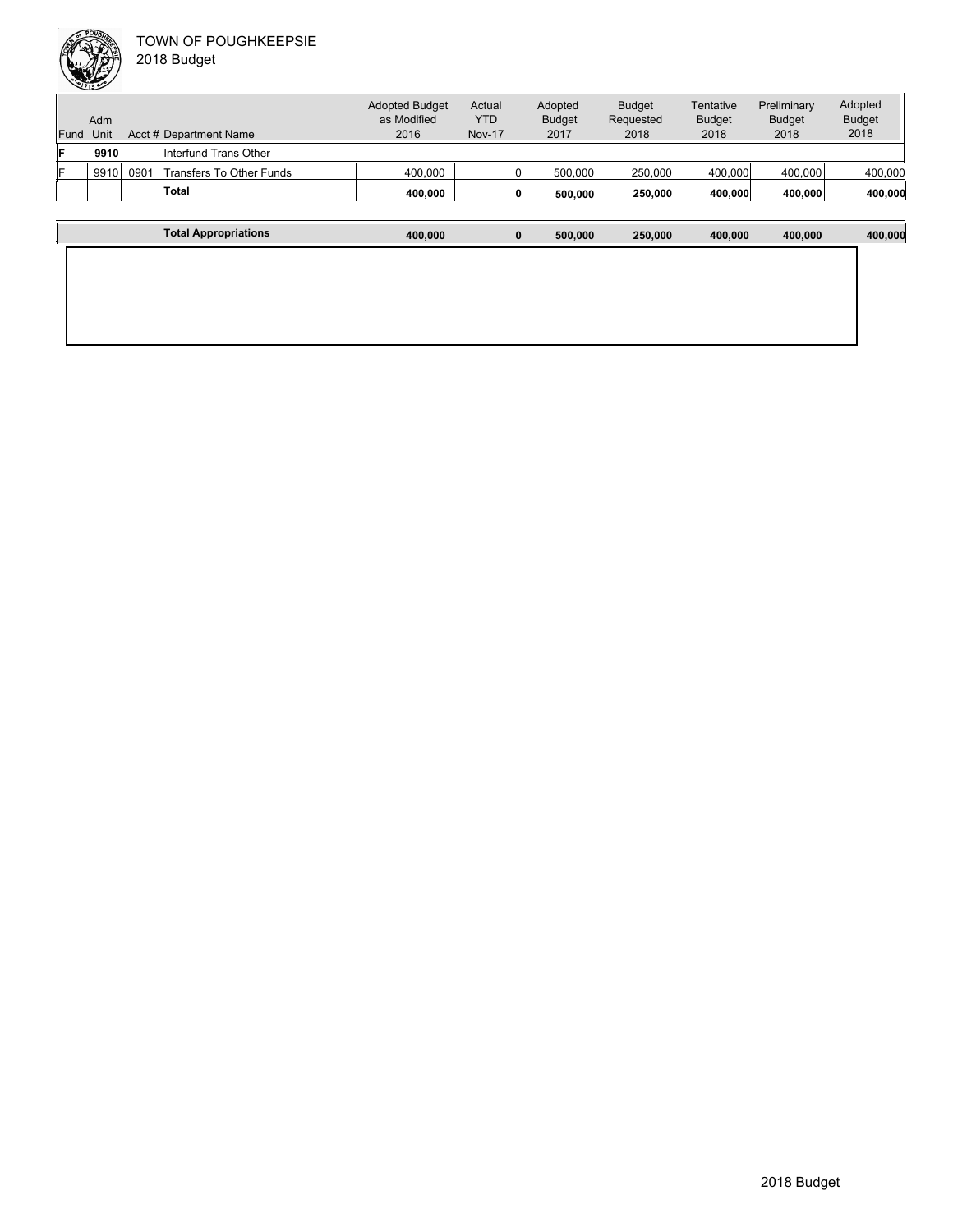|      |      |      | <b>Total</b>             | 400.000                              |               | 500,000                  | 250,000                    | 400.000                    | 400.000                      | 400,000                  |
|------|------|------|--------------------------|--------------------------------------|---------------|--------------------------|----------------------------|----------------------------|------------------------------|--------------------------|
| lF   | 9910 | 0901 | Transfers To Other Funds | 400.000                              |               | 500,000                  | 250,000                    | 400.000                    | 400,000                      | 400,000                  |
| lF   | 9910 |      | Interfund Trans Other    |                                      |               |                          |                            |                            |                              |                          |
| Fund | Unit |      | Acct # Department Name   | 2016                                 | <b>Nov-17</b> | 2017                     | 2018                       | 2018                       | 2018                         | 2018                     |
|      | Adm  |      |                          | <b>Adopted Budget</b><br>as Modified | Actual<br>YTD | Adopted<br><b>Budget</b> | <b>Budget</b><br>Requested | Tentative<br><b>Budget</b> | Preliminary<br><b>Budget</b> | Adopted<br><b>Budget</b> |

| <b>Total Appropriations</b> | 400,000 | $\mathbf{0}$ | 500,000 | 250,000 | 400,000 | 400,000 | 400,000 |
|-----------------------------|---------|--------------|---------|---------|---------|---------|---------|
|                             |         |              |         |         |         |         |         |
|                             |         |              |         |         |         |         |         |
|                             |         |              |         |         |         |         |         |
|                             |         |              |         |         |         |         |         |
|                             |         |              |         |         |         |         |         |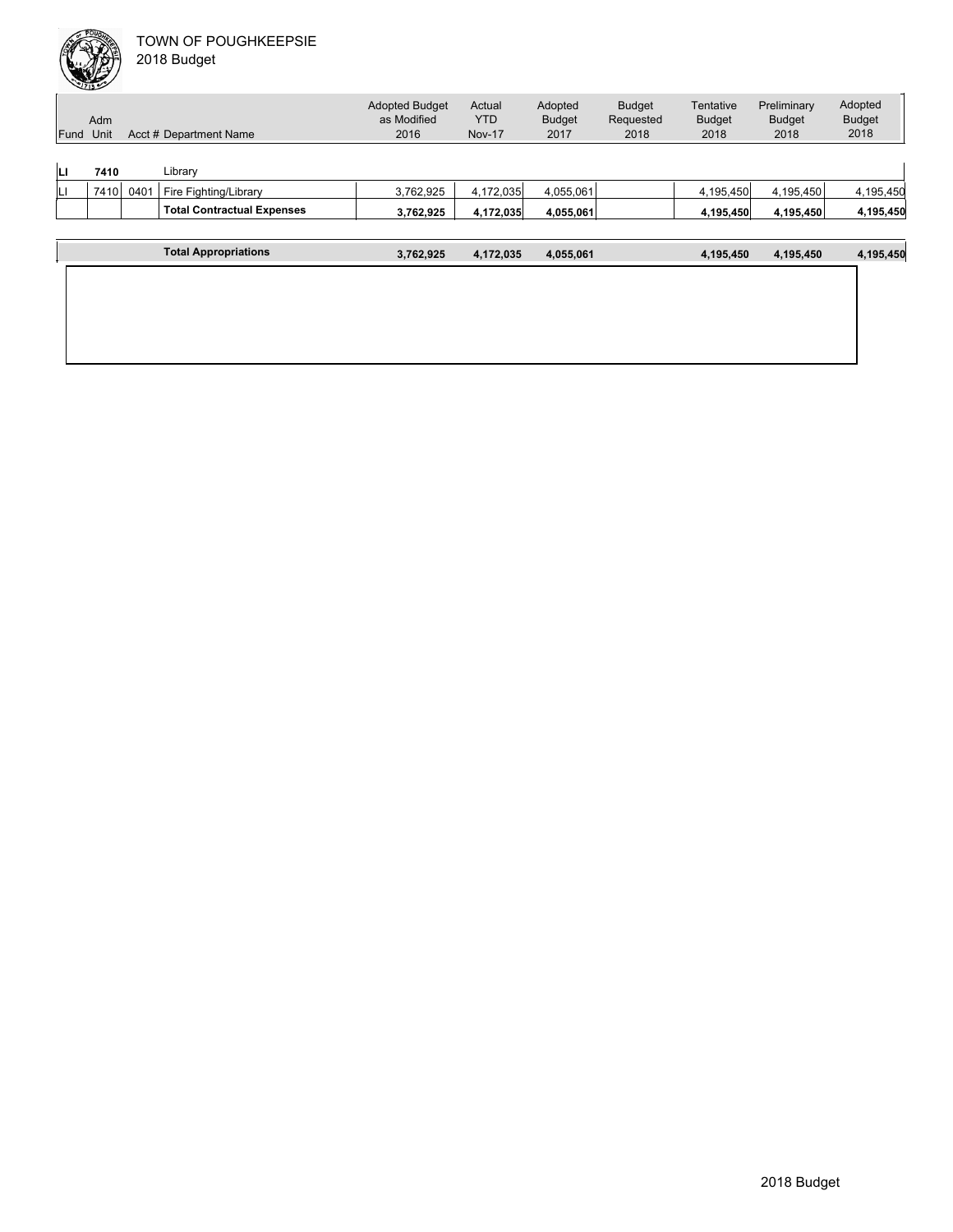|      | ∸    |      |                                   |                                      |               |               |               |               |               |               |
|------|------|------|-----------------------------------|--------------------------------------|---------------|---------------|---------------|---------------|---------------|---------------|
|      |      |      |                                   | <b>Adopted Budget</b><br>as Modified | Actual        | Adopted       | <b>Budget</b> | Tentative     | Preliminary   | Adopted       |
|      | Adm  |      |                                   |                                      | <b>YTD</b>    | <b>Budget</b> | Requested     | <b>Budget</b> | <b>Budget</b> | <b>Budget</b> |
| Fund | Unit |      | Acct # Department Name            | 2016                                 | <b>Nov-17</b> | 2017          | 2018          | 2018          | 2018          | 2018          |
|      |      |      |                                   |                                      |               |               |               |               |               |               |
| ш    | 7410 |      | Library                           |                                      |               |               |               |               |               |               |
| IЦ   | 7410 | 0401 | Fire Fighting/Library             | 3,762,925                            | 4,172,035     | 4,055,061     |               | 4,195,450     | 4,195,450     | 4,195,450     |
|      |      |      | <b>Total Contractual Expenses</b> | 3,762,925                            | 4,172,035     | 4,055,061     |               | 4,195,450     | 4,195,450     | 4,195,450     |
|      |      |      |                                   |                                      |               |               |               |               |               |               |
|      |      |      | <b>Total Appropriations</b>       | 3,762,925                            | 4,172,035     | 4,055,061     |               | 4,195,450     | 4,195,450     | 4,195,450     |
|      |      |      |                                   |                                      |               |               |               |               |               |               |
|      |      |      |                                   |                                      |               |               |               |               |               |               |
|      |      |      |                                   |                                      |               |               |               |               |               |               |
|      |      |      |                                   |                                      |               |               |               |               |               |               |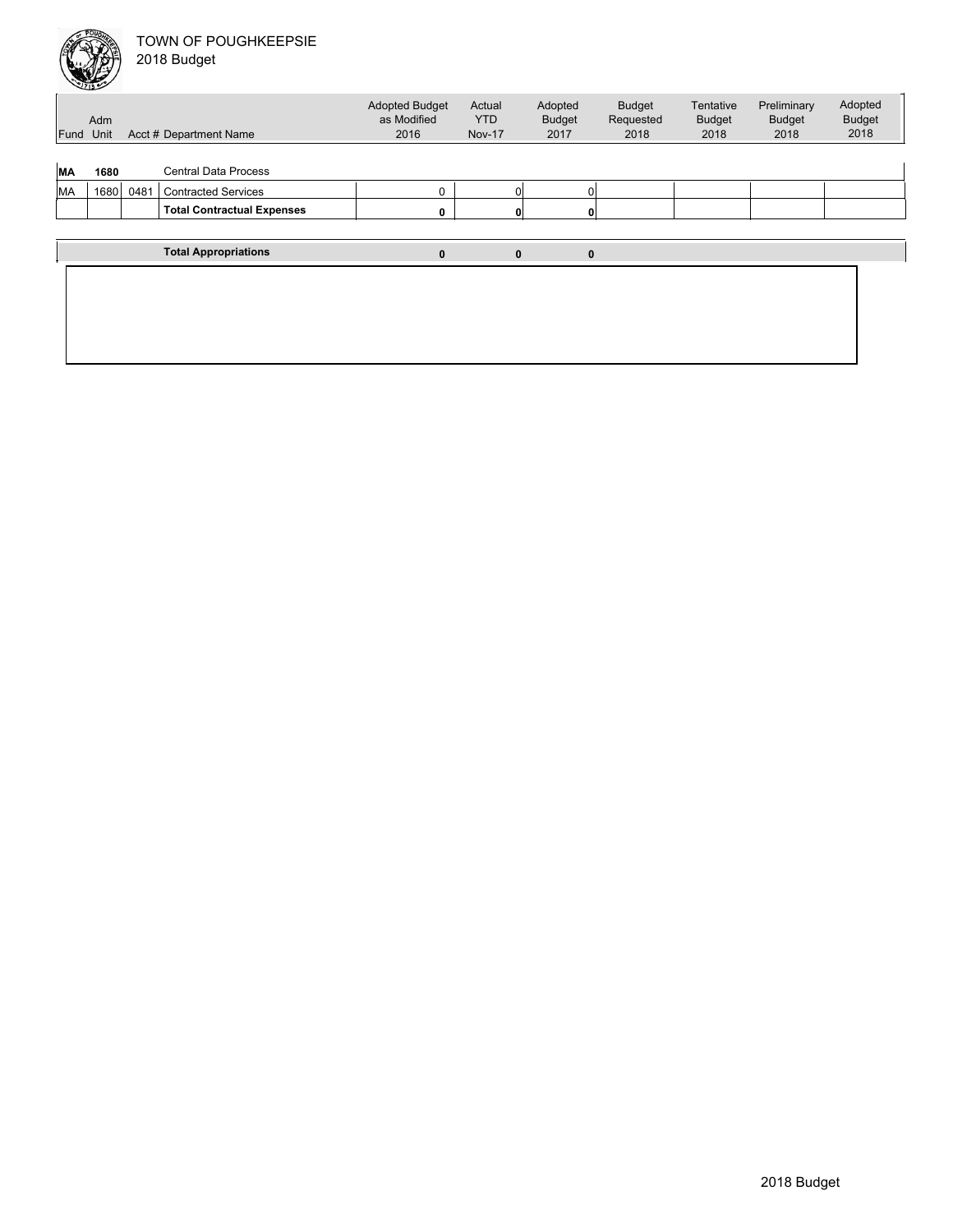|           | حنفلك                               |      |                                   |                                      |                      |                          |                            |                            |                              |                          |
|-----------|-------------------------------------|------|-----------------------------------|--------------------------------------|----------------------|--------------------------|----------------------------|----------------------------|------------------------------|--------------------------|
|           | Adm                                 |      |                                   | <b>Adopted Budget</b><br>as Modified | Actual<br><b>YTD</b> | Adopted<br><b>Budget</b> | <b>Budget</b><br>Requested | Tentative<br><b>Budget</b> | Preliminary<br><b>Budget</b> | Adopted<br><b>Budget</b> |
|           | Acct # Department Name<br>Fund Unit |      |                                   | 2016                                 | <b>Nov-17</b>        | 2017                     | 2018                       | 2018                       | 2018                         | 2018                     |
|           |                                     |      |                                   |                                      |                      |                          |                            |                            |                              |                          |
| <b>MA</b> | 1680                                |      | <b>Central Data Process</b>       |                                      |                      |                          |                            |                            |                              |                          |
| MA        | 1680                                | 0481 | <b>Contracted Services</b>        | 0                                    | $\Omega$             | 0                        |                            |                            |                              |                          |
|           |                                     |      | <b>Total Contractual Expenses</b> | 0                                    | 0                    | 0                        |                            |                            |                              |                          |
|           |                                     |      |                                   |                                      |                      |                          |                            |                            |                              |                          |
|           |                                     |      | <b>Total Appropriations</b>       | 0                                    | $\mathbf{0}$         | $\mathbf 0$              |                            |                            |                              |                          |
|           |                                     |      |                                   |                                      |                      |                          |                            |                            |                              |                          |
|           |                                     |      |                                   |                                      |                      |                          |                            |                            |                              |                          |
|           |                                     |      |                                   |                                      |                      |                          |                            |                            |                              |                          |
|           |                                     |      |                                   |                                      |                      |                          |                            |                            |                              |                          |
|           |                                     |      |                                   |                                      |                      |                          |                            |                            |                              |                          |
|           |                                     |      |                                   |                                      |                      |                          |                            |                            |                              |                          |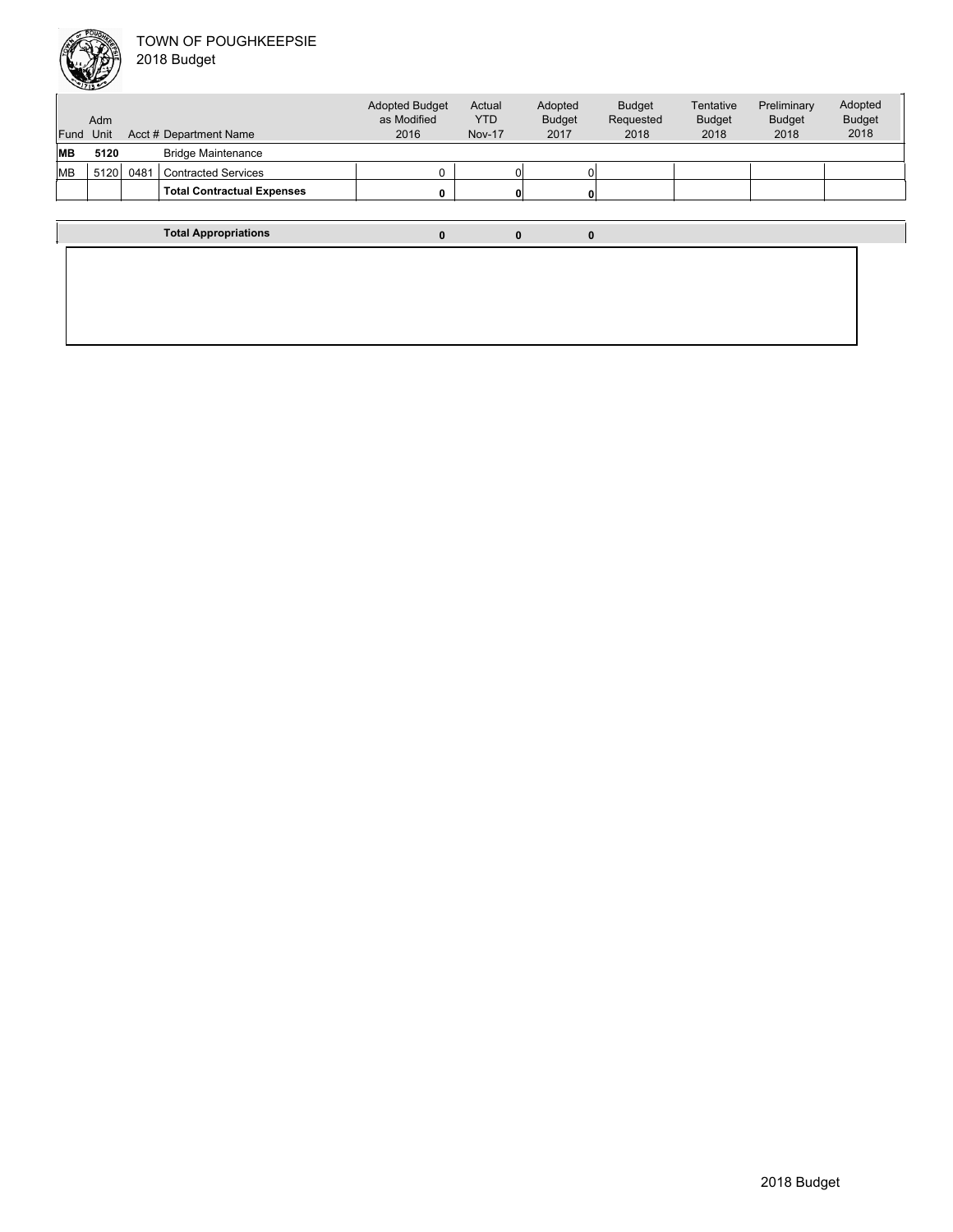

| Fund      | Adm<br>Unit |      | Acct # Department Name            | <b>Adopted Budget</b><br>as Modified<br>2016 | Actual<br><b>YTD</b><br><b>Nov-17</b> | Adopted<br><b>Budget</b><br>2017 | <b>Budget</b><br>Requested<br>2018 | Tentative<br><b>Budget</b><br>2018 | Preliminary<br><b>Budget</b><br>2018 | Adopted<br><b>Budget</b><br>2018 |
|-----------|-------------|------|-----------------------------------|----------------------------------------------|---------------------------------------|----------------------------------|------------------------------------|------------------------------------|--------------------------------------|----------------------------------|
| MВ        | 5120        |      | <b>Bridge Maintenance</b>         |                                              |                                       |                                  |                                    |                                    |                                      |                                  |
| <b>MB</b> | 5120        | 0481 | <b>Contracted Services</b>        |                                              |                                       |                                  |                                    |                                    |                                      |                                  |
|           |             |      | <b>Total Contractual Expenses</b> | 0                                            | 0                                     |                                  |                                    |                                    |                                      |                                  |
|           |             |      |                                   |                                              |                                       |                                  |                                    |                                    |                                      |                                  |
|           |             |      | <b>Total Appropriations</b>       | 0                                            |                                       | $\bf{0}$<br>0                    |                                    |                                    |                                      |                                  |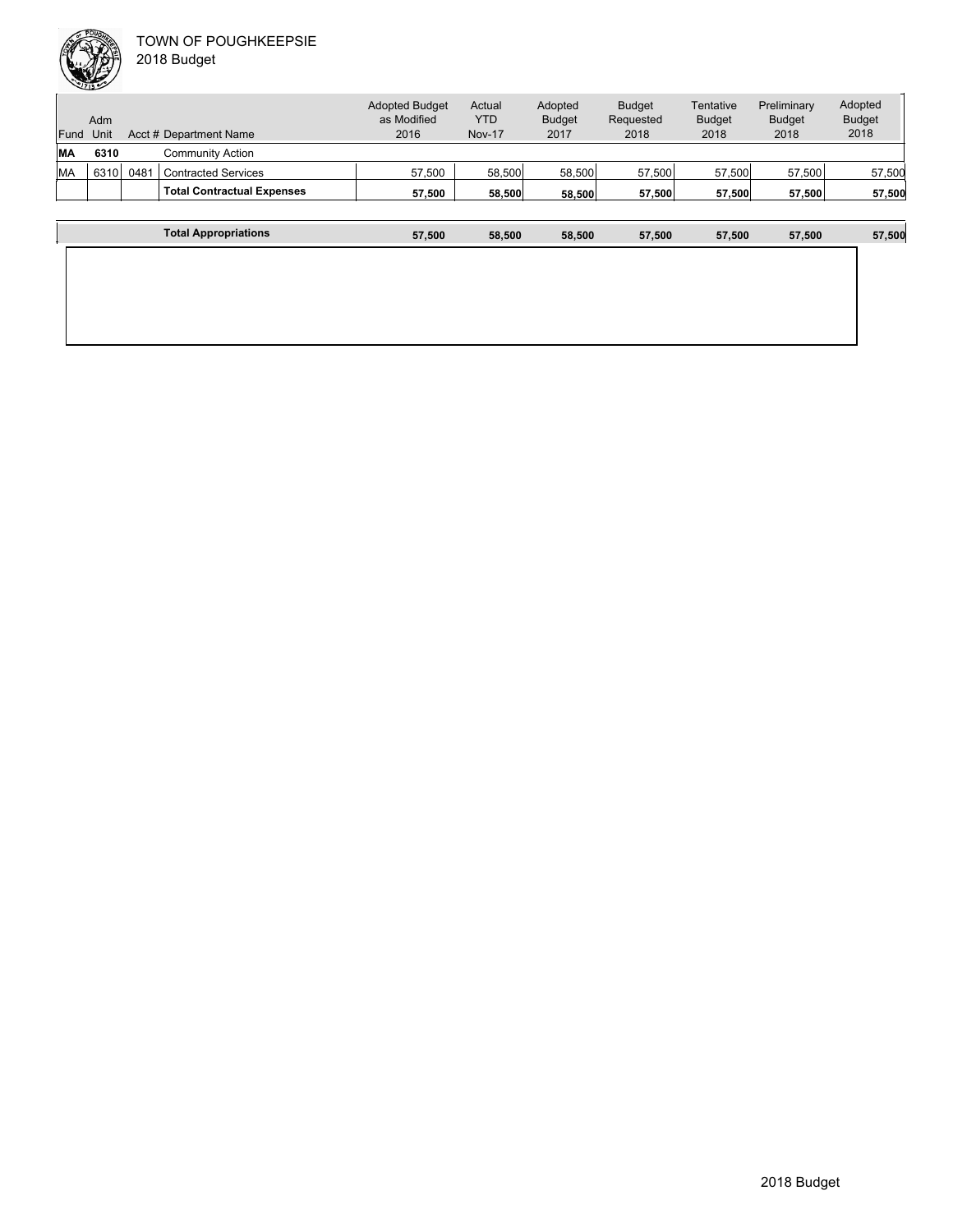| Fund      | Adm<br>Unit |      | Acct # Department Name            | <b>Adopted Budget</b><br>as Modified<br>2016 | Actual<br><b>YTD</b><br><b>Nov-17</b> | Adopted<br><b>Budget</b><br>2017 | <b>Budget</b><br>Requested<br>2018 | Tentative<br><b>Budget</b><br>2018 | Preliminary<br><b>Budget</b><br>2018 | Adopted<br><b>Budget</b><br>2018 |
|-----------|-------------|------|-----------------------------------|----------------------------------------------|---------------------------------------|----------------------------------|------------------------------------|------------------------------------|--------------------------------------|----------------------------------|
| <b>MA</b> | 6310        |      | Community Action                  |                                              |                                       |                                  |                                    |                                    |                                      |                                  |
| <b>MA</b> | 6310        | 0481 | <b>Contracted Services</b>        | 57,500                                       | 58,500                                | 58,500                           | 57,500                             | 57,500                             | 57,500                               | 57,500                           |
|           |             |      | <b>Total Contractual Expenses</b> | 57,500                                       | 58,500                                | 58.500                           | 57,500                             | 57,500                             | 57,500                               | 57,500                           |
|           |             |      |                                   |                                              |                                       |                                  |                                    |                                    |                                      |                                  |
|           |             |      | <b>Total Appropriations</b>       | 57.500                                       | 58,500                                | 58.500                           | 57.500                             | 57,500                             | 57.500                               | 57,500                           |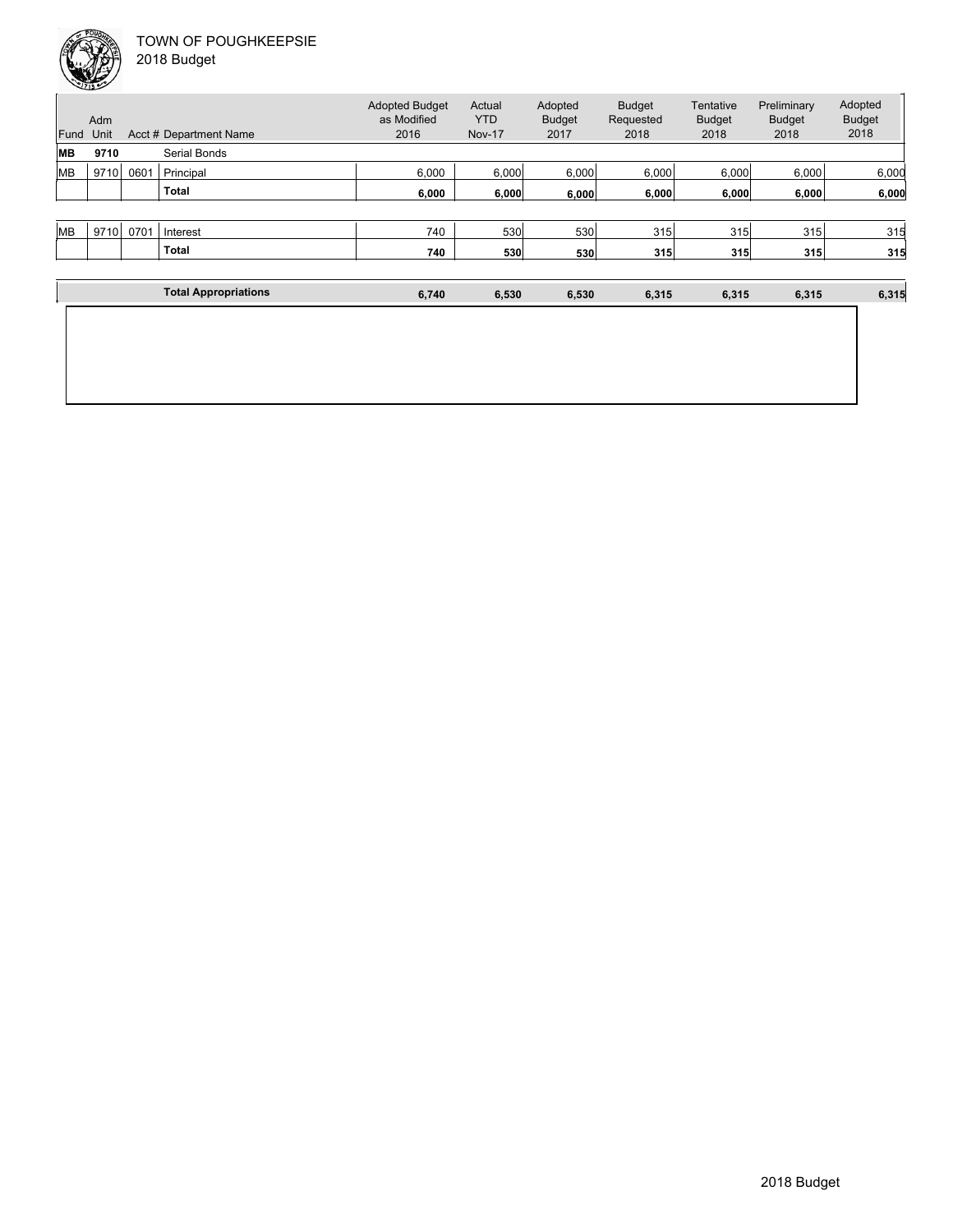| Fund      | Adm<br>Unit |      | Acct # Department Name | <b>Adopted Budget</b><br>as Modified<br>2016 | Actual<br><b>YTD</b><br><b>Nov-17</b> | Adopted<br><b>Budget</b><br>2017 | <b>Budget</b><br>Requested<br>2018 | Tentative<br><b>Budget</b><br>2018 | Preliminary<br><b>Budget</b><br>2018 | Adopted<br><b>Budget</b><br>2018 |
|-----------|-------------|------|------------------------|----------------------------------------------|---------------------------------------|----------------------------------|------------------------------------|------------------------------------|--------------------------------------|----------------------------------|
| MВ        | 9710        |      | Serial Bonds           |                                              |                                       |                                  |                                    |                                    |                                      |                                  |
| <b>MB</b> | 9710        | 0601 | Principal              | 6,000                                        | 6,000                                 | 6,000                            | 6,000                              | 6,000                              | 6,000                                | 6,000                            |
|           |             |      | <b>Total</b>           | 6,000                                        | 6,000                                 | 6,000                            | 6,000                              | 6,000                              | 6,000                                | 6,000                            |
|           |             |      |                        |                                              |                                       |                                  |                                    |                                    |                                      |                                  |
| <b>MB</b> | 9710        | 0701 | Interest               | 740                                          | 530                                   | 530                              | 315                                | 315                                | 315                                  | 315                              |
|           |             |      | <b>Total</b>           | 740                                          | 530                                   | 530                              | 315                                | 315                                | 315                                  | 315                              |
|           |             |      |                        |                                              |                                       |                                  |                                    |                                    |                                      |                                  |

| <b>Total Appropriations</b> | 6,740 | 6,530 | 6,530 | 6,315 | 6,315 | 6,315 | 6,315 |
|-----------------------------|-------|-------|-------|-------|-------|-------|-------|
|                             |       |       |       |       |       |       |       |
|                             |       |       |       |       |       |       |       |
|                             |       |       |       |       |       |       |       |
|                             |       |       |       |       |       |       |       |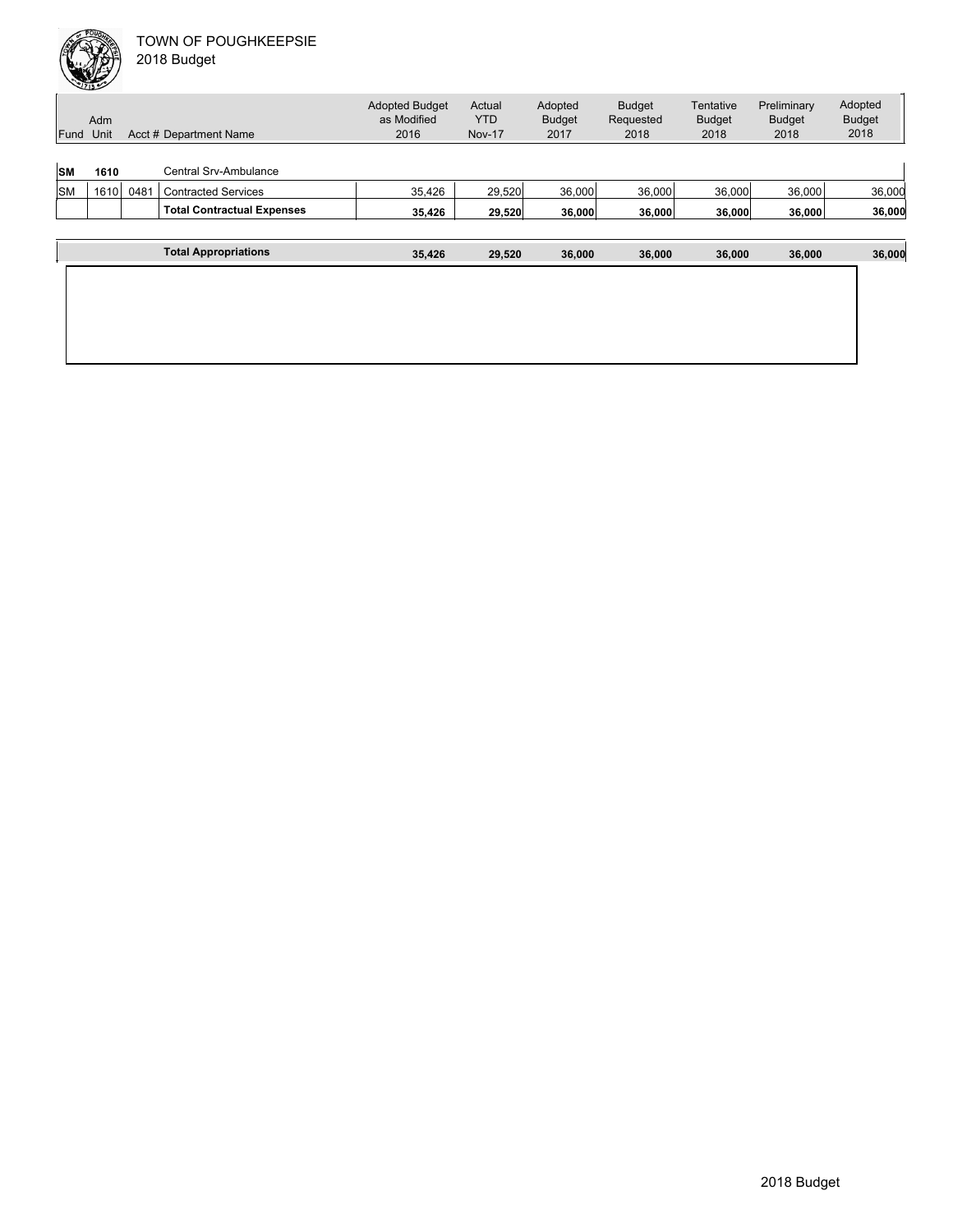| Fund      | Adm<br>Unit |      | Acct # Department Name            | <b>Adopted Budget</b><br>as Modified<br>2016 | Actual<br><b>YTD</b><br><b>Nov-17</b> | Adopted<br><b>Budget</b><br>2017 | <b>Budget</b><br>Requested<br>2018 | Tentative<br><b>Budget</b><br>2018 | Preliminary<br><b>Budget</b><br>2018 | Adopted<br><b>Budget</b><br>2018 |
|-----------|-------------|------|-----------------------------------|----------------------------------------------|---------------------------------------|----------------------------------|------------------------------------|------------------------------------|--------------------------------------|----------------------------------|
| <b>SM</b> | 1610        |      | <b>Central Srv-Ambulance</b>      |                                              |                                       |                                  |                                    |                                    |                                      |                                  |
| <b>SM</b> | 1610        | 0481 | <b>Contracted Services</b>        | 35,426                                       | 29,520                                | 36,000                           | 36,000                             | 36,000                             | 36,000                               | 36,000                           |
|           |             |      | <b>Total Contractual Expenses</b> | 35,426                                       | 29,520                                | 36,000                           | 36,000                             | 36,000                             | 36,000                               | 36,000                           |
|           |             |      |                                   |                                              |                                       |                                  |                                    |                                    |                                      |                                  |
|           |             |      | <b>Total Appropriations</b>       | 35,426                                       | 29,520                                | 36,000                           | 36,000                             | 36,000                             | 36,000                               | 36,000                           |
|           |             |      |                                   |                                              |                                       |                                  |                                    |                                    |                                      |                                  |
|           |             |      |                                   |                                              |                                       |                                  |                                    |                                    |                                      |                                  |
|           |             |      |                                   |                                              |                                       |                                  |                                    |                                    |                                      |                                  |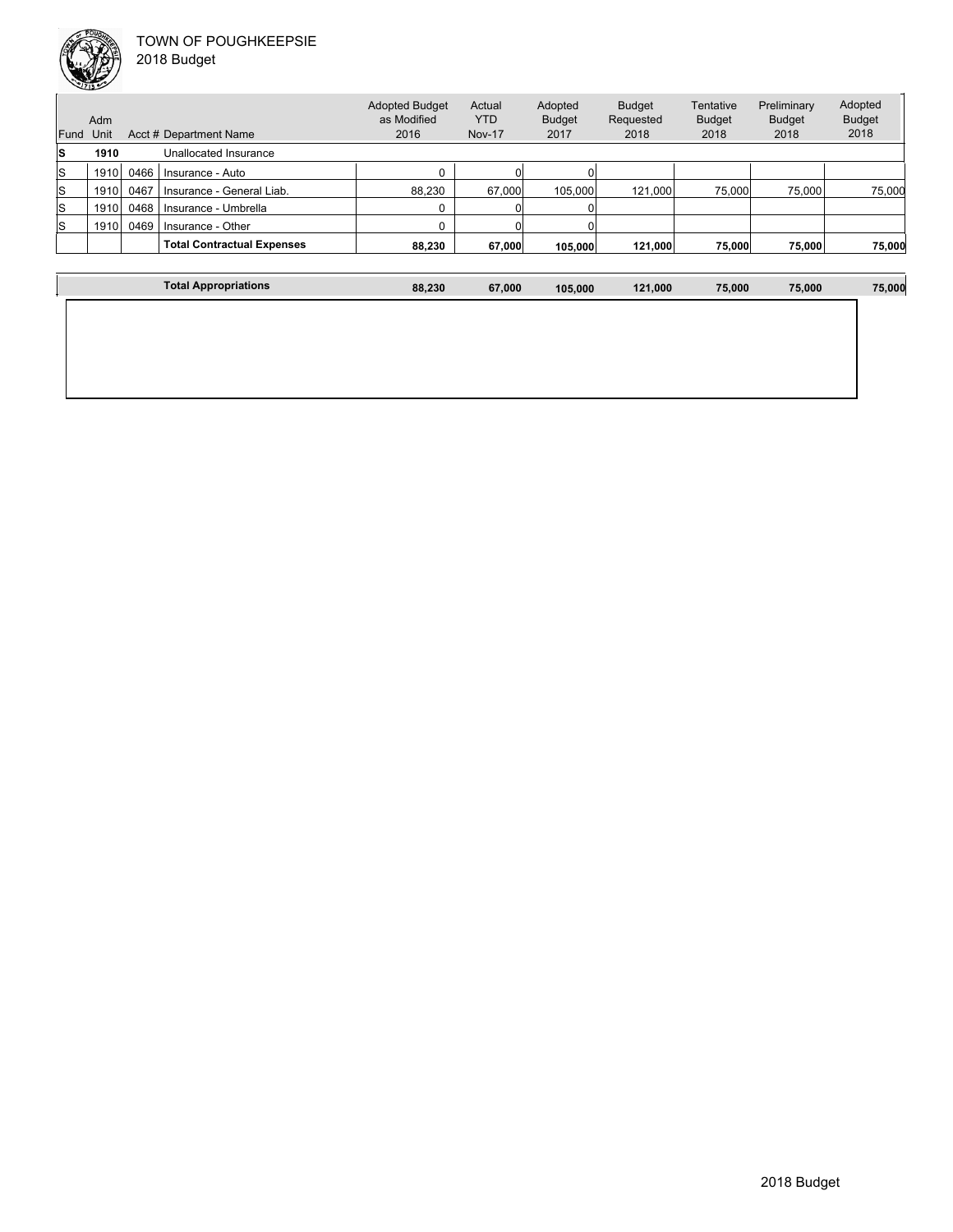

Unit Acct # Department Name Adm Actual YTD Nov-17 Budget Requested 2018 **Tentative** Budget 2018 Preliminary Budget 2018 Adopted Budget 2018 Adopted Budget as Modified 2016 Fund Unit Adopted Budget 2017 **S 1910** Unallocated Insurance S 1910 0466 Insurance - Auto 0 0 0 S 1910 0467 Insurance - General Liab. 88,230 67,000 105,000 121,000 75,000 75,000 75,000  $\begin{array}{|c|c|c|c|c|}\hline \small{S} & \small{1910} & \small{0468} & \small{Insurance - Umbrella} \ \hline \end{array} \hspace{1.2cm} \begin{array}{c} \small{O} & \small{O} & \small{O} & \small{O} \ \hline \end{array}$ S 1910 0469 Insurance - Other 0 0 0 **Total Contractual Expenses 88,230 67,000 105,000 121,000 75,000 75,000 75,000**

| <b>Total Appropriations</b> | 88,230 | 67,000 | 105,000 | 121,000 | 75,000 | 75,000 | 75,000 |
|-----------------------------|--------|--------|---------|---------|--------|--------|--------|
|                             |        |        |         |         |        |        |        |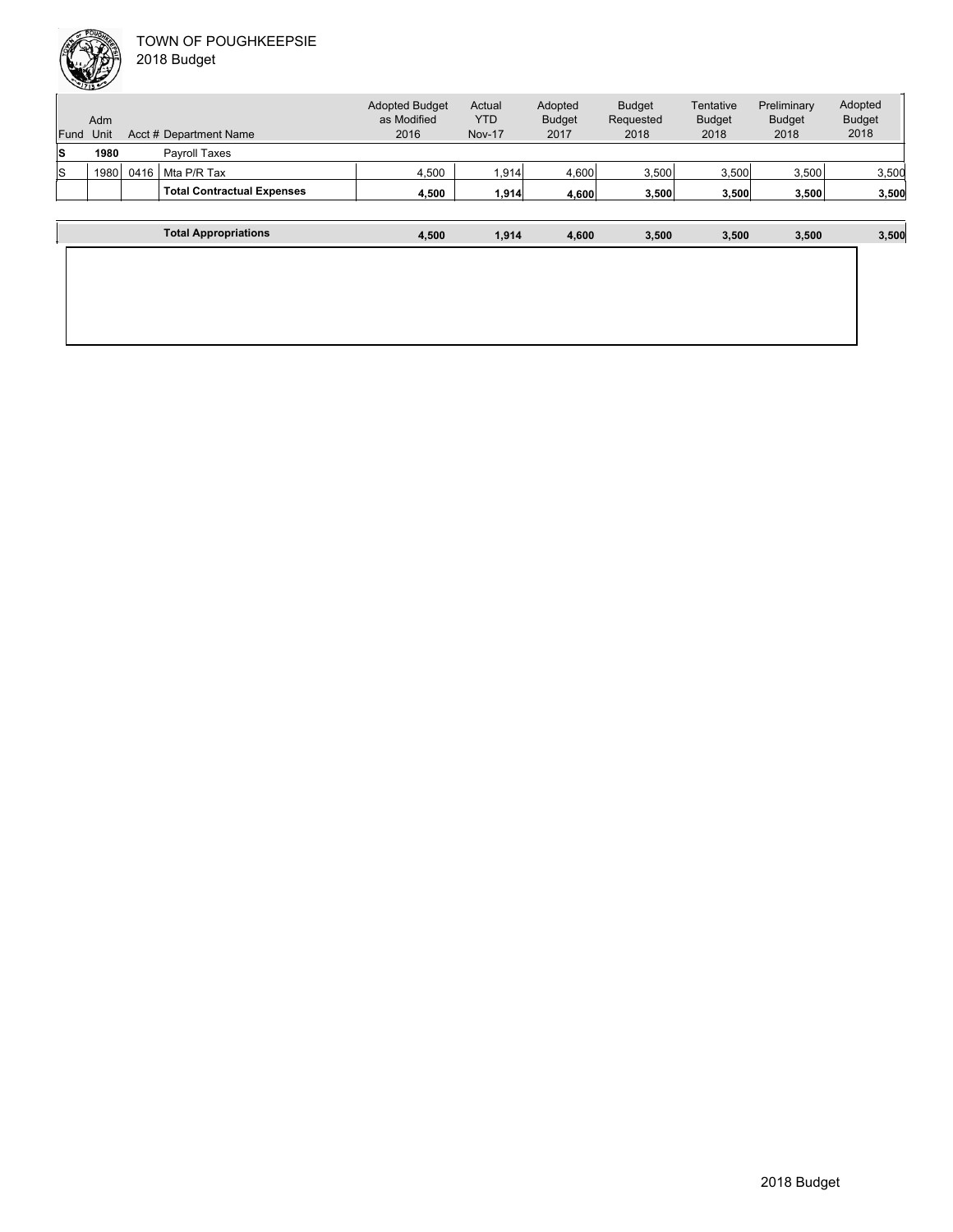| Fund | Adm<br>Unit |      | Acct # Department Name            | <b>Adopted Budget</b><br>as Modified<br>2016 | Actual<br><b>YTD</b><br><b>Nov-17</b> | Adopted<br><b>Budget</b><br>2017 | <b>Budget</b><br>Requested<br>2018 | Tentative<br><b>Budget</b><br>2018 | Preliminary<br><b>Budget</b><br>2018 | Adopted<br><b>Budget</b><br>2018 |
|------|-------------|------|-----------------------------------|----------------------------------------------|---------------------------------------|----------------------------------|------------------------------------|------------------------------------|--------------------------------------|----------------------------------|
| ls   | 1980        |      | <b>Pavroll Taxes</b>              |                                              |                                       |                                  |                                    |                                    |                                      |                                  |
| ls   | 1980        | 0416 | Mta P/R Tax                       | 4.500                                        | 1,914                                 | 4,600                            | 3,500                              | 3,500                              | 3.500                                | 3,500                            |
|      |             |      | <b>Total Contractual Expenses</b> | 4.500                                        | 1.914                                 | 4.600                            | 3,500                              | 3,500                              | 3.500                                | 3,500                            |
|      |             |      | <b>Total Appropriations</b>       | 4.500                                        | 1.914                                 | 4.600                            | 3.500                              | 3.500                              | 3.500                                | 3,500                            |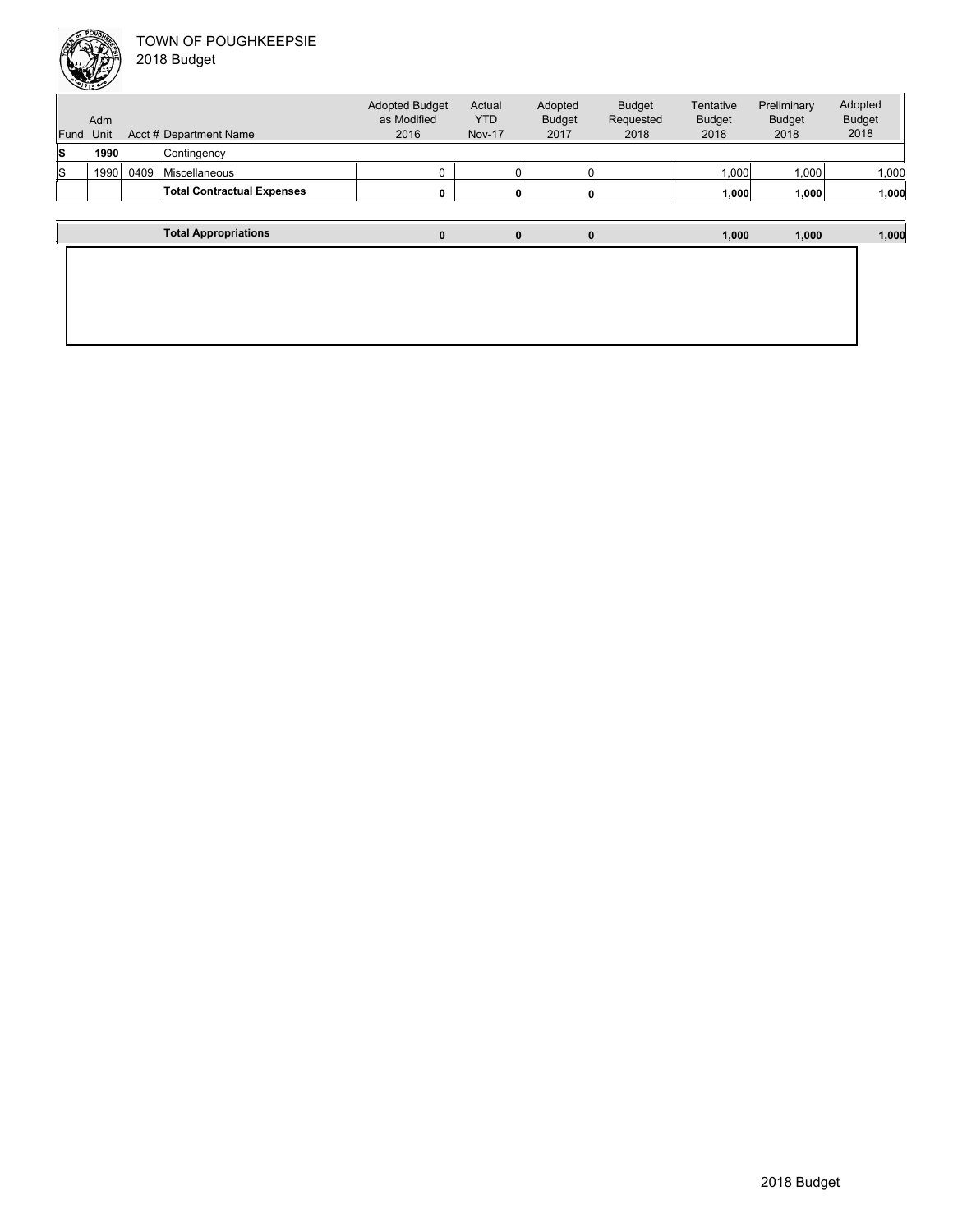

|  | 018 Budget |  |
|--|------------|--|
|--|------------|--|

| Fund | Adm<br>Unit |      | Acct # Department Name            | <b>Adopted Budget</b><br>as Modified<br>2016 | Actual<br><b>YTD</b><br><b>Nov-17</b> | Adopted<br><b>Budget</b><br>2017 | <b>Budget</b><br>Requested<br>2018 | Tentative<br><b>Budget</b><br>2018 | Preliminary<br><b>Budget</b><br>2018 | Adopted<br><b>Budget</b><br>2018 |
|------|-------------|------|-----------------------------------|----------------------------------------------|---------------------------------------|----------------------------------|------------------------------------|------------------------------------|--------------------------------------|----------------------------------|
| s    | 1990        |      | Contingency                       |                                              |                                       |                                  |                                    |                                    |                                      |                                  |
| S    | 1990        | 0409 | Miscellaneous                     | 0                                            |                                       |                                  |                                    | 1,000                              | 1,000                                | 1,000                            |
|      |             |      | <b>Total Contractual Expenses</b> | 0                                            | 0                                     | 0                                |                                    | 1,000                              | 1,000                                | 1,000                            |
|      |             |      |                                   |                                              |                                       |                                  |                                    |                                    |                                      |                                  |
|      |             |      | <b>Total Appropriations</b>       | $\bf{0}$                                     | $\mathbf{0}$                          | $\mathbf 0$                      |                                    | 1,000                              | 1,000                                | 1,000                            |
|      |             |      |                                   |                                              |                                       |                                  |                                    |                                    |                                      |                                  |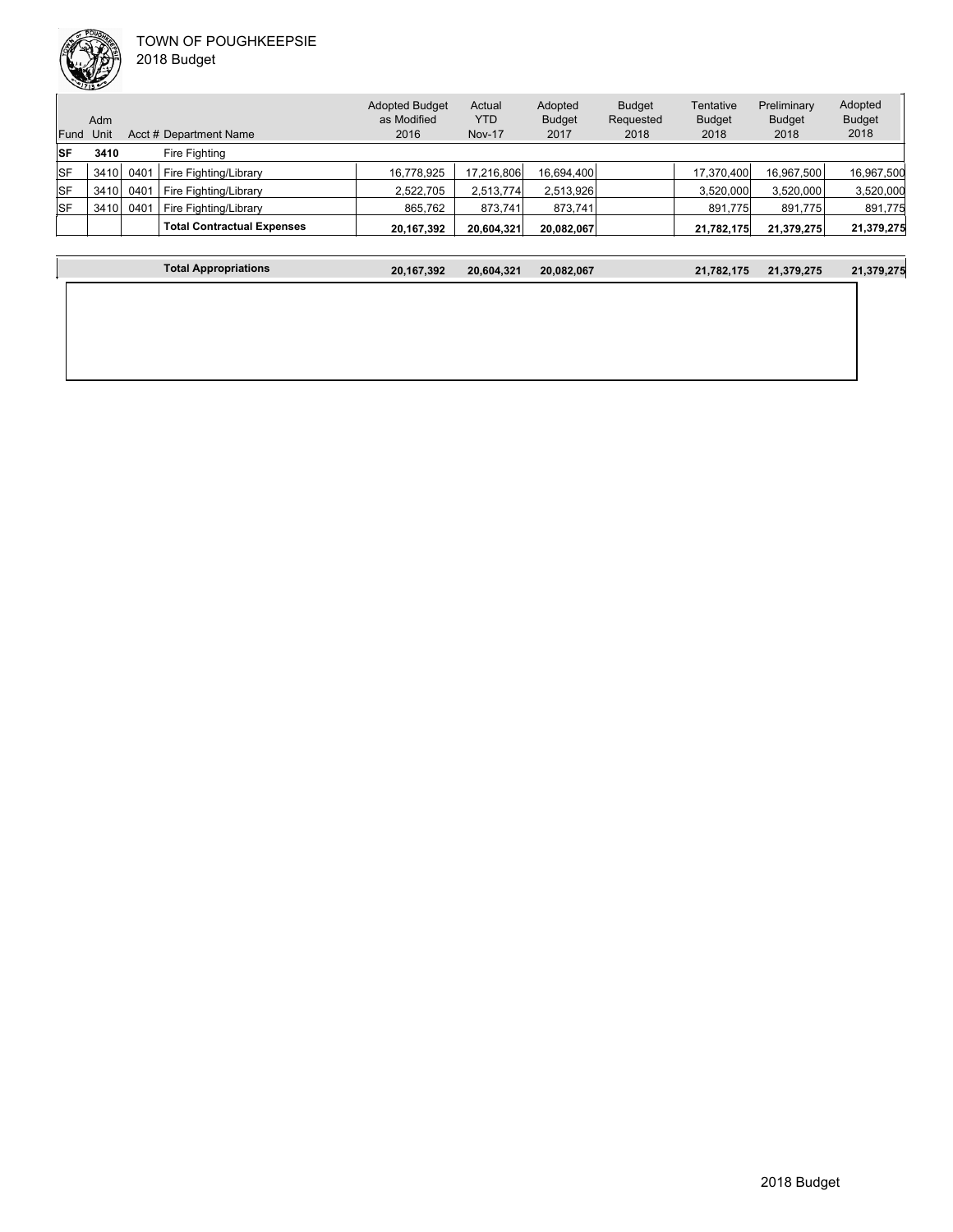

|           | Adm  |      |                                   | <b>Adopted Budget</b><br>as Modified | Actual<br><b>YTD</b> | Adopted<br><b>Budget</b> | <b>Budget</b><br>Requested | Tentative<br><b>Budget</b> | Preliminary<br><b>Budget</b> | Adopted<br><b>Budget</b> |
|-----------|------|------|-----------------------------------|--------------------------------------|----------------------|--------------------------|----------------------------|----------------------------|------------------------------|--------------------------|
| Fund Unit |      |      | Acct # Department Name            | 2016                                 | <b>Nov-17</b>        | 2017                     | 2018                       | 2018                       | 2018                         | 2018                     |
| <b>SF</b> | 3410 |      | Fire Fighting                     |                                      |                      |                          |                            |                            |                              |                          |
| lSF       | 3410 | 0401 | Fire Fighting/Library             | 16,778,925                           | 17,216,806           | 16,694,400               |                            | 17,370,400                 | 16,967,500                   | 16,967,500               |
| lSF       | 3410 | 0401 | Fire Fighting/Library             | 2,522,705                            | 2,513,774            | 2,513,926                |                            | 3,520,000                  | 3,520,000                    | 3,520,000                |
| <b>SF</b> | 3410 | 0401 | Fire Fighting/Library             | 865.762                              | 873.741              | 873.741                  |                            | 891.775                    | 891,775                      | 891,775                  |
|           |      |      | <b>Total Contractual Expenses</b> | 20,167,392                           | 20,604,321           | 20,082,067               |                            | 21,782,175                 | 21,379,275                   | 21,379,275               |

| <b>Total Appropriations</b> | 20,167,392 | 20,604,321 | 20,082,067 | 21,782,175 | 21,379,275 | 21,379,275 |
|-----------------------------|------------|------------|------------|------------|------------|------------|
|                             |            |            |            |            |            |            |
|                             |            |            |            |            |            |            |
|                             |            |            |            |            |            |            |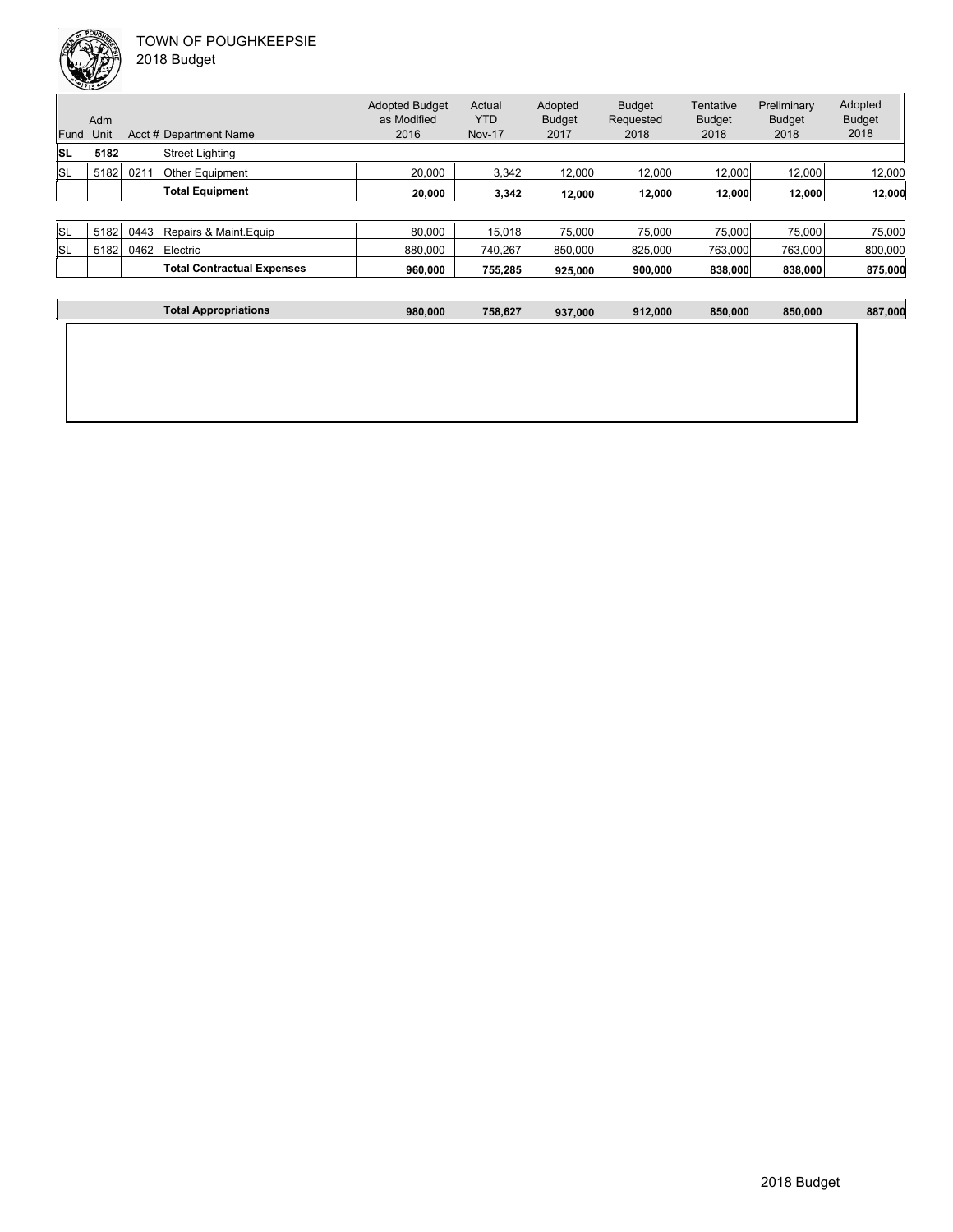| Fund | Adm<br>Unit |      | Acct # Department Name | <b>Adopted Budget</b><br>as Modified<br>2016 | Actual<br><b>YTD</b><br><b>Nov-17</b> | Adopted<br><b>Budget</b><br>2017 | <b>Budget</b><br>Requested<br>2018 | Tentative<br><b>Budget</b><br>2018 | Preliminary<br><b>Budget</b><br>2018 | Adopted<br><b>Budget</b><br>2018 |
|------|-------------|------|------------------------|----------------------------------------------|---------------------------------------|----------------------------------|------------------------------------|------------------------------------|--------------------------------------|----------------------------------|
| ISL  | 5182        |      | <b>Street Lighting</b> |                                              |                                       |                                  |                                    |                                    |                                      |                                  |
| lsl  | 5182        | 021  | <b>Other Equipment</b> | 20,000                                       | 3,342                                 | 12.000                           | 12,000                             | 12.000                             | 12.000                               | 12,000                           |
|      |             |      | <b>Total Equipment</b> | 20,000                                       | 3,342                                 | 12.000                           | 12,000                             | 12,000                             | 12.000                               | 12,000                           |
|      |             |      |                        |                                              |                                       |                                  |                                    |                                    |                                      |                                  |
| lsl  | 5182        | 0443 | Repairs & Maint. Equip | 80.000                                       | 15,018                                | 75,000                           | 75.000                             | 75,000                             | 75,000                               | 75,000                           |

|           |             |      | <b>Total Contractual Expenses</b> | 960.000 | 755.285  | 925.000 | 900.000 | 838.000 | 838.000 | 875,000 |
|-----------|-------------|------|-----------------------------------|---------|----------|---------|---------|---------|---------|---------|
| <b>SL</b> | 5182        | 0462 | Electric                          | 880.000 | 740.267  | 850.000 | 825.000 | 763.000 | 763.000 | 800.000 |
| ∣ง∟       | <b>PIOZ</b> | U44, | Repairs & Mairic Equip            | ov.vvv  | 10.U IOI | / JUU.G | rojuu.c | , vuu.c | UUU.C   | ro.uuu  |

| <b>Total Appropriations</b><br>980,000 | 758,627 | 937,000 | 912,000 | 850,000 | 850,000 | 887,000 |
|----------------------------------------|---------|---------|---------|---------|---------|---------|
|                                        |         |         |         |         |         |         |
|                                        |         |         |         |         |         |         |
|                                        |         |         |         |         |         |         |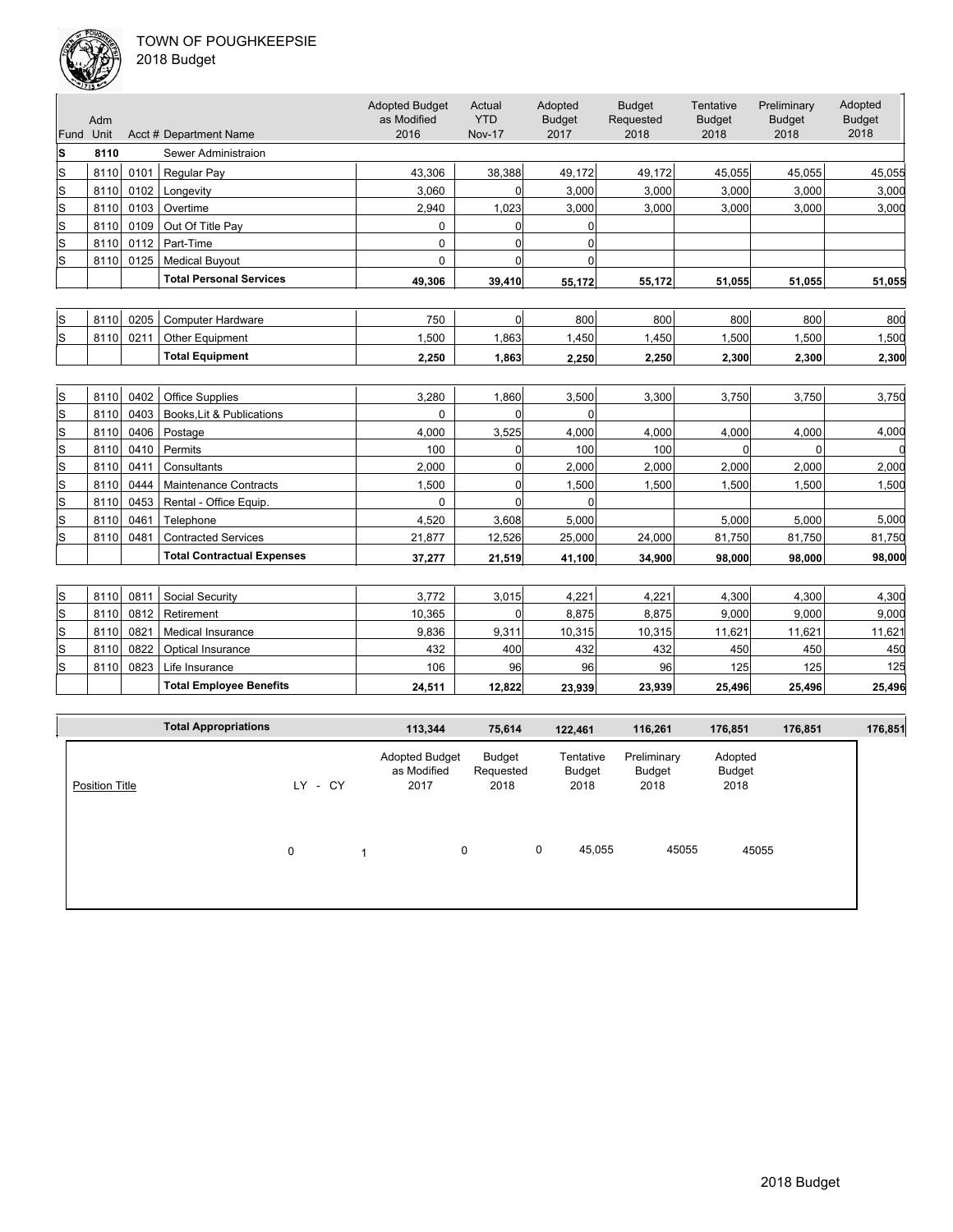

| :018 Budget |
|-------------|
|             |

|           | حصد  |      |                                   |                                              |                                       |                                  |                                    |                                    |                                      |                                  |
|-----------|------|------|-----------------------------------|----------------------------------------------|---------------------------------------|----------------------------------|------------------------------------|------------------------------------|--------------------------------------|----------------------------------|
| Fund Unit | Adm  |      | Acct # Department Name            | <b>Adopted Budget</b><br>as Modified<br>2016 | Actual<br><b>YTD</b><br><b>Nov-17</b> | Adopted<br><b>Budget</b><br>2017 | <b>Budget</b><br>Requested<br>2018 | Tentative<br><b>Budget</b><br>2018 | Preliminary<br><b>Budget</b><br>2018 | Adopted<br><b>Budget</b><br>2018 |
| ls        | 8110 |      | Sewer Administraion               |                                              |                                       |                                  |                                    |                                    |                                      |                                  |
| lS        | 8110 | 0101 | Regular Pay                       | 43,306                                       | 38,388                                | 49,172                           | 49,172                             | 45,055                             | 45,055                               | 45,055                           |
| S         | 8110 | 0102 | Longevity                         | 3,060                                        | 0                                     | 3,000                            | 3,000                              | 3,000                              | 3,000                                | 3,000                            |
| ls        | 8110 | 0103 | Overtime                          | 2,940                                        | 1,023                                 | 3,000                            | 3,000                              | 3,000                              | 3,000                                | 3,000                            |
| ls        | 8110 | 0109 | Out Of Title Pay                  | 0                                            | 0                                     | 0                                |                                    |                                    |                                      |                                  |
| ls        | 8110 | 0112 | Part-Time                         | 0                                            | $\overline{0}$                        | $\Omega$                         |                                    |                                    |                                      |                                  |
| ls        | 8110 | 0125 | <b>Medical Buyout</b>             | $\Omega$                                     | $\Omega$                              | $\Omega$                         |                                    |                                    |                                      |                                  |
|           |      |      | <b>Total Personal Services</b>    | 49,306                                       | 39,410                                | 55,172                           | 55,172                             | 51,055                             | 51,055                               | 51,055                           |
|           |      |      |                                   |                                              |                                       |                                  |                                    |                                    |                                      |                                  |
| ls        | 8110 | 0205 | <b>Computer Hardware</b>          | 750                                          | 0                                     | 800                              | 800                                | 800                                | 800                                  | 800                              |
| ls        | 8110 | 0211 | Other Equipment                   | 1.500                                        | 1.863                                 | 1,450                            | 1,450                              | 1,500                              | 1,500                                | 1,500                            |
|           |      |      | <b>Total Equipment</b>            | 2,250                                        | 1,863                                 | 2,250                            | 2,250                              | 2,300                              | 2,300                                | 2,300                            |
|           |      |      |                                   |                                              |                                       |                                  |                                    |                                    |                                      |                                  |
| ls        | 8110 | 0402 | <b>Office Supplies</b>            | 3.280                                        | 1,860                                 | 3,500                            | 3,300                              | 3,750                              | 3.750                                | 3,750                            |
| S         | 8110 | 0403 | Books. Lit & Publications         | $\Omega$                                     | $\mathbf 0$                           | $\Omega$                         |                                    |                                    |                                      |                                  |
| S         | 8110 | 0406 | Postage                           | 4.000                                        | 3,525                                 | 4.000                            | 4,000                              | 4,000                              | 4,000                                | 4,000                            |
| S         | 8110 | 0410 | Permits                           | 100                                          | $\overline{0}$                        | 100                              | 100                                | $\Omega$                           | $\Omega$                             |                                  |
| S         | 8110 | 0411 | Consultants                       | 2,000                                        | 0                                     | 2.000                            | 2,000                              | 2,000                              | 2,000                                | 2,000                            |
| S         | 8110 | 0444 | <b>Maintenance Contracts</b>      | 1.500                                        | $\Omega$                              | 1,500                            | 1,500                              | 1,500                              | 1,500                                | 1,500                            |
| S         | 8110 | 0453 | Rental - Office Equip.            | 0                                            | $\mathbf 0$                           | $\Omega$                         |                                    |                                    |                                      |                                  |
| S         | 8110 | 0461 | Telephone                         | 4,520                                        | 3,608                                 | 5,000                            |                                    | 5,000                              | 5,000                                | 5,000                            |
| ls        | 8110 | 0481 | <b>Contracted Services</b>        | 21,877                                       | 12,526                                | 25,000                           | 24,000                             | 81,750                             | 81,750                               | 81,750                           |
|           |      |      | <b>Total Contractual Expenses</b> | 37,277                                       | 21,519                                | 41,100                           | 34,900                             | 98,000                             | 98.000                               | 98,000                           |
|           |      |      |                                   |                                              |                                       |                                  |                                    |                                    |                                      |                                  |
| S         | 8110 | 0811 | Social Security                   | 3,772                                        | 3,015                                 | 4,221                            | 4,221                              | 4,300                              | 4,300                                | 4,300                            |
| S         | 8110 | 0812 | Retirement                        | 10,365                                       | 0                                     | 8,875                            | 8,875                              | 9,000                              | 9,000                                | 9,000                            |
| S         | 8110 | 0821 | <b>Medical Insurance</b>          | 9,836                                        | 9,311                                 | 10,315                           | 10,315                             | 11,621                             | 11,621                               | 11,621                           |
| S         | 8110 | 0822 | Optical Insurance                 | 432                                          | 400                                   | 432                              | 432                                | 450                                | 450                                  | 450                              |
| S         | 8110 | 0823 | Life Insurance                    | 106                                          | 96                                    | 96                               | 96                                 | 125                                | 125                                  | 125                              |
|           |      |      | <b>Total Employee Benefits</b>    | 24,511                                       | 12.822                                | 23,939                           | 23,939                             | 25.496                             | 25,496                               | 25,496                           |
|           |      |      |                                   |                                              |                                       |                                  |                                    |                                    |                                      |                                  |
|           |      |      | <b>Total Appropriations</b>       | 113,344                                      | 75.614                                | 122,461                          | 116,261                            | 176.851                            | 176,851                              | 176,851                          |

|                       | <b>Total Appropriations</b> |             | 113,344                                      | 75,614                      |   | 122,461                     | 116,261                       | 176,851                   | 176,851 | 176,851 |
|-----------------------|-----------------------------|-------------|----------------------------------------------|-----------------------------|---|-----------------------------|-------------------------------|---------------------------|---------|---------|
| <b>Position Title</b> |                             | - CY<br>LY. | <b>Adopted Budget</b><br>as Modified<br>2017 | Budget<br>Requested<br>2018 |   | Tentative<br>Budget<br>2018 | Preliminary<br>Budget<br>2018 | Adopted<br>Budget<br>2018 |         |         |
|                       |                             | 0           | 0                                            |                             | 0 | 45,055                      | 45055                         | 45055                     |         |         |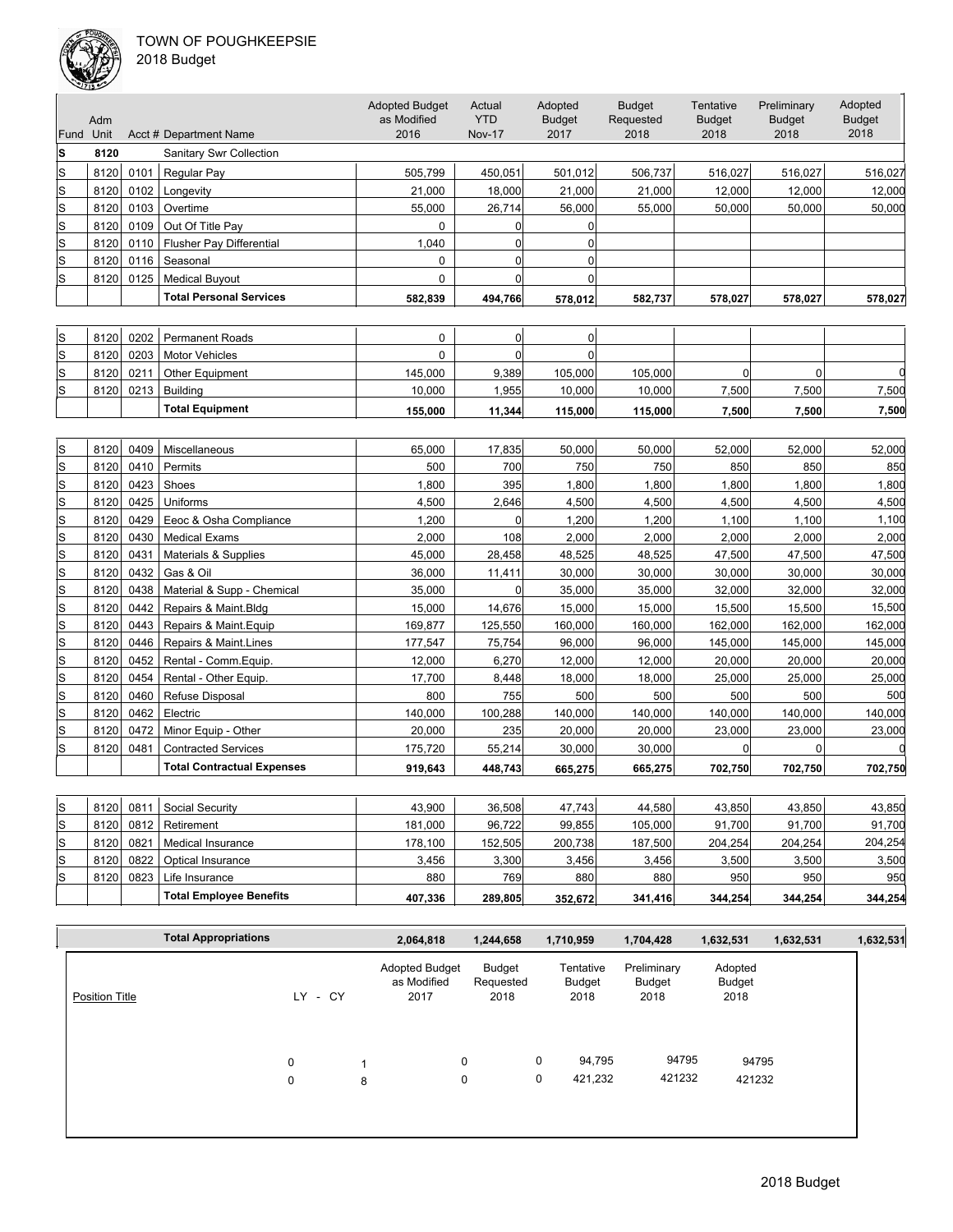

|  | 2018 Budget |  |
|--|-------------|--|
|--|-------------|--|

| Fund Unit   | Adm  |      | Acct # Department Name            | <b>Adopted Budget</b><br>as Modified<br>2016 | Actual<br><b>YTD</b><br><b>Nov-17</b> | Adopted<br><b>Budget</b><br>2017 | <b>Budget</b><br>Requested<br>2018 | Tentative<br><b>Budget</b><br>2018 | Preliminary<br><b>Budget</b><br>2018 | Adopted<br><b>Budget</b><br>2018 |
|-------------|------|------|-----------------------------------|----------------------------------------------|---------------------------------------|----------------------------------|------------------------------------|------------------------------------|--------------------------------------|----------------------------------|
| S           | 8120 |      | <b>Sanitary Swr Collection</b>    |                                              |                                       |                                  |                                    |                                    |                                      |                                  |
| ls          | 8120 | 0101 | Regular Pay                       | 505,799                                      | 450,051                               | 501,012                          | 506,737                            | 516,027                            | 516,027                              | 516,027                          |
| S           | 8120 | 0102 | Longevity                         | 21,000                                       | 18,000                                | 21,000                           | 21,000                             | 12,000                             | 12,000                               | 12,000                           |
| lS          | 8120 | 0103 | Overtime                          | 55,000                                       | 26,714                                | 56,000                           | 55,000                             | 50,000                             | 50,000                               | 50,000                           |
| S           | 8120 | 0109 | Out Of Title Pay                  | 0                                            | 0                                     | 0                                |                                    |                                    |                                      |                                  |
| $\mathbf S$ | 8120 | 0110 | <b>Flusher Pay Differential</b>   | 1,040                                        | 0                                     | $\mathbf 0$                      |                                    |                                    |                                      |                                  |
| S           | 8120 | 0116 | Seasonal                          | $\mathbf 0$                                  | $\overline{0}$                        | $\mathbf 0$                      |                                    |                                    |                                      |                                  |
| ls          | 8120 | 0125 | <b>Medical Buyout</b>             | $\mathbf 0$                                  | $\overline{0}$                        | $\mathbf 0$                      |                                    |                                    |                                      |                                  |
|             |      |      | <b>Total Personal Services</b>    | 582,839                                      | 494,766                               | 578,012                          | 582,737                            | 578,027                            | 578,027                              | 578,027                          |
|             |      |      |                                   |                                              |                                       |                                  |                                    |                                    |                                      |                                  |
| S           | 8120 | 0202 | <b>Permanent Roads</b>            | $\pmb{0}$                                    | $\overline{0}$                        | $\pmb{0}$                        |                                    |                                    |                                      |                                  |
| ls          | 8120 | 0203 | <b>Motor Vehicles</b>             | $\mathbf{0}$                                 | $\Omega$                              | $\Omega$                         |                                    |                                    |                                      |                                  |
| S           | 8120 | 0211 | Other Equipment                   | 145,000                                      | 9,389                                 | 105,000                          | 105,000                            | $\Omega$                           | 0                                    |                                  |
| S           | 8120 | 0213 | <b>Building</b>                   | 10,000                                       | 1,955                                 | 10,000                           | 10,000                             | 7,500                              | 7,500                                | 7,500                            |
|             |      |      | <b>Total Equipment</b>            | 155,000                                      | 11,344                                | 115,000                          | 115,000                            | 7,500                              | 7,500                                | 7,500                            |
|             |      |      |                                   |                                              |                                       |                                  |                                    |                                    |                                      |                                  |
| ls          | 8120 | 0409 | Miscellaneous                     | 65,000                                       | 17,835                                | 50,000                           | 50,000                             | 52,000                             | 52,000                               | 52,000                           |
| S           | 8120 | 0410 | Permits                           | 500                                          | 700                                   | 750                              | 750                                | 850                                | 850                                  | 850                              |
| S           | 8120 | 0423 | Shoes                             | 1,800                                        | 395                                   | 1,800                            | 1,800                              | 1,800                              | 1,800                                | 1,800                            |
| S           | 8120 | 0425 | Uniforms                          | 4,500                                        | 2,646                                 | 4,500                            | 4,500                              | 4,500                              | 4,500                                | 4,500                            |
| S           | 8120 | 0429 | Eeoc & Osha Compliance            | 1,200                                        | $\overline{0}$                        | 1,200                            | 1,200                              | 1,100                              | 1,100                                | 1,100                            |
| S           | 8120 | 0430 | <b>Medical Exams</b>              | 2,000                                        | 108                                   | 2,000                            | 2,000                              | 2,000                              | 2,000                                | 2,000                            |
| S           | 8120 | 0431 | Materials & Supplies              | 45,000                                       | 28,458                                | 48,525                           | 48,525                             | 47,500                             | 47,500                               | 47,500                           |
| S           | 8120 | 0432 | Gas & Oil                         | 36,000                                       | 11,411                                | 30,000                           | 30,000                             | 30,000                             | 30,000                               | 30,000                           |
| S           | 8120 | 0438 | Material & Supp - Chemical        | 35,000                                       | 0                                     | 35,000                           | 35,000                             | 32,000                             | 32,000                               | 32,000                           |
| S           | 8120 | 0442 | Repairs & Maint.Bldg              | 15,000                                       | 14,676                                | 15,000                           | 15,000                             | 15,500                             | 15,500                               | 15,500                           |
| S           | 8120 | 0443 | Repairs & Maint. Equip            | 169,877                                      | 125,550                               | 160,000                          | 160,000                            | 162,000                            | 162,000                              | 162,000                          |
| ls          | 8120 | 0446 | Repairs & Maint.Lines             | 177,547                                      | 75,754                                | 96,000                           | 96,000                             | 145,000                            | 145,000                              | 145,000                          |
| S           | 8120 | 0452 | Rental - Comm.Equip.              | 12,000                                       | 6,270                                 | 12,000                           | 12,000                             | 20,000                             | 20,000                               | 20,000                           |
| S           | 8120 | 0454 | Rental - Other Equip.             | 17,700                                       | 8,448                                 | 18,000                           | 18,000                             | 25,000                             | 25,000                               | 25,000                           |
| S           | 8120 | 0460 | Refuse Disposal                   | 800                                          | 755                                   | 500                              | 500                                | 500                                | 500                                  | 500                              |
| S           | 8120 | 0462 | Electric                          | 140,000                                      | 100,288                               | 140,000                          | 140,000                            | 140,000                            | 140,000                              | 140,000                          |
| S           | 8120 | 0472 | Minor Equip - Other               | 20,000                                       | 235                                   | 20,000                           | 20,000                             | 23,000                             | 23,000                               | 23,000                           |
| S           | 8120 | 0481 | <b>Contracted Services</b>        | 175,720                                      | 55,214                                | 30,000                           | 30,000                             | $\overline{0}$                     | $\mathbf 0$                          |                                  |
|             |      |      | <b>Total Contractual Expenses</b> | 919.643                                      | 448,743                               | 665,275                          | 665,275                            | 702,750                            | 702,750                              | 702,750                          |
|             |      |      |                                   |                                              |                                       |                                  |                                    |                                    |                                      |                                  |
| S           | 8120 | 0811 | Social Security                   | 43,900                                       | 36,508                                | 47,743                           | 44,580                             | 43,850                             | 43,850                               | 43,850                           |
|             |      |      |                                   |                                              |                                       |                                  |                                    |                                    |                                      |                                  |

| S  | 8120 | 0811 | <b>Social Security</b>         | 43.900  | 36.508  | 47.743  | 44.580  | 43.850  | 43.850  | 43,850  |
|----|------|------|--------------------------------|---------|---------|---------|---------|---------|---------|---------|
| lS | 8120 | 0812 | Retirement                     | 181.000 | 96.722  | 99.855  | 105,000 | 91.700  | 91,700  | 91,700  |
| lS | 8120 | 0821 | Medical Insurance              | 178.100 | 152.505 | 200,738 | 187.500 | 204.254 | 204.254 | 204.254 |
| lS | 8120 | 0822 | Optical Insurance              | 3.456   | 3,300   | 3,456   | 3,456   | 3,500   | 3,500   | 3,500   |
| ls | 8120 | 0823 | Life Insurance                 | 880     | 769     | 880     | 880     | 950     | 950     | 950     |
|    |      |      | <b>Total Employee Benefits</b> | 407.336 | 289.805 | 352.672 | 341.416 | 344.254 | 344.254 | 344,254 |

|         | 2,064,818 |                  | 1,244,658                            | 1,710,959                   | 1,704,428                     | 1,632,531                 | 1,632,531       | 1,632,531       |
|---------|-----------|------------------|--------------------------------------|-----------------------------|-------------------------------|---------------------------|-----------------|-----------------|
| LY - CY | 2017      |                  |                                      | Tentative<br>Budget<br>2018 | Preliminary<br>Budget<br>2018 | Adopted<br>Budget<br>2018 |                 |                 |
| 0<br>0  | 8         | $\mathbf 0$<br>0 |                                      | 94,795<br>421,232           |                               |                           |                 |                 |
|         |           |                  | <b>Adopted Budget</b><br>as Modified | Budget<br>Requested<br>2018 | 0<br>0                        |                           | 94795<br>421232 | 94795<br>421232 |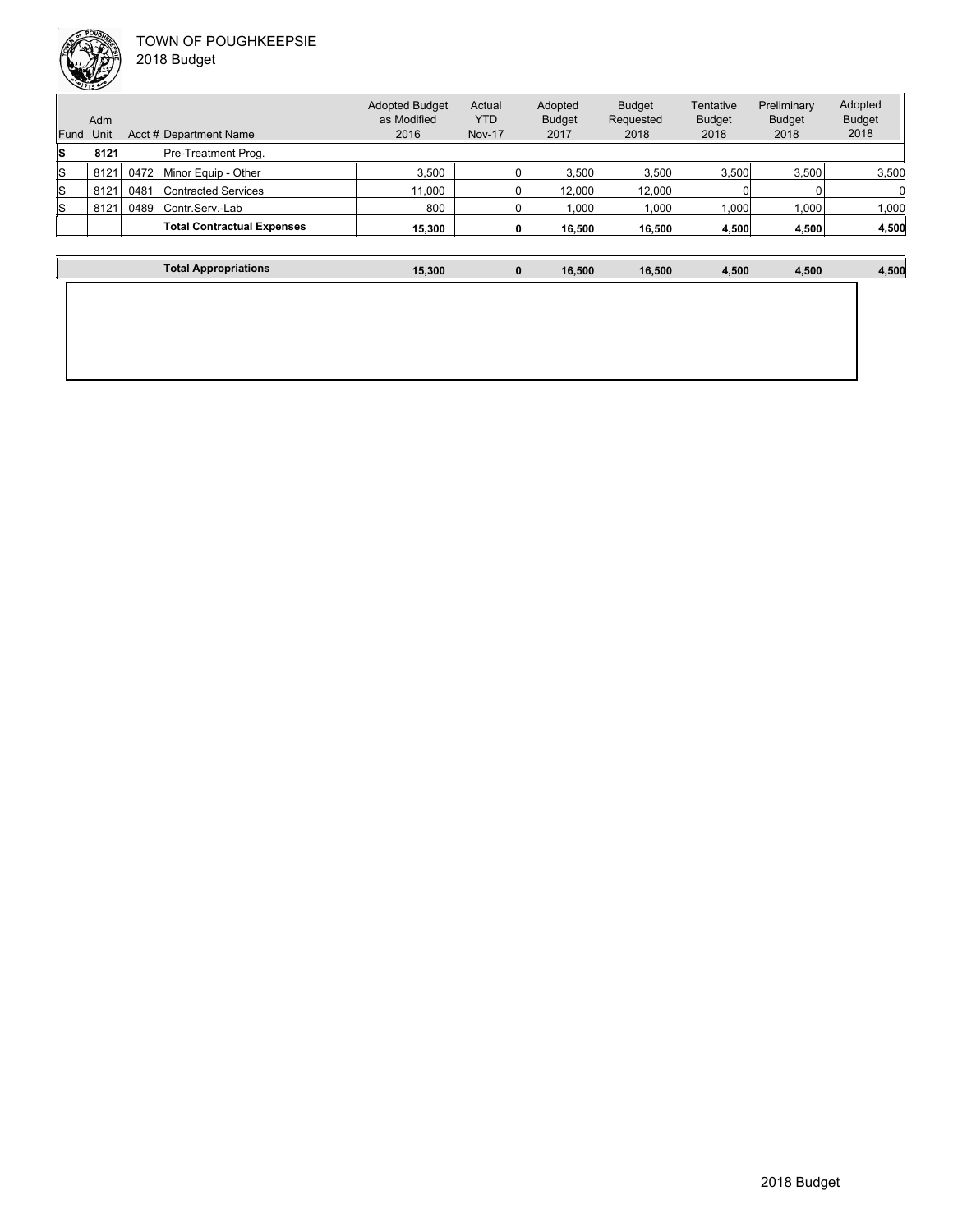

| Fund | Adm<br>Unit |      | Acct # Department Name            | <b>Adopted Budget</b><br>as Modified<br>2016 | Actual<br><b>YTD</b><br><b>Nov-17</b> | Adopted<br><b>Budget</b><br>2017 | <b>Budget</b><br>Requested<br>2018 | Tentative<br><b>Budget</b><br>2018 | Preliminary<br><b>Budget</b><br>2018 | Adopted<br><b>Budget</b><br>2018 |
|------|-------------|------|-----------------------------------|----------------------------------------------|---------------------------------------|----------------------------------|------------------------------------|------------------------------------|--------------------------------------|----------------------------------|
| ls   | 8121        |      | Pre-Treatment Prog.               |                                              |                                       |                                  |                                    |                                    |                                      |                                  |
| ls   | 8121        | 0472 | Minor Equip - Other               | 3.500                                        |                                       | 3.500                            | 3,500                              | 3,500                              | 3.500                                | 3,500                            |
| ls   | 8121        | 0481 | <b>Contracted Services</b>        | 11.000                                       |                                       | 12.000                           | 12,000                             |                                    |                                      |                                  |
| ls   | 8121        | 0489 | Contr.Serv.-Lab                   | 800                                          |                                       | .000                             | 1,000                              | 000                                | 1,000                                | 1,000                            |
|      |             |      | <b>Total Contractual Expenses</b> | 15.300                                       |                                       | 16.500                           | 16,500                             | 4,500                              | 4,500                                | 4,500                            |
|      |             |      |                                   |                                              |                                       |                                  |                                    |                                    |                                      |                                  |

| <b>Total Appropriations</b> | 15,300 | $\mathbf 0$ | 16,500 | 16,500 | 4,500 | 4,500 | 4,500 |
|-----------------------------|--------|-------------|--------|--------|-------|-------|-------|
|                             |        |             |        |        |       |       |       |
|                             |        |             |        |        |       |       |       |
|                             |        |             |        |        |       |       |       |
|                             |        |             |        |        |       |       |       |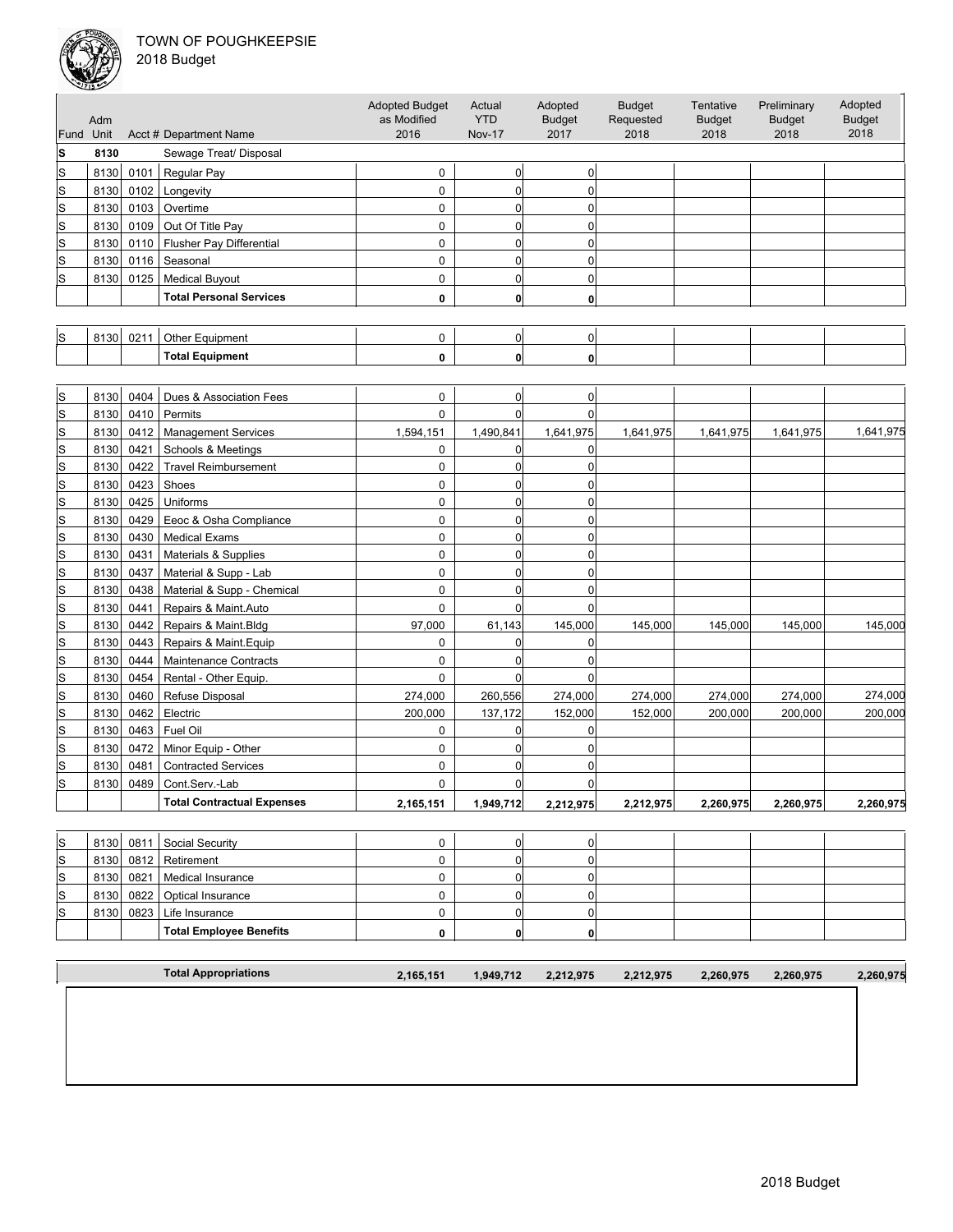

|              |      |      |                                   | <b>Adopted Budget</b> | Actual         | Adopted        | <b>Budget</b> | Tentative     | Preliminary   | Adopted       |
|--------------|------|------|-----------------------------------|-----------------------|----------------|----------------|---------------|---------------|---------------|---------------|
|              | Adm  |      |                                   | as Modified           | <b>YTD</b>     | <b>Budget</b>  | Requested     | <b>Budget</b> | <b>Budget</b> | <b>Budget</b> |
| Fund Unit    |      |      | Acct # Department Name            | 2016                  | <b>Nov-17</b>  | 2017           | 2018          | 2018          | 2018          | 2018          |
| S            | 8130 |      | Sewage Treat/ Disposal            |                       |                |                |               |               |               |               |
| ls           | 8130 | 0101 | Regular Pay                       | 0                     | $\overline{0}$ | 0              |               |               |               |               |
| lS           | 8130 | 0102 | Longevity                         | 0                     | $\mathbf 0$    | $\overline{0}$ |               |               |               |               |
| S            | 8130 | 0103 | Overtime                          | 0                     | $\overline{0}$ | 0              |               |               |               |               |
| $\mathbb S$  | 8130 | 0109 | Out Of Title Pay                  | 0                     | $\overline{0}$ | $\Omega$       |               |               |               |               |
| lS           | 8130 | 0110 | Flusher Pay Differential          | 0                     | $\overline{0}$ | $\mathbf 0$    |               |               |               |               |
| S            | 8130 | 0116 | Seasonal                          | 0                     | $\overline{0}$ | $\Omega$       |               |               |               |               |
| lS           | 8130 | 0125 | <b>Medical Buyout</b>             | 0                     | $\overline{0}$ | $\overline{0}$ |               |               |               |               |
|              |      |      | <b>Total Personal Services</b>    | 0                     | 0              | $\mathbf{0}$   |               |               |               |               |
|              |      |      |                                   |                       |                |                |               |               |               |               |
| ls           | 8130 | 0211 | Other Equipment                   | 0                     | $\overline{0}$ | 0              |               |               |               |               |
|              |      |      | <b>Total Equipment</b>            | 0                     | $\mathbf{0}$   | $\mathbf{0}$   |               |               |               |               |
|              |      |      |                                   |                       |                |                |               |               |               |               |
| S            | 8130 | 0404 | Dues & Association Fees           | 0                     | $\overline{0}$ | 0              |               |               |               |               |
| lS           | 8130 | 0410 | Permits                           | 0                     | $\Omega$       | 0              |               |               |               |               |
| S            | 8130 | 0412 | <b>Management Services</b>        | 1,594,151             | 1,490,841      | 1,641,975      | 1,641,975     | 1,641,975     | 1,641,975     | 1,641,975     |
| S            | 8130 | 0421 | Schools & Meetings                | 0                     | $\overline{0}$ | $\overline{0}$ |               |               |               |               |
| S            | 8130 | 0422 | <b>Travel Reimbursement</b>       | 0                     | $\overline{0}$ | $\overline{0}$ |               |               |               |               |
| $\mathbb S$  | 8130 | 0423 | Shoes                             | 0                     | $\overline{0}$ | $\overline{0}$ |               |               |               |               |
| $\mathsf{s}$ | 8130 | 0425 | Uniforms                          | 0                     | $\overline{0}$ | $\Omega$       |               |               |               |               |
| $\mathbb S$  | 8130 | 0429 | Eeoc & Osha Compliance            | 0                     | $\overline{0}$ | $\overline{0}$ |               |               |               |               |
| lS           | 8130 | 0430 | <b>Medical Exams</b>              | 0                     | $\mathbf 0$    | $\overline{0}$ |               |               |               |               |
| S            | 8130 | 0431 | Materials & Supplies              | 0                     | $\overline{0}$ | $\overline{0}$ |               |               |               |               |
| S            | 8130 | 0437 | Material & Supp - Lab             | 0                     | $\mathbf 0$    | $\overline{0}$ |               |               |               |               |
| $\mathsf{s}$ | 8130 | 0438 | Material & Supp - Chemical        | 0                     | $\overline{0}$ | $\Omega$       |               |               |               |               |
| lS           | 8130 | 0441 | Repairs & Maint.Auto              | 0                     | $\overline{0}$ | $\Omega$       |               |               |               |               |
| S            | 8130 | 0442 | Repairs & Maint.Bldg              | 97,000                | 61,143         | 145,000        | 145,000       | 145,000       | 145,000       | 145,000       |
| S            | 8130 | 0443 | Repairs & Maint.Equip             | 0                     | 0              | 0              |               |               |               |               |
| S            | 8130 | 0444 | <b>Maintenance Contracts</b>      | 0                     | 0              | $\overline{0}$ |               |               |               |               |
| $\mathbf{s}$ | 8130 | 0454 | Rental - Other Equip.             | 0                     | 0              | 0              |               |               |               |               |
| S            | 8130 | 0460 | Refuse Disposal                   | 274,000               | 260,556        | 274,000        | 274,000       | 274,000       | 274,000       | 274,000       |
| lS           | 8130 | 0462 | Electric                          | 200,000               | 137,172        | 152,000        | 152,000       | 200,000       | 200,000       | 200,000       |
| S            | 8130 | 0463 | Fuel Oil                          | 0                     | $\overline{0}$ | $\overline{0}$ |               |               |               |               |
| $\mathbb S$  | 8130 | 0472 | Minor Equip - Other               | 0                     | $\overline{0}$ | $\Omega$       |               |               |               |               |
| S            | 8130 | 0481 | <b>Contracted Services</b>        | 0                     | 0              | $\overline{0}$ |               |               |               |               |
| <b>S</b>     | 8130 | 0489 | Cont.Serv.-Lab                    | $\Omega$              | 0              | $\Omega$       |               |               |               |               |
|              |      |      | <b>Total Contractual Expenses</b> | 2,165,151             | 1,949,712      | 2,212,975      | 2,212,975     | 2,260,975     | 2,260,975     | 2,260,975     |
|              |      |      |                                   |                       |                |                |               |               |               |               |
| S            | 8130 | 0811 | Social Security                   | 0                     | 0              | 0              |               |               |               |               |
| S            | 8130 | 0812 | Retirement                        | 0                     | $\overline{0}$ | 0              |               |               |               |               |
| S            | 8130 | 0821 | Medical Insurance                 | 0                     | $\overline{0}$ | 0              |               |               |               |               |
| S            | 8130 | 0822 | Optical Insurance                 | 0                     | 0              | 0              |               |               |               |               |
|              |      |      |                                   |                       |                |                |               |               |               |               |

|    |      |      | <b>Total Appropriations</b> | 2,165,151 | 1,949,712 | 2,212,975 | 2.212.975 | 2,260,975 | 2,260,975 | 2,260,975 |
|----|------|------|-----------------------------|-----------|-----------|-----------|-----------|-----------|-----------|-----------|
|    |      |      |                             |           |           |           |           |           |           |           |
|    |      |      | ' Total Employee Benefits   |           | n         |           |           |           |           |           |
| ls | 8130 | 0823 | Life Insurance              |           |           |           |           |           |           |           |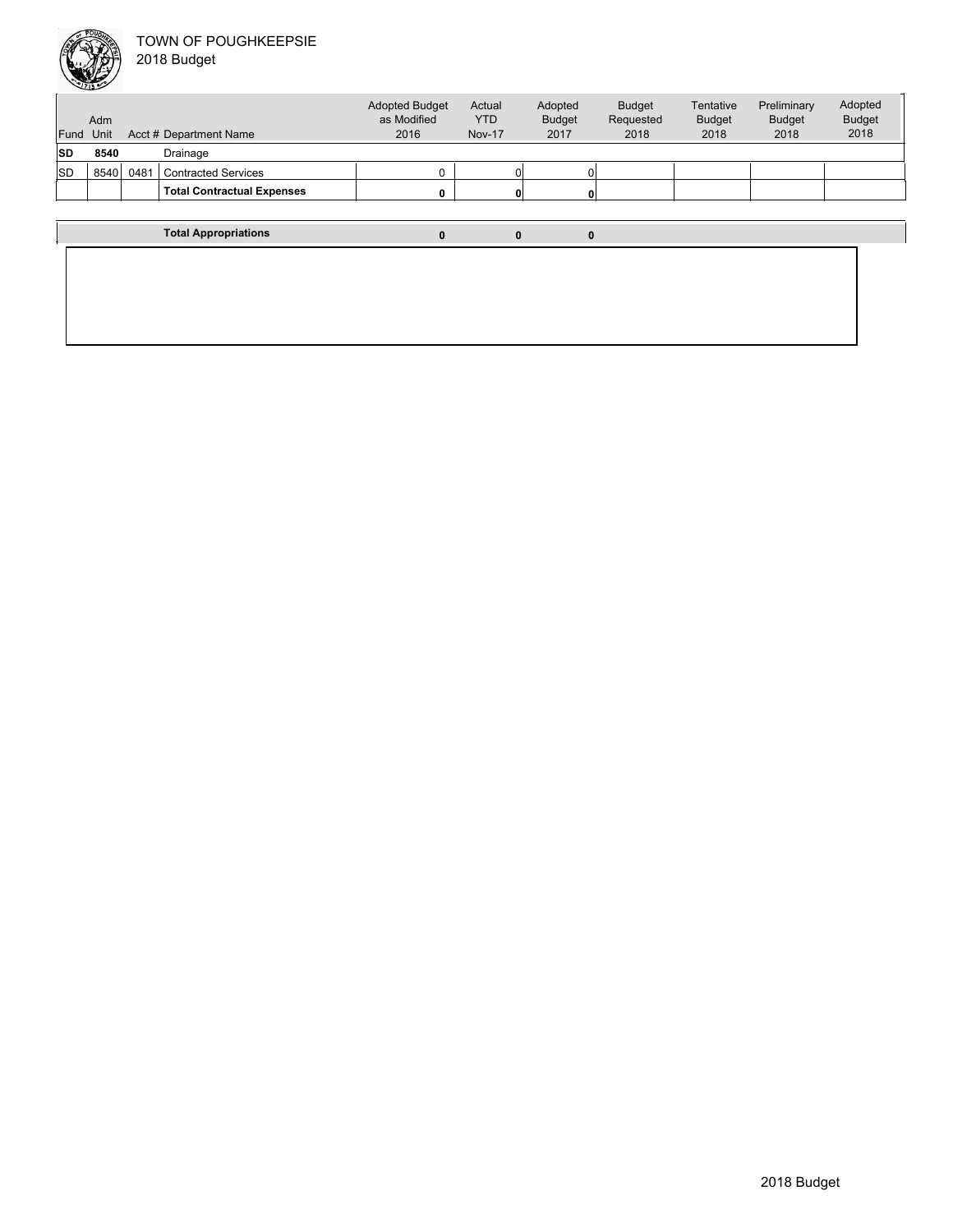

|           | <b>Adm</b> |      |                                   | <b>Adopted Budget</b><br>as Modified | Actual<br><b>YTD</b> | Adopted<br><b>Budget</b> | <b>Budget</b><br>Requested | Tentative<br><b>Budget</b> | Preliminary<br><b>Budget</b> | Adopted<br><b>Budget</b> |
|-----------|------------|------|-----------------------------------|--------------------------------------|----------------------|--------------------------|----------------------------|----------------------------|------------------------------|--------------------------|
| Fund Unit |            |      | Acct # Department Name            | 2016                                 | <b>Nov-17</b>        | 2017                     | 2018                       | 2018                       | 2018                         | 2018                     |
| <b>SD</b> | 8540       |      | Drainage                          |                                      |                      |                          |                            |                            |                              |                          |
| <b>SD</b> | 8540       | 0481 | <b>Contracted Services</b>        |                                      |                      | 0                        |                            |                            |                              |                          |
|           |            |      | <b>Total Contractual Expenses</b> |                                      |                      | $\mathbf{0}$             |                            |                            |                              |                          |
|           |            |      |                                   |                                      |                      |                          |                            |                            |                              |                          |
|           |            |      | <b>Total Appropriations</b>       | 0                                    |                      | 0<br>0                   |                            |                            |                              |                          |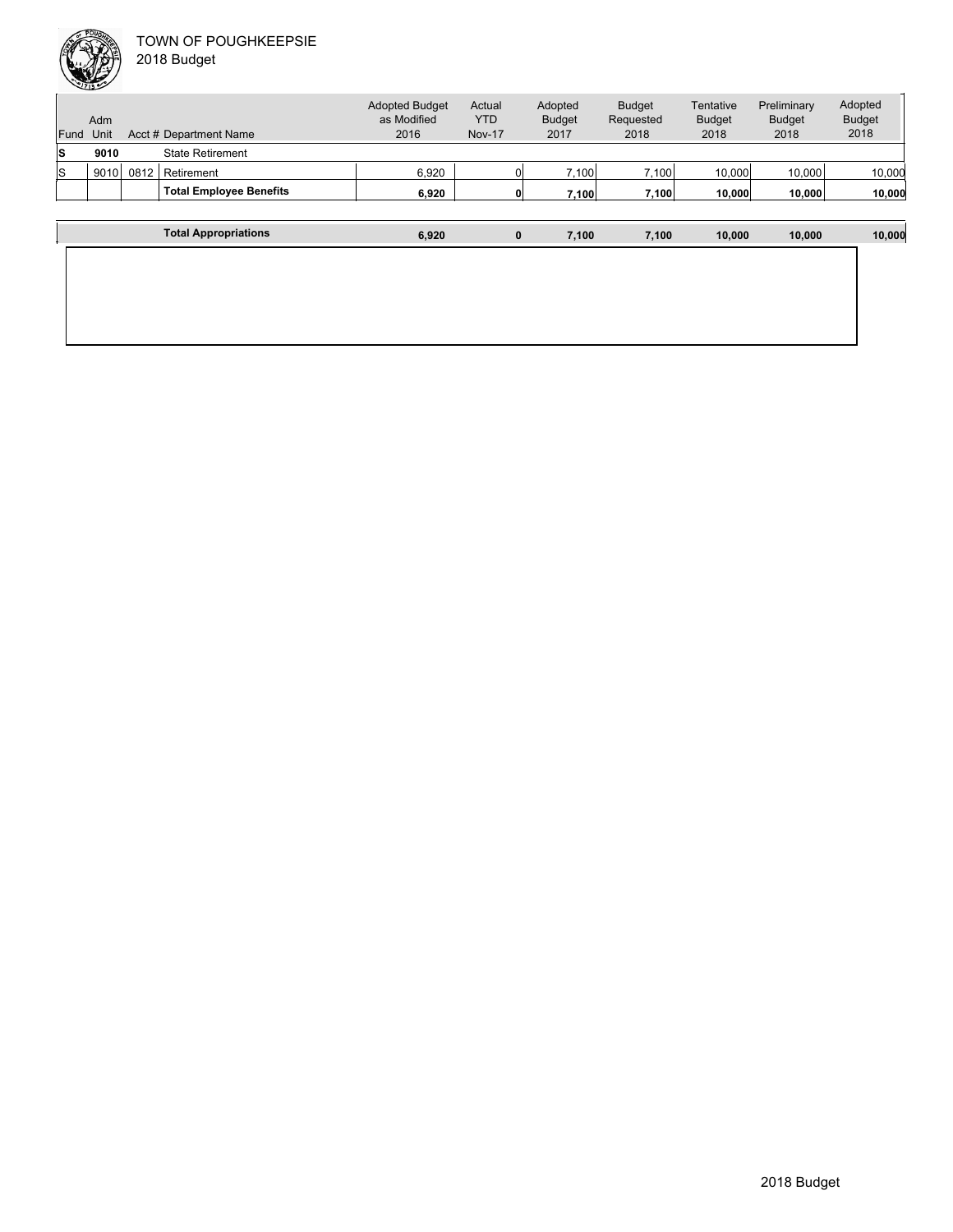

| Fund | Adm<br>Unit |      | Acct # Department Name         | <b>Adopted Budget</b><br>as Modified<br>2016 | Actual<br><b>YTD</b><br><b>Nov-17</b> | Adopted<br><b>Budget</b><br>2017 | <b>Budget</b><br>Requested<br>2018 | Tentative<br><b>Budget</b><br>2018 | Preliminary<br><b>Budget</b><br>2018 | Adopted<br><b>Budget</b><br>2018 |
|------|-------------|------|--------------------------------|----------------------------------------------|---------------------------------------|----------------------------------|------------------------------------|------------------------------------|--------------------------------------|----------------------------------|
| ls   | 9010        |      | <b>State Retirement</b>        |                                              |                                       |                                  |                                    |                                    |                                      |                                  |
| ls   | 9010        | 0812 | Retirement                     | 6,920                                        |                                       | 7,100                            | 7,100                              | 10,000                             | 10,000                               | 10,000                           |
|      |             |      | <b>Total Employee Benefits</b> | 6,920                                        |                                       | 7,100                            | 7,100                              | 10,000                             | 10,000                               | 10,000                           |
|      |             |      |                                |                                              |                                       |                                  |                                    |                                    |                                      |                                  |
|      |             |      | <b>Total Appropriations</b>    | 6,920                                        |                                       | $\bf{0}$<br>7.100                | 7,100                              | 10,000                             | 10,000                               | 10,000                           |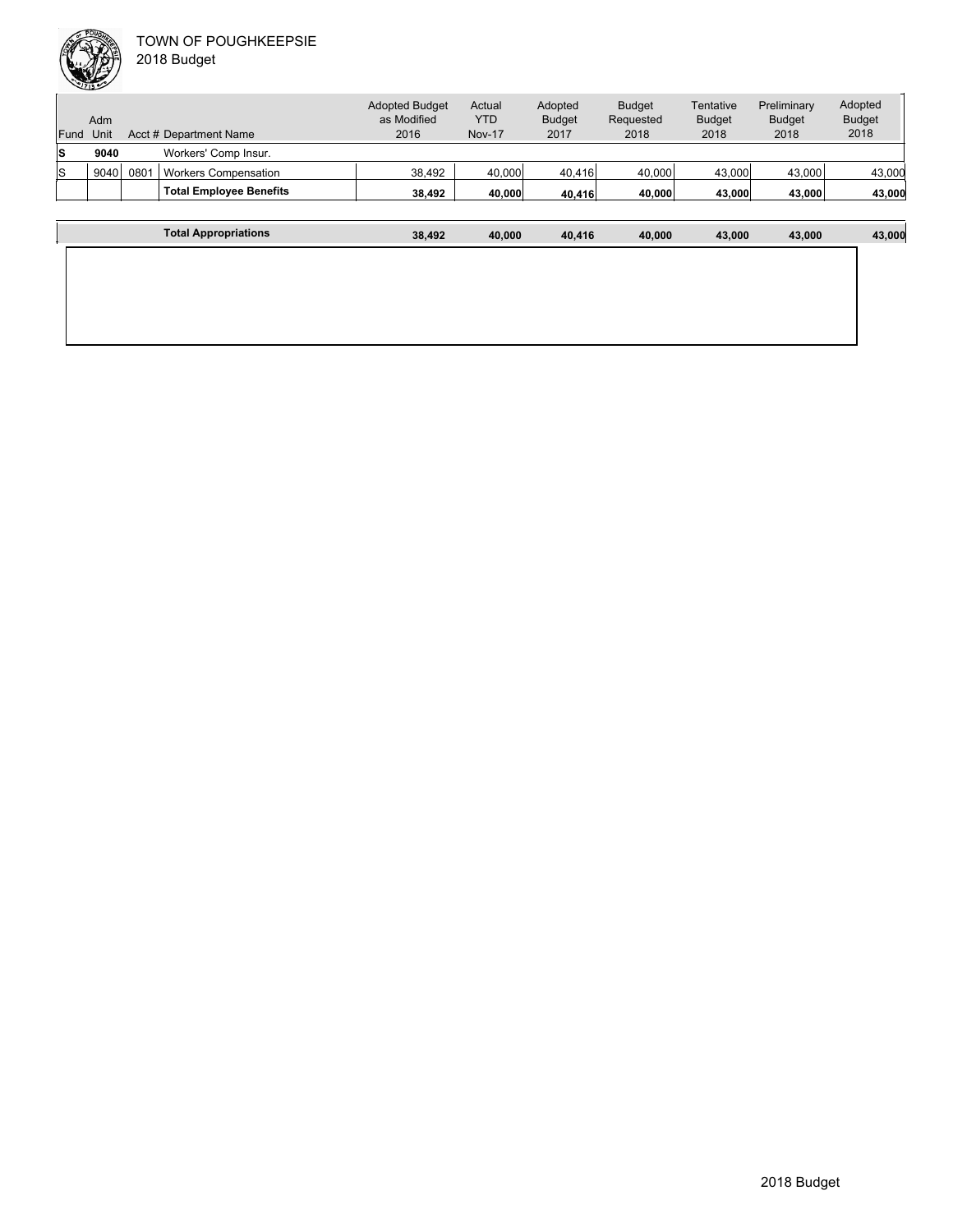|      | Adm  |     |                                | <b>Adopted Budget</b><br>as Modified | Actual<br>YTD | Adopted<br><b>Budget</b> | <b>Budget</b><br>Requested | Tentative<br><b>Budget</b> | Preliminary<br><b>Budget</b> | Adopted<br><b>Budget</b> |
|------|------|-----|--------------------------------|--------------------------------------|---------------|--------------------------|----------------------------|----------------------------|------------------------------|--------------------------|
| Fund | Unit |     | Acct # Department Name         | 2016                                 | <b>Nov-17</b> | 2017                     | 2018                       | 2018                       | 2018                         | 2018                     |
| ls   | 9040 |     | Workers' Comp Insur.           |                                      |               |                          |                            |                            |                              |                          |
| ls   | 9040 | 080 | <b>Workers Compensation</b>    | 38.492                               | 40,000        | 40,416                   | 40,000                     | 43,000                     | 43,000                       | 43,000                   |
|      |      |     | <b>Total Employee Benefits</b> | 38,492                               | 40,000        | 40,416                   | 40,000                     | 43,000                     | 43,000                       | 43,000                   |
|      |      |     |                                |                                      |               |                          |                            |                            |                              |                          |

| <b>Total Appropriations</b> | 38,492 | 40,000 | 40,416 | 40,000 | 43,000 | 43,000 | 43,000 |
|-----------------------------|--------|--------|--------|--------|--------|--------|--------|
|                             |        |        |        |        |        |        |        |
|                             |        |        |        |        |        |        |        |
|                             |        |        |        |        |        |        |        |
|                             |        |        |        |        |        |        |        |
|                             |        |        |        |        |        |        |        |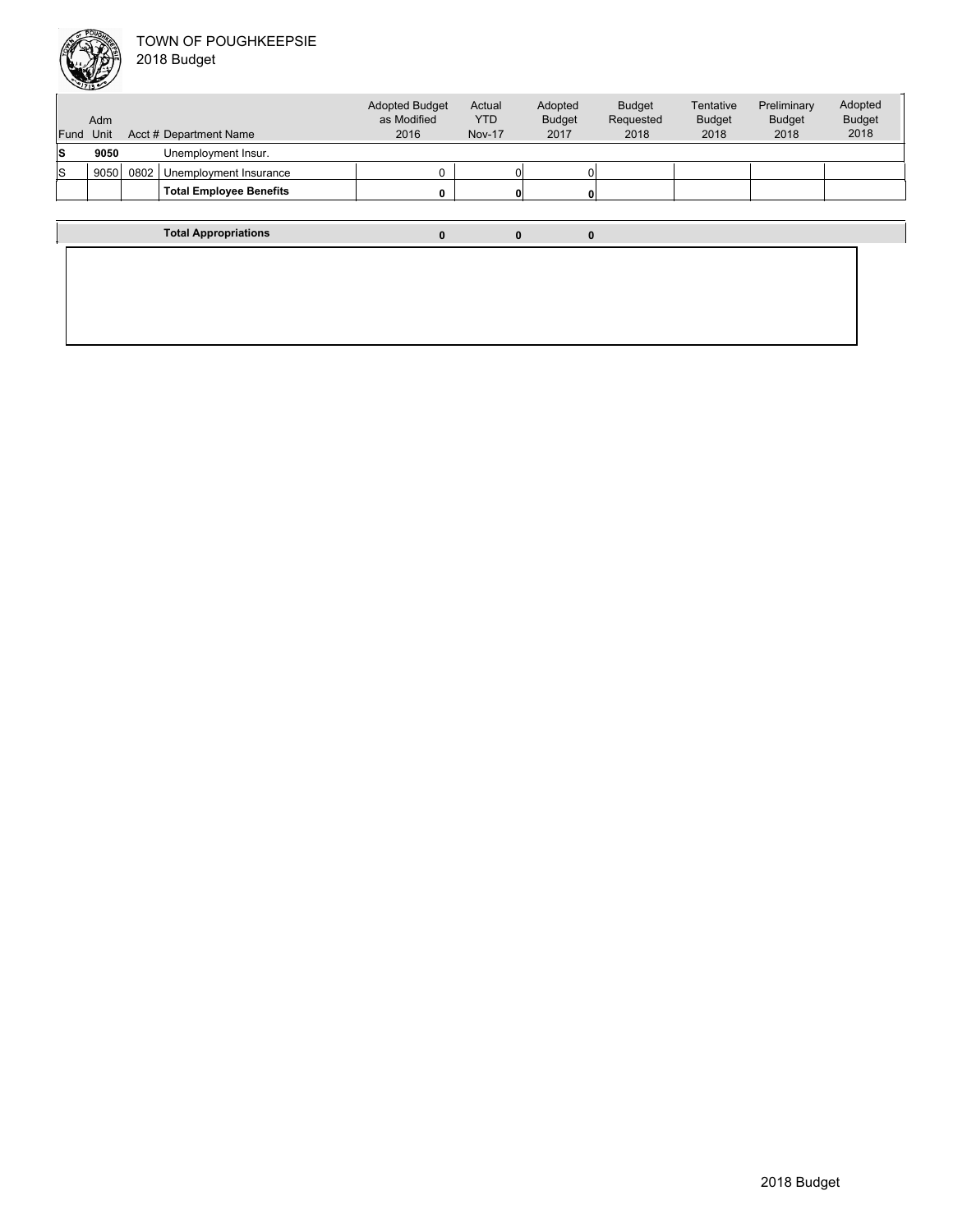

Unit Acct # Department Name Adm Actual YTD Nov-17 Budget Requested 2018 Tentative Budget 2018 Preliminary Budget 2018 Adopted Budget as Modified 2016 Fund Unit Adopted Budget 2017 **S 9050** Unemployment Insur.  $\begin{array}{|c|c|c|c|c|}\hline \bf S & 9050 & 0802 & \text{Unemployment Insurance} & & & & & 0 & & & 0 \ \hline \end{array}$ Total Employee Benefits **1989 (1991) 1989** (1991) **1999** (1991) **1999** (1991) **1999** 

**Total Appropriations 0 0 0**

Adopted Budget 2018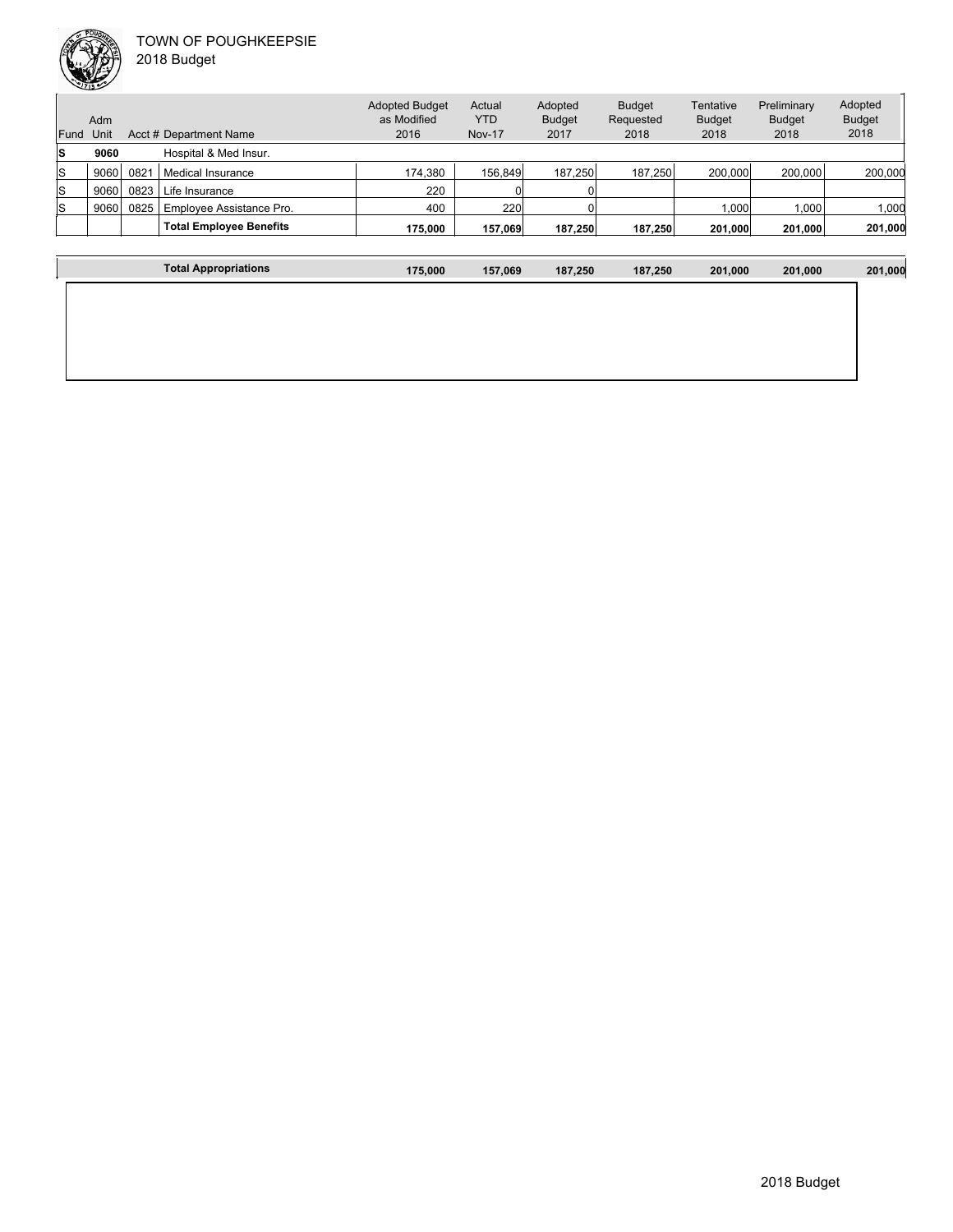

**The Community of Community** 

| Fund | Adm<br>Unit |      | Acct # Department Name         | <b>Adopted Budget</b><br>as Modified<br>2016 | Actual<br><b>YTD</b><br><b>Nov-17</b> | Adopted<br><b>Budget</b><br>2017 | <b>Budget</b><br>Requested<br>2018 | Tentative<br><b>Budget</b><br>2018 | Preliminary<br><b>Budget</b><br>2018 | Adopted<br><b>Budget</b><br>2018 |
|------|-------------|------|--------------------------------|----------------------------------------------|---------------------------------------|----------------------------------|------------------------------------|------------------------------------|--------------------------------------|----------------------------------|
| ls   | 9060        |      | Hospital & Med Insur.          |                                              |                                       |                                  |                                    |                                    |                                      |                                  |
| ls   | 9060        | 082  | Medical Insurance              | 174,380                                      | 156.849                               | 187.250                          | 187.250                            | 200.000                            | 200,000                              | 200,000                          |
| ls   | 9060        | 0823 | Life Insurance                 | 220                                          |                                       |                                  |                                    |                                    |                                      |                                  |
| ls   | 9060        | 0825 | Employee Assistance Pro.       | 400                                          | 220                                   |                                  |                                    | 1.000                              | 1,000                                | 1,000                            |
|      |             |      | <b>Total Employee Benefits</b> | 175.000                                      | 157,069                               | 187.250                          | 187,250                            | 201,000                            | 201,000                              | 201,000                          |

| <b>Total Appropriations</b> | 175,000 | 157,069 | 187,250 | 187,250 | 201,000 | 201,000 | 201,000 |
|-----------------------------|---------|---------|---------|---------|---------|---------|---------|
|                             |         |         |         |         |         |         |         |
|                             |         |         |         |         |         |         |         |
|                             |         |         |         |         |         |         |         |
|                             |         |         |         |         |         |         |         |
|                             |         |         |         |         |         |         |         |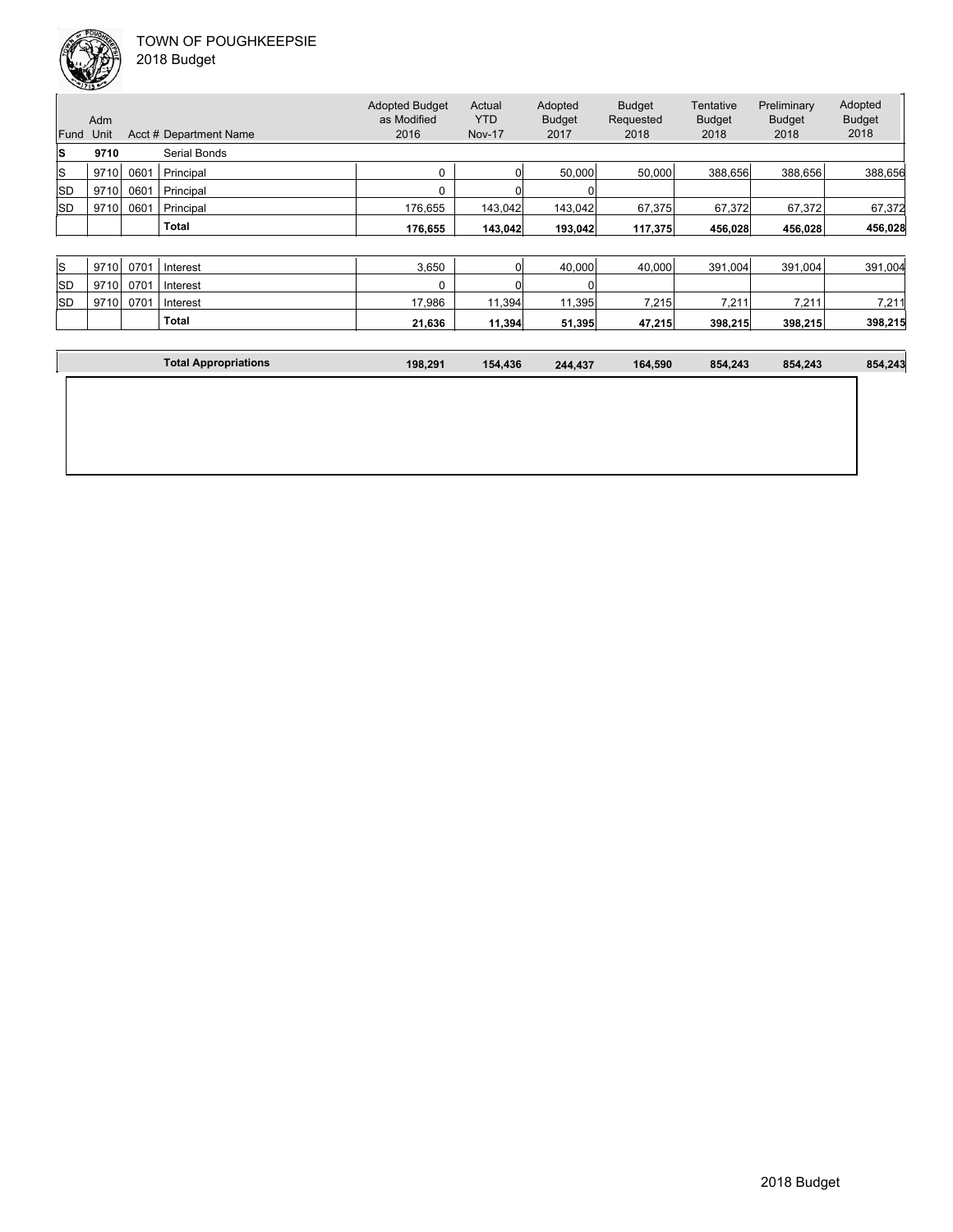

| Fund<br>lS | Adm<br>Unit<br>9710 |      | Acct # Department Name<br>Serial Bonds | <b>Adopted Budget</b><br>as Modified<br>2016 | Actual<br><b>YTD</b><br><b>Nov-17</b> | Adopted<br><b>Budget</b><br>2017 | <b>Budget</b><br>Requested<br>2018 | Tentative<br><b>Budget</b><br>2018 | Preliminary<br><b>Budget</b><br>2018 | Adopted<br><b>Budget</b><br>2018 |
|------------|---------------------|------|----------------------------------------|----------------------------------------------|---------------------------------------|----------------------------------|------------------------------------|------------------------------------|--------------------------------------|----------------------------------|
| lS         | 9710                | 0601 | Principal                              | 0                                            | 01                                    | 50,000                           | 50,000                             | 388,656                            | 388,656                              | 388,656                          |
| <b>SD</b>  | 9710                | 0601 | Principal                              | 0                                            |                                       |                                  |                                    |                                    |                                      |                                  |
| <b>SD</b>  | 9710                | 0601 | Principal                              | 176,655                                      | 143,042                               | 143,042                          | 67,375                             | 67,372                             | 67,372                               | 67,372                           |
|            |                     |      | <b>Total</b>                           | 176,655                                      | 143,042                               | 193.042                          | 117,375                            | 456,028                            | 456,028                              | 456,028                          |
|            |                     |      |                                        |                                              |                                       |                                  |                                    |                                    |                                      |                                  |
| lS.        | 9710                | 0701 | Interest                               | 3,650                                        | 0                                     | 40,000                           | 40,000                             | 391,004                            | 391,004                              | 391,004                          |
| SD         | 9710                | 0701 | Interest                               | $\Omega$                                     |                                       |                                  |                                    |                                    |                                      |                                  |
| <b>SD</b>  | 9710                | 0701 | Interest                               | 17,986                                       | 11,394                                | 11,395                           | 7,215                              | 7,211                              | 7,211                                | 7,211                            |
|            |                     |      | <b>Total</b>                           | 21,636                                       | 11,394                                | 51,395                           | 47,215                             | 398,215                            | 398,215                              | 398,215                          |
|            |                     |      |                                        |                                              |                                       |                                  |                                    |                                    |                                      |                                  |

| <b>Total Appropriations</b> | 198,291 | 154,436 | 244,437 | 164.590 | 854,243 | 854,243 | 854,243 |
|-----------------------------|---------|---------|---------|---------|---------|---------|---------|
|                             |         |         |         |         |         |         |         |
|                             |         |         |         |         |         |         |         |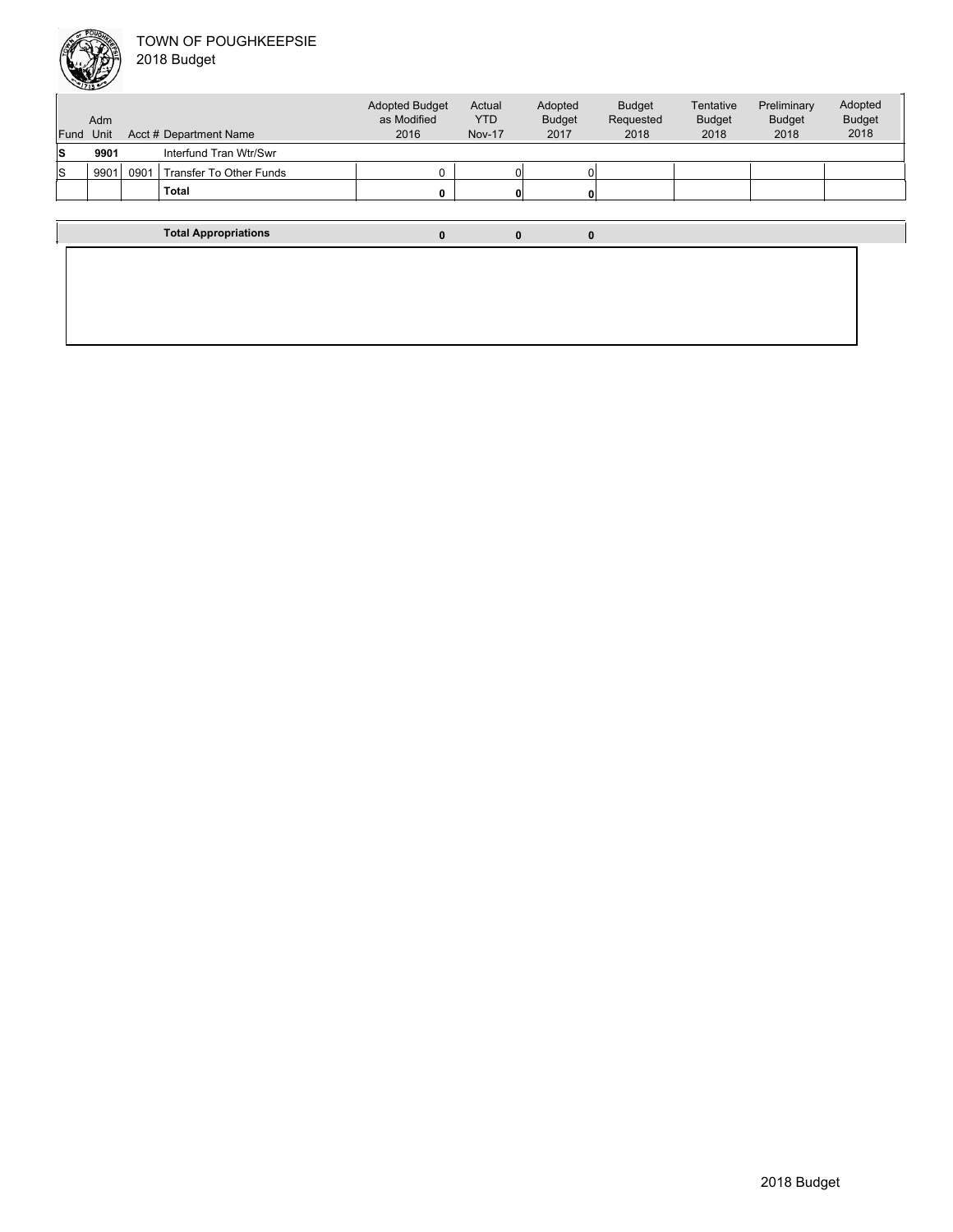

| Fund | Adm<br>Unit |      | Acct # Department Name         | <b>Adopted Budget</b><br>as Modified<br>2016 | Actual<br><b>YTD</b><br><b>Nov-17</b> | Adopted<br><b>Budget</b><br>2017 | <b>Budget</b><br>Requested<br>2018 | Tentative<br><b>Budget</b><br>2018 | Preliminary<br><b>Budget</b><br>2018 | Adopted<br><b>Budget</b><br>2018 |
|------|-------------|------|--------------------------------|----------------------------------------------|---------------------------------------|----------------------------------|------------------------------------|------------------------------------|--------------------------------------|----------------------------------|
| ls   | 9901        |      | Interfund Tran Wtr/Swr         |                                              |                                       |                                  |                                    |                                    |                                      |                                  |
| ls   | 9901        | 0901 | <b>Transfer To Other Funds</b> | 0                                            |                                       |                                  |                                    |                                    |                                      |                                  |
|      |             |      | <b>Total</b>                   | 0                                            |                                       |                                  |                                    |                                    |                                      |                                  |
|      |             |      |                                |                                              |                                       |                                  |                                    |                                    |                                      |                                  |
|      |             |      | <b>Total Appropriations</b>    | $\bf{0}$                                     | 0                                     | $\bf{0}$                         |                                    |                                    |                                      |                                  |
|      |             |      |                                |                                              |                                       |                                  |                                    |                                    |                                      |                                  |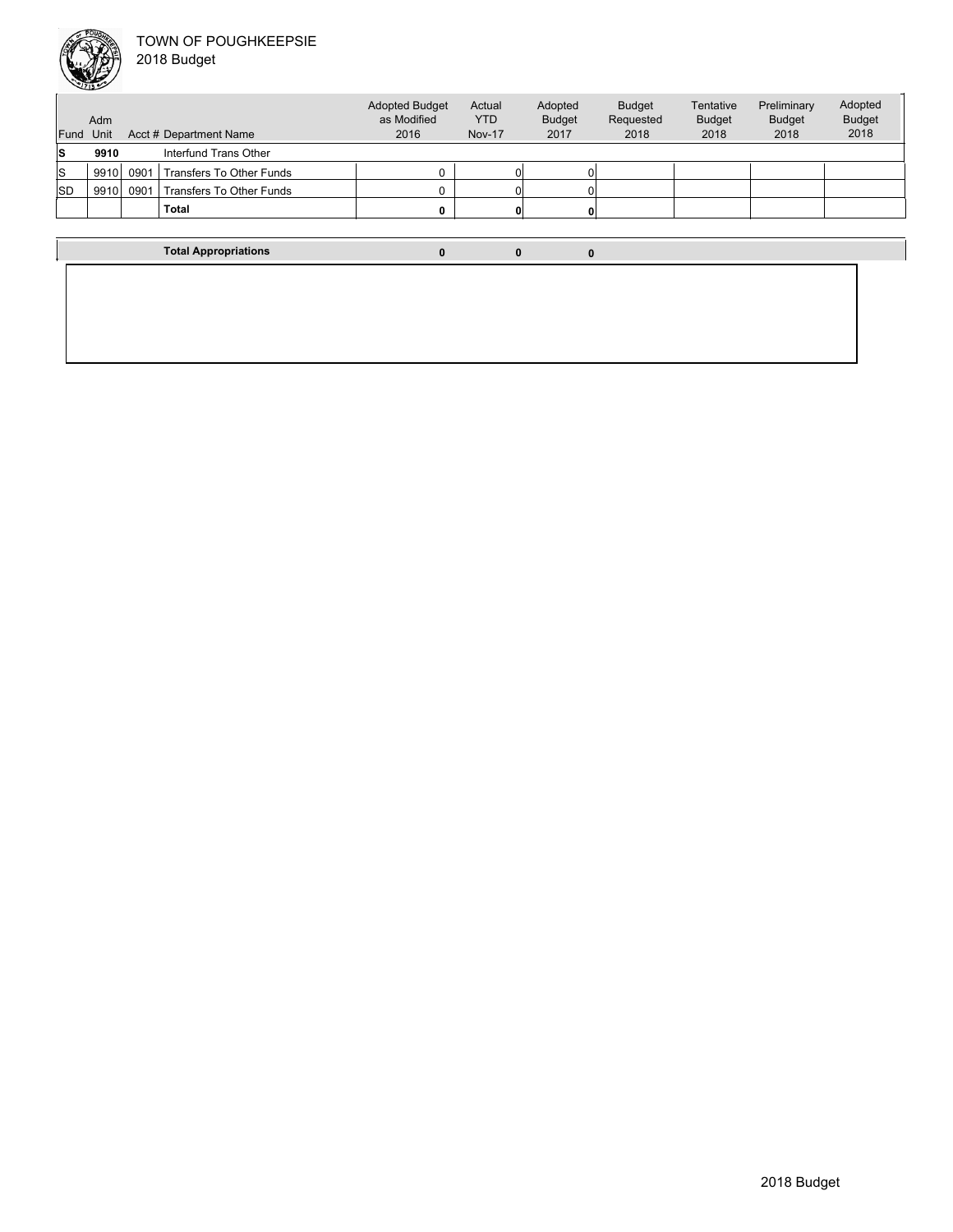### TOWN OF POUGHKEEPSIE  $\overline{2}$



|  | 2018 Budget |  |
|--|-------------|--|
|--|-------------|--|

| Fund Unit | Adm  |      | Acct # Department Name      | <b>Adopted Budget</b><br>as Modified<br>2016 | Actual<br><b>YTD</b><br><b>Nov-17</b> | Adopted<br><b>Budget</b><br>2017 | <b>Budget</b><br>Requested<br>2018 | Tentative<br><b>Budget</b><br>2018 | Preliminary<br><b>Budget</b><br>2018 | Adopted<br><b>Budget</b><br>2018 |
|-----------|------|------|-----------------------------|----------------------------------------------|---------------------------------------|----------------------------------|------------------------------------|------------------------------------|--------------------------------------|----------------------------------|
| s         | 9910 |      | Interfund Trans Other       |                                              |                                       |                                  |                                    |                                    |                                      |                                  |
| S         | 9910 | 0901 | Transfers To Other Funds    |                                              |                                       |                                  |                                    |                                    |                                      |                                  |
| <b>SD</b> | 9910 | 0901 | Transfers To Other Funds    | O                                            |                                       |                                  |                                    |                                    |                                      |                                  |
|           |      |      | <b>Total</b>                | 0                                            |                                       |                                  |                                    |                                    |                                      |                                  |
|           |      |      |                             |                                              |                                       |                                  |                                    |                                    |                                      |                                  |
|           |      |      | <b>Total Appropriations</b> | $\mathbf{0}$                                 | $\bf{0}$                              | $\mathbf{0}$                     |                                    |                                    |                                      |                                  |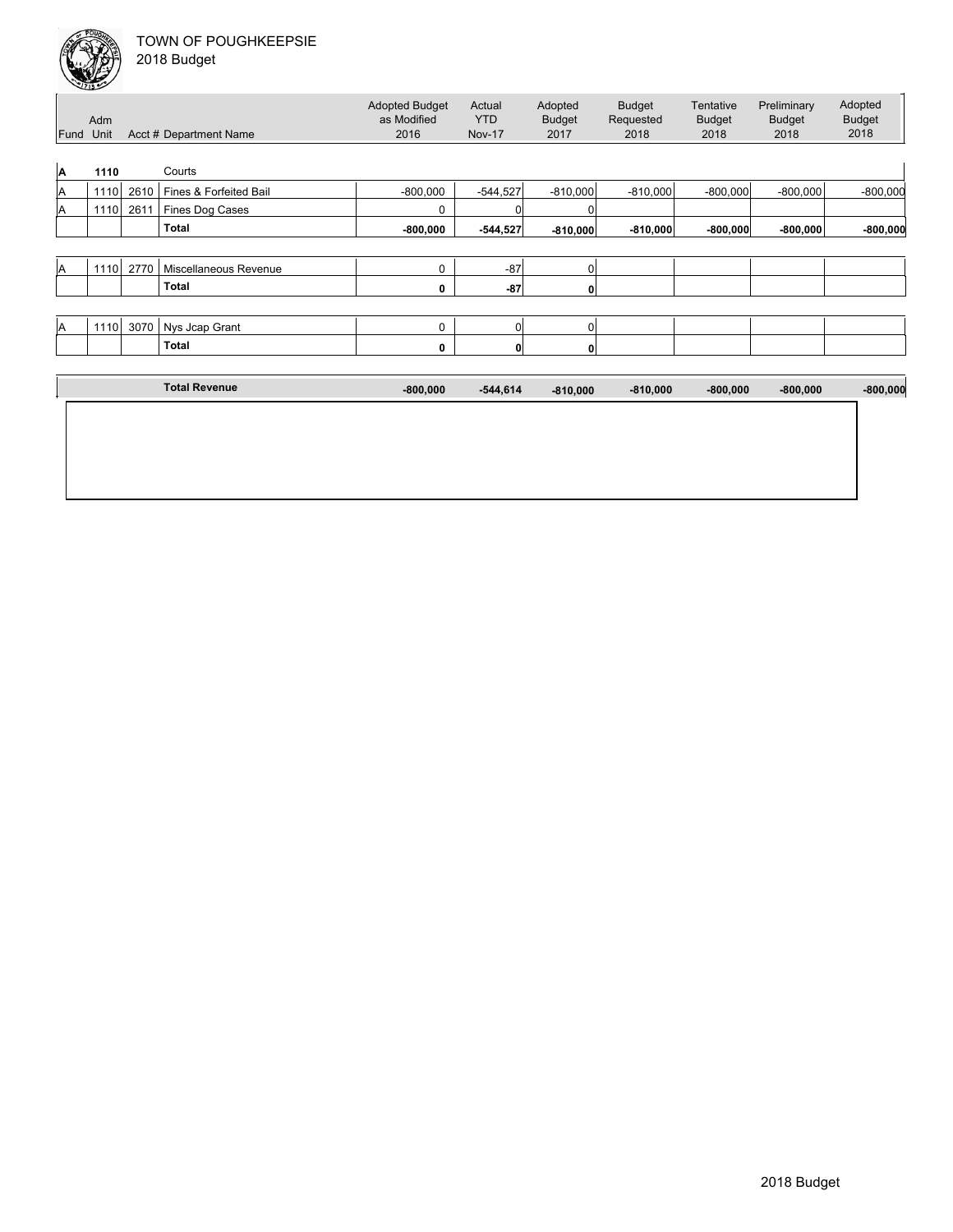

| Fund | Adm<br>Unit |      | Acct # Department Name | <b>Adopted Budget</b><br>as Modified<br>2016 | Actual<br><b>YTD</b><br><b>Nov-17</b> | Adopted<br><b>Budget</b><br>2017 | <b>Budget</b><br>Requested<br>2018 | Tentative<br><b>Budget</b><br>2018 | Preliminary<br><b>Budget</b><br>2018 | Adopted<br><b>Budget</b><br>2018 |
|------|-------------|------|------------------------|----------------------------------------------|---------------------------------------|----------------------------------|------------------------------------|------------------------------------|--------------------------------------|----------------------------------|
| A    | 1110        |      | Courts                 |                                              |                                       |                                  |                                    |                                    |                                      |                                  |
| A    | 1110        | 2610 | Fines & Forfeited Bail | $-800,000$                                   | $-544,527$                            | $-810,000$                       | $-810,000$                         | $-800,000$                         | $-800,000$                           | $-800,000$                       |
| A    | 1110        | 2611 | Fines Dog Cases        | 0                                            | C                                     |                                  |                                    |                                    |                                      |                                  |
|      |             |      | <b>Total</b>           | $-800,000$                                   | $-544,527$                            | $-810,000$                       | $-810,000$                         | $-800,000$                         | $-800,000$                           | $-800,000$                       |
|      |             |      |                        |                                              |                                       |                                  |                                    |                                    |                                      |                                  |
| ΙA   | 1110        | 2770 | Miscellaneous Revenue  | $\mathbf 0$                                  | $-87$                                 | 0 <sub>1</sub>                   |                                    |                                    |                                      |                                  |
|      |             |      | Total                  | 0                                            | $-87$                                 | 0                                |                                    |                                    |                                      |                                  |
|      |             |      |                        |                                              |                                       |                                  |                                    |                                    |                                      |                                  |
| A    | 1110        | 3070 | Nys Jcap Grant         | 0                                            | 0                                     | 0 <sub>1</sub>                   |                                    |                                    |                                      |                                  |
|      |             |      | Total                  | 0                                            | 0                                     | 0                                |                                    |                                    |                                      |                                  |
|      |             |      |                        |                                              |                                       |                                  |                                    |                                    |                                      |                                  |
|      |             |      | <b>Total Revenue</b>   | $-800,000$                                   | $-544,614$                            | $-810,000$                       | $-810,000$                         | $-800,000$                         | $-800,000$                           | $-800,000$                       |
|      |             |      |                        |                                              |                                       |                                  |                                    |                                    |                                      |                                  |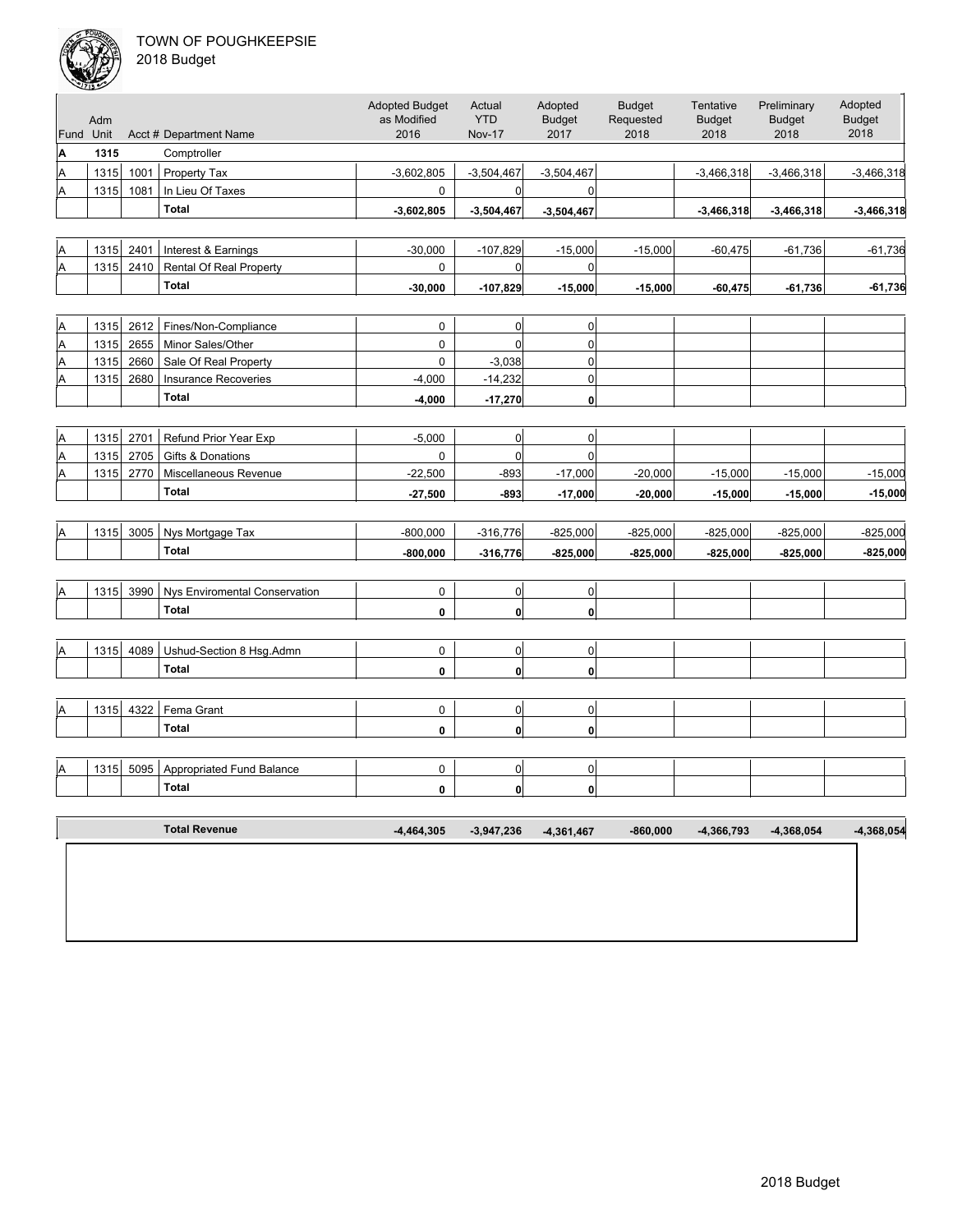

|  | 2018 Budget |  |
|--|-------------|--|
|--|-------------|--|

| Fund Unit | Adm  |      | Acct # Department Name               | <b>Adopted Budget</b><br>as Modified<br>2016 | Actual<br><b>YTD</b><br><b>Nov-17</b> | Adopted<br><b>Budget</b><br>2017 | <b>Budget</b><br>Requested<br>2018 | Tentative<br><b>Budget</b><br>2018 | Preliminary<br><b>Budget</b><br>2018 | Adopted<br><b>Budget</b><br>2018 |
|-----------|------|------|--------------------------------------|----------------------------------------------|---------------------------------------|----------------------------------|------------------------------------|------------------------------------|--------------------------------------|----------------------------------|
| A         | 1315 |      | Comptroller                          |                                              |                                       |                                  |                                    |                                    |                                      |                                  |
| A         | 1315 | 1001 | Property Tax                         | $-3,602,805$                                 | $-3,504,467$                          | $-3,504,467$                     |                                    | $-3,466,318$                       | $-3,466,318$                         | $-3,466,318$                     |
| A         | 1315 | 1081 | In Lieu Of Taxes                     | 0                                            | 0                                     | 0                                |                                    |                                    |                                      |                                  |
|           |      |      | <b>Total</b>                         | $-3,602,805$                                 | $-3,504,467$                          | $-3,504,467$                     |                                    | $-3,466,318$                       | $-3,466,318$                         | $-3,466,318$                     |
|           |      |      |                                      |                                              |                                       |                                  |                                    |                                    |                                      |                                  |
| A         | 1315 | 2401 | Interest & Earnings                  | $-30,000$                                    | $-107,829$                            | $-15,000$                        | $-15,000$                          | $-60,475$                          | $-61,736$                            | $-61,736$                        |
| Α         | 1315 | 2410 | <b>Rental Of Real Property</b>       | 0                                            | 0                                     | $\overline{0}$                   |                                    |                                    |                                      |                                  |
|           |      |      | <b>Total</b>                         | $-30,000$                                    | $-107,829$                            | $-15,000$                        | $-15,000$                          | $-60,475$                          | $-61,736$                            | $-61,736$                        |
|           |      |      |                                      |                                              |                                       |                                  |                                    |                                    |                                      |                                  |
| A         | 1315 | 2612 | Fines/Non-Compliance                 | 0                                            | 0                                     | $\overline{0}$                   |                                    |                                    |                                      |                                  |
| A         | 1315 | 2655 | Minor Sales/Other                    | 0                                            | $\overline{0}$                        | 0                                |                                    |                                    |                                      |                                  |
| Α         | 1315 | 2660 | Sale Of Real Property                | 0                                            | $-3,038$                              | $\overline{0}$                   |                                    |                                    |                                      |                                  |
| Α         | 1315 | 2680 | <b>Insurance Recoveries</b>          | $-4,000$                                     | $-14,232$                             | $\mathbf 0$                      |                                    |                                    |                                      |                                  |
|           |      |      | <b>Total</b>                         | $-4,000$                                     | $-17,270$                             | 0                                |                                    |                                    |                                      |                                  |
|           |      |      |                                      |                                              |                                       |                                  |                                    |                                    |                                      |                                  |
| Α         | 1315 | 2701 | Refund Prior Year Exp                | $-5,000$                                     | 0                                     | $\sigma$                         |                                    |                                    |                                      |                                  |
| A         | 1315 | 2705 | Gifts & Donations                    | 0                                            | $\overline{0}$                        | $\mathbf 0$                      |                                    |                                    |                                      |                                  |
| Α         | 1315 | 2770 | Miscellaneous Revenue                | $-22,500$                                    | $-893$                                | $-17,000$                        | $-20,000$                          | $-15,000$                          | $-15,000$                            | $-15,000$                        |
|           |      |      | <b>Total</b>                         | $-27,500$                                    | $-893$                                | $-17,000$                        | $-20,000$                          | $-15,000$                          | $-15,000$                            | $-15,000$                        |
|           |      |      |                                      |                                              |                                       |                                  |                                    |                                    |                                      |                                  |
| A         | 1315 | 3005 | Nys Mortgage Tax                     | $-800,000$                                   | $-316,776$                            | $-825,000$                       | $-825,000$                         | $-825,000$                         | $-825,000$                           | $-825,000$                       |
|           |      |      | <b>Total</b>                         | $-800,000$                                   | $-316,776$                            | $-825,000$                       | $-825,000$                         | $-825,000$                         | $-825,000$                           | $-825,000$                       |
|           |      |      |                                      |                                              |                                       |                                  |                                    |                                    |                                      |                                  |
| Α         | 1315 | 3990 | <b>Nys Enviromental Conservation</b> | 0                                            | 0                                     | $\overline{0}$                   |                                    |                                    |                                      |                                  |
|           |      |      | <b>Total</b>                         | 0                                            | $\mathbf{0}$                          | 0                                |                                    |                                    |                                      |                                  |
|           |      |      |                                      |                                              |                                       |                                  |                                    |                                    |                                      |                                  |
| Α         | 1315 | 4089 | Ushud-Section 8 Hsg.Admn             | 0                                            | 0                                     | $\sigma$                         |                                    |                                    |                                      |                                  |
|           |      |      | <b>Total</b>                         | 0                                            | $\mathbf{0}$                          | $\mathbf{0}$                     |                                    |                                    |                                      |                                  |
|           |      |      |                                      |                                              |                                       |                                  |                                    |                                    |                                      |                                  |
| A         | 1315 | 4322 | Fema Grant                           | 0                                            | 0                                     | $\overline{0}$                   |                                    |                                    |                                      |                                  |
|           |      |      | <b>Total</b>                         | 0                                            | $\mathbf{0}$                          | 0                                |                                    |                                    |                                      |                                  |
|           |      |      |                                      |                                              |                                       |                                  |                                    |                                    |                                      |                                  |
| A         | 1315 | 5095 | Appropriated Fund Balance            | 0                                            | 0                                     | $\overline{0}$                   |                                    |                                    |                                      |                                  |
|           |      |      | <b>Total</b>                         | 0                                            | $\mathbf{0}$                          | 0                                |                                    |                                    |                                      |                                  |
|           |      |      |                                      |                                              |                                       |                                  |                                    |                                    |                                      |                                  |
|           |      |      | <b>Total Revenue</b>                 | $-4,464,305$                                 | $-3,947,236$                          | $-4,361,467$                     | $-860,000$                         | $-4,366,793$                       | $-4,368,054$                         | $-4,368,054$                     |
|           |      |      |                                      |                                              |                                       |                                  |                                    |                                    |                                      |                                  |
|           |      |      |                                      |                                              |                                       |                                  |                                    |                                    |                                      |                                  |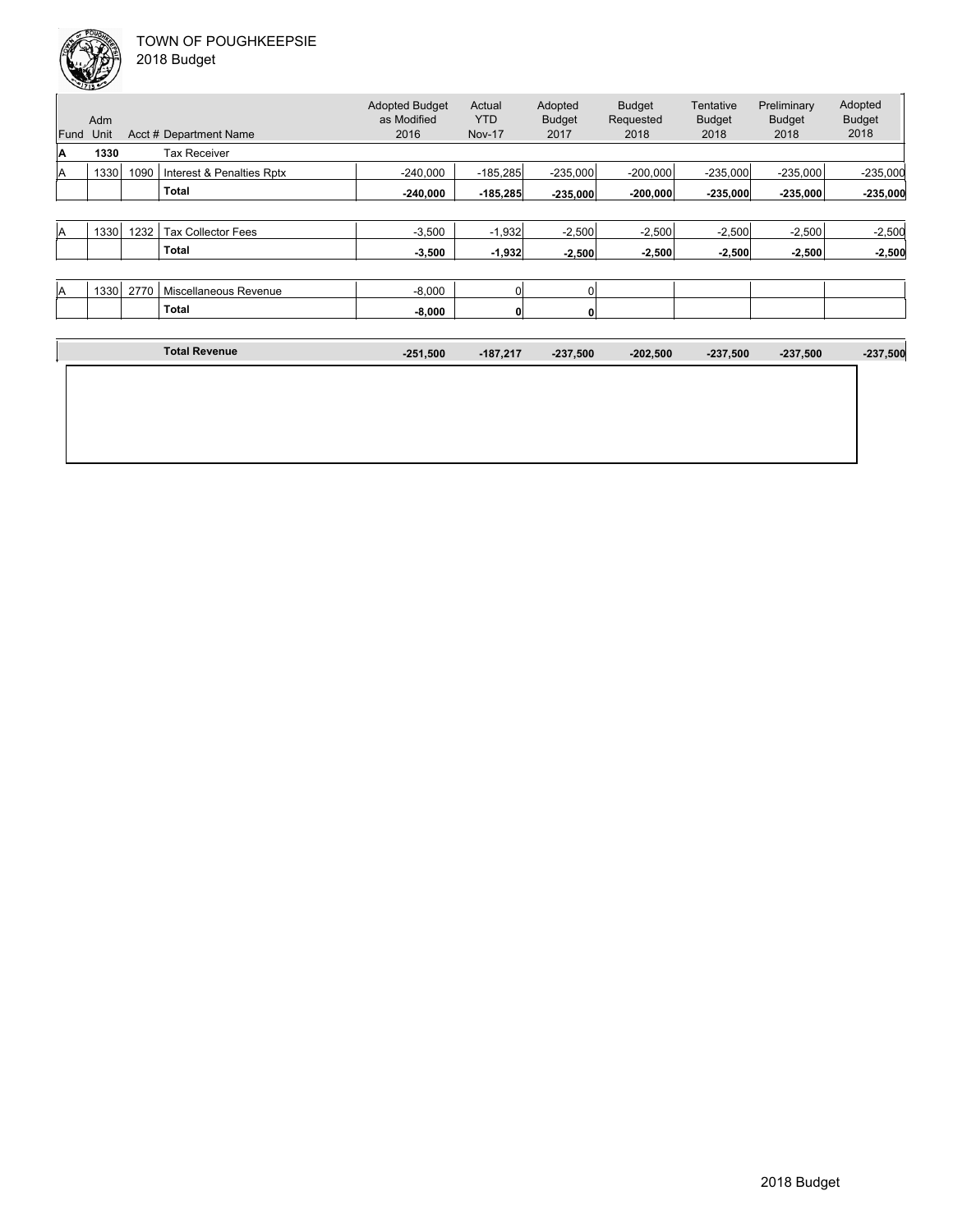| Fund | Adm<br>Unit |      | Acct # Department Name    | <b>Adopted Budget</b><br>as Modified<br>2016 | Actual<br><b>YTD</b><br><b>Nov-17</b> | Adopted<br><b>Budget</b><br>2017 | <b>Budget</b><br>Requested<br>2018 | Tentative<br><b>Budget</b><br>2018 | Preliminary<br><b>Budget</b><br>2018 | Adopted<br><b>Budget</b><br>2018 |
|------|-------------|------|---------------------------|----------------------------------------------|---------------------------------------|----------------------------------|------------------------------------|------------------------------------|--------------------------------------|----------------------------------|
| ΙA   | 1330        |      | <b>Tax Receiver</b>       |                                              |                                       |                                  |                                    |                                    |                                      |                                  |
| ΙA   | 1330        | 1090 | Interest & Penalties Rptx | $-240,000$                                   | $-185,285$                            | $-235,000$                       | $-200,000$                         | $-235,000$                         | $-235,000$                           | $-235,000$                       |
|      |             |      | <b>Total</b>              | $-240,000$                                   | $-185,285$                            | $-235,000$                       | $-200,000$                         | $-235,000$                         | $-235,000$                           | $-235,000$                       |
|      |             |      |                           |                                              |                                       |                                  |                                    |                                    |                                      |                                  |
| ΙA   | 1330        | 1232 | <b>Tax Collector Fees</b> | $-3,500$                                     | $-1,932$                              | $-2,500$                         | $-2,500$                           | $-2,500$                           | $-2,500$                             | $-2,500$                         |
|      |             |      | Total                     | $-3,500$                                     | $-1,932$                              | $-2,500$                         | $-2,500$                           | $-2,500$                           | $-2,500$                             | $-2,500$                         |
|      |             |      |                           |                                              |                                       |                                  |                                    |                                    |                                      |                                  |
| ΙA   | 1330        | 2770 | Miscellaneous Revenue     | $-8,000$                                     | $\overline{0}$                        | O                                |                                    |                                    |                                      |                                  |
|      |             |      | <b>Total</b>              | $-8,000$                                     | $\mathbf{0}$                          | 0                                |                                    |                                    |                                      |                                  |
|      |             |      |                           |                                              |                                       |                                  |                                    |                                    |                                      |                                  |
|      |             |      | <b>Total Revenue</b>      | $-251,500$                                   | $-187,217$                            | $-237,500$                       | $-202,500$                         | $-237,500$                         | $-237,500$                           | $-237,500$                       |
|      |             |      |                           |                                              |                                       |                                  |                                    |                                    |                                      |                                  |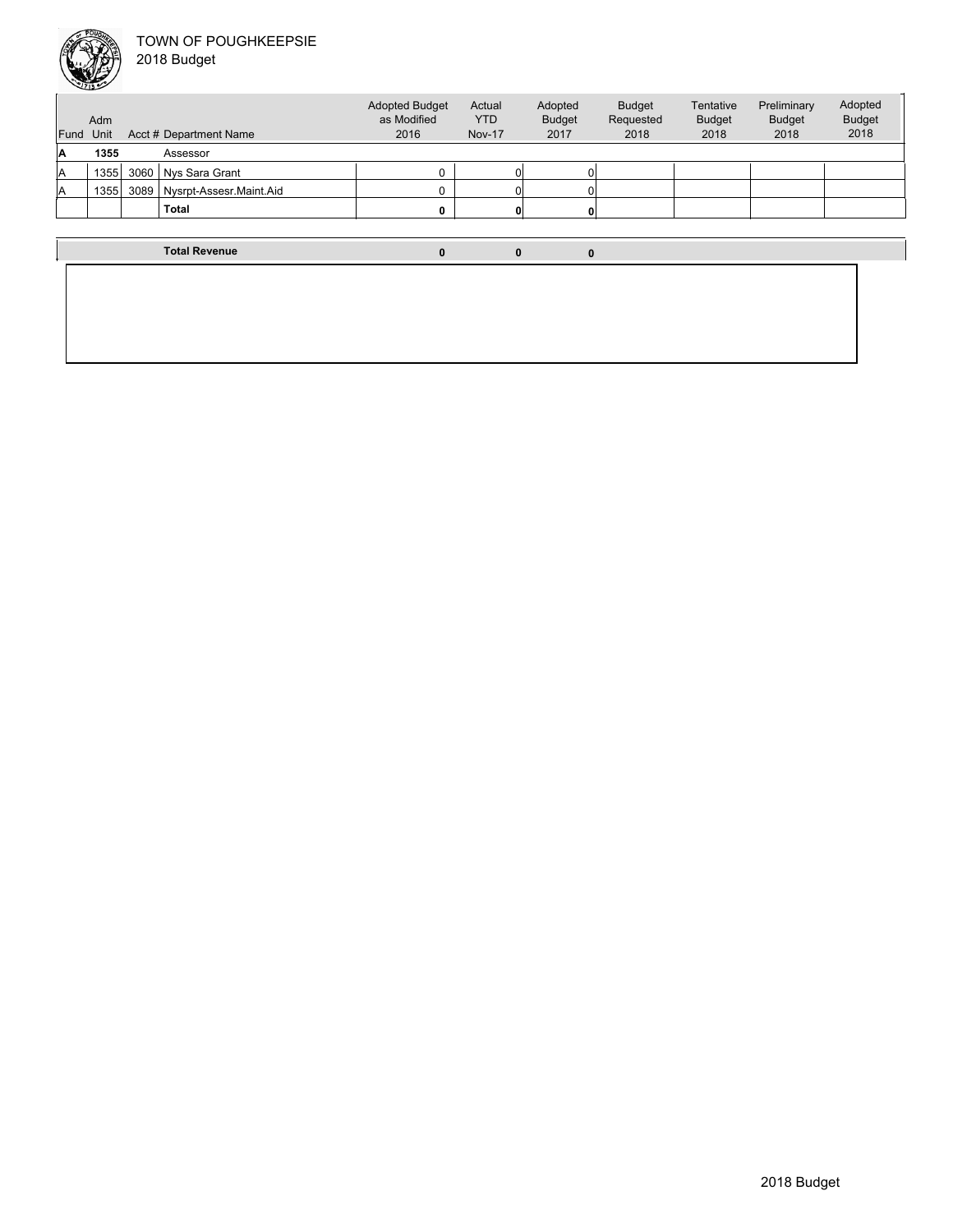

| Fund | Adm<br>Acct # Department Name<br>Unit |      |                         | <b>Adopted Budget</b><br>as Modified<br>2016 | Actual<br><b>YTD</b><br><b>Nov-17</b> | Adopted<br><b>Budget</b><br>2017 | <b>Budget</b><br>Requested<br>2018 | Tentative<br><b>Budget</b><br>2018 | Preliminary<br><b>Budget</b><br>2018 | Adopted<br><b>Budget</b><br>2018 |
|------|---------------------------------------|------|-------------------------|----------------------------------------------|---------------------------------------|----------------------------------|------------------------------------|------------------------------------|--------------------------------------|----------------------------------|
| A    | 1355                                  |      | Assessor                |                                              |                                       |                                  |                                    |                                    |                                      |                                  |
| A    | 1355                                  | 3060 | Nys Sara Grant          | ი                                            |                                       |                                  |                                    |                                    |                                      |                                  |
| ΙA   | 13551                                 | 3089 | Nysrpt-Assesr.Maint.Aid | 0                                            |                                       |                                  |                                    |                                    |                                      |                                  |
|      |                                       |      | <b>Total</b>            | 0                                            |                                       |                                  |                                    |                                    |                                      |                                  |
|      |                                       |      |                         |                                              |                                       |                                  |                                    |                                    |                                      |                                  |
|      |                                       |      | <b>Total Revenue</b>    | 0                                            | 0                                     | 0                                |                                    |                                    |                                      |                                  |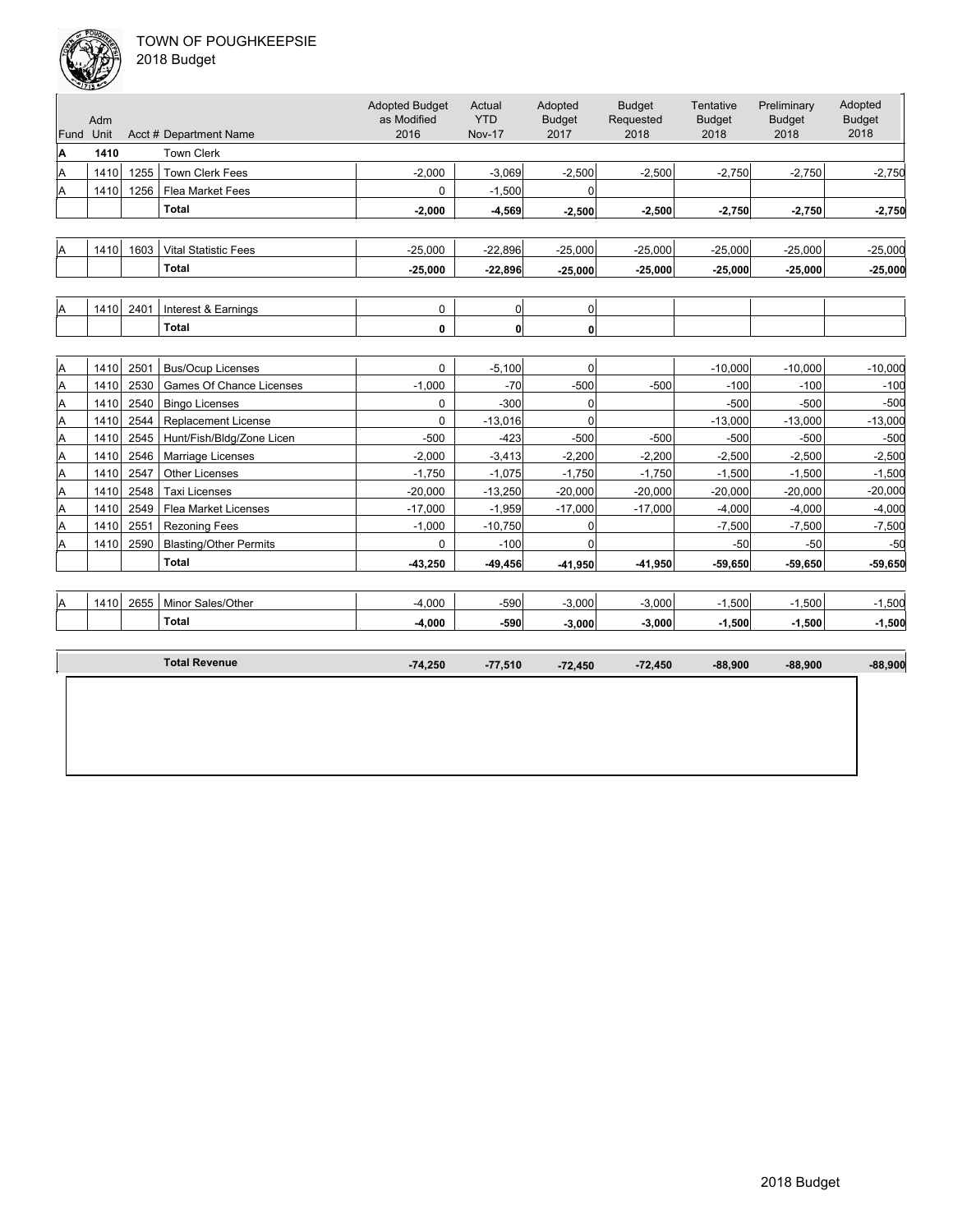

|  | 2018 Budget |
|--|-------------|
|--|-------------|

| Adm<br>Fund Unit<br>1410<br>1410<br>1410<br>1410 | 1255<br>1256<br>1603 | Acct # Department Name<br><b>Town Clerk</b><br><b>Town Clerk Fees</b><br><b>Flea Market Fees</b><br><b>Total</b><br><b>Vital Statistic Fees</b><br><b>Total</b> | <b>Adopted Budget</b><br>as Modified<br>2016<br>$-2,000$<br>0<br>$-2,000$<br>$-25,000$     | Actual<br><b>YTD</b><br><b>Nov-17</b><br>$-3,069$<br>$-1,500$<br>$-4,569$ | Adopted<br><b>Budget</b><br>2017<br>$-2,500$<br>$\Omega$ | <b>Budget</b><br>Requested<br>2018<br>$-2,500$ | Tentative<br><b>Budget</b><br>2018<br>$-2,750$ | Preliminary<br><b>Budget</b><br>2018<br>$-2,750$ | Adopted<br><b>Budget</b><br>2018<br>$-2,750$ |
|--------------------------------------------------|----------------------|-----------------------------------------------------------------------------------------------------------------------------------------------------------------|--------------------------------------------------------------------------------------------|---------------------------------------------------------------------------|----------------------------------------------------------|------------------------------------------------|------------------------------------------------|--------------------------------------------------|----------------------------------------------|
|                                                  |                      |                                                                                                                                                                 |                                                                                            |                                                                           |                                                          |                                                |                                                |                                                  |                                              |
|                                                  |                      |                                                                                                                                                                 |                                                                                            |                                                                           |                                                          |                                                |                                                |                                                  |                                              |
|                                                  |                      |                                                                                                                                                                 |                                                                                            |                                                                           |                                                          |                                                |                                                |                                                  |                                              |
|                                                  |                      |                                                                                                                                                                 |                                                                                            |                                                                           |                                                          |                                                |                                                |                                                  |                                              |
|                                                  |                      |                                                                                                                                                                 |                                                                                            |                                                                           | $-2,500$                                                 | $-2,500$                                       | $-2,750$                                       | $-2,750$                                         | $-2,750$                                     |
|                                                  |                      |                                                                                                                                                                 |                                                                                            |                                                                           |                                                          |                                                |                                                |                                                  |                                              |
|                                                  |                      |                                                                                                                                                                 |                                                                                            | $-22,896$                                                                 | $-25,000$                                                | $-25,000$                                      | $-25,000$                                      | $-25,000$                                        | $-25,000$                                    |
|                                                  |                      |                                                                                                                                                                 | $-25.000$                                                                                  | $-22,896$                                                                 | $-25,000$                                                | $-25,000$                                      | $-25,000$                                      | $-25,000$                                        | $-25,000$                                    |
|                                                  |                      |                                                                                                                                                                 |                                                                                            |                                                                           |                                                          |                                                |                                                |                                                  |                                              |
| 1410                                             | 2401                 | Interest & Earnings                                                                                                                                             | $\mathbf 0$                                                                                | $\overline{0}$                                                            | $\Omega$                                                 |                                                |                                                |                                                  |                                              |
|                                                  |                      | <b>Total</b>                                                                                                                                                    |                                                                                            |                                                                           |                                                          |                                                |                                                |                                                  |                                              |
|                                                  |                      |                                                                                                                                                                 |                                                                                            |                                                                           |                                                          |                                                |                                                |                                                  |                                              |
| 1410                                             | 2501                 | <b>Bus/Ocup Licenses</b>                                                                                                                                        | $\mathbf 0$                                                                                | $-5,100$                                                                  | $\overline{0}$                                           |                                                | $-10,000$                                      | $-10,000$                                        | $-10,000$                                    |
| 1410                                             | 2530                 | Games Of Chance Licenses                                                                                                                                        | $-1,000$                                                                                   | $-70$                                                                     | $-500$                                                   | $-500$                                         | $-100$                                         | $-100$                                           | $-100$                                       |
| 1410                                             | 2540                 | <b>Bingo Licenses</b>                                                                                                                                           | 0                                                                                          | $-300$                                                                    | 0                                                        |                                                | $-500$                                         | $-500$                                           | $-500$                                       |
| 1410                                             | 2544                 | <b>Replacement License</b>                                                                                                                                      | $\Omega$                                                                                   | $-13,016$                                                                 | $\Omega$                                                 |                                                | $-13,000$                                      | $-13,000$                                        | $-13,000$                                    |
| 1410                                             | 2545                 | Hunt/Fish/Bldg/Zone Licen                                                                                                                                       | $-500$                                                                                     | $-423$                                                                    | $-500$                                                   | $-500$                                         | $-500$                                         | $-500$                                           | $-500$                                       |
| 1410                                             | 2546                 | Marriage Licenses                                                                                                                                               | $-2,000$                                                                                   | $-3,413$                                                                  | $-2,200$                                                 | $-2,200$                                       | $-2,500$                                       | $-2,500$                                         | $-2,500$                                     |
| 1410                                             | 2547                 | <b>Other Licenses</b>                                                                                                                                           | $-1,750$                                                                                   | $-1,075$                                                                  | $-1,750$                                                 | $-1,750$                                       | $-1,500$                                       | $-1,500$                                         | $-1,500$                                     |
| 1410                                             | 2548                 | <b>Taxi Licenses</b>                                                                                                                                            | $-20,000$                                                                                  | $-13,250$                                                                 | $-20,000$                                                | $-20,000$                                      | $-20,000$                                      | $-20,000$                                        | $-20,000$                                    |
| 1410                                             | 2549                 | Flea Market Licenses                                                                                                                                            | $-17,000$                                                                                  | $-1,959$                                                                  | $-17,000$                                                | $-17,000$                                      | $-4,000$                                       | $-4,000$                                         | $-4,000$                                     |
| 1410                                             | 2551                 | <b>Rezoning Fees</b>                                                                                                                                            | $-1,000$                                                                                   | $-10,750$                                                                 | $\Omega$                                                 |                                                | $-7,500$                                       | $-7,500$                                         | $-7,500$                                     |
| 1410                                             |                      |                                                                                                                                                                 | 0                                                                                          |                                                                           | $\Omega$                                                 |                                                |                                                |                                                  | $-50$                                        |
|                                                  |                      |                                                                                                                                                                 | $-43,250$                                                                                  | $-49,456$                                                                 | $-41,950$                                                | $-41,950$                                      | $-59,650$                                      | $-59,650$                                        | $-59,650$                                    |
|                                                  |                      |                                                                                                                                                                 |                                                                                            |                                                                           |                                                          |                                                |                                                |                                                  |                                              |
| 1410                                             |                      |                                                                                                                                                                 |                                                                                            |                                                                           |                                                          |                                                |                                                |                                                  | $-1,500$                                     |
|                                                  |                      | <b>Total</b>                                                                                                                                                    | $-4,000$                                                                                   | $-590$                                                                    | $-3.000$                                                 | $-3,000$                                       | $-1,500$                                       | $-1,500$                                         | $-1,500$                                     |
|                                                  |                      |                                                                                                                                                                 |                                                                                            |                                                                           |                                                          |                                                |                                                |                                                  | $-88,900$                                    |
|                                                  |                      |                                                                                                                                                                 |                                                                                            |                                                                           |                                                          |                                                |                                                |                                                  |                                              |
|                                                  |                      | 2590<br>2655                                                                                                                                                    | <b>Blasting/Other Permits</b><br><b>Total</b><br>Minor Sales/Other<br><b>Total Revenue</b> | 0<br>$-4,000$<br>$-74,250$                                                | 0 <br>$-100$<br>$-590$<br>$-77,510$                      | 0<br>$-3,000$<br>$-72,450$                     | $-3,000$<br>$-72,450$                          | $-50$<br>$-1,500$<br>$-88,900$                   | $-50$<br>$-1,500$<br>$-88,900$               |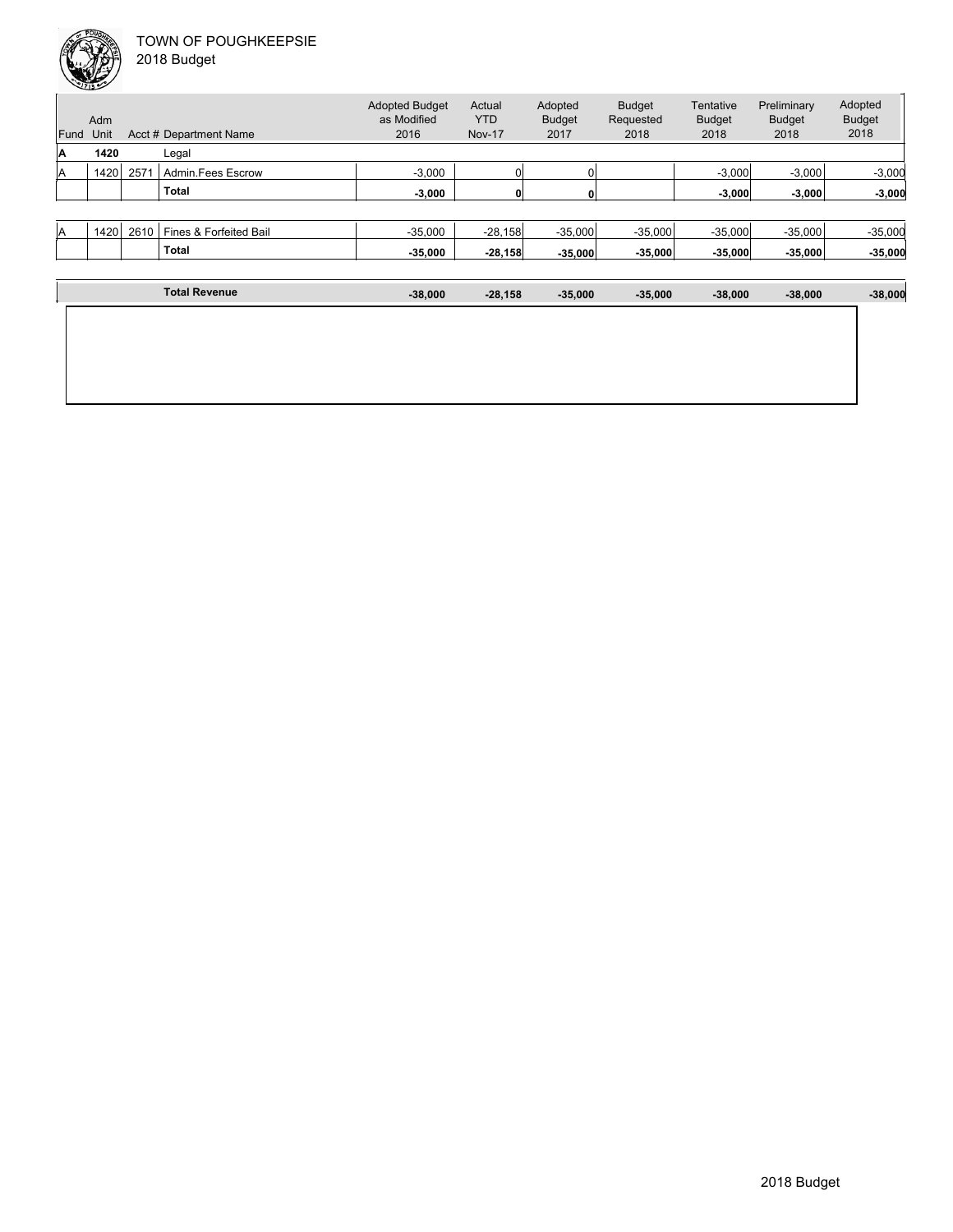

2018 Budget

|      | Adm   |      |                        | <b>Adopted Budget</b><br>as Modified | Actual<br><b>YTD</b> | Adopted<br><b>Budget</b> | <b>Budget</b><br>Requested | Tentative<br><b>Budget</b> | Preliminary<br><b>Budget</b> | Adopted<br><b>Budget</b> |
|------|-------|------|------------------------|--------------------------------------|----------------------|--------------------------|----------------------------|----------------------------|------------------------------|--------------------------|
| Fund | Unit  |      | Acct # Department Name | 2016                                 | <b>Nov-17</b>        | 2017                     | 2018                       | 2018                       | 2018                         | 2018                     |
| ۱A   | 1420  |      | Legal                  |                                      |                      |                          |                            |                            |                              |                          |
| lA   | 1420  | 257' | Admin.Fees Escrow      | $-3,000$                             |                      |                          |                            | $-3,000$                   | $-3,000$                     | $-3,000$                 |
|      |       |      | <b>Total</b>           | $-3.000$                             | 0                    |                          |                            | $-3.000$                   | $-3.000$                     | $-3,000$                 |
|      |       |      |                        |                                      |                      |                          |                            |                            |                              |                          |
| IA   | 1420. | 2610 | Fines & Forfeited Bail | $-35,000$                            | $-28,158$            | $-35,000$                | $-35,000$                  | $-35,000$                  | $-35,000$                    | $-35,000$                |
|      |       |      | <b>Total</b>           | $-35,000$                            | $-28,158$            | $-35,000$                | $-35,000$                  | $-35,000$                  | $-35,000$                    | $-35,000$                |

| <b>Total Revenue</b> | $-38,000$ | $-28,158$ | $-35,000$ | $-35,000$ | $-38,000$ | $-38,000$ | $-38,000$ |
|----------------------|-----------|-----------|-----------|-----------|-----------|-----------|-----------|
|                      |           |           |           |           |           |           |           |
|                      |           |           |           |           |           |           |           |
|                      |           |           |           |           |           |           |           |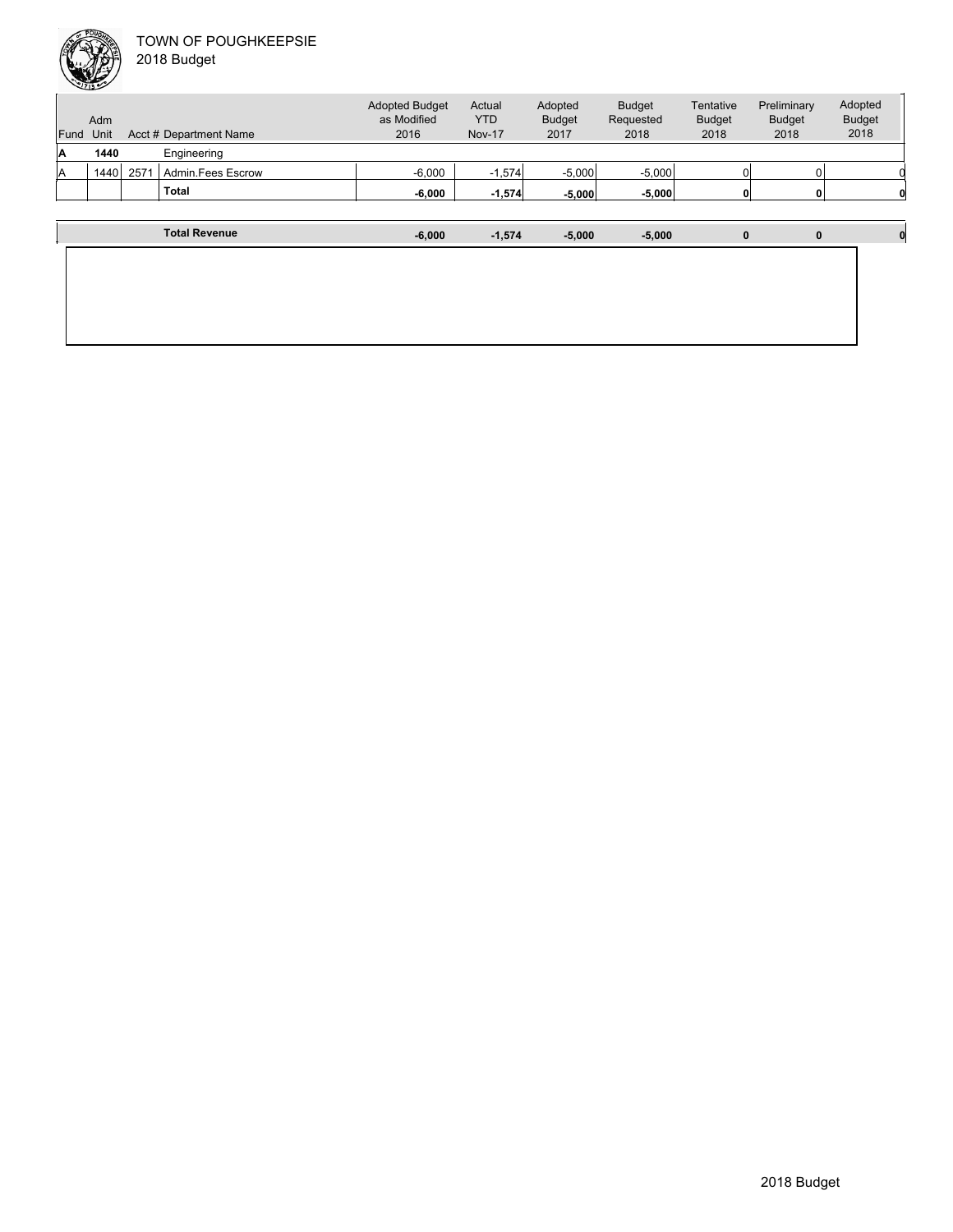| Fund | Adm<br>Unit |      | Acct # Department Name | <b>Adopted Budget</b><br>as Modified<br>2016 | Actual<br><b>YTD</b><br><b>Nov-17</b> | Adopted<br><b>Budget</b><br>2017 | <b>Budget</b><br>Requested<br>2018 | Tentative<br><b>Budget</b><br>2018 | Preliminary<br><b>Budget</b><br>2018 | Adopted<br><b>Budget</b><br>2018 |
|------|-------------|------|------------------------|----------------------------------------------|---------------------------------------|----------------------------------|------------------------------------|------------------------------------|--------------------------------------|----------------------------------|
| ۱A   | 1440        |      | Engineering            |                                              |                                       |                                  |                                    |                                    |                                      |                                  |
| IA   | 1440        | 2571 | Admin Fees Escrow      | $-6.000$                                     | $-1,574$                              | $-5.000$                         | $-5.000$                           |                                    |                                      |                                  |
|      |             |      | <b>Total</b>           | $-6,000$                                     | $-1,574$                              | $-5,000$                         | $-5,000$                           |                                    |                                      |                                  |
|      |             |      |                        |                                              |                                       |                                  |                                    |                                    |                                      |                                  |
|      |             |      | <b>Total Revenue</b>   | $-6,000$                                     | $-1.574$                              | $-5.000$                         | $-5,000$                           | 0                                  | 0                                    |                                  |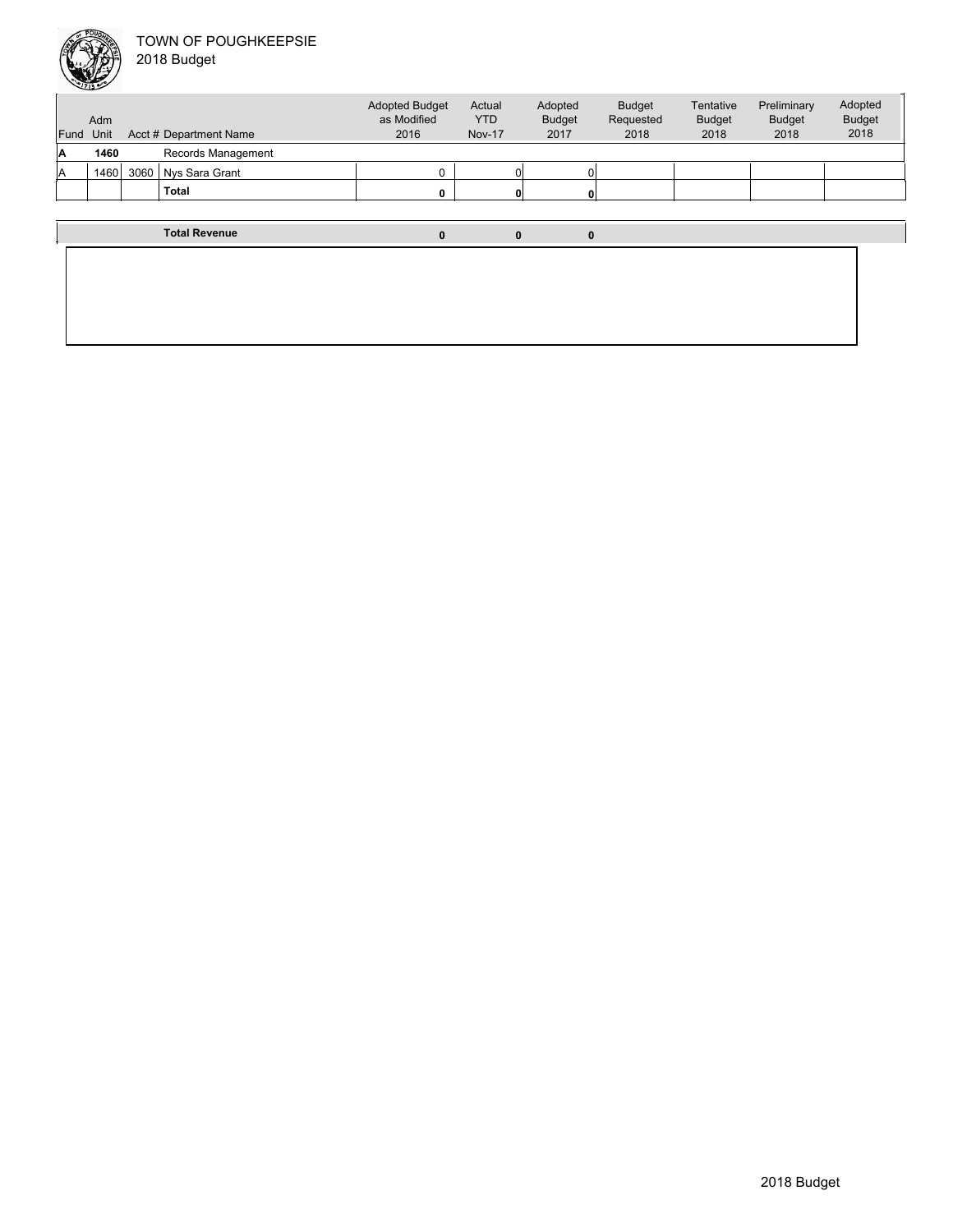

Unit Acct # Department Name Adm Actual YTD Nov-17 Budget Requested 2018 Tentative Budget 2018 Preliminary Budget 2018 Adopted Budget 2018 Adopted Budget as Modified 2016 Fund Unit Adopted Budget 2017 **A 1460** Records Management 1460 3060 Nys Sara Grant 1460 3060 Nys Sara Grant **Total 0 0 0 Total Revenue 0 0 0**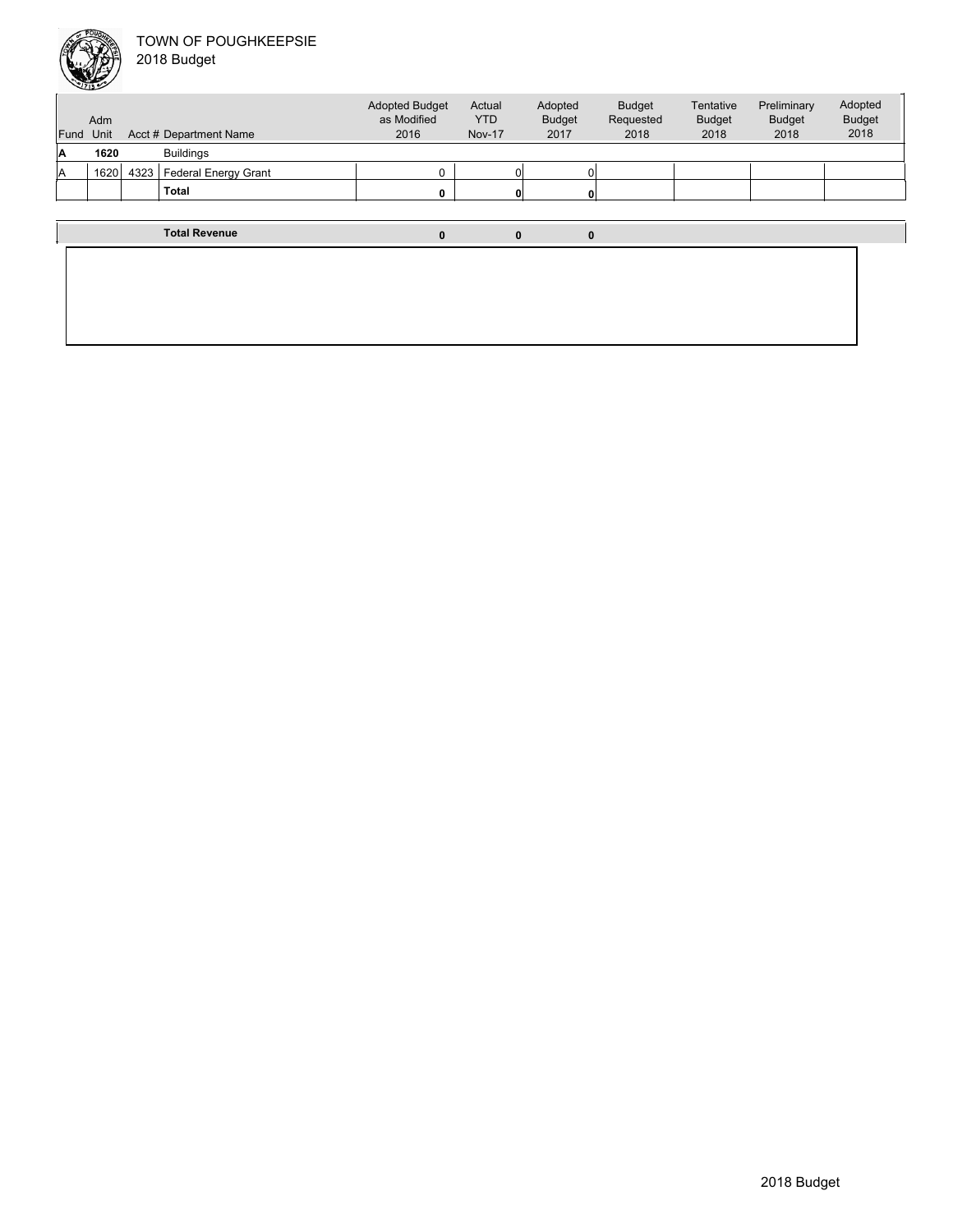

| <b>Fund</b> | Adm<br>Unit |      | Acct # Department Name | <b>Adopted Budget</b><br>as Modified<br>2016 | Actual<br><b>YTD</b><br><b>Nov-17</b> | Adopted<br><b>Budget</b><br>2017 | <b>Budget</b><br>Requested<br>2018 | Tentative<br><b>Budget</b><br>2018 | Preliminary<br><b>Budget</b><br>2018 | Adopted<br><b>Budget</b><br>2018 |
|-------------|-------------|------|------------------------|----------------------------------------------|---------------------------------------|----------------------------------|------------------------------------|------------------------------------|--------------------------------------|----------------------------------|
| A           | 1620        |      | <b>Buildings</b>       |                                              |                                       |                                  |                                    |                                    |                                      |                                  |
| lA          | 1620        | 4323 | Federal Energy Grant   |                                              | 0                                     |                                  |                                    |                                    |                                      |                                  |
|             |             |      | <b>Total</b>           |                                              | $\mathbf{0}$                          |                                  |                                    |                                    |                                      |                                  |
|             |             |      |                        |                                              |                                       |                                  |                                    |                                    |                                      |                                  |
|             |             |      | <b>Total Revenue</b>   | 0                                            | 0                                     | 0                                |                                    |                                    |                                      |                                  |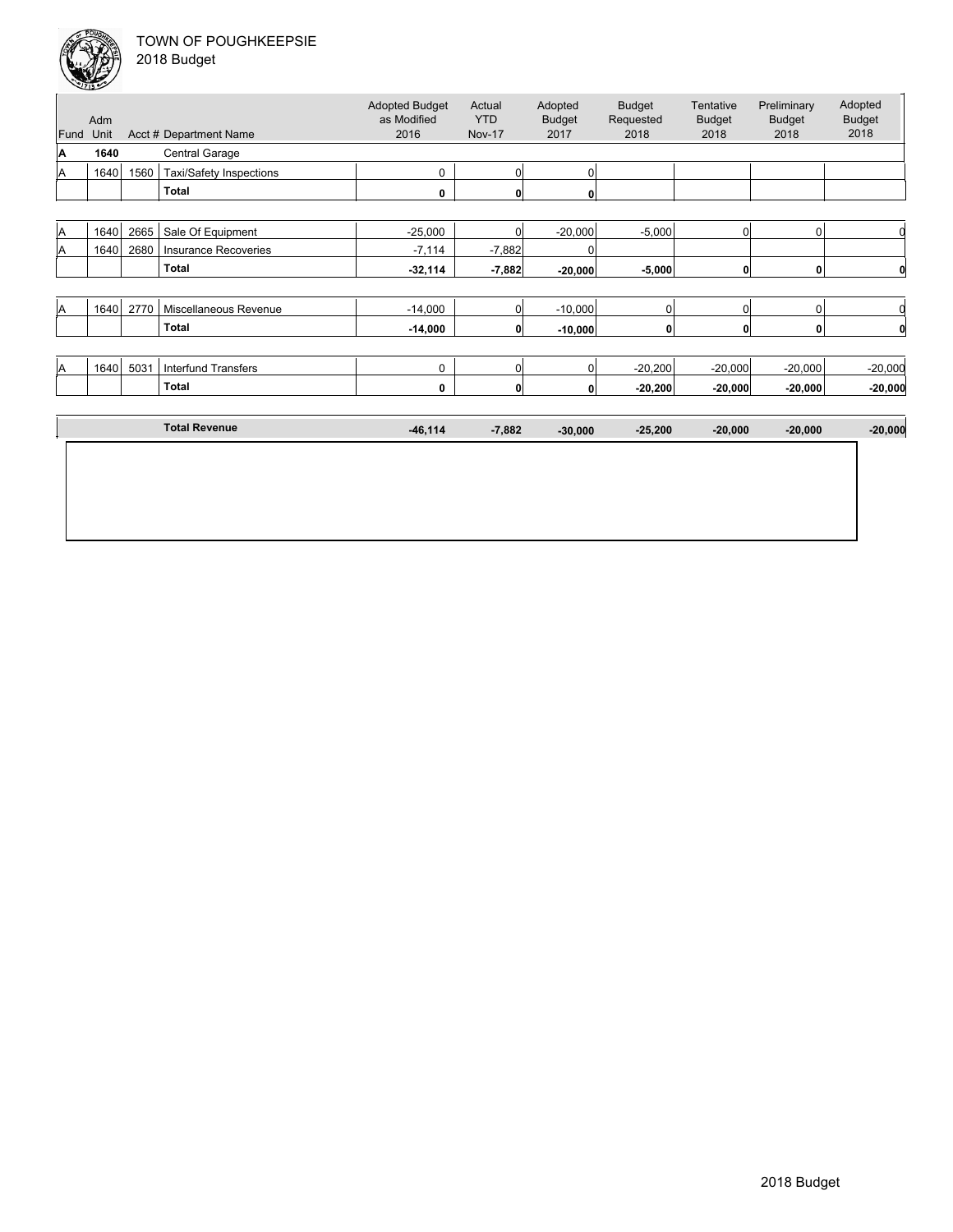

|  | 2018 Budget |  |
|--|-------------|--|
|--|-------------|--|

| $\overline{0}$<br>$\mathbf 0$ |                                                                            |
|-------------------------------|----------------------------------------------------------------------------|
|                               |                                                                            |
| 0 <br>$\mathbf 0$             | 0                                                                          |
|                               |                                                                            |
| 0 <br>$\mathbf 0$             |                                                                            |
| 0 <br>$\mathbf 0$             | 0                                                                          |
|                               |                                                                            |
|                               | $-20,000$                                                                  |
|                               | $-20,000$                                                                  |
|                               |                                                                            |
|                               | $-20,000$                                                                  |
|                               |                                                                            |
|                               |                                                                            |
|                               |                                                                            |
|                               | $-20,000$<br>$-20,000$<br>$-20,000$<br>$-20,000$<br>$-20,000$<br>$-20,000$ |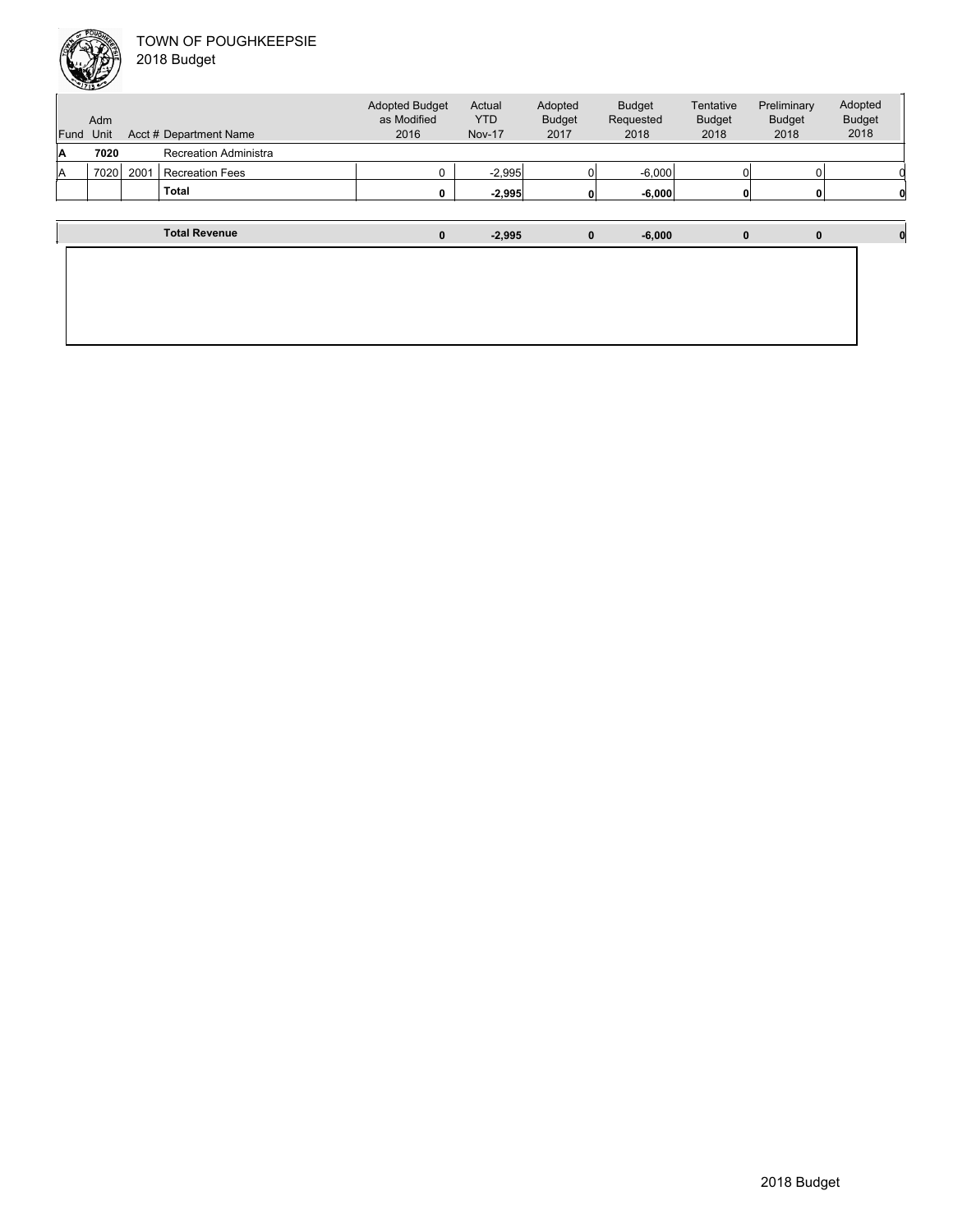

|           | <b>SUZIBLE AND STREET</b> |      |                        |                                      |                |                          |                            |                            |                              |                          |  |
|-----------|---------------------------|------|------------------------|--------------------------------------|----------------|--------------------------|----------------------------|----------------------------|------------------------------|--------------------------|--|
|           | Adm                       |      |                        | <b>Adopted Budget</b><br>as Modified | Actual<br>YTD. | Adopted<br><b>Budget</b> | <b>Budget</b><br>Requested | Tentative<br><b>Budget</b> | Preliminary<br><b>Budget</b> | Adopted<br><b>Budget</b> |  |
| Fund Unit |                           |      | Acct # Department Name | 2016                                 | <b>Nov-17</b>  | 2017                     | 2018                       | 2018                       | 2018                         | 2018                     |  |
| А         | 7020                      |      | Recreation Administra  |                                      |                |                          |                            |                            |                              |                          |  |
|           | 7020                      | 2001 | <b>Recreation Fees</b> |                                      | $-2.995$       |                          | $-6,000$                   |                            |                              |                          |  |

|  | Total                | 0 | $-2,995$ | 0            | $-6,000$ | 0 | 0 |  |
|--|----------------------|---|----------|--------------|----------|---|---|--|
|  |                      |   |          |              |          |   |   |  |
|  | <b>Total Revenue</b> | 0 | $-2,995$ | $\mathbf{0}$ | $-6,000$ | 0 | 0 |  |
|  |                      |   |          |              |          |   |   |  |
|  |                      |   |          |              |          |   |   |  |
|  |                      |   |          |              |          |   |   |  |
|  |                      |   |          |              |          |   |   |  |
|  |                      |   |          |              |          |   |   |  |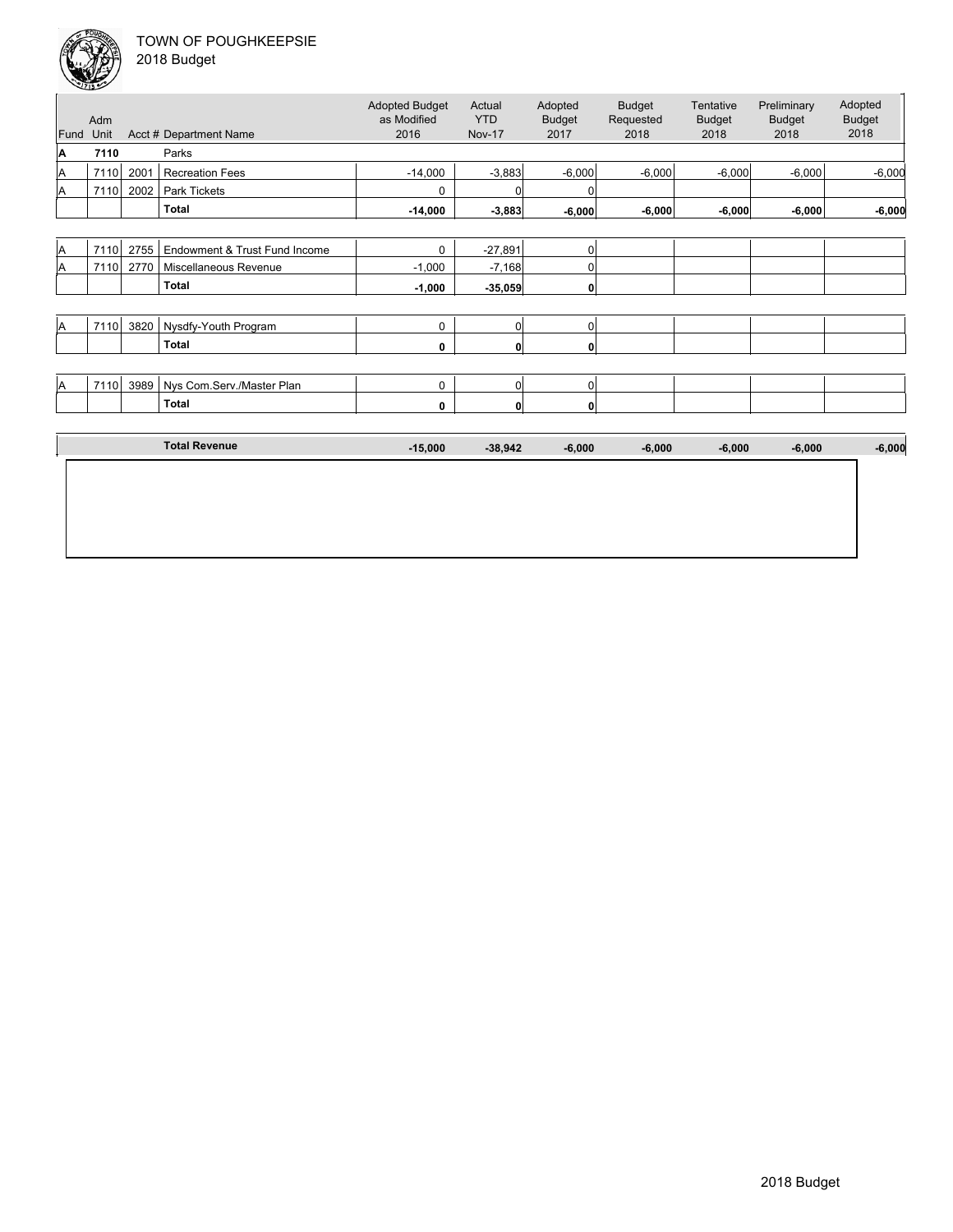

|  | 2018 Budget |  |
|--|-------------|--|
|--|-------------|--|

| Fund     | Adm<br>Unit |      | Acct # Department Name        | <b>Adopted Budget</b><br>as Modified<br>2016 | Actual<br><b>YTD</b><br><b>Nov-17</b> | Adopted<br><b>Budget</b><br>2017 | <b>Budget</b><br>Requested<br>2018 | Tentative<br><b>Budget</b><br>2018 | Preliminary<br><b>Budget</b><br>2018 | Adopted<br><b>Budget</b><br>2018 |
|----------|-------------|------|-------------------------------|----------------------------------------------|---------------------------------------|----------------------------------|------------------------------------|------------------------------------|--------------------------------------|----------------------------------|
| A        | 7110        |      | Parks                         |                                              |                                       |                                  |                                    |                                    |                                      |                                  |
| A        | 7110        | 2001 | <b>Recreation Fees</b>        | $-14,000$                                    | $-3,883$                              | $-6,000$                         | $-6,000$                           | $-6,000$                           | $-6,000$                             | $-6,000$                         |
| A        | 7110        | 2002 | Park Tickets                  | 0                                            | $\Omega$                              |                                  |                                    |                                    |                                      |                                  |
|          |             |      | <b>Total</b>                  | $-14,000$                                    | $-3,883$                              | $-6,000$                         | $-6,000$                           | $-6,000$                           | $-6,000$                             | $-6,000$                         |
|          |             |      |                               |                                              |                                       |                                  |                                    |                                    |                                      |                                  |
| A        | 7110        | 2755 | Endowment & Trust Fund Income | $\mathbf 0$                                  | $-27,891$                             | 0                                |                                    |                                    |                                      |                                  |
| A        | 7110        | 2770 | Miscellaneous Revenue         | $-1,000$                                     | $-7,168$                              | 0                                |                                    |                                    |                                      |                                  |
|          |             |      | <b>Total</b>                  | $-1,000$                                     | $-35,059$                             | 0                                |                                    |                                    |                                      |                                  |
|          |             |      |                               |                                              |                                       |                                  |                                    |                                    |                                      |                                  |
| <b>A</b> | 7110        | 3820 | Nysdfy-Youth Program          | 0                                            | 0                                     | 0                                |                                    |                                    |                                      |                                  |
|          |             |      | <b>Total</b>                  | 0                                            | $\mathbf{0}$                          | 0                                |                                    |                                    |                                      |                                  |
|          |             |      |                               |                                              |                                       |                                  |                                    |                                    |                                      |                                  |
| A        | 7110        | 3989 | Nys Com.Serv./Master Plan     | 0                                            | $\overline{0}$                        | 0                                |                                    |                                    |                                      |                                  |
|          |             |      | <b>Total</b>                  | 0                                            | $\mathbf{0}$                          | 0                                |                                    |                                    |                                      |                                  |
|          |             |      |                               |                                              |                                       |                                  |                                    |                                    |                                      |                                  |
|          |             |      | <b>Total Revenue</b>          | $-15,000$                                    | $-38,942$                             | $-6,000$                         | $-6,000$                           | $-6,000$                           | $-6,000$                             | $-6,000$                         |
|          |             |      |                               |                                              |                                       |                                  |                                    |                                    |                                      |                                  |
|          |             |      |                               |                                              |                                       |                                  |                                    |                                    |                                      |                                  |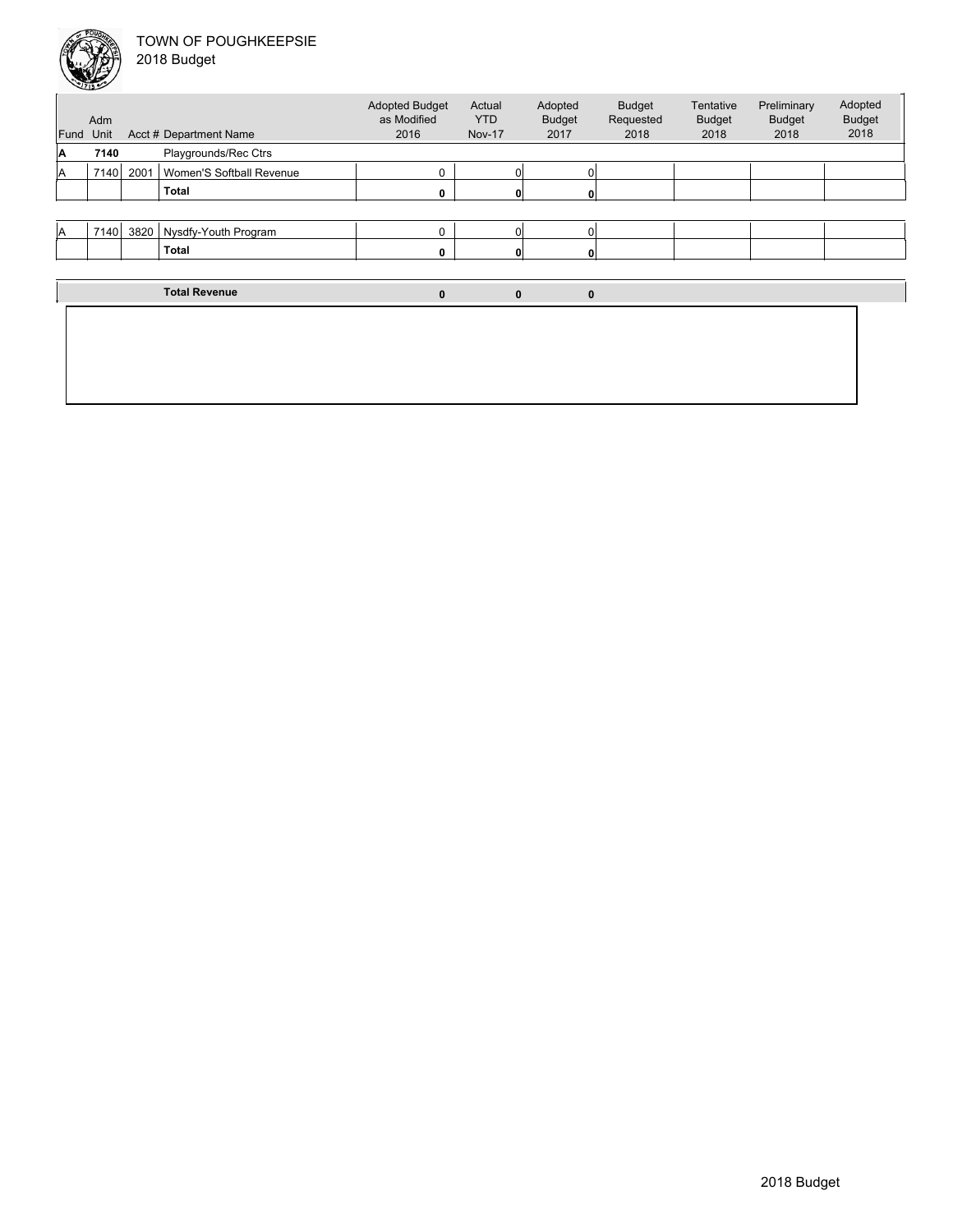

| 2018 Budget |  |
|-------------|--|
|             |  |

| Fund<br>A | Adm<br>Unit<br>7140 |      | Acct # Department Name<br>Playgrounds/Rec Ctrs | <b>Adopted Budget</b><br>as Modified<br>2016 | Actual<br><b>YTD</b><br><b>Nov-17</b> | Adopted<br><b>Budget</b><br>2017 | <b>Budget</b><br>Requested<br>2018 | Tentative<br><b>Budget</b><br>2018 | Preliminary<br><b>Budget</b><br>2018 | Adopted<br><b>Budget</b><br>2018 |
|-----------|---------------------|------|------------------------------------------------|----------------------------------------------|---------------------------------------|----------------------------------|------------------------------------|------------------------------------|--------------------------------------|----------------------------------|
| A         | 7140                | 2001 | Women'S Softball Revenue                       | 0                                            |                                       |                                  |                                    |                                    |                                      |                                  |
|           |                     |      | <b>Total</b>                                   | $\Omega$                                     |                                       |                                  |                                    |                                    |                                      |                                  |
|           |                     |      |                                                |                                              |                                       |                                  |                                    |                                    |                                      |                                  |
| IA.       | 7140                | 3820 | Nysdfy-Youth Program                           | 0                                            |                                       |                                  |                                    |                                    |                                      |                                  |
|           |                     |      | <b>Total</b>                                   | 0                                            |                                       |                                  |                                    |                                    |                                      |                                  |
|           |                     |      |                                                |                                              |                                       |                                  |                                    |                                    |                                      |                                  |
|           |                     |      | <b>Total Revenue</b>                           | $\mathbf{0}$                                 | $\bf{0}$                              | $\mathbf{0}$                     |                                    |                                    |                                      |                                  |
|           |                     |      |                                                |                                              |                                       |                                  |                                    |                                    |                                      |                                  |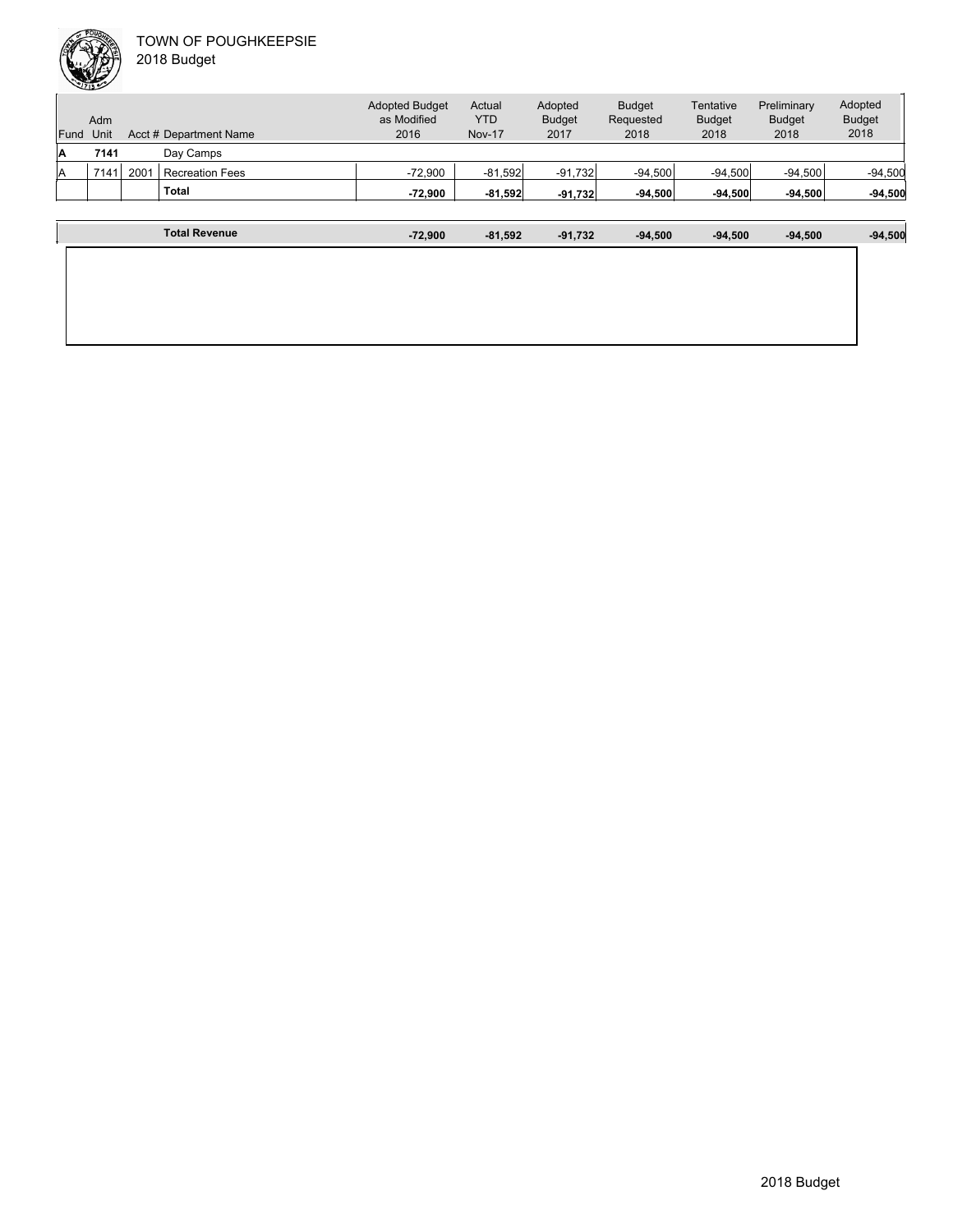

| <b>Budget</b><br>Adopted<br>Adopted<br>Preliminary<br><b>Adopted Budget</b><br>Actual<br>Tentative<br>as Modified<br>YTD<br><b>Budget</b><br><b>Budget</b><br><b>Budget</b><br><b>Budget</b><br>Requested<br>Adm<br>2016<br><b>Nov-17</b><br>2018<br>2018<br>2017<br>2018<br>2018<br>Acct # Department Name<br>Unit<br>Fund<br>Day Camps<br>7141<br>۱A<br>2001<br>$-72.900$<br>$-94.500$<br>$-94.500$<br>7141<br>$-81,592$<br>$-91.732$<br>$-94.500$<br><b>Recreation Fees</b><br>ΙA<br><b>Total</b><br>$-94,500$<br>-72.900<br>$-81,592$<br>$-94.500$<br>$-94.500$<br>$-94.500$<br>$-91.732$ |  | <b>Total Revenue</b> | $-72,900$ | $-81,592$ | $-91,732$ | $-94,500$ | $-94,500$ | $-94,500$ | $-94,500$ |
|-----------------------------------------------------------------------------------------------------------------------------------------------------------------------------------------------------------------------------------------------------------------------------------------------------------------------------------------------------------------------------------------------------------------------------------------------------------------------------------------------------------------------------------------------------------------------------------------------|--|----------------------|-----------|-----------|-----------|-----------|-----------|-----------|-----------|
|                                                                                                                                                                                                                                                                                                                                                                                                                                                                                                                                                                                               |  |                      |           |           |           |           |           |           |           |
|                                                                                                                                                                                                                                                                                                                                                                                                                                                                                                                                                                                               |  |                      |           |           |           |           |           |           | $-94,500$ |
|                                                                                                                                                                                                                                                                                                                                                                                                                                                                                                                                                                                               |  |                      |           |           |           |           |           |           |           |
|                                                                                                                                                                                                                                                                                                                                                                                                                                                                                                                                                                                               |  |                      |           |           |           |           |           |           |           |

| <b>Total Revenue</b> | $-72,900$ | $-81,592$ | $-91,732$ | $-94,500$ | $-94,500$ | $-94,500$ | $-94,500$ |
|----------------------|-----------|-----------|-----------|-----------|-----------|-----------|-----------|
|                      |           |           |           |           |           |           |           |
|                      |           |           |           |           |           |           |           |
|                      |           |           |           |           |           |           |           |
|                      |           |           |           |           |           |           |           |
|                      |           |           |           |           |           |           |           |
|                      |           |           |           |           |           |           |           |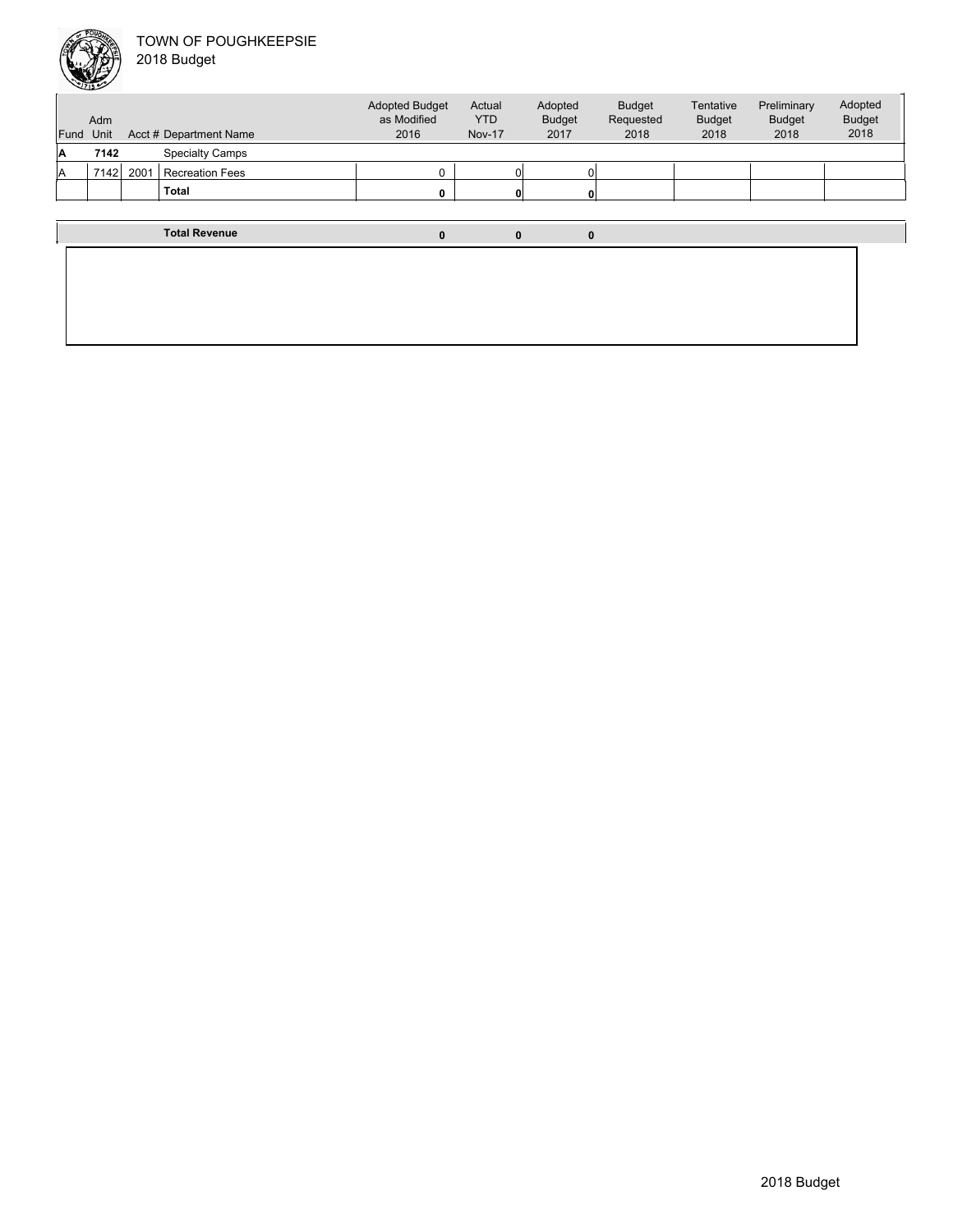

| Fund Unit | <b>Adm</b> |      | Acct # Department Name | <b>Adopted Budget</b><br>as Modified<br>2016 | Actual<br><b>YTD</b><br><b>Nov-17</b> | Adopted<br><b>Budget</b><br>2017 |   | <b>Budget</b><br>Requested<br>2018 | Tentative<br><b>Budget</b><br>2018 | Preliminary<br><b>Budget</b><br>2018 | Adopted<br><b>Budget</b><br>2018 |
|-----------|------------|------|------------------------|----------------------------------------------|---------------------------------------|----------------------------------|---|------------------------------------|------------------------------------|--------------------------------------|----------------------------------|
| Α         | 7142       |      | <b>Specialty Camps</b> |                                              |                                       |                                  |   |                                    |                                    |                                      |                                  |
| A         | 7142       | 2001 | <b>Recreation Fees</b> |                                              |                                       | Οl                               |   |                                    |                                    |                                      |                                  |
|           |            |      | <b>Total</b>           |                                              |                                       | $\mathbf{0}$                     |   |                                    |                                    |                                      |                                  |
|           |            |      |                        |                                              |                                       |                                  |   |                                    |                                    |                                      |                                  |
|           |            |      | <b>Total Revenue</b>   | 0                                            |                                       | 0                                | 0 |                                    |                                    |                                      |                                  |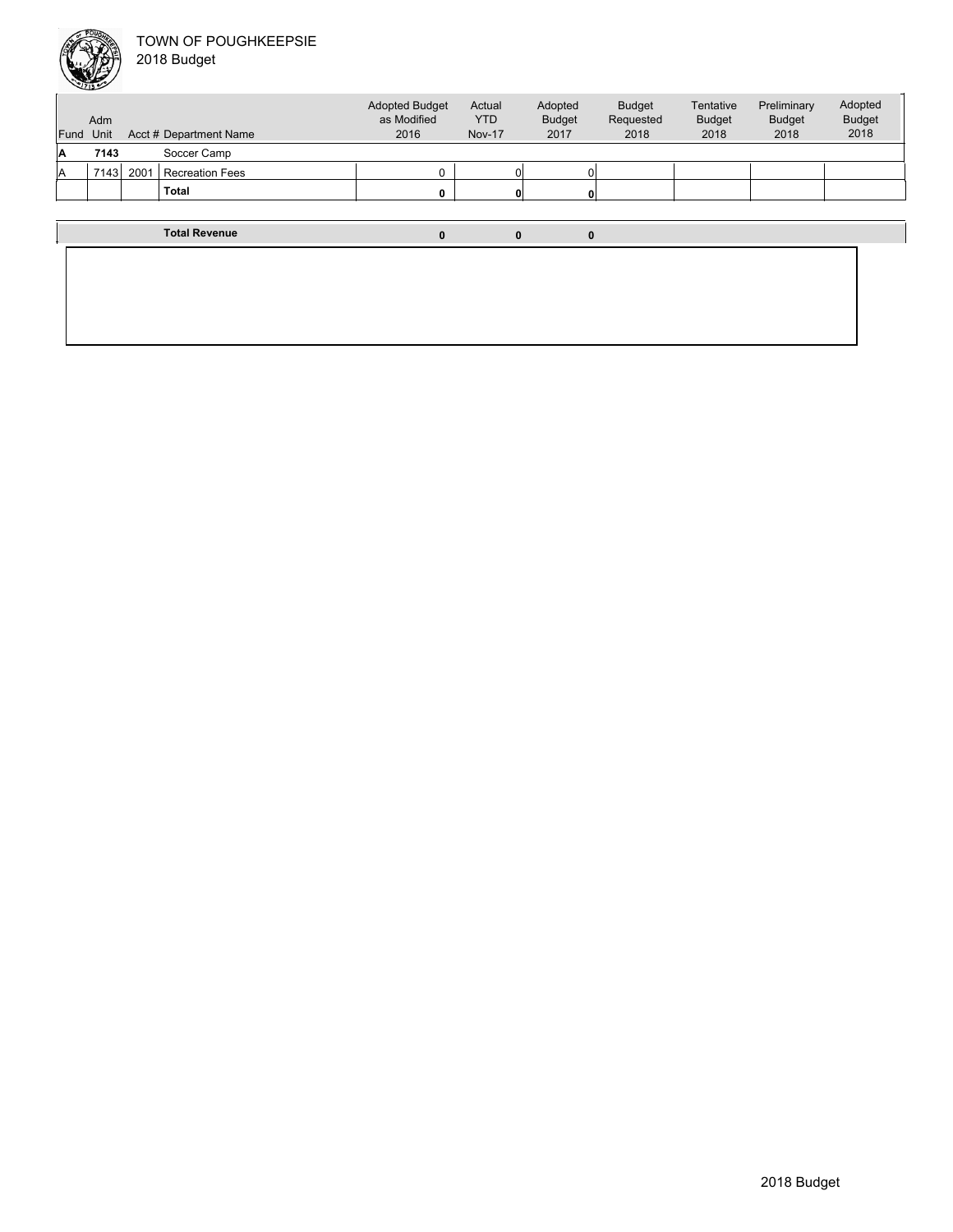

Unit Acct # Department Name Adm Actual YTD Nov-17 Budget Requested 2018 Tentative Budget 2018 Preliminary Budget 2018 Adopted Budget 2018 Adopted Budget as Modified 2016 Fund Unit Adopted Budget 2017 **A 7143** Soccer Camp A 7143 2001 Recreation Fees 0 0 0 **Total 0 0 0 Total Revenue 0 0 0**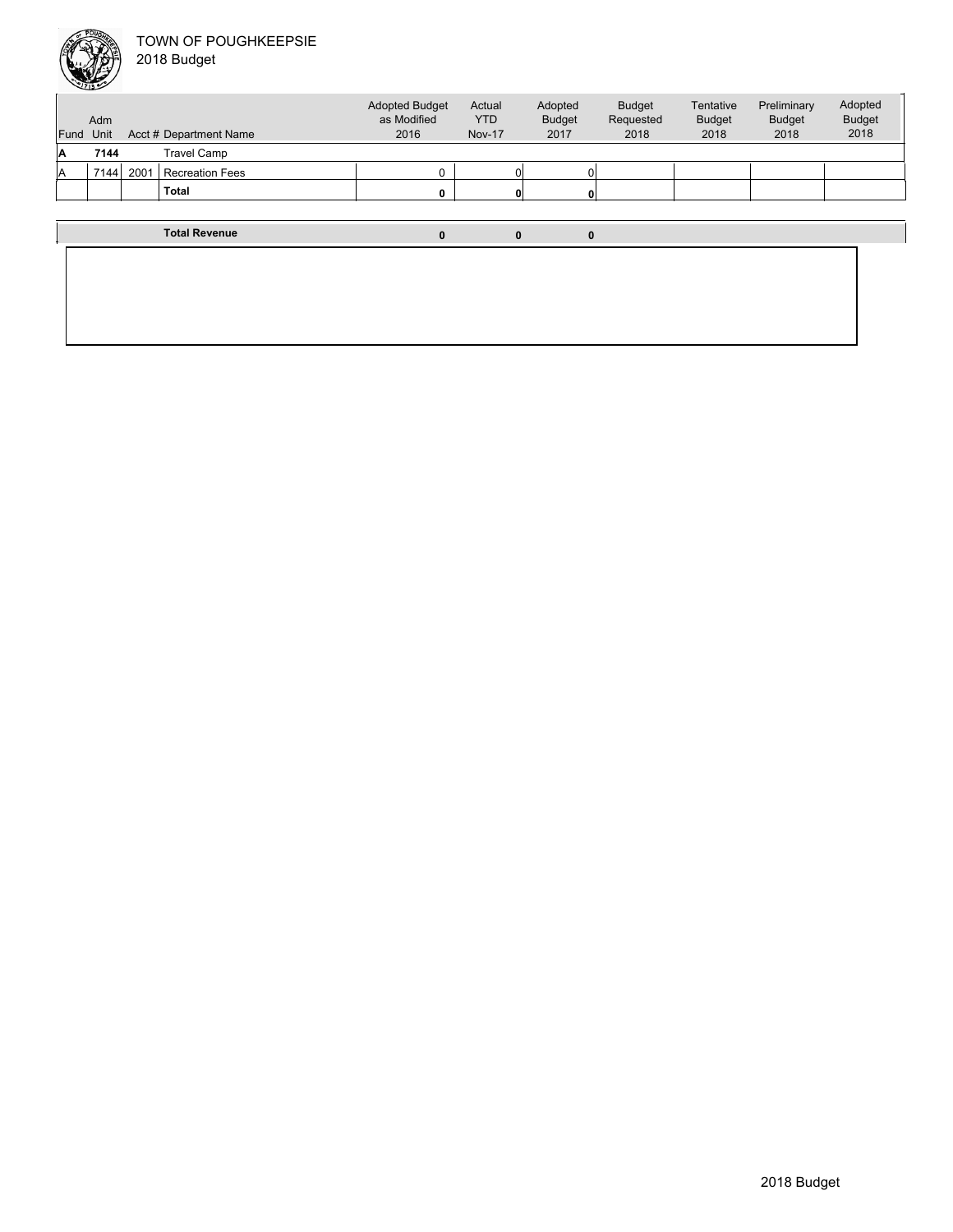

Unit Acct # Department Name Adm Actual YTD Nov-17 Budget Requested 2018 Tentative Budget 2018 Preliminary Budget 2018 Adopted Budget 2018 Adopted Budget as Modified 2016 Fund Unit Adopted Budget 2017 **A 7144** Travel Camp A 7144 2001 Recreation Fees 0 0 0 **Total 0 0 0 Total Revenue 0 0 0**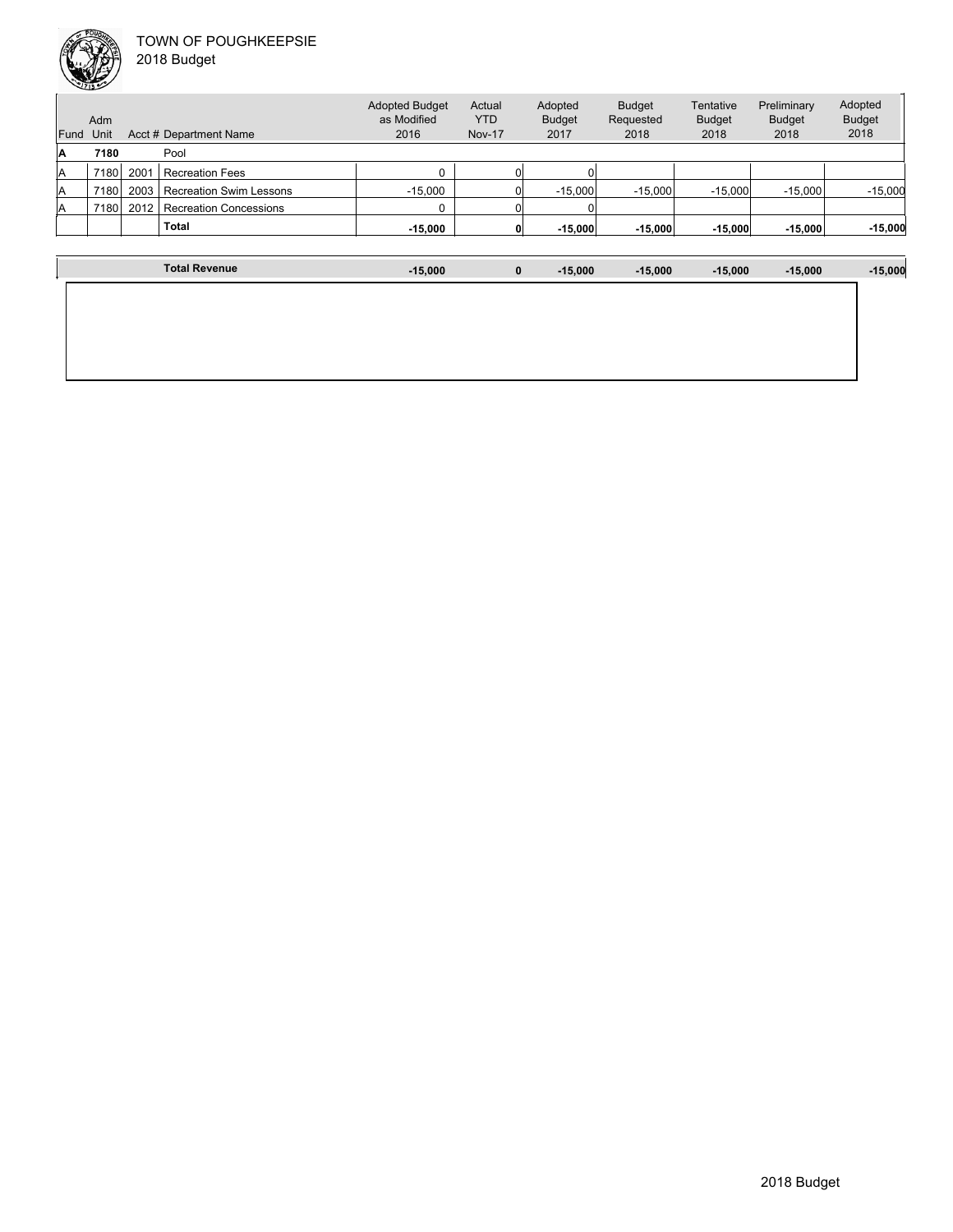

|      | Adm  |      |                                | <b>Adopted Budget</b><br>as Modified | Actual<br><b>YTD</b> | Adopted<br><b>Budget</b> | <b>Budget</b><br>Requested | Tentative<br><b>Budget</b> | Preliminary<br><b>Budget</b> | Adopted<br><b>Budget</b> |
|------|------|------|--------------------------------|--------------------------------------|----------------------|--------------------------|----------------------------|----------------------------|------------------------------|--------------------------|
| Fund | Unit |      | Acct # Department Name         | 2016                                 | <b>Nov-17</b>        | 2017                     | 2018                       | 2018                       | 2018                         | 2018                     |
| A    | 7180 |      | Pool                           |                                      |                      |                          |                            |                            |                              |                          |
| lA   | 7180 | 2001 | <b>Recreation Fees</b>         |                                      |                      |                          |                            |                            |                              |                          |
| lA   | 7180 | 2003 | <b>Recreation Swim Lessons</b> | $-15.000$                            |                      | $-15,000$                | $-15.000$                  | $-15.000$                  | $-15,000$                    | $-15,000$                |
| lA   | 7180 | 2012 | <b>Recreation Concessions</b>  |                                      |                      |                          |                            |                            |                              |                          |
|      |      |      | <b>Total</b>                   | $-15,000$                            |                      | $-15.000$                | $-15,000$                  | $-15,000$                  | $-15,000$                    | $-15,000$                |
|      |      |      |                                |                                      |                      |                          |                            |                            |                              |                          |

| <b>Total Revenue</b> | $-15,000$ | $\mathbf 0$ | $-15,000$ | $-15,000$ | $-15,000$ | $-15,000$ | $-15,000$ |
|----------------------|-----------|-------------|-----------|-----------|-----------|-----------|-----------|
|                      |           |             |           |           |           |           |           |
|                      |           |             |           |           |           |           |           |
|                      |           |             |           |           |           |           |           |
|                      |           |             |           |           |           |           |           |
|                      |           |             |           |           |           |           |           |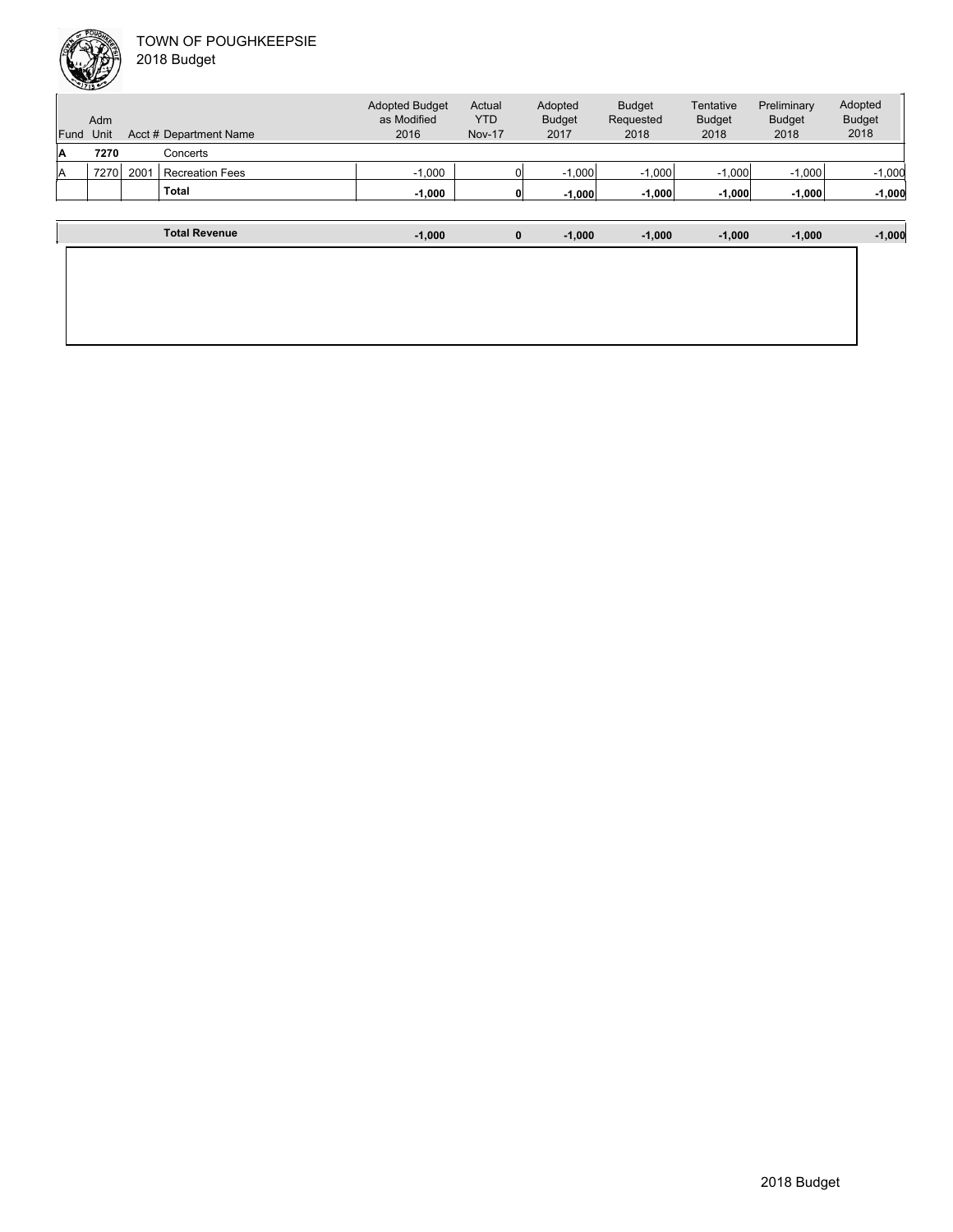

| Fund | Adm<br>Unit |      | Acct # Department Name | <b>Adopted Budget</b><br>as Modified<br>2016 | Actual<br><b>YTD</b><br><b>Nov-17</b> | Adopted<br><b>Budget</b><br>2017 | <b>Budget</b><br>Requested<br>2018 | Tentative<br><b>Budget</b><br>2018 | Preliminary<br><b>Budget</b><br>2018 | Adopted<br><b>Budget</b><br>2018 |
|------|-------------|------|------------------------|----------------------------------------------|---------------------------------------|----------------------------------|------------------------------------|------------------------------------|--------------------------------------|----------------------------------|
| Α    | 7270        |      | Concerts               |                                              |                                       |                                  |                                    |                                    |                                      |                                  |
| A    | 7270        | 2001 | <b>Recreation Fees</b> | $-1.000$                                     |                                       | $-1.000$                         | $-1.000$                           | $-1,000$                           | $-1,000$                             | $-1,000$                         |
|      |             |      | <b>Total</b>           | $-1,000$                                     |                                       | $-1.000$                         | $-1,000$                           | $-1,000$                           | $-1,000$                             | $-1,000$                         |
|      |             |      |                        |                                              |                                       |                                  |                                    |                                    |                                      |                                  |
|      |             |      | <b>Total Revenue</b>   | $-1.000$                                     | $\bf{0}$                              | $-1.000$                         | $-1,000$                           | $-1,000$                           | $-1,000$                             | $-1,000$                         |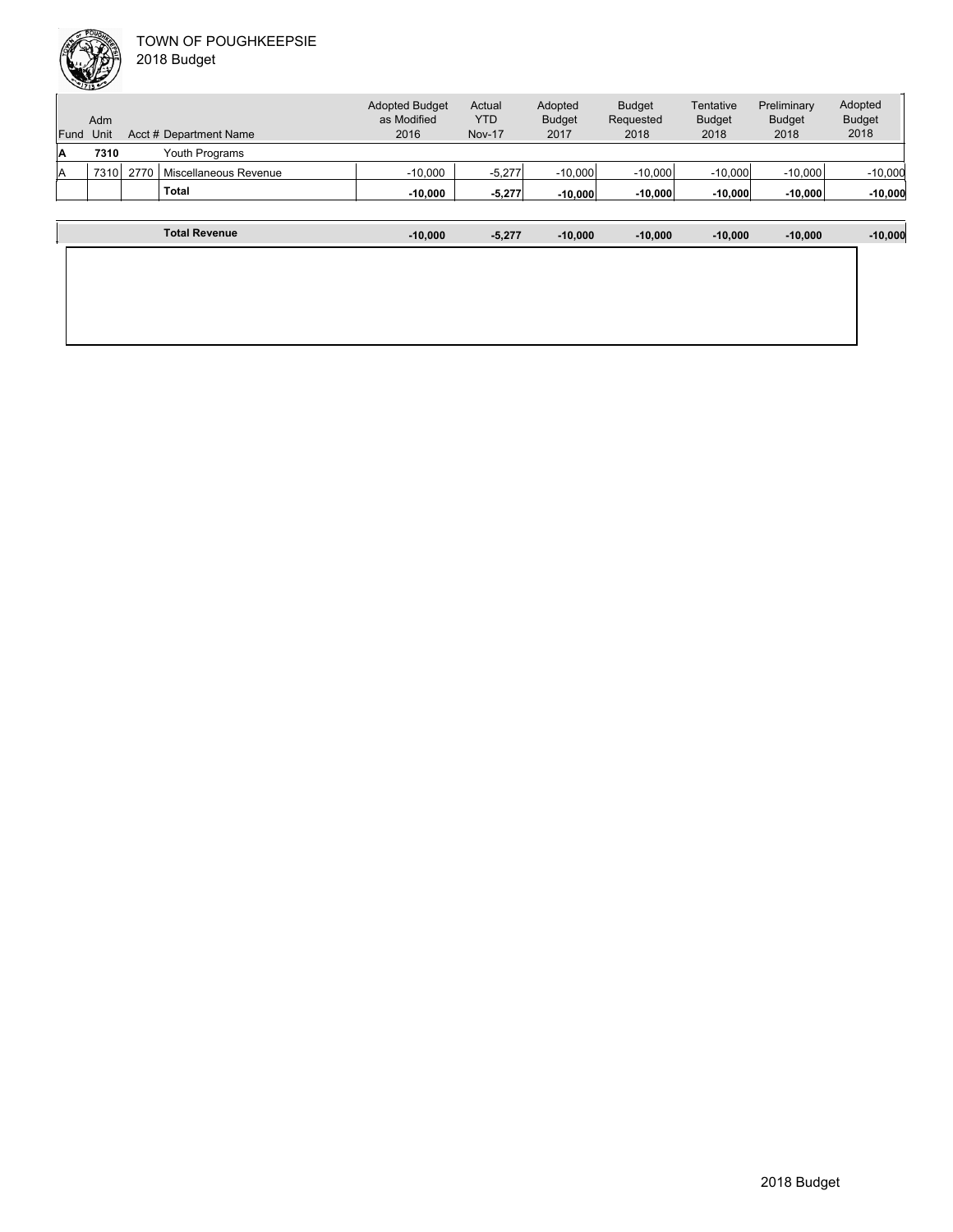

| Fund | Adm<br>Unit |      | Acct # Department Name | <b>Adopted Budget</b><br>as Modified<br>2016 | Actual<br><b>YTD</b><br><b>Nov-17</b> | Adopted<br><b>Budget</b><br>2017 | <b>Budget</b><br>Requested<br>2018 | Tentative<br><b>Budget</b><br>2018 | Preliminary<br><b>Budget</b><br>2018 | Adopted<br><b>Budget</b><br>2018 |
|------|-------------|------|------------------------|----------------------------------------------|---------------------------------------|----------------------------------|------------------------------------|------------------------------------|--------------------------------------|----------------------------------|
| IA   | 7310        |      | Youth Programs         |                                              |                                       |                                  |                                    |                                    |                                      |                                  |
| lA   | 7310        | 2770 | Miscellaneous Revenue  | $-10.000$                                    | $-5,277$                              | $-10,000$                        | $-10.000$                          | $-10,000$                          | $-10,000$                            | $-10,000$                        |
|      |             |      | <b>Total</b>           | $-10.000$                                    | $-5.277$                              | $-10,000$                        | $-10,000$                          | $-10.000$                          | $-10.000$                            | $-10,000$                        |
|      |             |      |                        |                                              |                                       |                                  |                                    |                                    |                                      |                                  |
|      |             |      | <b>Total Revenue</b>   | $-10.000$                                    | $-5,277$                              | $-10,000$                        | $-10.000$                          | $-10.000$                          | $-10.000$                            | $-10,000$                        |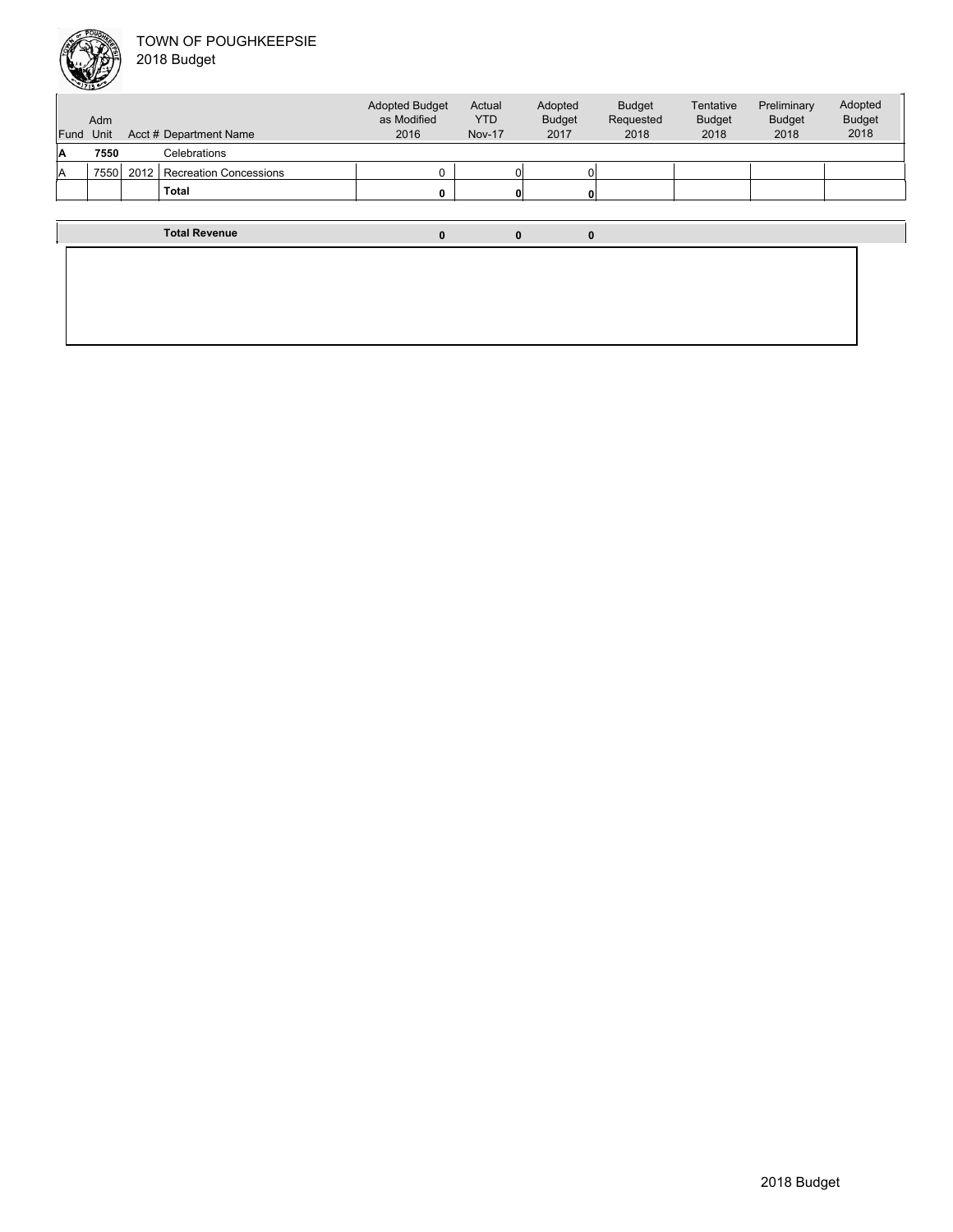

| પ    |             |      |                               |                                              |                                       |                                  |                                    |                                    |                                      |                                  |
|------|-------------|------|-------------------------------|----------------------------------------------|---------------------------------------|----------------------------------|------------------------------------|------------------------------------|--------------------------------------|----------------------------------|
| Fund | Adm<br>Unit |      | Acct # Department Name        | <b>Adopted Budget</b><br>as Modified<br>2016 | Actual<br><b>YTD</b><br><b>Nov-17</b> | Adopted<br><b>Budget</b><br>2017 | <b>Budget</b><br>Requested<br>2018 | Tentative<br><b>Budget</b><br>2018 | Preliminary<br><b>Budget</b><br>2018 | Adopted<br><b>Budget</b><br>2018 |
| ۱A   | 7550        |      | Celebrations                  |                                              |                                       |                                  |                                    |                                    |                                      |                                  |
| ΙA   | 7550        | 2012 | <b>Recreation Concessions</b> | 0                                            |                                       |                                  |                                    |                                    |                                      |                                  |
|      |             |      | <b>Total</b>                  | 0                                            |                                       |                                  |                                    |                                    |                                      |                                  |
|      |             |      |                               |                                              |                                       |                                  |                                    |                                    |                                      |                                  |
|      |             |      | <b>Total Revenue</b>          | 0                                            |                                       | 0                                |                                    |                                    |                                      |                                  |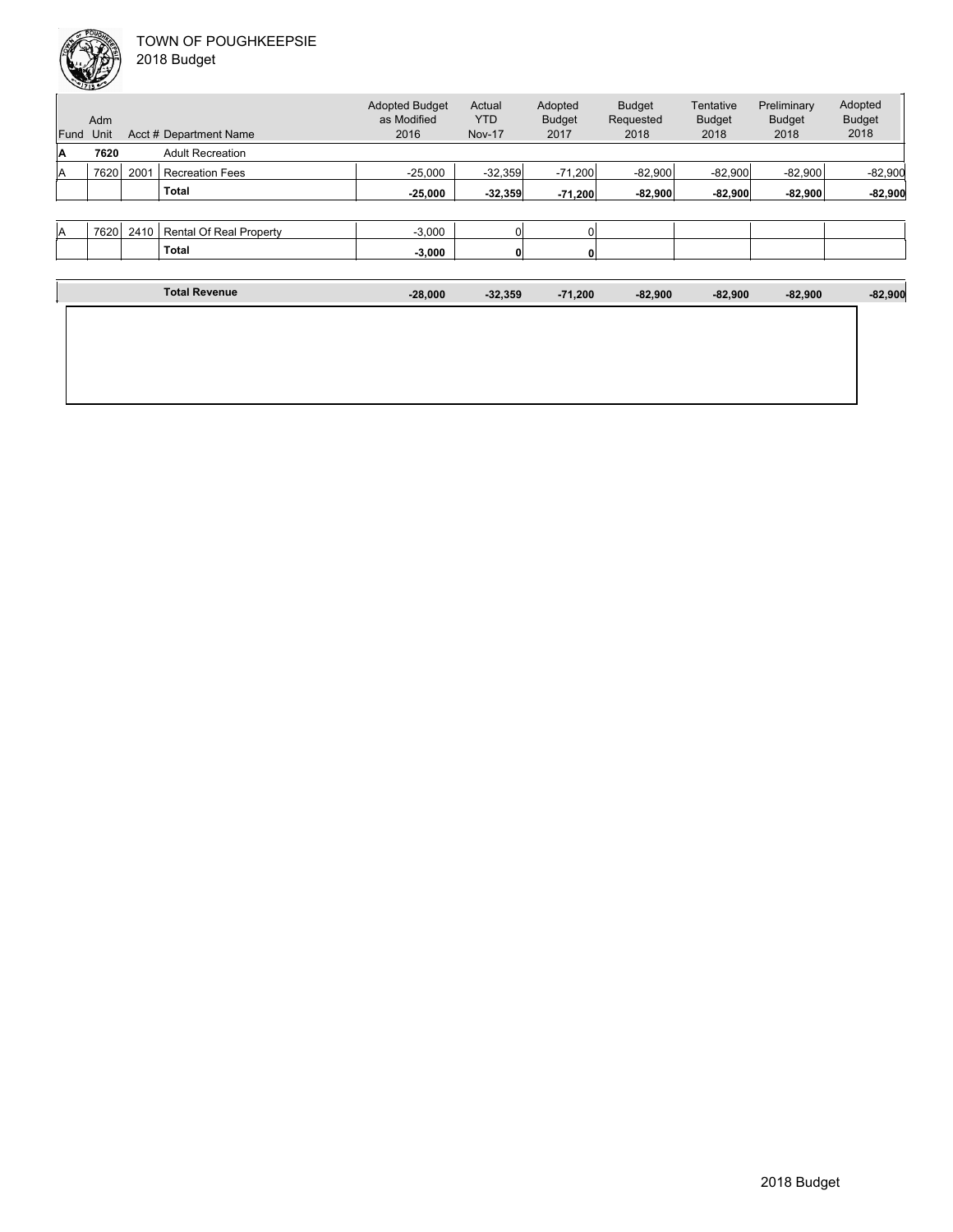|           |           |           |           |           | <b>Nov-17</b> | 2016      | Acct # Department Name  |      | Unit | Fund |
|-----------|-----------|-----------|-----------|-----------|---------------|-----------|-------------------------|------|------|------|
|           |           |           |           |           |               |           | <b>Adult Recreation</b> |      | 7620 | IA   |
| $-82,900$ | $-82.900$ | $-82,900$ | $-82,900$ | $-71,200$ | $-32,359$     | $-25.000$ | <b>Recreation Fees</b>  | 2001 | 7620 | lA   |
| $-82,900$ | $-82,900$ | $-82,900$ | $-82,900$ | $-71,200$ | $-32,359$     | $-25,000$ | <b>Total</b>            |      |      |      |
|           |           |           |           |           |               |           |                         |      |      |      |

| IА | 7000<br>70∠∪ | 24 L | Real<br>Rental<br>Property<br>ີ | 2.00C<br>ง.บบเ | u |  |  |  |
|----|--------------|------|---------------------------------|----------------|---|--|--|--|
|    |              |      | Total                           | $-3,000$       | o |  |  |  |
|    |              |      |                                 |                |   |  |  |  |

| <b>Total Revenue</b> | $-28,000$ | $-32,359$ | $-71,200$ | $-82,900$ | $-82,900$ | $-82,900$ | $-82,900$ |
|----------------------|-----------|-----------|-----------|-----------|-----------|-----------|-----------|
|                      |           |           |           |           |           |           |           |
|                      |           |           |           |           |           |           |           |
|                      |           |           |           |           |           |           |           |
|                      |           |           |           |           |           |           |           |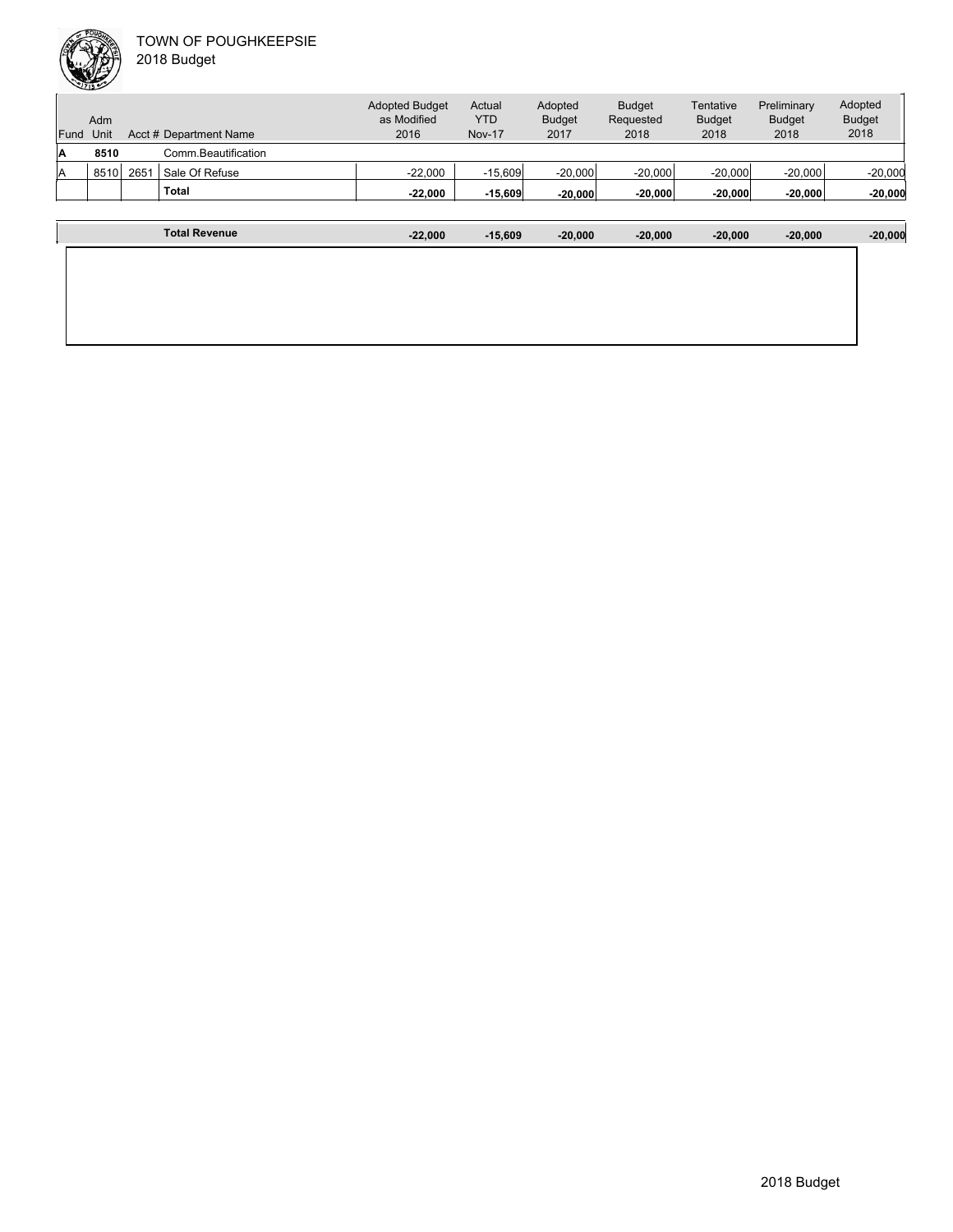

| Fund | Adm<br>Unit |      | Acct # Department Name | <b>Adopted Budget</b><br>as Modified<br>2016 | Actual<br><b>YTD</b><br><b>Nov-17</b> | Adopted<br><b>Budget</b><br>2017 | <b>Budget</b><br>Requested<br>2018 | Tentative<br><b>Budget</b><br>2018 | Preliminary<br><b>Budget</b><br>2018 | Adopted<br><b>Budget</b><br>2018 |
|------|-------------|------|------------------------|----------------------------------------------|---------------------------------------|----------------------------------|------------------------------------|------------------------------------|--------------------------------------|----------------------------------|
| A    | 8510        |      | Comm Beautification    |                                              |                                       |                                  |                                    |                                    |                                      |                                  |
| ΙA   | 8510        | 2651 | Sale Of Refuse         | $-22,000$                                    | $-15,609$                             | $-20,000$                        | $-20,000$                          | $-20,000$                          | $-20,000$                            | $-20,000$                        |
|      |             |      | <b>Total</b>           | $-22.000$                                    | $-15,609$                             | $-20.000$                        | $-20,000$                          | $-20,000$                          | $-20,000$                            | $-20,000$                        |
|      |             |      |                        |                                              |                                       |                                  |                                    |                                    |                                      |                                  |
|      |             |      | <b>Total Revenue</b>   | $-22.000$                                    | $-15.609$                             | $-20.000$                        | $-20.000$                          | $-20.000$                          | $-20.000$                            | $-20,000$                        |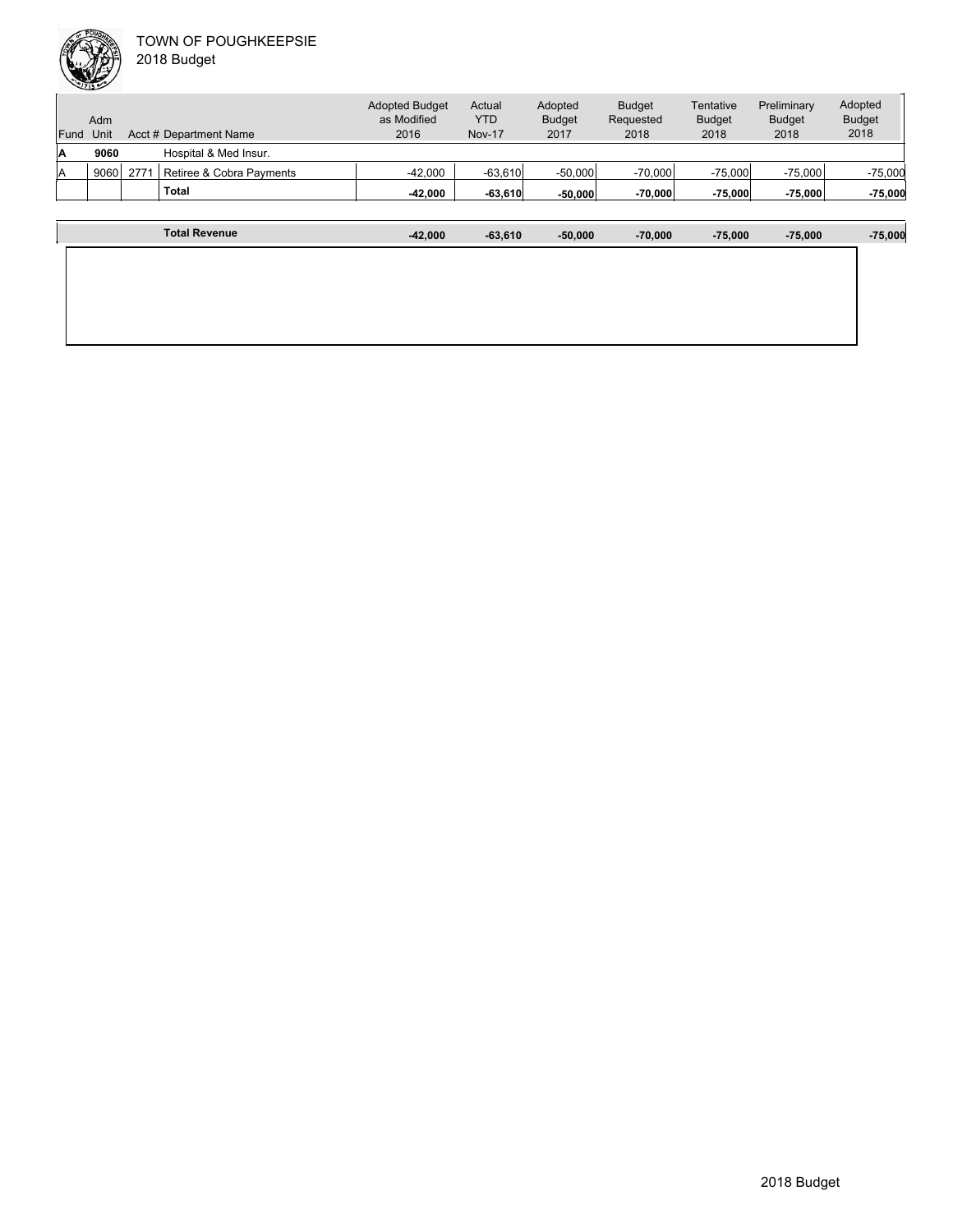|      | Adm  |      |                          | <b>Adopted Budget</b><br>as Modified | Actual<br><b>YTD</b> | Adopted<br><b>Budget</b> | <b>Budget</b><br>Requested | Tentative<br><b>Budget</b> | Preliminary<br><b>Budget</b> | Adopted<br><b>Budget</b> |
|------|------|------|--------------------------|--------------------------------------|----------------------|--------------------------|----------------------------|----------------------------|------------------------------|--------------------------|
| Fund | Unit |      | Acct # Department Name   | 2016                                 | <b>Nov-17</b>        | 2017                     | 2018                       | 2018                       | 2018                         | 2018                     |
| A    | 9060 |      | Hospital & Med Insur.    |                                      |                      |                          |                            |                            |                              |                          |
| A    | 9060 | 2771 | Retiree & Cobra Payments | $-42,000$                            | $-63,610$            | $-50,000$                | $-70.000$                  | $-75,000$                  | $-75,000$                    | $-75,000$                |
|      |      |      | Total                    | -42,000                              | $-63,610$            | $-50.000$                | $-70,000$                  | $-75,000$                  | $-75,000$                    | $-75,000$                |
|      |      |      |                          |                                      |                      |                          |                            |                            |                              |                          |
|      |      |      |                          |                                      |                      |                          |                            |                            |                              |                          |

| <b>Total Revenue</b> | $-42,000$ | $-63,610$ | $-50,000$ | $-70,000$ | $-75,000$ | $-75,000$ | $-75,000$ |
|----------------------|-----------|-----------|-----------|-----------|-----------|-----------|-----------|
|                      |           |           |           |           |           |           |           |
|                      |           |           |           |           |           |           |           |
|                      |           |           |           |           |           |           |           |
|                      |           |           |           |           |           |           |           |
|                      |           |           |           |           |           |           |           |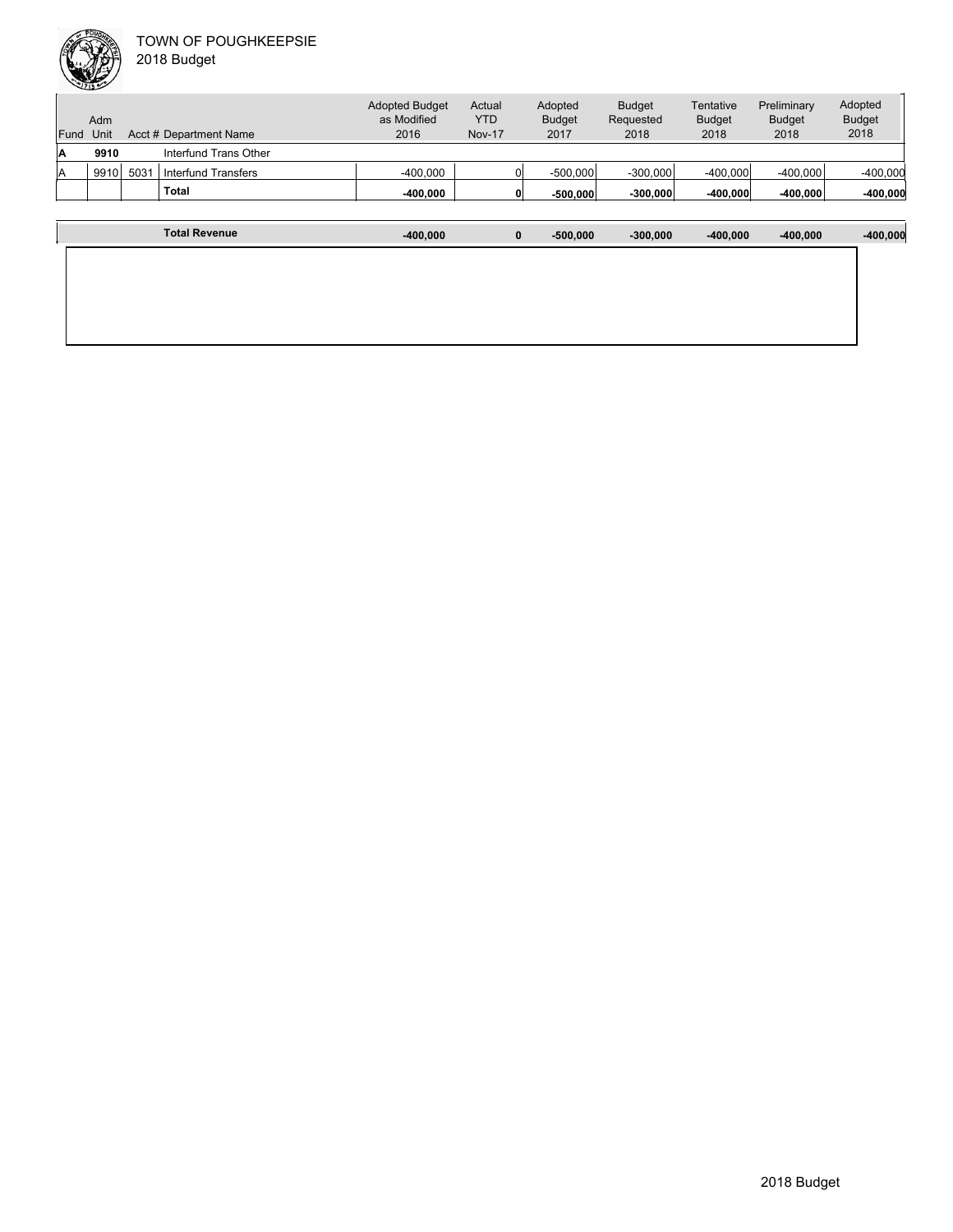

|      | Adm  |     |                        | <b>Adopted Budget</b><br>as Modified | Actual<br>YTD | Adopted<br><b>Budget</b> | <b>Budget</b><br>Requested | Tentative<br><b>Budget</b> | Preliminary<br><b>Budget</b> | Adopted<br><b>Budget</b> |
|------|------|-----|------------------------|--------------------------------------|---------------|--------------------------|----------------------------|----------------------------|------------------------------|--------------------------|
| Fund | Unit |     | Acct # Department Name | 2016                                 | <b>Nov-17</b> | 2017                     | 2018                       | 2018                       | 2018                         | 2018                     |
| ΙA   | 9910 |     | Interfund Trans Other  |                                      |               |                          |                            |                            |                              |                          |
| ΙA   | 9910 | 503 | Interfund Transfers    | $-400,000$                           |               | $-500,000$               | $-300,000$                 | $-400.000$                 | $-400,000$                   | $-400,000$               |
|      |      |     | <b>Total</b>           | $-400.000$                           |               | $-500.000$               | $-300,000$                 | $-400,000$                 | $-400,000$                   | $-400,000$               |
|      |      |     |                        |                                      |               |                          |                            |                            |                              |                          |

| <b>Total Revenue</b> | $-400,000$ | 0 | $-500,000$ | $-300,000$ | $-400,000$ | $-400,000$ | $-400,000$ |
|----------------------|------------|---|------------|------------|------------|------------|------------|
|                      |            |   |            |            |            |            |            |
|                      |            |   |            |            |            |            |            |
|                      |            |   |            |            |            |            |            |
|                      |            |   |            |            |            |            |            |
|                      |            |   |            |            |            |            |            |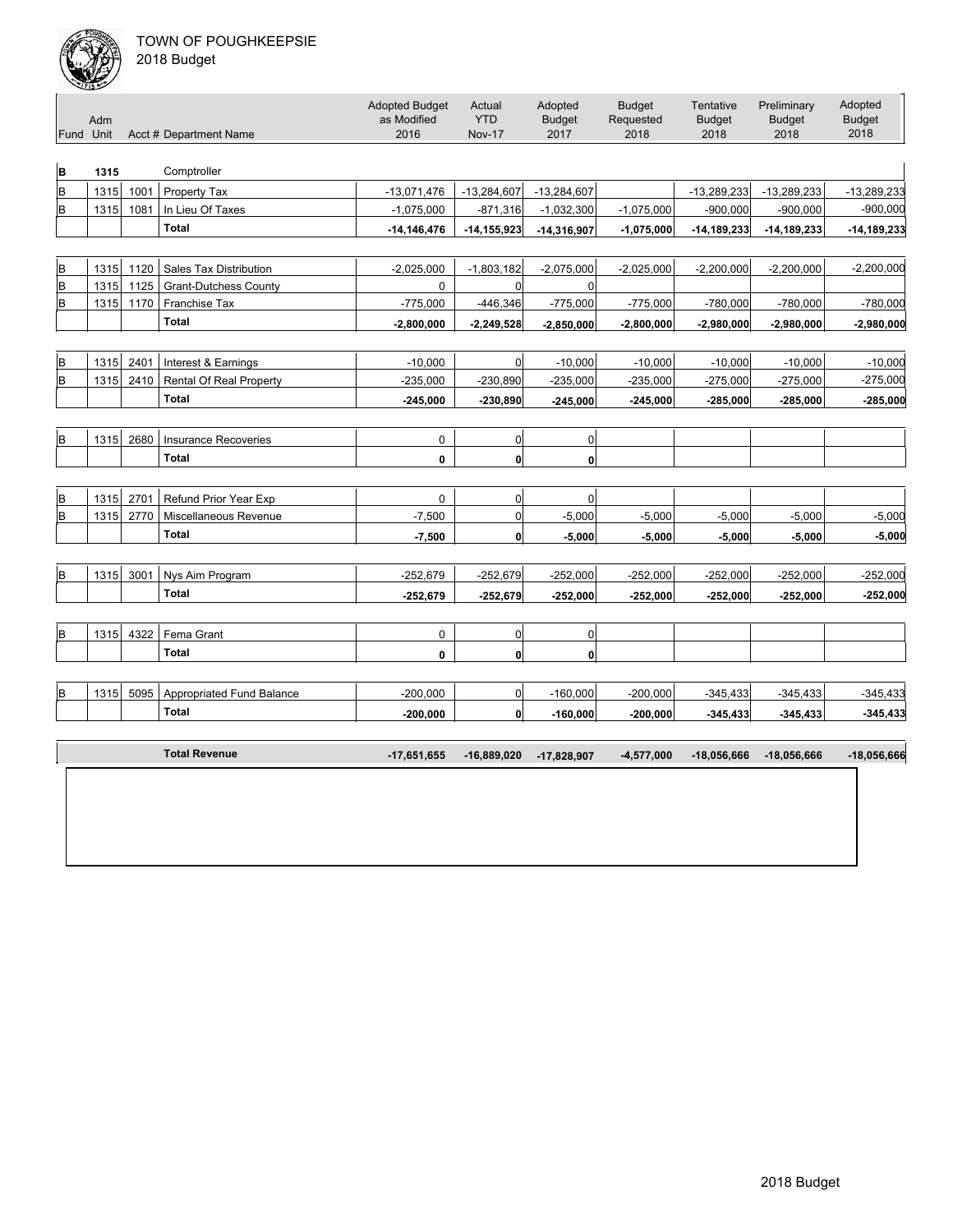

| Fund Unit | Adm  |      | Acct # Department Name          | <b>Adopted Budget</b><br>as Modified<br>2016 | Actual<br><b>YTD</b><br><b>Nov-17</b> | Adopted<br><b>Budget</b><br>2017 | <b>Budget</b><br>Requested<br>2018 | Tentative<br><b>Budget</b><br>2018 | Preliminary<br><b>Budget</b><br>2018 | Adopted<br><b>Budget</b><br>2018 |
|-----------|------|------|---------------------------------|----------------------------------------------|---------------------------------------|----------------------------------|------------------------------------|------------------------------------|--------------------------------------|----------------------------------|
| B         | 1315 |      | Comptroller                     |                                              |                                       |                                  |                                    |                                    |                                      |                                  |
| lв        | 1315 | 1001 | Property Tax                    | $-13,071,476$                                | $-13,284,607$                         | $-13,284,607$                    |                                    | $-13,289,233$                      | $-13,289,233$                        | $-13,289,233$                    |
| B         | 1315 | 1081 | In Lieu Of Taxes                | $-1,075,000$                                 | $-871,316$                            | $-1,032,300$                     | $-1,075,000$                       | $-900,000$                         | $-900,000$                           | $-900,000$                       |
|           |      |      | <b>Total</b>                    | $-14, 146, 476$                              | $-14, 155, 923$                       | $-14,316,907$                    | $-1,075,000$                       | $-14, 189, 233$                    | $-14, 189, 233$                      | $-14, 189, 233$                  |
|           |      |      |                                 |                                              |                                       |                                  |                                    |                                    |                                      |                                  |
| B         | 1315 | 1120 | <b>Sales Tax Distribution</b>   | $-2,025,000$                                 | $-1,803,182$                          | $-2,075,000$                     | $-2,025,000$                       | $-2,200,000$                       | $-2,200,000$                         | $-2,200,000$                     |
| B         | 1315 | 1125 | <b>Grant-Dutchess County</b>    | 0                                            | $\overline{0}$                        | $\overline{0}$                   |                                    |                                    |                                      |                                  |
| B         | 1315 | 1170 | Franchise Tax                   | $-775,000$                                   | $-446,346$                            | $-775,000$                       | $-775,000$                         | $-780,000$                         | $-780,000$                           | $-780,000$                       |
|           |      |      | <b>Total</b>                    | $-2,800,000$                                 | $-2,249,528$                          | $-2,850,000$                     | $-2,800,000$                       | $-2,980,000$                       | $-2,980,000$                         | $-2,980,000$                     |
|           |      |      |                                 |                                              |                                       |                                  |                                    |                                    |                                      |                                  |
| B         | 1315 | 2401 | Interest & Earnings             | $-10,000$                                    | 0                                     | $-10,000$                        | $-10,000$                          | $-10,000$                          | $-10,000$                            | $-10,000$                        |
| lв        | 1315 | 2410 | Rental Of Real Property         | $-235,000$                                   | $-230,890$                            | $-235,000$                       | $-235,000$                         | $-275,000$                         | $-275,000$                           | $-275,000$                       |
|           |      |      | <b>Total</b>                    | $-245,000$                                   | $-230,890$                            | $-245,000$                       | $-245,000$                         | $-285,000$                         | $-285,000$                           | $-285,000$                       |
|           |      |      |                                 |                                              |                                       |                                  |                                    |                                    |                                      |                                  |
| B         | 1315 | 2680 | <b>Insurance Recoveries</b>     | $\mathbf 0$                                  | 0                                     | $\overline{0}$                   |                                    |                                    |                                      |                                  |
|           |      |      | <b>Total</b>                    | 0                                            | $\mathbf{0}$                          | $\mathbf{0}$                     |                                    |                                    |                                      |                                  |
|           |      |      |                                 |                                              |                                       |                                  |                                    |                                    |                                      |                                  |
| B         | 1315 | 2701 | <b>Refund Prior Year Exp</b>    | $\mathbf 0$                                  | $\overline{0}$                        | $\overline{0}$                   |                                    |                                    |                                      |                                  |
| B         | 1315 | 2770 | Miscellaneous Revenue           | $-7,500$                                     | 0                                     | $-5,000$                         | $-5,000$                           | $-5,000$                           | $-5,000$                             | $-5,000$                         |
|           |      |      | <b>Total</b>                    | $-7,500$                                     | $\mathbf{0}$                          | $-5,000$                         | $-5,000$                           | $-5,000$                           | $-5,000$                             | $-5,000$                         |
|           |      |      |                                 |                                              |                                       |                                  |                                    |                                    |                                      |                                  |
| lв        | 1315 | 3001 | Nys Aim Program<br><b>Total</b> | $-252,679$                                   | $-252,679$                            | $-252,000$                       | $-252,000$                         | $-252,000$                         | $-252,000$                           | $-252,000$                       |
|           |      |      |                                 | $-252.679$                                   | $-252,679$                            | $-252,000$                       | $-252,000$                         | $-252,000$                         | $-252,000$                           | $-252,000$                       |
| lв        | 1315 | 4322 | Fema Grant                      | $\mathbf 0$                                  | $\overline{0}$                        | $\overline{0}$                   |                                    |                                    |                                      |                                  |
|           |      |      | Total                           | 0                                            | $\mathbf{0}$                          | $\mathbf{0}$                     |                                    |                                    |                                      |                                  |
|           |      |      |                                 |                                              |                                       |                                  |                                    |                                    |                                      |                                  |
| B         | 1315 | 5095 | Appropriated Fund Balance       | $-200,000$                                   | $\overline{0}$                        | $-160,000$                       | $-200,000$                         | $-345,433$                         | $-345,433$                           | $-345,433$                       |
|           |      |      | <b>Total</b>                    | $-200,000$                                   | $\mathbf{0}$                          | $-160,000$                       | $-200,000$                         | $-345,433$                         | $-345,433$                           | $-345,433$                       |
|           |      |      |                                 |                                              |                                       |                                  |                                    |                                    |                                      |                                  |
|           |      |      | <b>Total Revenue</b>            | $-17,651,655$                                | $-16,889,020$                         | $-17,828,907$                    | $-4,577,000$                       | $-18,056,666$                      | $-18,056,666$                        | -18,056,666                      |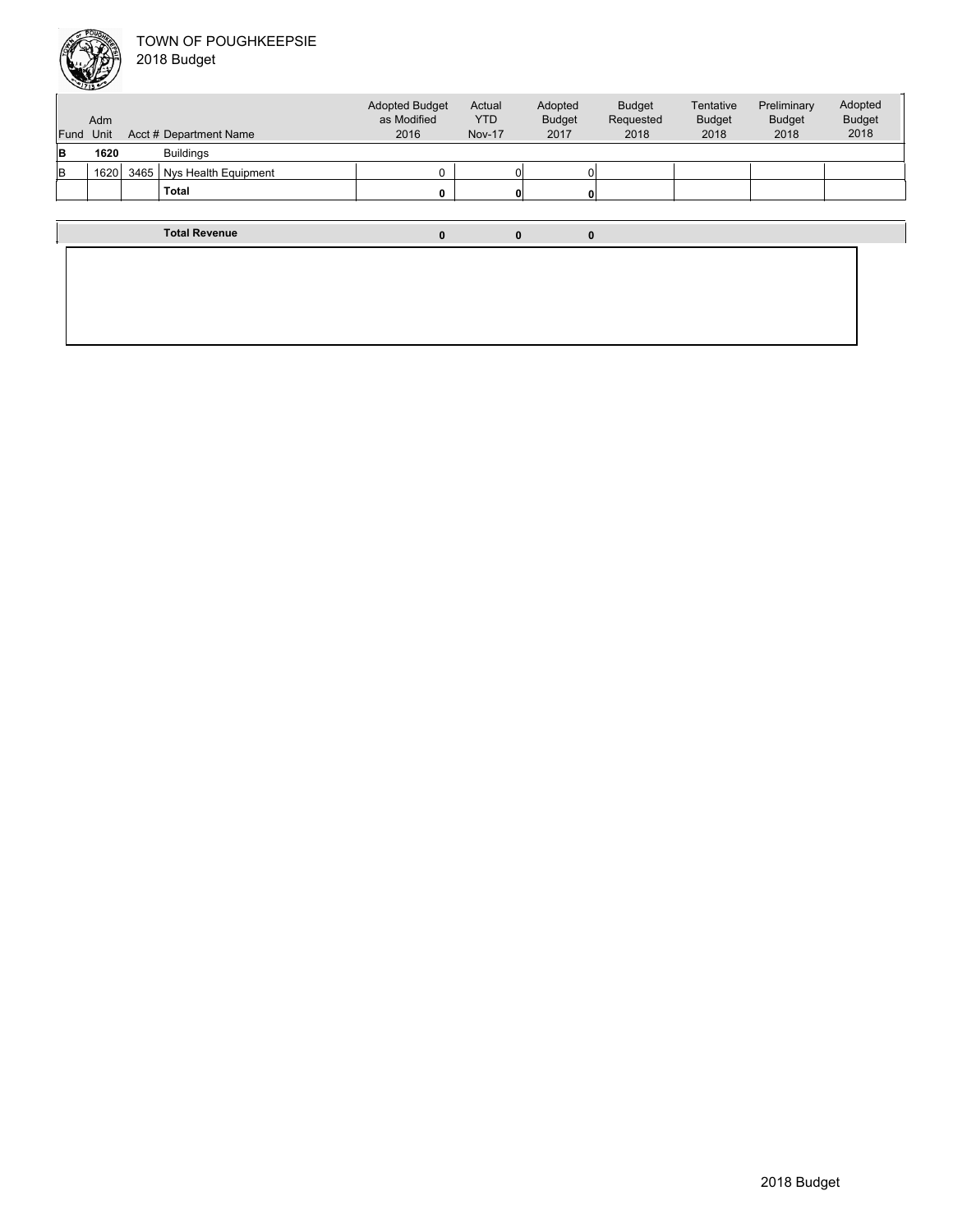

| Fund | Adm<br>Unit |      | Acct # Department Name | <b>Adopted Budget</b><br>as Modified<br>2016 | Actual<br><b>YTD</b><br><b>Nov-17</b> | Adopted<br><b>Budget</b><br>2017 | <b>Budget</b><br>Requested<br>2018 | Tentative<br><b>Budget</b><br>2018 | Preliminary<br><b>Budget</b><br>2018 | Adopted<br><b>Budget</b><br>2018 |
|------|-------------|------|------------------------|----------------------------------------------|---------------------------------------|----------------------------------|------------------------------------|------------------------------------|--------------------------------------|----------------------------------|
| lB   | 1620        |      | <b>Buildings</b>       |                                              |                                       |                                  |                                    |                                    |                                      |                                  |
| lв   | 1620        | 3465 | Nys Health Equipment   |                                              |                                       |                                  |                                    |                                    |                                      |                                  |
|      |             |      | <b>Total</b>           |                                              |                                       |                                  |                                    |                                    |                                      |                                  |
|      |             |      |                        |                                              |                                       |                                  |                                    |                                    |                                      |                                  |
|      |             |      | <b>Total Revenue</b>   | 0                                            | 0                                     | 0                                |                                    |                                    |                                      |                                  |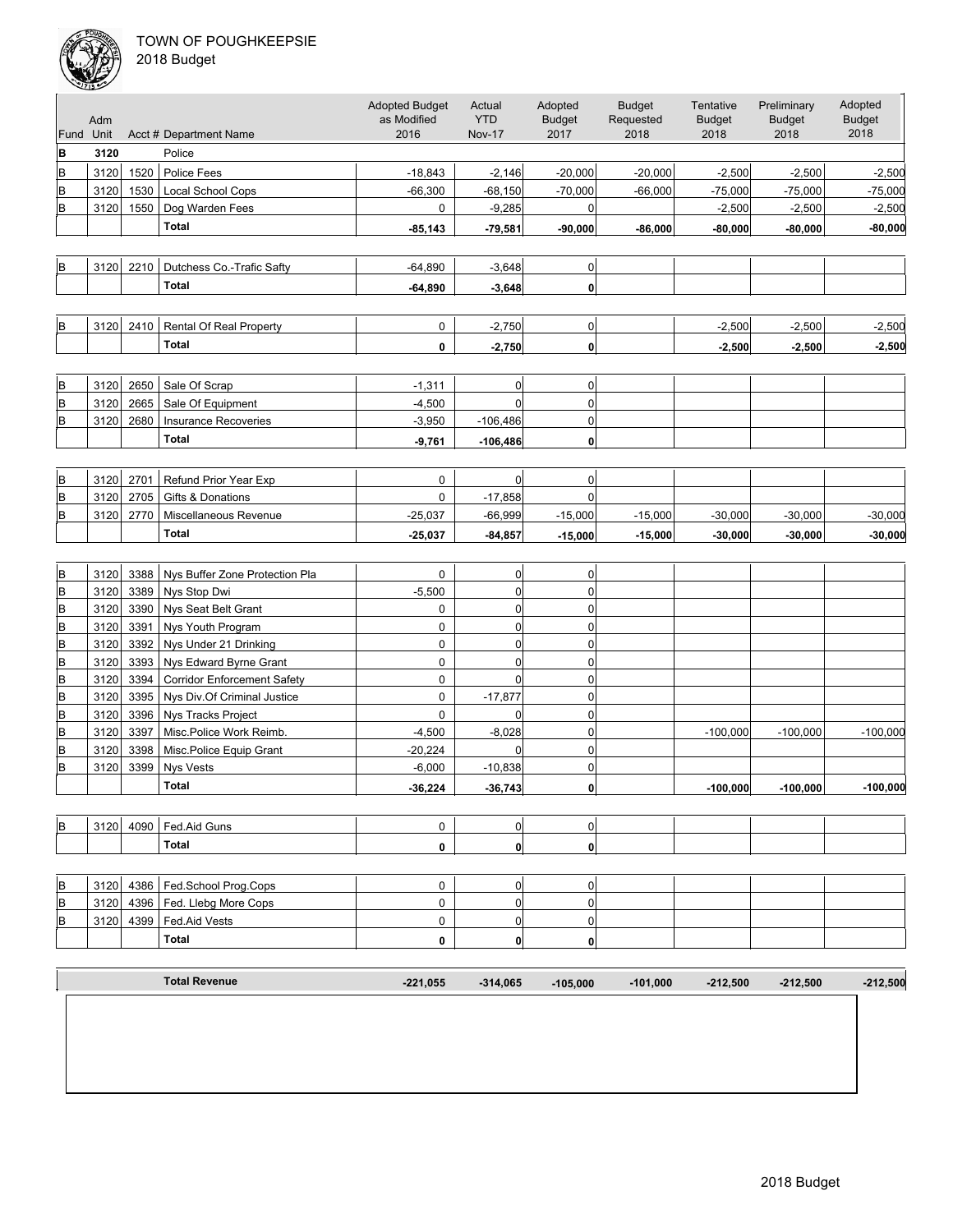

| 2018 Budget |  |
|-------------|--|
|-------------|--|

| Fund | Adm<br>Unit |      | Acct # Department Name             | <b>Adopted Budget</b><br>as Modified<br>2016 | Actual<br><b>YTD</b><br><b>Nov-17</b> | Adopted<br><b>Budget</b><br>2017 | <b>Budget</b><br>Requested<br>2018 | Tentative<br><b>Budget</b><br>2018 | Preliminary<br><b>Budget</b><br>2018 | Adopted<br><b>Budget</b><br>2018 |
|------|-------------|------|------------------------------------|----------------------------------------------|---------------------------------------|----------------------------------|------------------------------------|------------------------------------|--------------------------------------|----------------------------------|
| B    | 3120        |      | Police                             |                                              |                                       |                                  |                                    |                                    |                                      |                                  |
| В    | 3120        | 1520 | Police Fees                        | $-18,843$                                    | $-2,146$                              | $-20,000$                        | $-20,000$                          | $-2,500$                           | $-2,500$                             | $-2,500$                         |
| В    | 3120        | 1530 | <b>Local School Cops</b>           | $-66,300$                                    | $-68,150$                             | $-70,000$                        | $-66,000$                          | $-75,000$                          | $-75,000$                            | $-75,000$                        |
| В    | 3120        | 1550 | Dog Warden Fees                    | 0                                            | $-9,285$                              | 0                                |                                    | $-2,500$                           | $-2,500$                             | $-2,500$                         |
|      |             |      | <b>Total</b>                       | $-85,143$                                    | $-79,581$                             | $-90,000$                        | $-86,000$                          | $-80,000$                          | $-80,000$                            | $-80,000$                        |
|      |             |      |                                    |                                              |                                       |                                  |                                    |                                    |                                      |                                  |
| B    | 3120        | 2210 | Dutchess Co.-Trafic Safty          | $-64,890$                                    | $-3,648$                              | 0                                |                                    |                                    |                                      |                                  |
|      |             |      | <b>Total</b>                       | $-64.890$                                    | $-3,648$                              | $\mathbf{0}$                     |                                    |                                    |                                      |                                  |
|      |             |      |                                    |                                              |                                       |                                  |                                    |                                    |                                      |                                  |
|      |             |      |                                    |                                              |                                       |                                  |                                    |                                    |                                      |                                  |
| В    | 3120        | 2410 | Rental Of Real Property            | 0                                            | $-2,750$                              | $\overline{0}$                   |                                    | $-2,500$                           | $-2,500$                             | $-2,500$                         |
|      |             |      | <b>Total</b>                       | 0                                            | $-2,750$                              | $\mathbf{0}$                     |                                    | $-2,500$                           | $-2,500$                             | $-2,500$                         |
|      |             |      |                                    |                                              |                                       |                                  |                                    |                                    |                                      |                                  |
| B    | 3120        | 2650 | Sale Of Scrap                      | $-1,311$                                     | 0                                     | $\Omega$                         |                                    |                                    |                                      |                                  |
| B    | 3120        | 2665 | Sale Of Equipment                  | $-4,500$                                     | $\overline{0}$                        | $\pmb{0}$                        |                                    |                                    |                                      |                                  |
| В    | 3120        | 2680 | Insurance Recoveries               | $-3,950$                                     | $-106,486$                            | $\mathbf 0$                      |                                    |                                    |                                      |                                  |
|      |             |      | Total                              | $-9,761$                                     | $-106,486$                            | $\mathbf{0}$                     |                                    |                                    |                                      |                                  |
|      |             |      |                                    |                                              |                                       |                                  |                                    |                                    |                                      |                                  |
| В    | 3120        | 2701 | <b>Refund Prior Year Exp</b>       | 0                                            | 0                                     | $\Omega$                         |                                    |                                    |                                      |                                  |
| В    | 3120        | 2705 | <b>Gifts &amp; Donations</b>       | 0                                            | $-17,858$                             | $\Omega$                         |                                    |                                    |                                      |                                  |
| B    | 3120        | 2770 | Miscellaneous Revenue              | $-25,037$                                    | $-66,999$                             | $-15,000$                        | $-15,000$                          | $-30,000$                          | $-30,000$                            | $-30,000$                        |
|      |             |      | <b>Total</b>                       | $-25,037$                                    | $-84,857$                             | $-15,000$                        | $-15,000$                          | $-30,000$                          | $-30,000$                            | $-30,000$                        |
|      |             |      |                                    |                                              |                                       |                                  |                                    |                                    |                                      |                                  |
| В    | 3120        | 3388 | Nys Buffer Zone Protection Pla     | 0                                            | 0                                     | $\overline{0}$                   |                                    |                                    |                                      |                                  |
| В    | 3120        | 3389 | Nys Stop Dwi                       | $-5,500$                                     | 0                                     | 0                                |                                    |                                    |                                      |                                  |
| В    | 3120        | 3390 | Nys Seat Belt Grant                | 0                                            | $\overline{0}$                        | 0                                |                                    |                                    |                                      |                                  |
| В    | 3120        | 3391 | Nys Youth Program                  | 0                                            | 0                                     | 0                                |                                    |                                    |                                      |                                  |
| В    | 3120        | 3392 | Nys Under 21 Drinking              | 0                                            | 0                                     | 0                                |                                    |                                    |                                      |                                  |
| В    | 3120        | 3393 | Nys Edward Byrne Grant             | 0                                            | 0                                     | 0                                |                                    |                                    |                                      |                                  |
| В    | 3120        | 3394 | <b>Corridor Enforcement Safety</b> | 0                                            | $\overline{0}$                        | 0                                |                                    |                                    |                                      |                                  |
| В    | 3120        | 3395 | Nys Div.Of Criminal Justice        | $\pmb{0}$                                    | $-17,877$                             | $\pmb{0}$                        |                                    |                                    |                                      |                                  |
| B    | 3120        | 3396 | Nys Tracks Project                 | 0                                            | $\overline{0}$                        | $\pmb{0}$                        |                                    |                                    |                                      |                                  |
| B    | 3120        | 3397 | Misc.Police Work Reimb.            | $-4,500$                                     | $-8,028$                              | $\pmb{0}$                        |                                    | $-100,000$                         | $-100,000$                           | $-100,000$                       |
| В    | 3120        | 3398 | Misc.Police Equip Grant            | $-20,224$                                    | $\Omega$                              | $\mathbf 0$                      |                                    |                                    |                                      |                                  |
| B    | 3120        | 3399 | <b>Nys Vests</b>                   | $-6,000$                                     | $-10,838$                             | $\overline{0}$                   |                                    |                                    |                                      |                                  |
|      |             |      | <b>Total</b>                       | $-36,224$                                    | $-36,743$                             | $\mathbf{0}$                     |                                    | $-100,000$                         | $-100,000$                           | $-100,000$                       |
|      |             |      |                                    |                                              |                                       |                                  |                                    |                                    |                                      |                                  |
| B    | 3120        |      | 4090   Fed.Aid Guns                | 0                                            | 0                                     | 0                                |                                    |                                    |                                      |                                  |
|      |             |      | <b>Total</b>                       | 0                                            | 0                                     | 0                                |                                    |                                    |                                      |                                  |
|      |             |      |                                    |                                              |                                       |                                  |                                    |                                    |                                      |                                  |
| B    | 3120        | 4386 | Fed.School Prog.Cops               | 0                                            | 0                                     | 0                                |                                    |                                    |                                      |                                  |
| В    | 3120        | 4396 | Fed. Llebg More Cops               | 0                                            | 0                                     | $\overline{0}$                   |                                    |                                    |                                      |                                  |
| В    | 3120        | 4399 | Fed.Aid Vests                      | 0                                            | 0                                     | 0                                |                                    |                                    |                                      |                                  |
|      |             |      | Total                              | 0                                            | 0                                     | $\mathbf{0}$                     |                                    |                                    |                                      |                                  |
|      |             |      |                                    |                                              |                                       |                                  |                                    |                                    |                                      |                                  |
|      |             |      |                                    |                                              |                                       |                                  |                                    |                                    |                                      |                                  |
|      |             |      | <b>Total Revenue</b>               | $-221,055$                                   | $-314,065$                            | $-105.000$                       | $-101,000$                         | $-212,500$                         | $-212,500$                           | $-212,500$                       |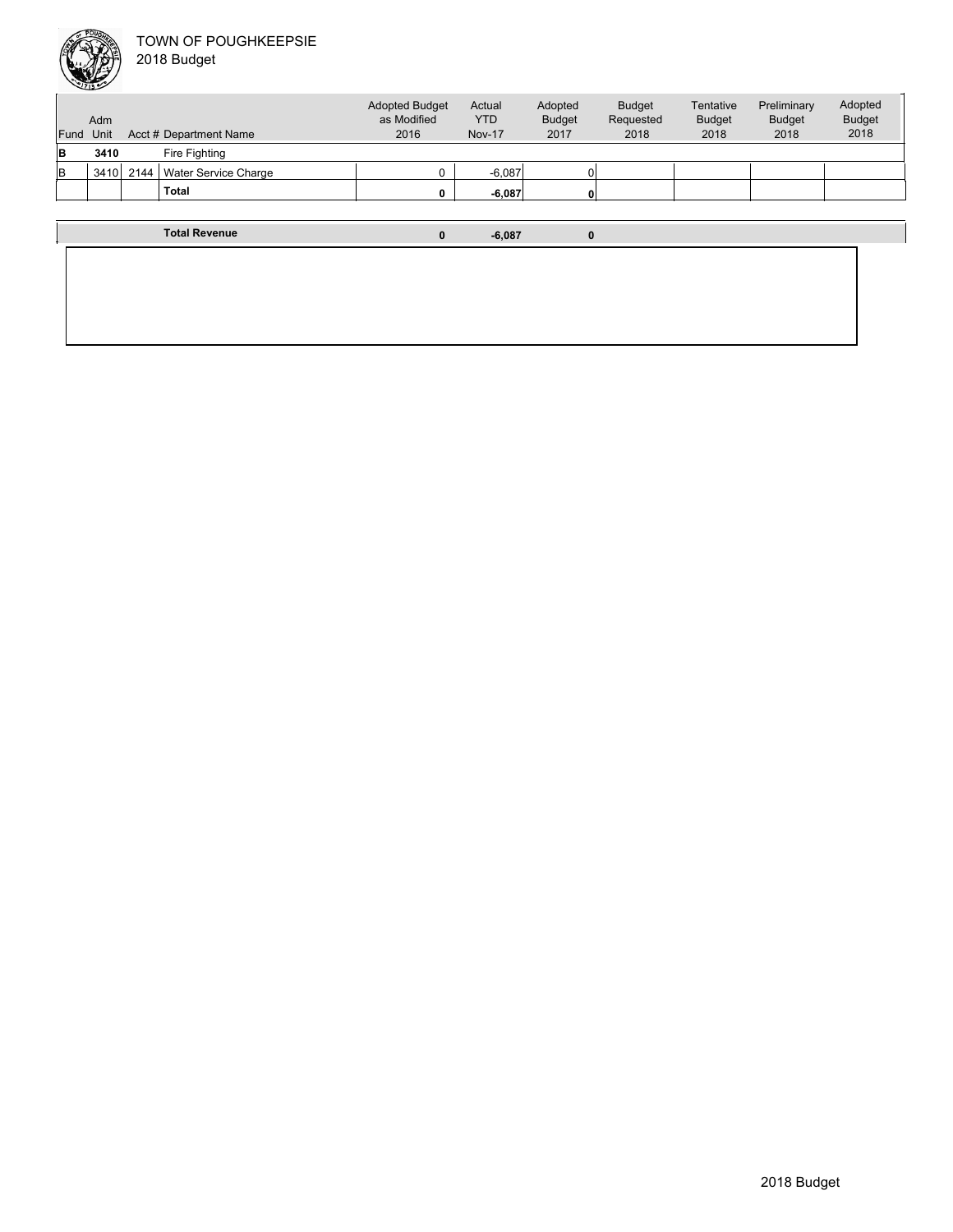|           | Adm  |      |                        | <b>Adopted Budget</b><br>as Modified | Actual<br><b>YTD</b> | Adopted<br><b>Budget</b> | <b>Budget</b><br>Requested | Tentative<br><b>Budget</b> | Preliminary<br><b>Budget</b> | Adopted<br><b>Budget</b> |
|-----------|------|------|------------------------|--------------------------------------|----------------------|--------------------------|----------------------------|----------------------------|------------------------------|--------------------------|
| Fund Unit |      |      | Acct # Department Name | 2016                                 | <b>Nov-17</b>        | 2017                     | 2018                       | 2018                       | 2018                         | 2018                     |
| в         | 3410 |      | Fire Fighting          |                                      |                      |                          |                            |                            |                              |                          |
| в         | 3410 | 2144 | Water Service Charge   |                                      | $-6,087$             |                          |                            |                            |                              |                          |
|           |      |      | Total                  |                                      | $-6,087$             | 0                        |                            |                            |                              |                          |
|           |      |      |                        |                                      |                      |                          |                            |                            |                              |                          |

**Total Revenue 0 -6,087 0**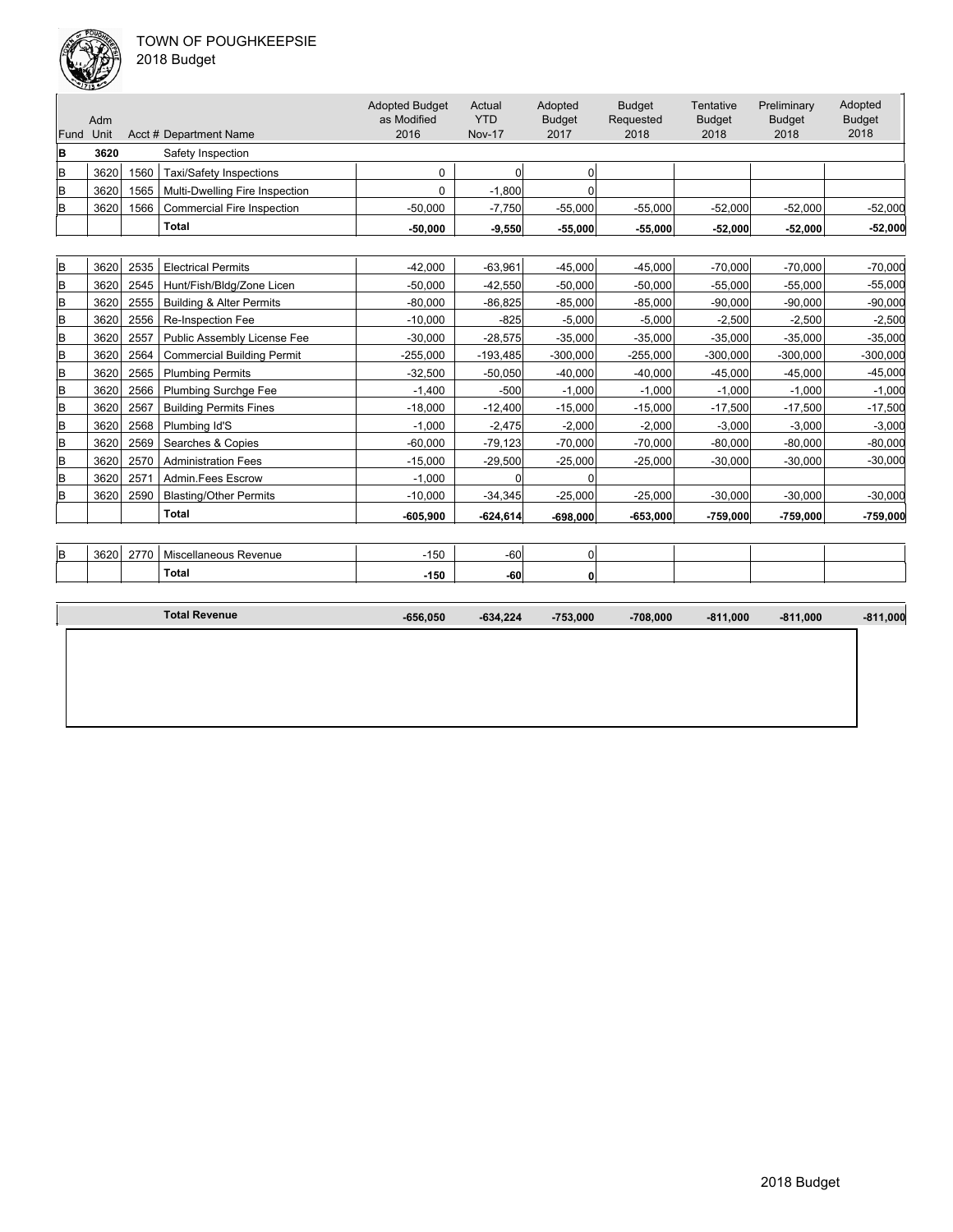

| 018 Budget |  |
|------------|--|
|------------|--|

| Fund | Adm<br>Unit<br>Acct # Department Name |      |                                     | <b>Adopted Budget</b><br>as Modified<br>2016 | Actual<br><b>YTD</b><br><b>Nov-17</b> | Adopted<br><b>Budget</b><br>2017 | <b>Budget</b><br>Requested<br>2018 | Tentative<br><b>Budget</b><br>2018 | Preliminary<br><b>Budget</b><br>2018 | Adopted<br><b>Budget</b><br>2018 |
|------|---------------------------------------|------|-------------------------------------|----------------------------------------------|---------------------------------------|----------------------------------|------------------------------------|------------------------------------|--------------------------------------|----------------------------------|
| B    | 3620                                  |      | Safety Inspection                   |                                              |                                       |                                  |                                    |                                    |                                      |                                  |
| B    | 3620                                  | 1560 | <b>Taxi/Safety Inspections</b>      | $\Omega$                                     | $\Omega$                              | $\Omega$                         |                                    |                                    |                                      |                                  |
| B    | 3620                                  | 1565 | Multi-Dwelling Fire Inspection      | $\Omega$                                     | $-1,800$                              | $\Omega$                         |                                    |                                    |                                      |                                  |
| B    | 3620                                  | 1566 | <b>Commercial Fire Inspection</b>   | $-50,000$                                    | $-7,750$                              | $-55,000$                        | $-55,000$                          | $-52,000$                          | $-52,000$                            | $-52,000$                        |
|      |                                       |      | <b>Total</b>                        | $-50,000$                                    | $-9,550$                              | $-55,000$                        | $-55,000$                          | $-52,000$                          | $-52,000$                            | $-52,000$                        |
|      |                                       |      |                                     |                                              |                                       |                                  |                                    |                                    |                                      |                                  |
| B    | 3620                                  | 2535 | <b>Electrical Permits</b>           | $-42,000$                                    | $-63,961$                             | $-45,000$                        | $-45.000$                          | $-70,000$                          | $-70,000$                            | $-70,000$                        |
| B    | 3620                                  | 2545 | Hunt/Fish/Bldg/Zone Licen           | $-50,000$                                    | $-42,550$                             | $-50,000$                        | $-50,000$                          | $-55,000$                          | $-55,000$                            | $-55,000$                        |
| B    | 3620                                  | 2555 | <b>Building &amp; Alter Permits</b> | $-80,000$                                    | $-86,825$                             | $-85,000$                        | $-85,000$                          | $-90,000$                          | $-90,000$                            | $-90,000$                        |
| B    | 3620                                  | 2556 | Re-Inspection Fee                   | $-10,000$                                    | $-825$                                | $-5,000$                         | $-5,000$                           | $-2,500$                           | $-2,500$                             | $-2,500$                         |
| B    | 3620                                  | 2557 | Public Assembly License Fee         | $-30,000$                                    | $-28,575$                             | $-35,000$                        | $-35,000$                          | $-35,000$                          | $-35,000$                            | $-35,000$                        |
| B    | 3620                                  | 2564 | <b>Commercial Building Permit</b>   | $-255,000$                                   | $-193,485$                            | $-300,000$                       | $-255,000$                         | $-300,000$                         | $-300,000$                           | $-300,000$                       |
| B    | 3620                                  | 2565 | <b>Plumbing Permits</b>             | $-32,500$                                    | $-50,050$                             | $-40,000$                        | $-40,000$                          | $-45,000$                          | $-45,000$                            | $-45,000$                        |
| B    | 3620                                  | 2566 | <b>Plumbing Surchge Fee</b>         | $-1.400$                                     | $-500$                                | $-1.000$                         | $-1,000$                           | $-1,000$                           | $-1.000$                             | $-1,000$                         |
| B    | 3620                                  | 2567 | <b>Building Permits Fines</b>       | $-18,000$                                    | $-12,400$                             | $-15,000$                        | $-15,000$                          | $-17,500$                          | $-17,500$                            | $-17,500$                        |
| B    | 3620                                  | 2568 | Plumbing Id'S                       | $-1,000$                                     | $-2,475$                              | $-2,000$                         | $-2,000$                           | $-3,000$                           | $-3,000$                             | $-3,000$                         |
| B    | 3620                                  | 2569 | Searches & Copies                   | $-60,000$                                    | $-79,123$                             | $-70,000$                        | $-70,000$                          | $-80,000$                          | $-80,000$                            | $-80,000$                        |
| B    | 3620                                  | 2570 | <b>Administration Fees</b>          | $-15,000$                                    | $-29,500$                             | $-25,000$                        | $-25,000$                          | $-30,000$                          | $-30,000$                            | $-30,000$                        |
| B    | 3620                                  | 2571 | Admin.Fees Escrow                   | $-1,000$                                     | $\Omega$                              | $\Omega$                         |                                    |                                    |                                      |                                  |
| B    | 3620                                  | 2590 | <b>Blasting/Other Permits</b>       | $-10,000$                                    | $-34,345$                             | $-25,000$                        | $-25,000$                          | $-30,000$                          | $-30,000$                            | $-30,000$                        |
|      |                                       |      | <b>Total</b>                        | $-605,900$                                   | $-624,614$                            | $-698,000$                       | $-653,000$                         | $-759,000$                         | $-759,000$                           | $-759,000$                       |
|      |                                       |      |                                     |                                              |                                       |                                  |                                    |                                    |                                      |                                  |
| B    | 3620                                  | 2770 | Miscellaneous Revenue               | $-150$                                       | $-60$                                 | 0                                |                                    |                                    |                                      |                                  |
|      |                                       |      | <b>Total</b>                        | $-150$                                       | $-60$                                 | 0                                |                                    |                                    |                                      |                                  |
|      |                                       |      | <b>Total Revenue</b>                | $-656,050$                                   | $-634,224$                            | $-753.000$                       | $-708,000$                         | $-811,000$                         | $-811,000$                           | $-811,000$                       |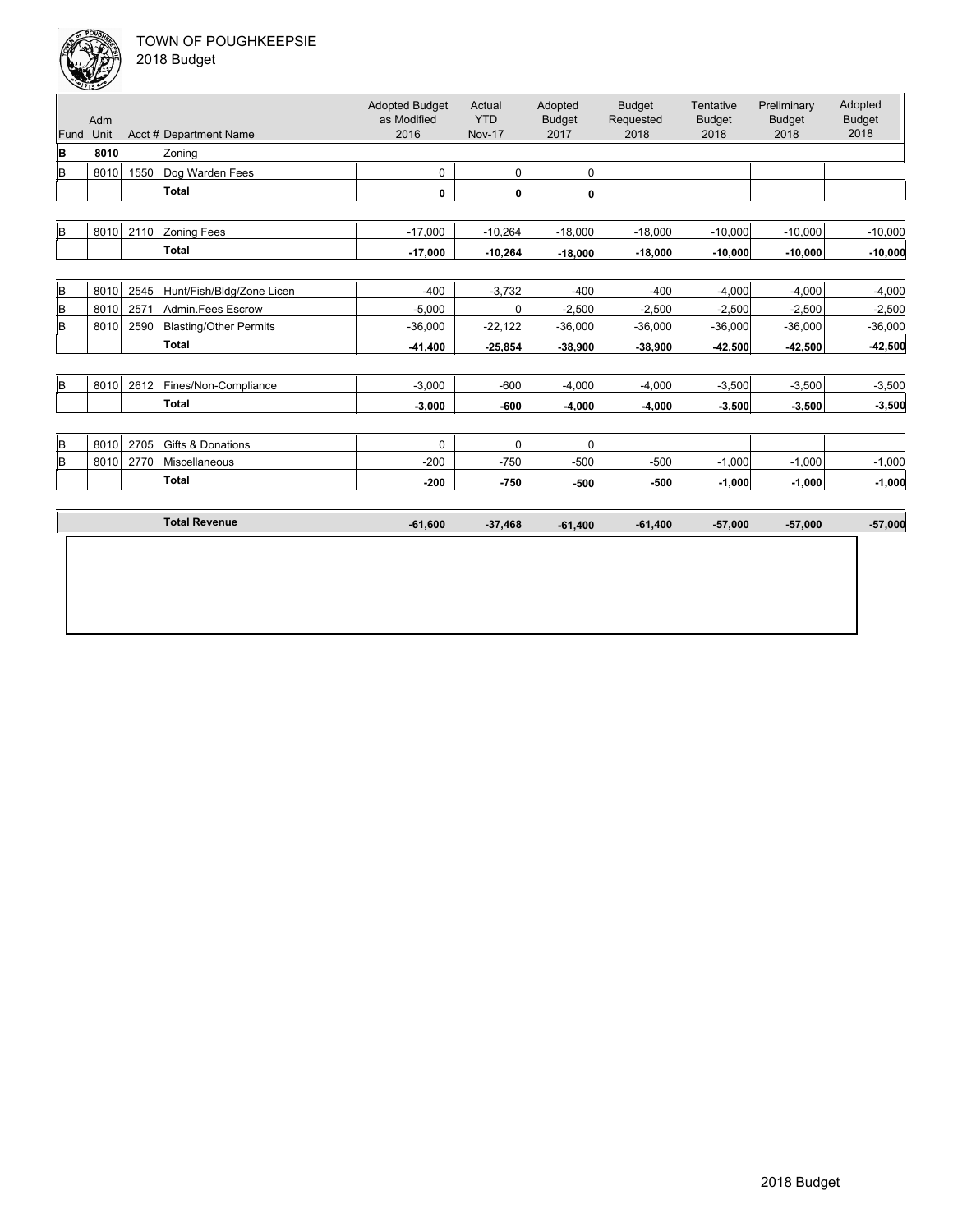

|  | 2018 Budget |  |
|--|-------------|--|
|--|-------------|--|

|      | Adm  |      |                               | <b>Adopted Budget</b><br>as Modified | Actual<br><b>YTD</b> | Adopted<br><b>Budget</b> | <b>Budget</b><br>Requested | Tentative<br><b>Budget</b> | Preliminary<br><b>Budget</b> | Adopted<br><b>Budget</b> |
|------|------|------|-------------------------------|--------------------------------------|----------------------|--------------------------|----------------------------|----------------------------|------------------------------|--------------------------|
| Fund | Unit |      | Acct # Department Name        | 2016                                 | <b>Nov-17</b>        | 2017                     | 2018                       | 2018                       | 2018                         | 2018                     |
| B    | 8010 |      | Zoning                        |                                      |                      |                          |                            |                            |                              |                          |
| B    | 8010 | 1550 | Dog Warden Fees               | $\mathbf 0$                          | 0                    | $\mathbf 0$              |                            |                            |                              |                          |
|      |      |      | <b>Total</b>                  | 0                                    | $\mathbf{0}$         | $\mathbf 0$              |                            |                            |                              |                          |
|      |      |      |                               |                                      |                      |                          |                            |                            |                              |                          |
| B    | 8010 | 2110 | <b>Zoning Fees</b>            | $-17,000$                            | $-10,264$            | $-18,000$                | $-18,000$                  | $-10,000$                  | $-10,000$                    | $-10,000$                |
|      |      |      | <b>Total</b>                  | $-17,000$                            | $-10,264$            | $-18,000$                | $-18,000$                  | $-10,000$                  | $-10,000$                    | $-10,000$                |
|      |      |      |                               |                                      |                      |                          |                            |                            |                              |                          |
| B    | 8010 | 2545 | Hunt/Fish/Bldg/Zone Licen     | $-400$                               | $-3,732$             | $-400$                   | $-400$                     | $-4,000$                   | $-4,000$                     | $-4,000$                 |
| B    | 8010 | 2571 | Admin.Fees Escrow             | $-5,000$                             | 0                    | $-2,500$                 | $-2,500$                   | $-2,500$                   | $-2,500$                     | $-2,500$                 |
| B    | 8010 | 2590 | <b>Blasting/Other Permits</b> | $-36,000$                            | $-22,122$            | $-36,000$                | $-36,000$                  | $-36,000$                  | $-36,000$                    | $-36,000$                |
|      |      |      | <b>Total</b>                  | $-41,400$                            | $-25,854$            | $-38,900$                | $-38,900$                  | $-42,500$                  | $-42,500$                    | $-42,500$                |
|      |      |      |                               |                                      |                      |                          |                            |                            |                              |                          |
| B    | 8010 | 2612 | Fines/Non-Compliance          | $-3,000$                             | $-600$               | $-4,000$                 | $-4,000$                   | $-3,500$                   | $-3,500$                     | $-3,500$                 |
|      |      |      | <b>Total</b>                  | $-3,000$                             | $-600$               | $-4,000$                 | $-4,000$                   | $-3,500$                   | $-3,500$                     | $-3,500$                 |
|      |      |      |                               |                                      |                      |                          |                            |                            |                              |                          |
| B    | 8010 | 2705 | Gifts & Donations             | $\mathbf 0$                          | 0                    | $\mathbf 0$              |                            |                            |                              |                          |
| B    | 8010 | 2770 | Miscellaneous                 | $-200$                               | $-750$               | $-500$                   | $-500$                     | $-1,000$                   | $-1,000$                     | $-1,000$                 |
|      |      |      | <b>Total</b>                  | $-200$                               | $-750$               | $-500$                   | $-500$                     | $-1,000$                   | $-1,000$                     | $-1,000$                 |
|      |      |      |                               |                                      |                      |                          |                            |                            |                              |                          |
|      |      |      | <b>Total Revenue</b>          | $-61,600$                            | $-37,468$            | $-61,400$                | $-61,400$                  | $-57,000$                  | $-57,000$                    | $-57,000$                |
|      |      |      |                               |                                      |                      |                          |                            |                            |                              |                          |
|      |      |      |                               |                                      |                      |                          |                            |                            |                              |                          |
|      |      |      |                               |                                      |                      |                          |                            |                            |                              |                          |
|      |      |      |                               |                                      |                      |                          |                            |                            |                              |                          |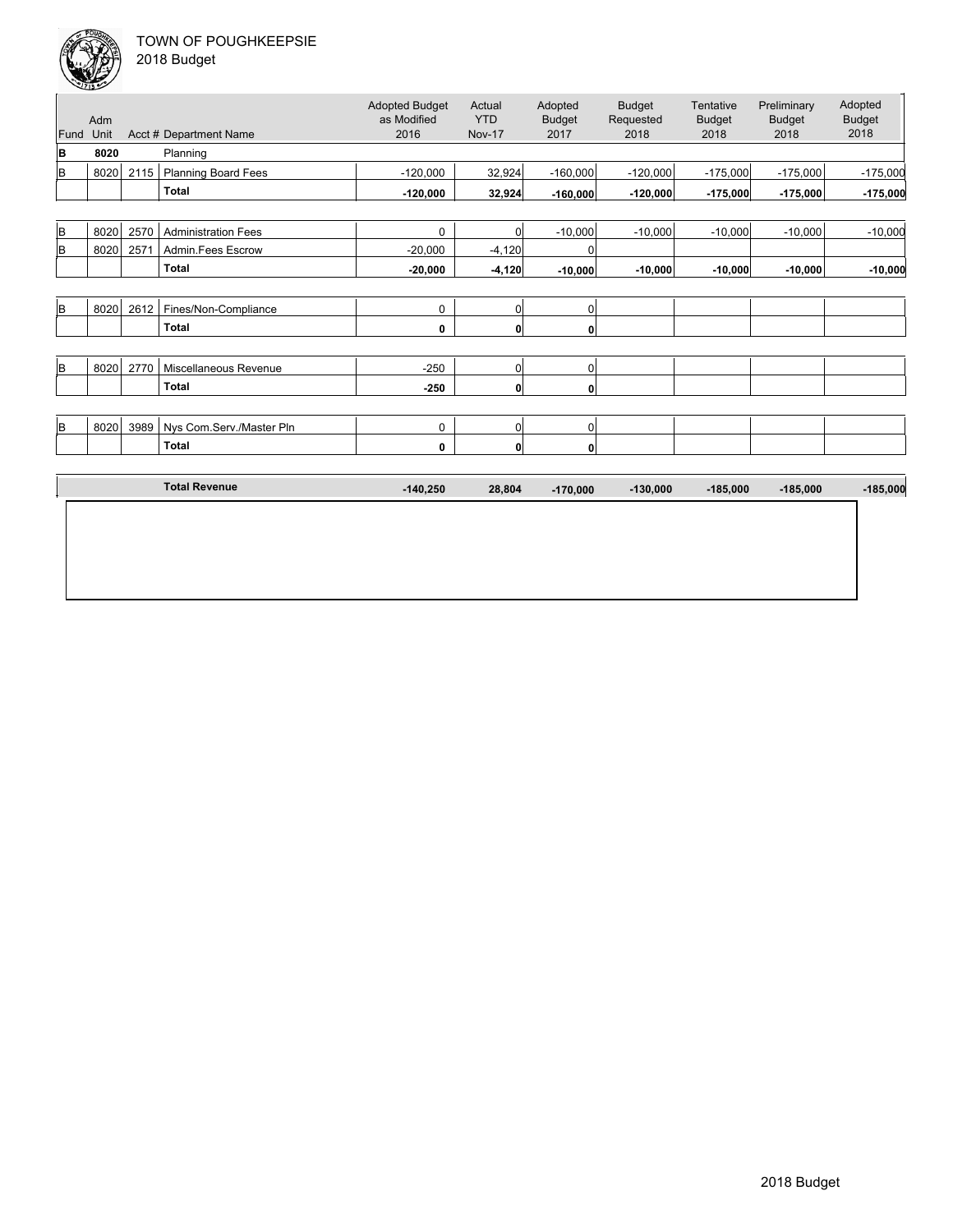

| 2018 Budget |  |
|-------------|--|
|             |  |

| Fund     | Adm<br>Unit |      | Acct # Department Name     | <b>Adopted Budget</b><br>as Modified<br>2016 | Actual<br><b>YTD</b><br><b>Nov-17</b> | Adopted<br><b>Budget</b><br>2017 | <b>Budget</b><br>Requested<br>2018 | Tentative<br><b>Budget</b><br>2018 | Preliminary<br><b>Budget</b><br>2018 | Adopted<br><b>Budget</b><br>2018 |
|----------|-------------|------|----------------------------|----------------------------------------------|---------------------------------------|----------------------------------|------------------------------------|------------------------------------|--------------------------------------|----------------------------------|
| B        | 8020        |      | Planning                   |                                              |                                       |                                  |                                    |                                    |                                      |                                  |
| B        | 8020        | 2115 | <b>Planning Board Fees</b> | $-120,000$                                   | 32,924                                | $-160,000$                       | $-120,000$                         | $-175,000$                         | $-175,000$                           | $-175,000$                       |
|          |             |      | <b>Total</b>               | $-120,000$                                   | 32,924                                | $-160,000$                       | $-120,000$                         | $-175,000$                         | $-175,000$                           | $-175,000$                       |
|          |             |      |                            |                                              |                                       |                                  |                                    |                                    |                                      |                                  |
| lв       | 8020        | 2570 | <b>Administration Fees</b> | $\mathbf 0$                                  | 0                                     | $-10,000$                        | $-10,000$                          | $-10,000$                          | $-10,000$                            | $-10,000$                        |
| B        | 8020        | 2571 | Admin.Fees Escrow          | $-20,000$                                    | $-4,120$                              | 0                                |                                    |                                    |                                      |                                  |
|          |             |      | <b>Total</b>               | $-20,000$                                    | $-4,120$                              | $-10,000$                        | $-10,000$                          | $-10,000$                          | $-10,000$                            | $-10,000$                        |
|          |             |      |                            |                                              |                                       |                                  |                                    |                                    |                                      |                                  |
| B.       | 8020        | 2612 | Fines/Non-Compliance       | 0                                            | 0                                     | $\mathbf 0$                      |                                    |                                    |                                      |                                  |
|          |             |      | <b>Total</b>               | 0                                            | 0                                     | $\mathbf 0$                      |                                    |                                    |                                      |                                  |
|          |             |      |                            |                                              |                                       |                                  |                                    |                                    |                                      |                                  |
| B        | 8020        | 2770 | Miscellaneous Revenue      | $-250$                                       | 0                                     | $\pmb{0}$                        |                                    |                                    |                                      |                                  |
|          |             |      | <b>Total</b>               | $-250$                                       | $\mathbf{0}$                          | $\mathbf 0$                      |                                    |                                    |                                      |                                  |
|          |             |      |                            |                                              |                                       |                                  |                                    |                                    |                                      |                                  |
| <b>B</b> | 8020        | 3989 | Nys Com.Serv./Master Pln   | $\mathbf 0$                                  | 0                                     | $\mathbf 0$                      |                                    |                                    |                                      |                                  |
|          |             |      | <b>Total</b>               | 0                                            | $\mathbf{0}$                          | 0                                |                                    |                                    |                                      |                                  |
|          |             |      |                            |                                              |                                       |                                  |                                    |                                    |                                      |                                  |
|          |             |      | <b>Total Revenue</b>       | $-140,250$                                   | 28,804                                | $-170,000$                       | $-130,000$                         | $-185,000$                         | $-185,000$                           | $-185,000$                       |
|          |             |      |                            |                                              |                                       |                                  |                                    |                                    |                                      |                                  |
|          |             |      |                            |                                              |                                       |                                  |                                    |                                    |                                      |                                  |
|          |             |      |                            |                                              |                                       |                                  |                                    |                                    |                                      |                                  |
|          |             |      |                            |                                              |                                       |                                  |                                    |                                    |                                      |                                  |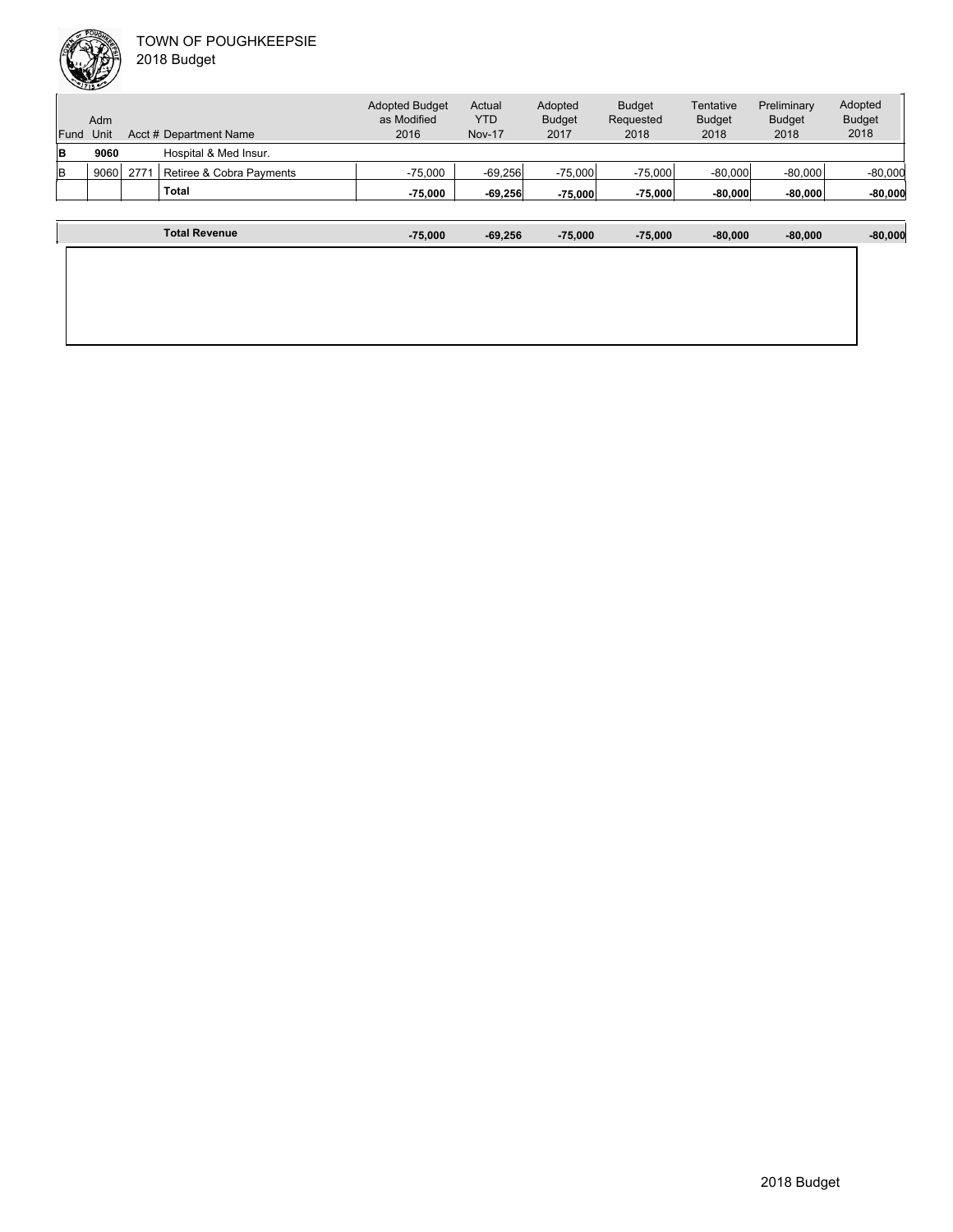|          |      |      | <b>Total</b>             | $-75.000$                            | $-69,256$     | $-75,000$                | $-75.000$                  | $-80,000$                  | $-80,000$                    | $-80,000$                |
|----------|------|------|--------------------------|--------------------------------------|---------------|--------------------------|----------------------------|----------------------------|------------------------------|--------------------------|
| lв       | 9060 | 2771 | Retiree & Cobra Payments | $-75.000$                            | $-69,256$     | $-75.000$                | $-75.000$                  | $-80,000$                  | $-80,000$                    | $-80,000$                |
| <b>B</b> | 9060 |      | Hospital & Med Insur.    |                                      |               |                          |                            |                            |                              |                          |
| Fund     | Unit |      | Acct # Department Name   | 2016                                 | <b>Nov-17</b> | 2017                     | 2018                       | 2018                       | 2018                         | 2018                     |
|          | Adm  |      |                          | <b>Adopted Budget</b><br>as Modified | Actual<br>YTD | Adopted<br><b>Budget</b> | <b>Budget</b><br>Requested | Tentative<br><b>Budget</b> | Preliminary<br><b>Budget</b> | Adopted<br><b>Budget</b> |

| <b>Total Revenue</b> | $-75,000$ | $-69,256$ | $-75,000$ | $-75,000$ | $-80,000$ | $-80,000$ | $-80,000$ |
|----------------------|-----------|-----------|-----------|-----------|-----------|-----------|-----------|
|                      |           |           |           |           |           |           |           |
|                      |           |           |           |           |           |           |           |
|                      |           |           |           |           |           |           |           |
|                      |           |           |           |           |           |           |           |
|                      |           |           |           |           |           |           |           |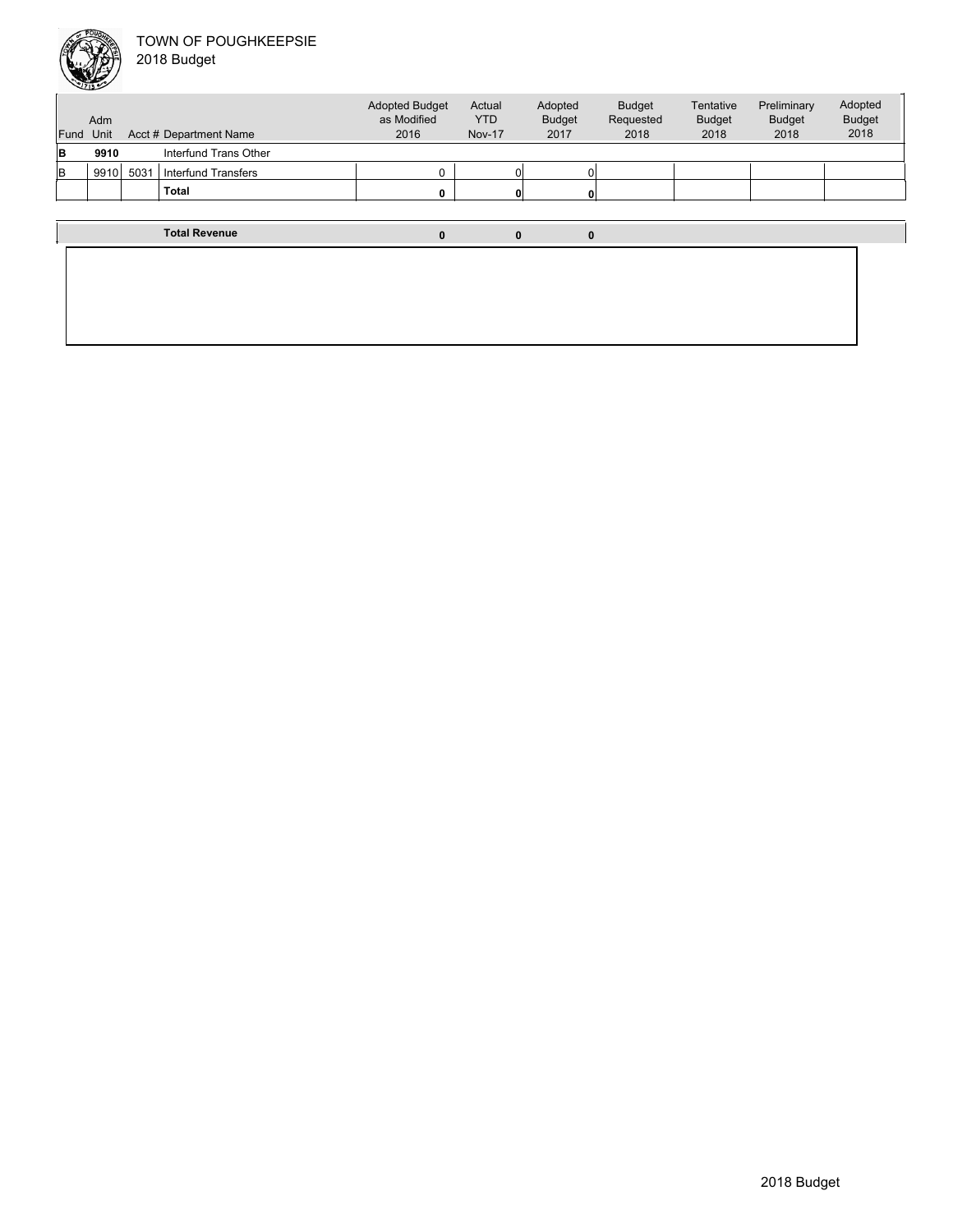

| Fund | Adm<br>Unit |      | Acct # Department Name | <b>Adopted Budget</b><br>as Modified<br>2016 | Actual<br><b>YTD</b><br><b>Nov-17</b> | Adopted<br><b>Budget</b><br>2017 | <b>Budget</b><br>Requested<br>2018 | Tentative<br><b>Budget</b><br>2018 | Preliminary<br><b>Budget</b><br>2018 | Adopted<br><b>Budget</b><br>2018 |
|------|-------------|------|------------------------|----------------------------------------------|---------------------------------------|----------------------------------|------------------------------------|------------------------------------|--------------------------------------|----------------------------------|
| lB.  | 9910        |      | Interfund Trans Other  |                                              |                                       |                                  |                                    |                                    |                                      |                                  |
| lв   | 9910        | 5031 | Interfund Transfers    | $\Omega$                                     |                                       |                                  |                                    |                                    |                                      |                                  |
|      |             |      | <b>Total</b>           | $\Omega$                                     |                                       |                                  |                                    |                                    |                                      |                                  |
|      |             |      |                        |                                              |                                       |                                  |                                    |                                    |                                      |                                  |
|      |             |      | <b>Total Revenue</b>   | $\mathbf{0}$                                 | $\bf{0}$                              | $\bf{0}$                         |                                    |                                    |                                      |                                  |
|      |             |      |                        |                                              |                                       |                                  |                                    |                                    |                                      |                                  |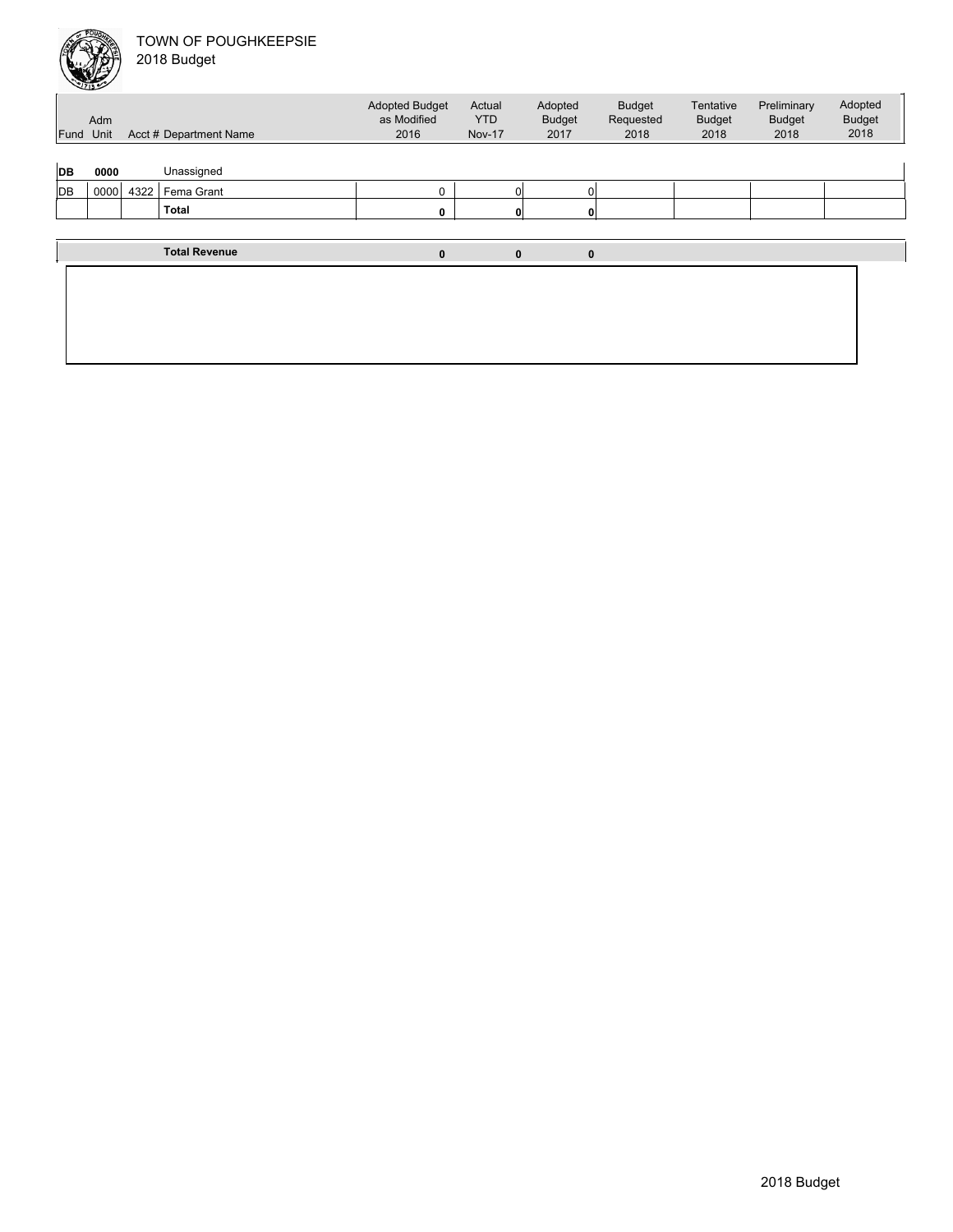| Fund Unit | Adm  |      | Acct # Department Name | <b>Adopted Budget</b><br>as Modified<br>2016 | Actual<br><b>YTD</b><br><b>Nov-17</b> | Adopted<br><b>Budget</b><br>2017 | <b>Budget</b><br>Requested<br>2018 | Tentative<br><b>Budget</b><br>2018 | Preliminary<br><b>Budget</b><br>2018 | Adopted<br><b>Budget</b><br>2018 |
|-----------|------|------|------------------------|----------------------------------------------|---------------------------------------|----------------------------------|------------------------------------|------------------------------------|--------------------------------------|----------------------------------|
| DB        | 0000 |      | Unassigned             |                                              |                                       |                                  |                                    |                                    |                                      |                                  |
| DB        | 0000 | 4322 | Fema Grant             | 0                                            | $\Omega$                              |                                  | 0                                  |                                    |                                      |                                  |
|           |      |      | <b>Total</b>           | 0                                            | 0                                     | 0                                |                                    |                                    |                                      |                                  |
|           |      |      |                        |                                              |                                       |                                  |                                    |                                    |                                      |                                  |
|           |      |      | <b>Total Revenue</b>   | $\pmb{0}$                                    | $\bf{0}$                              | $\bf{0}$                         |                                    |                                    |                                      |                                  |
|           |      |      |                        |                                              |                                       |                                  |                                    |                                    |                                      |                                  |
|           |      |      |                        |                                              |                                       |                                  |                                    |                                    |                                      |                                  |
|           |      |      |                        |                                              |                                       |                                  |                                    |                                    |                                      |                                  |
|           |      |      |                        |                                              |                                       |                                  |                                    |                                    |                                      |                                  |
|           |      |      |                        |                                              |                                       |                                  |                                    |                                    |                                      |                                  |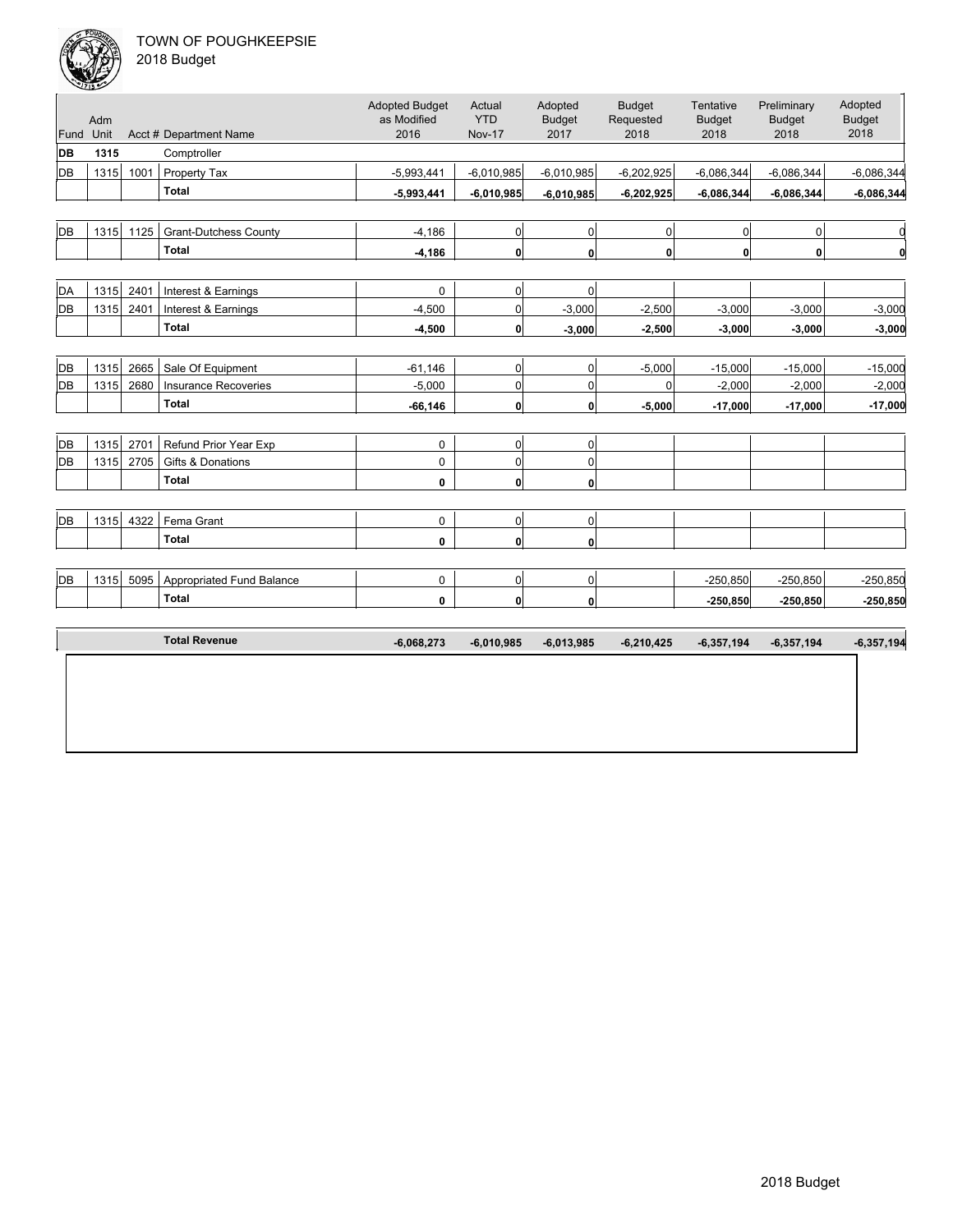

|  |  | 018 Budget |  |
|--|--|------------|--|
|--|--|------------|--|

| Fund | Adm<br>Unit |      | Acct # Department Name           | <b>Adopted Budget</b><br>as Modified<br>2016 | Actual<br><b>YTD</b><br><b>Nov-17</b> | Adopted<br><b>Budget</b><br>2017 | <b>Budget</b><br>Requested<br>2018 | Tentative<br><b>Budget</b><br>2018 | Preliminary<br><b>Budget</b><br>2018 | Adopted<br><b>Budget</b><br>2018 |
|------|-------------|------|----------------------------------|----------------------------------------------|---------------------------------------|----------------------------------|------------------------------------|------------------------------------|--------------------------------------|----------------------------------|
| DB   | 1315        |      | Comptroller                      |                                              |                                       |                                  |                                    |                                    |                                      |                                  |
| DB   | 1315        | 1001 | Property Tax                     | $-5,993,441$                                 | $-6,010,985$                          | $-6,010,985$                     | $-6,202,925$                       | $-6,086,344$                       | $-6,086,344$                         | $-6,086,344$                     |
|      |             |      | <b>Total</b>                     | $-5,993,441$                                 | $-6,010,985$                          | $-6,010,985$                     | $-6,202,925$                       | $-6,086,344$                       | $-6,086,344$                         | $-6,086,344$                     |
|      |             |      |                                  |                                              |                                       |                                  |                                    |                                    |                                      |                                  |
| DB   | 1315        | 1125 | <b>Grant-Dutchess County</b>     | $-4,186$                                     | 0                                     | $\overline{0}$                   | 0                                  | 0                                  | $\pmb{0}$                            | 0                                |
|      |             |      | <b>Total</b>                     | $-4,186$                                     | 0                                     | 0                                | $\mathbf{0}$                       | 0                                  | $\mathbf 0$                          | 0                                |
|      |             |      |                                  |                                              |                                       |                                  |                                    |                                    |                                      |                                  |
| DA   | 1315        | 2401 | Interest & Earnings              | 0                                            | 0                                     | $\overline{0}$                   |                                    |                                    |                                      |                                  |
| DB   | 1315        | 2401 | Interest & Earnings              | $-4,500$                                     | 0                                     | $-3,000$                         | $-2,500$                           | $-3,000$                           | $-3,000$                             | $-3,000$                         |
|      |             |      | <b>Total</b>                     | $-4,500$                                     | 0                                     | $-3,000$                         | $-2,500$                           | $-3,000$                           | $-3,000$                             | $-3,000$                         |
|      |             |      |                                  |                                              |                                       |                                  |                                    |                                    |                                      |                                  |
| DB   | 1315        | 2665 | Sale Of Equipment                | $-61,146$                                    | 0                                     | 0                                | $-5,000$                           | $-15,000$                          | $-15,000$                            | $-15,000$                        |
| DB   | 1315        | 2680 | <b>Insurance Recoveries</b>      | $-5,000$                                     | 0                                     | $\mathbf 0$                      | $\mathbf 0$                        | $-2,000$                           | $-2,000$                             | $-2,000$                         |
|      |             |      | <b>Total</b>                     | $-66, 146$                                   | $\mathbf{0}$                          | 0                                | $-5,000$                           | $-17,000$                          | $-17,000$                            | $-17,000$                        |
|      |             |      |                                  |                                              |                                       |                                  |                                    |                                    |                                      |                                  |
| DB   | 1315        | 2701 | Refund Prior Year Exp            | 0                                            | 0                                     | 0                                |                                    |                                    |                                      |                                  |
| DB   | 1315        | 2705 | <b>Gifts &amp; Donations</b>     | 0                                            | 0                                     | 0                                |                                    |                                    |                                      |                                  |
|      |             |      | <b>Total</b>                     | 0                                            | 0                                     | $\mathbf{0}$                     |                                    |                                    |                                      |                                  |
|      |             |      |                                  |                                              |                                       |                                  |                                    |                                    |                                      |                                  |
| DB   | 1315        | 4322 | Fema Grant                       | 0                                            | 0                                     | $\mathbf 0$                      |                                    |                                    |                                      |                                  |
|      |             |      | <b>Total</b>                     | 0                                            | 0                                     | 0                                |                                    |                                    |                                      |                                  |
|      |             |      |                                  |                                              |                                       |                                  |                                    |                                    |                                      |                                  |
| DB   | 1315        | 5095 | <b>Appropriated Fund Balance</b> | 0                                            | 0                                     | 0                                |                                    | $-250,850$                         | $-250,850$                           | $-250,850$                       |
|      |             |      | <b>Total</b>                     | 0                                            | 0                                     | $\mathbf{0}$                     |                                    | $-250,850$                         | $-250,850$                           | $-250,850$                       |
|      |             |      |                                  |                                              |                                       |                                  |                                    |                                    |                                      |                                  |
|      |             |      | <b>Total Revenue</b>             | $-6,068,273$                                 | $-6,010,985$                          | $-6,013,985$                     | $-6,210,425$                       | $-6,357,194$                       | $-6,357,194$                         | $-6,357,194$                     |
|      |             |      |                                  |                                              |                                       |                                  |                                    |                                    |                                      |                                  |
|      |             |      |                                  |                                              |                                       |                                  |                                    |                                    |                                      |                                  |
|      |             |      |                                  |                                              |                                       |                                  |                                    |                                    |                                      |                                  |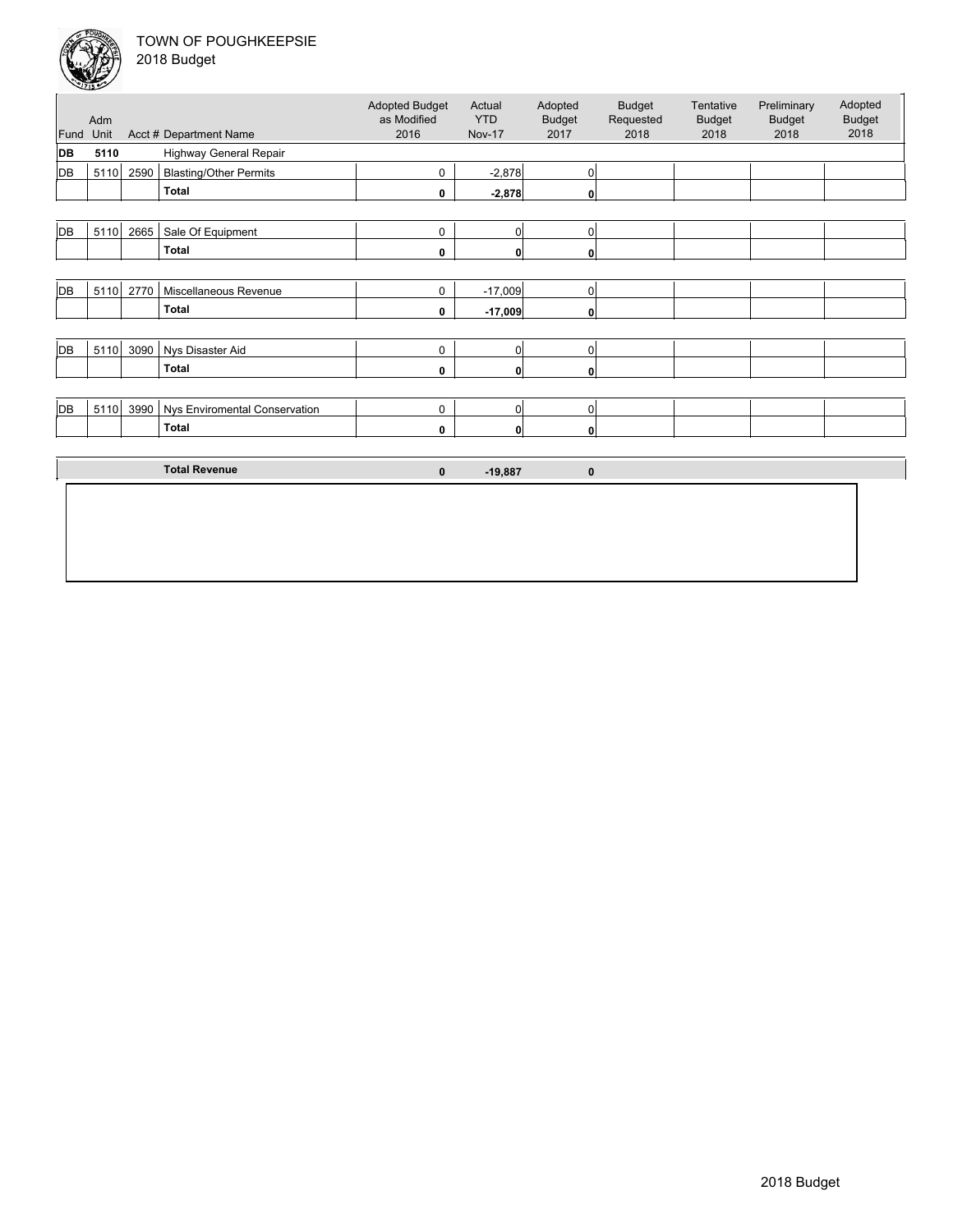|      | ستصف        |      |                               |                                              |                                       |                                  |                                    |                                           |                                      |                                  |
|------|-------------|------|-------------------------------|----------------------------------------------|---------------------------------------|----------------------------------|------------------------------------|-------------------------------------------|--------------------------------------|----------------------------------|
| Fund | Adm<br>Unit |      | Acct # Department Name        | <b>Adopted Budget</b><br>as Modified<br>2016 | Actual<br><b>YTD</b><br><b>Nov-17</b> | Adopted<br><b>Budget</b><br>2017 | <b>Budget</b><br>Requested<br>2018 | <b>Tentative</b><br><b>Budget</b><br>2018 | Preliminary<br><b>Budget</b><br>2018 | Adopted<br><b>Budget</b><br>2018 |
| DB   | 5110        |      | Highway General Repair        |                                              |                                       |                                  |                                    |                                           |                                      |                                  |
| DB   | 5110        | 2590 | <b>Blasting/Other Permits</b> | 0                                            | $-2,878$                              | 0                                |                                    |                                           |                                      |                                  |
|      |             |      | <b>Total</b>                  | 0                                            | $-2,878$                              | 0                                |                                    |                                           |                                      |                                  |
|      |             |      |                               |                                              |                                       |                                  |                                    |                                           |                                      |                                  |
| DB   | 5110        | 2665 | Sale Of Equipment             | 0                                            | 0                                     | 0                                |                                    |                                           |                                      |                                  |
|      |             |      | Total                         | $\mathbf 0$                                  | $\mathbf{0}$                          | 0                                |                                    |                                           |                                      |                                  |
|      |             |      |                               |                                              |                                       |                                  |                                    |                                           |                                      |                                  |
| þв   | 5110        | 2770 | Miscellaneous Revenue         | $\mathbf 0$                                  | $-17,009$                             | $\overline{0}$                   |                                    |                                           |                                      |                                  |
|      |             |      | <b>Total</b>                  | 0                                            | $-17,009$                             | 0                                |                                    |                                           |                                      |                                  |
|      |             |      |                               |                                              |                                       |                                  |                                    |                                           |                                      |                                  |
| DB   | 5110        | 3090 | Nys Disaster Aid              | 0                                            | $\overline{0}$                        | 0                                |                                    |                                           |                                      |                                  |
|      |             |      | <b>Total</b>                  | $\mathbf 0$                                  | $\mathbf{0}$                          | 0                                |                                    |                                           |                                      |                                  |
|      |             |      |                               |                                              |                                       |                                  |                                    |                                           |                                      |                                  |
| IDВ  | 5110        | 3990 | Nys Enviromental Conservation | 0                                            | $\overline{0}$                        | $\overline{0}$                   |                                    |                                           |                                      |                                  |
|      |             |      | <b>Total</b>                  | $\mathbf 0$                                  | $\mathbf{0}$                          | 0                                |                                    |                                           |                                      |                                  |
|      |             |      |                               |                                              |                                       |                                  |                                    |                                           |                                      |                                  |
|      |             |      | <b>Total Revenue</b>          | $\bf{0}$                                     | $-19,887$                             | $\mathbf{0}$                     |                                    |                                           |                                      |                                  |
|      |             |      |                               |                                              |                                       |                                  |                                    |                                           |                                      |                                  |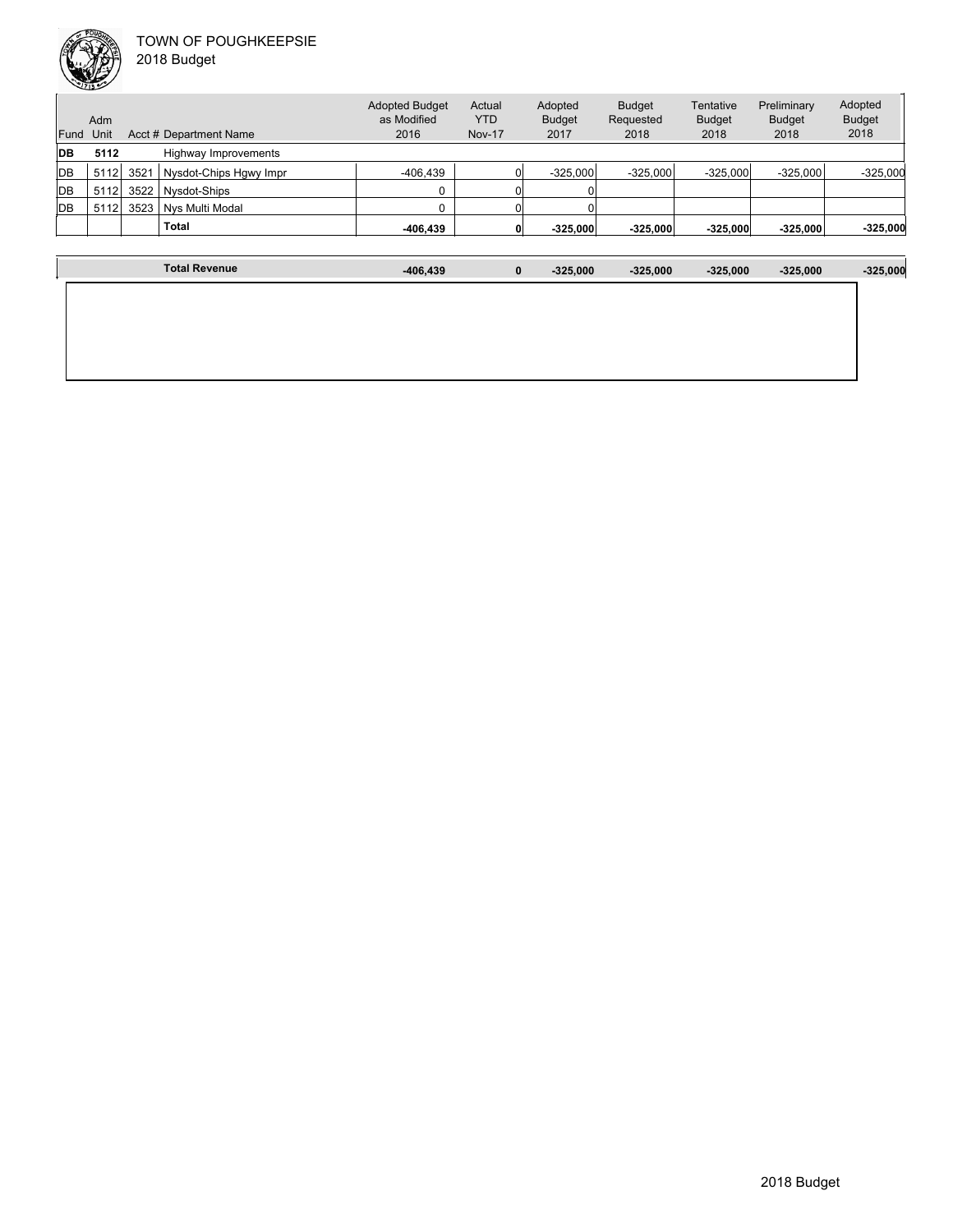

| Fund       | Adm<br>Unit |      | Acct # Department Name | <b>Adopted Budget</b><br>as Modified<br>2016 | Actual<br><b>YTD</b><br><b>Nov-17</b> | Adopted<br><b>Budget</b><br>2017 | <b>Budget</b><br>Requested<br>2018 | Tentative<br><b>Budget</b><br>2018 | Preliminary<br><b>Budget</b><br>2018 | Adopted<br><b>Budget</b><br>2018 |
|------------|-------------|------|------------------------|----------------------------------------------|---------------------------------------|----------------------------------|------------------------------------|------------------------------------|--------------------------------------|----------------------------------|
| <b>DB</b>  | 5112        |      | Highway Improvements   |                                              |                                       |                                  |                                    |                                    |                                      |                                  |
| <b>IDB</b> | 5112        | 3521 | Nysdot-Chips Hgwy Impr | $-406.439$                                   |                                       | $-325.000$                       | $-325.000$                         | $-325.000$                         | $-325.000$                           | $-325,000$                       |
| <b>IDB</b> | 5112        | 3522 | Nysdot-Ships           | $\Omega$                                     |                                       |                                  |                                    |                                    |                                      |                                  |
| <b>DB</b>  | 5112        | 3523 | Nys Multi Modal        | O                                            |                                       |                                  |                                    |                                    |                                      |                                  |
|            |             |      | <b>Total</b>           | -406,439                                     | 0                                     | $-325,000$                       | $-325,000$                         | $-325,000$                         | $-325,000$                           | $-325,000$                       |

| <b>Total Revenue</b> | -406,439 | $\mathbf 0$ | $-325,000$ | $-325,000$ | $-325,000$ | $-325,000$ | $-325,000$ |
|----------------------|----------|-------------|------------|------------|------------|------------|------------|
|                      |          |             |            |            |            |            |            |
|                      |          |             |            |            |            |            |            |
|                      |          |             |            |            |            |            |            |
|                      |          |             |            |            |            |            |            |
|                      |          |             |            |            |            |            |            |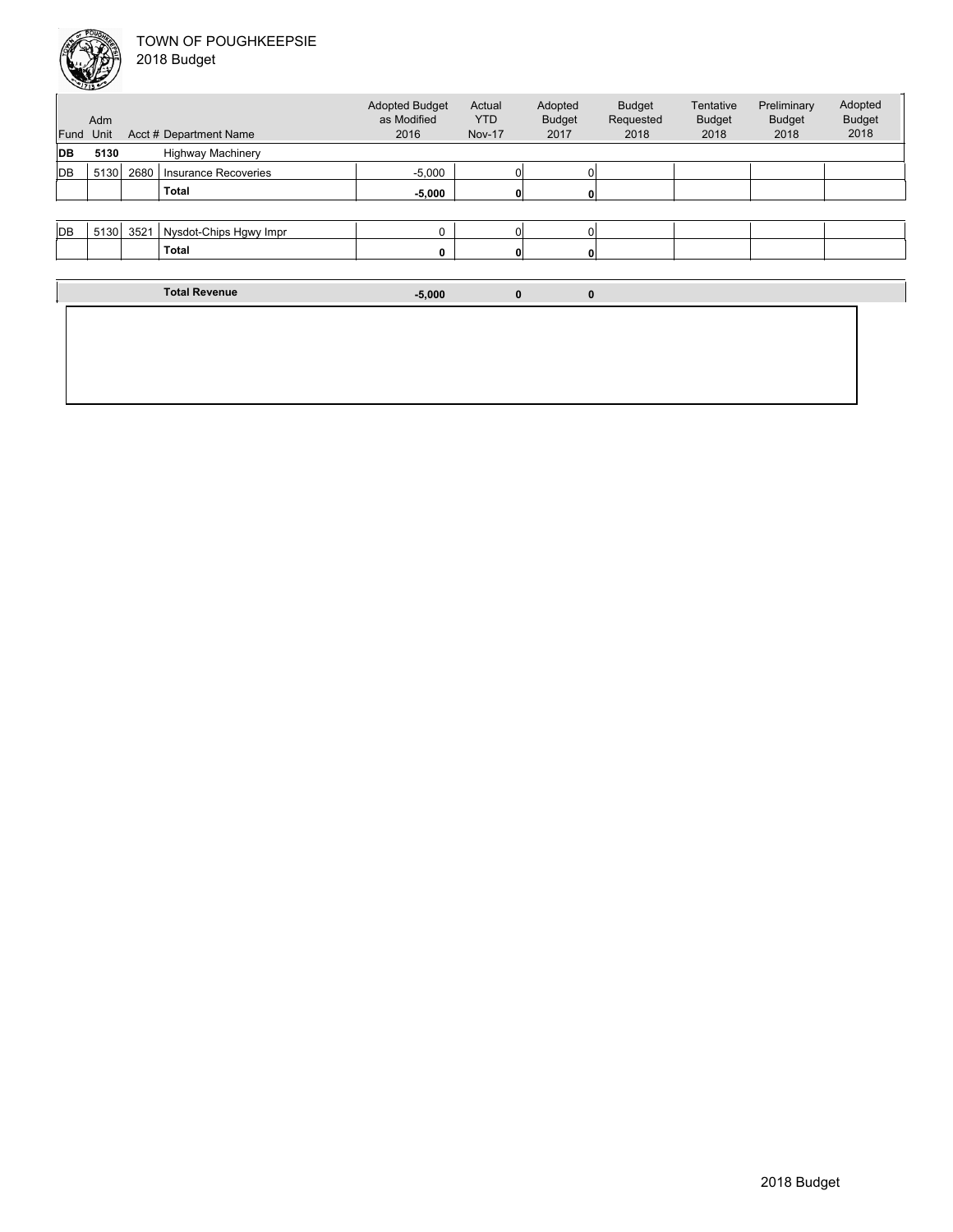| Fund | Adm<br>Unit |      | Acct # Department Name      | <b>Adopted Budget</b><br>as Modified<br>2016 | Actual<br><b>YTD</b><br><b>Nov-17</b> | Adopted<br><b>Budget</b><br>2017 | <b>Budget</b><br>Requested<br>2018 | Tentative<br><b>Budget</b><br>2018 | Preliminary<br><b>Budget</b><br>2018 | Adopted<br><b>Budget</b><br>2018 |
|------|-------------|------|-----------------------------|----------------------------------------------|---------------------------------------|----------------------------------|------------------------------------|------------------------------------|--------------------------------------|----------------------------------|
| DВ   | 5130        |      | <b>Highway Machinery</b>    |                                              |                                       |                                  |                                    |                                    |                                      |                                  |
| DB   | 5130        | 2680 | <b>Insurance Recoveries</b> | $-5,000$                                     |                                       |                                  |                                    |                                    |                                      |                                  |
|      |             |      | <b>Total</b>                | $-5,000$                                     |                                       |                                  |                                    |                                    |                                      |                                  |
|      |             |      |                             |                                              |                                       |                                  |                                    |                                    |                                      |                                  |
| DB   | 5130        | 3521 | Nysdot-Chips Hgwy Impr      | 0                                            |                                       |                                  |                                    |                                    |                                      |                                  |
|      |             |      | <b>Total</b>                | 0                                            |                                       | $\mathbf{0}$                     |                                    |                                    |                                      |                                  |

| <b>Total Revenue</b> | $-5,000$ | 0 | 0 |  |
|----------------------|----------|---|---|--|
|                      |          |   |   |  |
|                      |          |   |   |  |
|                      |          |   |   |  |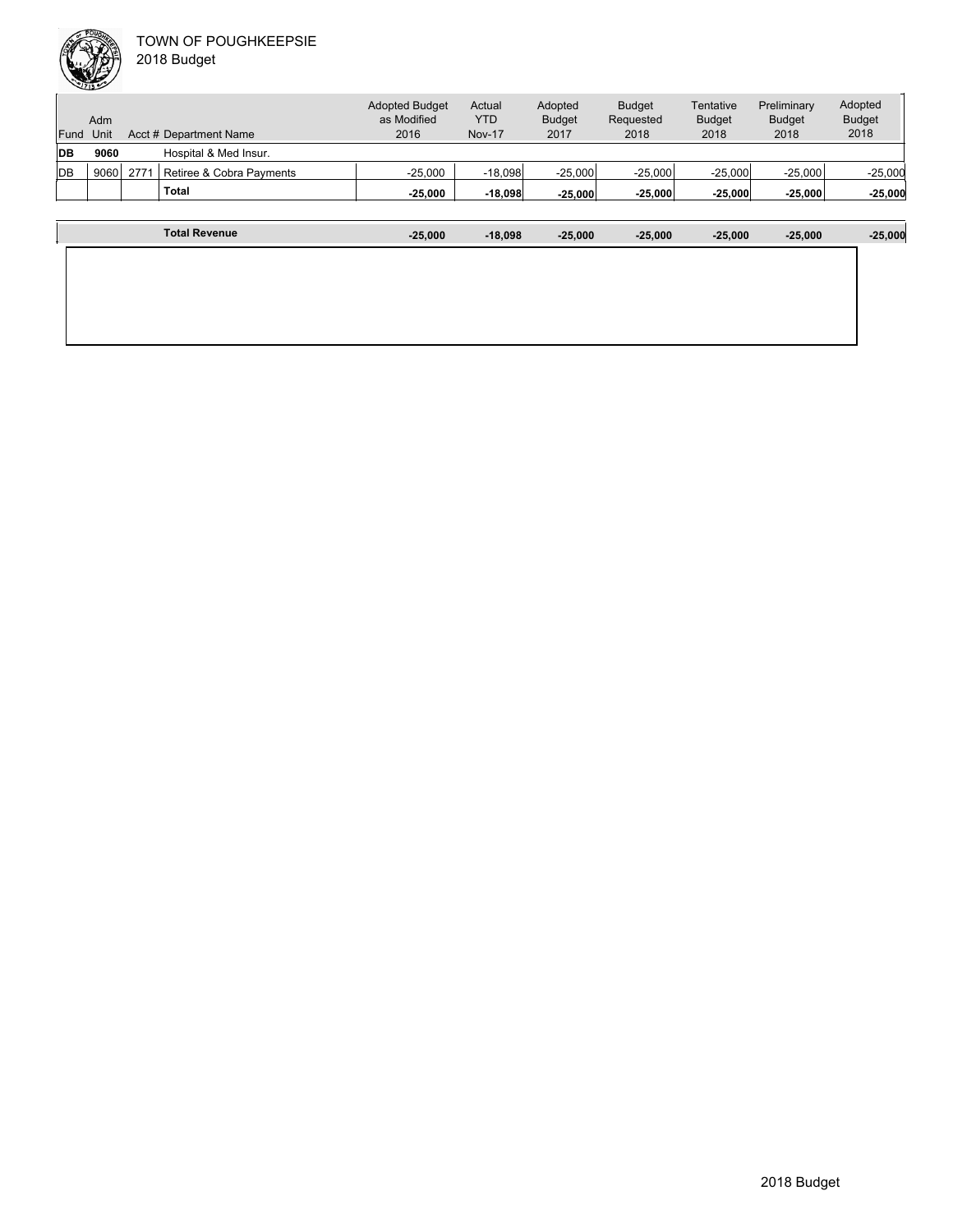|            | Adm  |      |                          | <b>Adopted Budget</b><br>as Modified | Actual<br><b>YTD</b> | Adopted<br><b>Budget</b> | <b>Budget</b><br>Requested | Tentative<br><b>Budget</b> | Preliminary<br><b>Budget</b> | Adopted<br><b>Budget</b> |
|------------|------|------|--------------------------|--------------------------------------|----------------------|--------------------------|----------------------------|----------------------------|------------------------------|--------------------------|
| Fund       | Unit |      | Acct # Department Name   | 2016                                 | <b>Nov-17</b>        | 2017                     | 2018                       | 2018                       | 2018                         | 2018                     |
| <b>IDB</b> | 9060 |      | Hospital & Med Insur.    |                                      |                      |                          |                            |                            |                              |                          |
| <b>IDB</b> | 9060 | 2771 | Retiree & Cobra Payments | $-25.000$                            | $-18,098$            | $-25,000$                | $-25,000$                  | $-25,000$                  | $-25,000$                    | $-25,000$                |
|            |      |      | <b>Total</b>             | $-25,000$                            | $-18,098$            | $-25,000$                | $-25,000$                  | $-25,000$                  | $-25,000$                    | $-25,000$                |
|            |      |      |                          |                                      |                      |                          |                            |                            |                              |                          |

| <b>Total Revenue</b> | $-25,000$ | $-18,098$ | $-25,000$ | $-25,000$ | $-25,000$ | $-25,000$ | $-25,000$ |
|----------------------|-----------|-----------|-----------|-----------|-----------|-----------|-----------|
|                      |           |           |           |           |           |           |           |
|                      |           |           |           |           |           |           |           |
|                      |           |           |           |           |           |           |           |
|                      |           |           |           |           |           |           |           |
|                      |           |           |           |           |           |           |           |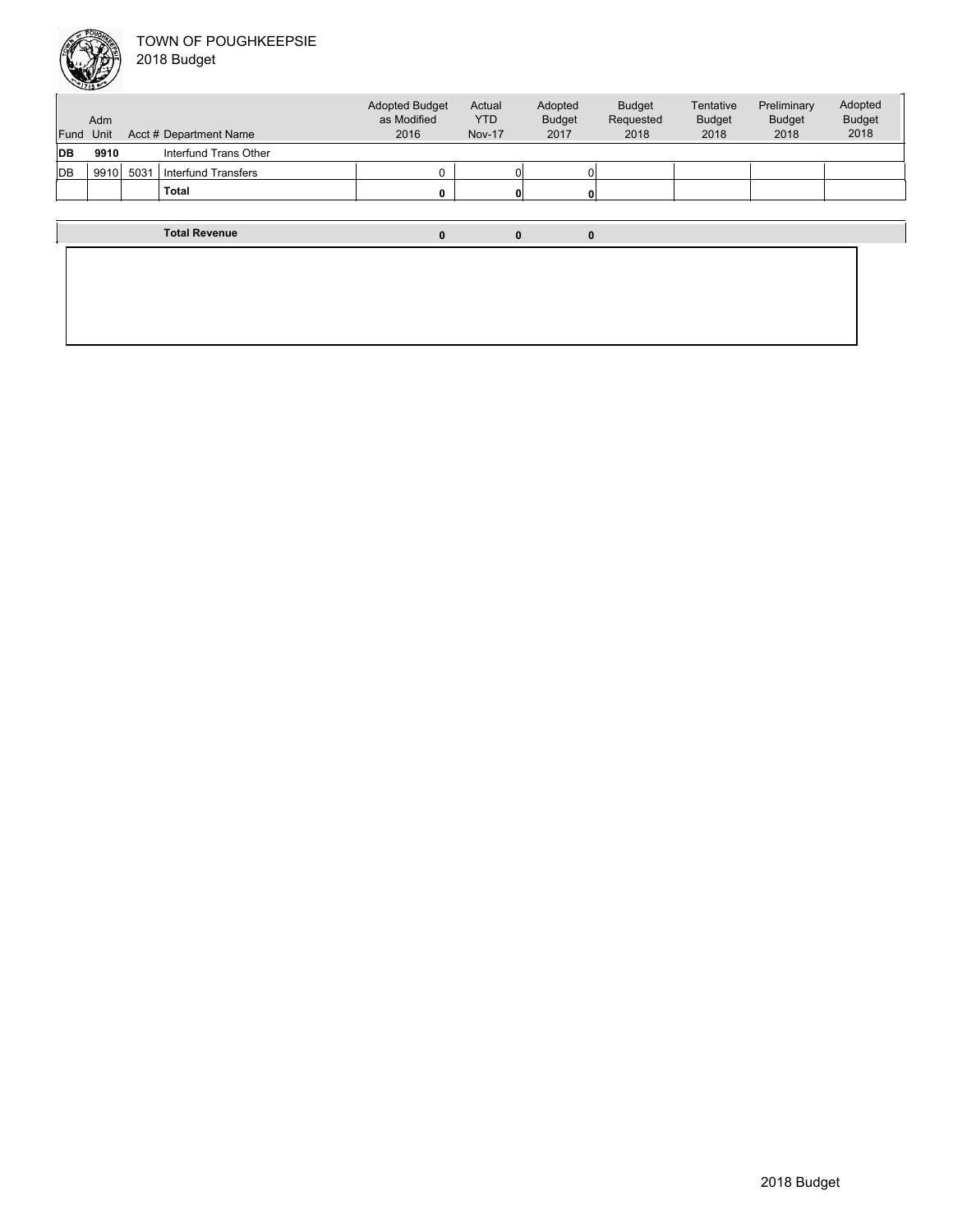

| Fund      | Adm<br>Unit |      | Acct # Department Name | <b>Adopted Budget</b><br>as Modified<br>2016 | Actual<br><b>YTD</b><br><b>Nov-17</b> | Adopted<br><b>Budget</b><br>2017 | <b>Budget</b><br>Requested<br>2018 | Tentative<br><b>Budget</b><br>2018 | Preliminary<br><b>Budget</b><br>2018 | Adopted<br><b>Budget</b><br>2018 |
|-----------|-------------|------|------------------------|----------------------------------------------|---------------------------------------|----------------------------------|------------------------------------|------------------------------------|--------------------------------------|----------------------------------|
| <b>DB</b> | 9910        |      | Interfund Trans Other  |                                              |                                       |                                  |                                    |                                    |                                      |                                  |
| DB        | 9910        | 5031 | Interfund Transfers    |                                              |                                       |                                  |                                    |                                    |                                      |                                  |
|           |             |      | <b>Total</b>           | n.                                           | 0                                     |                                  |                                    |                                    |                                      |                                  |
|           |             |      |                        |                                              |                                       |                                  |                                    |                                    |                                      |                                  |
|           |             |      | <b>Total Revenue</b>   | $\mathbf{0}$                                 | 0                                     | 0                                |                                    |                                    |                                      |                                  |
|           |             |      |                        |                                              |                                       |                                  |                                    |                                    |                                      |                                  |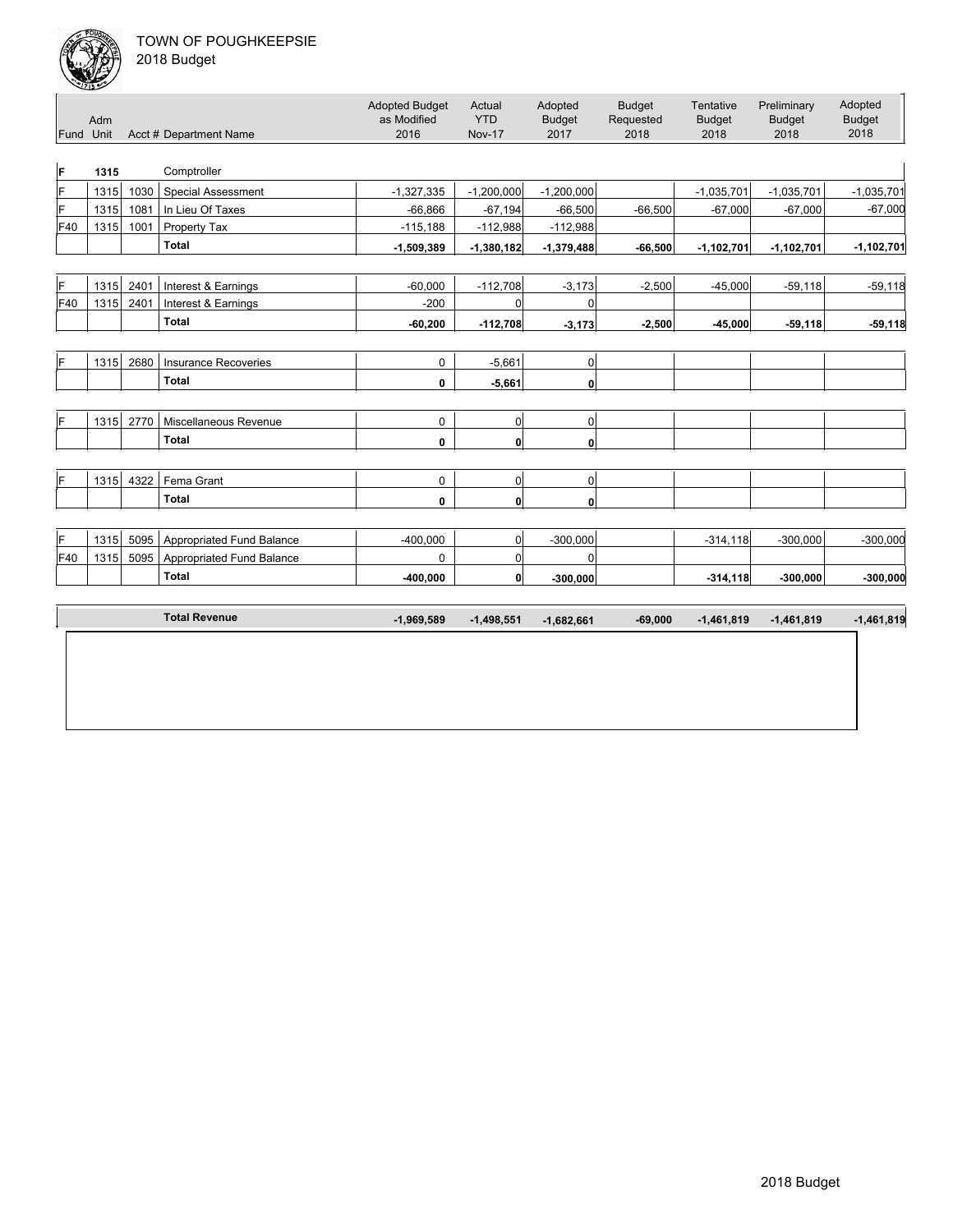

|     | ---<br>Adm<br>Fund Unit |      | Acct # Department Name      | <b>Adopted Budget</b><br>as Modified<br>2016 | Actual<br><b>YTD</b><br><b>Nov-17</b> | Adopted<br><b>Budget</b><br>2017 | <b>Budget</b><br>Requested<br>2018 | Tentative<br><b>Budget</b><br>2018 | Preliminary<br><b>Budget</b><br>2018 | Adopted<br><b>Budget</b><br>2018 |
|-----|-------------------------|------|-----------------------------|----------------------------------------------|---------------------------------------|----------------------------------|------------------------------------|------------------------------------|--------------------------------------|----------------------------------|
| F   | 1315                    |      | Comptroller                 |                                              |                                       |                                  |                                    |                                    |                                      |                                  |
| F   | 1315                    | 1030 | <b>Special Assessment</b>   | $-1,327,335$                                 | $-1,200,000$                          | $-1,200,000$                     |                                    | $-1,035,701$                       | $-1,035,701$                         | $-1,035,701$                     |
| F   | 1315                    | 1081 | In Lieu Of Taxes            | $-66,866$                                    | $-67,194$                             | $-66,500$                        | $-66,500$                          | $-67,000$                          | $-67,000$                            | $-67,000$                        |
| F40 | 1315                    | 1001 | Property Tax                | $-115,188$                                   | $-112,988$                            | $-112,988$                       |                                    |                                    |                                      |                                  |
|     |                         |      | <b>Total</b>                | $-1,509,389$                                 | $-1,380,182$                          | $-1,379,488$                     | $-66,500$                          | $-1,102,701$                       | $-1,102,701$                         | $-1,102,701$                     |
|     |                         |      |                             |                                              |                                       |                                  |                                    |                                    |                                      |                                  |
| F   | 1315                    | 2401 | Interest & Earnings         | $-60,000$                                    | $-112,708$                            | $-3,173$                         | $-2,500$                           | $-45,000$                          | $-59,118$                            | $-59,118$                        |
| F40 | 1315                    | 2401 | Interest & Earnings         | $-200$                                       | $\Omega$                              | $\Omega$                         |                                    |                                    |                                      |                                  |
|     |                         |      | <b>Total</b>                | $-60,200$                                    | $-112,708$                            | $-3,173$                         | $-2,500$                           | $-45.000$                          | $-59,118$                            | $-59,118$                        |
|     |                         |      |                             |                                              |                                       |                                  |                                    |                                    |                                      |                                  |
| ΙF  | 1315                    | 2680 | <b>Insurance Recoveries</b> | 0                                            | $-5,661$                              | 0                                |                                    |                                    |                                      |                                  |
|     |                         |      | <b>Total</b>                | 0                                            | $-5,661$                              | $\mathbf{0}$                     |                                    |                                    |                                      |                                  |
|     |                         |      |                             |                                              |                                       |                                  |                                    |                                    |                                      |                                  |
| ΙF  | 1315                    | 2770 | Miscellaneous Revenue       | 0                                            | $\Omega$                              | $\overline{0}$                   |                                    |                                    |                                      |                                  |
|     |                         |      | <b>Total</b>                | 0                                            | $\mathbf{0}$                          | $\mathbf{0}$                     |                                    |                                    |                                      |                                  |
|     |                         |      |                             |                                              |                                       |                                  |                                    |                                    |                                      |                                  |
| F   | 1315                    | 4322 | Fema Grant                  | 0                                            | 0                                     | $\overline{0}$                   |                                    |                                    |                                      |                                  |
|     |                         |      | <b>Total</b>                | 0                                            | $\mathbf{0}$                          | $\mathbf{0}$                     |                                    |                                    |                                      |                                  |
|     |                         |      |                             |                                              |                                       |                                  |                                    |                                    |                                      |                                  |
| F   | 1315                    | 5095 | Appropriated Fund Balance   | $-400,000$                                   | 0                                     | $-300,000$                       |                                    | $-314,118$                         | $-300,000$                           | $-300,000$                       |
| F40 | 1315                    | 5095 | Appropriated Fund Balance   | 0                                            | $\overline{0}$                        | $\Omega$                         |                                    |                                    |                                      |                                  |
|     |                         |      | <b>Total</b>                | $-400,000$                                   | $\mathbf{0}$                          | $-300,000$                       |                                    | $-314, 118$                        | $-300,000$                           | $-300,000$                       |
|     |                         |      |                             |                                              |                                       |                                  |                                    |                                    |                                      |                                  |
|     |                         |      | <b>Total Revenue</b>        | $-1,969,589$                                 | $-1,498,551$                          | $-1,682,661$                     | $-69,000$                          | $-1,461,819$                       | $-1,461,819$                         | $-1,461,819$                     |
|     |                         |      |                             |                                              |                                       |                                  |                                    |                                    |                                      |                                  |
|     |                         |      |                             |                                              |                                       |                                  |                                    |                                    |                                      |                                  |
|     |                         |      |                             |                                              |                                       |                                  |                                    |                                    |                                      |                                  |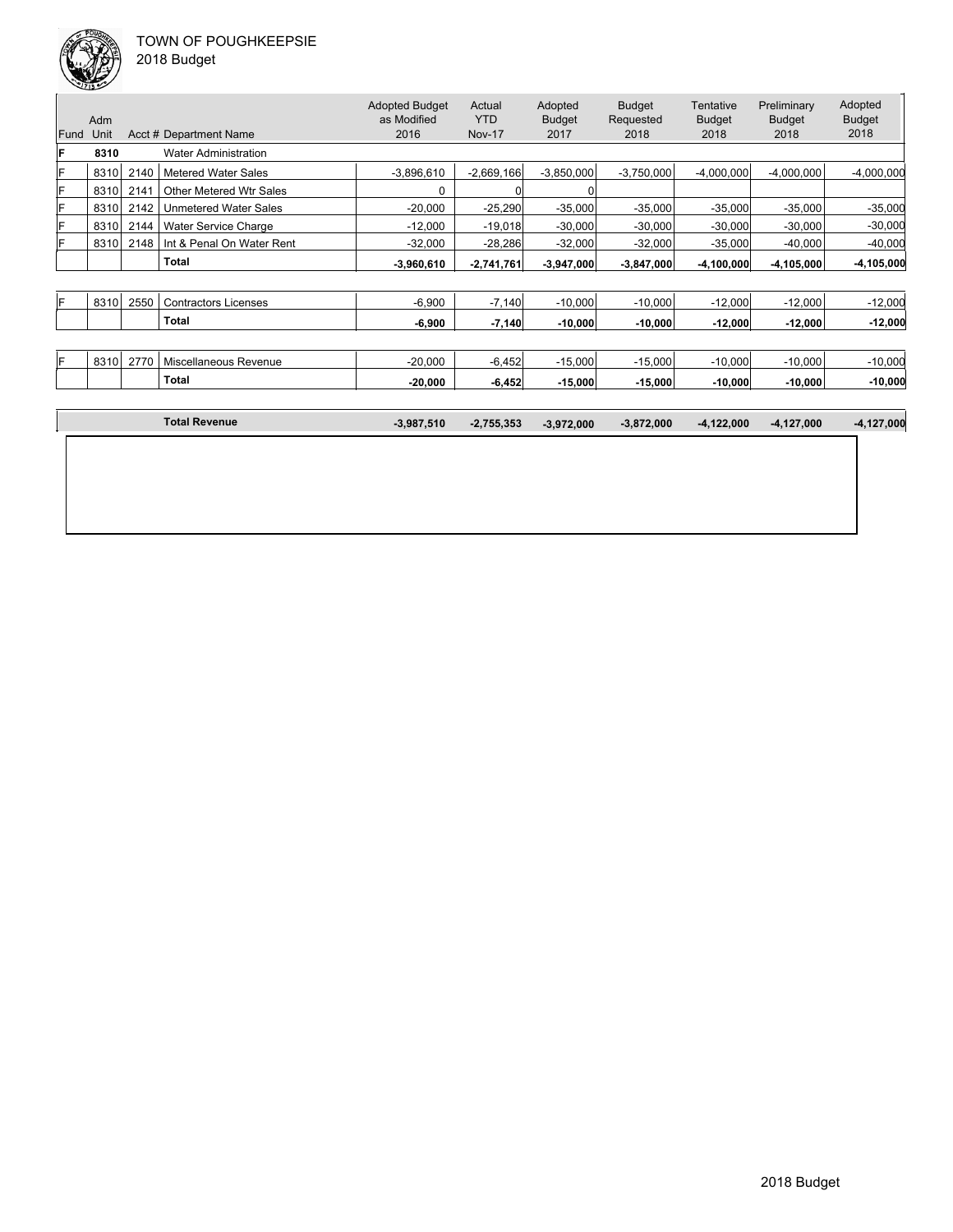

|      | Adm  |      |                              | <b>Adopted Budget</b><br>as Modified | Actual<br><b>YTD</b> | Adopted<br><b>Budget</b> | <b>Budget</b><br>Requested | Tentative<br><b>Budget</b> | Preliminary<br><b>Budget</b> | Adopted<br><b>Budget</b> |
|------|------|------|------------------------------|--------------------------------------|----------------------|--------------------------|----------------------------|----------------------------|------------------------------|--------------------------|
| Fund | Unit |      | Acct # Department Name       | 2016                                 | <b>Nov-17</b>        | 2017                     | 2018                       | 2018                       | 2018                         | 2018                     |
| ΙF   | 8310 |      | <b>Water Administration</b>  |                                      |                      |                          |                            |                            |                              |                          |
| ΙF   | 8310 | 2140 | <b>Metered Water Sales</b>   | $-3,896,610$                         | $-2,669,166$         | $-3,850,000$             | $-3,750,000$               | $-4,000,000$               | $-4,000,000$                 | $-4,000,000$             |
| F    | 8310 | 2141 | Other Metered Wtr Sales      | 0                                    |                      |                          |                            |                            |                              |                          |
| IF   | 8310 | 2142 | <b>Unmetered Water Sales</b> | $-20,000$                            | $-25,290$            | $-35,000$                | $-35,000$                  | $-35,000$                  | $-35,000$                    | $-35,000$                |
| IF   | 8310 | 2144 | Water Service Charge         | $-12,000$                            | $-19,018$            | $-30,000$                | $-30,000$                  | $-30,000$                  | $-30,000$                    | $-30,000$                |
| F    | 8310 | 2148 | Int & Penal On Water Rent    | $-32,000$                            | $-28,286$            | $-32,000$                | $-32,000$                  | $-35,000$                  | $-40,000$                    | $-40,000$                |
|      |      |      | Total                        | $-3,960,610$                         | $-2,741,761$         | $-3,947,000$             | $-3,847,000$               | $-4,100,000$               | $-4,105,000$                 | $-4,105,000$             |
|      |      |      |                              |                                      |                      |                          |                            |                            |                              |                          |
| lF.  | 8310 | 2550 | <b>Contractors Licenses</b>  | $-6,900$                             | $-7,140$             | $-10,000$                | $-10,000$                  | $-12,000$                  | $-12,000$                    | $-12,000$                |
|      |      |      | Total                        | $-6,900$                             | $-7,140$             | $-10,000$                | $-10,000$                  | $-12,000$                  | $-12,000$                    | $-12,000$                |
|      |      |      |                              |                                      |                      |                          |                            |                            |                              |                          |
| IF.  | 8310 | 2770 | Miscellaneous Revenue        | $-20,000$                            | $-6,452$             | $-15,000$                | $-15,000$                  | $-10,000$                  | $-10,000$                    | $-10,000$                |
|      |      |      | Total                        | $-20,000$                            | $-6,452$             | $-15,000$                | $-15,000$                  | $-10,000$                  | $-10,000$                    | $-10,000$                |
|      |      |      |                              |                                      |                      |                          |                            |                            |                              |                          |

| <b>Total Revenue</b> | $-3,987,510$ | $-2,755,353$ | $-3,972,000$ | $-3,872,000$ | $-4,122,000$ | -4,127,000 | $-4,127,000$ |
|----------------------|--------------|--------------|--------------|--------------|--------------|------------|--------------|
|                      |              |              |              |              |              |            |              |
|                      |              |              |              |              |              |            |              |
|                      |              |              |              |              |              |            |              |
|                      |              |              |              |              |              |            |              |
|                      |              |              |              |              |              |            |              |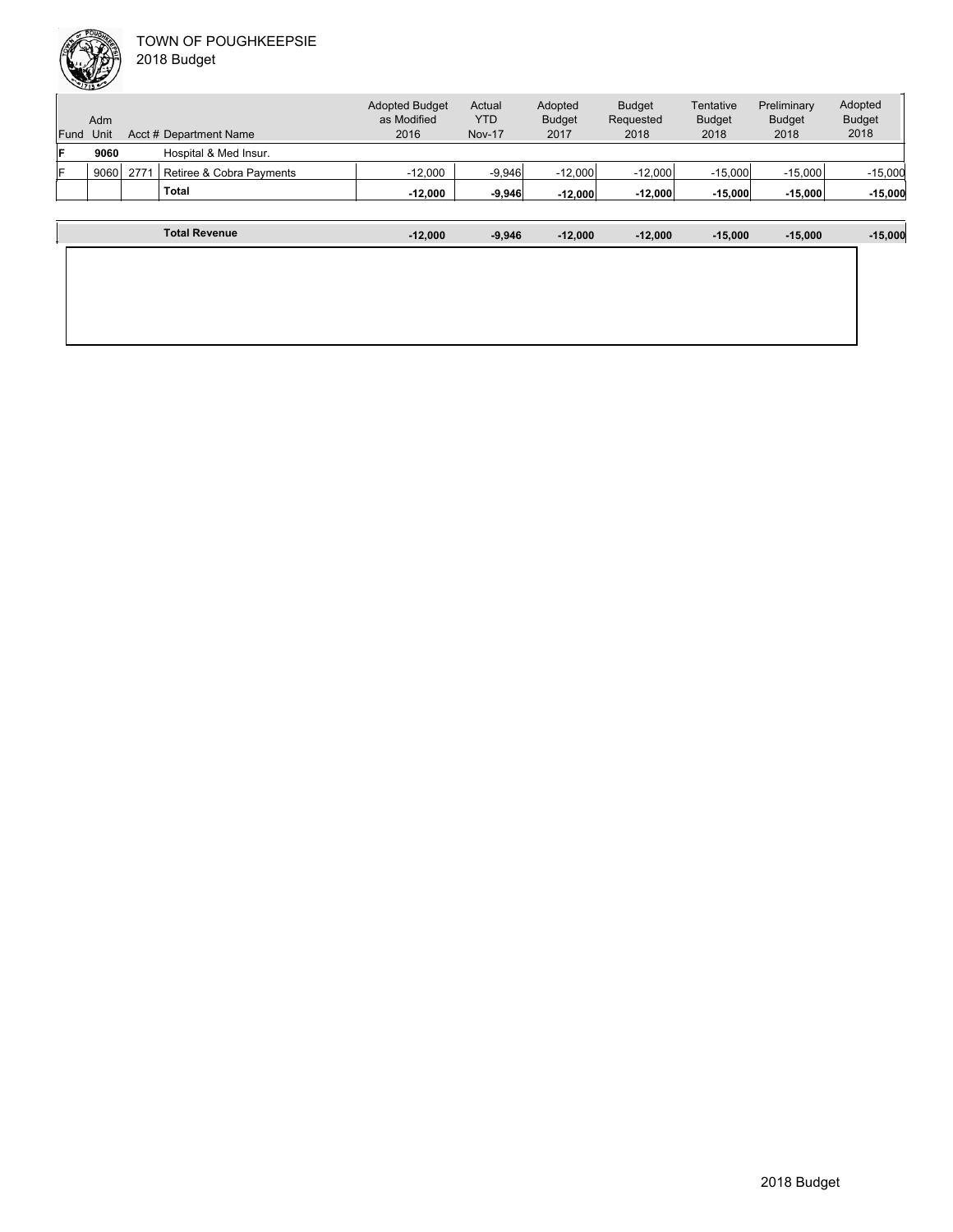|      | Adm  |     |                          | <b>Adopted Budget</b><br>as Modified | Actual<br><b>YTD</b> | Adopted<br><b>Budget</b> | <b>Budget</b><br>Requested | Tentative<br><b>Budget</b> | Preliminary<br><b>Budget</b> | Adopted<br><b>Budget</b> |
|------|------|-----|--------------------------|--------------------------------------|----------------------|--------------------------|----------------------------|----------------------------|------------------------------|--------------------------|
| Fund | Unit |     | Acct # Department Name   | 2016                                 | <b>Nov-17</b>        | 2017                     | 2018                       | 2018                       | 2018                         | 2018                     |
| F    | 9060 |     | Hospital & Med Insur.    |                                      |                      |                          |                            |                            |                              |                          |
| F    | 9060 | 277 | Retiree & Cobra Payments | $-12.000$                            | $-9.946$             | $-12.000$                | $-12.000$                  | $-15.000$                  | $-15.000$                    | $-15,000$                |
|      |      |     | Total                    | $-12.000$                            | $-9,946$             | $-12,000$                | $-12,000$                  | $-15,000$                  | $-15,000$                    | $-15,000$                |
|      |      |     |                          |                                      |                      |                          |                            |                            |                              |                          |
|      |      |     |                          |                                      |                      |                          |                            |                            |                              |                          |

| <b>Total Revenue</b> | $-12,000$ | $-9,946$ | $-12,000$ | $-12,000$ | $-15,000$ | $-15,000$ | $-15,000$ |
|----------------------|-----------|----------|-----------|-----------|-----------|-----------|-----------|
|                      |           |          |           |           |           |           |           |
|                      |           |          |           |           |           |           |           |
|                      |           |          |           |           |           |           |           |
|                      |           |          |           |           |           |           |           |
|                      |           |          |           |           |           |           |           |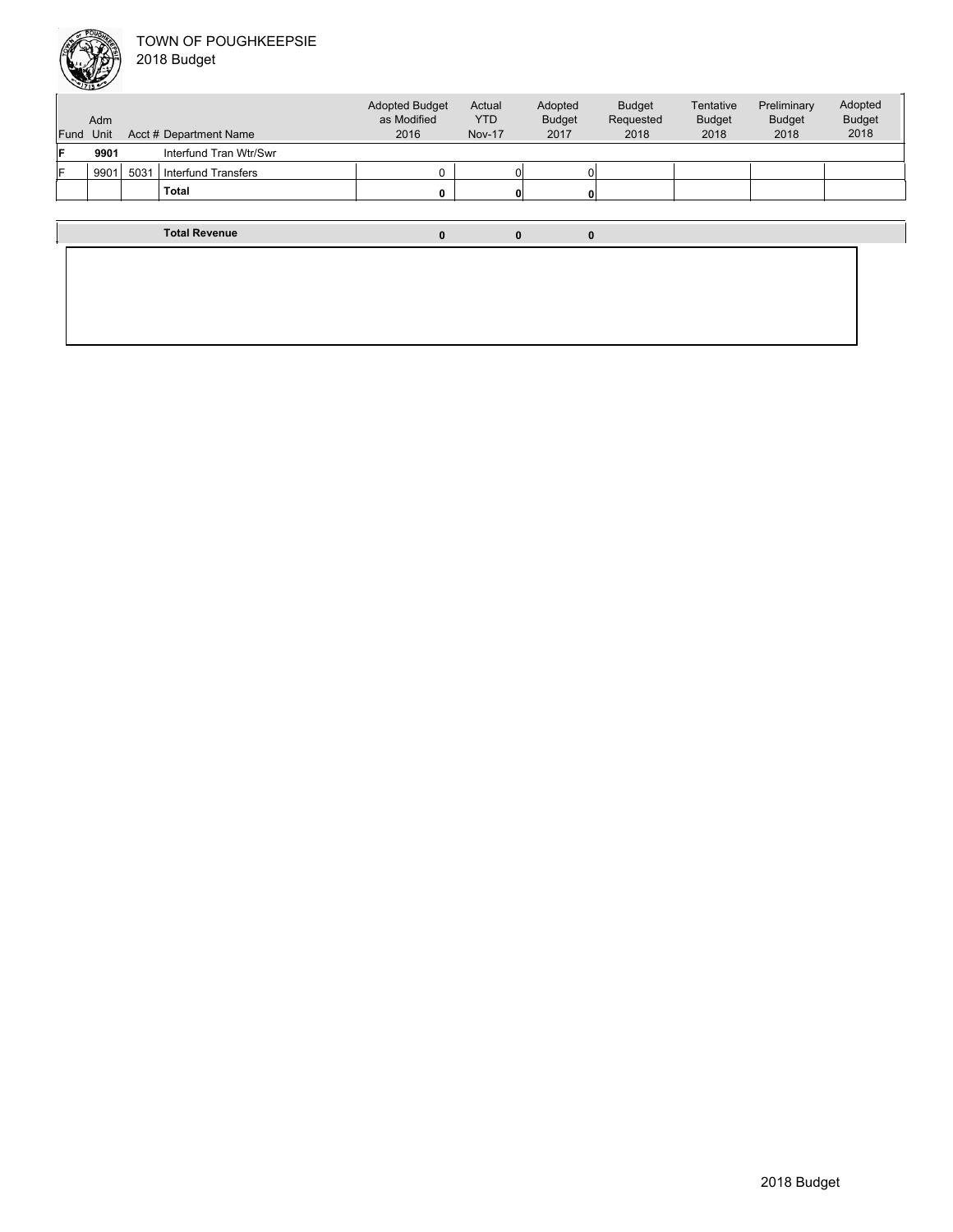

| Fund | Adm<br>Unit |      | Acct # Department Name     | <b>Adopted Budget</b><br>as Modified<br>2016 | Actual<br><b>YTD</b><br><b>Nov-17</b> | Adopted<br><b>Budget</b><br>2017 | <b>Budget</b><br>Requested<br>2018 | Tentative<br><b>Budget</b><br>2018 | Preliminary<br><b>Budget</b><br>2018 | Adopted<br><b>Budget</b><br>2018 |
|------|-------------|------|----------------------------|----------------------------------------------|---------------------------------------|----------------------------------|------------------------------------|------------------------------------|--------------------------------------|----------------------------------|
| F    | 9901        |      | Interfund Tran Wtr/Swr     |                                              |                                       |                                  |                                    |                                    |                                      |                                  |
| ΙF   | 9901        | 5031 | <b>Interfund Transfers</b> | $\Omega$                                     |                                       |                                  |                                    |                                    |                                      |                                  |
|      |             |      | <b>Total</b>               | $\mathbf{0}$                                 |                                       |                                  |                                    |                                    |                                      |                                  |
|      |             |      |                            |                                              |                                       |                                  |                                    |                                    |                                      |                                  |
|      |             |      | <b>Total Revenue</b>       | $\bf{0}$                                     | 0                                     | $\Omega$                         |                                    |                                    |                                      |                                  |
|      |             |      |                            |                                              |                                       |                                  |                                    |                                    |                                      |                                  |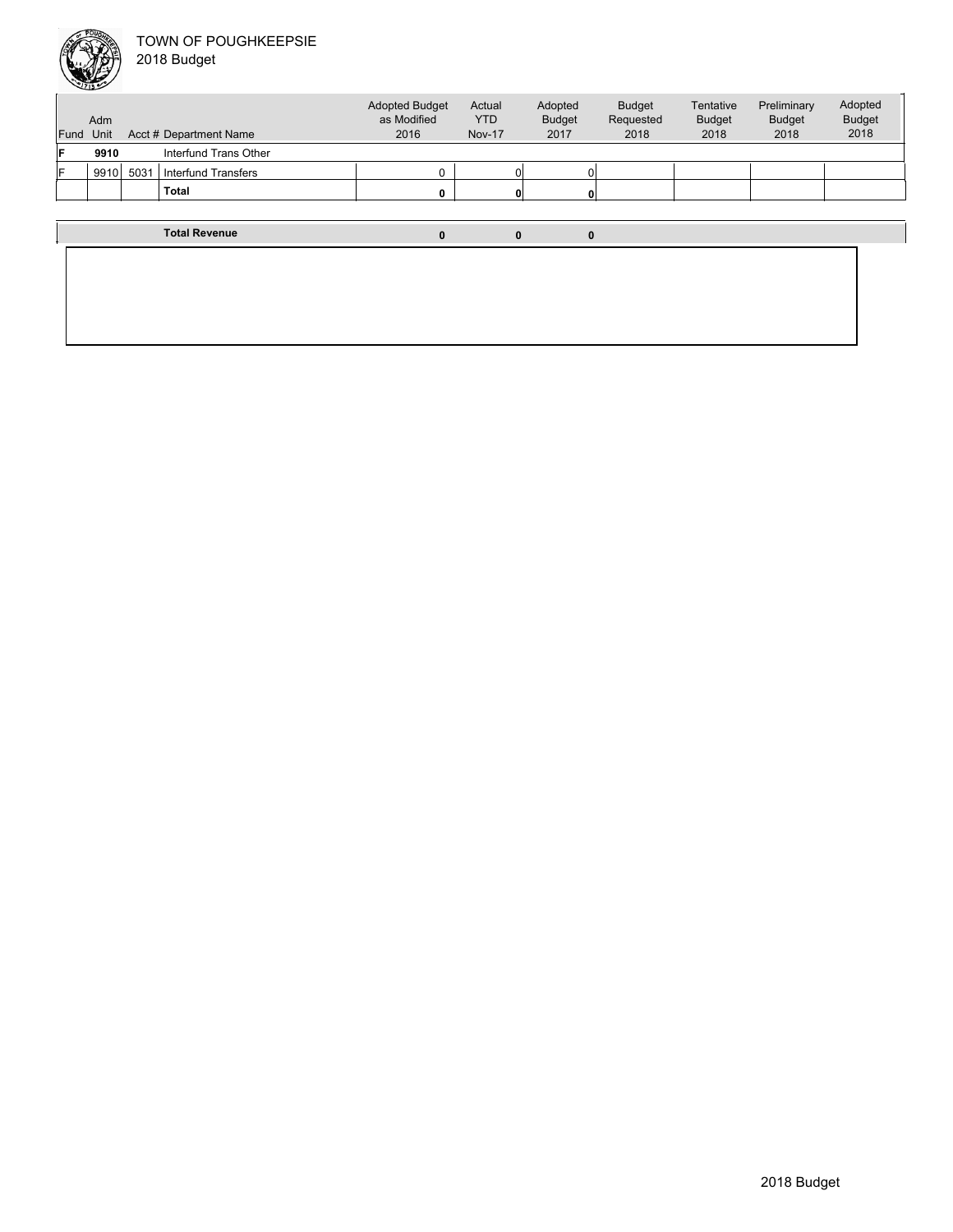

| Fund | Adm<br>Unit |      | Acct # Department Name     | <b>Adopted Budget</b><br>as Modified<br>2016 | Actual<br><b>YTD</b><br><b>Nov-17</b> | Adopted<br><b>Budget</b><br>2017 | <b>Budget</b><br>Requested<br>2018 | Tentative<br><b>Budget</b><br>2018 | Preliminary<br><b>Budget</b><br>2018 | Adopted<br><b>Budget</b><br>2018 |
|------|-------------|------|----------------------------|----------------------------------------------|---------------------------------------|----------------------------------|------------------------------------|------------------------------------|--------------------------------------|----------------------------------|
| F    | 9910        |      | Interfund Trans Other      |                                              |                                       |                                  |                                    |                                    |                                      |                                  |
| F    | 9910        | 5031 | <b>Interfund Transfers</b> | $^{\circ}$                                   |                                       |                                  |                                    |                                    |                                      |                                  |
|      |             |      | Total                      | 0                                            |                                       |                                  |                                    |                                    |                                      |                                  |
|      |             |      |                            |                                              |                                       |                                  |                                    |                                    |                                      |                                  |
|      |             |      | <b>Total Revenue</b>       | $\bf{0}$                                     | $\bf{0}$                              | $\bf{0}$                         |                                    |                                    |                                      |                                  |
|      |             |      |                            |                                              |                                       |                                  |                                    |                                    |                                      |                                  |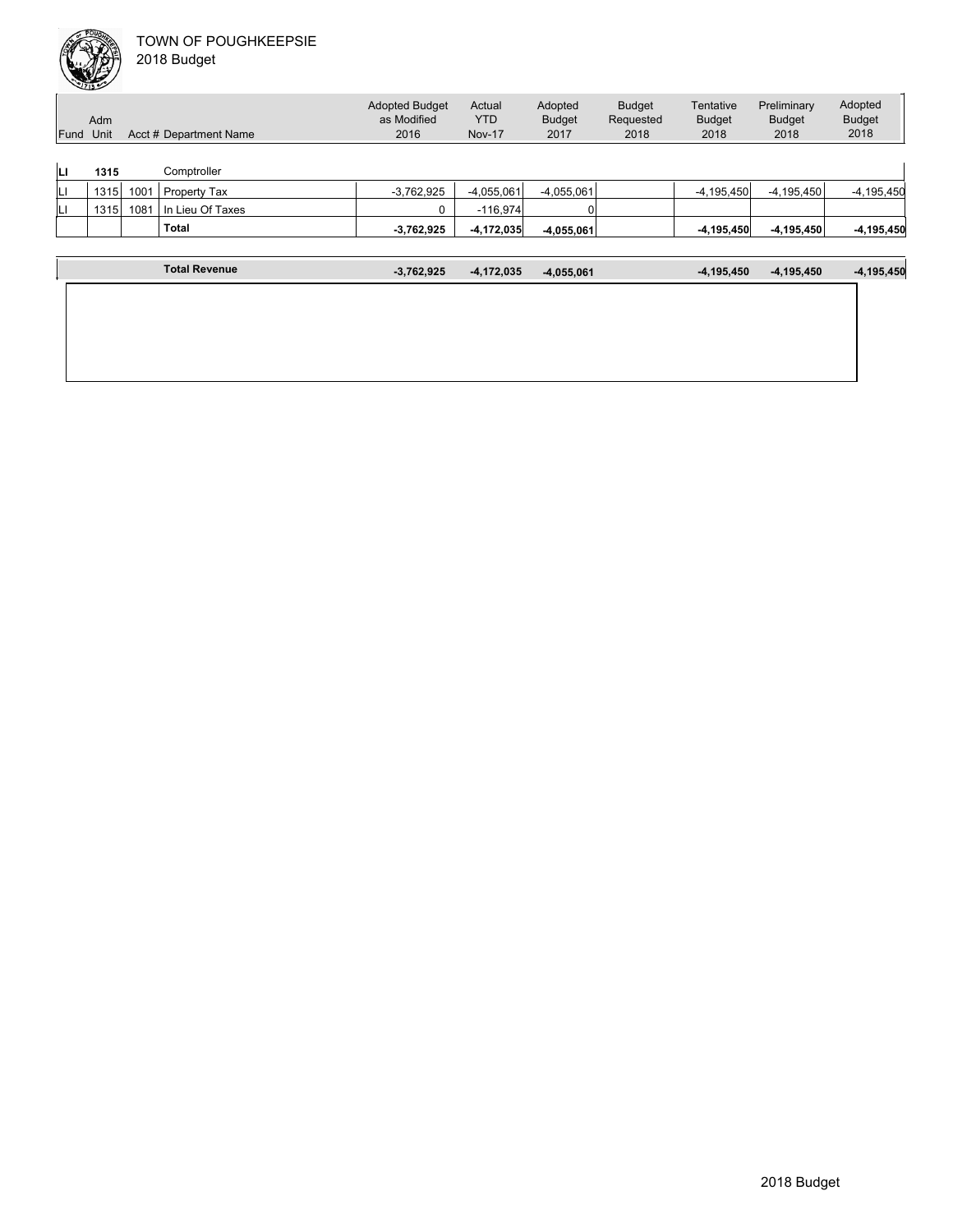|      | Adm  |      |                        | <b>Adopted Budget</b><br>as Modified | Actual<br><b>YTD</b> | Adopted<br><b>Budget</b> | <b>Budget</b><br>Requested | Tentative<br><b>Budget</b> | Preliminary<br><b>Budget</b> | Adopted<br><b>Budget</b> |
|------|------|------|------------------------|--------------------------------------|----------------------|--------------------------|----------------------------|----------------------------|------------------------------|--------------------------|
| Fund | Unit |      | Acct # Department Name | 2016                                 | <b>Nov-17</b>        | 2017                     | 2018                       | 2018                       | 2018                         | 2018                     |
| IЦ   | 1315 |      | Comptroller            |                                      |                      |                          |                            |                            |                              |                          |
| IЦ   | 1315 | 1001 | Property Tax           | $-3,762,925$                         | $-4.055.061$         | $-4,055,061$             |                            | $-4,195,450$               | $-4, 195, 450$               | $-4, 195, 450$           |
| IЦ   | 1315 | 1081 | In Lieu Of Taxes       | 0                                    | $-116,974$           |                          |                            |                            |                              |                          |
|      |      |      | <b>Total</b>           | $-3,762,925$                         | $-4,172,035$         | $-4.055.061$             |                            | $-4,195,450$               | $-4,195,450$                 | $-4, 195, 450$           |
|      |      |      |                        |                                      |                      |                          |                            |                            |                              |                          |
|      |      |      | <b>Total Revenue</b>   | $-3,762,925$                         | $-4,172,035$         | $-4,055,061$             |                            | $-4.195.450$               | $-4,195,450$                 | $-4, 195, 450$           |

|  | 2018 Budget |
|--|-------------|
|  |             |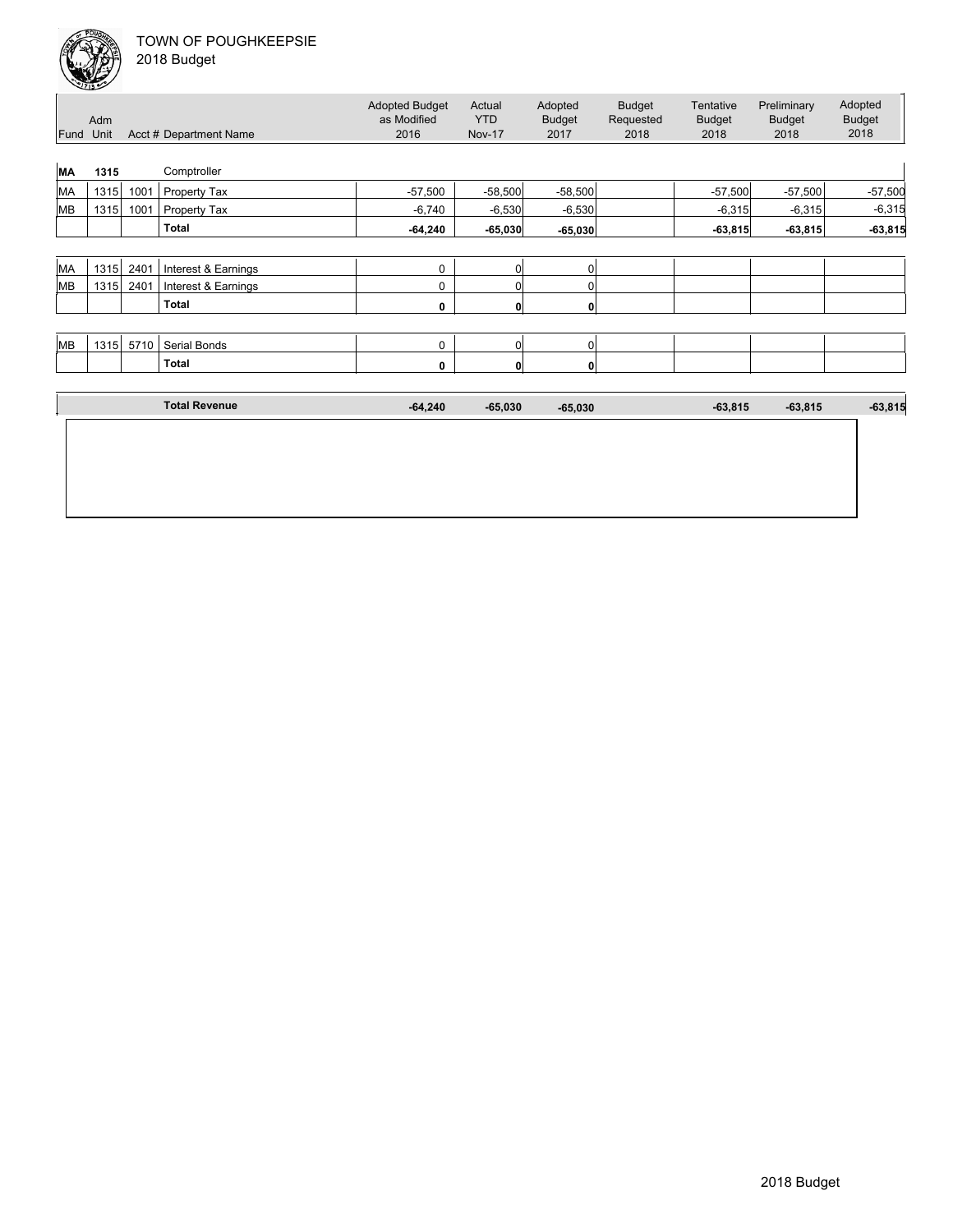

|           | حصت  |      |                        |                                              |                                       |                                  |                                    |                                    |                                      |                                  |
|-----------|------|------|------------------------|----------------------------------------------|---------------------------------------|----------------------------------|------------------------------------|------------------------------------|--------------------------------------|----------------------------------|
| Fund Unit | Adm  |      | Acct # Department Name | <b>Adopted Budget</b><br>as Modified<br>2016 | Actual<br><b>YTD</b><br><b>Nov-17</b> | Adopted<br><b>Budget</b><br>2017 | <b>Budget</b><br>Requested<br>2018 | Tentative<br><b>Budget</b><br>2018 | Preliminary<br><b>Budget</b><br>2018 | Adopted<br><b>Budget</b><br>2018 |
|           |      |      |                        |                                              |                                       |                                  |                                    |                                    |                                      |                                  |
| MA        | 1315 |      | Comptroller            |                                              |                                       |                                  |                                    |                                    |                                      |                                  |
| MA        | 1315 | 1001 | Property Tax           | $-57,500$                                    | $-58,500$                             | $-58,500$                        |                                    | $-57,500$                          | $-57,500$                            | $-57,500$                        |
| MB        | 1315 | 1001 | Property Tax           | $-6,740$                                     | $-6,530$                              | $-6,530$                         |                                    | $-6,315$                           | $-6,315$                             | $-6,315$                         |
|           |      |      | <b>Total</b>           | $-64,240$                                    | $-65,030$                             | $-65,030$                        |                                    | $-63,815$                          | $-63,815$                            | $-63,815$                        |
|           |      |      |                        |                                              |                                       |                                  |                                    |                                    |                                      |                                  |
| MA        | 1315 | 2401 | Interest & Earnings    | 0                                            | $\overline{0}$                        | 0                                |                                    |                                    |                                      |                                  |
| MB        | 1315 | 2401 | Interest & Earnings    | 0                                            | 0                                     | $\Omega$                         |                                    |                                    |                                      |                                  |
|           |      |      | <b>Total</b>           | 0                                            | 0                                     | $\mathbf{0}$                     |                                    |                                    |                                      |                                  |
|           |      |      |                        |                                              |                                       |                                  |                                    |                                    |                                      |                                  |
| MB        | 1315 | 5710 | Serial Bonds           | 0                                            | 0                                     | 0                                |                                    |                                    |                                      |                                  |
|           |      |      | <b>Total</b>           | 0                                            | 0                                     | $\mathbf{0}$                     |                                    |                                    |                                      |                                  |
|           |      |      |                        |                                              |                                       |                                  |                                    |                                    |                                      |                                  |
|           |      |      | <b>Total Revenue</b>   | $-64,240$                                    | $-65,030$                             | $-65,030$                        |                                    | $-63,815$                          | $-63,815$                            | $-63,815$                        |
|           |      |      |                        |                                              |                                       |                                  |                                    |                                    |                                      |                                  |
|           |      |      |                        |                                              |                                       |                                  |                                    |                                    |                                      |                                  |
|           |      |      |                        |                                              |                                       |                                  |                                    |                                    |                                      |                                  |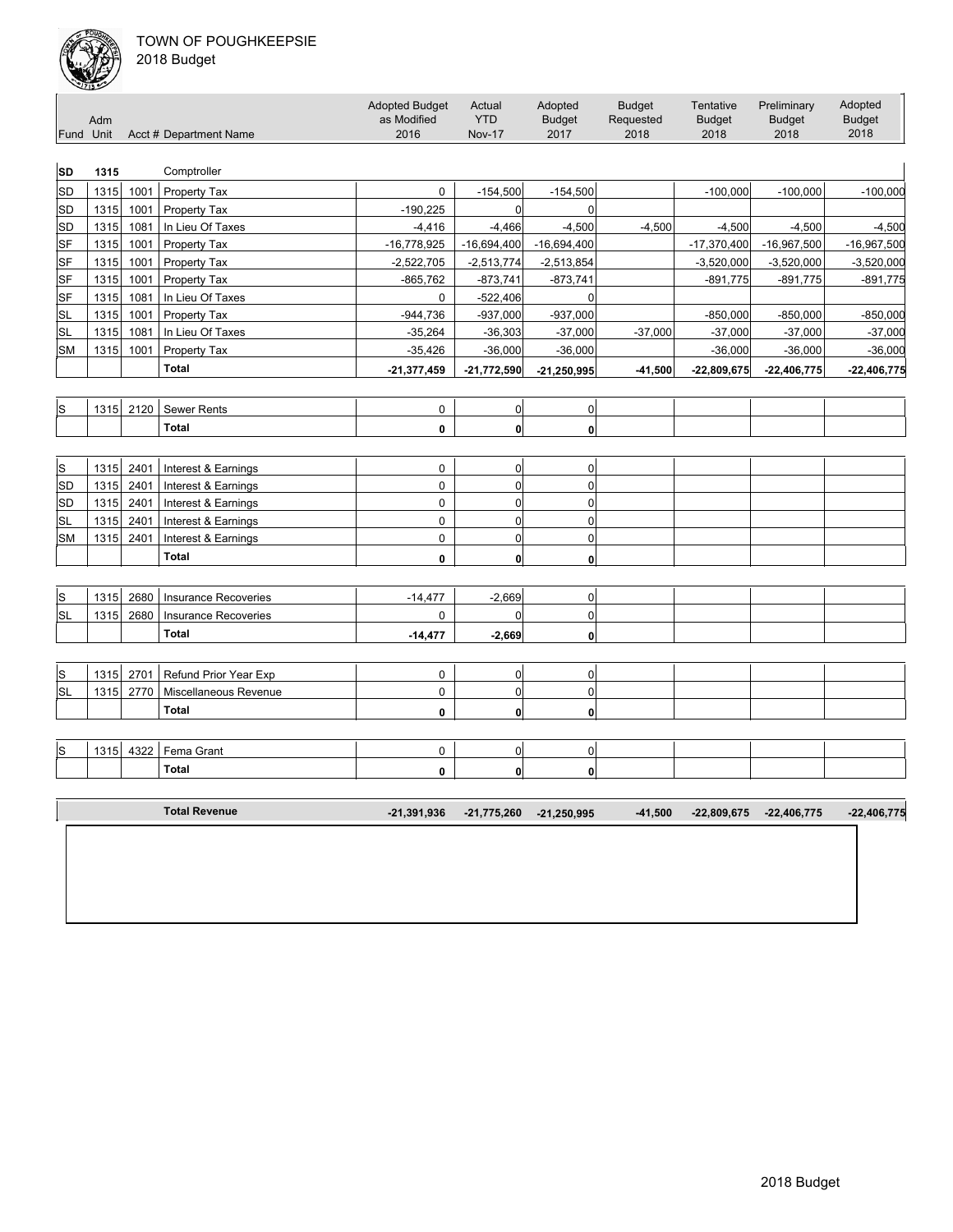

| Fund Unit    | Adm  |      | Acct # Department Name       | <b>Adopted Budget</b><br>as Modified<br>2016 | Actual<br><b>YTD</b><br><b>Nov-17</b> | Adopted<br><b>Budget</b><br>2017 | <b>Budget</b><br>Requested<br>2018 | Tentative<br><b>Budget</b><br>2018 | Preliminary<br><b>Budget</b><br>2018 | Adopted<br><b>Budget</b><br>2018 |
|--------------|------|------|------------------------------|----------------------------------------------|---------------------------------------|----------------------------------|------------------------------------|------------------------------------|--------------------------------------|----------------------------------|
| <b>SD</b>    | 1315 |      | Comptroller                  |                                              |                                       |                                  |                                    |                                    |                                      |                                  |
| SD           | 1315 | 1001 | Property Tax                 | $\mathbf 0$                                  | $-154,500$                            | $-154,500$                       |                                    | $-100,000$                         | $-100,000$                           | $-100,000$                       |
| <b>SD</b>    | 1315 | 1001 | Property Tax                 | $-190,225$                                   | 0                                     | $\mathbf 0$                      |                                    |                                    |                                      |                                  |
| <b>SD</b>    | 1315 | 1081 | In Lieu Of Taxes             | $-4,416$                                     | $-4,466$                              | $-4,500$                         | $-4,500$                           | $-4,500$                           | $-4,500$                             | $-4,500$                         |
| <b>SF</b>    | 1315 | 1001 | Property Tax                 | $-16,778,925$                                | $-16,694,400$                         | $-16,694,400$                    |                                    | $-17,370,400$                      | $-16,967,500$                        | -16,967,500                      |
| <b>SF</b>    | 1315 | 1001 | <b>Property Tax</b>          | $-2,522,705$                                 | $-2,513,774$                          | $-2,513,854$                     |                                    | $-3,520,000$                       | $-3,520,000$                         | $-3,520,000$                     |
| <b>SF</b>    | 1315 | 1001 | Property Tax                 | $-865,762$                                   | $-873,741$                            | $-873,741$                       |                                    | $-891,775$                         | $-891,775$                           | $-891,775$                       |
| SF           | 1315 | 1081 | In Lieu Of Taxes             | 0                                            | $-522,406$                            | 0                                |                                    |                                    |                                      |                                  |
| <b>SL</b>    | 1315 | 1001 | <b>Property Tax</b>          | $-944,736$                                   | $-937,000$                            | $-937,000$                       |                                    | $-850,000$                         | $-850,000$                           | $-850,000$                       |
| <b>SL</b>    | 1315 | 1081 | In Lieu Of Taxes             | $-35,264$                                    | $-36,303$                             | $-37,000$                        | $-37,000$                          | $-37,000$                          | $-37,000$                            | $-37,000$                        |
| <b>SM</b>    | 1315 | 1001 | Property Tax                 | $-35,426$                                    | $-36,000$                             | $-36,000$                        |                                    | $-36,000$                          | $-36,000$                            | $-36,000$                        |
|              |      |      | <b>Total</b>                 | $-21,377,459$                                | $-21,772,590$                         | $-21,250,995$                    | $-41,500$                          | $-22,809,675$                      | $-22,406,775$                        | $-22,406,775$                    |
|              |      |      |                              |                                              |                                       |                                  |                                    |                                    |                                      |                                  |
| S            | 1315 | 2120 | <b>Sewer Rents</b>           | $\pmb{0}$                                    | 0                                     | $\overline{0}$                   |                                    |                                    |                                      |                                  |
|              |      |      | <b>Total</b>                 | $\mathbf{0}$                                 | $\mathbf{0}$                          | 0                                |                                    |                                    |                                      |                                  |
| $\mathsf{s}$ | 1315 | 2401 | Interest & Earnings          | $\mathbf 0$                                  | $\mathbf 0$                           | $\mathbf 0$                      |                                    |                                    |                                      |                                  |
| <b>SD</b>    | 1315 | 2401 | Interest & Earnings          | $\mathbf 0$                                  | $\overline{0}$                        | $\mathbf 0$                      |                                    |                                    |                                      |                                  |
| <b>SD</b>    | 1315 | 2401 | Interest & Earnings          | $\mathsf 0$                                  | $\pmb{0}$                             | 0                                |                                    |                                    |                                      |                                  |
| <b>SL</b>    | 1315 | 2401 | Interest & Earnings          | $\mathsf 0$                                  | $\mathbf 0$                           | 0                                |                                    |                                    |                                      |                                  |
| <b>SM</b>    | 1315 | 2401 | Interest & Earnings          | $\mathsf 0$                                  | $\overline{0}$                        | $\pmb{0}$                        |                                    |                                    |                                      |                                  |
|              |      |      | <b>Total</b>                 | $\mathbf 0$                                  | $\mathbf{0}$                          | 0                                |                                    |                                    |                                      |                                  |
| $\mathsf S$  | 1315 | 2680 | <b>Insurance Recoveries</b>  | $-14,477$                                    | $-2,669$                              | $\mathbf 0$                      |                                    |                                    |                                      |                                  |
| <b>SL</b>    | 1315 | 2680 | <b>Insurance Recoveries</b>  | $\mathbf 0$                                  | $\mathbf 0$                           | $\mathbf 0$                      |                                    |                                    |                                      |                                  |
|              |      |      | <b>Total</b>                 | $-14,477$                                    | $-2,669$                              | 0                                |                                    |                                    |                                      |                                  |
|              |      |      |                              |                                              |                                       |                                  |                                    |                                    |                                      |                                  |
| $\mathbb S$  | 1315 | 2701 | <b>Refund Prior Year Exp</b> | $\mathbf 0$                                  | $\overline{0}$                        | $\overline{0}$                   |                                    |                                    |                                      |                                  |
| <b>SL</b>    | 1315 | 2770 | Miscellaneous Revenue        | $\mathbf 0$                                  | $\mathbf 0$                           | $\mathbf 0$                      |                                    |                                    |                                      |                                  |
|              |      |      | <b>Total</b>                 | $\mathbf 0$                                  | $\mathbf{0}$                          | 0                                |                                    |                                    |                                      |                                  |
| S            | 1315 | 4322 | Fema Grant                   | $\mathbf 0$                                  | 0                                     | $\overline{0}$                   |                                    |                                    |                                      |                                  |
|              |      |      |                              |                                              |                                       |                                  |                                    |                                    |                                      |                                  |
|              |      |      | <b>Total</b>                 | $\mathbf 0$                                  | $\mathbf{0}$                          | 0                                |                                    |                                    |                                      |                                  |
|              |      |      | <b>Total Revenue</b>         | $-21,391,936$                                | $-21,775,260$                         | $-21,250,995$                    | $-41,500$                          | $-22,809,675$                      | $-22,406,775$                        | $-22,406,775$                    |
|              |      |      |                              |                                              |                                       |                                  |                                    |                                    |                                      |                                  |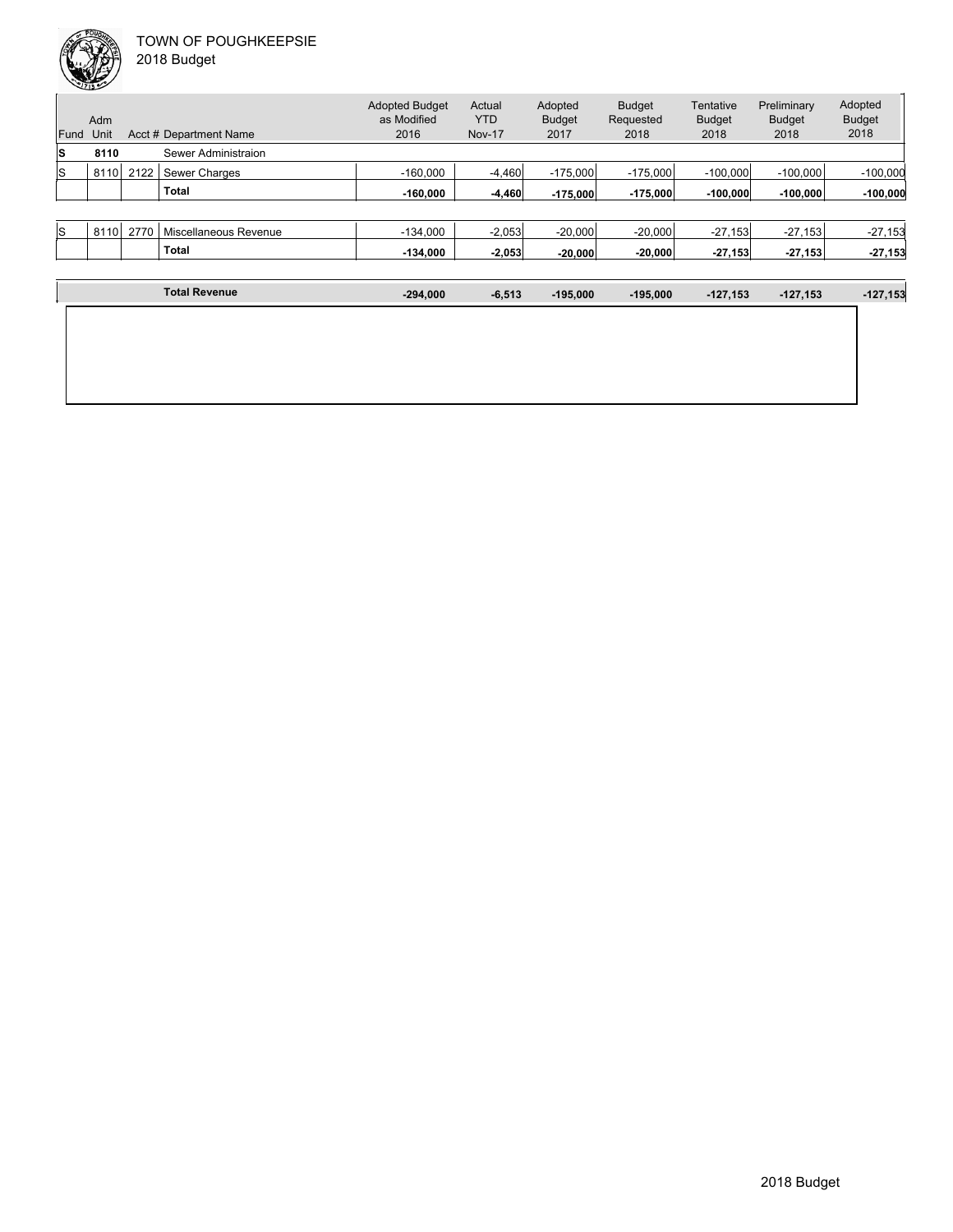| Fund | Adm<br>Unit |      | Acct # Department Name | <b>Adopted Budget</b><br>as Modified<br>2016 | Actual<br>YTD<br><b>Nov-17</b> | Adopted<br><b>Budget</b><br>2017 | <b>Budget</b><br>Requested<br>2018 | Tentative<br><b>Budget</b><br>2018 | Preliminary<br><b>Budget</b><br>2018 | Adopted<br><b>Budget</b><br>2018 |
|------|-------------|------|------------------------|----------------------------------------------|--------------------------------|----------------------------------|------------------------------------|------------------------------------|--------------------------------------|----------------------------------|
| ls   | 8110        |      | Sewer Administraion    |                                              |                                |                                  |                                    |                                    |                                      |                                  |
| ls   | 8110        | 2122 | Sewer Charges          | $-160.000$                                   | $-4.460$                       | $-175.000$                       | $-175.000$                         | $-100.000$                         | $-100.000$                           | $-100,000$                       |
|      |             |      | <b>Total</b>           | $-160.000$                                   | $-4.460$                       | $-175.000$                       | $-175.000$                         | $-100.000$                         | $-100.000$                           | $-100,000$                       |
|      |             |      |                        |                                              |                                |                                  |                                    |                                    |                                      |                                  |
| ls   | 8110        | 2770 | Miscellaneous Revenue  | $-134.000$                                   | $-2,053$                       | $-20,000$                        | $-20,000$                          | $-27,153$                          | $-27,153$                            | $-27,153$                        |
|      |             |      | <b>Total</b>           | $-134.000$                                   | $-2,053$                       | $-20.000$                        | $-20,000$                          | $-27,153$                          | $-27,153$                            | $-27,153$                        |

| <b>Total Revenue</b> | $-294,000$ | $-6,513$ | $-195,000$ | $-195,000$ | $-127,153$ | $-127,153$ | $-127,153$ |
|----------------------|------------|----------|------------|------------|------------|------------|------------|
|                      |            |          |            |            |            |            |            |
|                      |            |          |            |            |            |            |            |
|                      |            |          |            |            |            |            |            |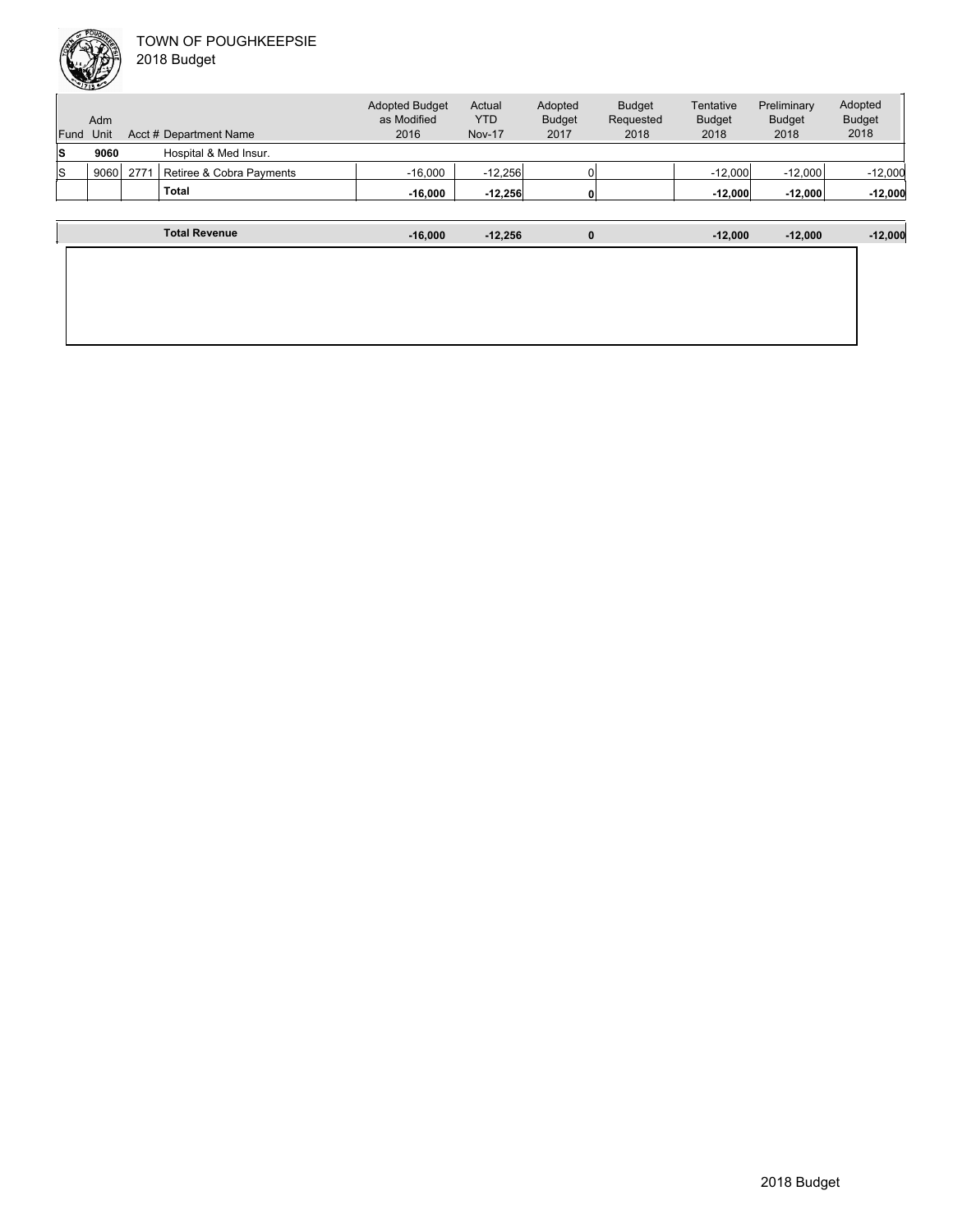|      | Adm  |      |                          | <b>Adopted Budget</b><br>as Modified | Actual<br><b>YTD</b> | Adopted<br><b>Budget</b> | <b>Budget</b><br>Requested | Tentative<br><b>Budget</b> | Preliminary<br><b>Budget</b> | Adopted<br><b>Budget</b> |
|------|------|------|--------------------------|--------------------------------------|----------------------|--------------------------|----------------------------|----------------------------|------------------------------|--------------------------|
| Fund | Unit |      | Acct # Department Name   | 2016                                 | <b>Nov-17</b>        | 2017                     | 2018                       | 2018                       | 2018                         | 2018                     |
| ls   | 9060 |      | Hospital & Med Insur.    |                                      |                      |                          |                            |                            |                              |                          |
| ls   | 9060 | 2771 | Retiree & Cobra Payments | $-16.000$                            | $-12.256$            |                          |                            | $-12.000$                  | $-12.000$                    | $-12,000$                |
|      |      |      | <b>Total</b>             | $-16,000$                            | $-12,256$            |                          |                            | $-12,000$                  | $-12,000$                    | $-12,000$                |
|      |      |      |                          |                                      |                      |                          |                            |                            |                              |                          |

| <b>Total Revenue</b> | $-16,000$ | $-12,256$ | $\bf{0}$ | $-12,000$ | $-12,000$ | $-12,000$ |
|----------------------|-----------|-----------|----------|-----------|-----------|-----------|
|                      |           |           |          |           |           |           |
|                      |           |           |          |           |           |           |
|                      |           |           |          |           |           |           |
|                      |           |           |          |           |           |           |
|                      |           |           |          |           |           |           |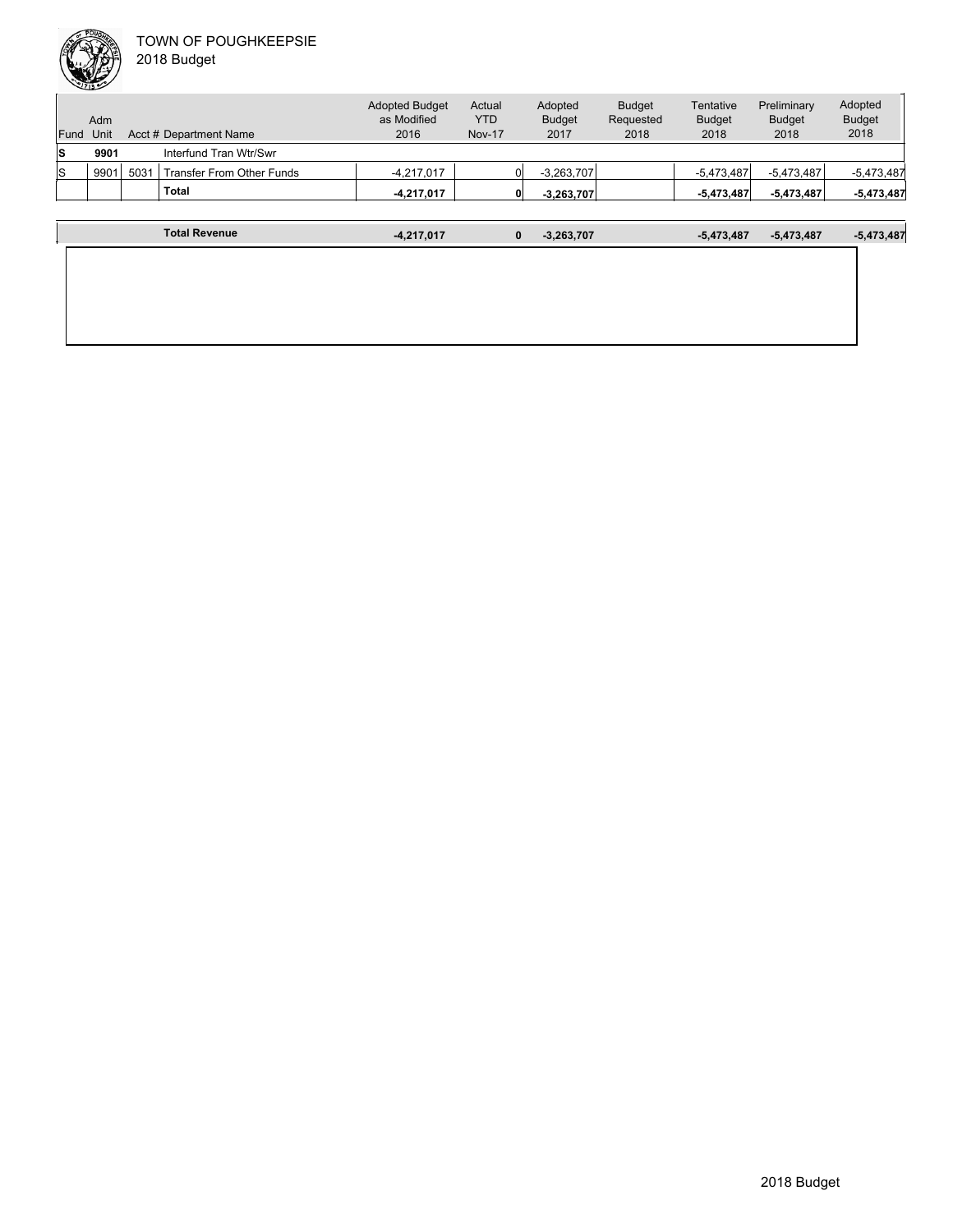|      | Adm  |      | <b>Adopted Budget</b><br>as Modified | Actual<br><b>YTD</b> | Adopted<br><b>Budget</b> | <b>Budget</b><br>Requested | Tentative<br><b>Budget</b> | Preliminary<br><b>Budget</b> | Adopted<br><b>Budget</b> |              |
|------|------|------|--------------------------------------|----------------------|--------------------------|----------------------------|----------------------------|------------------------------|--------------------------|--------------|
| Fund | Unit |      | Acct # Department Name               | 2016                 | <b>Nov-17</b>            | 2017                       | 2018                       | 2018                         | 2018                     | 2018         |
| s    | 9901 |      | Interfund Tran Wtr/Swr               |                      |                          |                            |                            |                              |                          |              |
| ıs   | 9901 | 5031 | Transfer From Other Funds            | $-4,217,017$         |                          | $-3,263,707$               |                            | $-5.473.487$                 | $-5,473,487$             | $-5,473,487$ |
|      |      |      | <b>Total</b>                         | $-4,217,017$         |                          | $-3,263,707$<br>0          |                            | $-5,473,487$                 | $-5,473,487$             | $-5,473,487$ |
|      |      |      |                                      |                      |                          |                            |                            |                              |                          |              |

| <b>Total Revenue</b> | $-4,217,017$ | 0 | $-3,263,707$ | $-5,473,487$ | $-5,473,487$ | $-5,473,487$ |
|----------------------|--------------|---|--------------|--------------|--------------|--------------|
|                      |              |   |              |              |              |              |
|                      |              |   |              |              |              |              |
|                      |              |   |              |              |              |              |
|                      |              |   |              |              |              |              |
|                      |              |   |              |              |              |              |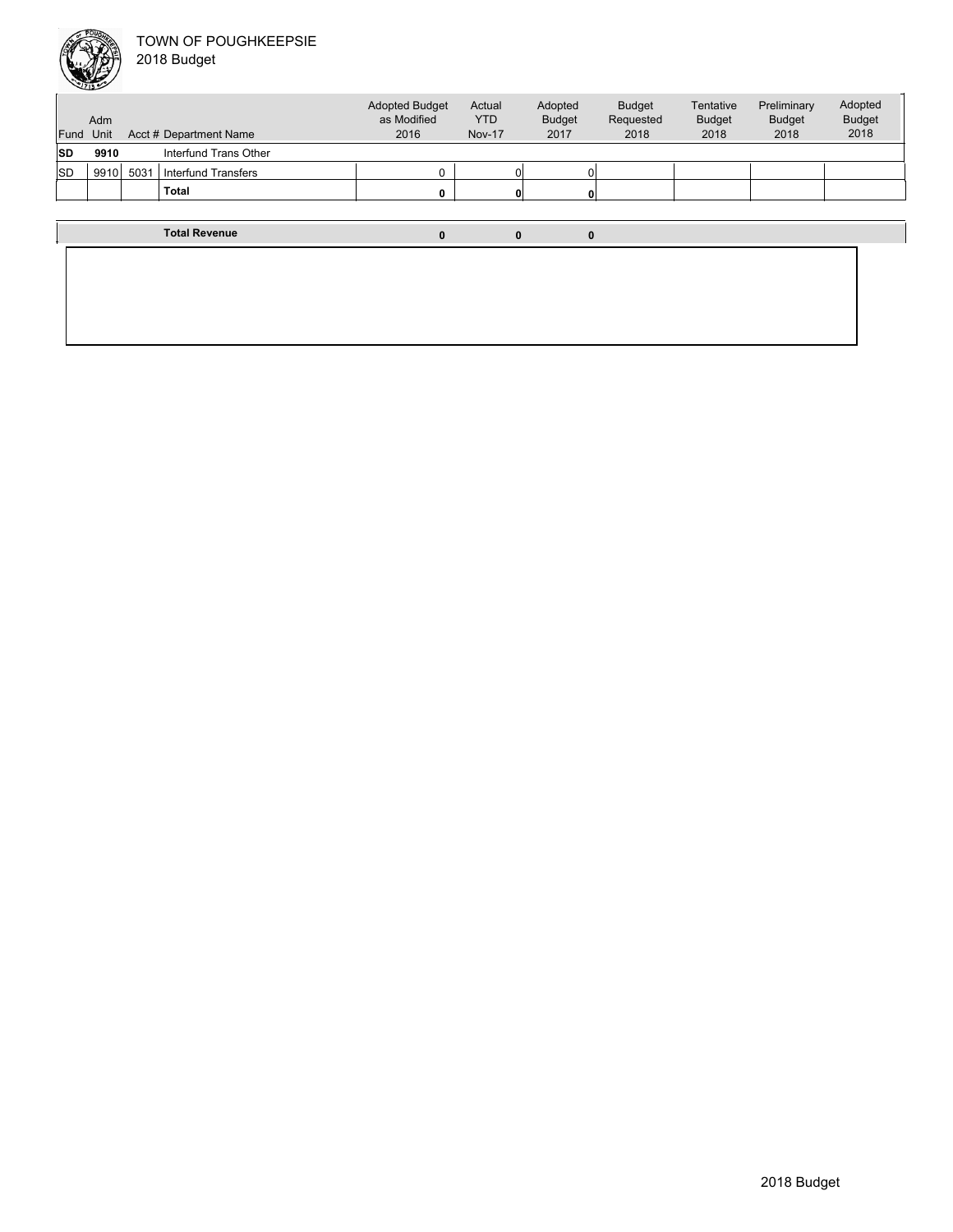

| Fund      | Adm<br>Unit |      | Acct # Department Name | <b>Adopted Budget</b><br>as Modified<br>2016 | Actual<br><b>YTD</b><br><b>Nov-17</b> | Adopted<br><b>Budget</b><br>2017 | <b>Budget</b><br>Requested<br>2018 | Tentative<br><b>Budget</b><br>2018 | Preliminary<br><b>Budget</b><br>2018 | Adopted<br><b>Budget</b><br>2018 |
|-----------|-------------|------|------------------------|----------------------------------------------|---------------------------------------|----------------------------------|------------------------------------|------------------------------------|--------------------------------------|----------------------------------|
| <b>SD</b> | 9910        |      | Interfund Trans Other  |                                              |                                       |                                  |                                    |                                    |                                      |                                  |
| <b>SD</b> | 9910        | 5031 | Interfund Transfers    | $\Omega$                                     |                                       |                                  |                                    |                                    |                                      |                                  |
|           |             |      | <b>Total</b>           | 0                                            |                                       |                                  |                                    |                                    |                                      |                                  |
|           |             |      |                        |                                              |                                       |                                  |                                    |                                    |                                      |                                  |
|           |             |      | <b>Total Revenue</b>   | $\bf{0}$                                     | $\bf{0}$                              | $\bf{0}$                         |                                    |                                    |                                      |                                  |
|           |             |      |                        |                                              |                                       |                                  |                                    |                                    |                                      |                                  |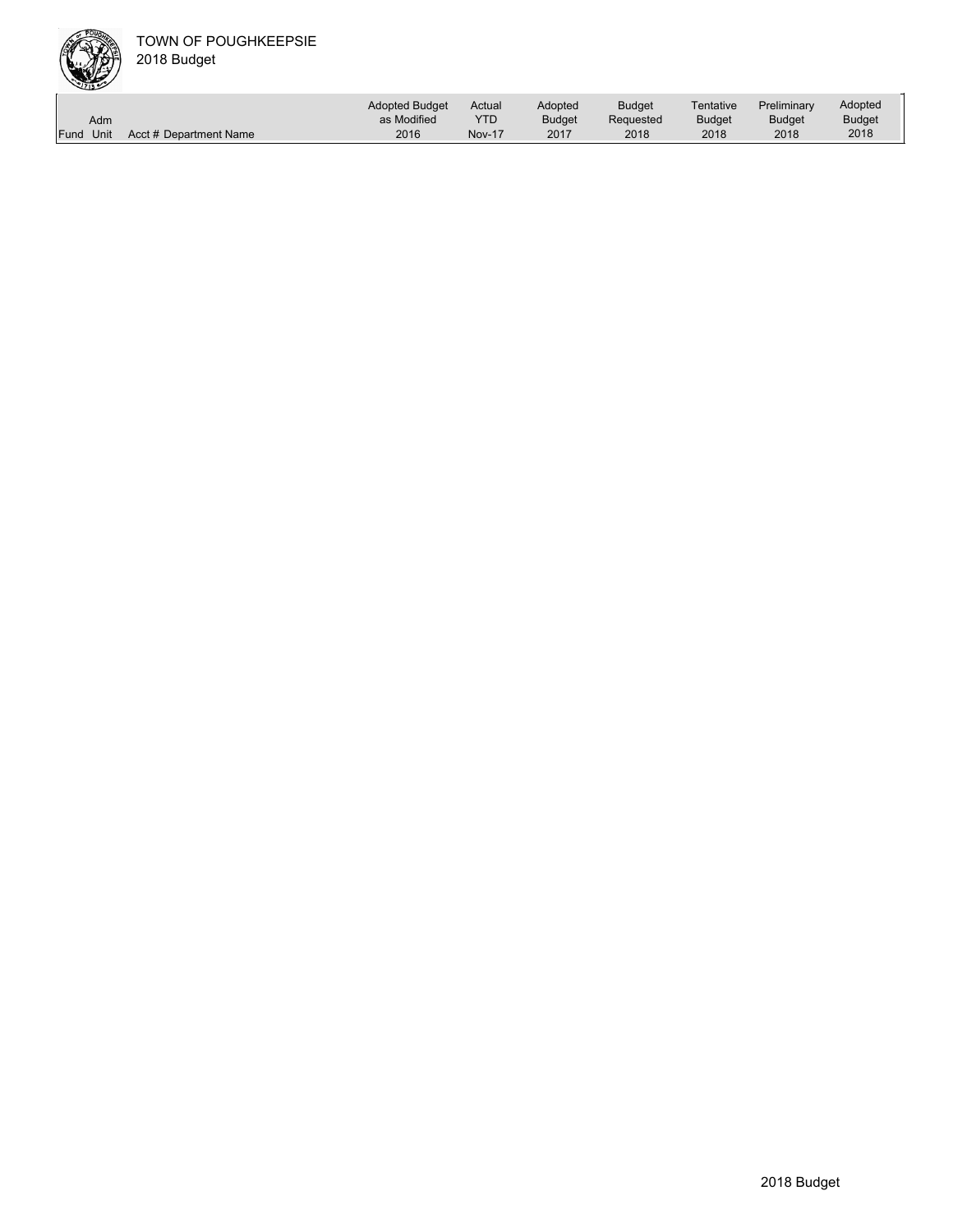

|           |                        | <b>Adopted Budget</b> | Actual        | Adopted       | <b>Budget</b> | Tentative     | Preliminary   | Adopted |
|-----------|------------------------|-----------------------|---------------|---------------|---------------|---------------|---------------|---------|
| Adm       |                        | as Modified           | YTD           | <b>Budget</b> | Requested     | <b>Budget</b> | <b>Budget</b> | Budget  |
| Fund Unit | Acct # Department Name | 2016                  | <b>Nov-17</b> | 2017          | 2018          | 2018          | 2018          | 2018    |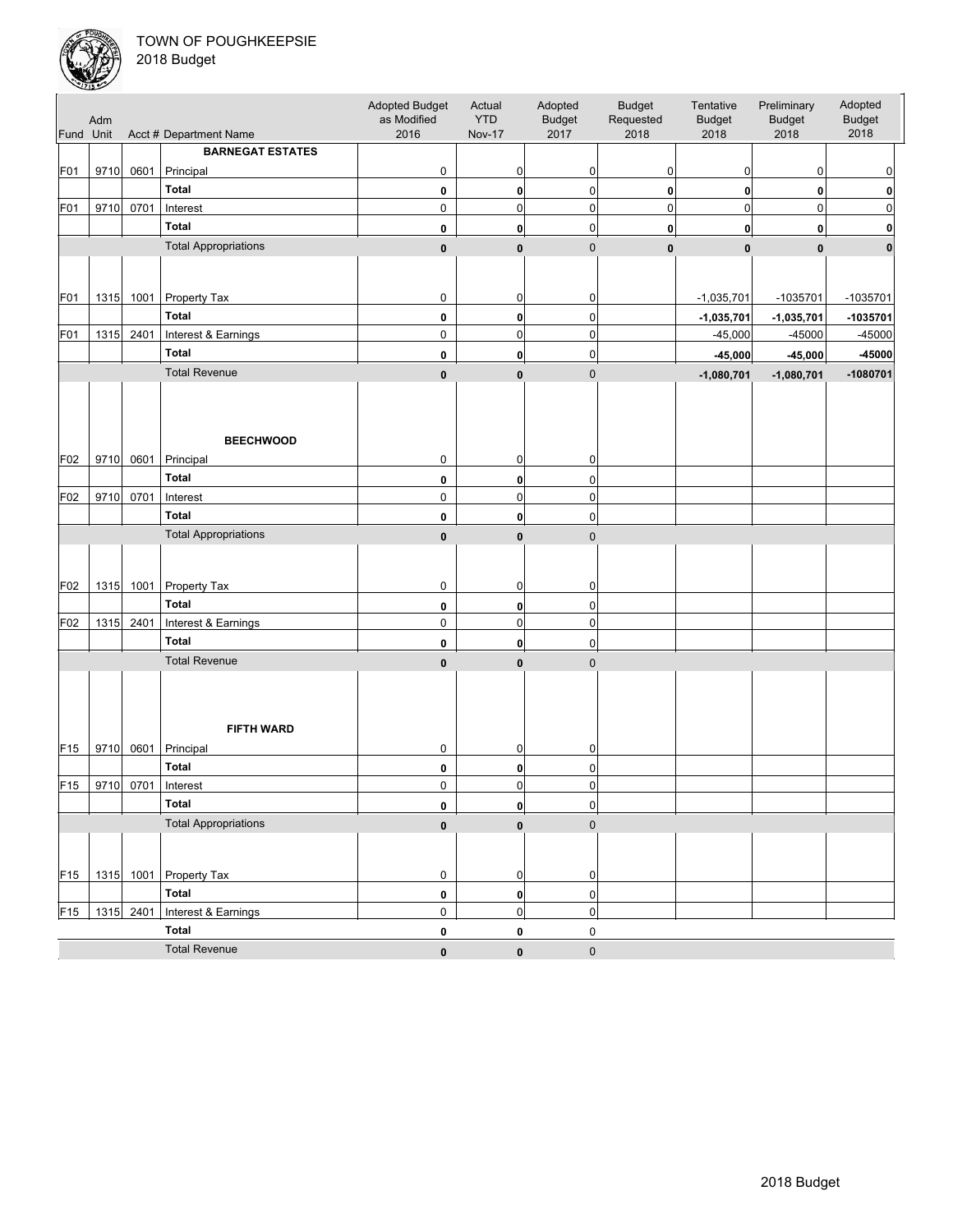

| Fund Unit       | Adm  |           | Acct # Department Name          | Adopted Budget<br>as Modified<br>2016 | Actual<br><b>YTD</b><br><b>Nov-17</b> | Adopted<br><b>Budget</b><br>2017 | <b>Budget</b><br>Requested<br>2018 | Tentative<br><b>Budget</b><br>2018 | Preliminary<br><b>Budget</b><br>2018 | Adopted<br><b>Budget</b><br>2018 |
|-----------------|------|-----------|---------------------------------|---------------------------------------|---------------------------------------|----------------------------------|------------------------------------|------------------------------------|--------------------------------------|----------------------------------|
|                 |      |           | <b>BARNEGAT ESTATES</b>         |                                       |                                       |                                  |                                    |                                    |                                      |                                  |
| F01             | 9710 | 0601      | Principal                       | 0                                     | $\overline{0}$                        | $\mathbf 0$                      | 0                                  | 0                                  | 0                                    | 0                                |
|                 |      |           | <b>Total</b>                    | 0                                     | $\mathbf{0}$                          | $\overline{0}$                   | $\mathbf{0}$                       | $\mathbf{0}$                       | 0                                    | 0                                |
| F01             | 9710 | 0701      | Interest                        | $\pmb{0}$                             | $\overline{0}$                        | $\overline{0}$                   | $\overline{0}$                     | $\mathbf 0$                        | $\pmb{0}$                            | 0                                |
|                 |      |           | <b>Total</b>                    |                                       |                                       | $\boldsymbol{0}$                 |                                    |                                    |                                      |                                  |
|                 |      |           | <b>Total Appropriations</b>     | 0                                     | $\mathbf{0}$                          |                                  | 0                                  | $\mathbf{0}$                       | 0                                    | 0                                |
|                 |      |           |                                 | $\pmb{0}$                             | $\mathbf{0}$                          | $\mathbf 0$                      | $\mathbf{0}$                       | $\mathbf{0}$                       | $\mathbf{0}$                         | $\mathbf{0}$                     |
| F01             |      | 1315 1001 | Property Tax                    | $\pmb{0}$                             | $\mathbf 0$                           | 0                                |                                    | $-1,035,701$                       | -1035701                             | -1035701                         |
|                 |      |           | <b>Total</b>                    | $\pmb{0}$                             | $\mathbf{0}$                          | $\overline{0}$                   |                                    | $-1,035,701$                       | $-1,035,701$                         | -1035701                         |
| F01             |      | 1315 2401 | Interest & Earnings             | $\pmb{0}$                             | $\overline{0}$                        | $\mathbf 0$                      |                                    | $-45,000$                          | $-45000$                             | $-45000$                         |
|                 |      |           | <b>Total</b>                    | $\pmb{0}$                             | $\mathbf{0}$                          | $\overline{0}$                   |                                    | $-45,000$                          | $-45,000$                            | -45000                           |
|                 |      |           | <b>Total Revenue</b>            | $\pmb{0}$                             | $\mathbf{0}$                          | $\mathbf 0$                      |                                    | $-1,080,701$                       | $-1,080,701$                         | $-1080701$                       |
| F02             | 9710 | 0601      | <b>BEECHWOOD</b><br>Principal   | 0                                     | $\overline{0}$                        | 0                                |                                    |                                    |                                      |                                  |
|                 |      |           | <b>Total</b>                    |                                       |                                       |                                  |                                    |                                    |                                      |                                  |
|                 |      |           |                                 | $\pmb{0}$                             | $\mathbf{0}$                          | $\mathbf 0$                      |                                    |                                    |                                      |                                  |
| F02             | 9710 | 0701      | Interest                        | $\mathbf 0$                           | $\overline{0}$                        | $\overline{0}$                   |                                    |                                    |                                      |                                  |
|                 |      |           | <b>Total</b>                    | 0                                     | $\mathbf{0}$                          | $\boldsymbol{0}$                 |                                    |                                    |                                      |                                  |
|                 |      |           | <b>Total Appropriations</b>     | $\pmb{0}$                             | $\bf{0}$                              | $\mathbf 0$                      |                                    |                                    |                                      |                                  |
| F02             |      |           | 1315 1001 Property Tax          | $\pmb{0}$                             | $\overline{0}$                        | $\mathbf 0$                      |                                    |                                    |                                      |                                  |
|                 |      |           | <b>Total</b>                    | $\pmb{0}$                             | $\mathbf{0}$                          | $\mathbf 0$                      |                                    |                                    |                                      |                                  |
| F02             |      | 1315 2401 | Interest & Earnings             | $\mathbf 0$                           | $\overline{0}$                        | $\mathbf 0$                      |                                    |                                    |                                      |                                  |
|                 |      |           | <b>Total</b>                    | 0                                     | $\mathbf{0}$                          | $\mathbf 0$                      |                                    |                                    |                                      |                                  |
|                 |      |           | <b>Total Revenue</b>            | $\bf{0}$                              | $\mathbf{0}$                          | $\mathbf{0}$                     |                                    |                                    |                                      |                                  |
| F <sub>15</sub> | 9710 | 0601      | <b>FIFTH WARD</b><br>Principal  | $\pmb{0}$                             | $\overline{0}$                        | 0                                |                                    |                                    |                                      |                                  |
|                 |      |           | <b>Total</b>                    |                                       |                                       | $\overline{0}$                   |                                    |                                    |                                      |                                  |
| F <sub>15</sub> | 9710 | 0701      | Interest                        | 0<br>$\mathbf 0$                      | $\mathbf{0}$<br>$\overline{0}$        | $\overline{0}$                   |                                    |                                    |                                      |                                  |
|                 |      |           | <b>Total</b>                    | $\bf{0}$                              |                                       |                                  |                                    |                                    |                                      |                                  |
|                 |      |           | <b>Total Appropriations</b>     |                                       | $\mathbf{0}$                          | $\boldsymbol{0}$                 |                                    |                                    |                                      |                                  |
| F <sub>15</sub> |      |           | 1315 1001 Property Tax          | $\bf{0}$<br>$\mathbf 0$               | $\mathbf{0}$<br>$\overline{0}$        | $\mathbf 0$<br>$\mathbf 0$       |                                    |                                    |                                      |                                  |
|                 |      |           | Total                           | $\pmb{0}$                             | 0                                     | $\pmb{0}$                        |                                    |                                    |                                      |                                  |
| F <sub>15</sub> |      |           | 1315 2401   Interest & Earnings | 0                                     | 0                                     | $\overline{0}$                   |                                    |                                    |                                      |                                  |
|                 |      |           | <b>Total</b>                    | $\pmb{0}$                             | 0                                     | 0                                |                                    |                                    |                                      |                                  |
|                 |      |           | <b>Total Revenue</b>            | $\pmb{0}$                             | $\bf{0}$                              | $\pmb{0}$                        |                                    |                                    |                                      |                                  |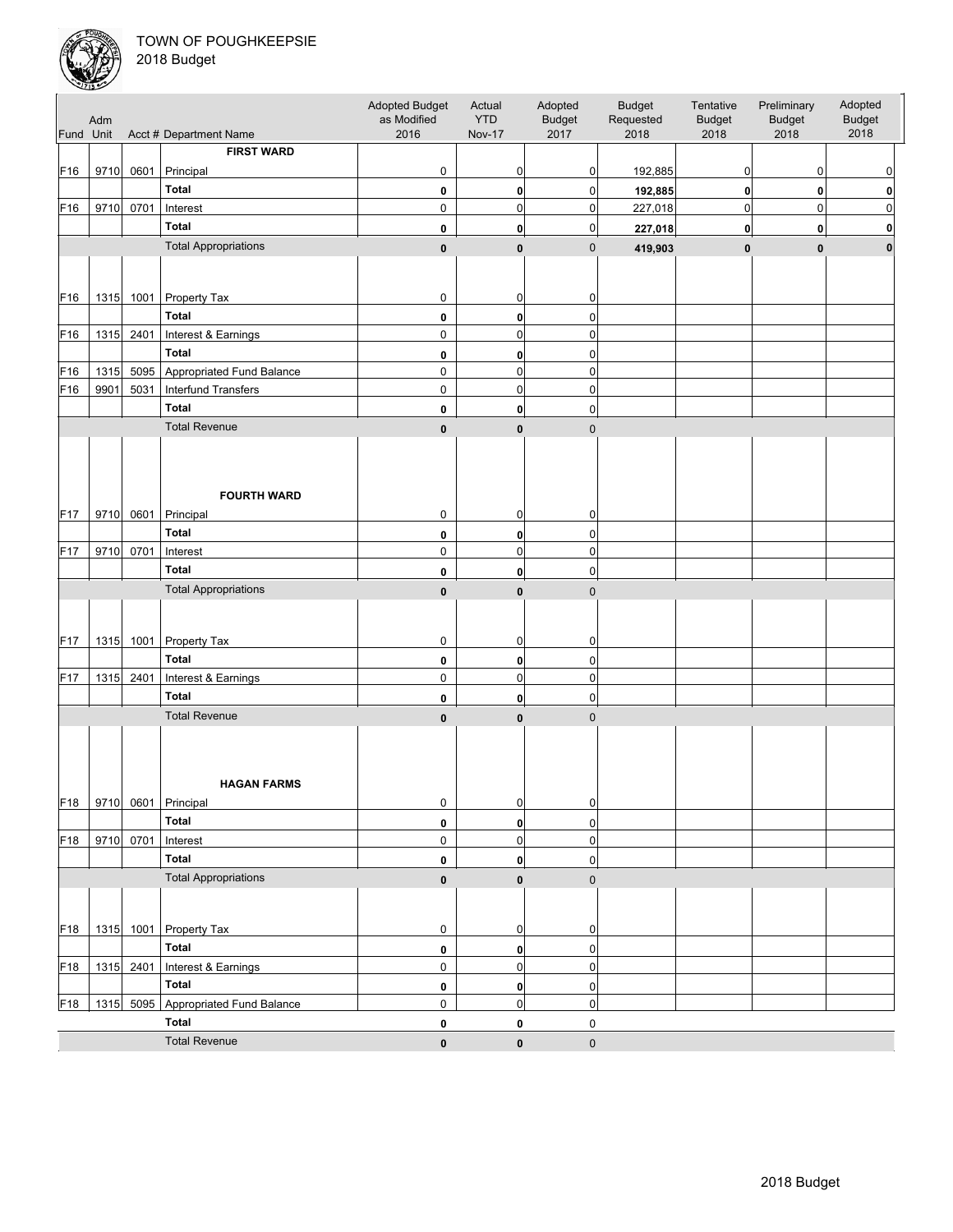

| <b>FIRST WARD</b><br>F16<br>$\mathbf 0$<br>0<br>9710<br>0601<br>Principal<br>0<br>0<br>192,885<br>0<br>0<br><b>Total</b><br>0<br>0<br>$\bf{0}$<br>0<br>192,885<br>$\bf{0}$<br>0<br>$\mathbf 0$<br>0<br>9710<br>0701<br>$\mathsf 0$<br>0<br>$\pmb{0}$<br>227,018<br>$\mathbf 0$<br>Interest<br><b>Total</b><br>0<br>0<br>0<br>227,018<br>$\bf{0}$<br>$\mathbf 0$<br>0<br><b>Total Appropriations</b><br>$\mathbf 0$<br>$\mathbf{0}$<br>419,903<br>$\pmb{0}$<br>$\mathbf{0}$<br>$\pmb{0}$<br>$\bf{0}$<br>1315 1001 Property Tax<br>0<br>0<br>0<br><b>Total</b><br>$\pmb{0}$<br>0<br>0<br>$\mathbf 0$<br>F16<br>1315 2401<br>Interest & Earnings<br>$\mathsf 0$<br>$\mathbf 0$<br><b>Total</b><br>0<br>0<br>0<br>$\mathbf 0$<br>$\pmb{0}$<br>1315<br>5095 Appropriated Fund Balance<br>$\mathbf 0$<br>F16<br>9901<br>5031<br><b>Interfund Transfers</b><br>0<br>0<br>$\pmb{0}$<br><b>Total</b><br>0<br>0<br>0<br><b>Total Revenue</b><br>$\pmb{0}$<br>$\mathbf{0}$<br>$\pmb{0}$<br><b>FOURTH WARD</b><br>0<br>9710<br>0601<br>Principal<br>0<br>0<br>Total<br>$\pmb{0}$<br>$\pmb{0}$<br>0<br>9710<br>0<br>0701<br>0<br>$\pmb{0}$<br>Interest<br><b>Total</b><br>0<br>$\mathbf{0}$<br>0<br><b>Total Appropriations</b><br>$\mathbf{0}$<br>$\mathbf 0$<br>$\pmb{0}$<br>1001 Property Tax<br>1315<br>0<br>0<br>0<br>Total<br>0<br>0<br>$\pmb{0}$<br>F17<br>1315<br>2401<br>0<br>0<br>$\pmb{0}$<br>Interest & Earnings<br><b>Total</b><br>0<br>0<br>0<br><b>Total Revenue</b><br>$\mathbf 0$<br>0<br>0<br><b>HAGAN FARMS</b><br>F18<br>9710 0601 Principal<br>$\overline{0}$<br>0<br>$\pmb{0}$<br><b>Total</b><br>$\pmb{0}$<br>$\pmb{0}$<br>$\mathbf{0}$<br>0701<br>9710<br>$\mathbf{0}$<br>F <sub>18</sub><br>Interest<br>0<br>$\pmb{0}$<br><b>Total</b><br>0<br>$\mathbf{0}$<br>0<br><b>Total Appropriations</b><br>$\pmb{0}$<br>$\pmb{0}$<br>$\mathbf{0}$<br>1315 1001 Property Tax<br>F18<br>0<br>0<br>0<br><b>Total</b><br>0<br>0<br>$\pmb{0}$<br>1315 2401<br>$\pmb{0}$<br>F18<br>Interest & Earnings<br>$\pmb{0}$<br>0<br><b>Total</b><br>$\pmb{0}$<br>0<br>$\mathbf{0}$<br>1315 5095 Appropriated Fund Balance<br>$\mathbf{0}$<br>$\pmb{0}$<br>0<br>F18<br>Total<br>$\pmb{0}$<br>0<br>0<br><b>Total Revenue</b><br>$\pmb{0}$<br>$\pmb{0}$<br>$\pmb{0}$ | Fund Unit       | Adm | Acct # Department Name | Adopted Budget<br>as Modified<br>2016 | Actual<br><b>YTD</b><br><b>Nov-17</b> | Adopted<br><b>Budget</b><br>2017 | <b>Budget</b><br>Requested<br>2018 | Tentative<br><b>Budget</b><br>2018 | Preliminary<br><b>Budget</b><br>2018 | Adopted<br><b>Budget</b><br>2018 |
|---------------------------------------------------------------------------------------------------------------------------------------------------------------------------------------------------------------------------------------------------------------------------------------------------------------------------------------------------------------------------------------------------------------------------------------------------------------------------------------------------------------------------------------------------------------------------------------------------------------------------------------------------------------------------------------------------------------------------------------------------------------------------------------------------------------------------------------------------------------------------------------------------------------------------------------------------------------------------------------------------------------------------------------------------------------------------------------------------------------------------------------------------------------------------------------------------------------------------------------------------------------------------------------------------------------------------------------------------------------------------------------------------------------------------------------------------------------------------------------------------------------------------------------------------------------------------------------------------------------------------------------------------------------------------------------------------------------------------------------------------------------------------------------------------------------------------------------------------------------------------------------------------------------------------------------------------------------------------------------------------------------------------------------------------------------------------------------------------------------------------------------------------------------------------------------------------------------------------------------------------------|-----------------|-----|------------------------|---------------------------------------|---------------------------------------|----------------------------------|------------------------------------|------------------------------------|--------------------------------------|----------------------------------|
|                                                                                                                                                                                                                                                                                                                                                                                                                                                                                                                                                                                                                                                                                                                                                                                                                                                                                                                                                                                                                                                                                                                                                                                                                                                                                                                                                                                                                                                                                                                                                                                                                                                                                                                                                                                                                                                                                                                                                                                                                                                                                                                                                                                                                                                         |                 |     |                        |                                       |                                       |                                  |                                    |                                    |                                      |                                  |
|                                                                                                                                                                                                                                                                                                                                                                                                                                                                                                                                                                                                                                                                                                                                                                                                                                                                                                                                                                                                                                                                                                                                                                                                                                                                                                                                                                                                                                                                                                                                                                                                                                                                                                                                                                                                                                                                                                                                                                                                                                                                                                                                                                                                                                                         |                 |     |                        |                                       |                                       |                                  |                                    |                                    |                                      |                                  |
|                                                                                                                                                                                                                                                                                                                                                                                                                                                                                                                                                                                                                                                                                                                                                                                                                                                                                                                                                                                                                                                                                                                                                                                                                                                                                                                                                                                                                                                                                                                                                                                                                                                                                                                                                                                                                                                                                                                                                                                                                                                                                                                                                                                                                                                         |                 |     |                        |                                       |                                       |                                  |                                    |                                    |                                      |                                  |
|                                                                                                                                                                                                                                                                                                                                                                                                                                                                                                                                                                                                                                                                                                                                                                                                                                                                                                                                                                                                                                                                                                                                                                                                                                                                                                                                                                                                                                                                                                                                                                                                                                                                                                                                                                                                                                                                                                                                                                                                                                                                                                                                                                                                                                                         | F16             |     |                        |                                       |                                       |                                  |                                    |                                    |                                      |                                  |
|                                                                                                                                                                                                                                                                                                                                                                                                                                                                                                                                                                                                                                                                                                                                                                                                                                                                                                                                                                                                                                                                                                                                                                                                                                                                                                                                                                                                                                                                                                                                                                                                                                                                                                                                                                                                                                                                                                                                                                                                                                                                                                                                                                                                                                                         |                 |     |                        |                                       |                                       |                                  |                                    |                                    |                                      |                                  |
|                                                                                                                                                                                                                                                                                                                                                                                                                                                                                                                                                                                                                                                                                                                                                                                                                                                                                                                                                                                                                                                                                                                                                                                                                                                                                                                                                                                                                                                                                                                                                                                                                                                                                                                                                                                                                                                                                                                                                                                                                                                                                                                                                                                                                                                         |                 |     |                        |                                       |                                       |                                  |                                    |                                    |                                      |                                  |
|                                                                                                                                                                                                                                                                                                                                                                                                                                                                                                                                                                                                                                                                                                                                                                                                                                                                                                                                                                                                                                                                                                                                                                                                                                                                                                                                                                                                                                                                                                                                                                                                                                                                                                                                                                                                                                                                                                                                                                                                                                                                                                                                                                                                                                                         |                 |     |                        |                                       |                                       |                                  |                                    |                                    |                                      |                                  |
|                                                                                                                                                                                                                                                                                                                                                                                                                                                                                                                                                                                                                                                                                                                                                                                                                                                                                                                                                                                                                                                                                                                                                                                                                                                                                                                                                                                                                                                                                                                                                                                                                                                                                                                                                                                                                                                                                                                                                                                                                                                                                                                                                                                                                                                         |                 |     |                        |                                       |                                       |                                  |                                    |                                    |                                      |                                  |
|                                                                                                                                                                                                                                                                                                                                                                                                                                                                                                                                                                                                                                                                                                                                                                                                                                                                                                                                                                                                                                                                                                                                                                                                                                                                                                                                                                                                                                                                                                                                                                                                                                                                                                                                                                                                                                                                                                                                                                                                                                                                                                                                                                                                                                                         | F16             |     |                        |                                       |                                       |                                  |                                    |                                    |                                      |                                  |
|                                                                                                                                                                                                                                                                                                                                                                                                                                                                                                                                                                                                                                                                                                                                                                                                                                                                                                                                                                                                                                                                                                                                                                                                                                                                                                                                                                                                                                                                                                                                                                                                                                                                                                                                                                                                                                                                                                                                                                                                                                                                                                                                                                                                                                                         |                 |     |                        |                                       |                                       |                                  |                                    |                                    |                                      |                                  |
|                                                                                                                                                                                                                                                                                                                                                                                                                                                                                                                                                                                                                                                                                                                                                                                                                                                                                                                                                                                                                                                                                                                                                                                                                                                                                                                                                                                                                                                                                                                                                                                                                                                                                                                                                                                                                                                                                                                                                                                                                                                                                                                                                                                                                                                         |                 |     |                        |                                       |                                       |                                  |                                    |                                    |                                      |                                  |
|                                                                                                                                                                                                                                                                                                                                                                                                                                                                                                                                                                                                                                                                                                                                                                                                                                                                                                                                                                                                                                                                                                                                                                                                                                                                                                                                                                                                                                                                                                                                                                                                                                                                                                                                                                                                                                                                                                                                                                                                                                                                                                                                                                                                                                                         |                 |     |                        |                                       |                                       |                                  |                                    |                                    |                                      |                                  |
|                                                                                                                                                                                                                                                                                                                                                                                                                                                                                                                                                                                                                                                                                                                                                                                                                                                                                                                                                                                                                                                                                                                                                                                                                                                                                                                                                                                                                                                                                                                                                                                                                                                                                                                                                                                                                                                                                                                                                                                                                                                                                                                                                                                                                                                         | F <sub>16</sub> |     |                        |                                       |                                       |                                  |                                    |                                    |                                      |                                  |
|                                                                                                                                                                                                                                                                                                                                                                                                                                                                                                                                                                                                                                                                                                                                                                                                                                                                                                                                                                                                                                                                                                                                                                                                                                                                                                                                                                                                                                                                                                                                                                                                                                                                                                                                                                                                                                                                                                                                                                                                                                                                                                                                                                                                                                                         |                 |     |                        |                                       |                                       |                                  |                                    |                                    |                                      |                                  |
|                                                                                                                                                                                                                                                                                                                                                                                                                                                                                                                                                                                                                                                                                                                                                                                                                                                                                                                                                                                                                                                                                                                                                                                                                                                                                                                                                                                                                                                                                                                                                                                                                                                                                                                                                                                                                                                                                                                                                                                                                                                                                                                                                                                                                                                         |                 |     |                        |                                       |                                       |                                  |                                    |                                    |                                      |                                  |
|                                                                                                                                                                                                                                                                                                                                                                                                                                                                                                                                                                                                                                                                                                                                                                                                                                                                                                                                                                                                                                                                                                                                                                                                                                                                                                                                                                                                                                                                                                                                                                                                                                                                                                                                                                                                                                                                                                                                                                                                                                                                                                                                                                                                                                                         |                 |     |                        |                                       |                                       |                                  |                                    |                                    |                                      |                                  |
|                                                                                                                                                                                                                                                                                                                                                                                                                                                                                                                                                                                                                                                                                                                                                                                                                                                                                                                                                                                                                                                                                                                                                                                                                                                                                                                                                                                                                                                                                                                                                                                                                                                                                                                                                                                                                                                                                                                                                                                                                                                                                                                                                                                                                                                         | F17             |     |                        |                                       |                                       |                                  |                                    |                                    |                                      |                                  |
|                                                                                                                                                                                                                                                                                                                                                                                                                                                                                                                                                                                                                                                                                                                                                                                                                                                                                                                                                                                                                                                                                                                                                                                                                                                                                                                                                                                                                                                                                                                                                                                                                                                                                                                                                                                                                                                                                                                                                                                                                                                                                                                                                                                                                                                         |                 |     |                        |                                       |                                       |                                  |                                    |                                    |                                      |                                  |
|                                                                                                                                                                                                                                                                                                                                                                                                                                                                                                                                                                                                                                                                                                                                                                                                                                                                                                                                                                                                                                                                                                                                                                                                                                                                                                                                                                                                                                                                                                                                                                                                                                                                                                                                                                                                                                                                                                                                                                                                                                                                                                                                                                                                                                                         | F17             |     |                        |                                       |                                       |                                  |                                    |                                    |                                      |                                  |
|                                                                                                                                                                                                                                                                                                                                                                                                                                                                                                                                                                                                                                                                                                                                                                                                                                                                                                                                                                                                                                                                                                                                                                                                                                                                                                                                                                                                                                                                                                                                                                                                                                                                                                                                                                                                                                                                                                                                                                                                                                                                                                                                                                                                                                                         |                 |     |                        |                                       |                                       |                                  |                                    |                                    |                                      |                                  |
|                                                                                                                                                                                                                                                                                                                                                                                                                                                                                                                                                                                                                                                                                                                                                                                                                                                                                                                                                                                                                                                                                                                                                                                                                                                                                                                                                                                                                                                                                                                                                                                                                                                                                                                                                                                                                                                                                                                                                                                                                                                                                                                                                                                                                                                         |                 |     |                        |                                       |                                       |                                  |                                    |                                    |                                      |                                  |
|                                                                                                                                                                                                                                                                                                                                                                                                                                                                                                                                                                                                                                                                                                                                                                                                                                                                                                                                                                                                                                                                                                                                                                                                                                                                                                                                                                                                                                                                                                                                                                                                                                                                                                                                                                                                                                                                                                                                                                                                                                                                                                                                                                                                                                                         |                 |     |                        |                                       |                                       |                                  |                                    |                                    |                                      |                                  |
|                                                                                                                                                                                                                                                                                                                                                                                                                                                                                                                                                                                                                                                                                                                                                                                                                                                                                                                                                                                                                                                                                                                                                                                                                                                                                                                                                                                                                                                                                                                                                                                                                                                                                                                                                                                                                                                                                                                                                                                                                                                                                                                                                                                                                                                         | F <sub>17</sub> |     |                        |                                       |                                       |                                  |                                    |                                    |                                      |                                  |
|                                                                                                                                                                                                                                                                                                                                                                                                                                                                                                                                                                                                                                                                                                                                                                                                                                                                                                                                                                                                                                                                                                                                                                                                                                                                                                                                                                                                                                                                                                                                                                                                                                                                                                                                                                                                                                                                                                                                                                                                                                                                                                                                                                                                                                                         |                 |     |                        |                                       |                                       |                                  |                                    |                                    |                                      |                                  |
|                                                                                                                                                                                                                                                                                                                                                                                                                                                                                                                                                                                                                                                                                                                                                                                                                                                                                                                                                                                                                                                                                                                                                                                                                                                                                                                                                                                                                                                                                                                                                                                                                                                                                                                                                                                                                                                                                                                                                                                                                                                                                                                                                                                                                                                         |                 |     |                        |                                       |                                       |                                  |                                    |                                    |                                      |                                  |
|                                                                                                                                                                                                                                                                                                                                                                                                                                                                                                                                                                                                                                                                                                                                                                                                                                                                                                                                                                                                                                                                                                                                                                                                                                                                                                                                                                                                                                                                                                                                                                                                                                                                                                                                                                                                                                                                                                                                                                                                                                                                                                                                                                                                                                                         |                 |     |                        |                                       |                                       |                                  |                                    |                                    |                                      |                                  |
|                                                                                                                                                                                                                                                                                                                                                                                                                                                                                                                                                                                                                                                                                                                                                                                                                                                                                                                                                                                                                                                                                                                                                                                                                                                                                                                                                                                                                                                                                                                                                                                                                                                                                                                                                                                                                                                                                                                                                                                                                                                                                                                                                                                                                                                         |                 |     |                        |                                       |                                       |                                  |                                    |                                    |                                      |                                  |
|                                                                                                                                                                                                                                                                                                                                                                                                                                                                                                                                                                                                                                                                                                                                                                                                                                                                                                                                                                                                                                                                                                                                                                                                                                                                                                                                                                                                                                                                                                                                                                                                                                                                                                                                                                                                                                                                                                                                                                                                                                                                                                                                                                                                                                                         |                 |     |                        |                                       |                                       |                                  |                                    |                                    |                                      |                                  |
|                                                                                                                                                                                                                                                                                                                                                                                                                                                                                                                                                                                                                                                                                                                                                                                                                                                                                                                                                                                                                                                                                                                                                                                                                                                                                                                                                                                                                                                                                                                                                                                                                                                                                                                                                                                                                                                                                                                                                                                                                                                                                                                                                                                                                                                         |                 |     |                        |                                       |                                       |                                  |                                    |                                    |                                      |                                  |
|                                                                                                                                                                                                                                                                                                                                                                                                                                                                                                                                                                                                                                                                                                                                                                                                                                                                                                                                                                                                                                                                                                                                                                                                                                                                                                                                                                                                                                                                                                                                                                                                                                                                                                                                                                                                                                                                                                                                                                                                                                                                                                                                                                                                                                                         |                 |     |                        |                                       |                                       |                                  |                                    |                                    |                                      |                                  |
|                                                                                                                                                                                                                                                                                                                                                                                                                                                                                                                                                                                                                                                                                                                                                                                                                                                                                                                                                                                                                                                                                                                                                                                                                                                                                                                                                                                                                                                                                                                                                                                                                                                                                                                                                                                                                                                                                                                                                                                                                                                                                                                                                                                                                                                         |                 |     |                        |                                       |                                       |                                  |                                    |                                    |                                      |                                  |
|                                                                                                                                                                                                                                                                                                                                                                                                                                                                                                                                                                                                                                                                                                                                                                                                                                                                                                                                                                                                                                                                                                                                                                                                                                                                                                                                                                                                                                                                                                                                                                                                                                                                                                                                                                                                                                                                                                                                                                                                                                                                                                                                                                                                                                                         |                 |     |                        |                                       |                                       |                                  |                                    |                                    |                                      |                                  |
|                                                                                                                                                                                                                                                                                                                                                                                                                                                                                                                                                                                                                                                                                                                                                                                                                                                                                                                                                                                                                                                                                                                                                                                                                                                                                                                                                                                                                                                                                                                                                                                                                                                                                                                                                                                                                                                                                                                                                                                                                                                                                                                                                                                                                                                         |                 |     |                        |                                       |                                       |                                  |                                    |                                    |                                      |                                  |
|                                                                                                                                                                                                                                                                                                                                                                                                                                                                                                                                                                                                                                                                                                                                                                                                                                                                                                                                                                                                                                                                                                                                                                                                                                                                                                                                                                                                                                                                                                                                                                                                                                                                                                                                                                                                                                                                                                                                                                                                                                                                                                                                                                                                                                                         |                 |     |                        |                                       |                                       |                                  |                                    |                                    |                                      |                                  |
|                                                                                                                                                                                                                                                                                                                                                                                                                                                                                                                                                                                                                                                                                                                                                                                                                                                                                                                                                                                                                                                                                                                                                                                                                                                                                                                                                                                                                                                                                                                                                                                                                                                                                                                                                                                                                                                                                                                                                                                                                                                                                                                                                                                                                                                         |                 |     |                        |                                       |                                       |                                  |                                    |                                    |                                      |                                  |
|                                                                                                                                                                                                                                                                                                                                                                                                                                                                                                                                                                                                                                                                                                                                                                                                                                                                                                                                                                                                                                                                                                                                                                                                                                                                                                                                                                                                                                                                                                                                                                                                                                                                                                                                                                                                                                                                                                                                                                                                                                                                                                                                                                                                                                                         |                 |     |                        |                                       |                                       |                                  |                                    |                                    |                                      |                                  |
|                                                                                                                                                                                                                                                                                                                                                                                                                                                                                                                                                                                                                                                                                                                                                                                                                                                                                                                                                                                                                                                                                                                                                                                                                                                                                                                                                                                                                                                                                                                                                                                                                                                                                                                                                                                                                                                                                                                                                                                                                                                                                                                                                                                                                                                         |                 |     |                        |                                       |                                       |                                  |                                    |                                    |                                      |                                  |
|                                                                                                                                                                                                                                                                                                                                                                                                                                                                                                                                                                                                                                                                                                                                                                                                                                                                                                                                                                                                                                                                                                                                                                                                                                                                                                                                                                                                                                                                                                                                                                                                                                                                                                                                                                                                                                                                                                                                                                                                                                                                                                                                                                                                                                                         |                 |     |                        |                                       |                                       |                                  |                                    |                                    |                                      |                                  |
|                                                                                                                                                                                                                                                                                                                                                                                                                                                                                                                                                                                                                                                                                                                                                                                                                                                                                                                                                                                                                                                                                                                                                                                                                                                                                                                                                                                                                                                                                                                                                                                                                                                                                                                                                                                                                                                                                                                                                                                                                                                                                                                                                                                                                                                         |                 |     |                        |                                       |                                       |                                  |                                    |                                    |                                      |                                  |
|                                                                                                                                                                                                                                                                                                                                                                                                                                                                                                                                                                                                                                                                                                                                                                                                                                                                                                                                                                                                                                                                                                                                                                                                                                                                                                                                                                                                                                                                                                                                                                                                                                                                                                                                                                                                                                                                                                                                                                                                                                                                                                                                                                                                                                                         |                 |     |                        |                                       |                                       |                                  |                                    |                                    |                                      |                                  |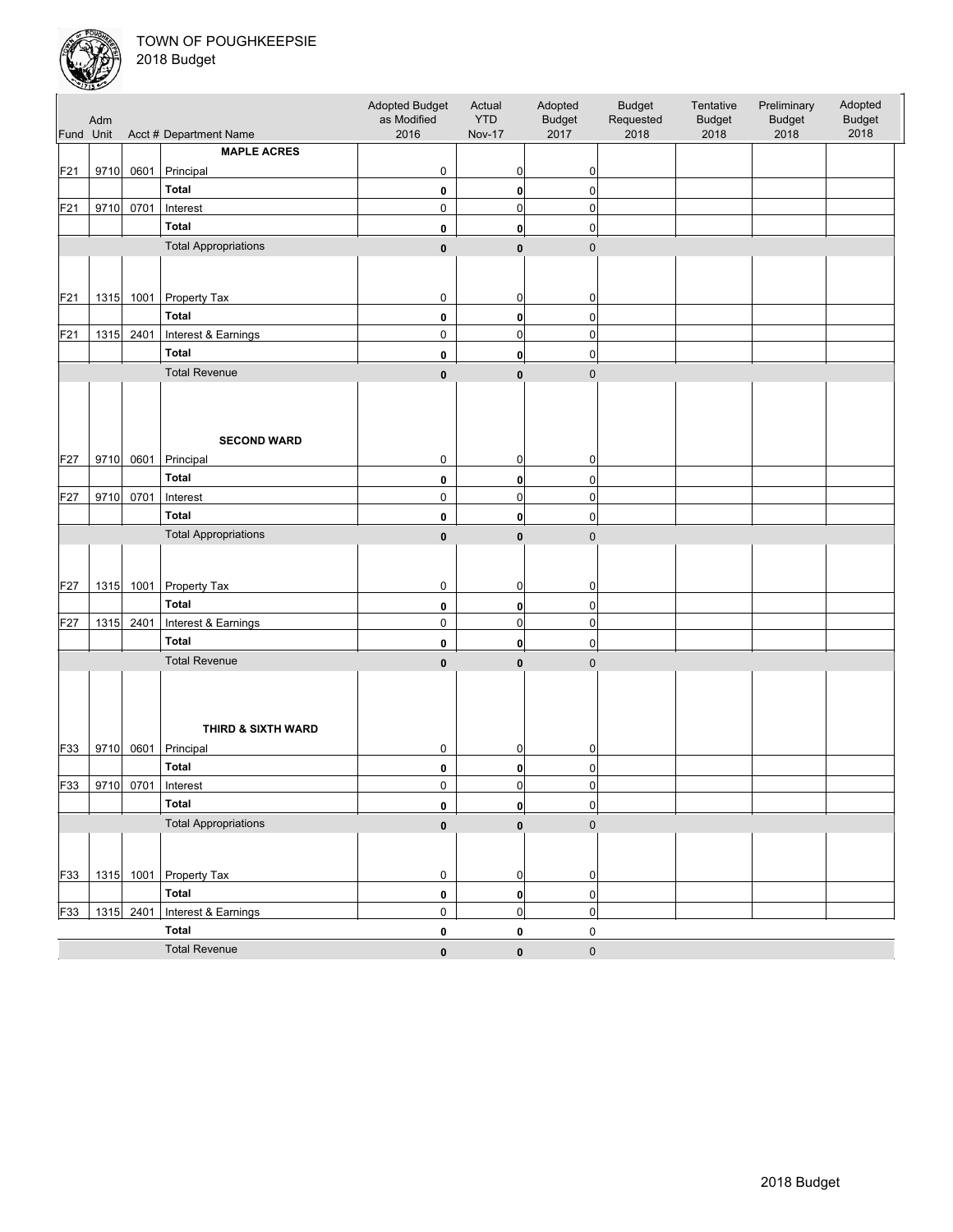

| Fund Unit | Adm  |           | Acct # Department Name          | Adopted Budget<br>as Modified<br>2016 | Actual<br><b>YTD</b><br><b>Nov-17</b> | Adopted<br><b>Budget</b><br>2017 | <b>Budget</b><br>Requested<br>2018 | Tentative<br><b>Budget</b><br>2018 | Preliminary<br><b>Budget</b><br>2018 | Adopted<br><b>Budget</b><br>2018 |
|-----------|------|-----------|---------------------------------|---------------------------------------|---------------------------------------|----------------------------------|------------------------------------|------------------------------------|--------------------------------------|----------------------------------|
|           |      |           | <b>MAPLE ACRES</b>              |                                       |                                       |                                  |                                    |                                    |                                      |                                  |
| F21       | 9710 | 0601      | Principal                       | 0                                     | 0                                     | 0                                |                                    |                                    |                                      |                                  |
|           |      |           | Total                           | 0                                     | 0                                     | $\pmb{0}$                        |                                    |                                    |                                      |                                  |
| F21       | 9710 | 0701      | Interest                        | 0                                     | 0                                     | $\pmb{0}$                        |                                    |                                    |                                      |                                  |
|           |      |           | <b>Total</b>                    | 0                                     | $\mathbf{0}$                          | 0                                |                                    |                                    |                                      |                                  |
|           |      |           | <b>Total Appropriations</b>     |                                       |                                       |                                  |                                    |                                    |                                      |                                  |
|           |      |           |                                 | $\pmb{0}$                             | $\mathbf{0}$                          | $\pmb{0}$                        |                                    |                                    |                                      |                                  |
|           |      |           |                                 |                                       |                                       |                                  |                                    |                                    |                                      |                                  |
| F21       |      |           | 1315 1001 Property Tax          | 0                                     | 0                                     | 0                                |                                    |                                    |                                      |                                  |
|           |      |           | <b>Total</b>                    | 0                                     | 0                                     | $\mathbf 0$                      |                                    |                                    |                                      |                                  |
| F21       | 1315 | 2401      | Interest & Earnings             | 0                                     | 0                                     | $\pmb{0}$                        |                                    |                                    |                                      |                                  |
|           |      |           | <b>Total</b>                    | 0                                     | 0                                     | 0                                |                                    |                                    |                                      |                                  |
|           |      |           | <b>Total Revenue</b>            |                                       |                                       |                                  |                                    |                                    |                                      |                                  |
|           |      |           |                                 | $\pmb{0}$                             | $\mathbf{0}$                          | $\mathbf 0$                      |                                    |                                    |                                      |                                  |
| F27       | 9710 | 0601      | <b>SECOND WARD</b><br>Principal | 0                                     | 0                                     | 0                                |                                    |                                    |                                      |                                  |
|           |      |           | <b>Total</b>                    |                                       |                                       | $\pmb{0}$                        |                                    |                                    |                                      |                                  |
| F27       | 9710 | 0701      | Interest                        | 0<br>0                                | 0<br>0                                | $\pmb{0}$                        |                                    |                                    |                                      |                                  |
|           |      |           | Total                           |                                       |                                       |                                  |                                    |                                    |                                      |                                  |
|           |      |           |                                 | 0                                     | 0                                     | $\pmb{0}$                        |                                    |                                    |                                      |                                  |
|           |      |           | <b>Total Appropriations</b>     | $\pmb{0}$                             | $\mathbf{0}$                          | $\mathbf 0$                      |                                    |                                    |                                      |                                  |
| F27       |      | 1315 1001 | <b>Property Tax</b>             | $\mathbf 0$                           | 0                                     | 0                                |                                    |                                    |                                      |                                  |
|           |      |           | Total                           | 0                                     | 0                                     | 0                                |                                    |                                    |                                      |                                  |
| F27       |      | 1315 2401 | Interest & Earnings             | $\mathbf 0$                           | $\mathbf 0$                           | $\pmb{0}$                        |                                    |                                    |                                      |                                  |
|           |      |           | <b>Total</b>                    | 0                                     | 0                                     | 0                                |                                    |                                    |                                      |                                  |
|           |      |           | <b>Total Revenue</b>            | $\pmb{0}$                             | $\mathbf{0}$                          | $\mathbf 0$                      |                                    |                                    |                                      |                                  |
| F33       | 9710 | 0601      | THIRD & SIXTH WARD<br>Principal | 0                                     | 0                                     | 0                                |                                    |                                    |                                      |                                  |
|           |      |           | <b>Total</b>                    | 0                                     | 0                                     | 0                                |                                    |                                    |                                      |                                  |
| F33       | 9710 | 0701      | Interest                        | $\mathbf 0$                           | $\overline{0}$                        | $\pmb{0}$                        |                                    |                                    |                                      |                                  |
|           |      |           | <b>Total</b>                    | 0                                     | $\mathbf{0}$                          | $\pmb{0}$                        |                                    |                                    |                                      |                                  |
|           |      |           | <b>Total Appropriations</b>     | $\pmb{0}$                             | $\mathbf{0}$                          | $\mathbf 0$                      |                                    |                                    |                                      |                                  |
|           |      |           |                                 |                                       |                                       |                                  |                                    |                                    |                                      |                                  |
| F33       |      |           | 1315 1001 Property Tax          | $\overline{0}$                        | 0                                     | $\pmb{0}$                        |                                    |                                    |                                      |                                  |
|           |      |           | <b>Total</b>                    | $\pmb{0}$                             | $\mathbf{0}$                          | $\pmb{0}$                        |                                    |                                    |                                      |                                  |
| F33       |      |           | 1315 2401 Interest & Earnings   | 0                                     | $\overline{0}$                        | $\pmb{0}$                        |                                    |                                    |                                      |                                  |
|           |      |           | Total                           | $\pmb{0}$                             | 0                                     | $\pmb{0}$                        |                                    |                                    |                                      |                                  |
|           |      |           | <b>Total Revenue</b>            | $\pmb{0}$                             | $\pmb{0}$                             | $\pmb{0}$                        |                                    |                                    |                                      |                                  |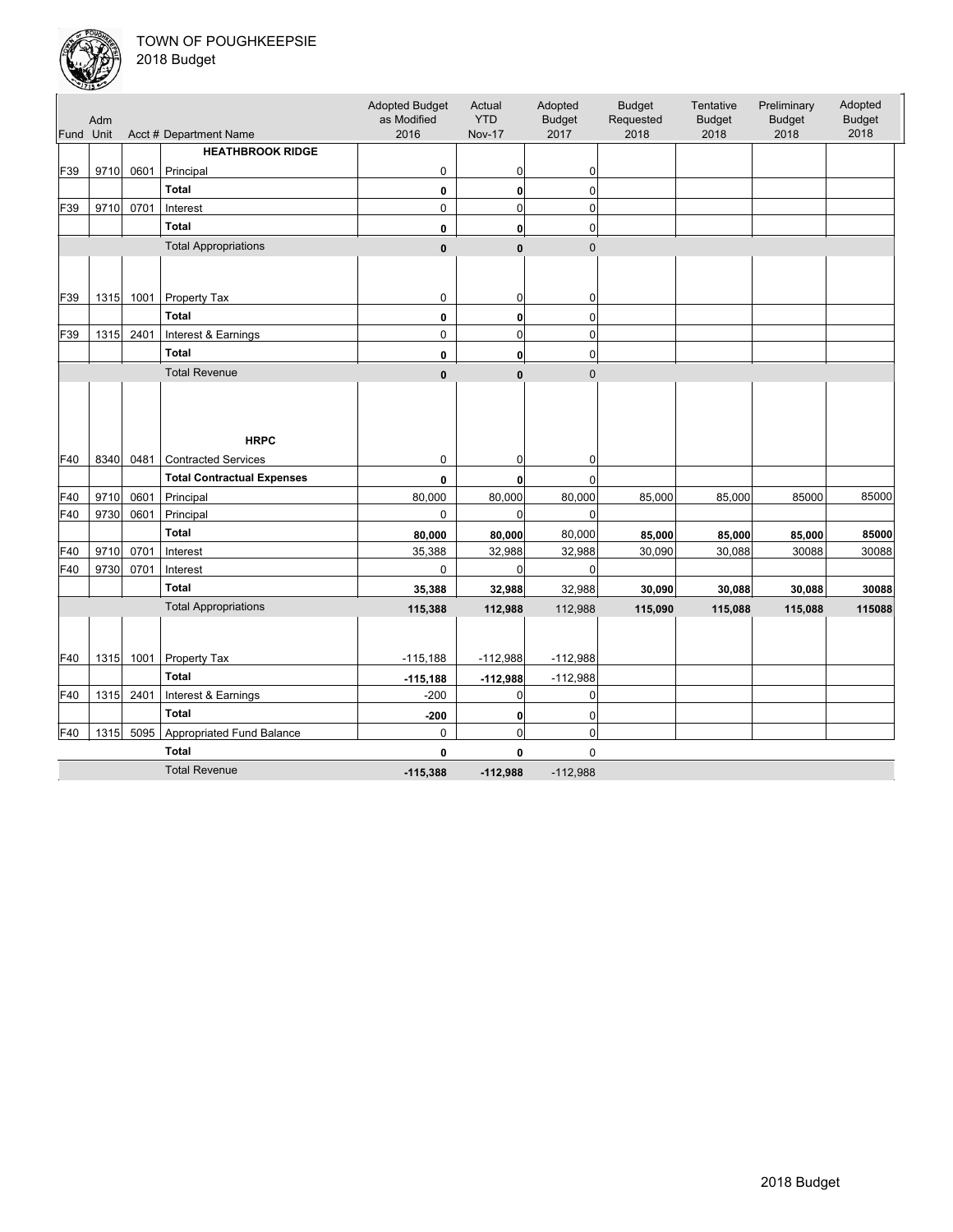

|           | Adm  |      |                                   | <b>Adopted Budget</b><br>as Modified | Actual<br><b>YTD</b> | Adopted<br><b>Budget</b> | <b>Budget</b><br>Requested | Tentative<br><b>Budget</b> | Preliminary<br><b>Budget</b> | Adopted<br><b>Budget</b> |
|-----------|------|------|-----------------------------------|--------------------------------------|----------------------|--------------------------|----------------------------|----------------------------|------------------------------|--------------------------|
| Fund Unit |      |      | Acct # Department Name            | 2016                                 | <b>Nov-17</b>        | 2017                     | 2018                       | 2018                       | 2018                         | 2018                     |
|           |      |      | <b>HEATHBROOK RIDGE</b>           |                                      |                      |                          |                            |                            |                              |                          |
| F39       | 9710 | 0601 | Principal                         | 0                                    | 0                    | 0                        |                            |                            |                              |                          |
|           |      |      | <b>Total</b>                      | 0                                    | $\mathbf{0}$         | 0                        |                            |                            |                              |                          |
| F39       | 9710 | 0701 | Interest                          | 0                                    | $\mathbf 0$          | $\mathbf 0$              |                            |                            |                              |                          |
|           |      |      | <b>Total</b>                      | 0                                    | $\mathbf{0}$         | $\mathbf 0$              |                            |                            |                              |                          |
|           |      |      | <b>Total Appropriations</b>       | $\pmb{0}$                            | $\mathbf{0}$         | $\overline{0}$           |                            |                            |                              |                          |
|           |      |      |                                   |                                      |                      |                          |                            |                            |                              |                          |
|           |      |      |                                   |                                      |                      |                          |                            |                            |                              |                          |
| F39       | 1315 | 1001 | Property Tax                      | 0                                    | 0                    | 0                        |                            |                            |                              |                          |
|           |      |      | Total                             | 0                                    | $\mathbf{0}$         | $\mathbf 0$              |                            |                            |                              |                          |
| F39       | 1315 | 2401 | Interest & Earnings               | 0                                    | $\mathbf 0$          | $\mathbf 0$              |                            |                            |                              |                          |
|           |      |      | <b>Total</b>                      | 0                                    | $\mathbf{0}$         | $\mathbf 0$              |                            |                            |                              |                          |
|           |      |      | <b>Total Revenue</b>              | $\pmb{0}$                            | $\mathbf{0}$         | $\mathbf{0}$             |                            |                            |                              |                          |
|           |      |      |                                   |                                      |                      |                          |                            |                            |                              |                          |
|           |      |      |                                   |                                      |                      |                          |                            |                            |                              |                          |
|           |      |      | <b>HRPC</b>                       |                                      |                      |                          |                            |                            |                              |                          |
| F40       | 8340 | 0481 | <b>Contracted Services</b>        | 0                                    | 0                    | 0                        |                            |                            |                              |                          |
|           |      |      | <b>Total Contractual Expenses</b> | $\mathbf 0$                          | $\mathbf{0}$         | $\Omega$                 |                            |                            |                              |                          |
| F40       | 9710 | 0601 | Principal                         | 80,000                               | 80,000               | 80,000                   | 85,000                     | 85,000                     | 85000                        | 85000                    |
| F40       | 9730 | 0601 | Principal                         | 0                                    | $\mathbf 0$          | $\mathbf 0$              |                            |                            |                              |                          |
|           |      |      | <b>Total</b>                      | 80,000                               | 80,000               | 80,000                   | 85,000                     | 85,000                     | 85,000                       | 85000                    |
| F40       | 9710 | 0701 | Interest                          | 35,388                               | 32,988               | 32,988                   | 30,090                     | 30,088                     | 30088                        | 30088                    |
| F40       | 9730 | 0701 | Interest                          | 0                                    | $\mathbf 0$          | 0                        |                            |                            |                              |                          |
|           |      |      | <b>Total</b>                      | 35,388                               | 32,988               | 32,988                   | 30,090                     | 30,088                     | 30,088                       | 30088                    |
|           |      |      | <b>Total Appropriations</b>       |                                      |                      |                          |                            |                            |                              |                          |
|           |      |      |                                   | 115,388                              | 112,988              | 112,988                  | 115,090                    | 115,088                    | 115,088                      | 115088                   |
|           |      |      |                                   |                                      |                      |                          |                            |                            |                              |                          |
| F40       | 1315 | 1001 | Property Tax                      | $-115,188$                           | $-112,988$           | $-112,988$               |                            |                            |                              |                          |
|           |      |      | <b>Total</b>                      | $-115,188$                           | $-112,988$           | $-112,988$               |                            |                            |                              |                          |
| F40       | 1315 | 2401 | Interest & Earnings               | $-200$                               | $\mathbf 0$          | 0                        |                            |                            |                              |                          |
|           |      |      | <b>Total</b>                      | $-200$                               | $\mathbf 0$          | 0                        |                            |                            |                              |                          |
| F40       | 1315 | 5095 | Appropriated Fund Balance         | 0                                    | $\mathbf 0$          | 0                        |                            |                            |                              |                          |
|           |      |      | <b>Total</b>                      | 0                                    | $\mathbf 0$          | $\mathbf 0$              |                            |                            |                              |                          |
|           |      |      | <b>Total Revenue</b>              | $-115,388$                           | $-112,988$           | $-112,988$               |                            |                            |                              |                          |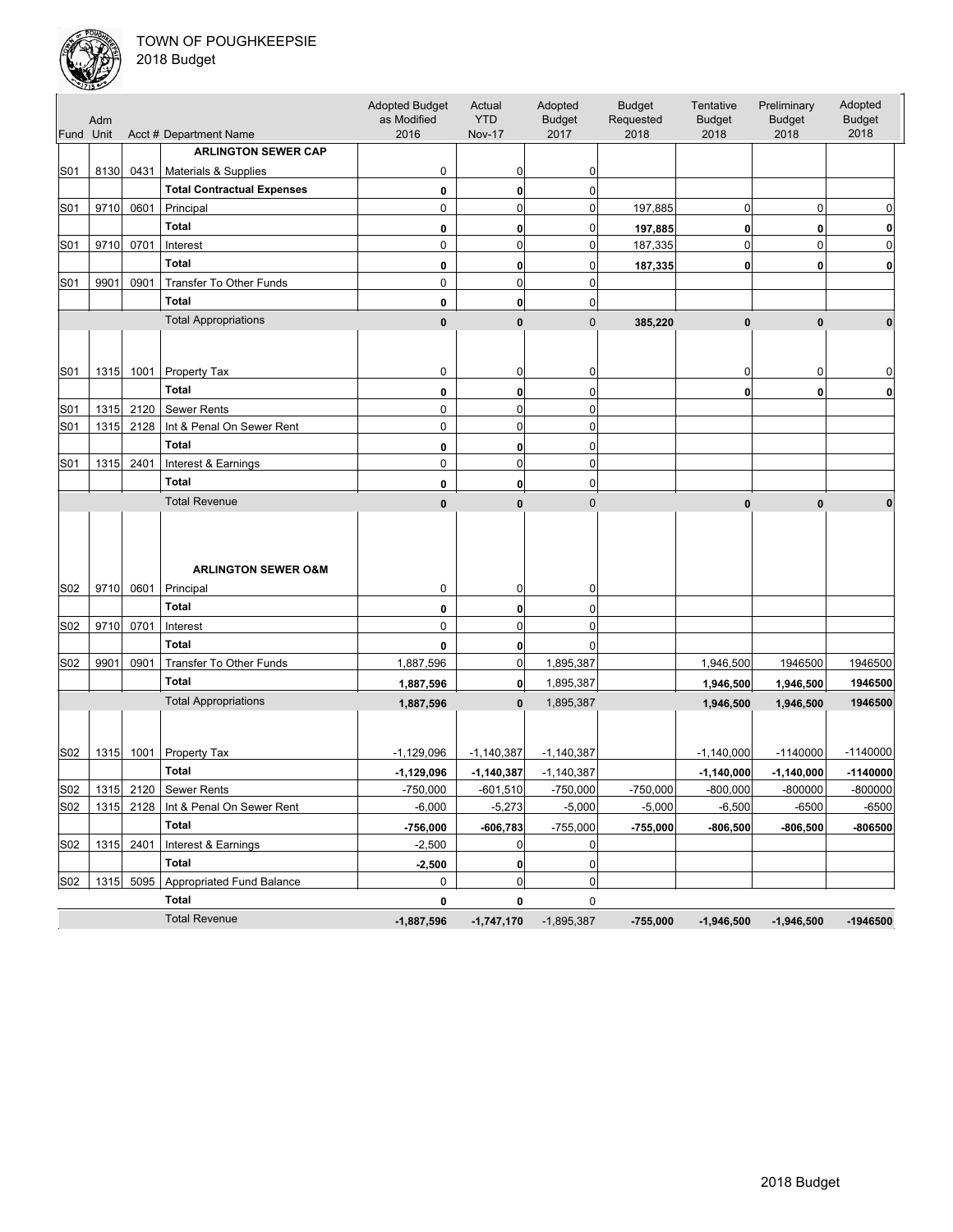

| Fund Unit | Adm  |           | Acct # Department Name            | <b>Adopted Budget</b><br>as Modified<br>2016 | Actual<br><b>YTD</b><br><b>Nov-17</b> | Adopted<br><b>Budget</b><br>2017 | <b>Budget</b><br>Requested<br>2018 | Tentative<br><b>Budget</b><br>2018 | Preliminary<br><b>Budget</b><br>2018 | Adopted<br><b>Budget</b><br>2018 |
|-----------|------|-----------|-----------------------------------|----------------------------------------------|---------------------------------------|----------------------------------|------------------------------------|------------------------------------|--------------------------------------|----------------------------------|
|           |      |           | <b>ARLINGTON SEWER CAP</b>        |                                              |                                       |                                  |                                    |                                    |                                      |                                  |
| S01       | 8130 | 0431      | Materials & Supplies              | 0                                            | 0                                     | 0                                |                                    |                                    |                                      |                                  |
|           |      |           | <b>Total Contractual Expenses</b> | 0                                            | $\bf{0}$                              | 0                                |                                    |                                    |                                      |                                  |
| S01       | 9710 | 0601      | Principal                         | 0                                            | $\mathbf 0$                           | 0                                | 197,885                            | 0                                  | 0                                    | 0                                |
|           |      |           | <b>Total</b>                      | 0                                            | 0                                     | 0                                | 197,885                            | $\mathbf{0}$                       | 0                                    | 0                                |
| S01       | 9710 | 0701      | Interest                          | 0                                            | $\mathbf 0$                           | 0                                | 187,335                            | $\mathbf 0$                        | $\mathbf 0$                          | $\Omega$                         |
|           |      |           | <b>Total</b>                      | 0                                            | 0                                     | 0                                | 187,335                            | $\mathbf{0}$                       | 0                                    | $\mathbf{0}$                     |
| S01       | 9901 | 0901      | Transfer To Other Funds           | 0                                            | $\mathbf 0$                           | $\mathbf 0$                      |                                    |                                    |                                      |                                  |
|           |      |           | <b>Total</b>                      | 0                                            | 0                                     | 0                                |                                    |                                    |                                      |                                  |
|           |      |           | <b>Total Appropriations</b>       | $\bf{0}$                                     | $\bf{0}$                              | $\mathbf 0$                      | 385,220                            | $\bf{0}$                           | $\mathbf{0}$                         | $\bf{0}$                         |
|           |      |           |                                   |                                              |                                       |                                  |                                    |                                    |                                      |                                  |
| S01       |      |           | 1315 1001 Property Tax            | 0                                            | 0                                     | 0                                |                                    | 0                                  | 0                                    | 0                                |
|           |      |           | <b>Total</b>                      | 0                                            | $\bf{0}$                              | 0                                |                                    | $\mathbf{0}$                       | $\mathbf 0$                          | $\mathbf{0}$                     |
| S01       | 1315 | 2120      | Sewer Rents                       | 0                                            | $\mathbf 0$                           | 0                                |                                    |                                    |                                      |                                  |
| S01       | 1315 | 2128      | Int & Penal On Sewer Rent         | 0                                            | $\mathbf 0$                           | 0                                |                                    |                                    |                                      |                                  |
|           |      |           | <b>Total</b>                      | 0                                            | $\bf{0}$                              | 0                                |                                    |                                    |                                      |                                  |
| S01       | 1315 | 2401      | Interest & Earnings               | 0                                            | $\mathbf 0$                           | $\mathbf 0$                      |                                    |                                    |                                      |                                  |
|           |      |           | <b>Total</b>                      | 0                                            | 0                                     | 0                                |                                    |                                    |                                      |                                  |
|           |      |           | <b>Total Revenue</b>              | $\bf{0}$                                     | $\bf{0}$                              | $\mathbf 0$                      |                                    | $\mathbf{0}$                       | $\mathbf{0}$                         | $\bf{0}$                         |
|           |      |           | <b>ARLINGTON SEWER O&amp;M</b>    |                                              |                                       |                                  |                                    |                                    |                                      |                                  |
| S02       |      | 9710 0601 | Principal                         | 0                                            | 0                                     | 0                                |                                    |                                    |                                      |                                  |
|           |      |           | <b>Total</b>                      | 0                                            | 0                                     | 0                                |                                    |                                    |                                      |                                  |
| S02       | 9710 | 0701      | Interest                          | 0                                            | $\mathbf 0$                           | $\mathbf 0$                      |                                    |                                    |                                      |                                  |
|           |      |           | <b>Total</b>                      | 0                                            | 0                                     | $\Omega$                         |                                    |                                    |                                      |                                  |
| S02       | 9901 | 0901      | Transfer To Other Funds           | 1,887,596                                    | 0                                     | 1,895,387                        |                                    | 1,946,500                          | 1946500                              | 1946500                          |
|           |      |           | <b>Total</b>                      | 1,887,596                                    | $\mathbf{0}$                          | 1,895,387                        |                                    | 1,946,500                          | 1,946,500                            | 1946500                          |
|           |      |           | <b>Total Appropriations</b>       | 1,887,596                                    | $\bf{0}$                              | 1,895,387                        |                                    | 1,946,500                          | 1,946,500                            | 1946500                          |
| S02       |      |           | 1315 1001 Property Tax            | $-1,129,096$                                 | $-1,140,387$                          | $-1,140,387$                     |                                    | $-1,140,000$                       | $-1140000$                           | $-1140000$                       |
|           |      |           | <b>Total</b>                      | $-1,129,096$                                 | $-1,140,387$                          | $-1,140,387$                     |                                    | $-1,140,000$                       | $-1,140,000$                         | $-1140000$                       |
| S02       |      | 1315 2120 | <b>Sewer Rents</b>                | $-750,000$                                   | $-601.510$                            | $-750.000$                       | $-750.000$                         | $-800.000$                         | $-800000$                            | $-800000$                        |
| S02       | 1315 |           | 2128   Int & Penal On Sewer Rent  | $-6,000$                                     | $-5,273$                              | $-5,000$                         | $-5,000$                           | $-6,500$                           | $-6500$                              | $-6500$                          |
|           |      |           | Total                             | $-756,000$                                   | $-606,783$                            | $-755,000$                       | $-755,000$                         | $-806,500$                         | $-806,500$                           | $-806500$                        |
| S02       | 1315 | 2401      | Interest & Earnings               | $-2,500$                                     | 0                                     | 0                                |                                    |                                    |                                      |                                  |
|           |      |           | Total                             | $-2,500$                                     | $\mathbf 0$                           | 0                                |                                    |                                    |                                      |                                  |
| S02       | 1315 | 5095      | <b>Appropriated Fund Balance</b>  | 0                                            | $\mathbf 0$                           | 0                                |                                    |                                    |                                      |                                  |
|           |      |           | Total                             | 0                                            | 0                                     | 0                                |                                    |                                    |                                      |                                  |
|           |      |           | <b>Total Revenue</b>              | $-1,887,596$                                 | $-1,747,170$                          | $-1,895,387$                     | $-755,000$                         | $-1,946,500$                       | $-1,946,500$                         | $-1946500$                       |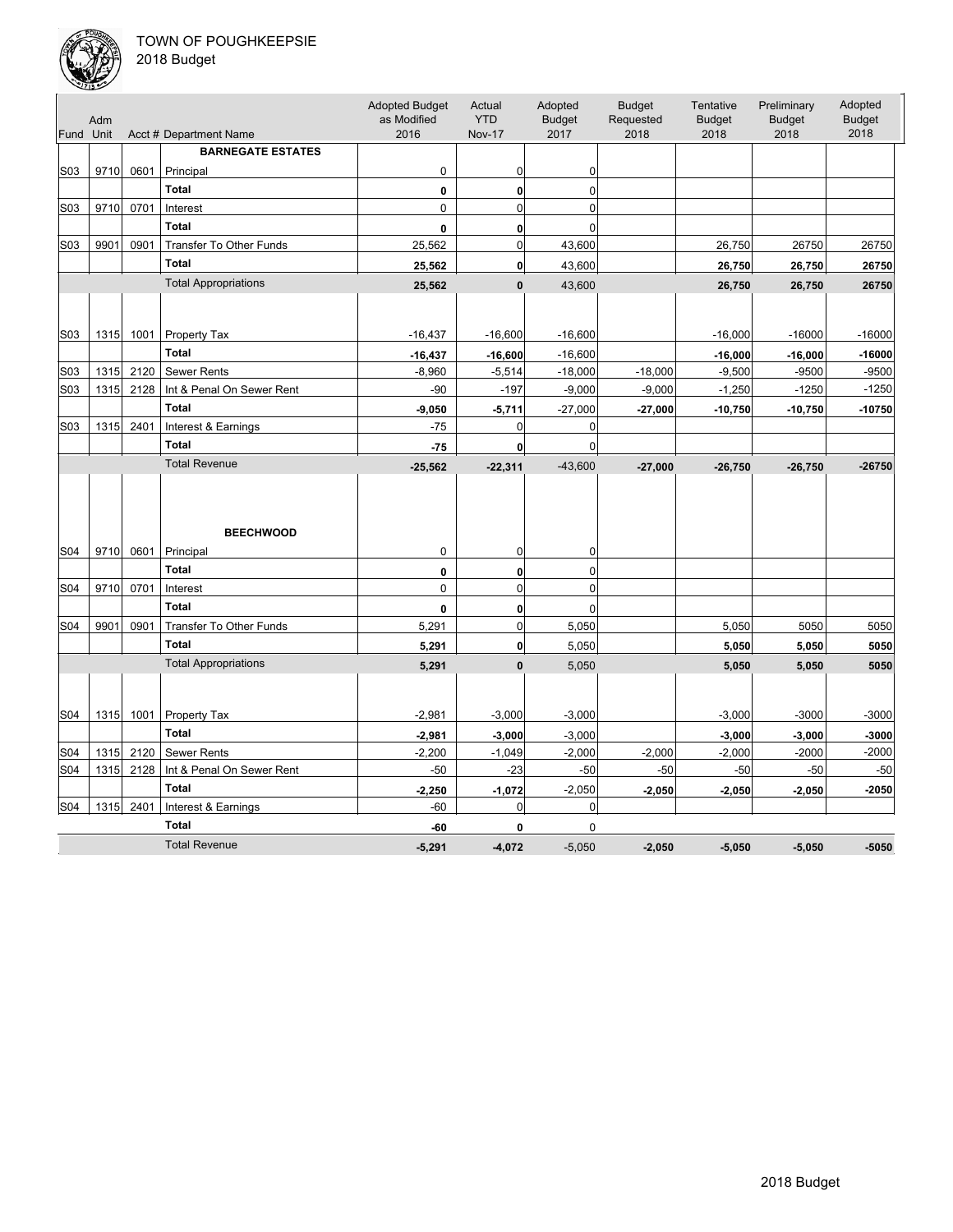

| Fund Unit        | Adm  |      | Acct # Department Name         | <b>Adopted Budget</b><br>as Modified<br>2016 | Actual<br><b>YTD</b><br><b>Nov-17</b> | Adopted<br><b>Budget</b><br>2017 | <b>Budget</b><br>Requested<br>2018 | Tentative<br><b>Budget</b><br>2018 | Preliminary<br><b>Budget</b><br>2018 | Adopted<br><b>Budget</b><br>2018 |
|------------------|------|------|--------------------------------|----------------------------------------------|---------------------------------------|----------------------------------|------------------------------------|------------------------------------|--------------------------------------|----------------------------------|
|                  |      |      | <b>BARNEGATE ESTATES</b>       |                                              |                                       |                                  |                                    |                                    |                                      |                                  |
| S03              | 9710 | 0601 | Principal                      | 0                                            | 0                                     | 0                                |                                    |                                    |                                      |                                  |
|                  |      |      | <b>Total</b>                   | 0                                            | 0                                     | 0                                |                                    |                                    |                                      |                                  |
| S03              | 9710 | 0701 | Interest                       | 0                                            | $\mathbf 0$                           | $\mathbf 0$                      |                                    |                                    |                                      |                                  |
|                  |      |      | <b>Total</b>                   | 0                                            | 0                                     | $\Omega$                         |                                    |                                    |                                      |                                  |
| S <sub>0</sub> 3 | 9901 | 0901 | Transfer To Other Funds        | 25,562                                       | 0                                     | 43,600                           |                                    | 26,750                             | 26750                                | 26750                            |
|                  |      |      | <b>Total</b>                   | 25,562                                       | $\mathbf{0}$                          | 43,600                           |                                    | 26,750                             | 26,750                               | 26750                            |
|                  |      |      | <b>Total Appropriations</b>    | 25,562                                       | $\mathbf{0}$                          | 43,600                           |                                    | 26,750                             | 26,750                               | 26750                            |
|                  |      |      |                                |                                              |                                       |                                  |                                    |                                    |                                      |                                  |
| S <sub>0</sub> 3 | 1315 | 1001 | Property Tax                   | $-16,437$                                    | $-16,600$                             | $-16,600$                        |                                    | $-16,000$                          | $-16000$                             | $-16000$                         |
|                  |      |      | <b>Total</b>                   | $-16,437$                                    | $-16,600$                             | $-16,600$                        |                                    | $-16,000$                          | $-16,000$                            | $-16000$                         |
| S03              | 1315 | 2120 | <b>Sewer Rents</b>             | $-8,960$                                     | $-5,514$                              | $-18,000$                        | $-18,000$                          | $-9,500$                           | $-9500$                              | $-9500$                          |
| S03              | 1315 | 2128 | Int & Penal On Sewer Rent      | $-90$                                        | $-197$                                | $-9,000$                         | $-9,000$                           | $-1,250$                           | $-1250$                              | $-1250$                          |
|                  |      |      | <b>Total</b>                   | $-9,050$                                     | $-5,711$                              | $-27,000$                        | $-27,000$                          | $-10,750$                          | $-10,750$                            | $-10750$                         |
| S03              | 1315 | 2401 | Interest & Earnings            | $-75$                                        | $\mathbf 0$                           | 0                                |                                    |                                    |                                      |                                  |
|                  |      |      | <b>Total</b>                   | $-75$                                        | $\mathbf{0}$                          | 0                                |                                    |                                    |                                      |                                  |
|                  |      |      | <b>Total Revenue</b>           | $-25,562$                                    | $-22,311$                             | $-43,600$                        | $-27,000$                          | $-26,750$                          | $-26,750$                            | $-26750$                         |
| S04              | 9710 | 0601 | <b>BEECHWOOD</b><br>Principal  | $\mathbf 0$                                  | 0                                     | 0                                |                                    |                                    |                                      |                                  |
|                  |      |      | <b>Total</b>                   | 0                                            | 0                                     | $\Omega$                         |                                    |                                    |                                      |                                  |
| S04              | 9710 | 0701 | Interest                       | $\mathbf 0$                                  | $\overline{0}$                        | $\overline{0}$                   |                                    |                                    |                                      |                                  |
|                  |      |      | <b>Total</b>                   | 0                                            | 0                                     | 0                                |                                    |                                    |                                      |                                  |
| S04              | 9901 | 0901 | <b>Transfer To Other Funds</b> | 5,291                                        | $\mathbf 0$                           | 5,050                            |                                    | 5,050                              | 5050                                 | 5050                             |
|                  |      |      | <b>Total</b>                   | 5,291                                        | $\mathbf{0}$                          | 5,050                            |                                    | 5,050                              | 5,050                                | 5050                             |
|                  |      |      | <b>Total Appropriations</b>    | 5,291                                        | $\mathbf{0}$                          | 5,050                            |                                    | 5,050                              | 5,050                                | 5050                             |
|                  |      |      |                                |                                              |                                       |                                  |                                    |                                    |                                      |                                  |
| S04              | 1315 | 1001 | Property Tax                   | $-2,981$                                     | $-3,000$                              | $-3,000$                         |                                    | $-3,000$                           | $-3000$                              | $-3000$                          |
|                  |      |      | <b>Total</b>                   | $-2,981$                                     | $-3,000$                              | $-3,000$                         |                                    | $-3,000$                           | $-3,000$                             | $-3000$                          |
| S04              | 1315 | 2120 | <b>Sewer Rents</b>             | $-2,200$                                     | $-1,049$                              | $-2,000$                         | $-2,000$                           | $-2,000$                           | $-2000$                              | $-2000$                          |
| S04              | 1315 | 2128 | Int & Penal On Sewer Rent      | $-50$                                        | $-23$                                 | $-50$                            | $-50$                              | $-50$                              | $-50$                                | $-50$                            |
|                  |      |      | <b>Total</b>                   | $-2,250$                                     | $-1,072$                              | $-2,050$                         | $-2,050$                           | $-2,050$                           | $-2,050$                             | $-2050$                          |
| S04              | 1315 | 2401 | Interest & Earnings            | $-60$                                        | 0                                     | 0                                |                                    |                                    |                                      |                                  |
|                  |      |      | <b>Total</b>                   | -60                                          | 0                                     | 0                                |                                    |                                    |                                      |                                  |
|                  |      |      | <b>Total Revenue</b>           | $-5,291$                                     | $-4.072$                              | $-5.050$                         | $-2.050$                           | $-5.050$                           | $-5,050$                             | $-5050$                          |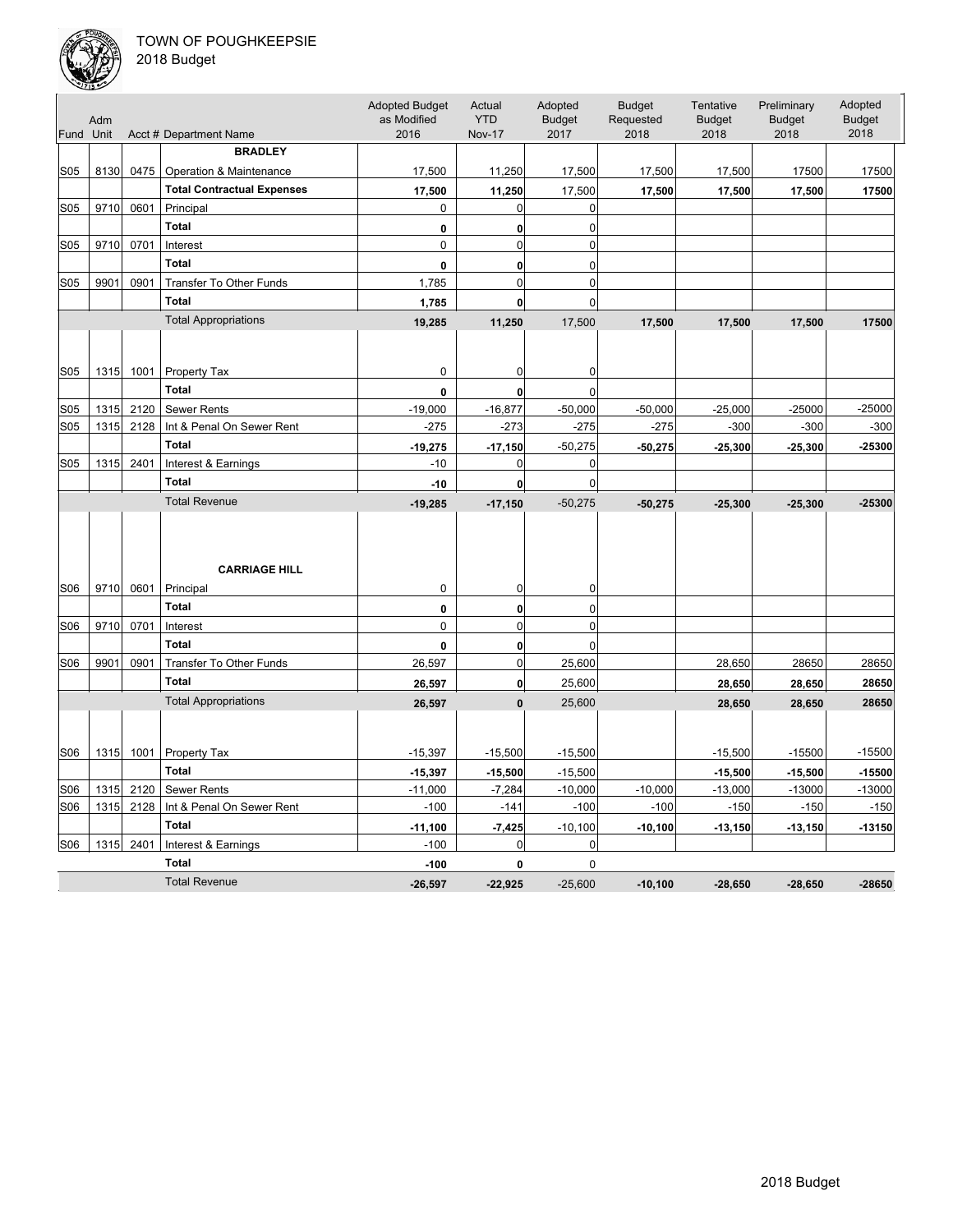

| Fund Unit       | Adm  |      | Acct # Department Name            | <b>Adopted Budget</b><br>as Modified<br>2016 | Actual<br><b>YTD</b><br><b>Nov-17</b> | Adopted<br><b>Budget</b><br>2017 | <b>Budget</b><br>Requested<br>2018 | Tentative<br><b>Budget</b><br>2018 | Preliminary<br><b>Budget</b><br>2018 | Adopted<br><b>Budget</b><br>2018 |
|-----------------|------|------|-----------------------------------|----------------------------------------------|---------------------------------------|----------------------------------|------------------------------------|------------------------------------|--------------------------------------|----------------------------------|
|                 |      |      | <b>BRADLEY</b>                    |                                              |                                       |                                  |                                    |                                    |                                      |                                  |
| <b>S05</b>      | 8130 | 0475 | Operation & Maintenance           | 17,500                                       | 11,250                                | 17,500                           | 17,500                             | 17,500                             | 17500                                | 17500                            |
|                 |      |      | <b>Total Contractual Expenses</b> |                                              |                                       |                                  |                                    |                                    |                                      |                                  |
| <b>S05</b>      | 9710 | 0601 | Principal                         | 17,500<br>0                                  | 11,250<br>$\mathbf 0$                 | 17,500<br>$\mathbf 0$            | 17,500                             | 17,500                             | 17,500                               | 17500                            |
|                 |      |      | <b>Total</b>                      | 0                                            |                                       | $\mathbf 0$                      |                                    |                                    |                                      |                                  |
| S05             | 9710 | 0701 | Interest                          | $\mathbf 0$                                  | 0<br>$\mathbf 0$                      | 0                                |                                    |                                    |                                      |                                  |
|                 |      |      | <b>Total</b>                      |                                              |                                       |                                  |                                    |                                    |                                      |                                  |
| <b>S05</b>      | 9901 | 0901 | Transfer To Other Funds           | 0<br>1,785                                   | 0<br>$\mathbf{0}$                     | 0<br>$\mathbf{0}$                |                                    |                                    |                                      |                                  |
|                 |      |      | <b>Total</b>                      |                                              |                                       |                                  |                                    |                                    |                                      |                                  |
|                 |      |      |                                   | 1,785                                        | $\mathbf{0}$                          | 0                                |                                    |                                    |                                      |                                  |
|                 |      |      | <b>Total Appropriations</b>       | 19,285                                       | 11,250                                | 17,500                           | 17,500                             | 17,500                             | 17,500                               | 17500                            |
|                 |      |      |                                   |                                              |                                       |                                  |                                    |                                    |                                      |                                  |
| S <sub>05</sub> | 1315 | 1001 | Property Tax                      | 0                                            | 0                                     | 0                                |                                    |                                    |                                      |                                  |
|                 |      |      | <b>Total</b>                      | 0                                            | 0                                     | $\Omega$                         |                                    |                                    |                                      |                                  |
| S05             | 1315 | 2120 | Sewer Rents                       | $-19,000$                                    | $-16,877$                             | $-50,000$                        | $-50,000$                          | $-25,000$                          | $-25000$                             | $-25000$                         |
| S05             | 1315 | 2128 | Int & Penal On Sewer Rent         | $-275$                                       | $-273$                                | $-275$                           | $-275$                             | $-300$                             | $-300$                               | $-300$                           |
|                 |      |      | <b>Total</b>                      | $-19,275$                                    | $-17,150$                             | $-50,275$                        | $-50,275$                          | $-25,300$                          | $-25,300$                            | -25300                           |
| S05             | 1315 | 2401 | Interest & Earnings               | $-10$                                        | 0                                     | $\mathbf 0$                      |                                    |                                    |                                      |                                  |
|                 |      |      | <b>Total</b>                      | $-10$                                        | $\mathbf{0}$                          | 0                                |                                    |                                    |                                      |                                  |
|                 |      |      | <b>Total Revenue</b>              | $-19,285$                                    | $-17,150$                             | $-50,275$                        | $-50,275$                          | $-25,300$                          | $-25,300$                            | $-25300$                         |
|                 |      |      | <b>CARRIAGE HILL</b>              |                                              |                                       |                                  |                                    |                                    |                                      |                                  |
| S06             | 9710 | 0601 | Principal                         | 0                                            | 0                                     | 0                                |                                    |                                    |                                      |                                  |
|                 |      |      | <b>Total</b>                      | 0                                            | 0                                     | $\overline{0}$                   |                                    |                                    |                                      |                                  |
| S06             | 9710 | 0701 | Interest                          | 0                                            | 0                                     | 0                                |                                    |                                    |                                      |                                  |
|                 |      |      | <b>Total</b>                      | 0                                            | 0                                     | $\mathbf 0$                      |                                    |                                    |                                      |                                  |
| S06             | 9901 | 0901 | <b>Transfer To Other Funds</b>    | 26,597                                       | 0                                     | 25,600                           |                                    | 28,650                             | 28650                                | 28650                            |
|                 |      |      | <b>Total</b>                      | 26,597                                       | $\mathbf{0}$                          | 25,600                           |                                    | 28,650                             | 28,650                               | 28650                            |
|                 |      |      | <b>Total Appropriations</b>       | 26,597                                       | $\bf{0}$                              | 25,600                           |                                    | 28,650                             | 28,650                               | 28650                            |
|                 |      |      |                                   |                                              |                                       |                                  |                                    |                                    |                                      |                                  |
| S06             | 1315 | 1001 | Property Tax                      | $-15,397$                                    | $-15,500$                             | $-15,500$                        |                                    | $-15,500$                          | $-15500$                             | $-15500$                         |
|                 |      |      | <b>Total</b>                      | $-15,397$                                    | $-15,500$                             | $-15,500$                        |                                    | $-15,500$                          | $-15,500$                            | $-15500$                         |
| S06             | 1315 | 2120 | <b>Sewer Rents</b>                | $-11,000$                                    | $-7,284$                              | $-10,000$                        | $-10,000$                          | $-13,000$                          | $-13000$                             | $-13000$                         |
| S06             | 1315 | 2128 | Int & Penal On Sewer Rent         | $-100$                                       | $-141$                                | $-100$                           | $-100$                             | $-150$                             | $-150$                               | $-150$                           |
|                 |      |      | <b>Total</b>                      | $-11,100$                                    | $-7,425$                              | $-10,100$                        | $-10, 100$                         | $-13,150$                          | $-13,150$                            | $-13150$                         |
| S06             | 1315 | 2401 | Interest & Earnings               | $-100$                                       | $\overline{0}$                        | 0                                |                                    |                                    |                                      |                                  |
|                 |      |      | <b>Total</b>                      | $-100$                                       | 0                                     | 0                                |                                    |                                    |                                      |                                  |
|                 |      |      | <b>Total Revenue</b>              | $-26,597$                                    | $-22.925$                             | $-25,600$                        | $-10.100$                          | $-28,650$                          | $-28,650$                            | $-28650$                         |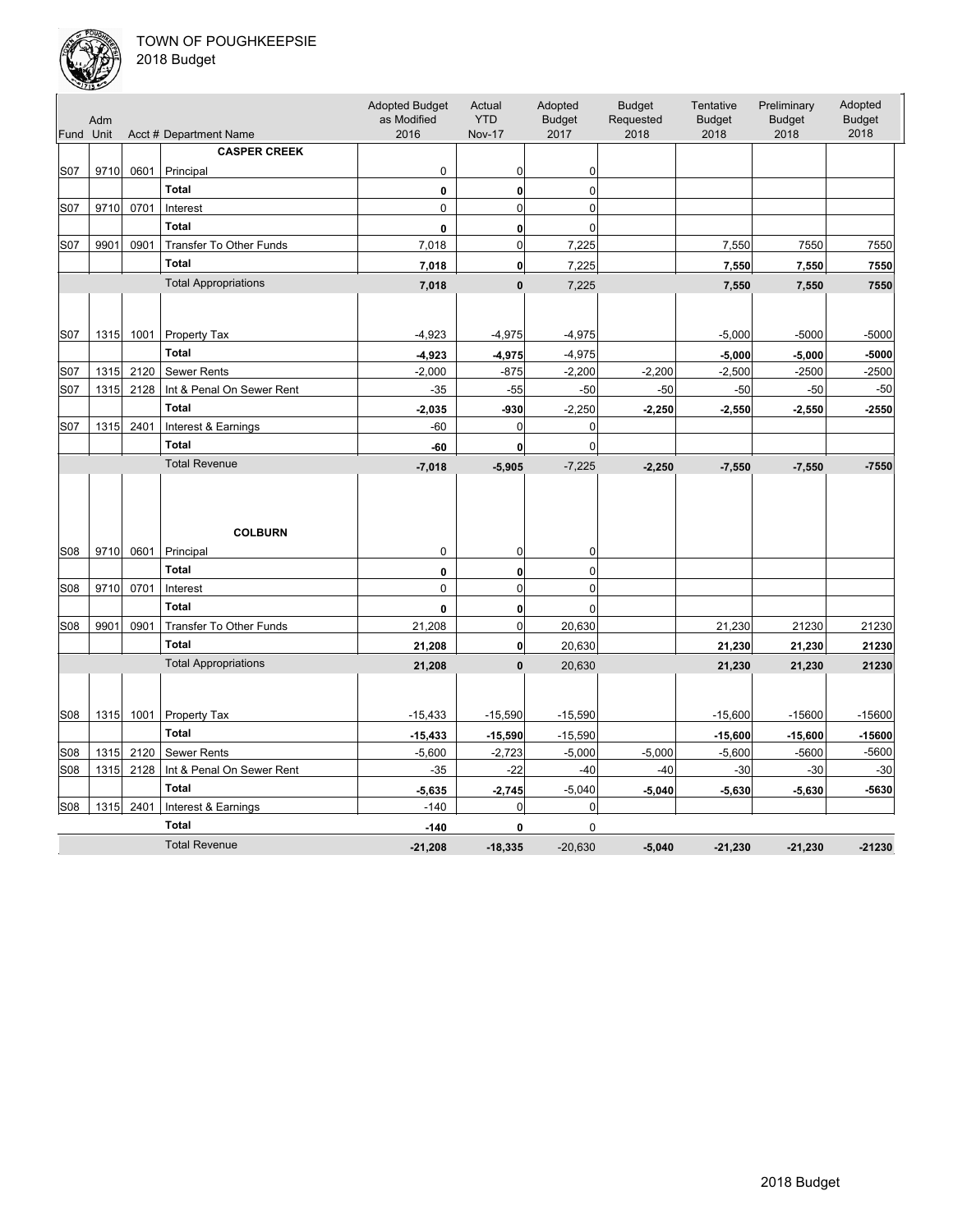

| Fund Unit       | Adm  |      | Acct # Department Name         | <b>Adopted Budget</b><br>as Modified<br>2016 | Actual<br><b>YTD</b><br><b>Nov-17</b> | Adopted<br><b>Budget</b><br>2017 | <b>Budget</b><br>Requested<br>2018 | Tentative<br><b>Budget</b><br>2018 | Preliminary<br><b>Budget</b><br>2018 | Adopted<br><b>Budget</b><br>2018 |
|-----------------|------|------|--------------------------------|----------------------------------------------|---------------------------------------|----------------------------------|------------------------------------|------------------------------------|--------------------------------------|----------------------------------|
|                 |      |      | <b>CASPER CREEK</b>            |                                              |                                       |                                  |                                    |                                    |                                      |                                  |
| S07             | 9710 | 0601 | Principal                      | 0                                            | 0                                     | 0                                |                                    |                                    |                                      |                                  |
|                 |      |      | <b>Total</b>                   | 0                                            | $\mathbf{0}$                          | 0                                |                                    |                                    |                                      |                                  |
| S07             | 9710 | 0701 | Interest                       | $\mathbf 0$                                  | $\mathbf 0$                           | $\mathbf 0$                      |                                    |                                    |                                      |                                  |
|                 |      |      | <b>Total</b>                   | 0                                            | $\mathbf{0}$                          | $\Omega$                         |                                    |                                    |                                      |                                  |
| S07             | 9901 | 0901 | Transfer To Other Funds        | 7,018                                        | $\mathbf 0$                           | 7,225                            |                                    | 7,550                              | 7550                                 | 7550                             |
|                 |      |      | <b>Total</b>                   | 7,018                                        | $\mathbf 0$                           | 7,225                            |                                    |                                    | 7,550                                | 7550                             |
|                 |      |      | <b>Total Appropriations</b>    |                                              | $\mathbf{0}$                          |                                  |                                    | 7,550                              |                                      |                                  |
|                 |      |      |                                | 7,018                                        |                                       | 7,225                            |                                    | 7,550                              | 7,550                                | 7550                             |
| S07             | 1315 | 1001 | Property Tax                   | $-4,923$                                     | $-4,975$                              | $-4,975$                         |                                    | $-5,000$                           | $-5000$                              | $-5000$                          |
|                 |      |      | <b>Total</b>                   | $-4,923$                                     | $-4,975$                              | $-4,975$                         |                                    | $-5,000$                           | $-5,000$                             | $-5000$                          |
| S07             | 1315 | 2120 | <b>Sewer Rents</b>             | $-2,000$                                     | $-875$                                | $-2,200$                         | $-2,200$                           | $-2,500$                           | $-2500$                              | $-2500$                          |
| S07             | 1315 | 2128 | Int & Penal On Sewer Rent      | $-35$                                        | $-55$                                 | $-50$                            | $-50$                              | $-50$                              | $-50$                                | $-50$                            |
|                 |      |      | <b>Total</b>                   | $-2,035$                                     | -930                                  | $-2,250$                         | $-2,250$                           | $-2,550$                           | $-2,550$                             | $-2550$                          |
| S07             | 1315 | 2401 | Interest & Earnings            | $-60$                                        | 0                                     | $\Omega$                         |                                    |                                    |                                      |                                  |
|                 |      |      | <b>Total</b>                   | $-60$                                        | $\mathbf{0}$                          | $\mathbf 0$                      |                                    |                                    |                                      |                                  |
|                 |      |      | <b>Total Revenue</b>           | $-7,018$                                     | $-5,905$                              | $-7,225$                         | $-2,250$                           | $-7,550$                           | $-7,550$                             | $-7550$                          |
| S08             | 9710 | 0601 | <b>COLBURN</b><br>Principal    | 0                                            | 0                                     | 0                                |                                    |                                    |                                      |                                  |
|                 |      |      | <b>Total</b>                   | 0                                            | $\mathbf{0}$                          | 0                                |                                    |                                    |                                      |                                  |
| S08             | 9710 | 0701 | Interest                       | $\mathbf 0$                                  | $\overline{0}$                        | $\mathbf 0$                      |                                    |                                    |                                      |                                  |
|                 |      |      | <b>Total</b>                   | 0                                            | $\mathbf{0}$                          | $\Omega$                         |                                    |                                    |                                      |                                  |
| S <sub>08</sub> | 9901 | 0901 | <b>Transfer To Other Funds</b> | 21,208                                       | $\mathbf 0$                           | 20,630                           |                                    | 21,230                             | 21230                                | 21230                            |
|                 |      |      | <b>Total</b>                   | 21,208                                       | 0                                     | 20,630                           |                                    | 21,230                             | 21,230                               | 21230                            |
|                 |      |      | <b>Total Appropriations</b>    | 21,208                                       | $\mathbf{0}$                          | 20,630                           |                                    | 21,230                             | 21,230                               | 21230                            |
|                 |      |      |                                |                                              |                                       |                                  |                                    |                                    |                                      |                                  |
| S <sub>08</sub> | 1315 | 1001 | Property Tax                   | $-15,433$                                    | $-15,590$                             | $-15,590$                        |                                    | $-15,600$                          | $-15600$                             | $-15600$                         |
|                 |      |      | <b>Total</b>                   | $-15,433$                                    | $-15,590$                             | $-15,590$                        |                                    | $-15,600$                          | $-15,600$                            | $-15600$                         |
| S <sub>08</sub> | 1315 | 2120 | <b>Sewer Rents</b>             | $-5,600$                                     | $-2,723$                              | $-5,000$                         | $-5,000$                           | $-5,600$                           | $-5600$                              | $-5600$                          |
| S08             | 1315 | 2128 | Int & Penal On Sewer Rent      | $-35$                                        | $-22$                                 | $-40$                            | $-40$                              | $-30$                              | $-30$                                | $-30$                            |
|                 |      |      | <b>Total</b>                   | $-5,635$                                     | $-2,745$                              | $-5,040$                         | $-5,040$                           | $-5,630$                           | $-5,630$                             | $-5630$                          |
| <b>S08</b>      | 1315 | 2401 | Interest & Earnings            | $-140$                                       | 0                                     | $\mathbf 0$                      |                                    |                                    |                                      |                                  |
|                 |      |      | <b>Total</b>                   | $-140$                                       | 0                                     | $\mathbf 0$                      |                                    |                                    |                                      |                                  |
|                 |      |      | <b>Total Revenue</b>           | $-21,208$                                    | $-18.335$                             | $-20.630$                        | $-5,040$                           | $-21,230$                          | $-21,230$                            | $-21230$                         |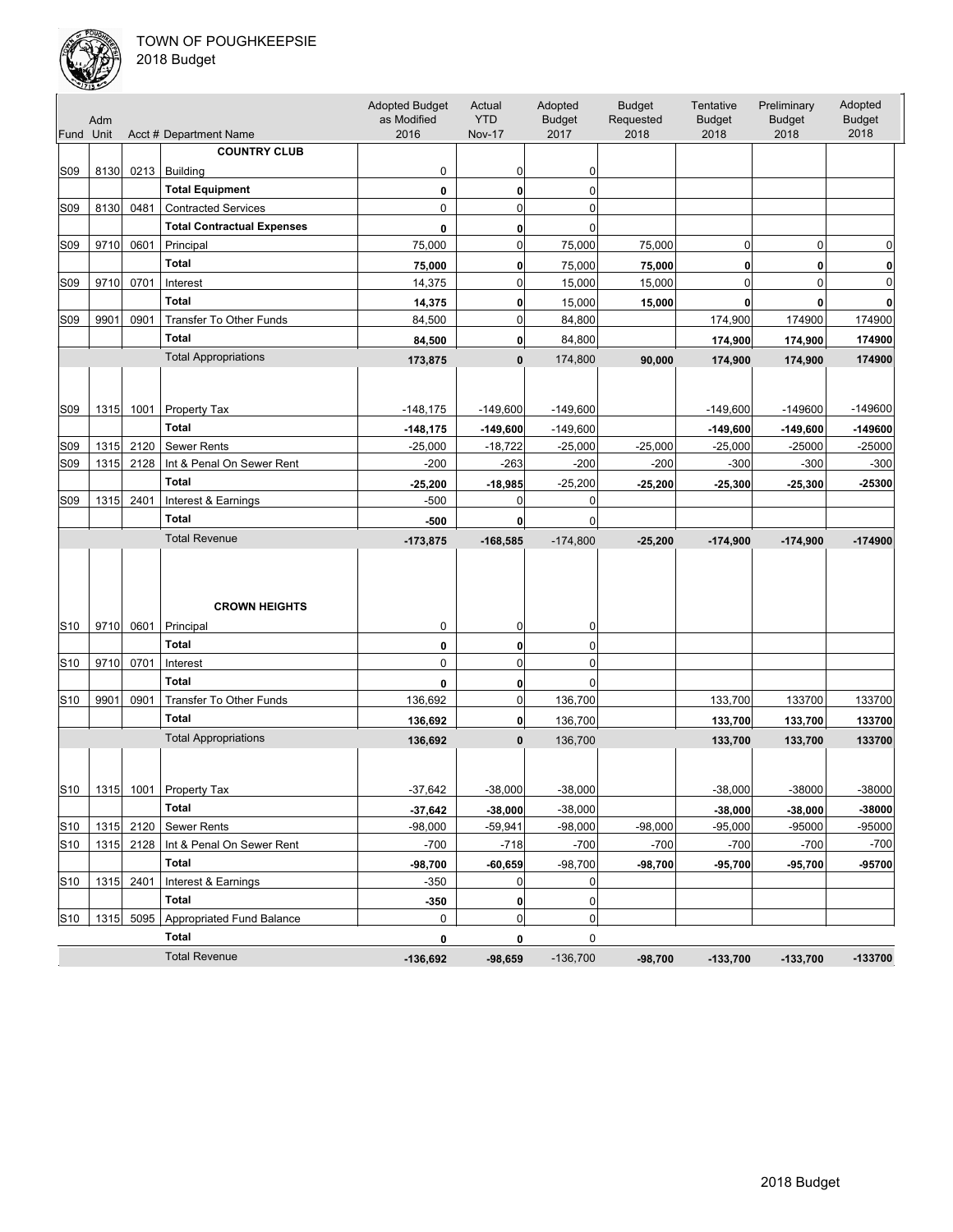

| Fund Unit       | Adm  |           | Acct # Department Name            | <b>Adopted Budget</b><br>as Modified<br>2016 | Actual<br><b>YTD</b><br><b>Nov-17</b> | Adopted<br><b>Budget</b><br>2017 | <b>Budget</b><br>Requested<br>2018 | Tentative<br><b>Budget</b><br>2018 | Preliminary<br><b>Budget</b><br>2018 | Adopted<br><b>Budget</b><br>2018 |
|-----------------|------|-----------|-----------------------------------|----------------------------------------------|---------------------------------------|----------------------------------|------------------------------------|------------------------------------|--------------------------------------|----------------------------------|
|                 |      |           | <b>COUNTRY CLUB</b>               |                                              |                                       |                                  |                                    |                                    |                                      |                                  |
| S <sub>09</sub> | 8130 |           | $0213$   Building                 | 0                                            | 0                                     | 0                                |                                    |                                    |                                      |                                  |
|                 |      |           | <b>Total Equipment</b>            | 0                                            | 0                                     | 0                                |                                    |                                    |                                      |                                  |
| S09             | 8130 | 0481      | <b>Contracted Services</b>        | 0                                            | $\mathbf 0$                           | 0                                |                                    |                                    |                                      |                                  |
|                 |      |           | <b>Total Contractual Expenses</b> | 0                                            | 0                                     | 0                                |                                    |                                    |                                      |                                  |
| S09             | 9710 | 0601      | Principal                         | 75,000                                       | $\mathbf 0$                           | 75,000                           | 75,000                             | $\mathbf 0$                        | $\mathbf 0$                          | 0                                |
|                 |      |           | <b>Total</b>                      | 75,000                                       | 0                                     | 75,000                           | 75,000                             | 0                                  | 0                                    | 0                                |
| S09             | 9710 | 0701      | Interest                          | 14,375                                       | $\mathbf 0$                           | 15,000                           | 15,000                             | $\mathbf 0$                        | $\mathbf 0$                          | $\Omega$                         |
|                 |      |           | <b>Total</b>                      | 14,375                                       | 0                                     | 15,000                           | 15,000                             | $\mathbf{0}$                       | 0                                    |                                  |
| S09             | 9901 | 0901      | Transfer To Other Funds           | 84,500                                       | $\mathbf 0$                           | 84,800                           |                                    | 174,900                            | 174900                               | 174900                           |
|                 |      |           | <b>Total</b>                      | 84,500                                       | 0                                     | 84,800                           |                                    | 174,900                            | 174,900                              | 174900                           |
|                 |      |           | <b>Total Appropriations</b>       |                                              |                                       |                                  |                                    |                                    |                                      |                                  |
|                 |      |           |                                   | 173,875                                      | 0                                     | 174,800                          | 90,000                             | 174,900                            | 174,900                              | 174900                           |
| S <sub>09</sub> | 1315 | 1001      | <b>Property Tax</b>               | $-148,175$                                   | $-149,600$                            | $-149,600$                       |                                    | $-149,600$                         | -149600                              | $-149600$                        |
|                 |      |           | <b>Total</b>                      | $-148, 175$                                  | $-149,600$                            | $-149,600$                       |                                    | $-149,600$                         | $-149,600$                           | $-149600$                        |
| S09             | 1315 | 2120      | <b>Sewer Rents</b>                | $-25,000$                                    | $-18,722$                             | $-25,000$                        | $-25,000$                          | $-25,000$                          | $-25000$                             | $-25000$                         |
| S09             | 1315 | 2128      | Int & Penal On Sewer Rent         | $-200$                                       | $-263$                                | $-200$                           | $-200$                             | $-300$                             | $-300$                               | $-300$                           |
|                 |      |           | <b>Total</b>                      | $-25,200$                                    | $-18,985$                             | $-25,200$                        | $-25,200$                          | $-25,300$                          | $-25,300$                            | -25300                           |
| S09             | 1315 | 2401      | Interest & Earnings               | $-500$                                       | 0                                     | 0                                |                                    |                                    |                                      |                                  |
|                 |      |           | <b>Total</b>                      | $-500$                                       | $\mathbf 0$                           | 0                                |                                    |                                    |                                      |                                  |
|                 |      |           | <b>Total Revenue</b>              | $-173,875$                                   | $-168,585$                            | $-174,800$                       | $-25,200$                          | $-174,900$                         | $-174,900$                           | $-174900$                        |
| S10             | 9710 | 0601      | <b>CROWN HEIGHTS</b><br>Principal | 0                                            | 0                                     | 0                                |                                    |                                    |                                      |                                  |
|                 |      |           | <b>Total</b>                      | 0                                            | 0                                     | 0                                |                                    |                                    |                                      |                                  |
| S <sub>10</sub> | 9710 | 0701      | Interest                          | $\mathbf 0$                                  | $\mathbf 0$                           | 0                                |                                    |                                    |                                      |                                  |
|                 |      |           | <b>Total</b>                      | 0                                            | 0                                     | 0                                |                                    |                                    |                                      |                                  |
| S <sub>10</sub> | 9901 | 0901      | Transfer To Other Funds           | 136,692                                      | 0                                     | 136,700                          |                                    | 133,700                            | 133700                               | 133700                           |
|                 |      |           | <b>Total</b>                      | 136,692                                      | $\mathbf{0}$                          | 136,700                          |                                    | 133,700                            | 133,700                              | 133700                           |
|                 |      |           | <b>Total Appropriations</b>       | 136,692                                      | $\mathbf{0}$                          | 136,700                          |                                    | 133,700                            | 133,700                              | 133700                           |
| S <sub>10</sub> |      |           | 1315 1001 Property Tax            | $-37,642$                                    | $-38.000$                             | $-38,000$                        |                                    | $-38,000$                          | -38000                               | -38000                           |
|                 |      |           | <b>Total</b>                      | $-37,642$                                    | $-38,000$                             | $-38,000$                        |                                    | $-38,000$                          | $-38,000$                            | -38000                           |
| S10             | 1315 | 2120      | <b>Sewer Rents</b>                | $-98,000$                                    | $-59,941$                             | $-98,000$                        | $-98,000$                          | $-95,000$                          | -95000                               | -95000                           |
| S <sub>10</sub> | 1315 | 2128      | Int & Penal On Sewer Rent         | $-700$                                       | $-718$                                | $-700$                           | $-700$                             | $-700$                             | $-700$                               | $-700$                           |
|                 |      |           | Total                             | $-98,700$                                    | $-60,659$                             | $-98,700$                        | $-98,700$                          | -95,700                            | -95,700                              | -95700                           |
| S <sub>10</sub> | 1315 | 2401      | Interest & Earnings               | $-350$                                       | 0                                     | 0                                |                                    |                                    |                                      |                                  |
|                 |      |           | Total                             | $-350$                                       | 0                                     | 0                                |                                    |                                    |                                      |                                  |
| S10             |      | 1315 5095 | Appropriated Fund Balance         | 0                                            | $\mathbf 0$                           | 0                                |                                    |                                    |                                      |                                  |
|                 |      |           | Total                             | 0                                            | 0                                     | 0                                |                                    |                                    |                                      |                                  |
|                 |      |           | <b>Total Revenue</b>              | $-136,692$                                   | $-98,659$                             | $-136,700$                       | $-98,700$                          | $-133,700$                         | $-133,700$                           | $-133700$                        |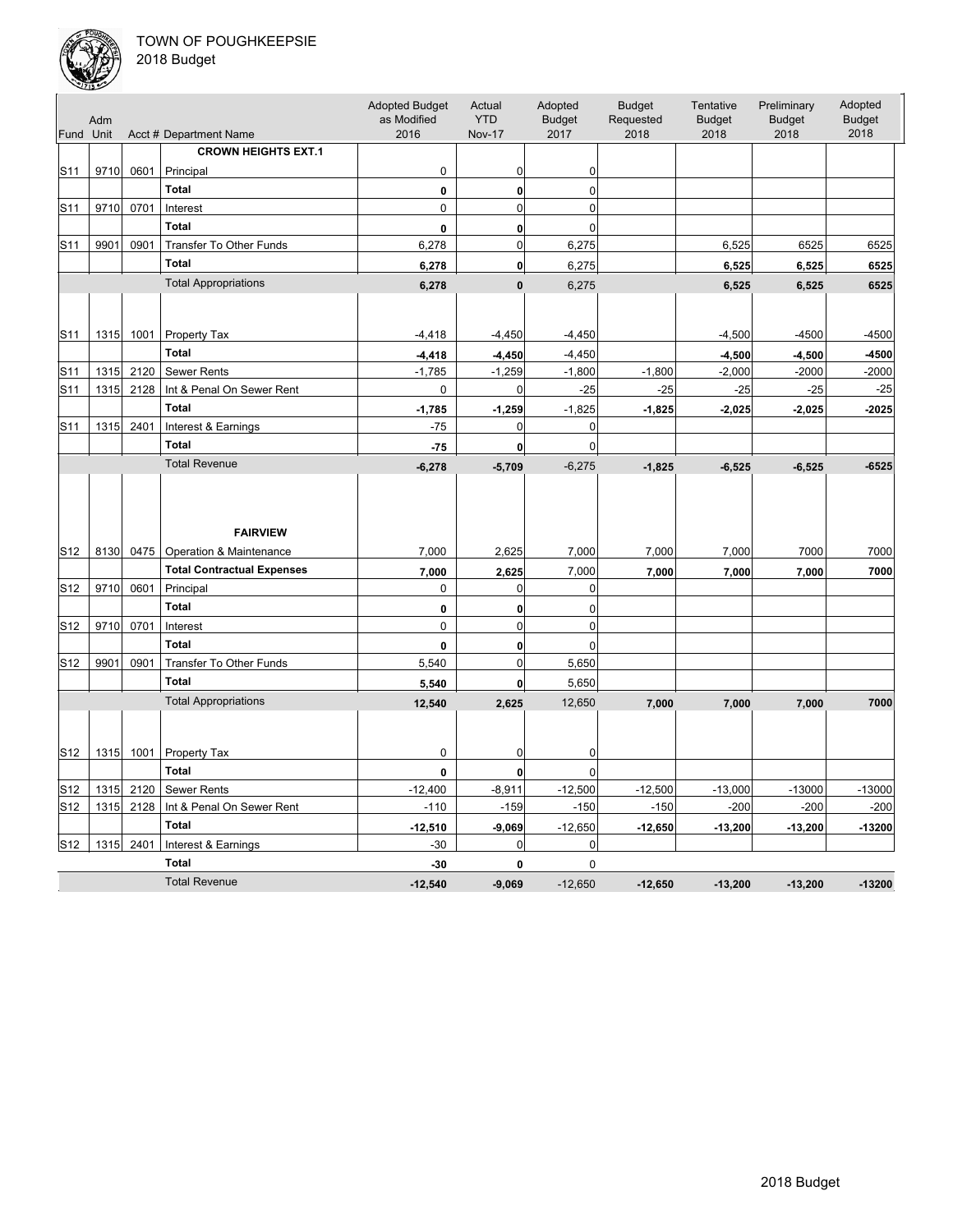

| Fund Unit       | Adm  |      | Acct # Department Name                     | <b>Adopted Budget</b><br>as Modified<br>2016 | Actual<br><b>YTD</b><br><b>Nov-17</b> | Adopted<br><b>Budget</b><br>2017 | <b>Budget</b><br>Requested<br>2018 | Tentative<br><b>Budget</b><br>2018 | Preliminary<br><b>Budget</b><br>2018 | Adopted<br><b>Budget</b><br>2018 |
|-----------------|------|------|--------------------------------------------|----------------------------------------------|---------------------------------------|----------------------------------|------------------------------------|------------------------------------|--------------------------------------|----------------------------------|
|                 |      |      | <b>CROWN HEIGHTS EXT.1</b>                 |                                              |                                       |                                  |                                    |                                    |                                      |                                  |
| S11             | 9710 | 0601 | Principal                                  | $\pmb{0}$                                    | 0                                     | 0                                |                                    |                                    |                                      |                                  |
|                 |      |      | <b>Total</b>                               | $\pmb{0}$                                    | $\bf{0}$                              | $\mathbf 0$                      |                                    |                                    |                                      |                                  |
| S <sub>11</sub> | 9710 | 0701 | Interest                                   | $\pmb{0}$                                    | $\Omega$                              | $\mathbf 0$                      |                                    |                                    |                                      |                                  |
|                 |      |      | <b>Total</b>                               | 0                                            | $\mathbf{0}$                          | $\mathbf 0$                      |                                    |                                    |                                      |                                  |
| S <sub>11</sub> | 9901 | 0901 | <b>Transfer To Other Funds</b>             | 6,278                                        | $\mathbf 0$                           | 6,275                            |                                    | 6,525                              | 6525                                 | 6525                             |
|                 |      |      | <b>Total</b>                               | 6,278                                        | $\mathbf{0}$                          | 6,275                            |                                    | 6,525                              | 6,525                                | 6525                             |
|                 |      |      | <b>Total Appropriations</b>                | 6,278                                        | $\mathbf{0}$                          | 6,275                            |                                    | 6,525                              | 6,525                                | 6525                             |
|                 |      |      |                                            |                                              |                                       |                                  |                                    |                                    |                                      |                                  |
| S <sub>11</sub> | 1315 | 1001 | Property Tax                               | $-4,418$                                     | $-4,450$                              | $-4,450$                         |                                    | $-4,500$                           | $-4500$                              | $-4500$                          |
|                 |      |      | <b>Total</b>                               | $-4,418$                                     | $-4,450$                              | $-4,450$                         |                                    | $-4,500$                           | $-4,500$                             | $-4500$                          |
| S11             | 1315 | 2120 | Sewer Rents                                | $-1,785$                                     | $-1,259$                              | $-1,800$                         | $-1,800$                           | $-2,000$                           | $-2000$                              | $-2000$                          |
| S <sub>11</sub> | 1315 | 2128 | Int & Penal On Sewer Rent                  | 0                                            | $\mathbf 0$                           | $-25$                            | $-25$                              | $-25$                              | $-25$                                | $-25$                            |
|                 |      |      | <b>Total</b>                               | $-1,785$                                     | $-1,259$                              | $-1,825$                         | $-1,825$                           | $-2,025$                           | $-2,025$                             | $-2025$                          |
| S <sub>11</sub> | 1315 | 2401 | Interest & Earnings                        | $-75$                                        | 0                                     | $\mathbf 0$                      |                                    |                                    |                                      |                                  |
|                 |      |      | <b>Total</b>                               | $-75$                                        | 0                                     | $\mathbf 0$                      |                                    |                                    |                                      |                                  |
|                 |      |      | <b>Total Revenue</b>                       | $-6,278$                                     | $-5,709$                              | $-6,275$                         | $-1,825$                           | $-6,525$                           | $-6,525$                             | $-6525$                          |
| S12             | 8130 | 0475 | <b>FAIRVIEW</b><br>Operation & Maintenance | 7,000                                        | 2,625                                 | 7,000                            | 7,000                              | 7,000                              | 7000                                 | 7000                             |
|                 |      |      | <b>Total Contractual Expenses</b>          | 7,000                                        | 2,625                                 | 7,000                            | 7,000                              | 7,000                              | 7,000                                | 7000                             |
| S12             | 9710 | 0601 | Principal                                  | 0                                            | 0                                     | $\mathbf 0$                      |                                    |                                    |                                      |                                  |
|                 |      |      | <b>Total</b>                               | $\pmb{0}$                                    | $\bf{0}$                              | $\mathbf 0$                      |                                    |                                    |                                      |                                  |
| S <sub>12</sub> | 9710 | 0701 | Interest                                   | 0                                            | $\mathbf 0$                           | $\mathbf 0$                      |                                    |                                    |                                      |                                  |
|                 |      |      | <b>Total</b>                               | $\mathbf{0}$                                 | $\mathbf{0}$                          | $\mathbf 0$                      |                                    |                                    |                                      |                                  |
| S <sub>12</sub> | 9901 | 0901 | <b>Transfer To Other Funds</b>             | 5,540                                        | $\mathbf 0$                           | 5,650                            |                                    |                                    |                                      |                                  |
|                 |      |      | <b>Total</b>                               | 5,540                                        | $\mathbf 0$                           | 5,650                            |                                    |                                    |                                      |                                  |
|                 |      |      | <b>Total Appropriations</b>                | 12,540                                       | 2,625                                 | 12,650                           | 7,000                              | 7,000                              | 7,000                                | 7000                             |
|                 |      |      |                                            |                                              |                                       |                                  |                                    |                                    |                                      |                                  |
| S12             | 1315 | 1001 | Property Tax                               | 0                                            | 0                                     | 0                                |                                    |                                    |                                      |                                  |
|                 |      |      | <b>Total</b>                               | 0                                            | $\mathbf 0$                           | $\mathbf 0$                      |                                    |                                    |                                      |                                  |
| S <sub>12</sub> | 1315 | 2120 | <b>Sewer Rents</b>                         | $-12,400$                                    | $-8,911$                              | $-12,500$                        | $-12,500$                          | $-13,000$                          | $-13000$                             | $-13000$                         |
| S <sub>12</sub> | 1315 | 2128 | Int & Penal On Sewer Rent                  | $-110$                                       | $-159$                                | $-150$                           | $-150$                             | $-200$                             | $-200$                               | $-200$                           |
|                 |      |      | <b>Total</b>                               | $-12,510$                                    | $-9,069$                              | $-12,650$                        | $-12,650$                          | $-13,200$                          | $-13,200$                            | $-13200$                         |
| S <sub>12</sub> | 1315 | 2401 | Interest & Earnings                        | $-30$                                        | $\mathbf 0$                           | $\mathbf 0$                      |                                    |                                    |                                      |                                  |
|                 |      |      | <b>Total</b>                               | $-30$                                        | 0                                     | $\mathbf 0$                      |                                    |                                    |                                      |                                  |
|                 |      |      | <b>Total Revenue</b>                       | $-12.540$                                    | $-9.069$                              | $-12.650$                        | $-12,650$                          | $-13,200$                          | $-13,200$                            | $-13200$                         |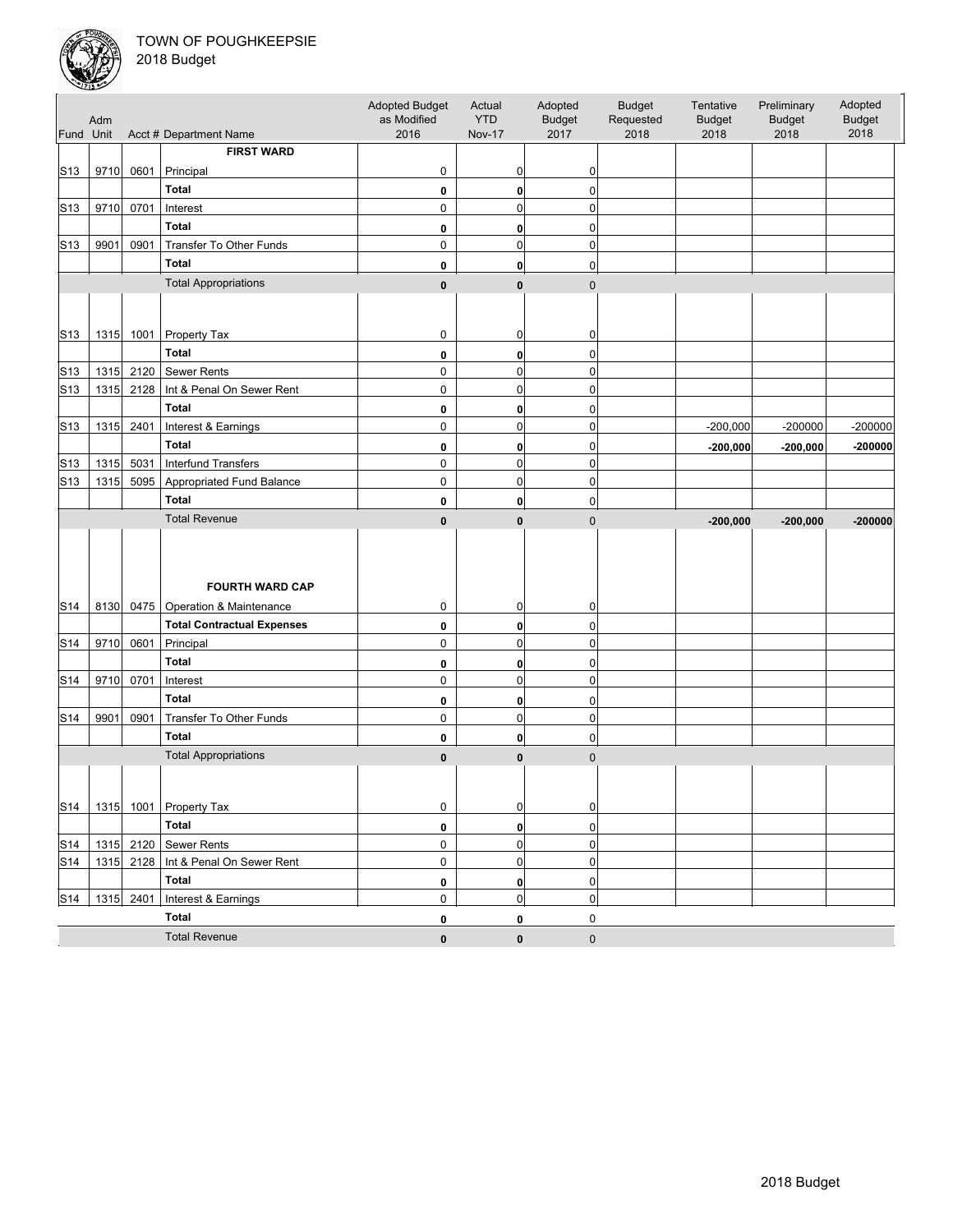

|                 | Adm  |           |                                             | <b>Adopted Budget</b><br>as Modified | Actual<br><b>YTD</b> | Adopted<br><b>Budget</b> | <b>Budget</b><br>Requested | Tentative<br><b>Budget</b> | Preliminary<br><b>Budget</b> | Adopted<br><b>Budget</b><br>2018 |
|-----------------|------|-----------|---------------------------------------------|--------------------------------------|----------------------|--------------------------|----------------------------|----------------------------|------------------------------|----------------------------------|
| Fund Unit       |      |           | Acct # Department Name<br><b>FIRST WARD</b> | 2016                                 | <b>Nov-17</b>        | 2017                     | 2018                       | 2018                       | 2018                         |                                  |
|                 |      |           |                                             |                                      |                      |                          |                            |                            |                              |                                  |
| S13             | 9710 | 0601      | Principal                                   | 0                                    | 0                    | 0                        |                            |                            |                              |                                  |
|                 |      |           | <b>Total</b>                                | 0                                    | 0                    | 0                        |                            |                            |                              |                                  |
| S <sub>13</sub> | 9710 | 0701      | Interest                                    | 0                                    | $\mathbf 0$          | 0                        |                            |                            |                              |                                  |
|                 |      |           | <b>Total</b>                                | 0                                    | 0                    | 0                        |                            |                            |                              |                                  |
| S <sub>13</sub> | 9901 | 0901      | Transfer To Other Funds                     | 0                                    | $\mathbf 0$          | 0                        |                            |                            |                              |                                  |
|                 |      |           | <b>Total</b>                                | 0                                    | $\mathbf{0}$         | 0                        |                            |                            |                              |                                  |
|                 |      |           | <b>Total Appropriations</b>                 | $\pmb{0}$                            | $\mathbf{0}$         | $\mathbf 0$              |                            |                            |                              |                                  |
|                 |      |           |                                             |                                      |                      |                          |                            |                            |                              |                                  |
|                 |      |           |                                             |                                      |                      |                          |                            |                            |                              |                                  |
| S13             |      |           | 1315 1001 Property Tax                      | 0                                    | 0                    | 0                        |                            |                            |                              |                                  |
|                 |      |           | <b>Total</b>                                | 0                                    | 0                    | 0                        |                            |                            |                              |                                  |
| S <sub>13</sub> |      |           | 1315 2120 Sewer Rents                       | 0                                    | $\mathbf 0$          | 0                        |                            |                            |                              |                                  |
| S <sub>13</sub> | 1315 | 2128      | Int & Penal On Sewer Rent                   | 0                                    | $\mathbf 0$          | 0                        |                            |                            |                              |                                  |
|                 |      |           | <b>Total</b>                                | 0                                    | 0                    | 0                        |                            |                            |                              |                                  |
| S <sub>13</sub> | 1315 | 2401      | Interest & Earnings                         | 0                                    | $\mathbf 0$          | 0                        |                            | $-200,000$                 | $-200000$                    | $-200000$                        |
|                 |      |           | <b>Total</b>                                | 0                                    | 0                    | 0                        |                            | $-200,000$                 | $-200,000$                   | $-200000$                        |
| S <sub>13</sub> | 1315 | 5031      | Interfund Transfers                         | 0                                    | 0                    | 0                        |                            |                            |                              |                                  |
| S <sub>13</sub> | 1315 | 5095      | <b>Appropriated Fund Balance</b>            | 0                                    | $\mathbf 0$          | 0                        |                            |                            |                              |                                  |
|                 |      |           | <b>Total</b>                                | 0                                    | 0                    | $\mathbf 0$              |                            |                            |                              |                                  |
|                 |      |           | <b>Total Revenue</b>                        | 0                                    | $\bf{0}$             | $\mathbf 0$              |                            | $-200,000$                 | $-200,000$                   | $-200000$                        |
|                 |      |           | <b>FOURTH WARD CAP</b>                      |                                      |                      |                          |                            |                            |                              |                                  |
| S14             | 8130 |           | 0475 Operation & Maintenance                | 0                                    | 0                    | 0                        |                            |                            |                              |                                  |
|                 |      | 0601      | <b>Total Contractual Expenses</b>           | 0<br>0                               | 0<br>$\mathbf 0$     | 0<br>0                   |                            |                            |                              |                                  |
| S14             | 9710 |           | Principal<br><b>Total</b>                   |                                      |                      |                          |                            |                            |                              |                                  |
|                 |      |           |                                             | 0                                    | 0                    | 0                        |                            |                            |                              |                                  |
| S14             | 9710 | 0701      | Interest                                    | 0                                    | $\mathbf 0$          | 0                        |                            |                            |                              |                                  |
|                 |      |           | <b>Total</b>                                | 0                                    | 0                    | 0                        |                            |                            |                              |                                  |
| S14             | 9901 | 0901      | Transfer To Other Funds                     | 0                                    | $\mathbf 0$          | $\mathbf 0$              |                            |                            |                              |                                  |
|                 |      |           | <b>Total</b>                                | 0                                    | $\mathbf{0}$         | 0                        |                            |                            |                              |                                  |
|                 |      |           | <b>Total Appropriations</b>                 | $\bf{0}$                             | $\mathbf{0}$         | $\overline{0}$           |                            |                            |                              |                                  |
| S <sub>14</sub> |      |           | 1315 1001 Property Tax                      | 0                                    | 0                    | 0                        |                            |                            |                              |                                  |
|                 |      |           | <b>Total</b>                                | 0                                    | $\mathbf{0}$         | 0                        |                            |                            |                              |                                  |
| S14             |      |           | 1315 2120 Sewer Rents                       | 0                                    | $\mathbf 0$          | $\pmb{0}$                |                            |                            |                              |                                  |
| S14             |      |           | 1315 2128   Int & Penal On Sewer Rent       | 0                                    | 0                    | 0                        |                            |                            |                              |                                  |
|                 |      |           | Total                                       | 0                                    | $\mathbf{0}$         | 0                        |                            |                            |                              |                                  |
| S14             |      | 1315 2401 | Interest & Earnings                         | 0                                    | $\mathbf 0$          | 0                        |                            |                            |                              |                                  |
|                 |      |           | <b>Total</b>                                | 0                                    | 0                    | 0                        |                            |                            |                              |                                  |
|                 |      |           | <b>Total Revenue</b>                        | $\pmb{0}$                            | $\mathbf 0$          | $\pmb{0}$                |                            |                            |                              |                                  |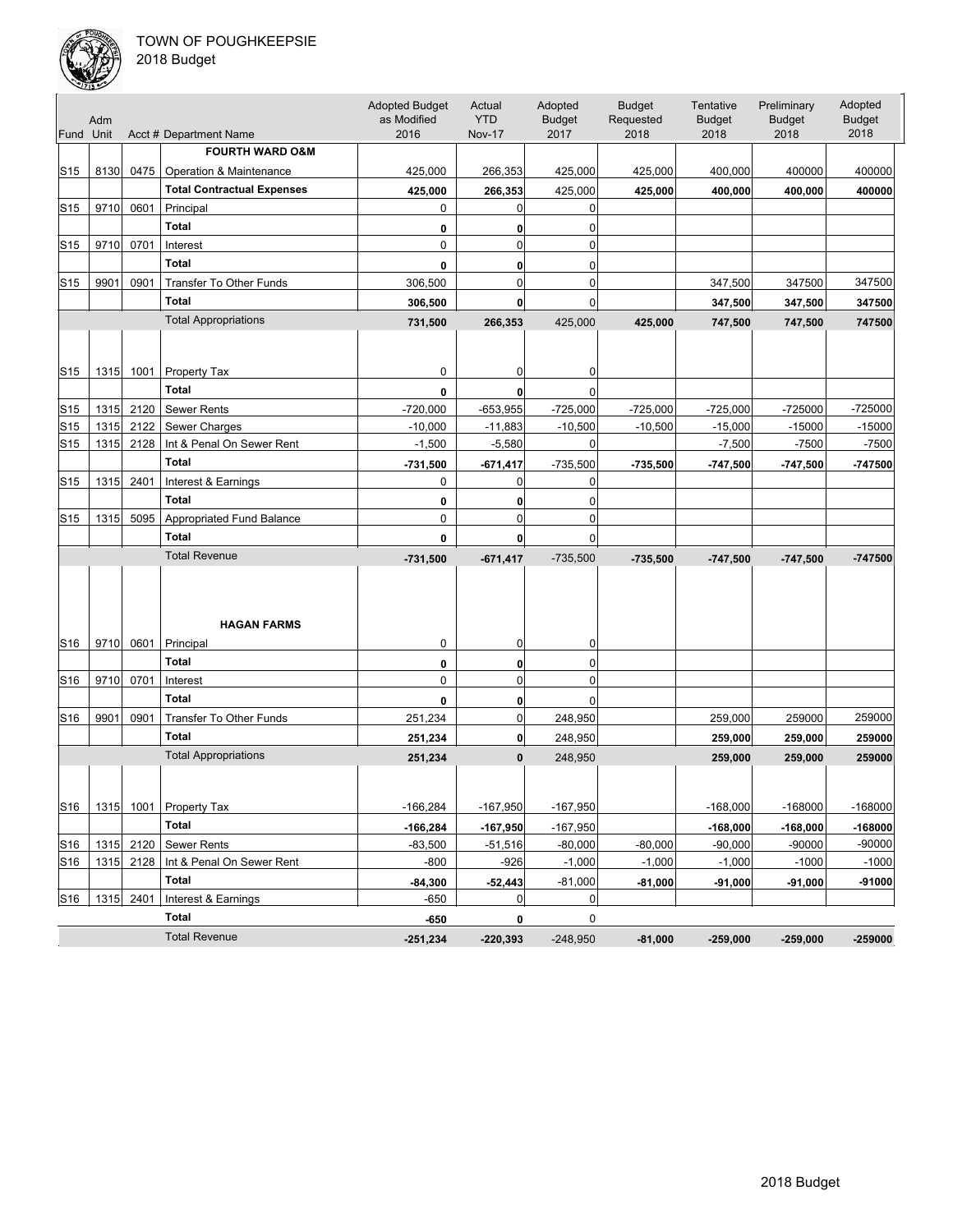

| Fund Unit       | Adm  |           | Acct # Department Name            | <b>Adopted Budget</b><br>as Modified<br>2016 | Actual<br><b>YTD</b><br><b>Nov-17</b> | Adopted<br><b>Budget</b><br>2017 | <b>Budget</b><br>Requested<br>2018 | Tentative<br><b>Budget</b><br>2018 | Preliminary<br><b>Budget</b><br>2018 | Adopted<br><b>Budget</b><br>2018 |
|-----------------|------|-----------|-----------------------------------|----------------------------------------------|---------------------------------------|----------------------------------|------------------------------------|------------------------------------|--------------------------------------|----------------------------------|
|                 |      |           | <b>FOURTH WARD O&amp;M</b>        |                                              |                                       |                                  |                                    |                                    |                                      |                                  |
| S15             | 8130 | 0475      | Operation & Maintenance           | 425,000                                      | 266,353                               | 425,000                          | 425,000                            | 400,000                            | 400000                               | 400000                           |
|                 |      |           | <b>Total Contractual Expenses</b> | 425,000                                      | 266,353                               | 425,000                          | 425,000                            | 400,000                            | 400,000                              | 400000                           |
| S15             | 9710 | 0601      | Principal                         | 0                                            | 0                                     | 0                                |                                    |                                    |                                      |                                  |
|                 |      |           | <b>Total</b>                      | 0                                            | 0                                     | 0                                |                                    |                                    |                                      |                                  |
| S15             | 9710 | 0701      | Interest                          | 0                                            | $\mathbf 0$                           | $\mathbf 0$                      |                                    |                                    |                                      |                                  |
|                 |      |           | <b>Total</b>                      | 0                                            | 0                                     | 0                                |                                    |                                    |                                      |                                  |
| S15             | 9901 | 0901      | <b>Transfer To Other Funds</b>    | 306,500                                      | $\mathbf 0$                           | $\mathbf 0$                      |                                    | 347,500                            | 347500                               | 347500                           |
|                 |      |           | <b>Total</b>                      | 306,500                                      | 0                                     | 0                                |                                    | 347,500                            | 347,500                              | 347500                           |
|                 |      |           | <b>Total Appropriations</b>       | 731,500                                      | 266,353                               | 425,000                          | 425,000                            | 747,500                            | 747,500                              | 747500                           |
|                 |      |           |                                   |                                              |                                       |                                  |                                    |                                    |                                      |                                  |
| S15             |      | 1315 1001 | <b>Property Tax</b>               | 0                                            | 0                                     | 0                                |                                    |                                    |                                      |                                  |
|                 |      |           | <b>Total</b>                      | 0                                            | 0                                     | $\Omega$                         |                                    |                                    |                                      |                                  |
| S15             | 1315 | 2120      | <b>Sewer Rents</b>                | $-720,000$                                   | $-653,955$                            | $-725,000$                       | $-725,000$                         | $-725,000$                         | -725000                              | $-725000$                        |
| S15             | 1315 | 2122      | Sewer Charges                     | $-10,000$                                    | $-11,883$                             | $-10,500$                        | $-10,500$                          | $-15,000$                          | $-15000$                             | $-15000$                         |
| S15             | 1315 | 2128      | Int & Penal On Sewer Rent         | $-1,500$                                     | $-5,580$                              | 0                                |                                    | $-7,500$                           | $-7500$                              | $-7500$                          |
|                 |      |           | <b>Total</b>                      | -731,500                                     | $-671,417$                            | $-735,500$                       | -735,500                           | -747,500                           | $-747,500$                           | -747500                          |
| S15             | 1315 | 2401      | Interest & Earnings               | 0                                            | 0                                     | 0                                |                                    |                                    |                                      |                                  |
|                 |      |           | <b>Total</b>                      | 0                                            | 0                                     | 0                                |                                    |                                    |                                      |                                  |
| S15             | 1315 | 5095      | <b>Appropriated Fund Balance</b>  | 0                                            | 0                                     | $\mathbf 0$                      |                                    |                                    |                                      |                                  |
|                 |      |           | <b>Total</b>                      | 0                                            | $\mathbf{0}$                          | 0                                |                                    |                                    |                                      |                                  |
|                 |      |           | <b>Total Revenue</b>              | $-731,500$                                   | $-671,417$                            | $-735,500$                       | $-735,500$                         | $-747,500$                         | $-747,500$                           | $-747500$                        |
|                 |      |           | <b>HAGAN FARMS</b>                |                                              |                                       |                                  |                                    |                                    |                                      |                                  |
| S <sub>16</sub> | 9710 | 0601      | Principal                         | 0                                            | 0                                     | 0                                |                                    |                                    |                                      |                                  |
|                 |      |           | <b>Total</b>                      | 0                                            | 0                                     | 0                                |                                    |                                    |                                      |                                  |
| S16             | 9710 | 0701      | Interest                          | 0                                            | $\mathbf 0$                           | $\mathbf 0$                      |                                    |                                    |                                      |                                  |
|                 |      |           | <b>Total</b>                      | 0                                            | $\mathbf{0}$                          | $\mathbf 0$                      |                                    |                                    |                                      |                                  |
| S16             | 9901 | 0901      | Transfer To Other Funds           | 251,234                                      | 0                                     | 248,950                          |                                    | 259,000                            | 259000                               | 259000                           |
|                 |      |           | <b>Total</b>                      | 251,234                                      | $\mathbf{0}$                          | 248,950                          |                                    | 259,000                            | 259,000                              | 259000                           |
|                 |      |           | <b>Total Appropriations</b>       | 251,234                                      | $\bf{0}$                              | 248,950                          |                                    | 259,000                            | 259,000                              | 259000                           |
| S16             | 1315 | 1001      | Property Tax                      | $-166,284$                                   | $-167,950$                            | $-167,950$                       |                                    | $-168,000$                         | $-168000$                            | $-168000$                        |
|                 |      |           | Total                             | $-166,284$                                   | $-167,950$                            | $-167,950$                       |                                    | $-168,000$                         | $-168,000$                           | $-168000$                        |
| S16             | 1315 | 2120      | <b>Sewer Rents</b>                | $-83,500$                                    | $-51,516$                             | $-80,000$                        | $-80,000$                          | $-90,000$                          | $-90000$                             | $-90000$                         |
| S16             | 1315 | 2128      | Int & Penal On Sewer Rent         | $-800$                                       | $-926$                                | $-1,000$                         | $-1,000$                           | $-1,000$                           | $-1000$                              | $-1000$                          |
|                 |      |           | Total                             | $-84,300$                                    | $-52,443$                             | $-81,000$                        | $-81,000$                          | $-91,000$                          | $-91,000$                            | $-91000$                         |
| S16             |      | 1315 2401 | Interest & Earnings               | -650                                         | 0                                     | 0                                |                                    |                                    |                                      |                                  |
|                 |      |           | <b>Total</b>                      | -650                                         | 0                                     | 0                                |                                    |                                    |                                      |                                  |
|                 |      |           | <b>Total Revenue</b>              | $-251,234$                                   | $-220,393$                            | $-248,950$                       | $-81,000$                          | $-259,000$                         | $-259,000$                           | $-259000$                        |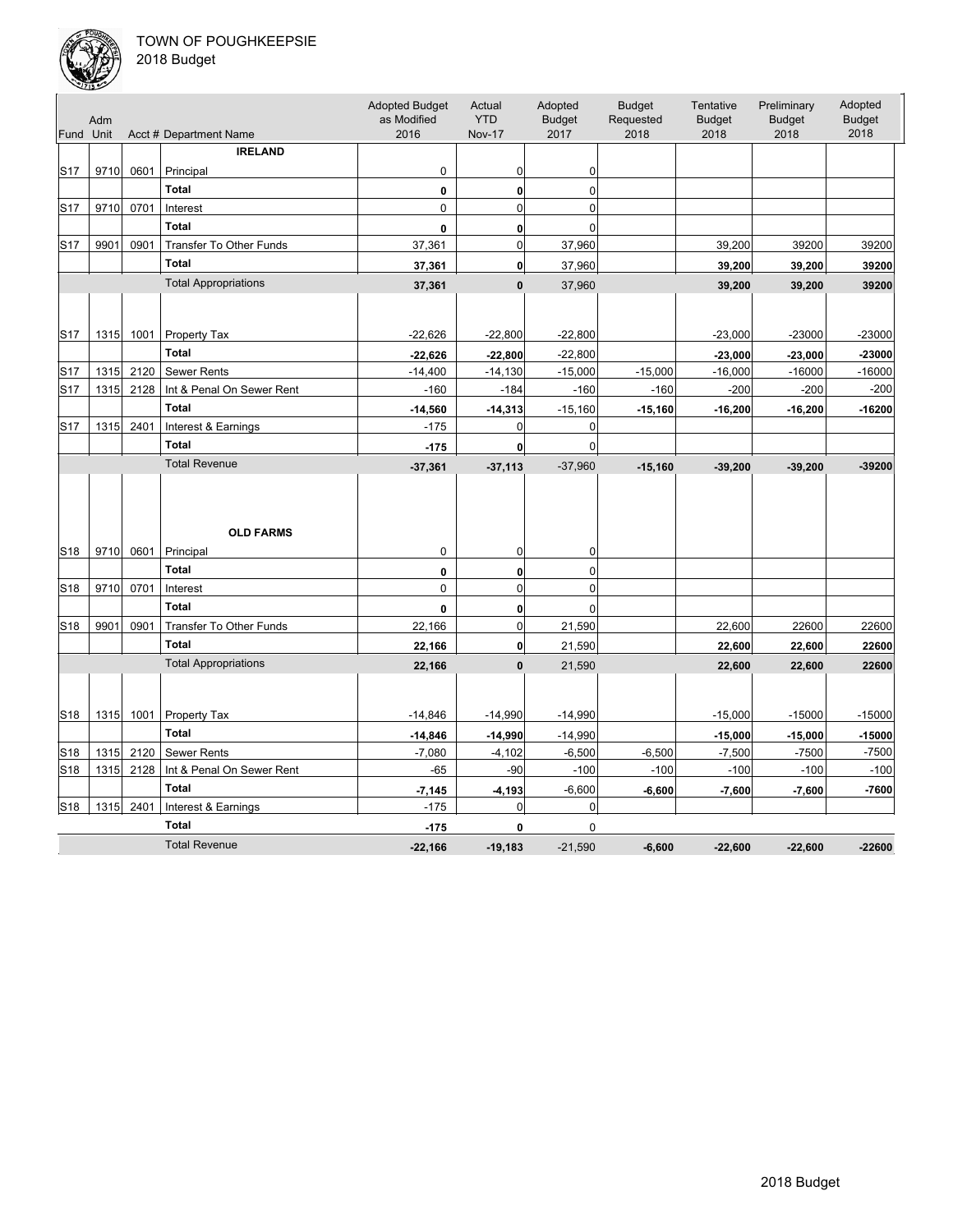

| Fund Unit       | Adm  |      | Acct # Department Name      | <b>Adopted Budget</b><br>as Modified<br>2016 | Actual<br><b>YTD</b><br><b>Nov-17</b> | Adopted<br><b>Budget</b><br>2017 | <b>Budget</b><br>Requested<br>2018 | Tentative<br><b>Budget</b><br>2018 | Preliminary<br><b>Budget</b><br>2018 | Adopted<br><b>Budget</b><br>2018 |
|-----------------|------|------|-----------------------------|----------------------------------------------|---------------------------------------|----------------------------------|------------------------------------|------------------------------------|--------------------------------------|----------------------------------|
|                 |      |      | <b>IRELAND</b>              |                                              |                                       |                                  |                                    |                                    |                                      |                                  |
| S <sub>17</sub> | 9710 | 0601 | Principal                   | 0                                            | 0                                     | 0                                |                                    |                                    |                                      |                                  |
|                 |      |      | <b>Total</b>                | 0                                            | $\mathbf 0$                           | 0                                |                                    |                                    |                                      |                                  |
| S <sub>17</sub> | 9710 | 0701 | Interest                    | $\mathbf 0$                                  | $\Omega$                              | $\Omega$                         |                                    |                                    |                                      |                                  |
|                 |      |      | <b>Total</b>                | 0                                            | 0                                     | $\Omega$                         |                                    |                                    |                                      |                                  |
| S17             | 9901 | 0901 | Transfer To Other Funds     | 37,361                                       | $\mathbf 0$                           | 37,960                           |                                    | 39,200                             | 39200                                | 39200                            |
|                 |      |      | <b>Total</b>                | 37,361                                       | $\mathbf{0}$                          | 37,960                           |                                    | 39,200                             | 39,200                               | 39200                            |
|                 |      |      | <b>Total Appropriations</b> | 37,361                                       | $\mathbf{0}$                          | 37,960                           |                                    | 39,200                             | 39,200                               | 39200                            |
|                 |      |      |                             |                                              |                                       |                                  |                                    |                                    |                                      |                                  |
| S <sub>17</sub> | 1315 | 1001 | Property Tax                | $-22,626$                                    | $-22,800$                             | $-22,800$                        |                                    | $-23,000$                          | $-23000$                             | $-23000$                         |
|                 |      |      | <b>Total</b>                | $-22,626$                                    | $-22,800$                             | $-22,800$                        |                                    | $-23,000$                          | $-23,000$                            | $-23000$                         |
| S <sub>17</sub> | 1315 | 2120 | Sewer Rents                 | $-14,400$                                    | $-14,130$                             | $-15,000$                        | $-15,000$                          | $-16,000$                          | $-16000$                             | $-16000$                         |
| S <sub>17</sub> | 1315 | 2128 | Int & Penal On Sewer Rent   | $-160$                                       | $-184$                                | $-160$                           | $-160$                             | $-200$                             | $-200$                               | $-200$                           |
|                 |      |      | <b>Total</b>                | $-14,560$                                    | $-14,313$                             | $-15,160$                        | $-15,160$                          | $-16,200$                          | $-16,200$                            | $-16200$                         |
| S <sub>17</sub> | 1315 | 2401 | Interest & Earnings         | $-175$                                       | $\mathbf 0$                           | $\mathbf 0$                      |                                    |                                    |                                      |                                  |
|                 |      |      | <b>Total</b>                | $-175$                                       | 0                                     | 0                                |                                    |                                    |                                      |                                  |
|                 |      |      | <b>Total Revenue</b>        | $-37,361$                                    | $-37,113$                             | $-37,960$                        | $-15,160$                          | $-39,200$                          | $-39,200$                            | $-39200$                         |
|                 |      |      | <b>OLD FARMS</b>            |                                              |                                       |                                  |                                    |                                    |                                      |                                  |
| S <sub>18</sub> | 9710 | 0601 | Principal<br><b>Total</b>   | $\mathbf 0$                                  | $\mathbf 0$                           | 0                                |                                    |                                    |                                      |                                  |
| S <sub>18</sub> | 9710 | 0701 | Interest                    | 0<br>$\mathbf 0$                             | $\mathbf 0$<br>$\mathbf 0$            | 0<br>$\mathbf 0$                 |                                    |                                    |                                      |                                  |
|                 |      |      | <b>Total</b>                | 0                                            | 0                                     | 0                                |                                    |                                    |                                      |                                  |
| S <sub>18</sub> | 9901 | 0901 | Transfer To Other Funds     | 22,166                                       | $\mathbf 0$                           | 21,590                           |                                    | 22,600                             | 22600                                | 22600                            |
|                 |      |      | <b>Total</b>                | 22,166                                       | 0                                     | 21,590                           |                                    | 22,600                             | 22,600                               | 22600                            |
|                 |      |      | <b>Total Appropriations</b> |                                              | $\mathbf{0}$                          | 21,590                           |                                    |                                    |                                      | 22600                            |
|                 |      |      |                             | 22,166                                       |                                       |                                  |                                    | 22,600                             | 22,600                               |                                  |
| S18             | 1315 | 1001 | Property Tax                | $-14,846$                                    | $-14,990$                             | $-14,990$                        |                                    | $-15,000$                          | $-15000$                             | $-15000$                         |
|                 |      |      | Total                       | $-14,846$                                    | $-14,990$                             | $-14,990$                        |                                    | $-15,000$                          | $-15,000$                            | $-15000$                         |
| S <sub>18</sub> | 1315 | 2120 | Sewer Rents                 | $-7,080$                                     | $-4,102$                              | $-6,500$                         | $-6,500$                           | $-7,500$                           | $-7500$                              | $-7500$                          |
| S <sub>18</sub> | 1315 | 2128 | Int & Penal On Sewer Rent   | $-65$                                        | $-90$                                 | $-100$                           | $-100$                             | $-100$                             | $-100$                               | $-100$                           |
|                 |      |      | <b>Total</b>                | $-7,145$                                     | $-4,193$                              | $-6,600$                         | $-6,600$                           | $-7,600$                           | $-7,600$                             | $-7600$                          |
| S <sub>18</sub> | 1315 | 2401 | Interest & Earnings         | $-175$                                       | 0                                     | 0                                |                                    |                                    |                                      |                                  |
|                 |      |      | <b>Total</b>                | $-175$                                       | 0                                     | $\mathbf 0$                      |                                    |                                    |                                      |                                  |
|                 |      |      | <b>Total Revenue</b>        | $-22.166$                                    | $-19.183$                             | $-21.590$                        | $-6.600$                           | $-22,600$                          | $-22.600$                            | $-22600$                         |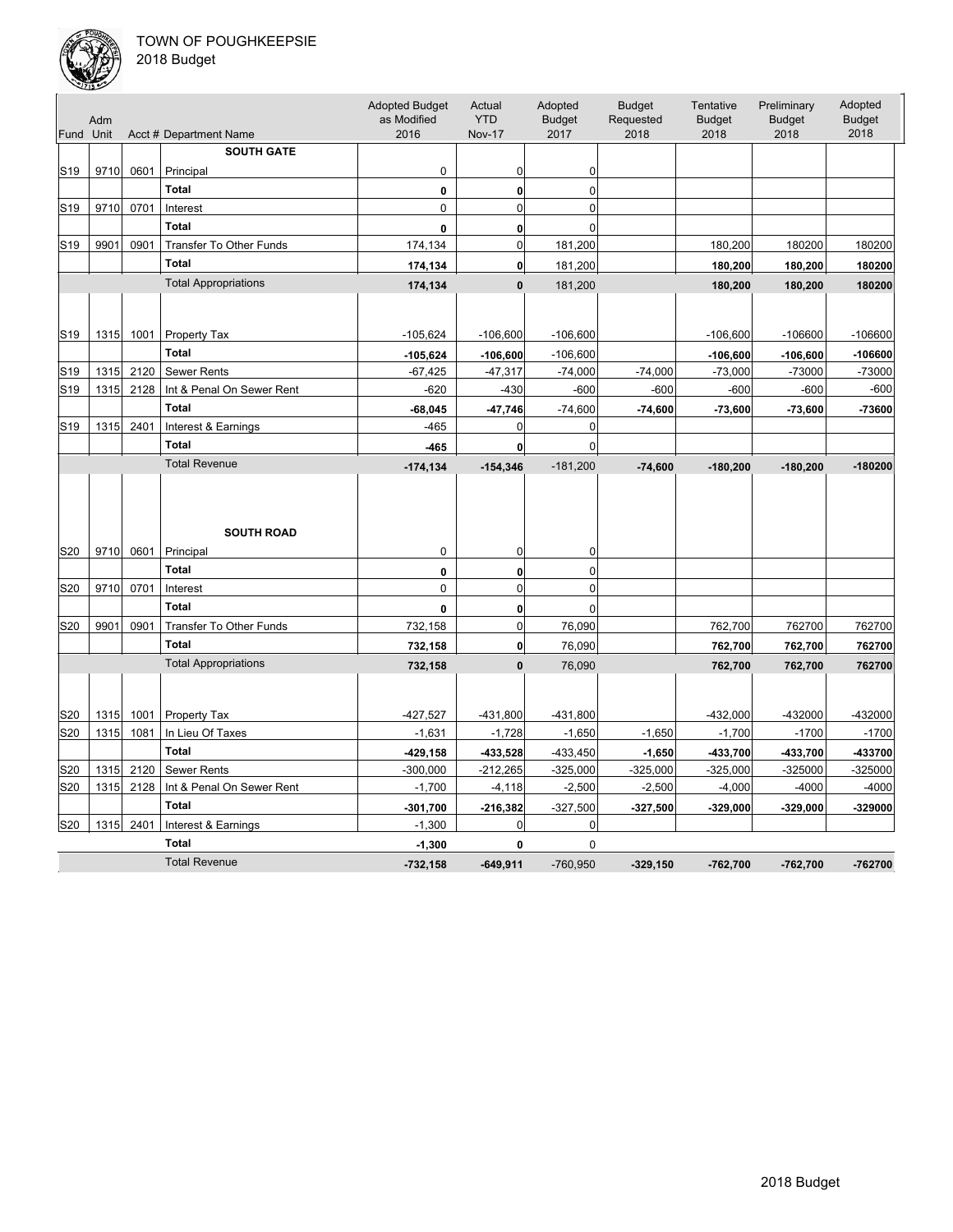

|                 | Adm          |              |                                  | <b>Adopted Budget</b><br>as Modified<br>2016 | Actual<br><b>YTD</b>      | Adopted<br><b>Budget</b> | <b>Budget</b><br>Requested | Tentative<br><b>Budget</b> | Preliminary<br><b>Budget</b> | Adopted<br><b>Budget</b> |
|-----------------|--------------|--------------|----------------------------------|----------------------------------------------|---------------------------|--------------------------|----------------------------|----------------------------|------------------------------|--------------------------|
| Fund Unit       |              |              | Acct # Department Name           |                                              | <b>Nov-17</b>             | 2017                     | 2018                       | 2018                       | 2018                         | 2018                     |
|                 |              |              | <b>SOUTH GATE</b>                |                                              |                           |                          |                            |                            |                              |                          |
| S <sub>19</sub> | 9710         | 0601         | Principal                        | 0                                            | 0                         | 0                        |                            |                            |                              |                          |
|                 |              |              | <b>Total</b>                     | 0                                            | $\bf{0}$                  | $\mathbf 0$              |                            |                            |                              |                          |
| S <sub>19</sub> | 9710         | 0701         | Interest                         | 0                                            | $\mathbf 0$               | $\overline{0}$           |                            |                            |                              |                          |
|                 |              |              | <b>Total</b>                     | 0                                            | $\mathbf{0}$              | $\mathbf 0$              |                            |                            |                              |                          |
| S <sub>19</sub> | 9901         | 0901         | <b>Transfer To Other Funds</b>   | 174,134                                      | $\mathbf 0$               | 181,200                  |                            | 180,200                    | 180200                       | 180200                   |
|                 |              |              | <b>Total</b>                     | 174,134                                      | $\mathbf{0}$              | 181,200                  |                            | 180,200                    | 180,200                      | 180200                   |
|                 |              |              | <b>Total Appropriations</b>      | 174,134                                      | $\mathbf{0}$              | 181,200                  |                            | 180,200                    | 180,200                      | 180200                   |
|                 |              |              |                                  |                                              |                           |                          |                            |                            |                              |                          |
| S <sub>19</sub> | 1315         | 1001         | Property Tax                     | $-105,624$                                   | $-106,600$                | $-106,600$               |                            | $-106,600$                 | $-106600$                    | $-106600$                |
|                 |              |              | <b>Total</b>                     |                                              |                           |                          |                            |                            |                              |                          |
| S <sub>19</sub> | 1315         | 2120         | <b>Sewer Rents</b>               | $-105,624$<br>$-67,425$                      | $-106,600$<br>$-47,317$   | $-106,600$<br>$-74,000$  | $-74,000$                  | $-106,600$<br>$-73,000$    | $-106,600$<br>$-73000$       | $-106600$<br>-73000      |
| S <sub>19</sub> | 1315         | 2128         | Int & Penal On Sewer Rent        | $-620$                                       | $-430$                    | $-600$                   | $-600$                     | $-600$                     | $-600$                       | $-600$                   |
|                 |              |              | <b>Total</b>                     | $-68,045$                                    |                           | $-74,600$                |                            | $-73,600$                  |                              | -73600                   |
| S <sub>19</sub> | 1315         | 2401         | Interest & Earnings              | $-465$                                       | $-47,746$<br>0            | 0                        | $-74,600$                  |                            | $-73,600$                    |                          |
|                 |              |              | <b>Total</b>                     | $-465$                                       | $\mathbf{0}$              | $\mathbf 0$              |                            |                            |                              |                          |
|                 |              |              | <b>Total Revenue</b>             | $-174, 134$                                  | $-154,346$                | $-181,200$               | $-74,600$                  | $-180,200$                 | $-180,200$                   | $-180200$                |
| S20             | 9710         | 0601         | <b>SOUTH ROAD</b><br>Principal   | 0                                            | 0                         | 0                        |                            |                            |                              |                          |
|                 |              |              | <b>Total</b>                     | 0                                            | $\mathbf{0}$              | $\mathbf 0$              |                            |                            |                              |                          |
| S <sub>20</sub> | 9710         | 0701         | Interest                         | 0                                            | $\overline{0}$            | $\overline{0}$           |                            |                            |                              |                          |
|                 |              |              | <b>Total</b>                     | 0                                            | $\mathbf{0}$              | $\mathbf 0$              |                            |                            |                              |                          |
| S20             | 9901         | 0901         | <b>Transfer To Other Funds</b>   | 732,158                                      | $\mathbf 0$               | 76,090                   |                            | 762,700                    | 762700                       | 762700                   |
|                 |              |              | <b>Total</b>                     | 732,158                                      | 0                         | 76,090                   |                            | 762,700                    | 762,700                      | 762700                   |
|                 |              |              | <b>Total Appropriations</b>      | 732,158                                      | $\mathbf{0}$              | 76,090                   |                            | 762,700                    | 762,700                      | 762700                   |
|                 |              |              |                                  |                                              |                           |                          |                            | $-432,000$                 | -432000                      | -432000                  |
| S20<br>S20      | 1315<br>1315 | 1001<br>1081 | Property Tax<br>In Lieu Of Taxes | $-427,527$<br>$-1,631$                       | $-431,800$<br>$-1,728$    | $-431,800$<br>$-1,650$   | $-1,650$                   | $-1,700$                   | $-1700$                      | $-1700$                  |
|                 |              |              | <b>Total</b>                     |                                              |                           |                          |                            |                            |                              |                          |
| S20             | 1315         | 2120         | <b>Sewer Rents</b>               | $-429, 158$<br>$-300,000$                    | $-433,528$<br>$-212,265$  | $-433,450$<br>$-325,000$ | $-1,650$<br>$-325,000$     | $-433,700$<br>$-325,000$   | $-433,700$<br>$-325000$      | -433700<br>$-325000$     |
| S20             | 1315         | 2128         | Int & Penal On Sewer Rent        | $-1,700$                                     | $-4, 118$                 | $-2,500$                 | $-2,500$                   | $-4,000$                   | $-4000$                      | $-4000$                  |
|                 |              |              | <b>Total</b>                     |                                              |                           | $-327,500$               |                            |                            |                              | -329000                  |
| S20             | $1315$       | 2401         | Interest & Earnings              | $-301,700$<br>$-1,300$                       | $-216,382$<br>$\mathbf 0$ | 0                        | $-327,500$                 | $-329,000$                 | $-329,000$                   |                          |
|                 |              |              | <b>Total</b>                     | $-1,300$                                     | 0                         | 0                        |                            |                            |                              |                          |
|                 |              |              | <b>Total Revenue</b>             | $-732,158$                                   | $-649.911$                | $-760.950$               | $-329,150$                 | $-762,700$                 | $-762,700$                   | $-762700$                |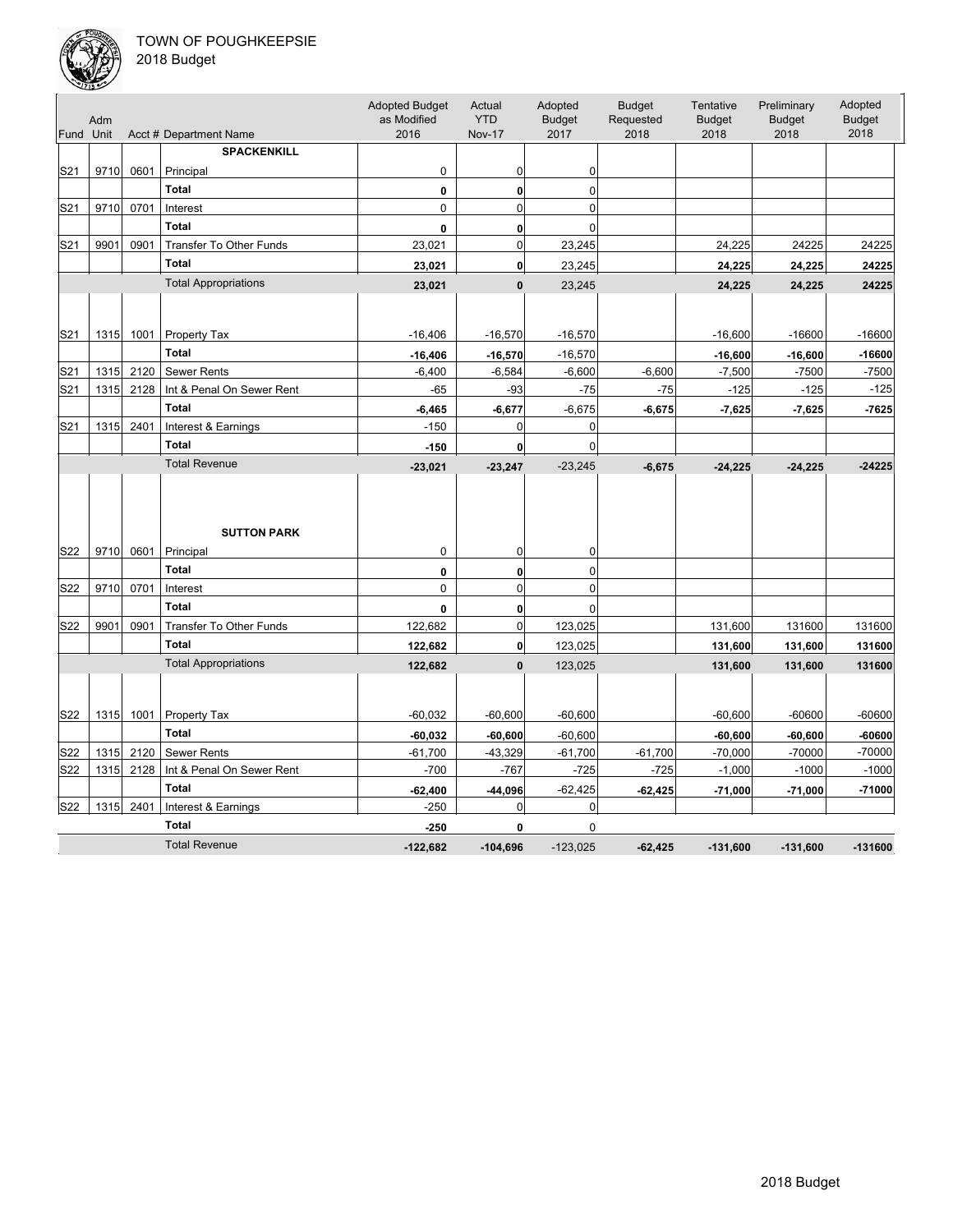

| Fund Unit       | Adm  |      | Acct # Department Name         | <b>Adopted Budget</b><br>as Modified<br>2016 | Actual<br><b>YTD</b><br><b>Nov-17</b> | Adopted<br><b>Budget</b><br>2017 | <b>Budget</b><br>Requested<br>2018 | Tentative<br><b>Budget</b><br>2018 | Preliminary<br><b>Budget</b><br>2018 | Adopted<br><b>Budget</b><br>2018 |
|-----------------|------|------|--------------------------------|----------------------------------------------|---------------------------------------|----------------------------------|------------------------------------|------------------------------------|--------------------------------------|----------------------------------|
|                 |      |      | <b>SPACKENKILL</b>             |                                              |                                       |                                  |                                    |                                    |                                      |                                  |
| S21             | 9710 | 0601 | Principal                      | 0                                            | 0                                     | 0                                |                                    |                                    |                                      |                                  |
|                 |      |      | <b>Total</b>                   | 0                                            | 0                                     | 0                                |                                    |                                    |                                      |                                  |
| S <sub>21</sub> | 9710 | 0701 | Interest                       | $\mathbf 0$                                  | $\overline{0}$                        | $\mathbf 0$                      |                                    |                                    |                                      |                                  |
|                 |      |      | <b>Total</b>                   | 0                                            | 0                                     | $\mathbf 0$                      |                                    |                                    |                                      |                                  |
| S21             | 9901 | 0901 | <b>Transfer To Other Funds</b> | 23,021                                       | $\mathbf 0$                           | 23,245                           |                                    | 24,225                             | 24225                                | 24225                            |
|                 |      |      | <b>Total</b>                   | 23,021                                       | $\mathbf{0}$                          | 23,245                           |                                    |                                    |                                      | 24225                            |
|                 |      |      | <b>Total Appropriations</b>    |                                              |                                       |                                  |                                    | 24,225                             | 24,225                               |                                  |
|                 |      |      |                                | 23,021                                       | $\bf{0}$                              | 23,245                           |                                    | 24,225                             | 24,225                               | 24225                            |
|                 |      |      |                                |                                              |                                       |                                  |                                    |                                    |                                      |                                  |
| S21             | 1315 | 1001 | Property Tax                   | $-16,406$                                    | $-16,570$                             | $-16,570$                        |                                    | $-16,600$                          | $-16600$                             | $-16600$                         |
|                 |      |      | <b>Total</b>                   | $-16,406$                                    | $-16,570$                             | $-16,570$                        |                                    | $-16,600$                          | $-16,600$                            | $-16600$                         |
| S21             | 1315 | 2120 | <b>Sewer Rents</b>             | $-6,400$                                     | $-6,584$                              | $-6,600$                         | $-6,600$                           | $-7,500$                           | $-7500$                              | $-7500$                          |
| S <sub>21</sub> | 1315 | 2128 | Int & Penal On Sewer Rent      | $-65$                                        | $-93$                                 | $-75$                            | $-75$                              | $-125$                             | $-125$                               | $-125$                           |
|                 |      |      | <b>Total</b>                   | $-6,465$                                     | $-6,677$                              | $-6,675$                         | $-6,675$                           | $-7,625$                           | $-7,625$                             | $-7625$                          |
| S21             | 1315 | 2401 | Interest & Earnings            | $-150$                                       | 0                                     | 0                                |                                    |                                    |                                      |                                  |
|                 |      |      | <b>Total</b>                   | $-150$                                       | 0                                     | 0                                |                                    |                                    |                                      |                                  |
|                 |      |      | <b>Total Revenue</b>           | $-23,021$                                    | $-23,247$                             | $-23,245$                        | $-6,675$                           | $-24,225$                          | $-24,225$                            | $-24225$                         |
|                 |      |      | <b>SUTTON PARK</b>             |                                              |                                       |                                  |                                    |                                    |                                      |                                  |
| S22             | 9710 | 0601 | Principal                      | 0                                            | 0                                     | 0                                |                                    |                                    |                                      |                                  |
|                 |      |      | <b>Total</b>                   | 0                                            | 0                                     | $\mathbf 0$                      |                                    |                                    |                                      |                                  |
| S22             | 9710 | 0701 | Interest                       | 0                                            | 0                                     | $\Omega$                         |                                    |                                    |                                      |                                  |
|                 |      |      | <b>Total</b>                   | 0                                            | 0                                     | $\mathbf 0$                      |                                    |                                    |                                      |                                  |
| S22             | 9901 | 0901 | Transfer To Other Funds        | 122,682                                      | $\mathbf 0$                           | 123,025                          |                                    | 131,600                            | 131600                               | 131600                           |
|                 |      |      | <b>Total</b>                   | 122,682                                      | $\mathbf{0}$                          | 123,025                          |                                    | 131,600                            | 131,600                              | 131600                           |
|                 |      |      | <b>Total Appropriations</b>    | 122,682                                      | $\bf{0}$                              | 123,025                          |                                    | 131,600                            | 131,600                              | 131600                           |
|                 |      |      |                                |                                              |                                       |                                  |                                    |                                    |                                      |                                  |
| S22             | 1315 | 1001 | Property Tax                   | $-60,032$                                    | $-60,600$                             | $-60,600$                        |                                    | $-60,600$                          | $-60600$                             | -60600                           |
|                 |      |      | <b>Total</b>                   | $-60,032$                                    | $-60,600$                             | $-60,600$                        |                                    | $-60,600$                          | $-60,600$                            | $-60600$                         |
| S22             | 1315 | 2120 | <b>Sewer Rents</b>             | $-61,700$                                    | $-43,329$                             | $-61,700$                        | $-61,700$                          | $-70,000$                          | $-70000$                             | $-70000$                         |
| S22             | 1315 | 2128 | Int & Penal On Sewer Rent      | $-700$                                       | $-767$                                | $-725$                           | $-725$                             | $-1,000$                           | $-1000$                              | $-1000$                          |
|                 |      |      | <b>Total</b>                   | $-62,400$                                    | -44,096                               | $-62,425$                        | $-62,425$                          | $-71,000$                          | $-71,000$                            | $-71000$                         |
| S22             | 1315 | 2401 | Interest & Earnings            | $-250$                                       | 0                                     | 0                                |                                    |                                    |                                      |                                  |
|                 |      |      | <b>Total</b>                   | $-250$                                       | 0                                     | 0                                |                                    |                                    |                                      |                                  |
|                 |      |      | <b>Total Revenue</b>           | $-122,682$                                   | $-104.696$                            | $-123.025$                       | $-62.425$                          | $-131,600$                         | -131.600                             | $-131600$                        |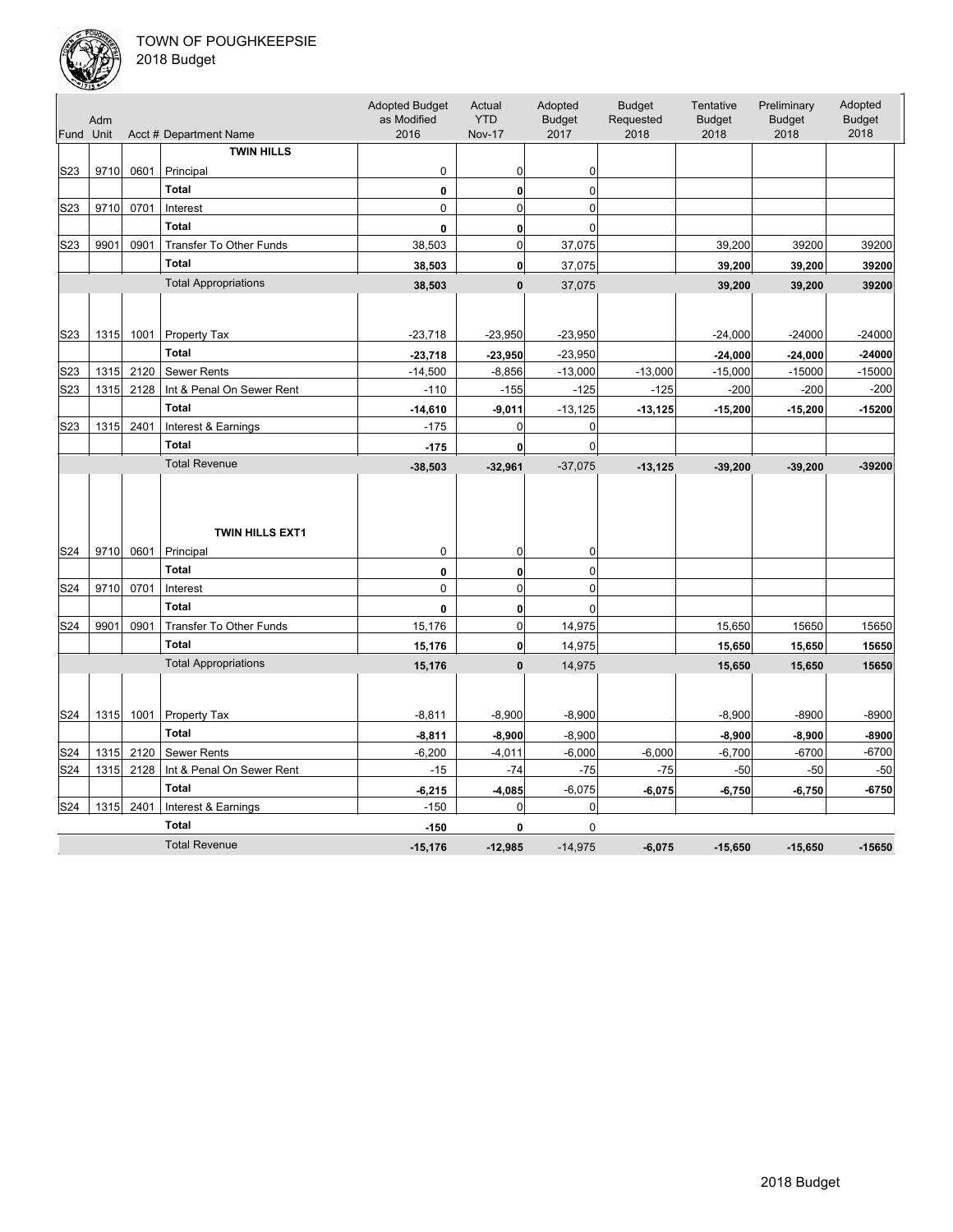

| Fund Unit        | Adm  |      | Acct # Department Name              | <b>Adopted Budget</b><br>as Modified<br>2016 | Actual<br><b>YTD</b><br><b>Nov-17</b> | Adopted<br><b>Budget</b><br>2017 | <b>Budget</b><br>Requested<br>2018 | Tentative<br><b>Budget</b><br>2018 | Preliminary<br><b>Budget</b><br>2018 | Adopted<br><b>Budget</b><br>2018 |
|------------------|------|------|-------------------------------------|----------------------------------------------|---------------------------------------|----------------------------------|------------------------------------|------------------------------------|--------------------------------------|----------------------------------|
|                  |      |      | <b>TWIN HILLS</b>                   |                                              |                                       |                                  |                                    |                                    |                                      |                                  |
| S <sub>2</sub> 3 | 9710 | 0601 | Principal                           | 0                                            | 0                                     | 0                                |                                    |                                    |                                      |                                  |
|                  |      |      | <b>Total</b>                        | 0                                            | $\mathbf{0}$                          | 0                                |                                    |                                    |                                      |                                  |
| S <sub>2</sub> 3 | 9710 | 0701 | Interest                            | $\mathbf 0$                                  | $\Omega$                              | $\Omega$                         |                                    |                                    |                                      |                                  |
|                  |      |      | <b>Total</b>                        | 0                                            | 0                                     | $\Omega$                         |                                    |                                    |                                      |                                  |
| S23              | 9901 | 0901 | Transfer To Other Funds             | 38,503                                       | $\mathbf 0$                           | 37,075                           |                                    | 39,200                             | 39200                                | 39200                            |
|                  |      |      | <b>Total</b>                        | 38,503                                       | $\mathbf{0}$                          | 37,075                           |                                    | 39,200                             | 39,200                               | 39200                            |
|                  |      |      | <b>Total Appropriations</b>         | 38,503                                       | $\mathbf{0}$                          | 37,075                           |                                    | 39,200                             | 39,200                               | 39200                            |
|                  |      |      |                                     |                                              |                                       |                                  |                                    |                                    |                                      |                                  |
| S <sub>2</sub> 3 | 1315 | 1001 | Property Tax                        | $-23,718$                                    | $-23,950$                             | $-23,950$                        |                                    | $-24,000$                          | $-24000$                             | $-24000$                         |
|                  |      |      | <b>Total</b>                        | $-23,718$                                    | $-23,950$                             | $-23,950$                        |                                    | $-24,000$                          | $-24,000$                            | $-24000$                         |
| S23              | 1315 | 2120 | Sewer Rents                         | $-14,500$                                    | $-8,856$                              | $-13,000$                        | $-13,000$                          | $-15,000$                          | $-15000$                             | $-15000$                         |
| S <sub>2</sub> 3 | 1315 | 2128 | Int & Penal On Sewer Rent           | $-110$                                       | $-155$                                | $-125$                           | $-125$                             | $-200$                             | $-200$                               | $-200$                           |
|                  |      |      | <b>Total</b>                        | $-14,610$                                    | $-9,011$                              | $-13,125$                        | $-13, 125$                         | $-15,200$                          | $-15,200$                            | $-15200$                         |
| S <sub>2</sub> 3 | 1315 | 2401 | Interest & Earnings                 | $-175$                                       | $\mathbf 0$                           | $\mathbf 0$                      |                                    |                                    |                                      |                                  |
|                  |      |      | <b>Total</b>                        | $-175$                                       | 0                                     | 0                                |                                    |                                    |                                      |                                  |
|                  |      |      | <b>Total Revenue</b>                | $-38,503$                                    | $-32,961$                             | $-37,075$                        | $-13,125$                          | $-39,200$                          | $-39,200$                            | $-39200$                         |
|                  | 9710 | 0601 | <b>TWIN HILLS EXT1</b><br>Principal | $\mathbf 0$                                  | 0                                     | 0                                |                                    |                                    |                                      |                                  |
| S24              |      |      | <b>Total</b>                        | 0                                            | $\mathbf{0}$                          | 0                                |                                    |                                    |                                      |                                  |
| S24              | 9710 | 0701 | Interest                            | $\mathbf 0$                                  | $\mathbf 0$                           | $\mathbf 0$                      |                                    |                                    |                                      |                                  |
|                  |      |      | <b>Total</b>                        | 0                                            | 0                                     | 0                                |                                    |                                    |                                      |                                  |
| S24              | 9901 | 0901 | Transfer To Other Funds             | 15,176                                       | $\mathbf 0$                           | 14,975                           |                                    | 15,650                             | 15650                                | 15650                            |
|                  |      |      | <b>Total</b>                        | 15,176                                       | 0                                     | 14,975                           |                                    | 15,650                             | 15,650                               | 15650                            |
|                  |      |      | <b>Total Appropriations</b>         | 15,176                                       | $\mathbf{0}$                          | 14,975                           |                                    | 15,650                             | 15,650                               | 15650                            |
|                  |      |      |                                     |                                              |                                       |                                  |                                    |                                    |                                      |                                  |
| S24              | 1315 | 1001 | Property Tax                        | $-8,811$                                     | $-8,900$                              | $-8,900$                         |                                    | $-8,900$                           | $-8900$                              | $-8900$                          |
|                  |      |      | Total                               | $-8,811$                                     | $-8,900$                              | $-8,900$                         |                                    | $-8,900$                           | $-8,900$                             | $-8900$                          |
| S24              | 1315 | 2120 | Sewer Rents                         | $-6,200$                                     | $-4,011$                              | $-6,000$                         | $-6,000$                           | $-6,700$                           | $-6700$                              | $-6700$                          |
| S24              | 1315 | 2128 | Int & Penal On Sewer Rent           | $-15$                                        | $-74$                                 | $-75$                            | $-75$                              | $-50$                              | $-50$                                | $-50$                            |
|                  |      |      | <b>Total</b>                        | $-6,215$                                     | $-4,085$                              | $-6,075$                         | $-6,075$                           | $-6,750$                           | $-6,750$                             | $-6750$                          |
| S24              | 1315 | 2401 | Interest & Earnings                 | $-150$                                       | 0                                     | 0                                |                                    |                                    |                                      |                                  |
|                  |      |      | <b>Total</b>                        | $-150$                                       | 0                                     | $\mathbf 0$                      |                                    |                                    |                                      |                                  |
|                  |      |      | <b>Total Revenue</b>                | $-15,176$                                    | $-12.985$                             | $-14.975$                        | $-6.075$                           | $-15,650$                          | $-15,650$                            | $-15650$                         |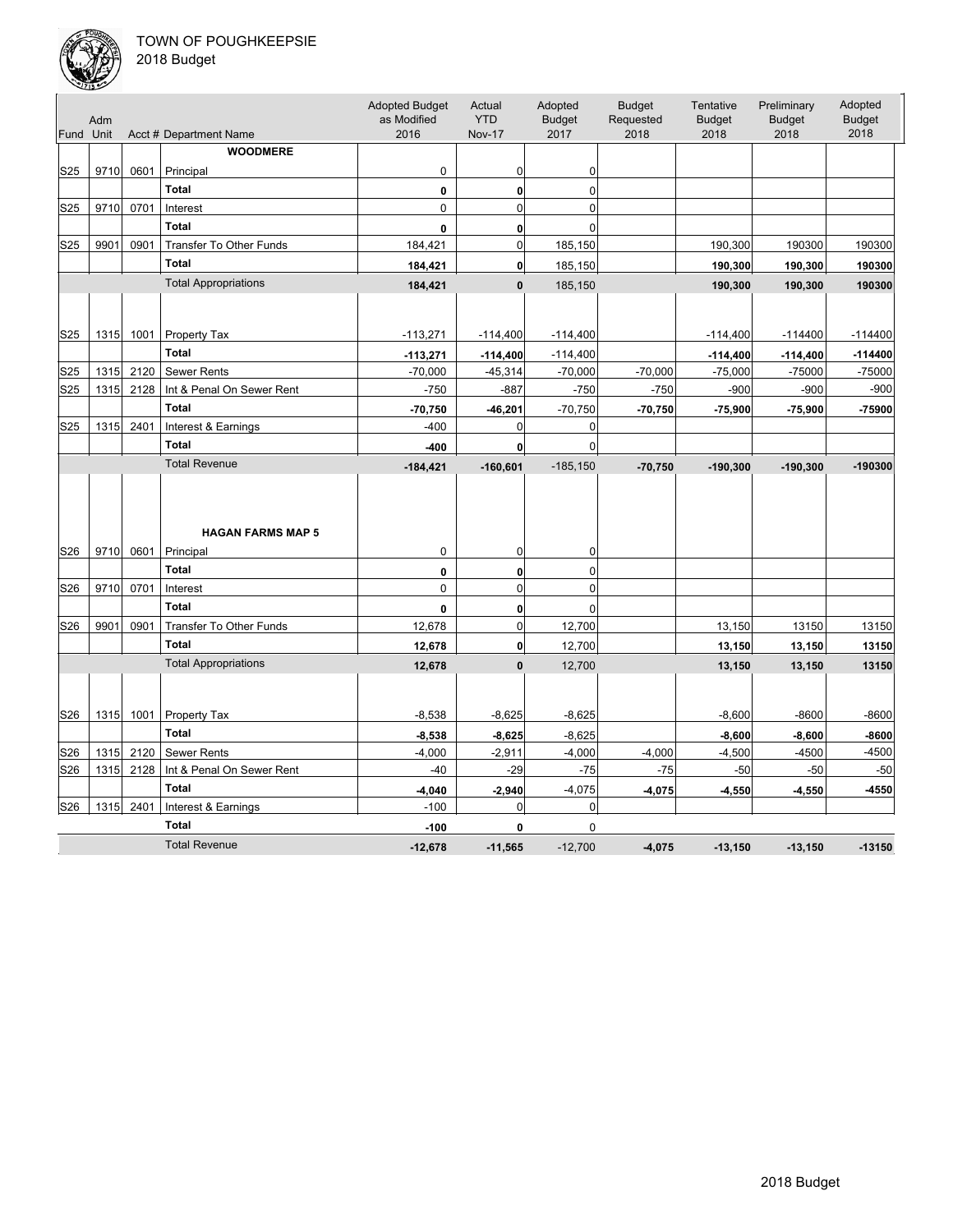

|                 | Adm  |      |                                       | <b>Adopted Budget</b><br>as Modified | Actual<br><b>YTD</b> | Adopted<br><b>Budget</b> | <b>Budget</b><br>Requested | Tentative<br><b>Budget</b> | Preliminary<br><b>Budget</b> | Adopted<br><b>Budget</b> |
|-----------------|------|------|---------------------------------------|--------------------------------------|----------------------|--------------------------|----------------------------|----------------------------|------------------------------|--------------------------|
| Fund Unit       |      |      | Acct # Department Name                | 2016                                 | <b>Nov-17</b>        | 2017                     | 2018                       | 2018                       | 2018                         | 2018                     |
|                 |      |      | <b>WOODMERE</b>                       |                                      |                      |                          |                            |                            |                              |                          |
| S <sub>25</sub> | 9710 | 0601 | Principal                             | 0                                    | 0                    | 0                        |                            |                            |                              |                          |
|                 |      |      | <b>Total</b>                          | 0                                    | $\bf{0}$             | $\overline{0}$           |                            |                            |                              |                          |
| S25             | 9710 | 0701 | Interest                              | 0                                    | 0                    | 0                        |                            |                            |                              |                          |
|                 |      |      | <b>Total</b>                          | $\mathbf{0}$                         | $\mathbf{0}$         | $\Omega$                 |                            |                            |                              |                          |
| S25             | 9901 | 0901 | Transfer To Other Funds               | 184,421                              | $\mathbf 0$          | 185,150                  |                            | 190,300                    | 190300                       | 190300                   |
|                 |      |      | <b>Total</b>                          | 184,421                              | $\mathbf{0}$         | 185,150                  |                            | 190,300                    | 190,300                      | 190300                   |
|                 |      |      | <b>Total Appropriations</b>           | 184,421                              | $\mathbf{0}$         | 185,150                  |                            | 190,300                    | 190,300                      | 190300                   |
|                 |      |      |                                       |                                      |                      |                          |                            |                            |                              |                          |
|                 |      |      |                                       |                                      |                      |                          |                            |                            |                              |                          |
| S25             | 1315 | 1001 | Property Tax                          | $-113,271$                           | $-114,400$           | $-114,400$               |                            | $-114,400$                 | $-114400$                    | $-114400$                |
|                 |      |      | <b>Total</b>                          | $-113,271$                           | $-114,400$           | $-114,400$               |                            | $-114,400$                 | $-114,400$                   | $-114400$                |
| S25             | 1315 | 2120 | <b>Sewer Rents</b>                    | $-70,000$                            | $-45,314$            | $-70,000$                | $-70,000$                  | $-75,000$                  | $-75000$                     | $-75000$                 |
| S25             | 1315 | 2128 | Int & Penal On Sewer Rent             | $-750$                               | $-887$               | $-750$                   | $-750$                     | $-900$                     | $-900$                       | $-900$                   |
|                 |      |      | <b>Total</b>                          | $-70,750$                            | $-46,201$            | $-70,750$                | $-70,750$                  | $-75,900$                  | $-75,900$                    | $-75900$                 |
| S25             | 1315 | 2401 | Interest & Earnings                   | $-400$                               | 0                    | 0                        |                            |                            |                              |                          |
|                 |      |      | <b>Total</b>                          | $-400$                               | $\mathbf{0}$         | $\mathbf 0$              |                            |                            |                              |                          |
|                 |      |      | <b>Total Revenue</b>                  | $-184,421$                           | $-160,601$           | $-185,150$               | $-70,750$                  | $-190,300$                 | $-190,300$                   | $-190300$                |
| S26             | 9710 | 0601 | <b>HAGAN FARMS MAP 5</b><br>Principal | 0                                    | 0                    | 0                        |                            |                            |                              |                          |
|                 |      |      | <b>Total</b>                          | 0                                    | $\mathbf{0}$         | 0                        |                            |                            |                              |                          |
| S26             | 9710 | 0701 | Interest                              | 0                                    | $\mathbf 0$          | $\mathbf 0$              |                            |                            |                              |                          |
|                 |      |      | <b>Total</b>                          | 0                                    | $\mathbf{0}$         | $\Omega$                 |                            |                            |                              |                          |
| S26             | 9901 | 0901 | <b>Transfer To Other Funds</b>        | 12,678                               | $\mathbf 0$          | 12,700                   |                            | 13,150                     | 13150                        | 13150                    |
|                 |      |      | <b>Total</b>                          | 12,678                               | $\mathbf{0}$         | 12,700                   |                            | 13,150                     | 13,150                       | 13150                    |
|                 |      |      | <b>Total Appropriations</b>           | 12,678                               | $\mathbf{0}$         | 12,700                   |                            | 13,150                     | 13,150                       | 13150                    |
|                 |      |      |                                       |                                      |                      |                          |                            |                            |                              |                          |
| S26             | 1315 | 1001 | Property Tax                          | $-8,538$                             | $-8,625$             | $-8,625$                 |                            | $-8,600$                   | $-8600$                      | -8600                    |
|                 |      |      | <b>Total</b>                          | $-8,538$                             | $-8,625$             | $-8,625$                 |                            | $-8,600$                   | $-8,600$                     | -8600                    |
| S26             | 1315 | 2120 | <b>Sewer Rents</b>                    | $-4,000$                             | $-2,911$             | $-4,000$                 | $-4,000$                   | $-4,500$                   | $-4500$                      | $-4500$                  |
| S26             | 1315 | 2128 | Int & Penal On Sewer Rent             | $-40$                                | $-29$                | $-75$                    | $-75$                      | $-50$                      | $-50$                        | $-50$                    |
|                 |      |      | <b>Total</b>                          | $-4,040$                             | $-2,940$             | $-4,075$                 | $-4,075$                   | $-4,550$                   | $-4,550$                     | -4550                    |
| S26             | 1315 | 2401 | Interest & Earnings                   | $-100$                               | $\mathbf 0$          | 0                        |                            |                            |                              |                          |
|                 |      |      | <b>Total</b>                          | $-100$                               | 0                    | 0                        |                            |                            |                              |                          |
|                 |      |      | <b>Total Revenue</b>                  | $-12,678$                            | $-11.565$            | $-12.700$                | $-4.075$                   | $-13,150$                  | $-13,150$                    | $-13150$                 |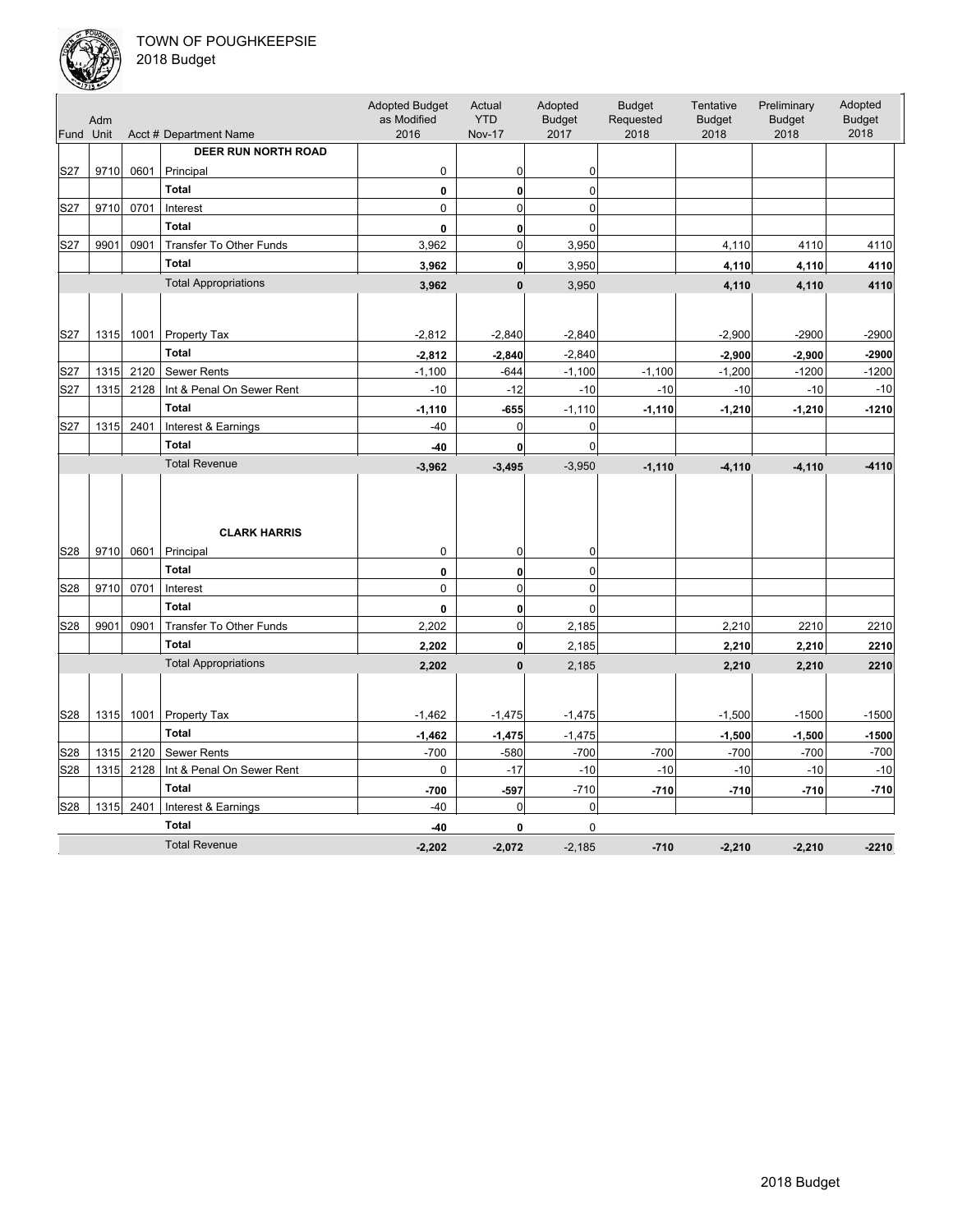

| Fund Unit | Adm  |      | Acct # Department Name         | <b>Adopted Budget</b><br>as Modified<br>2016 | Actual<br><b>YTD</b><br><b>Nov-17</b> | Adopted<br><b>Budget</b><br>2017 | <b>Budget</b><br>Requested<br>2018 | Tentative<br><b>Budget</b><br>2018 | Preliminary<br><b>Budget</b><br>2018 | Adopted<br><b>Budget</b><br>2018 |
|-----------|------|------|--------------------------------|----------------------------------------------|---------------------------------------|----------------------------------|------------------------------------|------------------------------------|--------------------------------------|----------------------------------|
|           |      |      | <b>DEER RUN NORTH ROAD</b>     |                                              |                                       |                                  |                                    |                                    |                                      |                                  |
| S27       | 9710 | 0601 | Principal                      | 0                                            | 0                                     | 0                                |                                    |                                    |                                      |                                  |
|           |      |      | <b>Total</b>                   | 0                                            | 0                                     | 0                                |                                    |                                    |                                      |                                  |
| S27       | 9710 | 0701 | Interest                       | $\mathbf 0$                                  | $\mathbf 0$                           | $\overline{0}$                   |                                    |                                    |                                      |                                  |
|           |      |      | <b>Total</b>                   |                                              |                                       | $\Omega$                         |                                    |                                    |                                      |                                  |
| S27       | 9901 | 0901 | Transfer To Other Funds        | 0<br>3,962                                   | 0<br>$\mathbf 0$                      | 3,950                            |                                    | 4,110                              | 4110                                 | 4110                             |
|           |      |      | <b>Total</b>                   |                                              | $\mathbf{0}$                          | 3,950                            |                                    |                                    |                                      | 4110                             |
|           |      |      | <b>Total Appropriations</b>    | 3,962                                        |                                       |                                  |                                    | 4,110                              | 4,110                                |                                  |
|           |      |      |                                | 3,962                                        | $\mathbf{0}$                          | 3,950                            |                                    | 4,110                              | 4,110                                | 4110                             |
|           |      |      |                                |                                              |                                       |                                  |                                    |                                    |                                      |                                  |
| S27       | 1315 | 1001 | Property Tax                   | $-2,812$                                     | $-2,840$                              | $-2,840$                         |                                    | $-2,900$                           | $-2900$                              | $-2900$                          |
|           |      |      | <b>Total</b>                   | $-2,812$                                     | $-2,840$                              | $-2,840$                         |                                    | $-2,900$                           | $-2,900$                             | $-2900$                          |
| S27       | 1315 | 2120 | Sewer Rents                    | $-1,100$                                     | $-644$                                | $-1,100$                         | $-1,100$                           | $-1,200$                           | $-1200$                              | $-1200$                          |
| S27       | 1315 | 2128 | Int & Penal On Sewer Rent      | $-10$                                        | $-12$                                 | $-10$                            | $-10$                              | $-10$                              | $-10$                                | $-10$                            |
|           |      |      | <b>Total</b>                   | $-1,110$                                     | $-655$                                | $-1,110$                         | $-1,110$                           | $-1,210$                           | $-1,210$                             | $-1210$                          |
| S27       | 1315 | 2401 | Interest & Earnings            | $-40$                                        | $\mathbf 0$                           | $\mathbf 0$                      |                                    |                                    |                                      |                                  |
|           |      |      | <b>Total</b>                   | $-40$                                        | 0                                     | $\mathbf 0$                      |                                    |                                    |                                      |                                  |
|           |      |      | <b>Total Revenue</b>           | $-3,962$                                     | $-3,495$                              | $-3,950$                         | $-1,110$                           | $-4, 110$                          | $-4,110$                             | $-4110$                          |
|           |      |      | <b>CLARK HARRIS</b>            |                                              |                                       |                                  |                                    |                                    |                                      |                                  |
| S28       | 9710 | 0601 | Principal<br><b>Total</b>      | $\mathbf 0$                                  | 0                                     | 0                                |                                    |                                    |                                      |                                  |
| S28       | 9710 | 0701 | Interest                       | 0<br>$\mathbf 0$                             | $\mathbf{0}$<br>$\overline{0}$        | 0<br>$\overline{0}$              |                                    |                                    |                                      |                                  |
|           |      |      | <b>Total</b>                   |                                              |                                       |                                  |                                    |                                    |                                      |                                  |
| S28       | 9901 | 0901 | <b>Transfer To Other Funds</b> | 0<br>2,202                                   | 0<br>$\overline{0}$                   | $\mathbf 0$                      |                                    |                                    | 2210                                 | 2210                             |
|           |      |      | <b>Total</b>                   |                                              |                                       | 2,185                            |                                    | 2,210                              |                                      |                                  |
|           |      |      | <b>Total Appropriations</b>    | 2,202                                        | $\mathbf{0}$                          | 2,185                            |                                    | 2,210                              | 2,210                                | 2210                             |
|           |      |      |                                | 2,202                                        | $\mathbf{0}$                          | 2,185                            |                                    | 2,210                              | 2,210                                | 2210                             |
| S28       | 1315 | 1001 | Property Tax                   | $-1,462$                                     | $-1,475$                              | $-1,475$                         |                                    | $-1,500$                           | $-1500$                              | $-1500$                          |
|           |      |      | <b>Total</b>                   | $-1,462$                                     | $-1,475$                              | $-1,475$                         |                                    | $-1,500$                           | $-1,500$                             | $-1500$                          |
| S28       | 1315 | 2120 | <b>Sewer Rents</b>             | $-700$                                       | $-580$                                | $-700$                           | $-700$                             | $-700$                             | $-700$                               | $-700$                           |
| S28       | 1315 | 2128 | Int & Penal On Sewer Rent      | 0                                            | $-17$                                 | $-10$                            | $-10$                              | $-10$                              | $-10$                                | $-10$                            |
|           |      |      | <b>Total</b>                   | $-700$                                       | $-597$                                | $-710$                           | $-710$                             | $-710$                             | $-710$                               | $-710$                           |
| S28       | 1315 | 2401 | Interest & Earnings            | $-40$                                        | $\mathbf 0$                           | 0                                |                                    |                                    |                                      |                                  |
|           |      |      | <b>Total</b>                   | $-40$                                        | 0                                     | 0                                |                                    |                                    |                                      |                                  |
|           |      |      | <b>Total Revenue</b>           | $-2.202$                                     | $-2.072$                              | $-2.185$                         | $-710$                             | $-2.210$                           | $-2,210$                             | $-2210$                          |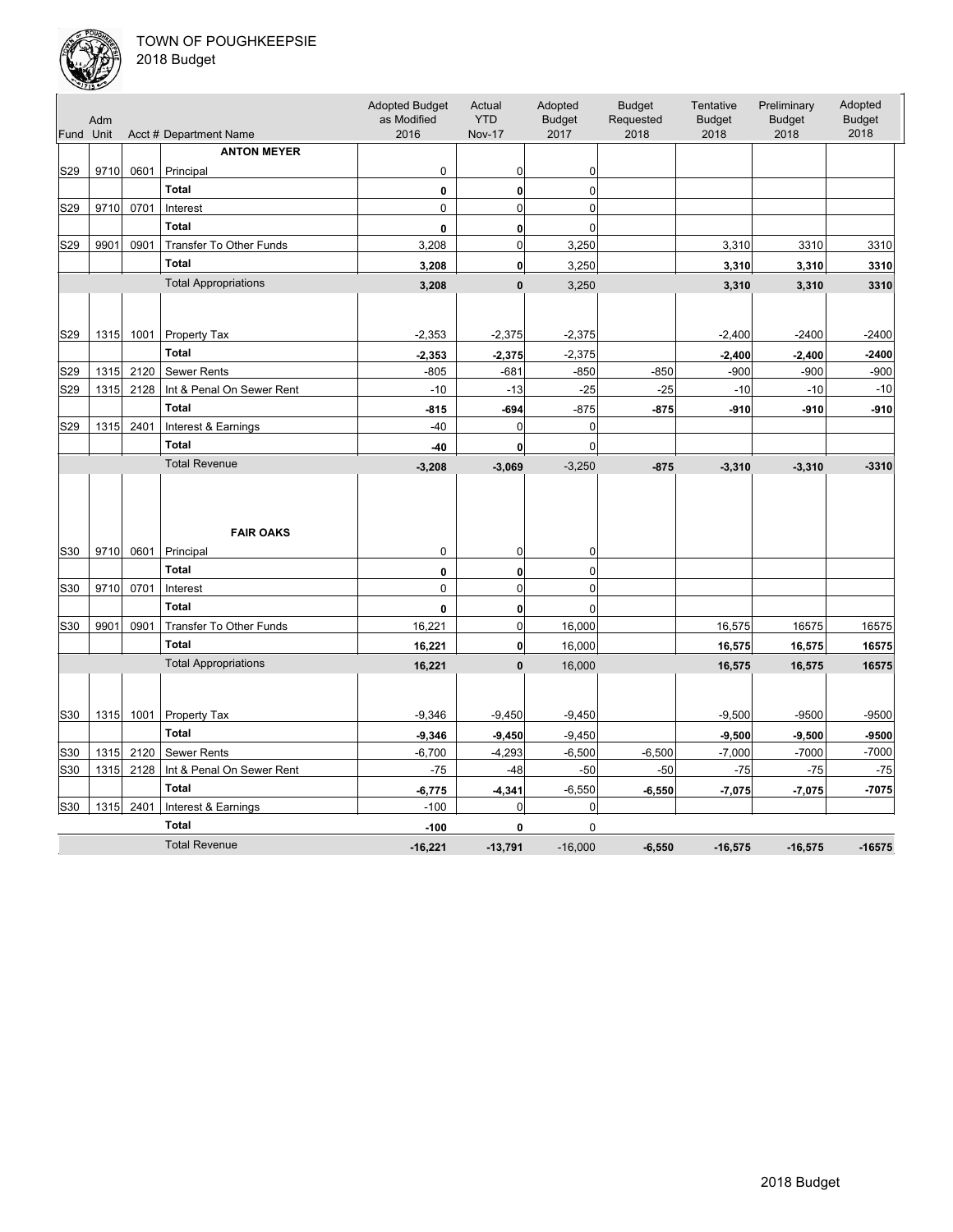

| Fund Unit       | Adm  |      | Acct # Department Name         | <b>Adopted Budget</b><br>as Modified<br>2016 | Actual<br><b>YTD</b><br><b>Nov-17</b> | Adopted<br><b>Budget</b><br>2017 | <b>Budget</b><br>Requested<br>2018 | Tentative<br><b>Budget</b><br>2018 | Preliminary<br><b>Budget</b><br>2018 | Adopted<br><b>Budget</b><br>2018 |
|-----------------|------|------|--------------------------------|----------------------------------------------|---------------------------------------|----------------------------------|------------------------------------|------------------------------------|--------------------------------------|----------------------------------|
|                 |      |      | <b>ANTON MEYER</b>             |                                              |                                       |                                  |                                    |                                    |                                      |                                  |
| S29             | 9710 | 0601 | Principal                      | $\mathbf 0$                                  | 0                                     | 0                                |                                    |                                    |                                      |                                  |
|                 |      |      | <b>Total</b>                   | 0                                            | $\mathbf{0}$                          | 0                                |                                    |                                    |                                      |                                  |
| S <sub>29</sub> | 9710 | 0701 | Interest                       | $\mathbf 0$                                  | $\mathbf 0$                           | $\mathbf 0$                      |                                    |                                    |                                      |                                  |
|                 |      |      | <b>Total</b>                   | 0                                            | 0                                     | $\mathbf{0}$                     |                                    |                                    |                                      |                                  |
| S29             | 9901 | 0901 | Transfer To Other Funds        | 3,208                                        | $\mathbf 0$                           | 3,250                            |                                    | 3,310                              | 3310                                 | 3310                             |
|                 |      |      | <b>Total</b>                   | 3,208                                        | $\mathbf{0}$                          | 3,250                            |                                    | 3,310                              | 3,310                                | 3310                             |
|                 |      |      | <b>Total Appropriations</b>    | 3,208                                        | $\mathbf{0}$                          | 3,250                            |                                    | 3,310                              | 3,310                                | 3310                             |
|                 |      |      |                                |                                              |                                       |                                  |                                    |                                    |                                      |                                  |
| S <sub>29</sub> | 1315 | 1001 | Property Tax                   | $-2,353$                                     | $-2,375$                              | $-2,375$                         |                                    | $-2,400$                           | $-2400$                              | $-2400$                          |
|                 |      |      | <b>Total</b>                   | $-2,353$                                     | $-2,375$                              | $-2,375$                         |                                    | $-2,400$                           | $-2,400$                             | $-2400$                          |
| S <sub>29</sub> | 1315 | 2120 | <b>Sewer Rents</b>             | $-805$                                       | $-681$                                | $-850$                           | $-850$                             | $-900$                             | $-900$                               | $-900$                           |
| S29             | 1315 | 2128 | Int & Penal On Sewer Rent      | $-10$                                        | $-13$                                 | $-25$                            | $-25$                              | $-10$                              | $-10$                                | $-10$                            |
|                 |      |      | <b>Total</b>                   | $-815$                                       | $-694$                                | $-875$                           | $-875$                             | $-910$                             | $-910$                               | $-910$                           |
| S29             | 1315 | 2401 | Interest & Earnings            | $-40$                                        | $\mathbf 0$                           | 0                                |                                    |                                    |                                      |                                  |
|                 |      |      | <b>Total</b>                   | $-40$                                        | 0                                     | 0                                |                                    |                                    |                                      |                                  |
|                 |      |      | <b>Total Revenue</b>           | $-3,208$                                     | $-3,069$                              | $-3,250$                         | $-875$                             | $-3,310$                           | $-3,310$                             | $-3310$                          |
| S30             | 9710 | 0601 | <b>FAIR OAKS</b><br>Principal  | $\mathbf 0$                                  | 0                                     | 0                                |                                    |                                    |                                      |                                  |
|                 |      |      | <b>Total</b>                   | 0                                            | 0                                     | 0                                |                                    |                                    |                                      |                                  |
| S30             | 9710 | 0701 | Interest                       | $\mathbf 0$                                  | $\mathbf 0$                           | $\mathbf 0$                      |                                    |                                    |                                      |                                  |
|                 |      |      | <b>Total</b>                   | 0                                            | 0                                     | 0                                |                                    |                                    |                                      |                                  |
| S30             | 9901 | 0901 | <b>Transfer To Other Funds</b> | 16,221                                       | $\mathbf 0$                           | 16,000                           |                                    | 16,575                             | 16575                                | 16575                            |
|                 |      |      | <b>Total</b>                   | 16,221                                       | 0                                     | 16,000                           |                                    | 16,575                             | 16,575                               | 16575                            |
|                 |      |      | <b>Total Appropriations</b>    | 16,221                                       | $\mathbf{0}$                          | 16,000                           |                                    | 16,575                             | 16,575                               | 16575                            |
|                 |      |      |                                |                                              |                                       |                                  |                                    |                                    |                                      |                                  |
| S30             | 1315 | 1001 | Property Tax                   | $-9,346$                                     | $-9,450$                              | $-9,450$                         |                                    | $-9,500$                           | $-9500$                              | $-9500$                          |
|                 |      |      | <b>Total</b>                   | $-9,346$                                     | $-9,450$                              | $-9,450$                         |                                    | $-9,500$                           | $-9,500$                             | $-9500$                          |
| S30             | 1315 | 2120 | Sewer Rents                    | $-6,700$                                     | $-4,293$                              | $-6,500$                         | $-6,500$                           | $-7,000$                           | $-7000$                              | $-7000$                          |
| S30             | 1315 | 2128 | Int & Penal On Sewer Rent      | $-75$                                        | $-48$                                 | $-50$                            | $-50$                              | $-75$                              | $-75$                                | $-75$                            |
|                 |      |      | <b>Total</b>                   | $-6,775$                                     | $-4,341$                              | $-6,550$                         | $-6,550$                           | $-7,075$                           | $-7,075$                             | $-7075$                          |
| S30             | 1315 | 2401 | Interest & Earnings            | $-100$                                       | 0                                     | 0                                |                                    |                                    |                                      |                                  |
|                 |      |      | <b>Total</b>                   | $-100$                                       | 0                                     | $\mathbf 0$                      |                                    |                                    |                                      |                                  |
|                 |      |      | <b>Total Revenue</b>           | $-16,221$                                    | $-13.791$                             | $-16.000$                        | $-6,550$                           | $-16,575$                          | $-16,575$                            | $-16575$                         |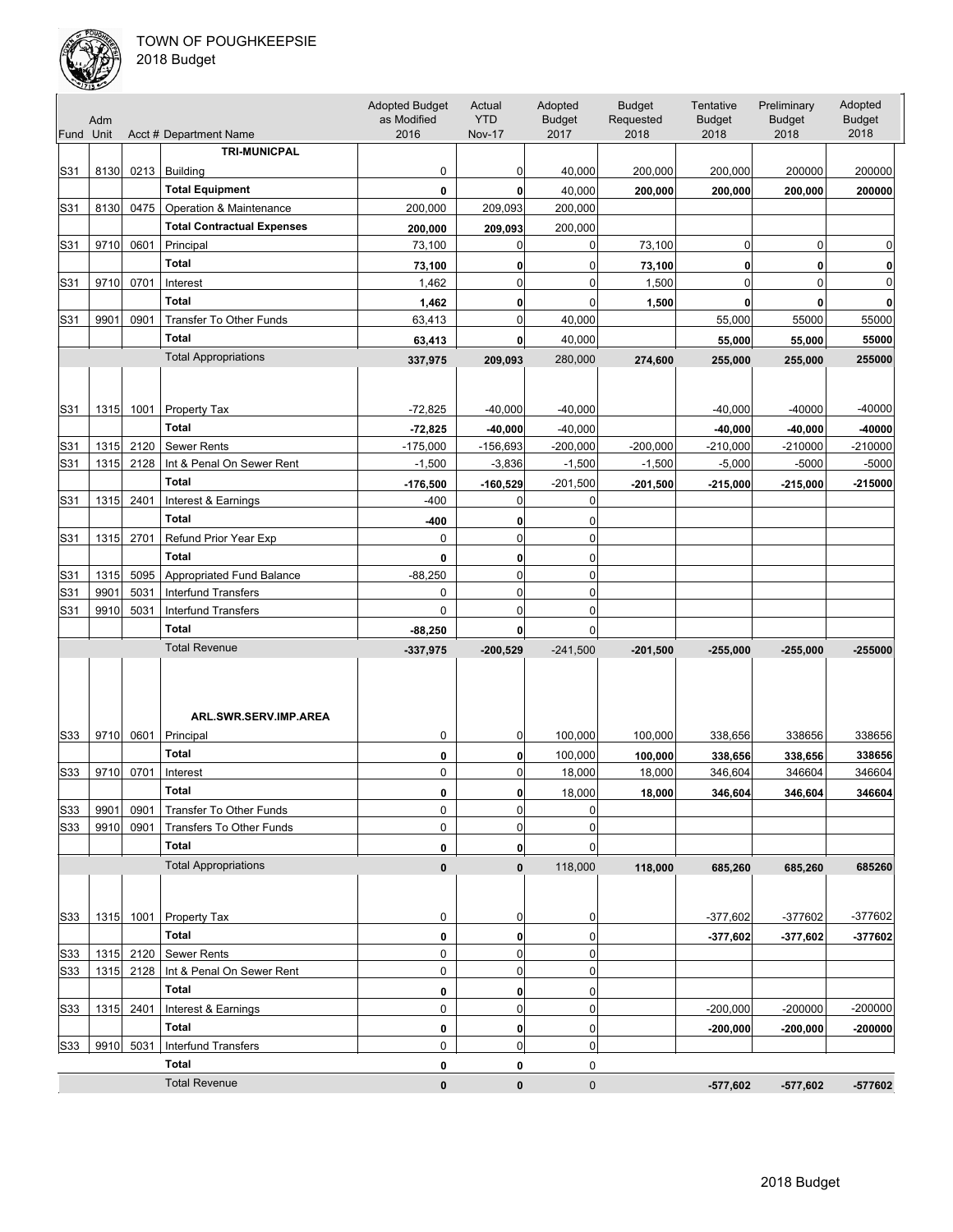

| Fund Unit | Adm  |           | Acct # Department Name            | <b>Adopted Budget</b><br>as Modified<br>2016 | Actual<br><b>YTD</b><br><b>Nov-17</b> | Adopted<br><b>Budget</b><br>2017 | <b>Budget</b><br>Requested<br>2018 | Tentative<br><b>Budget</b><br>2018 | Preliminary<br><b>Budget</b><br>2018 | Adopted<br><b>Budget</b><br>2018 |
|-----------|------|-----------|-----------------------------------|----------------------------------------------|---------------------------------------|----------------------------------|------------------------------------|------------------------------------|--------------------------------------|----------------------------------|
|           |      |           | <b>TRI-MUNICPAL</b>               |                                              |                                       |                                  |                                    |                                    |                                      |                                  |
| S31       | 8130 |           | $0213$   Building                 | 0                                            | 0                                     | 40,000                           | 200,000                            | 200,000                            | 200000                               | 200000                           |
|           |      |           | <b>Total Equipment</b>            | 0                                            | 0                                     | 40,000                           | 200,000                            | 200,000                            | 200,000                              | 200000                           |
| S31       | 8130 | 0475      | Operation & Maintenance           | 200,000                                      | 209,093                               | 200,000                          |                                    |                                    |                                      |                                  |
|           |      |           | <b>Total Contractual Expenses</b> | 200,000                                      | 209,093                               | 200,000                          |                                    |                                    |                                      |                                  |
| S31       | 9710 | 0601      | Principal                         | 73,100                                       | 0                                     | 0                                | 73,100                             | $\overline{0}$                     | $\mathbf 0$                          | 0                                |
|           |      |           | <b>Total</b>                      | 73,100                                       | 0                                     | 0                                | 73,100                             | $\mathbf{0}$                       | 0                                    | 0                                |
| S31       | 9710 | 0701      | Interest                          | 1,462                                        | 0                                     | 0                                | 1,500                              | $\mathbf 0$                        | $\mathbf 0$                          | 0                                |
|           |      |           | <b>Total</b>                      | 1,462                                        | 0                                     | 0                                | 1,500                              | $\mathbf{0}$                       | 0                                    | 0                                |
| S31       | 9901 | 0901      | Transfer To Other Funds           | 63,413                                       | 0                                     | 40,000                           |                                    | 55,000                             | 55000                                | 55000                            |
|           |      |           | <b>Total</b>                      | 63,413                                       | $\mathbf 0$                           | 40,000                           |                                    | 55,000                             | 55,000                               | 55000                            |
|           |      |           | <b>Total Appropriations</b>       | 337,975                                      | 209,093                               | 280,000                          | 274,600                            | 255,000                            | 255,000                              | 255000                           |
|           |      |           |                                   |                                              |                                       |                                  |                                    |                                    |                                      |                                  |
|           |      |           |                                   |                                              |                                       |                                  |                                    |                                    |                                      |                                  |
| S31       | 1315 | 1001      | <b>Property Tax</b>               | $-72,825$                                    | $-40,000$                             | $-40,000$                        |                                    | $-40,000$                          | $-40000$                             | -40000                           |
|           |      |           | <b>Total</b>                      | $-72,825$                                    | $-40,000$                             | $-40,000$                        |                                    | $-40,000$                          | $-40,000$                            | -40000                           |
| S31       | 1315 | 2120      | <b>Sewer Rents</b>                | $-175,000$                                   | $-156,693$                            | $-200,000$                       | $-200,000$                         | $-210,000$                         | $-210000$                            | -210000                          |
| S31       | 1315 | 2128      | Int & Penal On Sewer Rent         | $-1,500$                                     | $-3,836$                              | $-1,500$                         | $-1,500$                           | $-5,000$                           | $-5000$                              | $-5000$                          |
|           |      |           | <b>Total</b>                      | $-176,500$                                   | $-160,529$                            | $-201,500$                       | $-201,500$                         | $-215,000$                         | $-215,000$                           | $-215000$                        |
| S31       | 1315 | 2401      | Interest & Earnings               | $-400$                                       | 0                                     | 0                                |                                    |                                    |                                      |                                  |
|           |      |           | <b>Total</b>                      | -400                                         | 0                                     | 0                                |                                    |                                    |                                      |                                  |
| S31       | 1315 | 2701      | Refund Prior Year Exp             | 0                                            | $\mathbf 0$                           | 0                                |                                    |                                    |                                      |                                  |
|           |      |           | <b>Total</b>                      | 0                                            | 0                                     | 0                                |                                    |                                    |                                      |                                  |
| S31       | 1315 | 5095      | Appropriated Fund Balance         | $-88,250$                                    | 0                                     | 0                                |                                    |                                    |                                      |                                  |
| S31       | 9901 | 5031      | <b>Interfund Transfers</b>        | 0                                            | 0                                     | 0                                |                                    |                                    |                                      |                                  |
| S31       | 9910 | 5031      | <b>Interfund Transfers</b>        | 0                                            | 0                                     | 0                                |                                    |                                    |                                      |                                  |
|           |      |           | <b>Total</b>                      | $-88,250$                                    | $\mathbf 0$                           | 0                                |                                    |                                    |                                      |                                  |
|           |      |           | <b>Total Revenue</b>              | $-337,975$                                   | $-200,529$                            | $-241,500$                       | $-201,500$                         | $-255,000$                         | $-255,000$                           | $-255000$                        |
|           |      |           | ARL.SWR.SERV.IMP.AREA             |                                              |                                       |                                  |                                    |                                    |                                      |                                  |
| S33       | 9710 | 0601      | Principal                         | 0                                            | 0                                     | 100,000                          | 100,000                            | 338,656                            | 338656                               | 338656                           |
|           |      |           | <b>Total</b>                      | 0                                            | 0                                     | 100,000                          | 100,000                            | 338,656                            | 338,656                              | 338656                           |
| S33       | 9710 | 0701      | Interest                          | 0                                            | 0                                     | 18,000                           | 18,000                             | 346,604                            | 346604                               | 346604                           |
|           |      |           | <b>Total</b>                      | 0                                            |                                       | 18,000                           | 18,000                             | 346,604                            | 346,604                              | 346604                           |
| S33       | 9901 | 0901      | Transfer To Other Funds           | 0                                            | 0                                     | 0                                |                                    |                                    |                                      |                                  |
| S33       | 9910 | 0901      | <b>Transfers To Other Funds</b>   | 0                                            | 0                                     | 0                                |                                    |                                    |                                      |                                  |
|           |      |           | <b>Total</b>                      | 0                                            | 0                                     | 0                                |                                    |                                    |                                      |                                  |
|           |      |           | <b>Total Appropriations</b>       | $\pmb{0}$                                    | 0                                     | 118,000                          | 118,000                            | 685,260                            | 685,260                              | 685260                           |
| S33       | 1315 |           | 1001   Property Tax               | 0                                            | 0                                     | 0                                |                                    | $-377,602$                         | -377602                              | -377602                          |
|           |      |           | Total                             | 0                                            | 0                                     | 0                                |                                    | $-377,602$                         | $-377,602$                           | $-377602$                        |
| S33       |      |           | 1315 2120 Sewer Rents             | 0                                            | 0                                     | 0                                |                                    |                                    |                                      |                                  |
| S33       |      | 1315 2128 | Int & Penal On Sewer Rent         | 0                                            | 0                                     | 0                                |                                    |                                    |                                      |                                  |
|           |      |           | <b>Total</b>                      | 0                                            | 0                                     | 0                                |                                    |                                    |                                      |                                  |
| S33       | 1315 | 2401      | Interest & Earnings               | 0                                            | 0                                     | 0                                |                                    | $-200,000$                         | $-200000$                            | $-200000$                        |
|           |      |           | <b>Total</b>                      | 0                                            | 0                                     | 0                                |                                    | $-200,000$                         | $-200,000$                           | $-200000$                        |
| S33       |      | 9910 5031 | <b>Interfund Transfers</b>        | 0                                            | 0                                     | 0                                |                                    |                                    |                                      |                                  |
|           |      |           | Total                             | 0                                            | 0                                     | 0                                |                                    |                                    |                                      |                                  |
|           |      |           | <b>Total Revenue</b>              | 0                                            | 0                                     | 0                                |                                    | $-577,602$                         | $-577,602$                           | -577602                          |